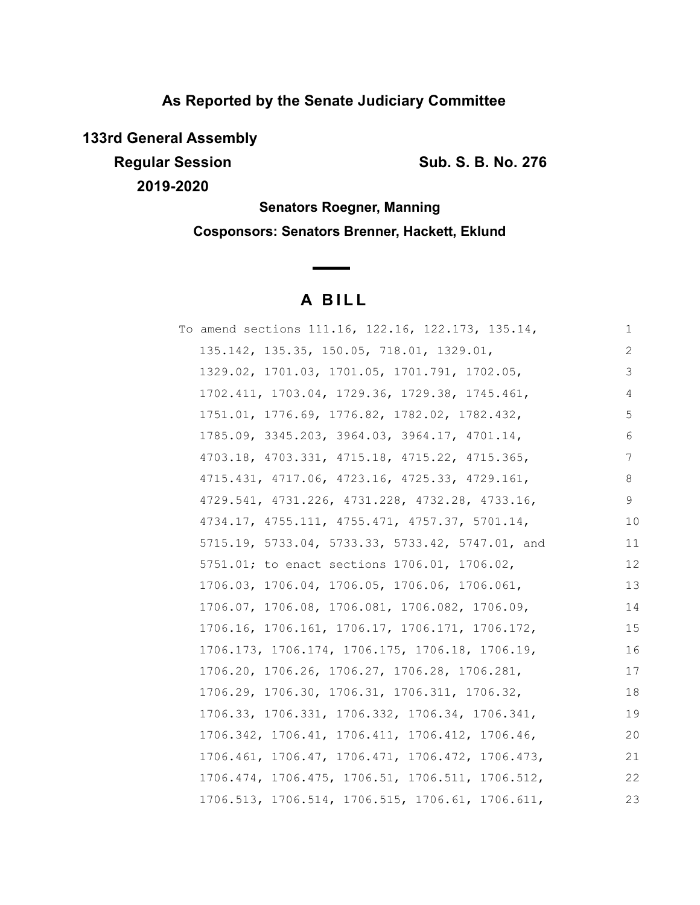## **As Reported by the Senate Judiciary Committee**

**133rd General Assembly**

**Regular Session Sub. S. B. No. 276 2019-2020**

**Senators Roegner, Manning Cosponsors: Senators Brenner, Hackett, Eklund**

# **A B I L L**

<u> The Common State State Sta</u>te

| To amend sections 111.16, 122.16, 122.173, 135.14, | 1  |
|----------------------------------------------------|----|
| 135.142, 135.35, 150.05, 718.01, 1329.01,          | 2  |
| 1329.02, 1701.03, 1701.05, 1701.791, 1702.05,      | 3  |
| 1702.411, 1703.04, 1729.36, 1729.38, 1745.461,     | 4  |
| 1751.01, 1776.69, 1776.82, 1782.02, 1782.432,      | 5  |
| 1785.09, 3345.203, 3964.03, 3964.17, 4701.14,      | 6  |
| 4703.18, 4703.331, 4715.18, 4715.22, 4715.365,     | 7  |
| 4715.431, 4717.06, 4723.16, 4725.33, 4729.161,     | 8  |
| 4729.541, 4731.226, 4731.228, 4732.28, 4733.16,    | 9  |
| 4734.17, 4755.111, 4755.471, 4757.37, 5701.14,     | 10 |
| 5715.19, 5733.04, 5733.33, 5733.42, 5747.01, and   | 11 |
| 5751.01; to enact sections 1706.01, 1706.02,       | 12 |
| 1706.03, 1706.04, 1706.05, 1706.06, 1706.061,      | 13 |
| 1706.07, 1706.08, 1706.081, 1706.082, 1706.09,     | 14 |
| 1706.16, 1706.161, 1706.17, 1706.171, 1706.172,    | 15 |
| 1706.173, 1706.174, 1706.175, 1706.18, 1706.19,    | 16 |
| 1706.20, 1706.26, 1706.27, 1706.28, 1706.281,      | 17 |
| 1706.29, 1706.30, 1706.31, 1706.311, 1706.32,      | 18 |
| 1706.33, 1706.331, 1706.332, 1706.34, 1706.341,    | 19 |
| 1706.342, 1706.41, 1706.411, 1706.412, 1706.46,    | 20 |
| 1706.461, 1706.47, 1706.471, 1706.472, 1706.473,   | 21 |
| 1706.474, 1706.475, 1706.51, 1706.511, 1706.512,   | 22 |
| 1706.513, 1706.514, 1706.515, 1706.61, 1706.611,   | 23 |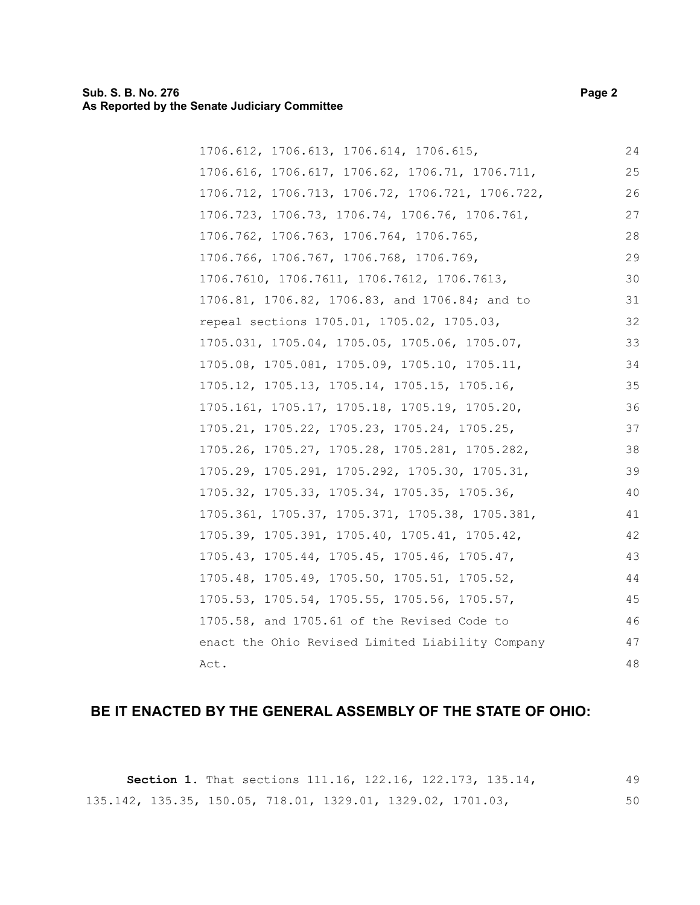#### **Sub. S. B. No. 276 Page 2 As Reported by the Senate Judiciary Committee**

| 1706.612, 1706.613, 1706.614, 1706.615,          | 24 |
|--------------------------------------------------|----|
| 1706.616, 1706.617, 1706.62, 1706.71, 1706.711,  | 25 |
| 1706.712, 1706.713, 1706.72, 1706.721, 1706.722, | 26 |
| 1706.723, 1706.73, 1706.74, 1706.76, 1706.761,   | 27 |
| 1706.762, 1706.763, 1706.764, 1706.765,          | 28 |
| 1706.766, 1706.767, 1706.768, 1706.769,          | 29 |
| 1706.7610, 1706.7611, 1706.7612, 1706.7613,      | 30 |
| 1706.81, 1706.82, 1706.83, and 1706.84; and to   | 31 |
| repeal sections 1705.01, 1705.02, 1705.03,       | 32 |
| 1705.031, 1705.04, 1705.05, 1705.06, 1705.07,    | 33 |
| 1705.08, 1705.081, 1705.09, 1705.10, 1705.11,    | 34 |
| 1705.12, 1705.13, 1705.14, 1705.15, 1705.16,     | 35 |
| 1705.161, 1705.17, 1705.18, 1705.19, 1705.20,    | 36 |
| 1705.21, 1705.22, 1705.23, 1705.24, 1705.25,     | 37 |
| 1705.26, 1705.27, 1705.28, 1705.281, 1705.282,   | 38 |
| 1705.29, 1705.291, 1705.292, 1705.30, 1705.31,   | 39 |
| 1705.32, 1705.33, 1705.34, 1705.35, 1705.36,     | 40 |
| 1705.361, 1705.37, 1705.371, 1705.38, 1705.381,  | 41 |
| 1705.39, 1705.391, 1705.40, 1705.41, 1705.42,    | 42 |
| 1705.43, 1705.44, 1705.45, 1705.46, 1705.47,     | 43 |
| 1705.48, 1705.49, 1705.50, 1705.51, 1705.52,     | 44 |
| 1705.53, 1705.54, 1705.55, 1705.56, 1705.57,     | 45 |
| 1705.58, and 1705.61 of the Revised Code to      | 46 |
| enact the Ohio Revised Limited Liability Company | 47 |
| Act.                                             | 48 |

## **BE IT ENACTED BY THE GENERAL ASSEMBLY OF THE STATE OF OHIO:**

**Section 1.** That sections 111.16, 122.16, 122.173, 135.14, 135.142, 135.35, 150.05, 718.01, 1329.01, 1329.02, 1701.03, 49 50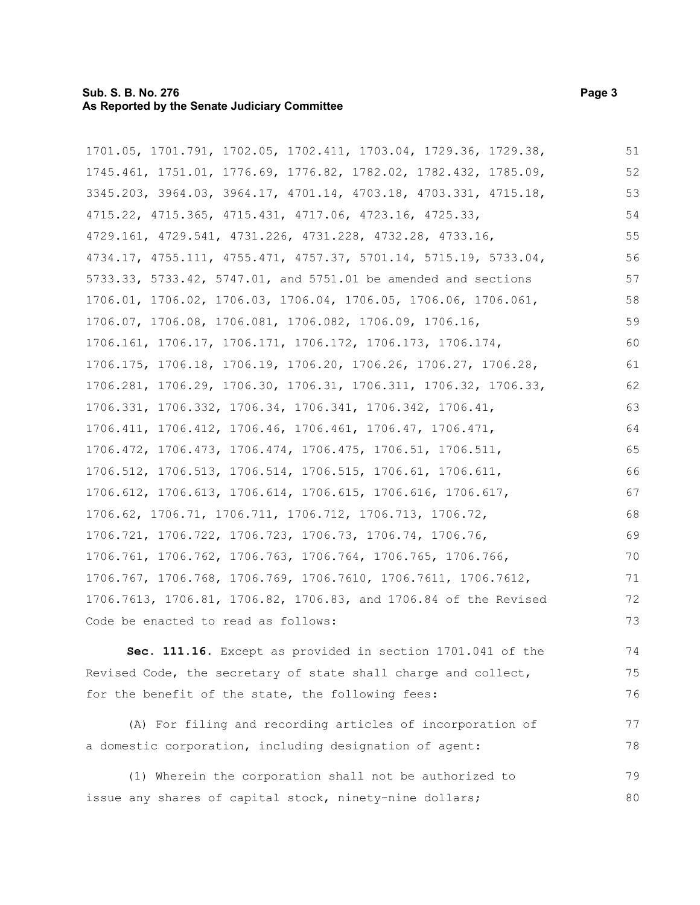#### **Sub. S. B. No. 276 Page 3 As Reported by the Senate Judiciary Committee**

1701.05, 1701.791, 1702.05, 1702.411, 1703.04, 1729.36, 1729.38, 1745.461, 1751.01, 1776.69, 1776.82, 1782.02, 1782.432, 1785.09, 3345.203, 3964.03, 3964.17, 4701.14, 4703.18, 4703.331, 4715.18, 4715.22, 4715.365, 4715.431, 4717.06, 4723.16, 4725.33, 4729.161, 4729.541, 4731.226, 4731.228, 4732.28, 4733.16, 4734.17, 4755.111, 4755.471, 4757.37, 5701.14, 5715.19, 5733.04, 5733.33, 5733.42, 5747.01, and 5751.01 be amended and sections 1706.01, 1706.02, 1706.03, 1706.04, 1706.05, 1706.06, 1706.061, 1706.07, 1706.08, 1706.081, 1706.082, 1706.09, 1706.16, 1706.161, 1706.17, 1706.171, 1706.172, 1706.173, 1706.174, 1706.175, 1706.18, 1706.19, 1706.20, 1706.26, 1706.27, 1706.28, 1706.281, 1706.29, 1706.30, 1706.31, 1706.311, 1706.32, 1706.33, 1706.331, 1706.332, 1706.34, 1706.341, 1706.342, 1706.41, 1706.411, 1706.412, 1706.46, 1706.461, 1706.47, 1706.471, 1706.472, 1706.473, 1706.474, 1706.475, 1706.51, 1706.511, 1706.512, 1706.513, 1706.514, 1706.515, 1706.61, 1706.611, 1706.612, 1706.613, 1706.614, 1706.615, 1706.616, 1706.617, 1706.62, 1706.71, 1706.711, 1706.712, 1706.713, 1706.72, 1706.721, 1706.722, 1706.723, 1706.73, 1706.74, 1706.76, 1706.761, 1706.762, 1706.763, 1706.764, 1706.765, 1706.766, 1706.767, 1706.768, 1706.769, 1706.7610, 1706.7611, 1706.7612, 1706.7613, 1706.81, 1706.82, 1706.83, and 1706.84 of the Revised Code be enacted to read as follows: 51 52 53 54 55 56 57 58 59 60 61 62 63 64 65 66 67 68 69 70 71 72 73

**Sec. 111.16.** Except as provided in section 1701.041 of the Revised Code, the secretary of state shall charge and collect, for the benefit of the state, the following fees: 74 75 76

(A) For filing and recording articles of incorporation of a domestic corporation, including designation of agent: 77 78

(1) Wherein the corporation shall not be authorized to issue any shares of capital stock, ninety-nine dollars; 79 80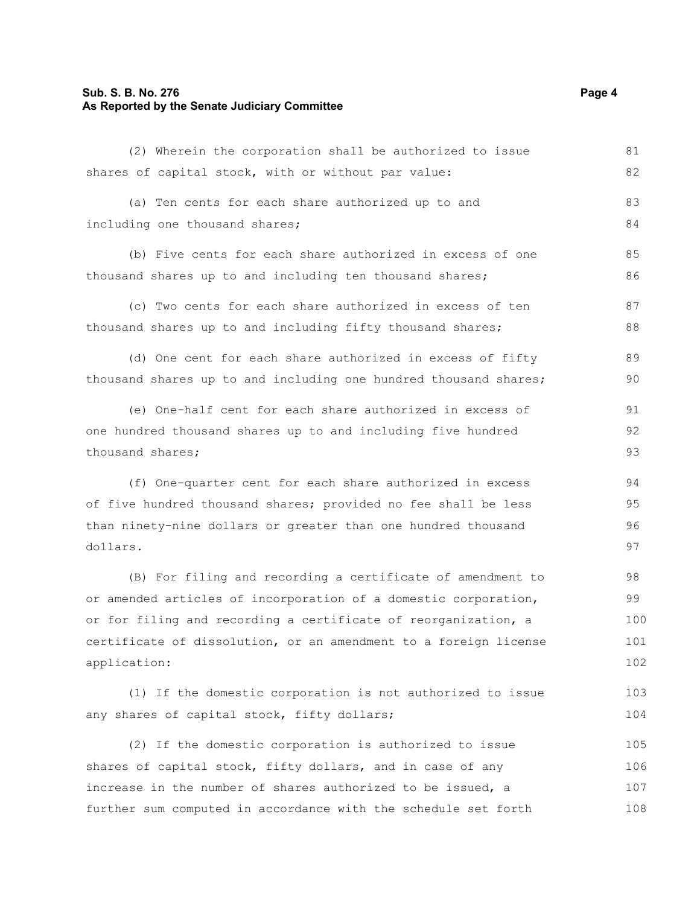## **Sub. S. B. No. 276 Page 4 As Reported by the Senate Judiciary Committee**

| shares of capital stock, with or without par value:              | 82  |
|------------------------------------------------------------------|-----|
| (a) Ten cents for each share authorized up to and                | 83  |
| including one thousand shares;                                   | 84  |
| (b) Five cents for each share authorized in excess of one        | 85  |
| thousand shares up to and including ten thousand shares;         | 86  |
| (c) Two cents for each share authorized in excess of ten         | 87  |
| thousand shares up to and including fifty thousand shares;       | 88  |
| (d) One cent for each share authorized in excess of fifty        | 89  |
| thousand shares up to and including one hundred thousand shares; | 90  |
| (e) One-half cent for each share authorized in excess of         | 91  |
| one hundred thousand shares up to and including five hundred     | 92  |
| thousand shares;                                                 | 93  |
| (f) One-quarter cent for each share authorized in excess         | 94  |
| of five hundred thousand shares; provided no fee shall be less   | 95  |
| than ninety-nine dollars or greater than one hundred thousand    | 96  |
| dollars.                                                         | 97  |
| (B) For filing and recording a certificate of amendment to       | 98  |
| or amended articles of incorporation of a domestic corporation,  | 99  |
| or for filing and recording a certificate of reorganization, a   | 100 |
| certificate of dissolution, or an amendment to a foreign license | 101 |
| application:                                                     | 102 |
| (1) If the domestic corporation is not authorized to issue       | 103 |
| any shares of capital stock, fifty dollars;                      | 104 |
| (2) If the domestic corporation is authorized to issue           | 105 |
| shares of capital stock, fifty dollars, and in case of any       | 106 |
| increase in the number of shares authorized to be issued, a      | 107 |
| further sum computed in accordance with the schedule set forth   | 108 |

(2) Wherein the corporation shall be authorized to issue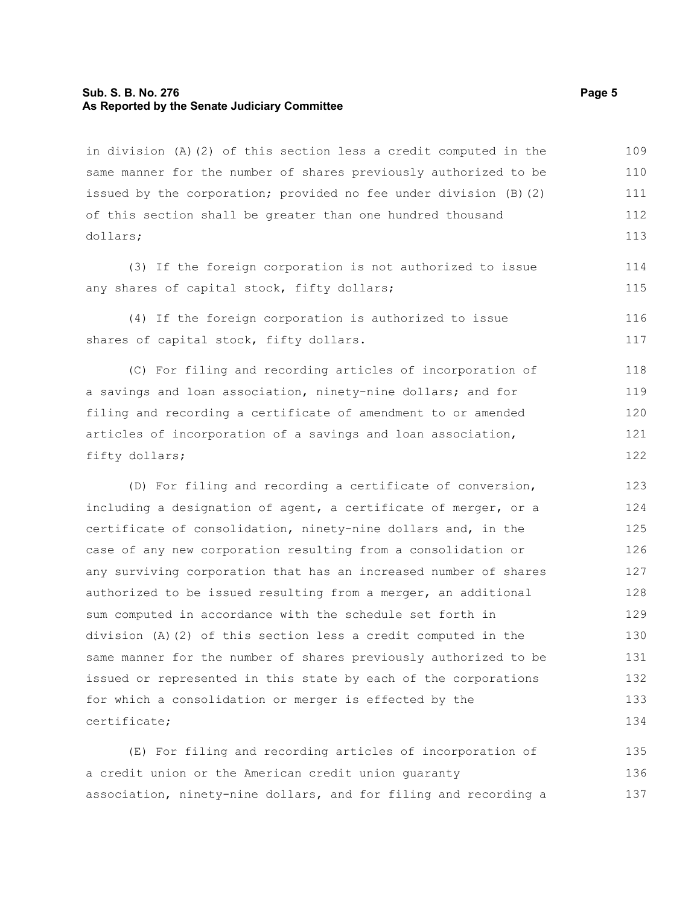#### **Sub. S. B. No. 276 Page 5 As Reported by the Senate Judiciary Committee**

in division (A)(2) of this section less a credit computed in the same manner for the number of shares previously authorized to be issued by the corporation; provided no fee under division (B)(2) of this section shall be greater than one hundred thousand dollars; 109 110 111 112 113

(3) If the foreign corporation is not authorized to issue any shares of capital stock, fifty dollars;

(4) If the foreign corporation is authorized to issue shares of capital stock, fifty dollars.

(C) For filing and recording articles of incorporation of a savings and loan association, ninety-nine dollars; and for filing and recording a certificate of amendment to or amended articles of incorporation of a savings and loan association, fifty dollars; 118 119 120 121 122

(D) For filing and recording a certificate of conversion, including a designation of agent, a certificate of merger, or a certificate of consolidation, ninety-nine dollars and, in the case of any new corporation resulting from a consolidation or any surviving corporation that has an increased number of shares authorized to be issued resulting from a merger, an additional sum computed in accordance with the schedule set forth in division (A)(2) of this section less a credit computed in the same manner for the number of shares previously authorized to be issued or represented in this state by each of the corporations for which a consolidation or merger is effected by the certificate; 123 124 125 126 127 128 129 130 131 132 133 134

(E) For filing and recording articles of incorporation of a credit union or the American credit union guaranty association, ninety-nine dollars, and for filing and recording a 135 136 137

114 115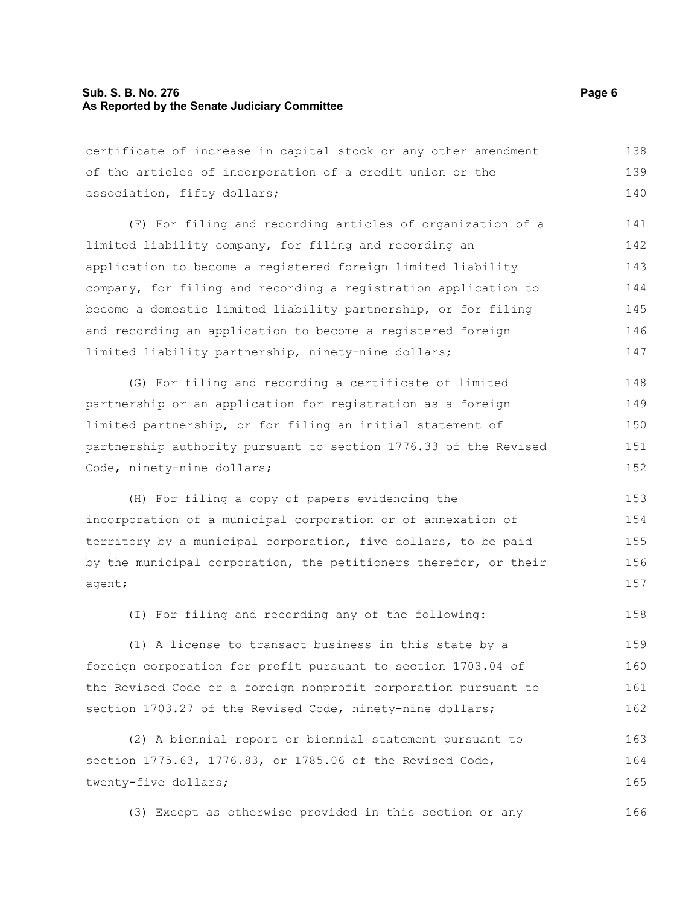#### **Sub. S. B. No. 276 Page 6 As Reported by the Senate Judiciary Committee**

certificate of increase in capital stock or any other amendment of the articles of incorporation of a credit union or the association, fifty dollars; 138 139 140

(F) For filing and recording articles of organization of a limited liability company, for filing and recording an application to become a registered foreign limited liability company, for filing and recording a registration application to become a domestic limited liability partnership, or for filing and recording an application to become a registered foreign limited liability partnership, ninety-nine dollars; 141 142 143 144 145 146 147

(G) For filing and recording a certificate of limited partnership or an application for registration as a foreign limited partnership, or for filing an initial statement of partnership authority pursuant to section 1776.33 of the Revised Code, ninety-nine dollars; 148 149 150 151 152

(H) For filing a copy of papers evidencing the incorporation of a municipal corporation or of annexation of territory by a municipal corporation, five dollars, to be paid by the municipal corporation, the petitioners therefor, or their agent; 153 154 155 156 157

(I) For filing and recording any of the following:

(1) A license to transact business in this state by a foreign corporation for profit pursuant to section 1703.04 of the Revised Code or a foreign nonprofit corporation pursuant to section 1703.27 of the Revised Code, ninety-nine dollars; 159 160 161 162

(2) A biennial report or biennial statement pursuant to section 1775.63, 1776.83, or 1785.06 of the Revised Code, twenty-five dollars; 163 164 165

(3) Except as otherwise provided in this section or any 166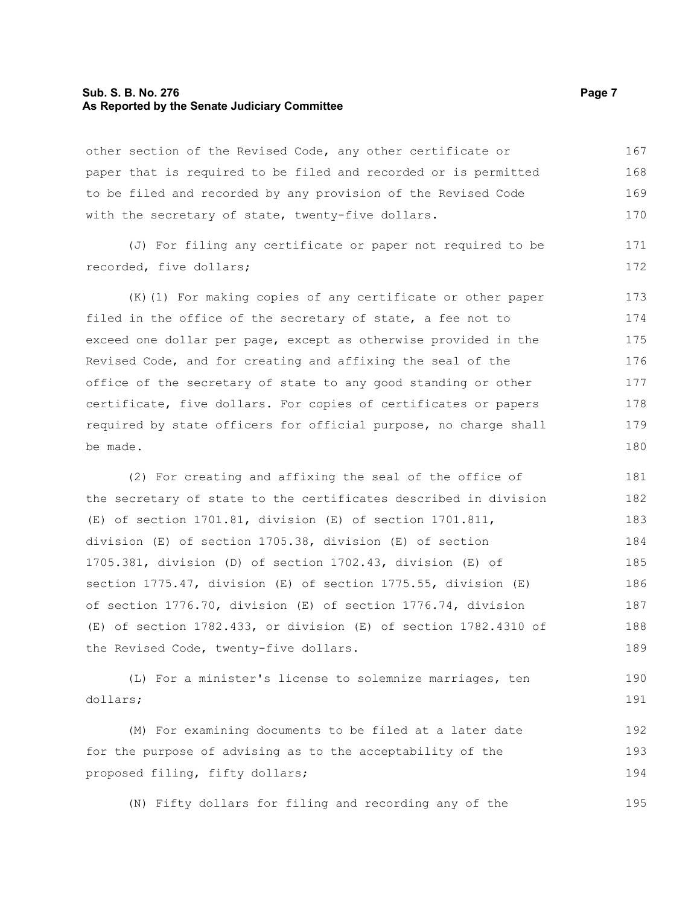#### **Sub. S. B. No. 276 Page 7 As Reported by the Senate Judiciary Committee**

other section of the Revised Code, any other certificate or paper that is required to be filed and recorded or is permitted to be filed and recorded by any provision of the Revised Code with the secretary of state, twenty-five dollars. 167 168 169 170

(J) For filing any certificate or paper not required to be recorded, five dollars; 171 172

(K)(1) For making copies of any certificate or other paper filed in the office of the secretary of state, a fee not to exceed one dollar per page, except as otherwise provided in the Revised Code, and for creating and affixing the seal of the office of the secretary of state to any good standing or other certificate, five dollars. For copies of certificates or papers required by state officers for official purpose, no charge shall be made. 173 174 175 176 177 178 179 180

(2) For creating and affixing the seal of the office of the secretary of state to the certificates described in division (E) of section 1701.81, division (E) of section 1701.811, division (E) of section 1705.38, division (E) of section 1705.381, division (D) of section 1702.43, division (E) of section 1775.47, division (E) of section 1775.55, division (E) of section 1776.70, division (E) of section 1776.74, division (E) of section 1782.433, or division (E) of section 1782.4310 of the Revised Code, twenty-five dollars. 181 182 183 184 185 186 187 188 189

(L) For a minister's license to solemnize marriages, ten dollars; 190 191

(M) For examining documents to be filed at a later date for the purpose of advising as to the acceptability of the proposed filing, fifty dollars; 192 193 194

(N) Fifty dollars for filing and recording any of the 195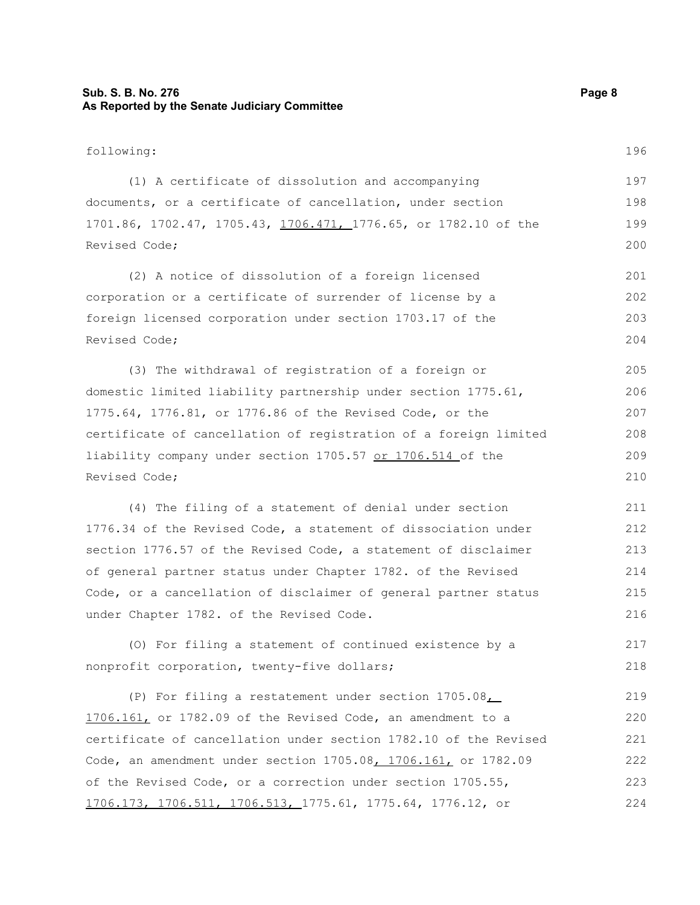## **Sub. S. B. No. 276 Page 8 As Reported by the Senate Judiciary Committee**

| following:                                                              | 196 |
|-------------------------------------------------------------------------|-----|
| (1) A certificate of dissolution and accompanying                       | 197 |
| documents, or a certificate of cancellation, under section              | 198 |
| 1701.86, 1702.47, 1705.43, <u>1706.471, 1</u> 776.65, or 1782.10 of the | 199 |
| Revised Code;                                                           | 200 |
| (2) A notice of dissolution of a foreign licensed                       | 201 |
| corporation or a certificate of surrender of license by a               | 202 |
| foreign licensed corporation under section 1703.17 of the               | 203 |
| Revised Code;                                                           | 204 |
| (3) The withdrawal of registration of a foreign or                      | 205 |
| domestic limited liability partnership under section 1775.61,           | 206 |
| 1775.64, 1776.81, or 1776.86 of the Revised Code, or the                | 207 |
| certificate of cancellation of registration of a foreign limited        | 208 |
| liability company under section 1705.57 or 1706.514 of the              | 209 |
| Revised Code;                                                           | 210 |
| (4) The filing of a statement of denial under section                   | 211 |
| 1776.34 of the Revised Code, a statement of dissociation under          | 212 |
| section 1776.57 of the Revised Code, a statement of disclaimer          | 213 |
| of general partner status under Chapter 1782. of the Revised            | 214 |
| Code, or a cancellation of disclaimer of general partner status         | 215 |
| under Chapter 1782. of the Revised Code.                                | 216 |
| (0) For filing a statement of continued existence by a                  | 217 |
| nonprofit corporation, twenty-five dollars;                             | 218 |
| (P) For filing a restatement under section 1705.08                      | 219 |
| 1706.161, or 1782.09 of the Revised Code, an amendment to a             | 220 |
| certificate of cancellation under section 1782.10 of the Revised        | 221 |
| Code, an amendment under section 1705.08, 1706.161, or 1782.09          | 222 |
| of the Revised Code, or a correction under section 1705.55,             | 223 |
| <u>1706.173, 1706.511, 1706.513, 1775.61, 1775.64, 1776.12, or</u>      | 224 |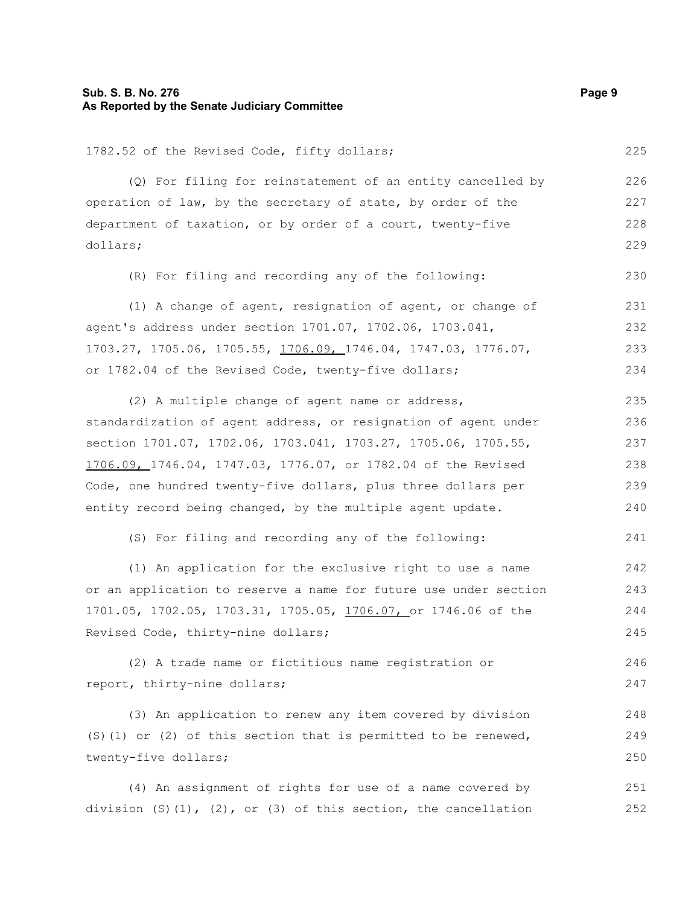## **Sub. S. B. No. 276 Page 9 As Reported by the Senate Judiciary Committee**

| 1782.52 of the Revised Code, fifty dollars;                       | 225 |
|-------------------------------------------------------------------|-----|
| (Q) For filing for reinstatement of an entity cancelled by        | 226 |
| operation of law, by the secretary of state, by order of the      | 227 |
| department of taxation, or by order of a court, twenty-five       | 228 |
| dollars;                                                          | 229 |
| (R) For filing and recording any of the following:                | 230 |
| (1) A change of agent, resignation of agent, or change of         | 231 |
| agent's address under section 1701.07, 1702.06, 1703.041,         | 232 |
| 1703.27, 1705.06, 1705.55, 1706.09, 1746.04, 1747.03, 1776.07,    | 233 |
| or 1782.04 of the Revised Code, twenty-five dollars;              | 234 |
| (2) A multiple change of agent name or address,                   | 235 |
| standardization of agent address, or resignation of agent under   | 236 |
| section 1701.07, 1702.06, 1703.041, 1703.27, 1705.06, 1705.55,    | 237 |
| 1706.09, 1746.04, 1747.03, 1776.07, or 1782.04 of the Revised     | 238 |
| Code, one hundred twenty-five dollars, plus three dollars per     | 239 |
| entity record being changed, by the multiple agent update.        | 240 |
| (S) For filing and recording any of the following:                | 241 |
| (1) An application for the exclusive right to use a name          | 242 |
| or an application to reserve a name for future use under section  | 243 |
| 1701.05, 1702.05, 1703.31, 1705.05, 1706.07, or 1746.06 of the    | 244 |
| Revised Code, thirty-nine dollars;                                | 245 |
| (2) A trade name or fictitious name registration or               | 246 |
| report, thirty-nine dollars;                                      | 247 |
| (3) An application to renew any item covered by division          | 248 |
| (S) (1) or (2) of this section that is permitted to be renewed,   | 249 |
| twenty-five dollars;                                              | 250 |
| (4) An assignment of rights for use of a name covered by          | 251 |
| division $(S)$ (1), (2), or (3) of this section, the cancellation | 252 |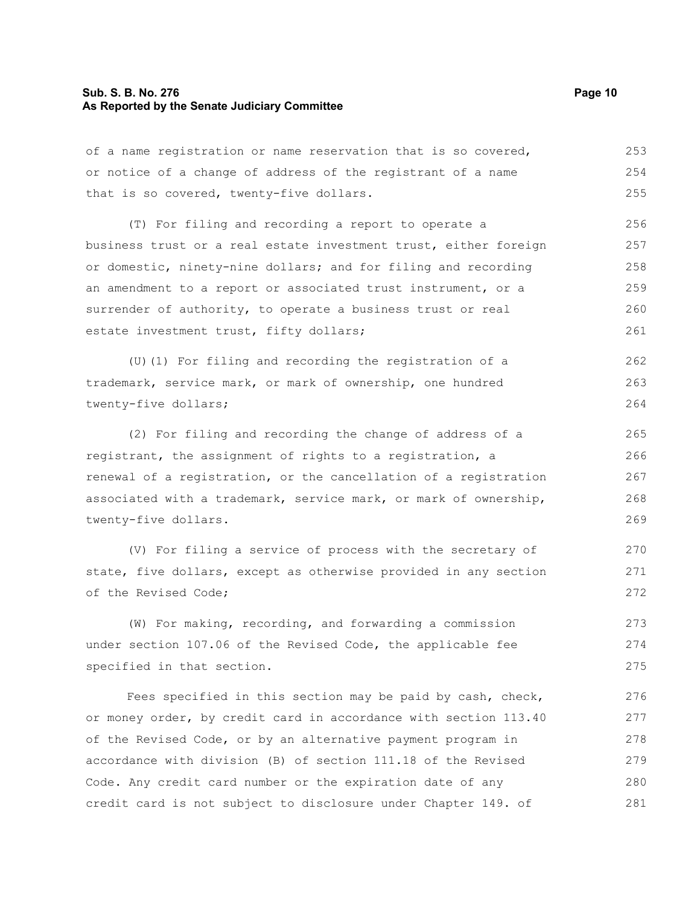#### **Sub. S. B. No. 276 Page 10 As Reported by the Senate Judiciary Committee**

of a name registration or name reservation that is so covered, or notice of a change of address of the registrant of a name that is so covered, twenty-five dollars. 253 254 255

(T) For filing and recording a report to operate a business trust or a real estate investment trust, either foreign or domestic, ninety-nine dollars; and for filing and recording an amendment to a report or associated trust instrument, or a surrender of authority, to operate a business trust or real estate investment trust, fifty dollars; 256 257 258 259 260 261

(U)(1) For filing and recording the registration of a trademark, service mark, or mark of ownership, one hundred twenty-five dollars; 262 263 264

(2) For filing and recording the change of address of a registrant, the assignment of rights to a registration, a renewal of a registration, or the cancellation of a registration associated with a trademark, service mark, or mark of ownership, twenty-five dollars.

(V) For filing a service of process with the secretary of state, five dollars, except as otherwise provided in any section of the Revised Code;

(W) For making, recording, and forwarding a commission under section 107.06 of the Revised Code, the applicable fee specified in that section. 273 274 275

Fees specified in this section may be paid by cash, check, or money order, by credit card in accordance with section 113.40 of the Revised Code, or by an alternative payment program in accordance with division (B) of section 111.18 of the Revised Code. Any credit card number or the expiration date of any credit card is not subject to disclosure under Chapter 149. of 276 277 278 279 280 281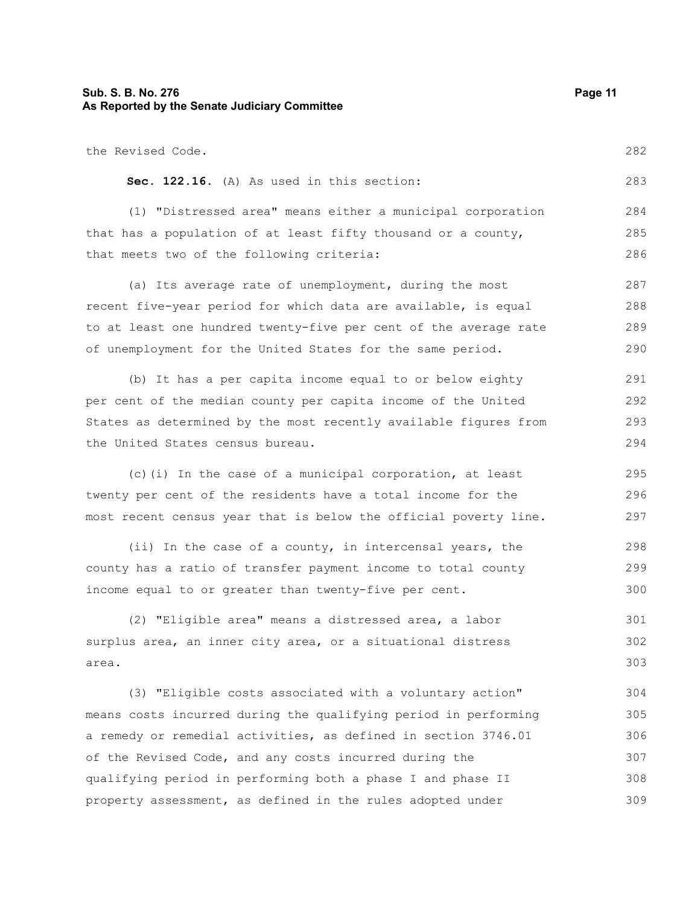## **Sub. S. B. No. 276 Page 11 As Reported by the Senate Judiciary Committee**

| the Revised Code.                                                | 282 |
|------------------------------------------------------------------|-----|
| Sec. 122.16. (A) As used in this section:                        | 283 |
| (1) "Distressed area" means either a municipal corporation       | 284 |
| that has a population of at least fifty thousand or a county,    | 285 |
| that meets two of the following criteria:                        | 286 |
| (a) Its average rate of unemployment, during the most            | 287 |
| recent five-year period for which data are available, is equal   | 288 |
| to at least one hundred twenty-five per cent of the average rate | 289 |
| of unemployment for the United States for the same period.       | 290 |
| (b) It has a per capita income equal to or below eighty          | 291 |
| per cent of the median county per capita income of the United    | 292 |
| States as determined by the most recently available figures from | 293 |
| the United States census bureau.                                 | 294 |
| (c) (i) In the case of a municipal corporation, at least         | 295 |
| twenty per cent of the residents have a total income for the     | 296 |
| most recent census year that is below the official poverty line. | 297 |
| (ii) In the case of a county, in intercensal years, the          | 298 |
| county has a ratio of transfer payment income to total county    | 299 |
| income equal to or greater than twenty-five per cent.            | 300 |
| (2) "Eligible area" means a distressed area, a labor             | 301 |
| surplus area, an inner city area, or a situational distress      | 302 |
| area.                                                            | 303 |
| (3) "Eligible costs associated with a voluntary action"          | 304 |
| means costs incurred during the qualifying period in performing  | 305 |
| a remedy or remedial activities, as defined in section 3746.01   | 306 |
| of the Revised Code, and any costs incurred during the           | 307 |
| qualifying period in performing both a phase I and phase II      | 308 |
| property assessment, as defined in the rules adopted under       | 309 |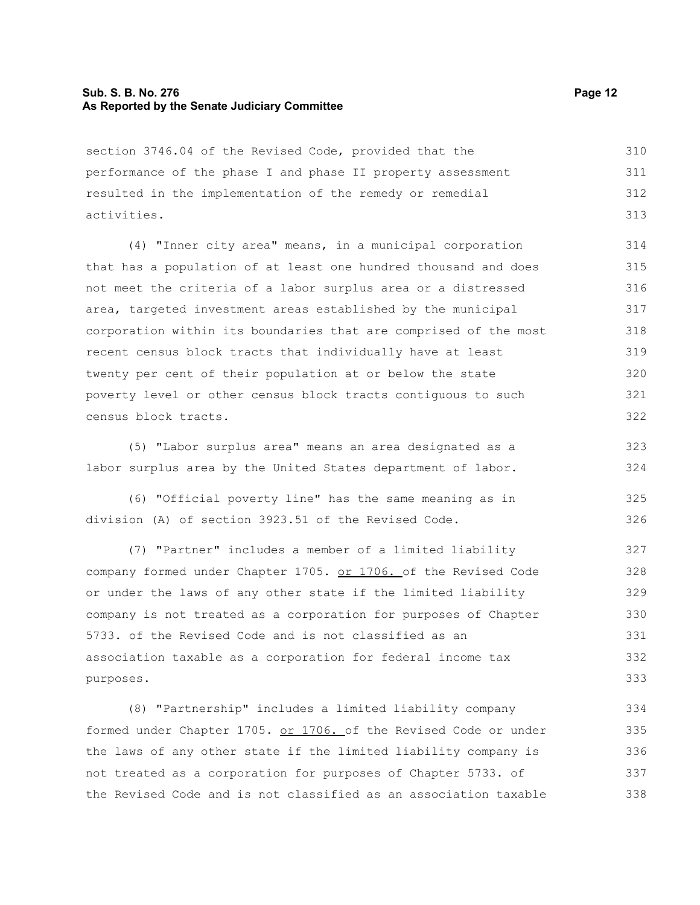#### **Sub. S. B. No. 276 Page 12 As Reported by the Senate Judiciary Committee**

section 3746.04 of the Revised Code, provided that the performance of the phase I and phase II property assessment resulted in the implementation of the remedy or remedial activities. 310 311 312 313

(4) "Inner city area" means, in a municipal corporation that has a population of at least one hundred thousand and does not meet the criteria of a labor surplus area or a distressed area, targeted investment areas established by the municipal corporation within its boundaries that are comprised of the most recent census block tracts that individually have at least twenty per cent of their population at or below the state poverty level or other census block tracts contiguous to such census block tracts.

(5) "Labor surplus area" means an area designated as a labor surplus area by the United States department of labor. 323 324

(6) "Official poverty line" has the same meaning as in division (A) of section 3923.51 of the Revised Code. 325 326

(7) "Partner" includes a member of a limited liability company formed under Chapter 1705. or 1706. of the Revised Code or under the laws of any other state if the limited liability company is not treated as a corporation for purposes of Chapter 5733. of the Revised Code and is not classified as an association taxable as a corporation for federal income tax purposes. 327 328 329 330 331 332 333

(8) "Partnership" includes a limited liability company formed under Chapter 1705. or 1706. of the Revised Code or under the laws of any other state if the limited liability company is not treated as a corporation for purposes of Chapter 5733. of the Revised Code and is not classified as an association taxable 334 335 336 337 338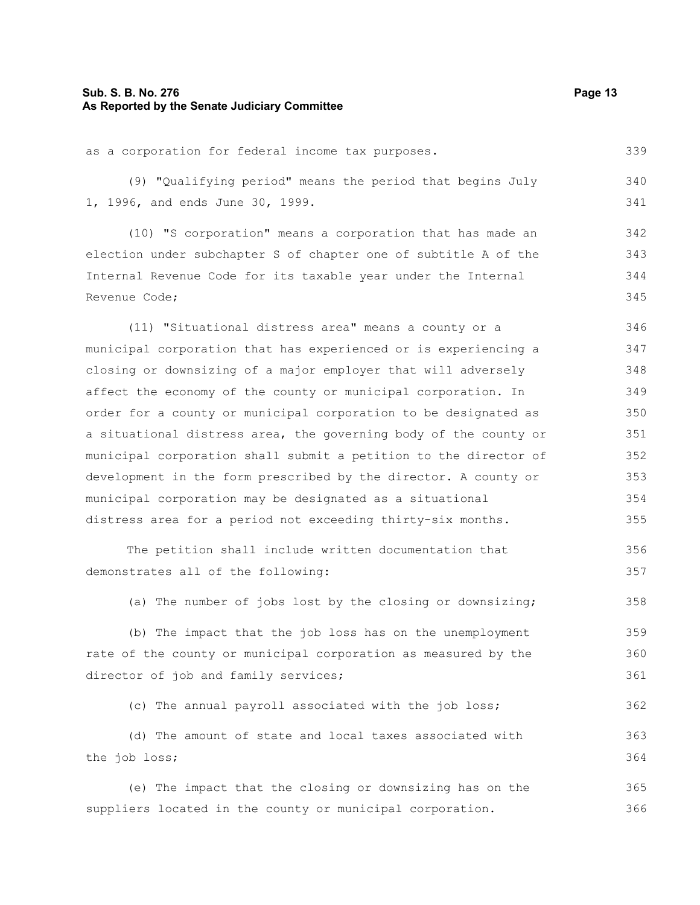## **Sub. S. B. No. 276 Page 13 As Reported by the Senate Judiciary Committee**

| as a corporation for federal income tax purposes.                | 339 |
|------------------------------------------------------------------|-----|
| (9) "Qualifying period" means the period that begins July        | 340 |
| 1, 1996, and ends June 30, 1999.                                 | 341 |
| (10) "S corporation" means a corporation that has made an        | 342 |
| election under subchapter S of chapter one of subtitle A of the  | 343 |
| Internal Revenue Code for its taxable year under the Internal    | 344 |
| Revenue Code;                                                    | 345 |
| (11) "Situational distress area" means a county or a             | 346 |
| municipal corporation that has experienced or is experiencing a  | 347 |
| closing or downsizing of a major employer that will adversely    | 348 |
| affect the economy of the county or municipal corporation. In    | 349 |
| order for a county or municipal corporation to be designated as  | 350 |
| a situational distress area, the governing body of the county or | 351 |
| municipal corporation shall submit a petition to the director of | 352 |
| development in the form prescribed by the director. A county or  | 353 |
| municipal corporation may be designated as a situational         | 354 |
| distress area for a period not exceeding thirty-six months.      | 355 |
| The petition shall include written documentation that            | 356 |
| demonstrates all of the following:                               | 357 |
| (a) The number of jobs lost by the closing or downsizing;        | 358 |
| (b) The impact that the job loss has on the unemployment         | 359 |
| rate of the county or municipal corporation as measured by the   | 360 |
| director of job and family services;                             | 361 |
| (c) The annual payroll associated with the job loss;             | 362 |
| (d) The amount of state and local taxes associated with          | 363 |
| the job loss;                                                    | 364 |
| (e) The impact that the closing or downsizing has on the         | 365 |
| suppliers located in the county or municipal corporation.        | 366 |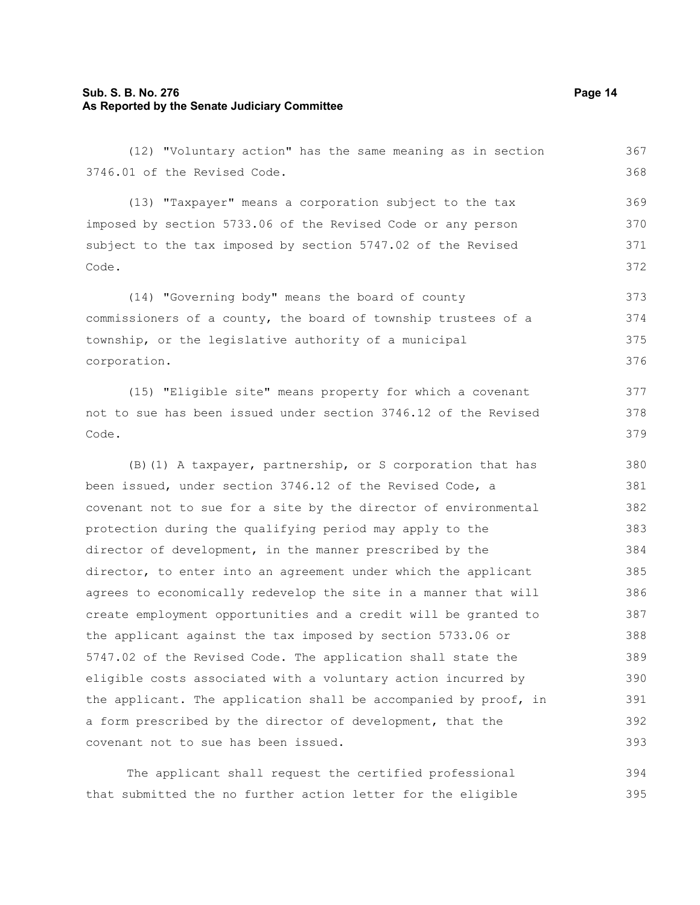#### **Sub. S. B. No. 276 Page 14 As Reported by the Senate Judiciary Committee**

(12) "Voluntary action" has the same meaning as in section 3746.01 of the Revised Code. (13) "Taxpayer" means a corporation subject to the tax imposed by section 5733.06 of the Revised Code or any person subject to the tax imposed by section 5747.02 of the Revised Code. (14) "Governing body" means the board of county commissioners of a county, the board of township trustees of a township, or the legislative authority of a municipal corporation. (15) "Eligible site" means property for which a covenant not to sue has been issued under section 3746.12 of the Revised Code. (B)(1) A taxpayer, partnership, or S corporation that has been issued, under section 3746.12 of the Revised Code, a covenant not to sue for a site by the director of environmental protection during the qualifying period may apply to the director of development, in the manner prescribed by the director, to enter into an agreement under which the applicant agrees to economically redevelop the site in a manner that will create employment opportunities and a credit will be granted to the applicant against the tax imposed by section 5733.06 or 5747.02 of the Revised Code. The application shall state the eligible costs associated with a voluntary action incurred by the applicant. The application shall be accompanied by proof, in a form prescribed by the director of development, that the covenant not to sue has been issued. 367 368 369 370 371 372 373 374 375 376 377 378 379 380 381 382 383 384 385 386 387 388 389 390 391 392 393

The applicant shall request the certified professional that submitted the no further action letter for the eligible 394 395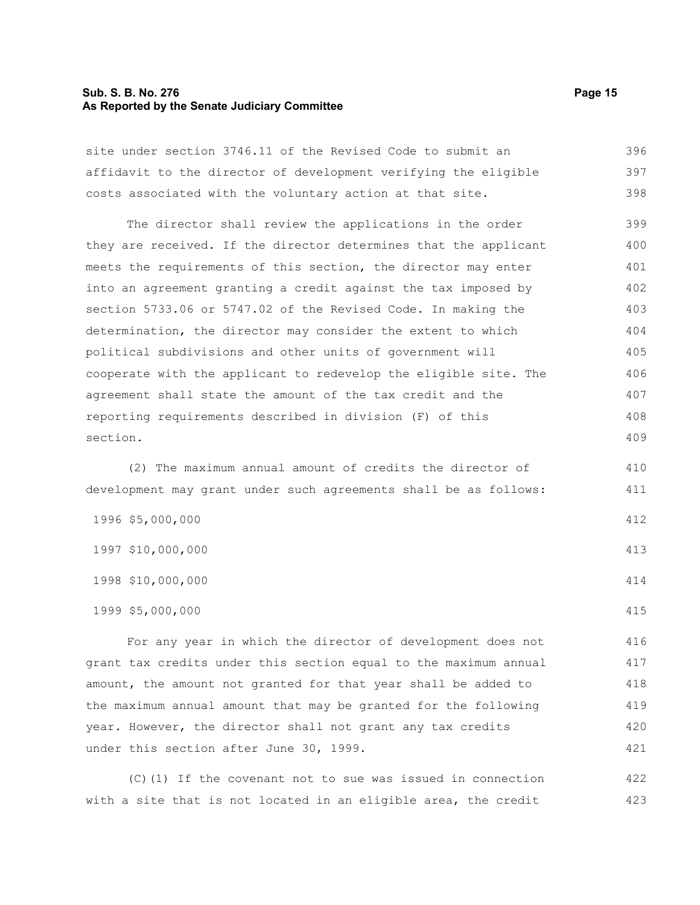#### **Sub. S. B. No. 276 Page 15 As Reported by the Senate Judiciary Committee**

site under section 3746.11 of the Revised Code to submit an affidavit to the director of development verifying the eligible costs associated with the voluntary action at that site. 396 397 398

The director shall review the applications in the order they are received. If the director determines that the applicant meets the requirements of this section, the director may enter into an agreement granting a credit against the tax imposed by section 5733.06 or 5747.02 of the Revised Code. In making the determination, the director may consider the extent to which political subdivisions and other units of government will cooperate with the applicant to redevelop the eligible site. The agreement shall state the amount of the tax credit and the reporting requirements described in division (F) of this section. 399 400 401 402 403 404 405 406 407 408 409

(2) The maximum annual amount of credits the director of development may grant under such agreements shall be as follows: 410

| 1996 \$5,000,000  | 412 |
|-------------------|-----|
| 1997 \$10,000,000 | 413 |
| 1998 \$10,000,000 | 414 |
| 1999 \$5,000,000  | 415 |

For any year in which the director of development does not grant tax credits under this section equal to the maximum annual amount, the amount not granted for that year shall be added to the maximum annual amount that may be granted for the following year. However, the director shall not grant any tax credits under this section after June 30, 1999. 416 417 418 419 420 421

(C)(1) If the covenant not to sue was issued in connection with a site that is not located in an eligible area, the credit 422 423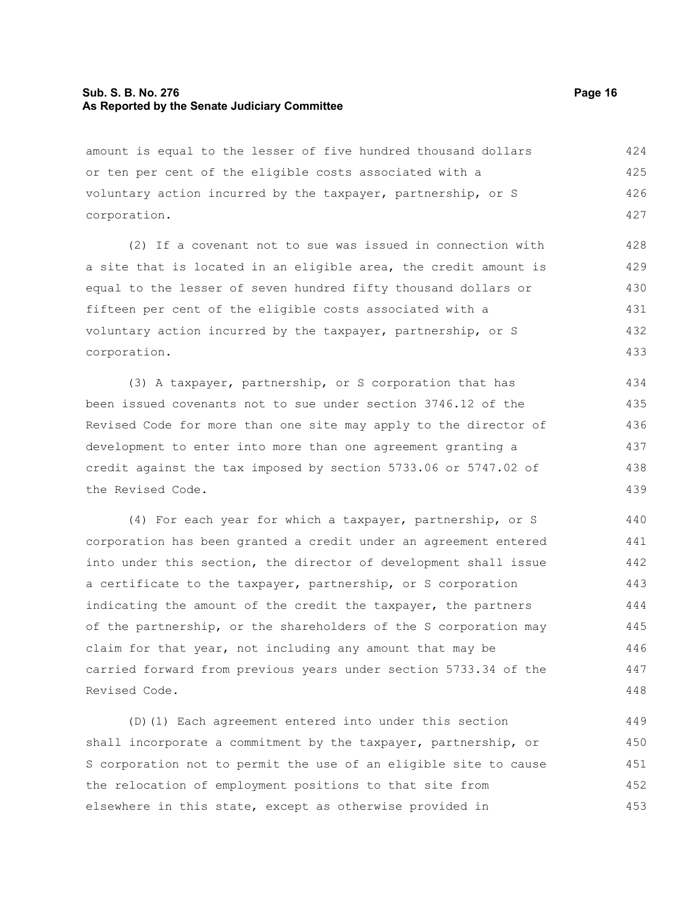#### **Sub. S. B. No. 276 Page 16 As Reported by the Senate Judiciary Committee**

amount is equal to the lesser of five hundred thousand dollars or ten per cent of the eligible costs associated with a voluntary action incurred by the taxpayer, partnership, or S corporation. 424 425 426 427

(2) If a covenant not to sue was issued in connection with a site that is located in an eligible area, the credit amount is equal to the lesser of seven hundred fifty thousand dollars or fifteen per cent of the eligible costs associated with a voluntary action incurred by the taxpayer, partnership, or S corporation. 428 429 430 431 432 433

(3) A taxpayer, partnership, or S corporation that has been issued covenants not to sue under section 3746.12 of the Revised Code for more than one site may apply to the director of development to enter into more than one agreement granting a credit against the tax imposed by section 5733.06 or 5747.02 of the Revised Code. 434 435 436 437 438 439

(4) For each year for which a taxpayer, partnership, or S corporation has been granted a credit under an agreement entered into under this section, the director of development shall issue a certificate to the taxpayer, partnership, or S corporation indicating the amount of the credit the taxpayer, the partners of the partnership, or the shareholders of the S corporation may claim for that year, not including any amount that may be carried forward from previous years under section 5733.34 of the Revised Code. 440 441 442 443 444 445 446 447 448

(D)(1) Each agreement entered into under this section shall incorporate a commitment by the taxpayer, partnership, or S corporation not to permit the use of an eligible site to cause the relocation of employment positions to that site from elsewhere in this state, except as otherwise provided in 449 450 451 452 453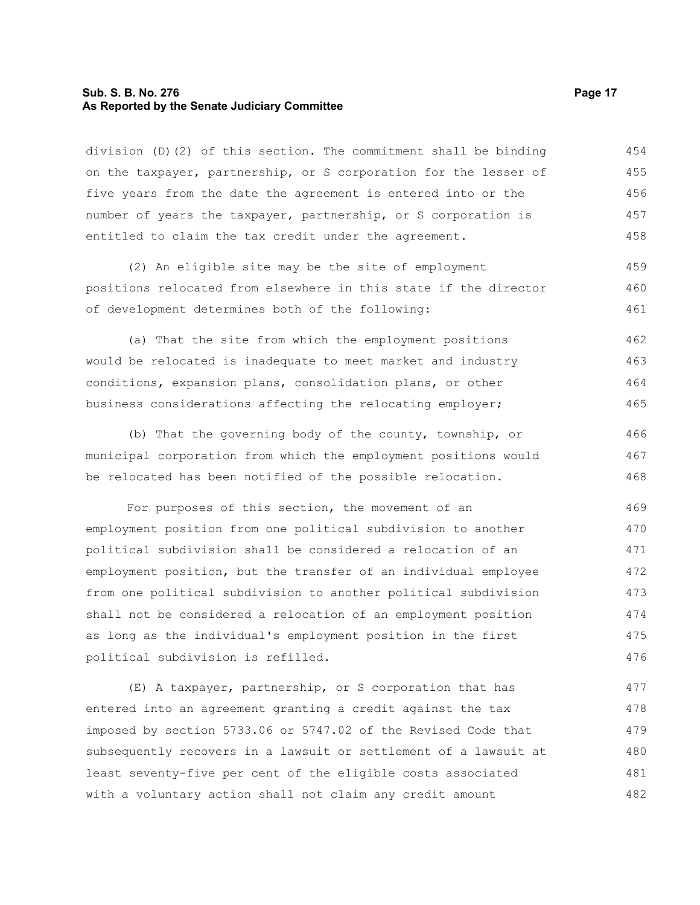#### **Sub. S. B. No. 276 Page 17 As Reported by the Senate Judiciary Committee**

division (D)(2) of this section. The commitment shall be binding on the taxpayer, partnership, or S corporation for the lesser of five years from the date the agreement is entered into or the number of years the taxpayer, partnership, or S corporation is entitled to claim the tax credit under the agreement. 454 455 456 457 458

(2) An eligible site may be the site of employment positions relocated from elsewhere in this state if the director of development determines both of the following: 459 460 461

(a) That the site from which the employment positions would be relocated is inadequate to meet market and industry conditions, expansion plans, consolidation plans, or other business considerations affecting the relocating employer; 462 463 464 465

(b) That the governing body of the county, township, or municipal corporation from which the employment positions would be relocated has been notified of the possible relocation. 466 467 468

For purposes of this section, the movement of an employment position from one political subdivision to another political subdivision shall be considered a relocation of an employment position, but the transfer of an individual employee from one political subdivision to another political subdivision shall not be considered a relocation of an employment position as long as the individual's employment position in the first political subdivision is refilled. 469 470 471 472 473 474 475 476

(E) A taxpayer, partnership, or S corporation that has entered into an agreement granting a credit against the tax imposed by section 5733.06 or 5747.02 of the Revised Code that subsequently recovers in a lawsuit or settlement of a lawsuit at least seventy-five per cent of the eligible costs associated with a voluntary action shall not claim any credit amount 477 478 479 480 481 482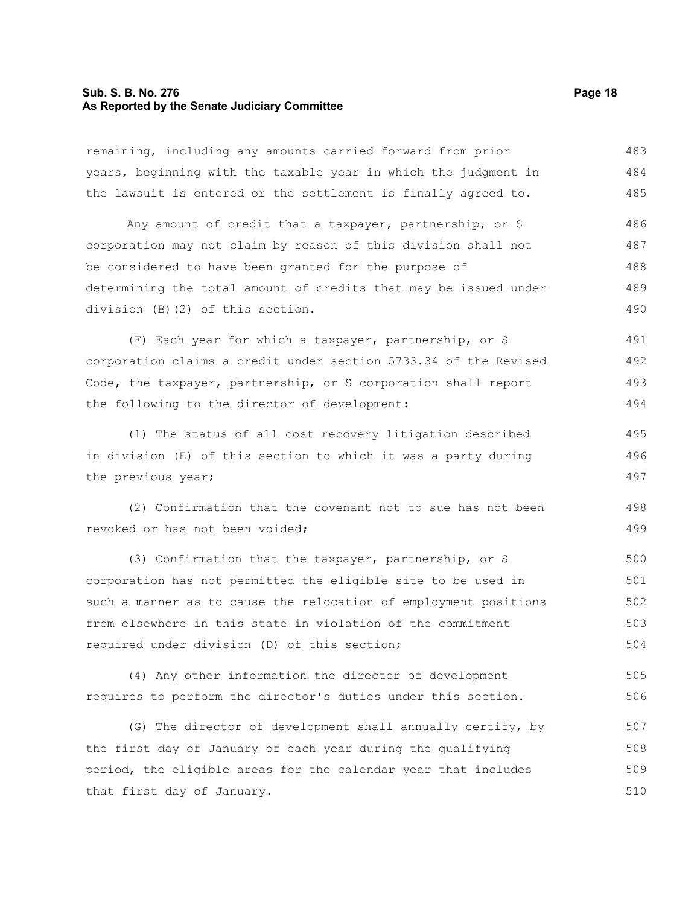#### **Sub. S. B. No. 276 Page 18 As Reported by the Senate Judiciary Committee**

| remaining, including any amounts carried forward from prior      | 483 |
|------------------------------------------------------------------|-----|
| years, beginning with the taxable year in which the judgment in  | 484 |
| the lawsuit is entered or the settlement is finally agreed to.   | 485 |
| Any amount of credit that a taxpayer, partnership, or S          | 486 |
| corporation may not claim by reason of this division shall not   | 487 |
| be considered to have been granted for the purpose of            | 488 |
| determining the total amount of credits that may be issued under | 489 |
| division (B) (2) of this section.                                | 490 |
| (F) Each year for which a taxpayer, partnership, or S            | 491 |
| corporation claims a credit under section 5733.34 of the Revised | 492 |
| Code, the taxpayer, partnership, or S corporation shall report   | 493 |
| the following to the director of development:                    | 494 |
| (1) The status of all cost recovery litigation described         | 495 |
| in division (E) of this section to which it was a party during   | 496 |
| the previous year;                                               | 497 |
| (2) Confirmation that the covenant not to sue has not been       | 498 |
| revoked or has not been voided;                                  | 499 |
| (3) Confirmation that the taxpayer, partnership, or S            | 500 |
| corporation has not permitted the eligible site to be used in    | 501 |
| such a manner as to cause the relocation of employment positions | 502 |
| from elsewhere in this state in violation of the commitment      | 503 |
| required under division (D) of this section;                     | 504 |
| (4) Any other information the director of development            | 505 |
| requires to perform the director's duties under this section.    | 506 |

(G) The director of development shall annually certify, by the first day of January of each year during the qualifying period, the eligible areas for the calendar year that includes that first day of January. 507 508 509 510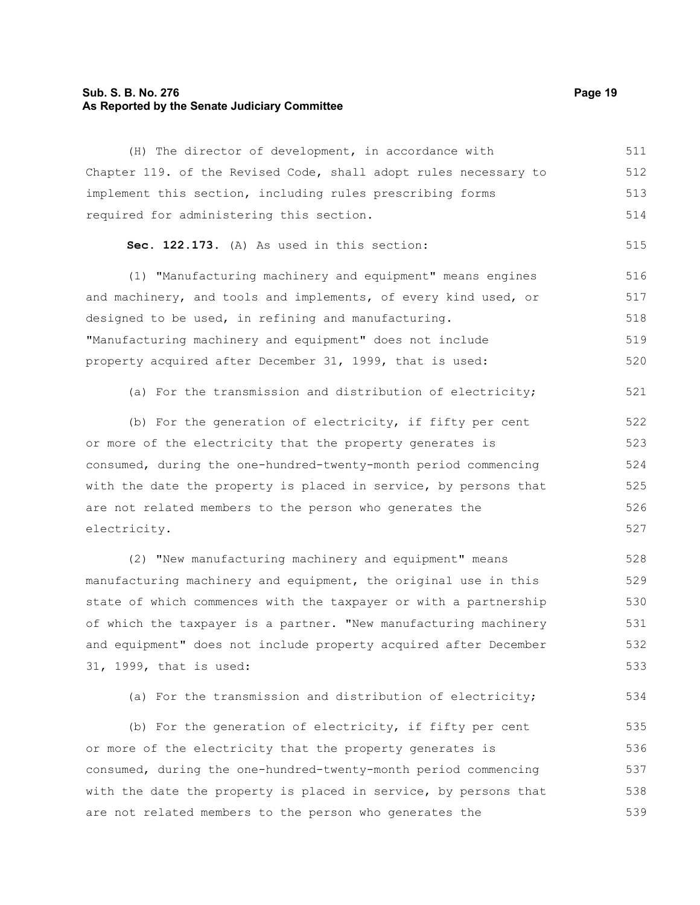#### **Sub. S. B. No. 276 Page 19 As Reported by the Senate Judiciary Committee**

(H) The director of development, in accordance with Chapter 119. of the Revised Code, shall adopt rules necessary to implement this section, including rules prescribing forms required for administering this section. **Sec. 122.173.** (A) As used in this section: (1) "Manufacturing machinery and equipment" means engines and machinery, and tools and implements, of every kind used, or designed to be used, in refining and manufacturing. "Manufacturing machinery and equipment" does not include property acquired after December 31, 1999, that is used: (a) For the transmission and distribution of electricity; (b) For the generation of electricity, if fifty per cent or more of the electricity that the property generates is consumed, during the one-hundred-twenty-month period commencing with the date the property is placed in service, by persons that are not related members to the person who generates the electricity. (2) "New manufacturing machinery and equipment" means 511 512 513 514 515 516 517 518 519 520 521 522 523 524 525 526 527 528

manufacturing machinery and equipment, the original use in this state of which commences with the taxpayer or with a partnership of which the taxpayer is a partner. "New manufacturing machinery and equipment" does not include property acquired after December 31, 1999, that is used: 529 530 531 532 533

(a) For the transmission and distribution of electricity; 534

(b) For the generation of electricity, if fifty per cent or more of the electricity that the property generates is consumed, during the one-hundred-twenty-month period commencing with the date the property is placed in service, by persons that are not related members to the person who generates the 535 536 537 538 539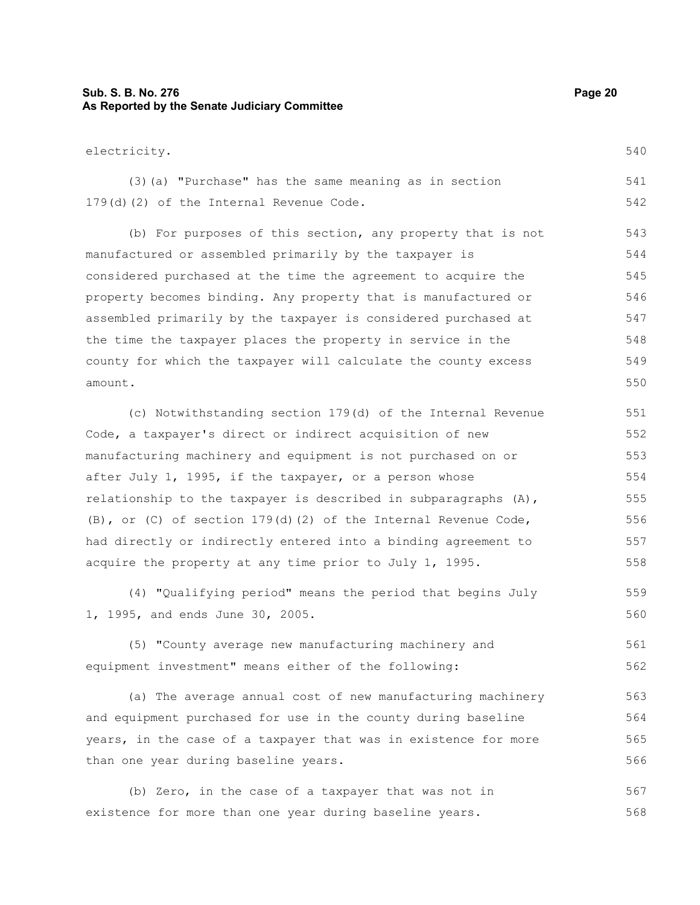#### **Sub. S. B. No. 276 Page 20 As Reported by the Senate Judiciary Committee**

(3)(a) "Purchase" has the same meaning as in section 179(d)(2) of the Internal Revenue Code. 541 542

(b) For purposes of this section, any property that is not manufactured or assembled primarily by the taxpayer is considered purchased at the time the agreement to acquire the property becomes binding. Any property that is manufactured or assembled primarily by the taxpayer is considered purchased at the time the taxpayer places the property in service in the county for which the taxpayer will calculate the county excess amount. 543 544 545 546 547 548 549 550

(c) Notwithstanding section 179(d) of the Internal Revenue Code, a taxpayer's direct or indirect acquisition of new manufacturing machinery and equipment is not purchased on or after July 1, 1995, if the taxpayer, or a person whose relationship to the taxpayer is described in subparagraphs  $(A)$ , (B), or (C) of section 179(d)(2) of the Internal Revenue Code, had directly or indirectly entered into a binding agreement to acquire the property at any time prior to July 1, 1995. 551 552 553 554 555 556 557 558

(4) "Qualifying period" means the period that begins July 1, 1995, and ends June 30, 2005. 559 560

(5) "County average new manufacturing machinery and equipment investment" means either of the following: 561 562

(a) The average annual cost of new manufacturing machinery and equipment purchased for use in the county during baseline years, in the case of a taxpayer that was in existence for more than one year during baseline years. 563 564 565 566

(b) Zero, in the case of a taxpayer that was not in existence for more than one year during baseline years. 567 568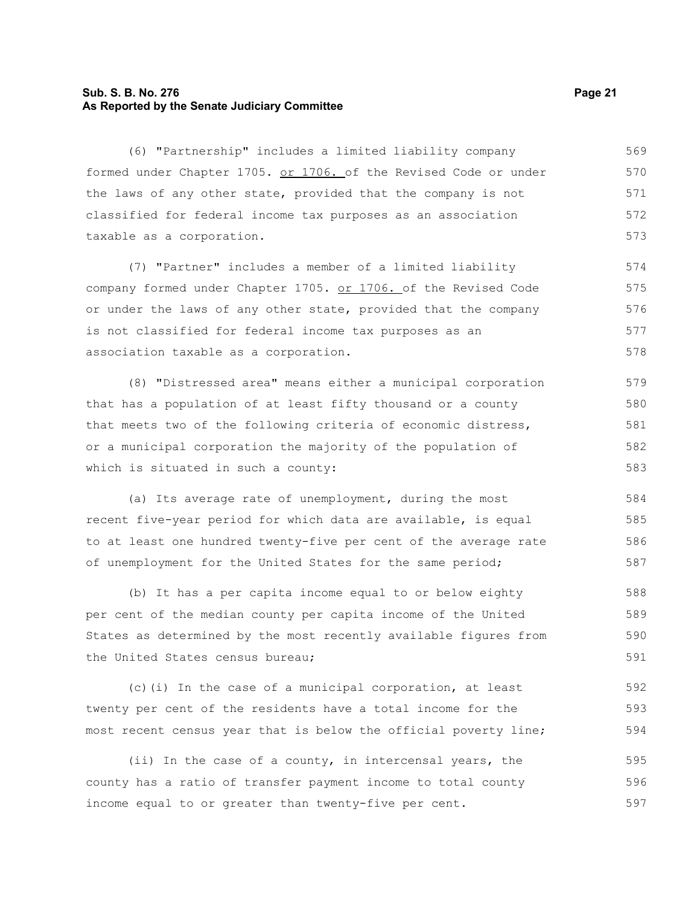#### **Sub. S. B. No. 276 Page 21 As Reported by the Senate Judiciary Committee**

(6) "Partnership" includes a limited liability company formed under Chapter 1705. or 1706. of the Revised Code or under the laws of any other state, provided that the company is not classified for federal income tax purposes as an association taxable as a corporation. 569 570 571 572 573

(7) "Partner" includes a member of a limited liability company formed under Chapter 1705. or 1706. of the Revised Code or under the laws of any other state, provided that the company is not classified for federal income tax purposes as an association taxable as a corporation. 574 575 576 577 578

(8) "Distressed area" means either a municipal corporation that has a population of at least fifty thousand or a county that meets two of the following criteria of economic distress, or a municipal corporation the majority of the population of which is situated in such a county: 579 580 581 582 583

(a) Its average rate of unemployment, during the most recent five-year period for which data are available, is equal to at least one hundred twenty-five per cent of the average rate of unemployment for the United States for the same period;

(b) It has a per capita income equal to or below eighty per cent of the median county per capita income of the United States as determined by the most recently available figures from the United States census bureau; 588 589 590 591

(c)(i) In the case of a municipal corporation, at least twenty per cent of the residents have a total income for the most recent census year that is below the official poverty line; 592 593 594

(ii) In the case of a county, in intercensal years, the county has a ratio of transfer payment income to total county income equal to or greater than twenty-five per cent. 595 596 597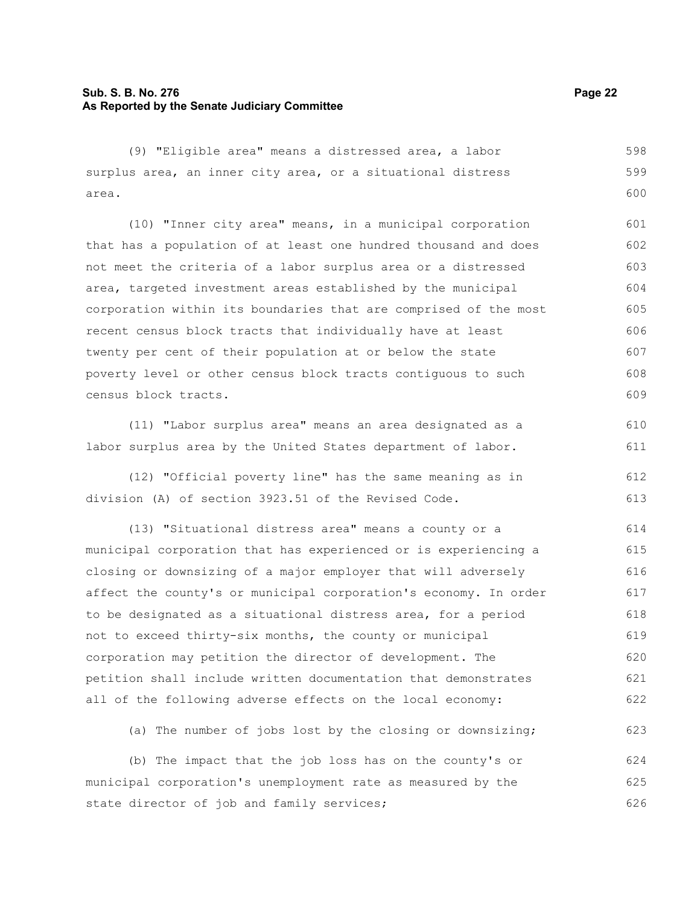#### **Sub. S. B. No. 276 Page 22 As Reported by the Senate Judiciary Committee**

(9) "Eligible area" means a distressed area, a labor surplus area, an inner city area, or a situational distress area. 598 599 600

(10) "Inner city area" means, in a municipal corporation that has a population of at least one hundred thousand and does not meet the criteria of a labor surplus area or a distressed area, targeted investment areas established by the municipal corporation within its boundaries that are comprised of the most recent census block tracts that individually have at least twenty per cent of their population at or below the state poverty level or other census block tracts contiguous to such census block tracts. 601 602 603 604 605 606 607 608 609

(11) "Labor surplus area" means an area designated as a labor surplus area by the United States department of labor.

(12) "Official poverty line" has the same meaning as in division (A) of section 3923.51 of the Revised Code. 612 613

(13) "Situational distress area" means a county or a municipal corporation that has experienced or is experiencing a closing or downsizing of a major employer that will adversely affect the county's or municipal corporation's economy. In order to be designated as a situational distress area, for a period not to exceed thirty-six months, the county or municipal corporation may petition the director of development. The petition shall include written documentation that demonstrates all of the following adverse effects on the local economy: 614 615 616 617 618 619 620 621 622

(a) The number of jobs lost by the closing or downsizing;

(b) The impact that the job loss has on the county's or municipal corporation's unemployment rate as measured by the state director of job and family services; 624 625 626

610 611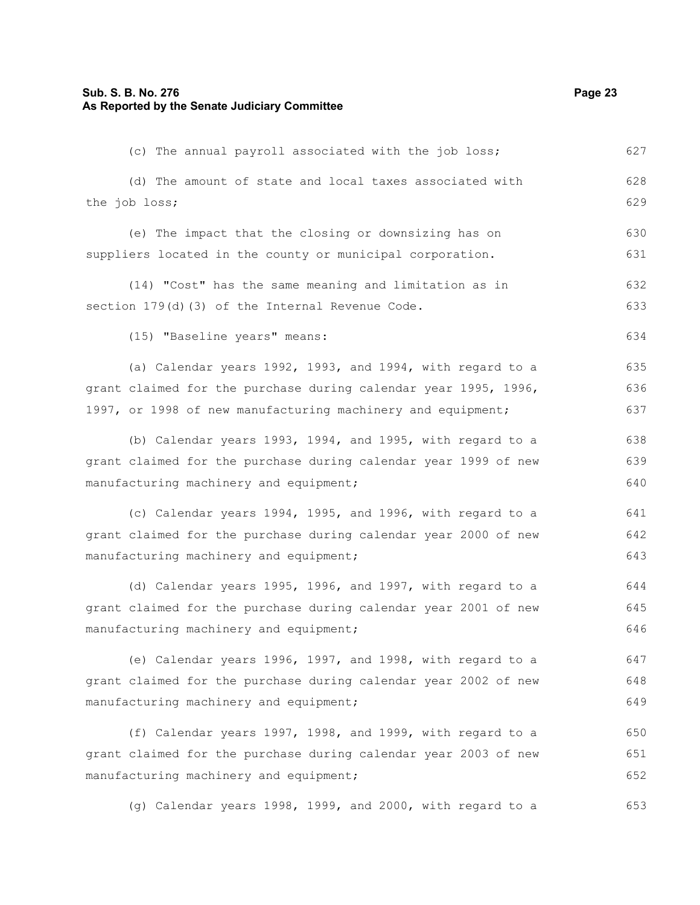#### **Sub. S. B. No. 276 Page 23 As Reported by the Senate Judiciary Committee**

(c) The annual payroll associated with the job loss; (d) The amount of state and local taxes associated with the job loss; (e) The impact that the closing or downsizing has on suppliers located in the county or municipal corporation. (14) "Cost" has the same meaning and limitation as in section 179(d)(3) of the Internal Revenue Code. (15) "Baseline years" means: (a) Calendar years 1992, 1993, and 1994, with regard to a grant claimed for the purchase during calendar year 1995, 1996, 1997, or 1998 of new manufacturing machinery and equipment; (b) Calendar years 1993, 1994, and 1995, with regard to a grant claimed for the purchase during calendar year 1999 of new manufacturing machinery and equipment; (c) Calendar years 1994, 1995, and 1996, with regard to a grant claimed for the purchase during calendar year 2000 of new manufacturing machinery and equipment; (d) Calendar years 1995, 1996, and 1997, with regard to a grant claimed for the purchase during calendar year 2001 of new manufacturing machinery and equipment; (e) Calendar years 1996, 1997, and 1998, with regard to a grant claimed for the purchase during calendar year 2002 of new manufacturing machinery and equipment; (f) Calendar years 1997, 1998, and 1999, with regard to a grant claimed for the purchase during calendar year 2003 of new manufacturing machinery and equipment; (g) Calendar years 1998, 1999, and 2000, with regard to a 627 628 629 630 631 632 633 634 635 636 637 638 639 640 641 642 643 644 645 646 647 648 649 650 651 652 653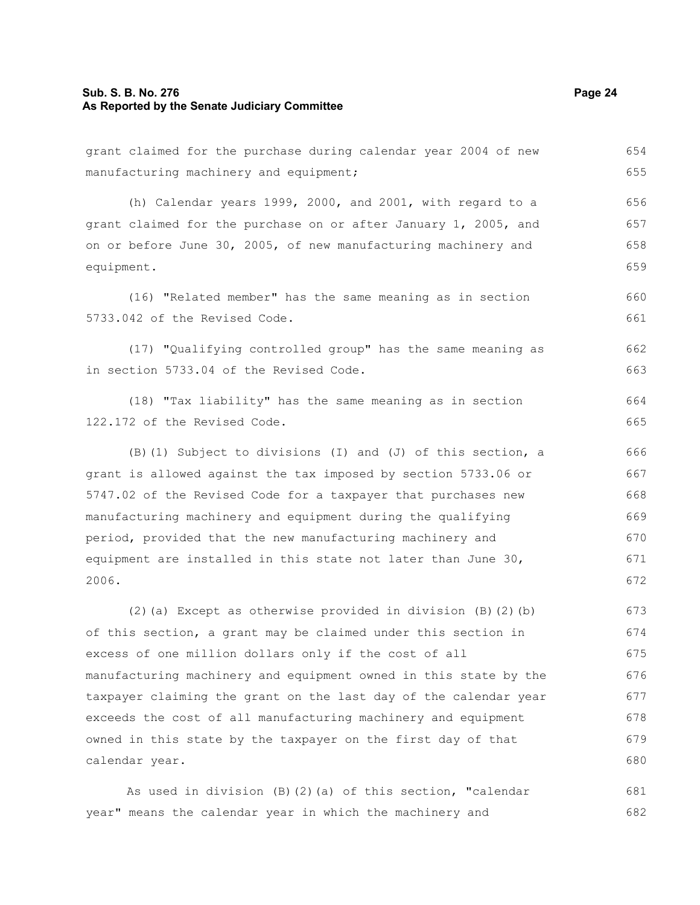#### **Sub. S. B. No. 276 Page 24 As Reported by the Senate Judiciary Committee**

grant claimed for the purchase during calendar year 2004 of new manufacturing machinery and equipment;

(h) Calendar years 1999, 2000, and 2001, with regard to a grant claimed for the purchase on or after January 1, 2005, and on or before June 30, 2005, of new manufacturing machinery and equipment. 656 657 658 659

(16) "Related member" has the same meaning as in section 5733.042 of the Revised Code. 660 661

(17) "Qualifying controlled group" has the same meaning as in section 5733.04 of the Revised Code.

(18) "Tax liability" has the same meaning as in section 122.172 of the Revised Code.

(B)(1) Subject to divisions (I) and (J) of this section, a grant is allowed against the tax imposed by section 5733.06 or 5747.02 of the Revised Code for a taxpayer that purchases new manufacturing machinery and equipment during the qualifying period, provided that the new manufacturing machinery and equipment are installed in this state not later than June 30, 2006. 666 667 668 669 670 671 672

(2)(a) Except as otherwise provided in division  $(B)(2)(b)$ of this section, a grant may be claimed under this section in excess of one million dollars only if the cost of all manufacturing machinery and equipment owned in this state by the taxpayer claiming the grant on the last day of the calendar year exceeds the cost of all manufacturing machinery and equipment owned in this state by the taxpayer on the first day of that calendar year. 673 674 675 676 677 678 679 680

As used in division (B)(2)(a) of this section, "calendar year" means the calendar year in which the machinery and 681 682

654 655

662 663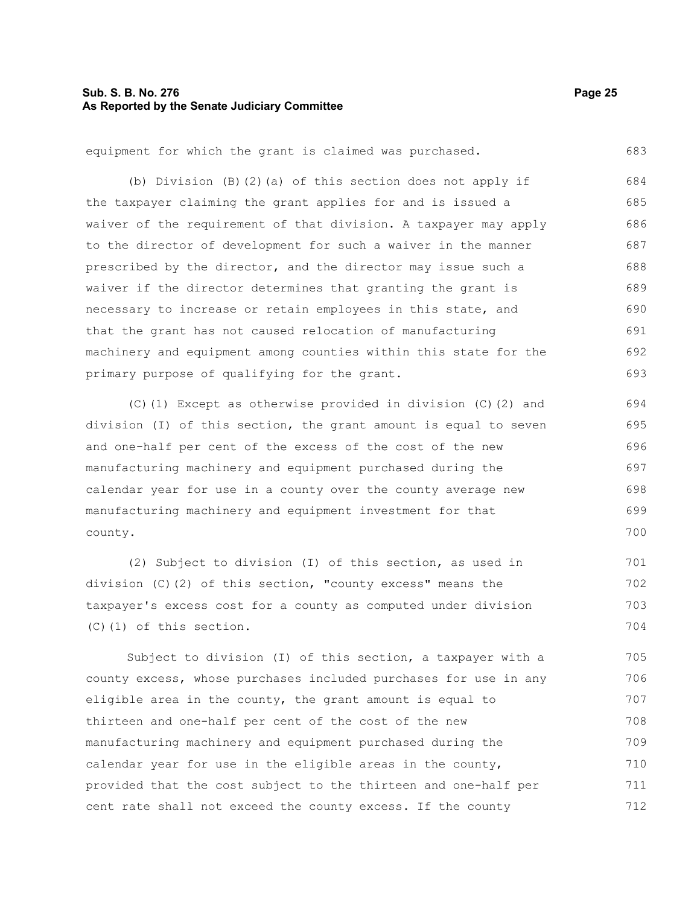#### **Sub. S. B. No. 276 Page 25 As Reported by the Senate Judiciary Committee**

equipment for which the grant is claimed was purchased.

(b) Division (B)(2)(a) of this section does not apply if the taxpayer claiming the grant applies for and is issued a waiver of the requirement of that division. A taxpayer may apply to the director of development for such a waiver in the manner prescribed by the director, and the director may issue such a waiver if the director determines that granting the grant is necessary to increase or retain employees in this state, and that the grant has not caused relocation of manufacturing machinery and equipment among counties within this state for the primary purpose of qualifying for the grant. 684 685 686 687 688 689 690 691 692 693

(C)(1) Except as otherwise provided in division (C)(2) and division (I) of this section, the grant amount is equal to seven and one-half per cent of the excess of the cost of the new manufacturing machinery and equipment purchased during the calendar year for use in a county over the county average new manufacturing machinery and equipment investment for that county.

(2) Subject to division (I) of this section, as used in division (C)(2) of this section, "county excess" means the taxpayer's excess cost for a county as computed under division (C)(1) of this section. 701 702 703 704

Subject to division (I) of this section, a taxpayer with a county excess, whose purchases included purchases for use in any eligible area in the county, the grant amount is equal to thirteen and one-half per cent of the cost of the new manufacturing machinery and equipment purchased during the calendar year for use in the eligible areas in the county, provided that the cost subject to the thirteen and one-half per cent rate shall not exceed the county excess. If the county 705 706 707 708 709 710 711 712

683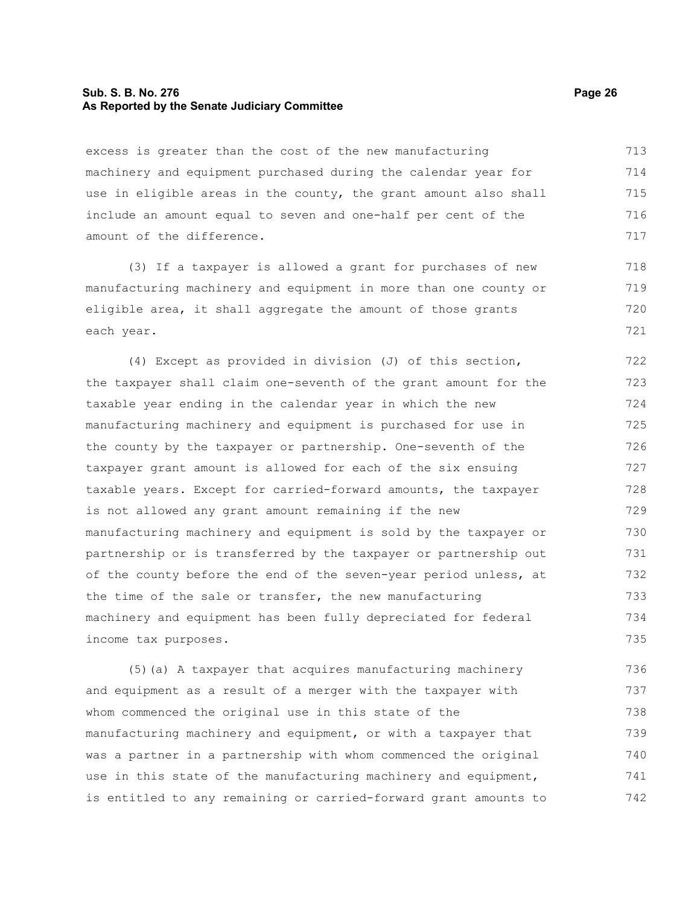#### **Sub. S. B. No. 276 Page 26 As Reported by the Senate Judiciary Committee**

excess is greater than the cost of the new manufacturing machinery and equipment purchased during the calendar year for use in eligible areas in the county, the grant amount also shall include an amount equal to seven and one-half per cent of the amount of the difference. 713 714 715 716 717

(3) If a taxpayer is allowed a grant for purchases of new manufacturing machinery and equipment in more than one county or eligible area, it shall aggregate the amount of those grants each year.

(4) Except as provided in division (J) of this section, the taxpayer shall claim one-seventh of the grant amount for the taxable year ending in the calendar year in which the new manufacturing machinery and equipment is purchased for use in the county by the taxpayer or partnership. One-seventh of the taxpayer grant amount is allowed for each of the six ensuing taxable years. Except for carried-forward amounts, the taxpayer is not allowed any grant amount remaining if the new manufacturing machinery and equipment is sold by the taxpayer or partnership or is transferred by the taxpayer or partnership out of the county before the end of the seven-year period unless, at the time of the sale or transfer, the new manufacturing machinery and equipment has been fully depreciated for federal income tax purposes. 722 723 724 725 726 727 728 729 730 731 732 733 734 735

(5)(a) A taxpayer that acquires manufacturing machinery and equipment as a result of a merger with the taxpayer with whom commenced the original use in this state of the manufacturing machinery and equipment, or with a taxpayer that was a partner in a partnership with whom commenced the original use in this state of the manufacturing machinery and equipment, is entitled to any remaining or carried-forward grant amounts to 736 737 738 739 740 741 742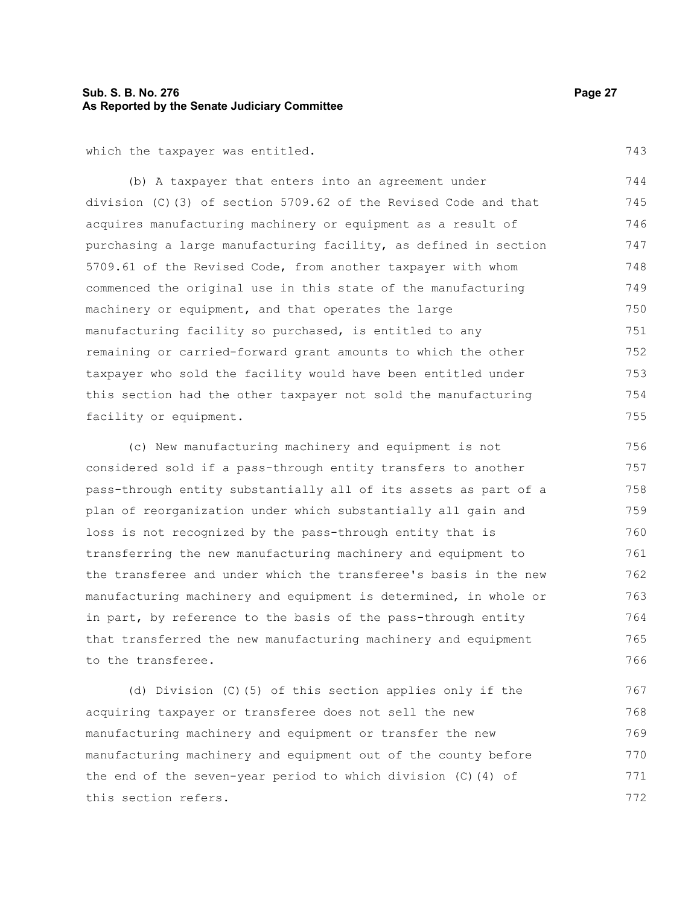#### **Sub. S. B. No. 276 Page 27 As Reported by the Senate Judiciary Committee**

which the taxpayer was entitled.

(b) A taxpayer that enters into an agreement under division (C)(3) of section 5709.62 of the Revised Code and that acquires manufacturing machinery or equipment as a result of purchasing a large manufacturing facility, as defined in section 5709.61 of the Revised Code, from another taxpayer with whom commenced the original use in this state of the manufacturing machinery or equipment, and that operates the large manufacturing facility so purchased, is entitled to any remaining or carried-forward grant amounts to which the other taxpayer who sold the facility would have been entitled under this section had the other taxpayer not sold the manufacturing facility or equipment. 744 745 746 747 748 749 750 751 752 753 754 755

(c) New manufacturing machinery and equipment is not considered sold if a pass-through entity transfers to another pass-through entity substantially all of its assets as part of a plan of reorganization under which substantially all gain and loss is not recognized by the pass-through entity that is transferring the new manufacturing machinery and equipment to the transferee and under which the transferee's basis in the new manufacturing machinery and equipment is determined, in whole or in part, by reference to the basis of the pass-through entity that transferred the new manufacturing machinery and equipment to the transferee. 756 757 758 759 760 761 762 763 764 765 766

(d) Division (C)(5) of this section applies only if the acquiring taxpayer or transferee does not sell the new manufacturing machinery and equipment or transfer the new manufacturing machinery and equipment out of the county before the end of the seven-year period to which division (C)(4) of this section refers. 767 768 769 770 771 772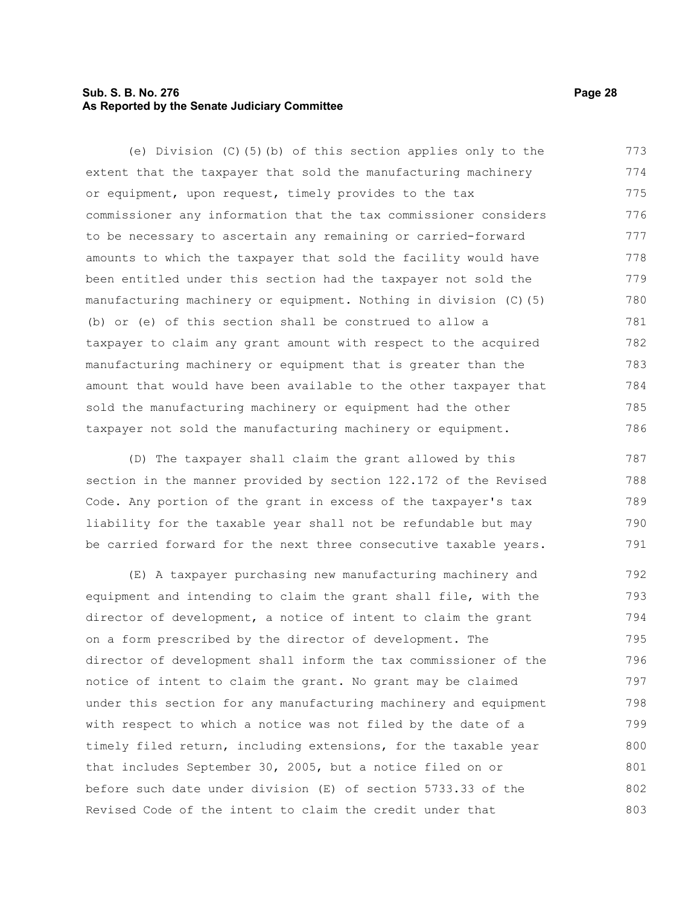#### **Sub. S. B. No. 276 Page 28 As Reported by the Senate Judiciary Committee**

(e) Division (C)(5)(b) of this section applies only to the extent that the taxpayer that sold the manufacturing machinery or equipment, upon request, timely provides to the tax commissioner any information that the tax commissioner considers to be necessary to ascertain any remaining or carried-forward amounts to which the taxpayer that sold the facility would have been entitled under this section had the taxpayer not sold the manufacturing machinery or equipment. Nothing in division (C)(5) (b) or (e) of this section shall be construed to allow a taxpayer to claim any grant amount with respect to the acquired manufacturing machinery or equipment that is greater than the amount that would have been available to the other taxpayer that sold the manufacturing machinery or equipment had the other taxpayer not sold the manufacturing machinery or equipment. 773 774 775 776 777 778 779 780 781 782 783 784 785 786

(D) The taxpayer shall claim the grant allowed by this section in the manner provided by section 122.172 of the Revised Code. Any portion of the grant in excess of the taxpayer's tax liability for the taxable year shall not be refundable but may be carried forward for the next three consecutive taxable years. 787 788 789 790 791

(E) A taxpayer purchasing new manufacturing machinery and equipment and intending to claim the grant shall file, with the director of development, a notice of intent to claim the grant on a form prescribed by the director of development. The director of development shall inform the tax commissioner of the notice of intent to claim the grant. No grant may be claimed under this section for any manufacturing machinery and equipment with respect to which a notice was not filed by the date of a timely filed return, including extensions, for the taxable year that includes September 30, 2005, but a notice filed on or before such date under division (E) of section 5733.33 of the Revised Code of the intent to claim the credit under that 792 793 794 795 796 797 798 799 800 801 802 803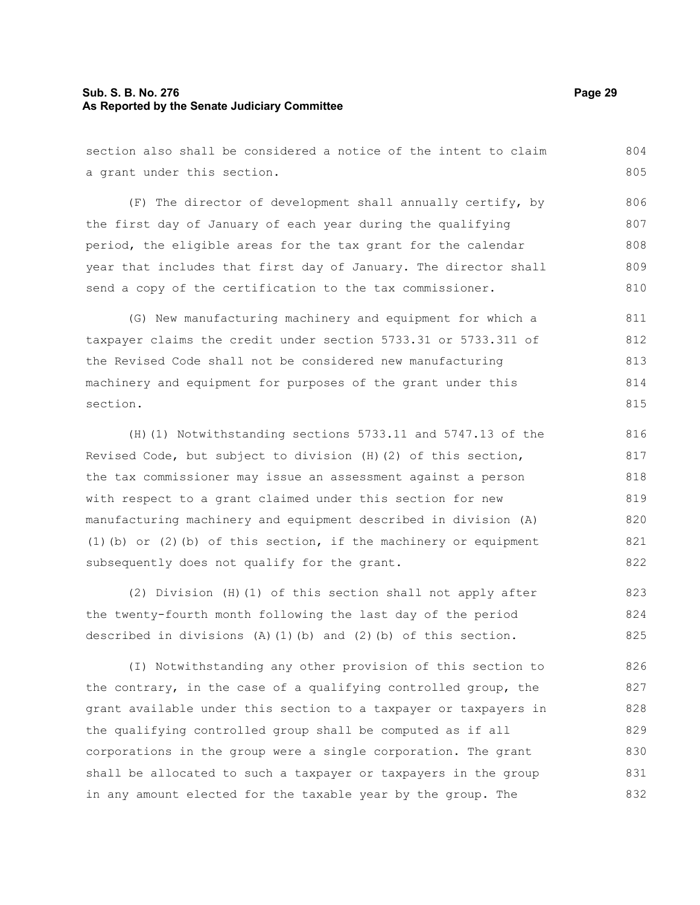#### **Sub. S. B. No. 276 Page 29 As Reported by the Senate Judiciary Committee**

section also shall be considered a notice of the intent to claim a grant under this section. (F) The director of development shall annually certify, by the first day of January of each year during the qualifying 804 805 806 807

period, the eligible areas for the tax grant for the calendar year that includes that first day of January. The director shall send a copy of the certification to the tax commissioner. 808 809 810

(G) New manufacturing machinery and equipment for which a taxpayer claims the credit under section 5733.31 or 5733.311 of the Revised Code shall not be considered new manufacturing machinery and equipment for purposes of the grant under this section. 811 812 813 814 815

(H)(1) Notwithstanding sections 5733.11 and 5747.13 of the Revised Code, but subject to division (H)(2) of this section, the tax commissioner may issue an assessment against a person with respect to a grant claimed under this section for new manufacturing machinery and equipment described in division (A) (1)(b) or (2)(b) of this section, if the machinery or equipment subsequently does not qualify for the grant.

(2) Division (H)(1) of this section shall not apply after the twenty-fourth month following the last day of the period described in divisions  $(A)$  (1)(b) and (2)(b) of this section. 823 824 825

(I) Notwithstanding any other provision of this section to the contrary, in the case of a qualifying controlled group, the grant available under this section to a taxpayer or taxpayers in the qualifying controlled group shall be computed as if all corporations in the group were a single corporation. The grant shall be allocated to such a taxpayer or taxpayers in the group in any amount elected for the taxable year by the group. The 826 827 828 829 830 831 832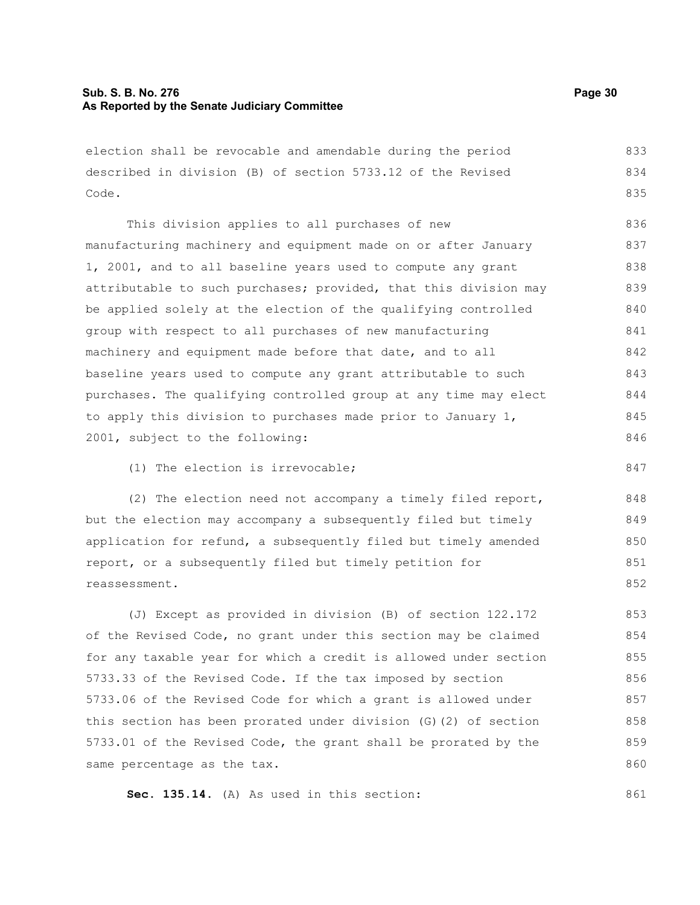election shall be revocable and amendable during the period described in division (B) of section 5733.12 of the Revised Code. 833 834 835

This division applies to all purchases of new manufacturing machinery and equipment made on or after January 1, 2001, and to all baseline years used to compute any grant attributable to such purchases; provided, that this division may be applied solely at the election of the qualifying controlled group with respect to all purchases of new manufacturing machinery and equipment made before that date, and to all baseline years used to compute any grant attributable to such purchases. The qualifying controlled group at any time may elect to apply this division to purchases made prior to January 1, 2001, subject to the following: 836 837 838 839 840 841 842 843 844 845 846

(1) The election is irrevocable;

(2) The election need not accompany a timely filed report, but the election may accompany a subsequently filed but timely application for refund, a subsequently filed but timely amended report, or a subsequently filed but timely petition for reassessment.

(J) Except as provided in division (B) of section 122.172 of the Revised Code, no grant under this section may be claimed for any taxable year for which a credit is allowed under section 5733.33 of the Revised Code. If the tax imposed by section 5733.06 of the Revised Code for which a grant is allowed under this section has been prorated under division (G)(2) of section 5733.01 of the Revised Code, the grant shall be prorated by the same percentage as the tax. 853 854 855 856 857 858 859 860

**Sec. 135.14.** (A) As used in this section:

847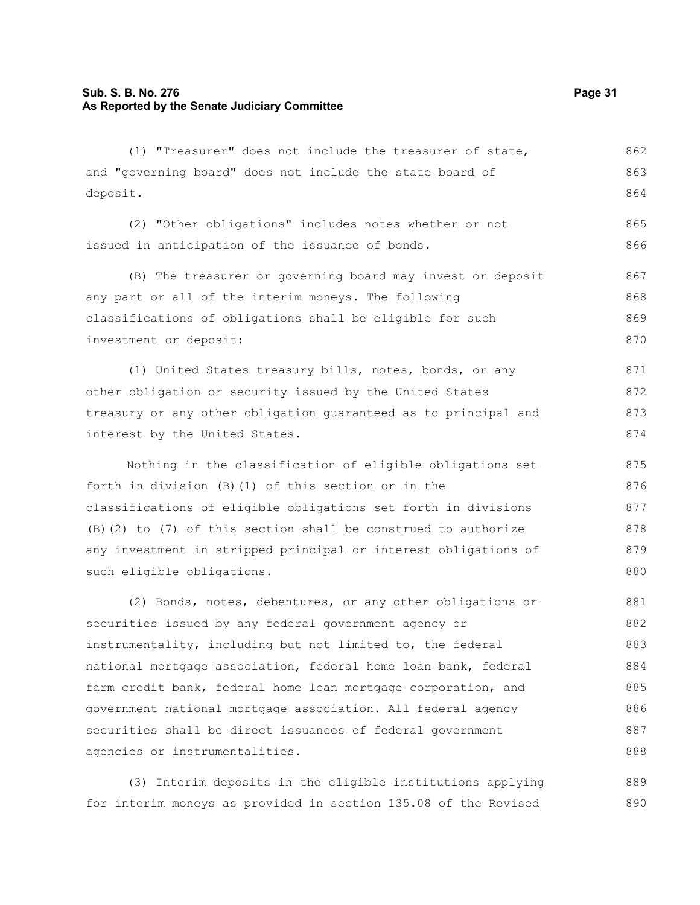## **Sub. S. B. No. 276 Page 31 As Reported by the Senate Judiciary Committee**

| (1) "Treasurer" does not include the treasurer of state,         | 862 |
|------------------------------------------------------------------|-----|
| and "governing board" does not include the state board of        | 863 |
| deposit.                                                         | 864 |
| (2) "Other obligations" includes notes whether or not            | 865 |
| issued in anticipation of the issuance of bonds.                 | 866 |
| (B) The treasurer or governing board may invest or deposit       | 867 |
| any part or all of the interim moneys. The following             | 868 |
| classifications of obligations shall be eligible for such        | 869 |
| investment or deposit:                                           | 870 |
| (1) United States treasury bills, notes, bonds, or any           | 871 |
| other obligation or security issued by the United States         | 872 |
| treasury or any other obligation guaranteed as to principal and  | 873 |
| interest by the United States.                                   | 874 |
| Nothing in the classification of eligible obligations set        | 875 |
| forth in division (B) (1) of this section or in the              | 876 |
| classifications of eligible obligations set forth in divisions   | 877 |
| $(B)$ (2) to (7) of this section shall be construed to authorize | 878 |
| any investment in stripped principal or interest obligations of  | 879 |
| such eligible obligations.                                       | 880 |
| (2) Bonds, notes, debentures, or any other obligations or        | 881 |
| securities issued by any federal government agency or            | 882 |
| instrumentality, including but not limited to, the federal       | 883 |
| national mortgage association, federal home loan bank, federal   | 884 |
| farm credit bank, federal home loan mortgage corporation, and    | 885 |
| government national mortgage association. All federal agency     | 886 |
| securities shall be direct issuances of federal government       | 887 |
| agencies or instrumentalities.                                   | 888 |

(3) Interim deposits in the eligible institutions applying for interim moneys as provided in section 135.08 of the Revised 889 890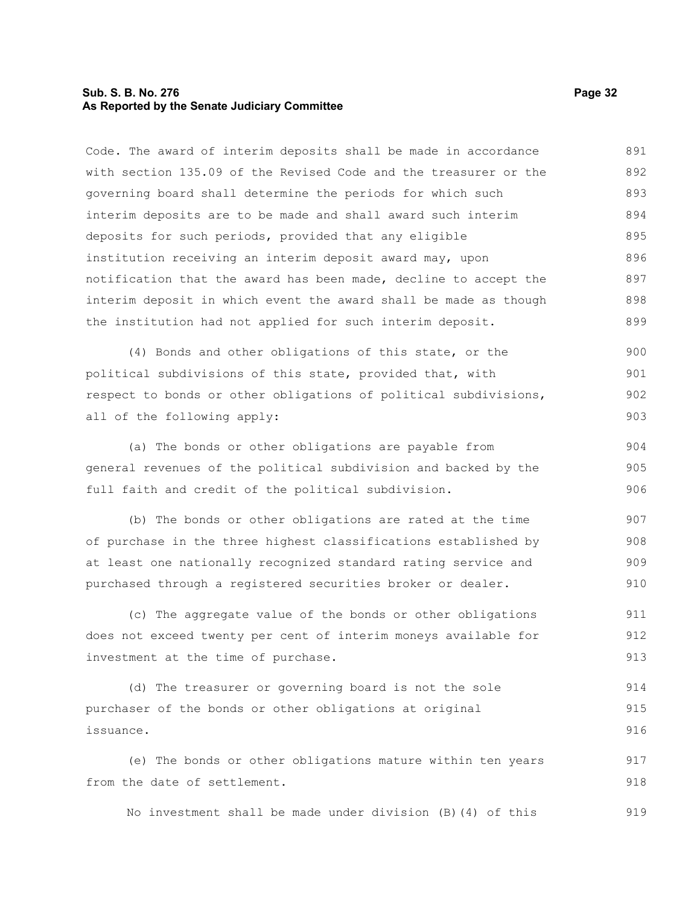#### **Sub. S. B. No. 276 Page 32 As Reported by the Senate Judiciary Committee**

Code. The award of interim deposits shall be made in accordance with section 135.09 of the Revised Code and the treasurer or the governing board shall determine the periods for which such interim deposits are to be made and shall award such interim deposits for such periods, provided that any eligible institution receiving an interim deposit award may, upon notification that the award has been made, decline to accept the interim deposit in which event the award shall be made as though the institution had not applied for such interim deposit. 891 892 893 894 895 896 897 898 899

(4) Bonds and other obligations of this state, or the political subdivisions of this state, provided that, with respect to bonds or other obligations of political subdivisions, all of the following apply: 900 901 902 903

(a) The bonds or other obligations are payable from general revenues of the political subdivision and backed by the full faith and credit of the political subdivision. 904 905 906

(b) The bonds or other obligations are rated at the time of purchase in the three highest classifications established by at least one nationally recognized standard rating service and purchased through a registered securities broker or dealer. 907 908 909 910

(c) The aggregate value of the bonds or other obligations does not exceed twenty per cent of interim moneys available for investment at the time of purchase. 911 912 913

(d) The treasurer or governing board is not the sole purchaser of the bonds or other obligations at original issuance. 914 915 916

(e) The bonds or other obligations mature within ten years from the date of settlement. 917 918

No investment shall be made under division (B)(4) of this 919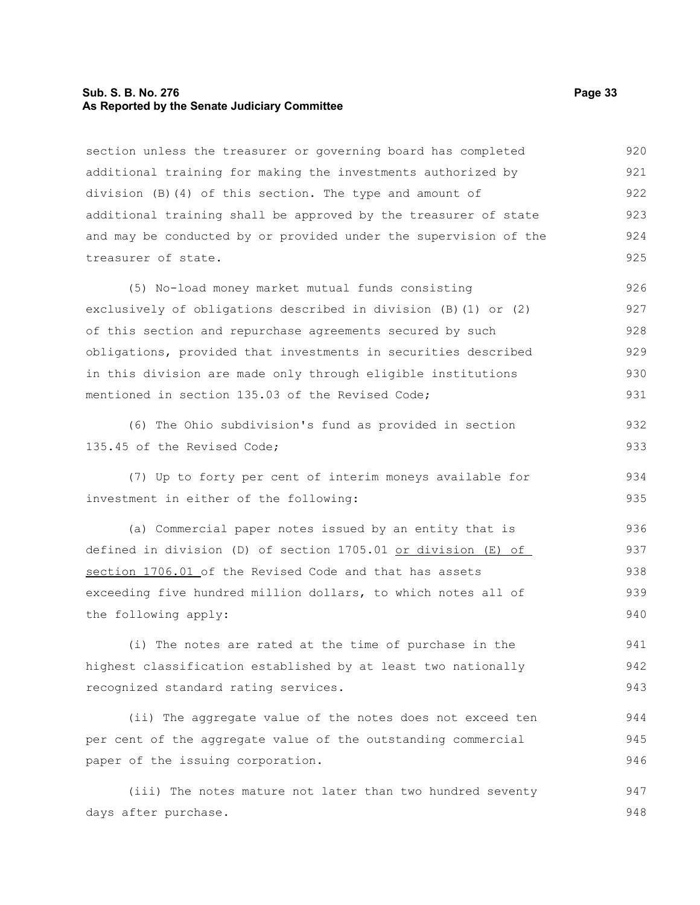#### **Sub. S. B. No. 276 Page 33 As Reported by the Senate Judiciary Committee**

section unless the treasurer or governing board has completed additional training for making the investments authorized by division (B)(4) of this section. The type and amount of additional training shall be approved by the treasurer of state and may be conducted by or provided under the supervision of the treasurer of state. 920 921 922 923 924 925

(5) No-load money market mutual funds consisting exclusively of obligations described in division (B)(1) or (2) of this section and repurchase agreements secured by such obligations, provided that investments in securities described in this division are made only through eligible institutions mentioned in section 135.03 of the Revised Code; 926 927 928 929 930 931

(6) The Ohio subdivision's fund as provided in section 135.45 of the Revised Code;

(7) Up to forty per cent of interim moneys available for investment in either of the following: 934 935

(a) Commercial paper notes issued by an entity that is defined in division (D) of section 1705.01 or division (E) of section 1706.01 of the Revised Code and that has assets exceeding five hundred million dollars, to which notes all of the following apply: 936 937 938 939 940

(i) The notes are rated at the time of purchase in the highest classification established by at least two nationally recognized standard rating services. 941 942 943

(ii) The aggregate value of the notes does not exceed ten per cent of the aggregate value of the outstanding commercial paper of the issuing corporation.

(iii) The notes mature not later than two hundred seventy days after purchase. 947 948

932 933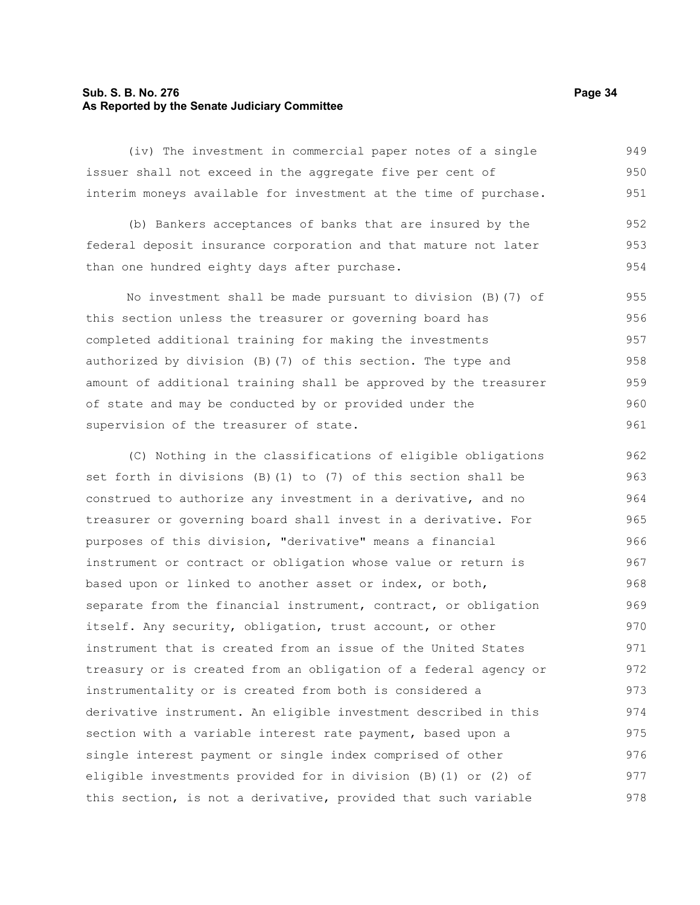#### **Sub. S. B. No. 276 Page 34 As Reported by the Senate Judiciary Committee**

(iv) The investment in commercial paper notes of a single issuer shall not exceed in the aggregate five per cent of interim moneys available for investment at the time of purchase. 949 950 951

(b) Bankers acceptances of banks that are insured by the federal deposit insurance corporation and that mature not later than one hundred eighty days after purchase. 952 953 954

No investment shall be made pursuant to division (B)(7) of this section unless the treasurer or governing board has completed additional training for making the investments authorized by division (B)(7) of this section. The type and amount of additional training shall be approved by the treasurer of state and may be conducted by or provided under the supervision of the treasurer of state. 955 956 957 958 959 960 961

(C) Nothing in the classifications of eligible obligations set forth in divisions (B)(1) to (7) of this section shall be construed to authorize any investment in a derivative, and no treasurer or governing board shall invest in a derivative. For purposes of this division, "derivative" means a financial instrument or contract or obligation whose value or return is based upon or linked to another asset or index, or both, separate from the financial instrument, contract, or obligation itself. Any security, obligation, trust account, or other instrument that is created from an issue of the United States treasury or is created from an obligation of a federal agency or instrumentality or is created from both is considered a derivative instrument. An eligible investment described in this section with a variable interest rate payment, based upon a single interest payment or single index comprised of other eligible investments provided for in division (B)(1) or (2) of this section, is not a derivative, provided that such variable 962 963 964 965 966 967 968 969 970 971 972 973 974 975 976 977 978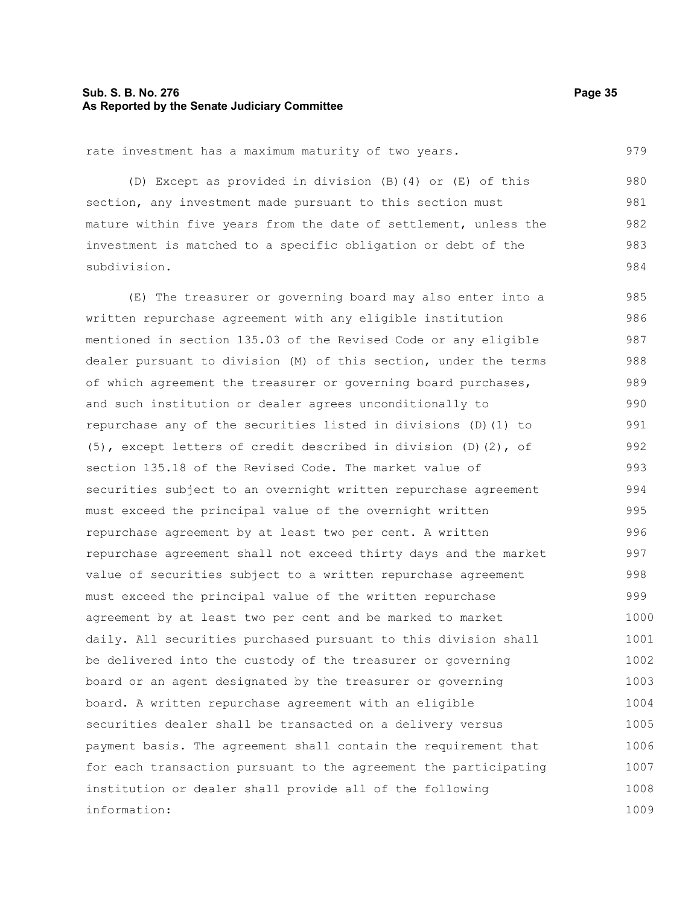#### **Sub. S. B. No. 276 Page 35 As Reported by the Senate Judiciary Committee**

rate investment has a maximum maturity of two years.

(D) Except as provided in division (B)(4) or (E) of this section, any investment made pursuant to this section must mature within five years from the date of settlement, unless the investment is matched to a specific obligation or debt of the subdivision. 980 981 982 983 984

(E) The treasurer or governing board may also enter into a written repurchase agreement with any eligible institution mentioned in section 135.03 of the Revised Code or any eligible dealer pursuant to division (M) of this section, under the terms of which agreement the treasurer or governing board purchases, and such institution or dealer agrees unconditionally to repurchase any of the securities listed in divisions (D)(1) to (5), except letters of credit described in division (D)(2), of section 135.18 of the Revised Code. The market value of securities subject to an overnight written repurchase agreement must exceed the principal value of the overnight written repurchase agreement by at least two per cent. A written repurchase agreement shall not exceed thirty days and the market value of securities subject to a written repurchase agreement must exceed the principal value of the written repurchase agreement by at least two per cent and be marked to market daily. All securities purchased pursuant to this division shall be delivered into the custody of the treasurer or governing board or an agent designated by the treasurer or governing board. A written repurchase agreement with an eligible securities dealer shall be transacted on a delivery versus payment basis. The agreement shall contain the requirement that for each transaction pursuant to the agreement the participating institution or dealer shall provide all of the following information: 985 986 987 988 989 990 991 992 993 994 995 996 997 998 999 1000 1001 1002 1003 1004 1005 1006 1007 1008 1009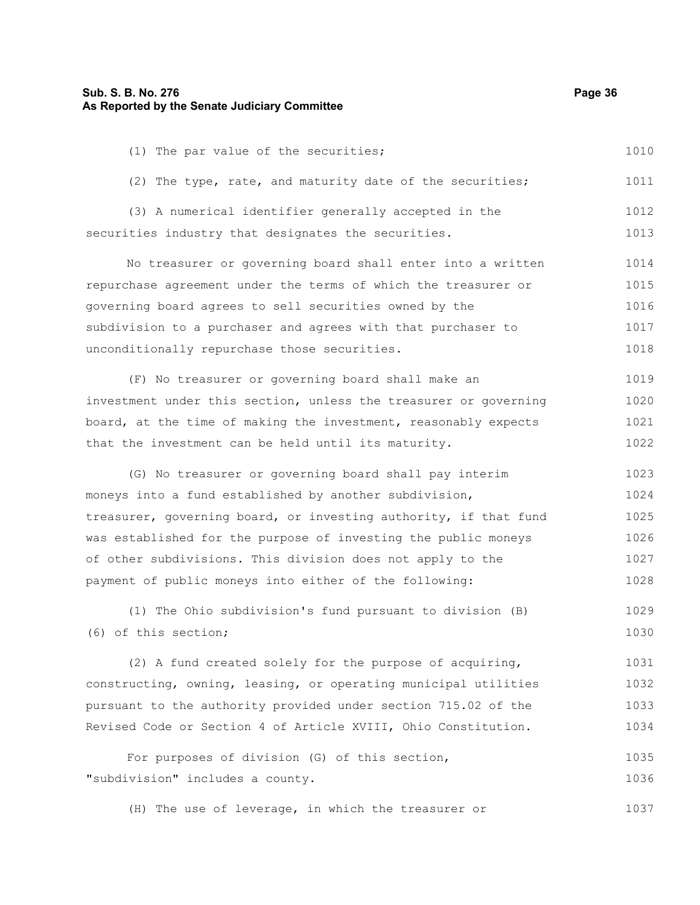## **Sub. S. B. No. 276 Page 36 As Reported by the Senate Judiciary Committee**

| (1) The par value of the securities;                             | 1010 |
|------------------------------------------------------------------|------|
| (2) The type, rate, and maturity date of the securities;         | 1011 |
| (3) A numerical identifier generally accepted in the             | 1012 |
| securities industry that designates the securities.              | 1013 |
| No treasurer or governing board shall enter into a written       | 1014 |
| repurchase agreement under the terms of which the treasurer or   | 1015 |
| governing board agrees to sell securities owned by the           | 1016 |
| subdivision to a purchaser and agrees with that purchaser to     | 1017 |
| unconditionally repurchase those securities.                     | 1018 |
| (F) No treasurer or governing board shall make an                | 1019 |
| investment under this section, unless the treasurer or governing | 1020 |
| board, at the time of making the investment, reasonably expects  | 1021 |
| that the investment can be held until its maturity.              | 1022 |
| (G) No treasurer or governing board shall pay interim            | 1023 |
| moneys into a fund established by another subdivision,           | 1024 |
| treasurer, governing board, or investing authority, if that fund | 1025 |
| was established for the purpose of investing the public moneys   | 1026 |
| of other subdivisions. This division does not apply to the       | 1027 |
| payment of public moneys into either of the following:           | 1028 |
| (1) The Ohio subdivision's fund pursuant to division (B)         | 1029 |
| (6) of this section;                                             | 1030 |
| (2) A fund created solely for the purpose of acquiring,          | 1031 |
| constructing, owning, leasing, or operating municipal utilities  | 1032 |
| pursuant to the authority provided under section 715.02 of the   | 1033 |
| Revised Code or Section 4 of Article XVIII, Ohio Constitution.   | 1034 |
|                                                                  |      |

For purposes of division (G) of this section, "subdivision" includes a county. 1035 1036

(H) The use of leverage, in which the treasurer or 1037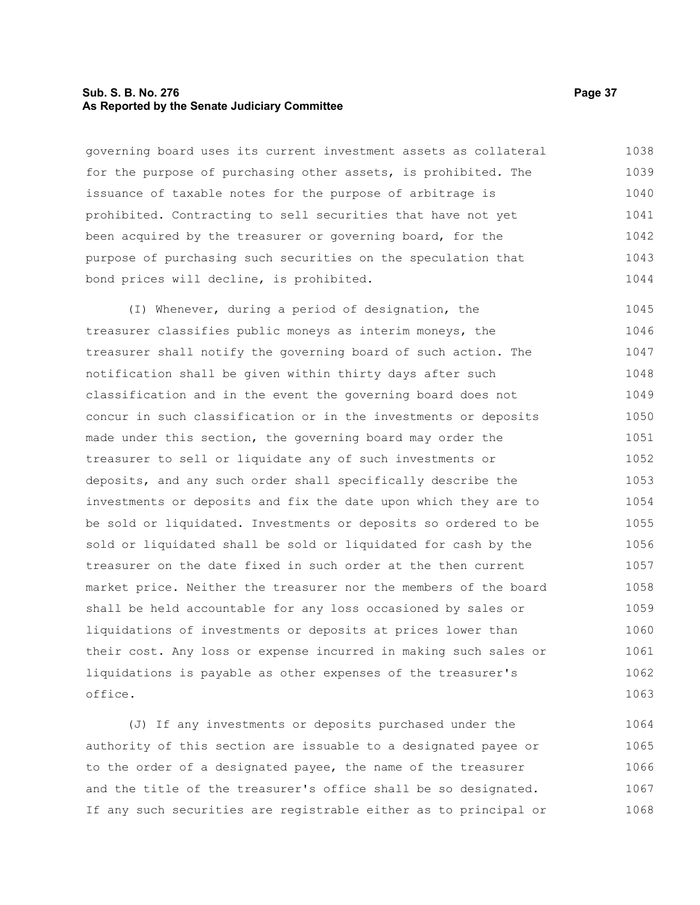## **Sub. S. B. No. 276 Page 37 As Reported by the Senate Judiciary Committee**

governing board uses its current investment assets as collateral for the purpose of purchasing other assets, is prohibited. The issuance of taxable notes for the purpose of arbitrage is prohibited. Contracting to sell securities that have not yet been acquired by the treasurer or governing board, for the purpose of purchasing such securities on the speculation that bond prices will decline, is prohibited. 1038 1039 1040 1041 1042 1043 1044

(I) Whenever, during a period of designation, the treasurer classifies public moneys as interim moneys, the treasurer shall notify the governing board of such action. The notification shall be given within thirty days after such classification and in the event the governing board does not concur in such classification or in the investments or deposits made under this section, the governing board may order the treasurer to sell or liquidate any of such investments or deposits, and any such order shall specifically describe the investments or deposits and fix the date upon which they are to be sold or liquidated. Investments or deposits so ordered to be sold or liquidated shall be sold or liquidated for cash by the treasurer on the date fixed in such order at the then current market price. Neither the treasurer nor the members of the board shall be held accountable for any loss occasioned by sales or liquidations of investments or deposits at prices lower than their cost. Any loss or expense incurred in making such sales or liquidations is payable as other expenses of the treasurer's office. 1045 1046 1047 1048 1049 1050 1051 1052 1053 1054 1055 1056 1057 1058 1059 1060 1061 1062 1063

(J) If any investments or deposits purchased under the authority of this section are issuable to a designated payee or to the order of a designated payee, the name of the treasurer and the title of the treasurer's office shall be so designated. If any such securities are registrable either as to principal or 1064 1065 1066 1067 1068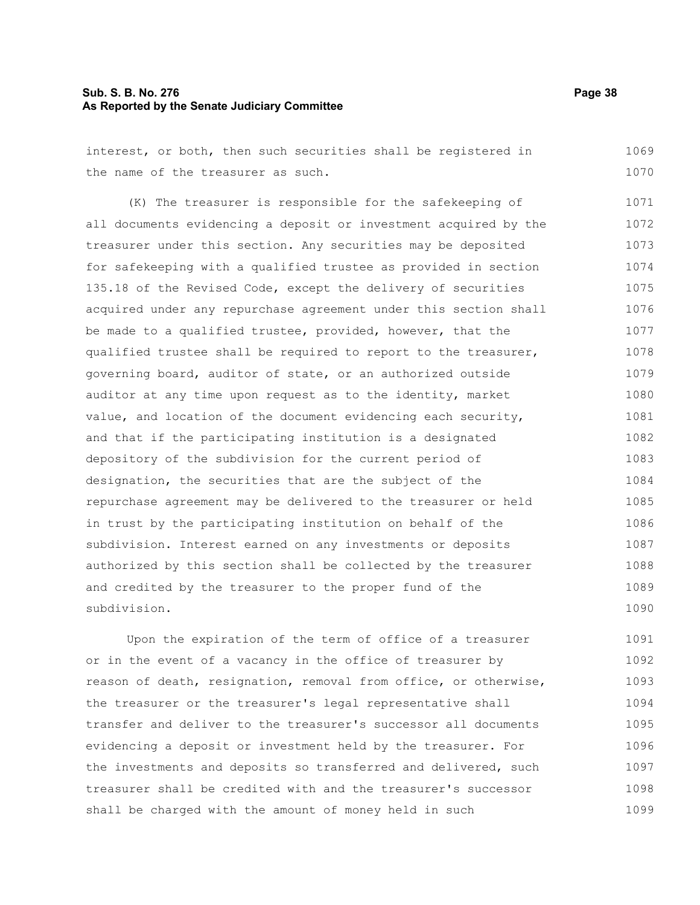# **Sub. S. B. No. 276 Page 38 As Reported by the Senate Judiciary Committee**

interest, or both, then such securities shall be registered in the name of the treasurer as such. 1069 1070

(K) The treasurer is responsible for the safekeeping of all documents evidencing a deposit or investment acquired by the treasurer under this section. Any securities may be deposited for safekeeping with a qualified trustee as provided in section 135.18 of the Revised Code, except the delivery of securities acquired under any repurchase agreement under this section shall be made to a qualified trustee, provided, however, that the qualified trustee shall be required to report to the treasurer, governing board, auditor of state, or an authorized outside auditor at any time upon request as to the identity, market value, and location of the document evidencing each security, and that if the participating institution is a designated depository of the subdivision for the current period of designation, the securities that are the subject of the repurchase agreement may be delivered to the treasurer or held in trust by the participating institution on behalf of the subdivision. Interest earned on any investments or deposits authorized by this section shall be collected by the treasurer and credited by the treasurer to the proper fund of the subdivision. 1071 1072 1073 1074 1075 1076 1077 1078 1079 1080 1081 1082 1083 1084 1085 1086 1087 1088 1089 1090

Upon the expiration of the term of office of a treasurer or in the event of a vacancy in the office of treasurer by reason of death, resignation, removal from office, or otherwise, the treasurer or the treasurer's legal representative shall transfer and deliver to the treasurer's successor all documents evidencing a deposit or investment held by the treasurer. For the investments and deposits so transferred and delivered, such treasurer shall be credited with and the treasurer's successor shall be charged with the amount of money held in such 1091 1092 1093 1094 1095 1096 1097 1098 1099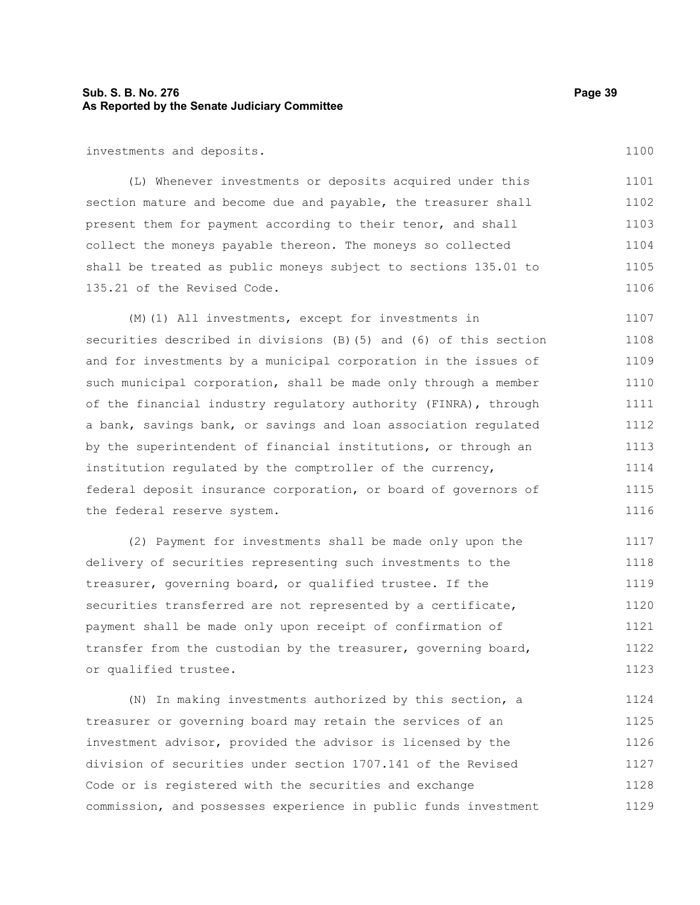# **Sub. S. B. No. 276 Page 39 As Reported by the Senate Judiciary Committee**

investments and deposits.

(L) Whenever investments or deposits acquired under this section mature and become due and payable, the treasurer shall present them for payment according to their tenor, and shall collect the moneys payable thereon. The moneys so collected shall be treated as public moneys subject to sections 135.01 to 135.21 of the Revised Code. 1101 1102 1103 1104 1105 1106

(M)(1) All investments, except for investments in securities described in divisions (B)(5) and (6) of this section and for investments by a municipal corporation in the issues of such municipal corporation, shall be made only through a member of the financial industry regulatory authority (FINRA), through a bank, savings bank, or savings and loan association regulated by the superintendent of financial institutions, or through an institution regulated by the comptroller of the currency, federal deposit insurance corporation, or board of governors of the federal reserve system. 1107 1108 1109 1110 1111 1112 1113 1114 1115 1116

(2) Payment for investments shall be made only upon the delivery of securities representing such investments to the treasurer, governing board, or qualified trustee. If the securities transferred are not represented by a certificate, payment shall be made only upon receipt of confirmation of transfer from the custodian by the treasurer, governing board, or qualified trustee. 1117 1118 1119 1120 1121 1122 1123

(N) In making investments authorized by this section, a treasurer or governing board may retain the services of an investment advisor, provided the advisor is licensed by the division of securities under section 1707.141 of the Revised Code or is registered with the securities and exchange commission, and possesses experience in public funds investment 1124 1125 1126 1127 1128 1129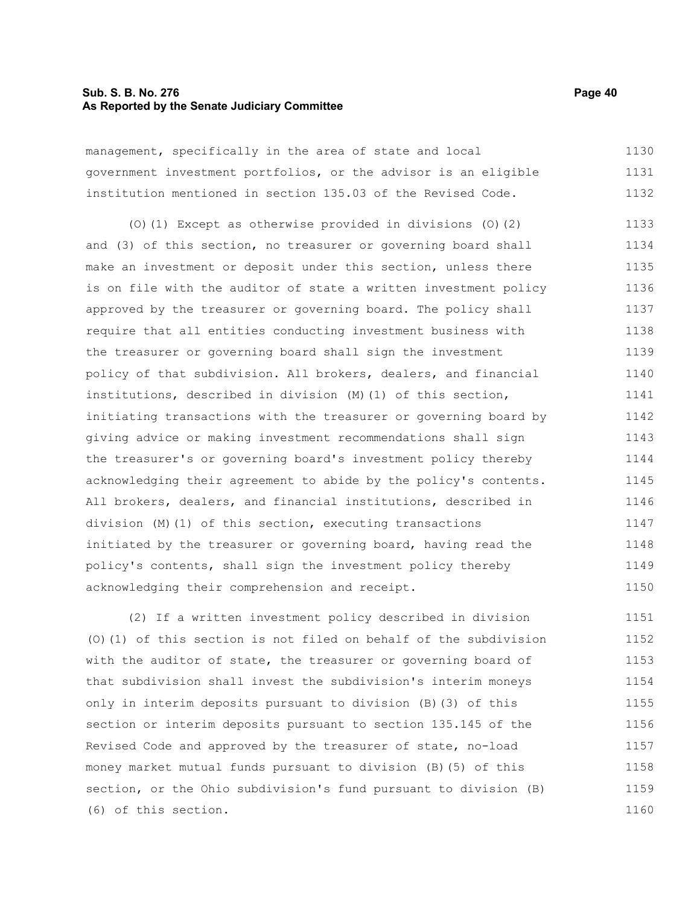#### **Sub. S. B. No. 276 Page 40 As Reported by the Senate Judiciary Committee**

management, specifically in the area of state and local government investment portfolios, or the advisor is an eligible institution mentioned in section 135.03 of the Revised Code. 1130 1131 1132

(O)(1) Except as otherwise provided in divisions (O)(2) and (3) of this section, no treasurer or governing board shall make an investment or deposit under this section, unless there is on file with the auditor of state a written investment policy approved by the treasurer or governing board. The policy shall require that all entities conducting investment business with the treasurer or governing board shall sign the investment policy of that subdivision. All brokers, dealers, and financial institutions, described in division (M)(1) of this section, initiating transactions with the treasurer or governing board by giving advice or making investment recommendations shall sign the treasurer's or governing board's investment policy thereby acknowledging their agreement to abide by the policy's contents. All brokers, dealers, and financial institutions, described in division (M)(1) of this section, executing transactions initiated by the treasurer or governing board, having read the policy's contents, shall sign the investment policy thereby acknowledging their comprehension and receipt. 1133 1134 1135 1136 1137 1138 1139 1140 1141 1142 1143 1144 1145 1146 1147 1148 1149 1150

(2) If a written investment policy described in division (O)(1) of this section is not filed on behalf of the subdivision with the auditor of state, the treasurer or governing board of that subdivision shall invest the subdivision's interim moneys only in interim deposits pursuant to division (B)(3) of this section or interim deposits pursuant to section 135.145 of the Revised Code and approved by the treasurer of state, no-load money market mutual funds pursuant to division (B)(5) of this section, or the Ohio subdivision's fund pursuant to division (B) (6) of this section. 1151 1152 1153 1154 1155 1156 1157 1158 1159 1160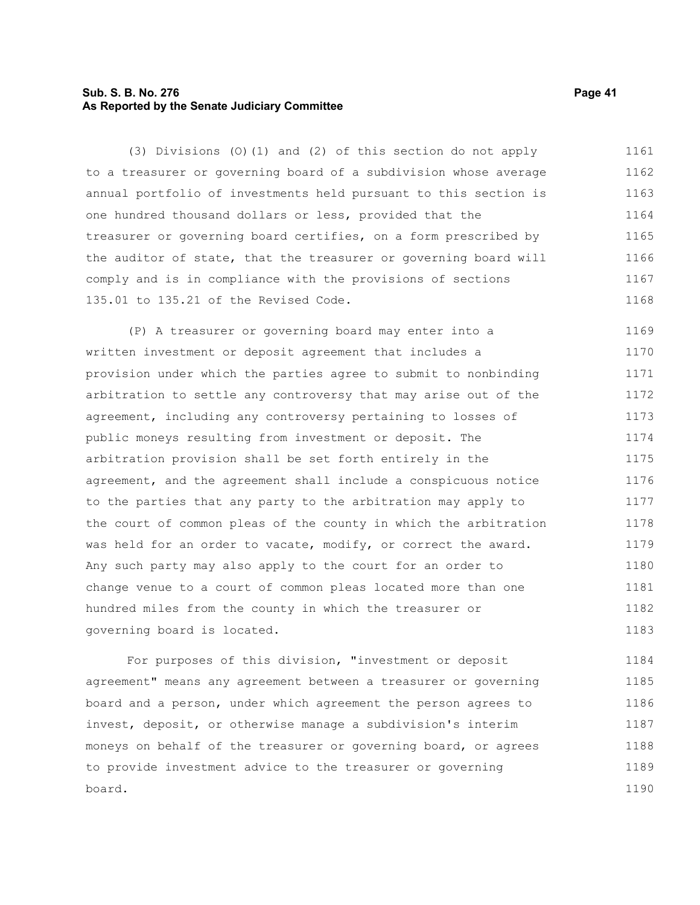# **Sub. S. B. No. 276 Page 41 As Reported by the Senate Judiciary Committee**

(3) Divisions (O)(1) and (2) of this section do not apply to a treasurer or governing board of a subdivision whose average annual portfolio of investments held pursuant to this section is one hundred thousand dollars or less, provided that the treasurer or governing board certifies, on a form prescribed by the auditor of state, that the treasurer or governing board will comply and is in compliance with the provisions of sections 135.01 to 135.21 of the Revised Code. 1161 1162 1163 1164 1165 1166 1167 1168

(P) A treasurer or governing board may enter into a written investment or deposit agreement that includes a provision under which the parties agree to submit to nonbinding arbitration to settle any controversy that may arise out of the agreement, including any controversy pertaining to losses of public moneys resulting from investment or deposit. The arbitration provision shall be set forth entirely in the agreement, and the agreement shall include a conspicuous notice to the parties that any party to the arbitration may apply to the court of common pleas of the county in which the arbitration was held for an order to vacate, modify, or correct the award. Any such party may also apply to the court for an order to change venue to a court of common pleas located more than one hundred miles from the county in which the treasurer or governing board is located. 1169 1170 1171 1172 1173 1174 1175 1176 1177 1178 1179 1180 1181 1182 1183

For purposes of this division, "investment or deposit agreement" means any agreement between a treasurer or governing board and a person, under which agreement the person agrees to invest, deposit, or otherwise manage a subdivision's interim moneys on behalf of the treasurer or governing board, or agrees to provide investment advice to the treasurer or governing board. 1184 1185 1186 1187 1188 1189 1190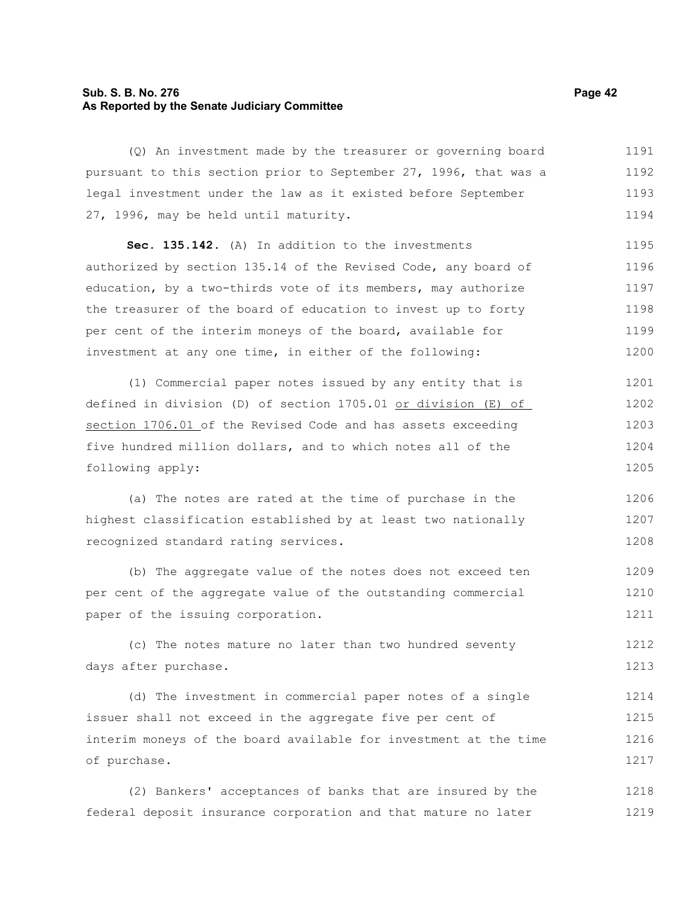# **Sub. S. B. No. 276 Page 42 As Reported by the Senate Judiciary Committee**

(Q) An investment made by the treasurer or governing board pursuant to this section prior to September 27, 1996, that was a legal investment under the law as it existed before September 27, 1996, may be held until maturity. 1191 1192 1193 1194

**Sec. 135.142.** (A) In addition to the investments authorized by section 135.14 of the Revised Code, any board of education, by a two-thirds vote of its members, may authorize the treasurer of the board of education to invest up to forty per cent of the interim moneys of the board, available for investment at any one time, in either of the following: 1195 1196 1197 1198 1199 1200

(1) Commercial paper notes issued by any entity that is defined in division (D) of section 1705.01 or division (E) of section 1706.01 of the Revised Code and has assets exceeding five hundred million dollars, and to which notes all of the following apply: 1201 1202 1203 1204 1205

(a) The notes are rated at the time of purchase in the highest classification established by at least two nationally recognized standard rating services. 1206 1207 1208

(b) The aggregate value of the notes does not exceed ten per cent of the aggregate value of the outstanding commercial paper of the issuing corporation. 1209 1210 1211

(c) The notes mature no later than two hundred seventy days after purchase. 1212 1213

(d) The investment in commercial paper notes of a single issuer shall not exceed in the aggregate five per cent of interim moneys of the board available for investment at the time of purchase. 1214 1215 1216 1217

(2) Bankers' acceptances of banks that are insured by the federal deposit insurance corporation and that mature no later 1218 1219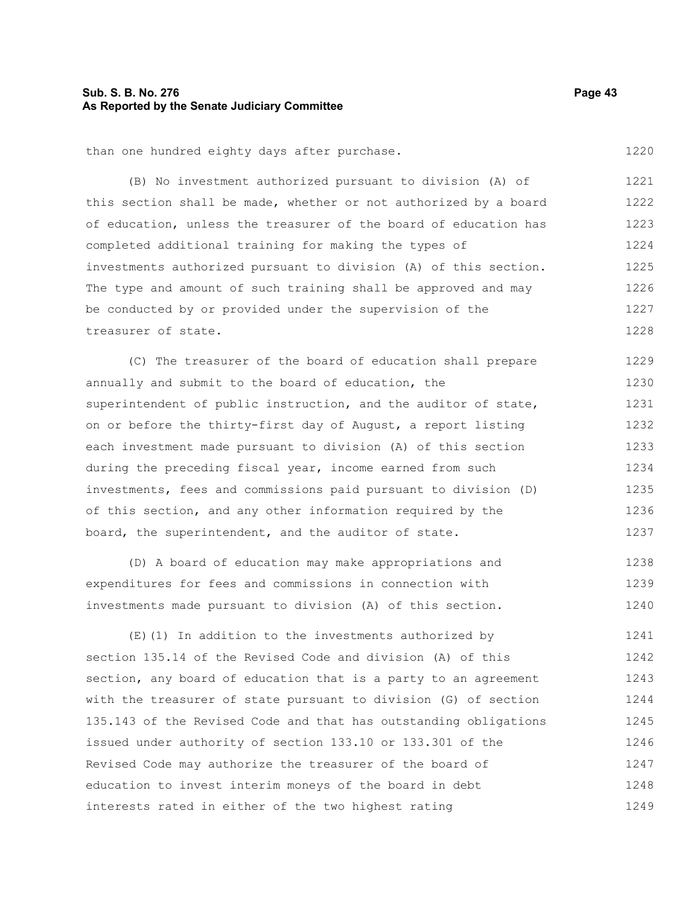# **Sub. S. B. No. 276 Page 43 As Reported by the Senate Judiciary Committee**

than one hundred eighty days after purchase.

(B) No investment authorized pursuant to division (A) of this section shall be made, whether or not authorized by a board of education, unless the treasurer of the board of education has completed additional training for making the types of investments authorized pursuant to division (A) of this section. The type and amount of such training shall be approved and may be conducted by or provided under the supervision of the treasurer of state. 1221 1222 1223 1224 1225 1226 1227 1228

(C) The treasurer of the board of education shall prepare annually and submit to the board of education, the superintendent of public instruction, and the auditor of state, on or before the thirty-first day of August, a report listing each investment made pursuant to division (A) of this section during the preceding fiscal year, income earned from such investments, fees and commissions paid pursuant to division (D) of this section, and any other information required by the board, the superintendent, and the auditor of state. 1229 1230 1231 1232 1233 1234 1235 1236 1237

(D) A board of education may make appropriations and expenditures for fees and commissions in connection with investments made pursuant to division (A) of this section. 1238 1239 1240

(E)(1) In addition to the investments authorized by section 135.14 of the Revised Code and division (A) of this section, any board of education that is a party to an agreement with the treasurer of state pursuant to division (G) of section 135.143 of the Revised Code and that has outstanding obligations issued under authority of section 133.10 or 133.301 of the Revised Code may authorize the treasurer of the board of education to invest interim moneys of the board in debt interests rated in either of the two highest rating 1241 1242 1243 1244 1245 1246 1247 1248 1249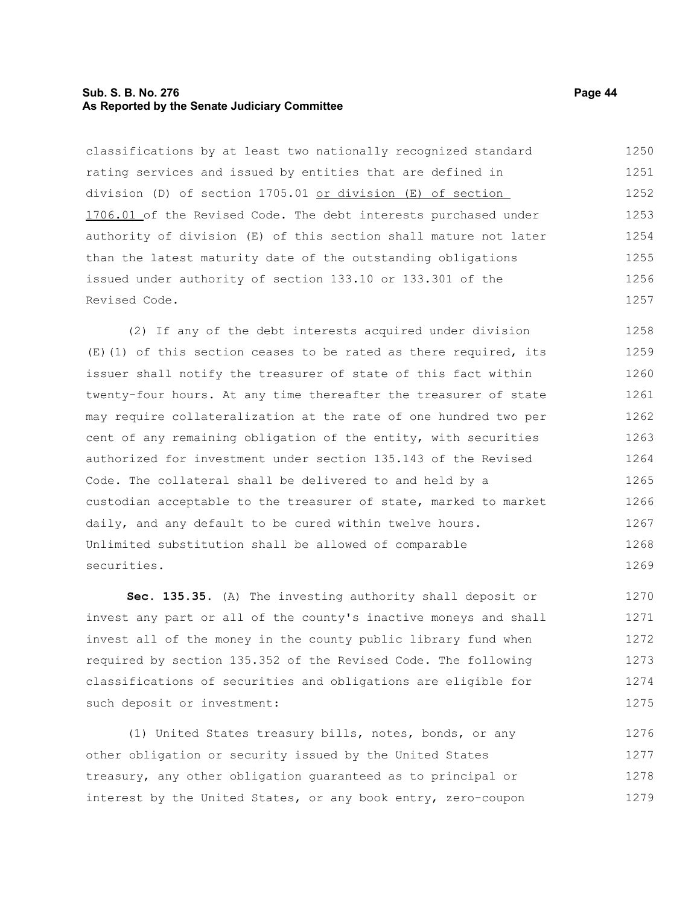## **Sub. S. B. No. 276 Page 44 As Reported by the Senate Judiciary Committee**

classifications by at least two nationally recognized standard rating services and issued by entities that are defined in division (D) of section 1705.01 or division (E) of section 1706.01 of the Revised Code. The debt interests purchased under authority of division (E) of this section shall mature not later than the latest maturity date of the outstanding obligations issued under authority of section 133.10 or 133.301 of the Revised Code. 1250 1251 1252 1253 1254 1255 1256 1257

(2) If any of the debt interests acquired under division (E)(1) of this section ceases to be rated as there required, its issuer shall notify the treasurer of state of this fact within twenty-four hours. At any time thereafter the treasurer of state may require collateralization at the rate of one hundred two per cent of any remaining obligation of the entity, with securities authorized for investment under section 135.143 of the Revised Code. The collateral shall be delivered to and held by a custodian acceptable to the treasurer of state, marked to market daily, and any default to be cured within twelve hours. Unlimited substitution shall be allowed of comparable securities. 1258 1259 1260 1261 1262 1263 1264 1265 1266 1267 1268 1269

**Sec. 135.35.** (A) The investing authority shall deposit or invest any part or all of the county's inactive moneys and shall invest all of the money in the county public library fund when required by section 135.352 of the Revised Code. The following classifications of securities and obligations are eligible for such deposit or investment: 1270 1271 1272 1273 1274 1275

(1) United States treasury bills, notes, bonds, or any other obligation or security issued by the United States treasury, any other obligation guaranteed as to principal or interest by the United States, or any book entry, zero-coupon 1276 1277 1278 1279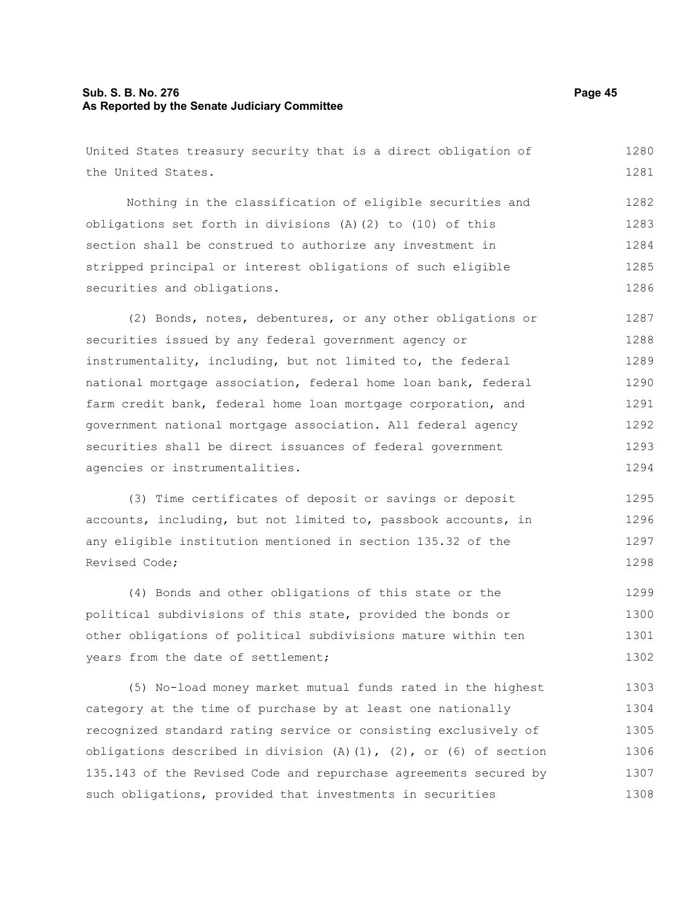# **Sub. S. B. No. 276 Page 45 As Reported by the Senate Judiciary Committee**

United States treasury security that is a direct obligation of the United States. Nothing in the classification of eligible securities and obligations set forth in divisions (A)(2) to (10) of this section shall be construed to authorize any investment in stripped principal or interest obligations of such eligible securities and obligations. (2) Bonds, notes, debentures, or any other obligations or securities issued by any federal government agency or instrumentality, including, but not limited to, the federal national mortgage association, federal home loan bank, federal farm credit bank, federal home loan mortgage corporation, and government national mortgage association. All federal agency securities shall be direct issuances of federal government agencies or instrumentalities. (3) Time certificates of deposit or savings or deposit accounts, including, but not limited to, passbook accounts, in any eligible institution mentioned in section 135.32 of the Revised Code; (4) Bonds and other obligations of this state or the political subdivisions of this state, provided the bonds or other obligations of political subdivisions mature within ten years from the date of settlement; (5) No-load money market mutual funds rated in the highest category at the time of purchase by at least one nationally 1280 1281 1282 1283 1284 1285 1286 1287 1288 1289 1290 1291 1292 1293 1294 1295 1296 1297 1298 1299 1300 1301 1302 1303 1304

recognized standard rating service or consisting exclusively of obligations described in division  $(A)$   $(1)$ ,  $(2)$ , or  $(6)$  of section 135.143 of the Revised Code and repurchase agreements secured by such obligations, provided that investments in securities 1305 1306 1307 1308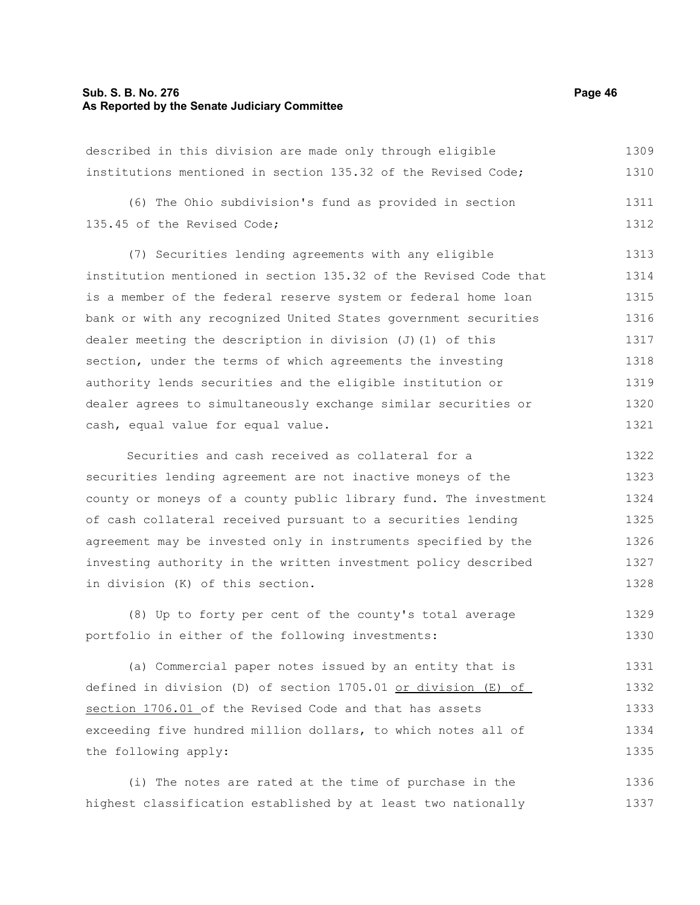# **Sub. S. B. No. 276 Page 46 As Reported by the Senate Judiciary Committee**

the following apply:

| described in this division are made only through eligible        | 1309 |
|------------------------------------------------------------------|------|
| institutions mentioned in section 135.32 of the Revised Code;    | 1310 |
| (6) The Ohio subdivision's fund as provided in section           | 1311 |
| 135.45 of the Revised Code;                                      | 1312 |
| (7) Securities lending agreements with any eligible              | 1313 |
| institution mentioned in section 135.32 of the Revised Code that | 1314 |
| is a member of the federal reserve system or federal home loan   | 1315 |
| bank or with any recognized United States government securities  | 1316 |
| dealer meeting the description in division (J) (1) of this       | 1317 |
| section, under the terms of which agreements the investing       | 1318 |
| authority lends securities and the eligible institution or       | 1319 |
| dealer agrees to simultaneously exchange similar securities or   | 1320 |
| cash, equal value for equal value.                               | 1321 |
| Securities and cash received as collateral for a                 | 1322 |
| securities lending agreement are not inactive moneys of the      | 1323 |
| county or moneys of a county public library fund. The investment | 1324 |
| of cash collateral received pursuant to a securities lending     | 1325 |
| agreement may be invested only in instruments specified by the   | 1326 |
| investing authority in the written investment policy described   | 1327 |
| in division (K) of this section.                                 | 1328 |
| (8) Up to forty per cent of the county's total average           | 1329 |
| portfolio in either of the following investments:                | 1330 |
| (a) Commercial paper notes issued by an entity that is           | 1331 |
| defined in division (D) of section 1705.01 or division (E) of    | 1332 |
| section 1706.01 of the Revised Code and that has assets          | 1333 |
| exceeding five hundred million dollars, to which notes all of    | 1334 |

(i) The notes are rated at the time of purchase in the highest classification established by at least two nationally 1336 1337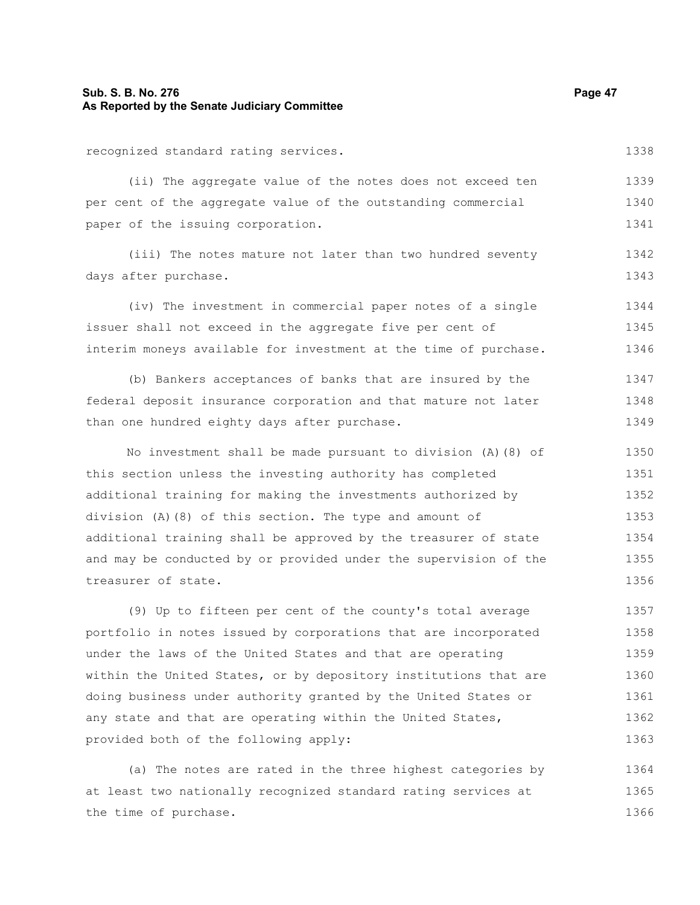# **Sub. S. B. No. 276 Page 47 As Reported by the Senate Judiciary Committee**

recognized standard rating services.

(ii) The aggregate value of the notes does not exceed ten per cent of the aggregate value of the outstanding commercial paper of the issuing corporation. 1339 1340 1341

(iii) The notes mature not later than two hundred seventy days after purchase. 1342 1343

(iv) The investment in commercial paper notes of a single issuer shall not exceed in the aggregate five per cent of interim moneys available for investment at the time of purchase. 1344 1345 1346

(b) Bankers acceptances of banks that are insured by the federal deposit insurance corporation and that mature not later than one hundred eighty days after purchase. 1347 1348 1349

No investment shall be made pursuant to division (A)(8) of this section unless the investing authority has completed additional training for making the investments authorized by division (A)(8) of this section. The type and amount of additional training shall be approved by the treasurer of state and may be conducted by or provided under the supervision of the treasurer of state. 1350 1351 1352 1353 1354 1355 1356

(9) Up to fifteen per cent of the county's total average portfolio in notes issued by corporations that are incorporated under the laws of the United States and that are operating within the United States, or by depository institutions that are doing business under authority granted by the United States or any state and that are operating within the United States, provided both of the following apply: 1357 1358 1359 1360 1361 1362 1363

(a) The notes are rated in the three highest categories by at least two nationally recognized standard rating services at the time of purchase. 1364 1365 1366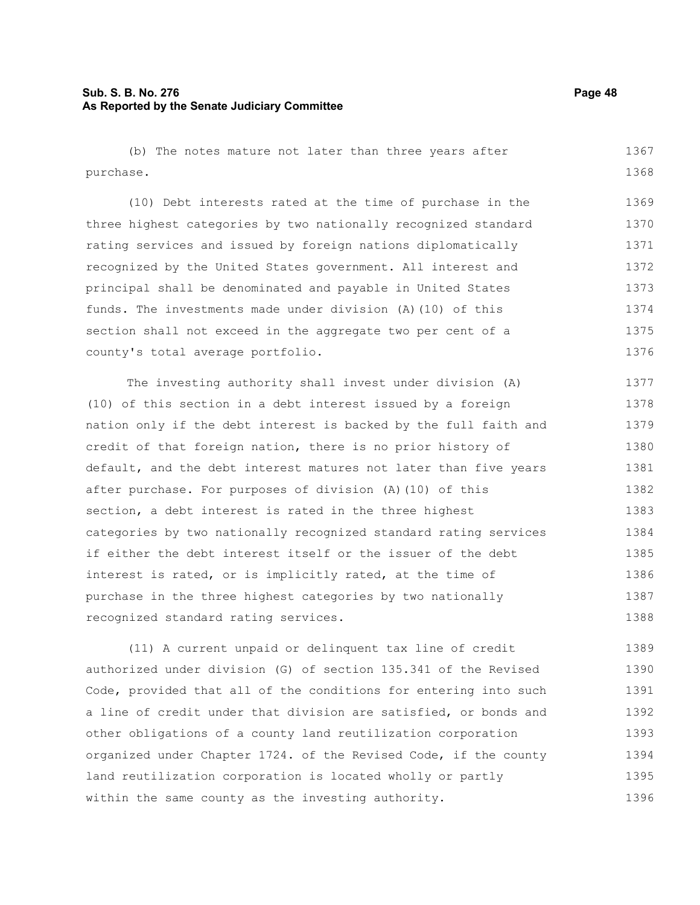(b) The notes mature not later than three years after purchase. 1367 1368

(10) Debt interests rated at the time of purchase in the three highest categories by two nationally recognized standard rating services and issued by foreign nations diplomatically recognized by the United States government. All interest and principal shall be denominated and payable in United States funds. The investments made under division (A)(10) of this section shall not exceed in the aggregate two per cent of a county's total average portfolio. 1369 1370 1371 1372 1373 1374 1375 1376

The investing authority shall invest under division (A) (10) of this section in a debt interest issued by a foreign nation only if the debt interest is backed by the full faith and credit of that foreign nation, there is no prior history of default, and the debt interest matures not later than five years after purchase. For purposes of division (A)(10) of this section, a debt interest is rated in the three highest categories by two nationally recognized standard rating services if either the debt interest itself or the issuer of the debt interest is rated, or is implicitly rated, at the time of purchase in the three highest categories by two nationally recognized standard rating services. 1377 1378 1379 1380 1381 1382 1383 1384 1385 1386 1387 1388

(11) A current unpaid or delinquent tax line of credit authorized under division (G) of section 135.341 of the Revised Code, provided that all of the conditions for entering into such a line of credit under that division are satisfied, or bonds and other obligations of a county land reutilization corporation organized under Chapter 1724. of the Revised Code, if the county land reutilization corporation is located wholly or partly within the same county as the investing authority. 1389 1390 1391 1392 1393 1394 1395 1396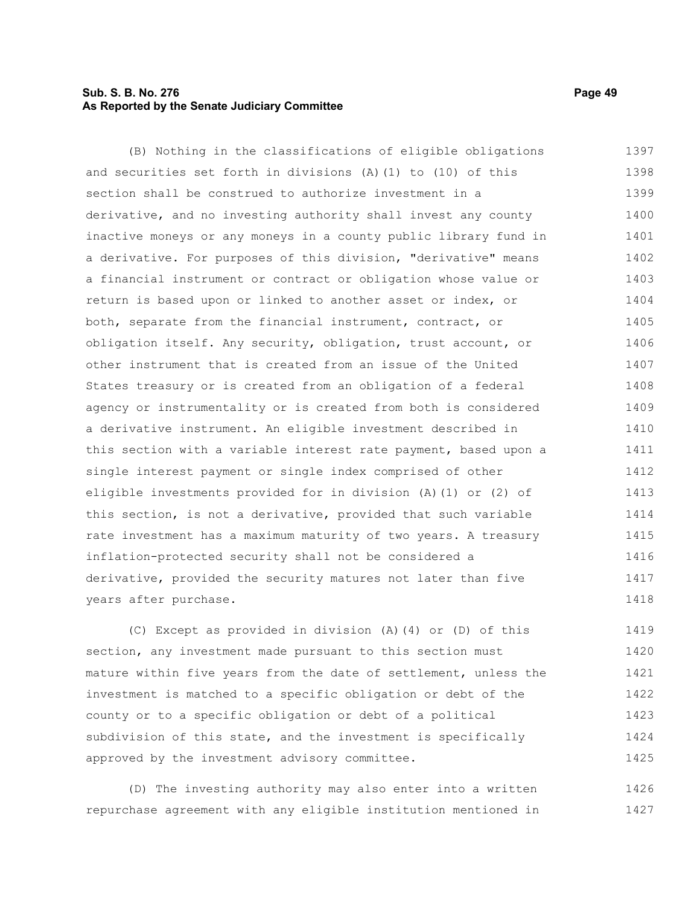# **Sub. S. B. No. 276 Page 49 As Reported by the Senate Judiciary Committee**

(B) Nothing in the classifications of eligible obligations and securities set forth in divisions (A)(1) to (10) of this section shall be construed to authorize investment in a derivative, and no investing authority shall invest any county inactive moneys or any moneys in a county public library fund in a derivative. For purposes of this division, "derivative" means a financial instrument or contract or obligation whose value or return is based upon or linked to another asset or index, or both, separate from the financial instrument, contract, or obligation itself. Any security, obligation, trust account, or other instrument that is created from an issue of the United States treasury or is created from an obligation of a federal agency or instrumentality or is created from both is considered a derivative instrument. An eligible investment described in this section with a variable interest rate payment, based upon a single interest payment or single index comprised of other eligible investments provided for in division (A)(1) or (2) of this section, is not a derivative, provided that such variable rate investment has a maximum maturity of two years. A treasury inflation-protected security shall not be considered a derivative, provided the security matures not later than five years after purchase. 1397 1398 1399 1400 1401 1402 1403 1404 1405 1406 1407 1408 1409 1410 1411 1412 1413 1414 1415 1416 1417 1418

(C) Except as provided in division (A)(4) or (D) of this section, any investment made pursuant to this section must mature within five years from the date of settlement, unless the investment is matched to a specific obligation or debt of the county or to a specific obligation or debt of a political subdivision of this state, and the investment is specifically approved by the investment advisory committee. 1419 1420 1421 1422 1423 1424 1425

(D) The investing authority may also enter into a written repurchase agreement with any eligible institution mentioned in 1426 1427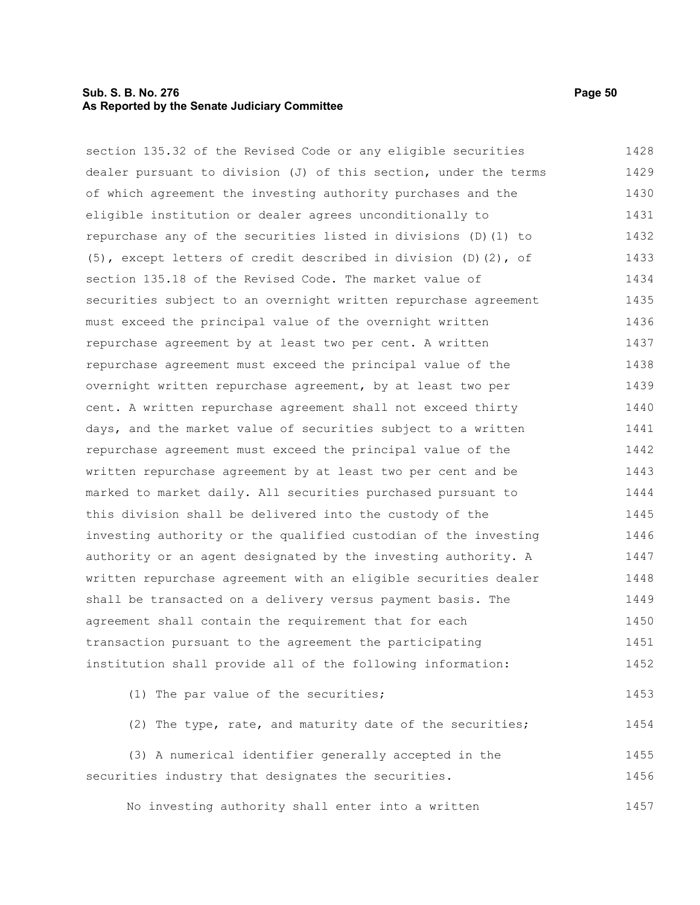## **Sub. S. B. No. 276 Page 50 As Reported by the Senate Judiciary Committee**

section 135.32 of the Revised Code or any eligible securities dealer pursuant to division (J) of this section, under the terms of which agreement the investing authority purchases and the eligible institution or dealer agrees unconditionally to repurchase any of the securities listed in divisions (D)(1) to (5), except letters of credit described in division (D)(2), of section 135.18 of the Revised Code. The market value of securities subject to an overnight written repurchase agreement must exceed the principal value of the overnight written repurchase agreement by at least two per cent. A written repurchase agreement must exceed the principal value of the overnight written repurchase agreement, by at least two per cent. A written repurchase agreement shall not exceed thirty days, and the market value of securities subject to a written repurchase agreement must exceed the principal value of the written repurchase agreement by at least two per cent and be marked to market daily. All securities purchased pursuant to this division shall be delivered into the custody of the investing authority or the qualified custodian of the investing authority or an agent designated by the investing authority. A written repurchase agreement with an eligible securities dealer shall be transacted on a delivery versus payment basis. The agreement shall contain the requirement that for each transaction pursuant to the agreement the participating institution shall provide all of the following information: (1) The par value of the securities; (2) The type, rate, and maturity date of the securities; 1428 1429 1430 1431 1432 1433 1434 1435 1436 1437 1438 1439 1440 1441 1442 1443 1444 1445 1446 1447 1448 1449 1450 1451 1452 1453 1454

(3) A numerical identifier generally accepted in the securities industry that designates the securities. 1455 1456

No investing authority shall enter into a written 1457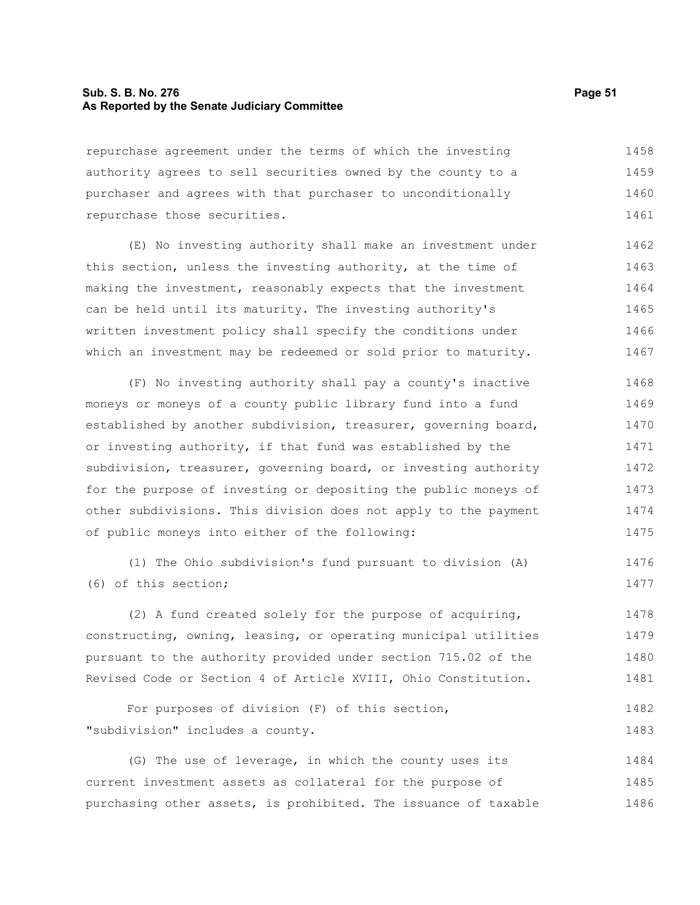# **Sub. S. B. No. 276 Page 51 As Reported by the Senate Judiciary Committee**

repurchase agreement under the terms of which the investing authority agrees to sell securities owned by the county to a purchaser and agrees with that purchaser to unconditionally repurchase those securities. 1458 1459 1460 1461

(E) No investing authority shall make an investment under this section, unless the investing authority, at the time of making the investment, reasonably expects that the investment can be held until its maturity. The investing authority's written investment policy shall specify the conditions under which an investment may be redeemed or sold prior to maturity. 1462 1463 1464 1465 1466 1467

(F) No investing authority shall pay a county's inactive moneys or moneys of a county public library fund into a fund established by another subdivision, treasurer, governing board, or investing authority, if that fund was established by the subdivision, treasurer, governing board, or investing authority for the purpose of investing or depositing the public moneys of other subdivisions. This division does not apply to the payment of public moneys into either of the following: 1468 1469 1470 1471 1472 1473 1474 1475

(1) The Ohio subdivision's fund pursuant to division (A) (6) of this section; 1476 1477

(2) A fund created solely for the purpose of acquiring, constructing, owning, leasing, or operating municipal utilities pursuant to the authority provided under section 715.02 of the Revised Code or Section 4 of Article XVIII, Ohio Constitution. 1478 1479 1480 1481

For purposes of division (F) of this section, "subdivision" includes a county. 1482 1483

(G) The use of leverage, in which the county uses its current investment assets as collateral for the purpose of purchasing other assets, is prohibited. The issuance of taxable 1484 1485 1486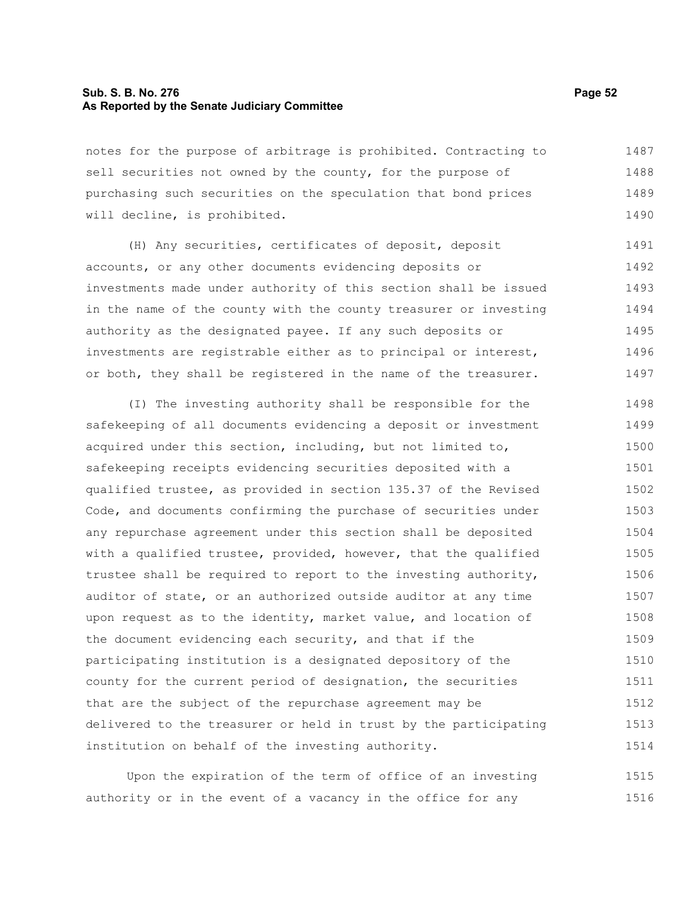## **Sub. S. B. No. 276 Page 52 As Reported by the Senate Judiciary Committee**

notes for the purpose of arbitrage is prohibited. Contracting to sell securities not owned by the county, for the purpose of purchasing such securities on the speculation that bond prices will decline, is prohibited. 1487 1488 1489 1490

(H) Any securities, certificates of deposit, deposit accounts, or any other documents evidencing deposits or investments made under authority of this section shall be issued in the name of the county with the county treasurer or investing authority as the designated payee. If any such deposits or investments are registrable either as to principal or interest, or both, they shall be registered in the name of the treasurer. 1491 1492 1493 1494 1495 1496 1497

(I) The investing authority shall be responsible for the safekeeping of all documents evidencing a deposit or investment acquired under this section, including, but not limited to, safekeeping receipts evidencing securities deposited with a qualified trustee, as provided in section 135.37 of the Revised Code, and documents confirming the purchase of securities under any repurchase agreement under this section shall be deposited with a qualified trustee, provided, however, that the qualified trustee shall be required to report to the investing authority, auditor of state, or an authorized outside auditor at any time upon request as to the identity, market value, and location of the document evidencing each security, and that if the participating institution is a designated depository of the county for the current period of designation, the securities that are the subject of the repurchase agreement may be delivered to the treasurer or held in trust by the participating institution on behalf of the investing authority. 1498 1499 1500 1501 1502 1503 1504 1505 1506 1507 1508 1509 1510 1511 1512 1513 1514

Upon the expiration of the term of office of an investing authority or in the event of a vacancy in the office for any 1515 1516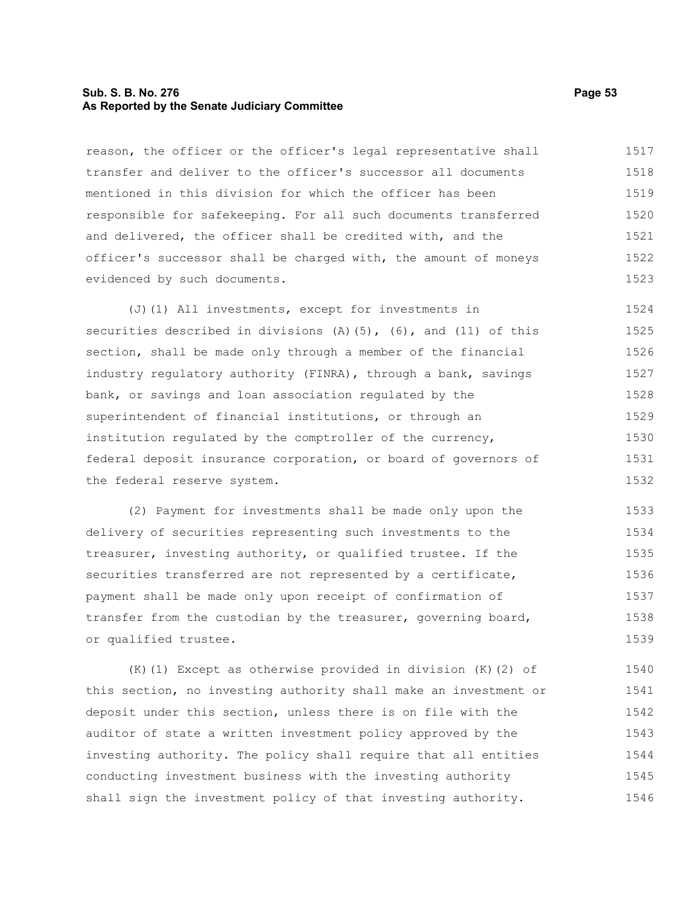#### **Sub. S. B. No. 276 Page 53 As Reported by the Senate Judiciary Committee**

reason, the officer or the officer's legal representative shall transfer and deliver to the officer's successor all documents mentioned in this division for which the officer has been responsible for safekeeping. For all such documents transferred and delivered, the officer shall be credited with, and the officer's successor shall be charged with, the amount of moneys evidenced by such documents. 1517 1518 1519 1520 1521 1522 1523

(J)(1) All investments, except for investments in securities described in divisions  $(A)$  (5), (6), and (11) of this section, shall be made only through a member of the financial industry regulatory authority (FINRA), through a bank, savings bank, or savings and loan association regulated by the superintendent of financial institutions, or through an institution regulated by the comptroller of the currency, federal deposit insurance corporation, or board of governors of the federal reserve system. 1524 1525 1526 1527 1528 1529 1530 1531 1532

(2) Payment for investments shall be made only upon the delivery of securities representing such investments to the treasurer, investing authority, or qualified trustee. If the securities transferred are not represented by a certificate, payment shall be made only upon receipt of confirmation of transfer from the custodian by the treasurer, governing board, or qualified trustee. 1533 1534 1535 1536 1537 1538 1539

(K)(1) Except as otherwise provided in division (K)(2) of this section, no investing authority shall make an investment or deposit under this section, unless there is on file with the auditor of state a written investment policy approved by the investing authority. The policy shall require that all entities conducting investment business with the investing authority shall sign the investment policy of that investing authority. 1540 1541 1542 1543 1544 1545 1546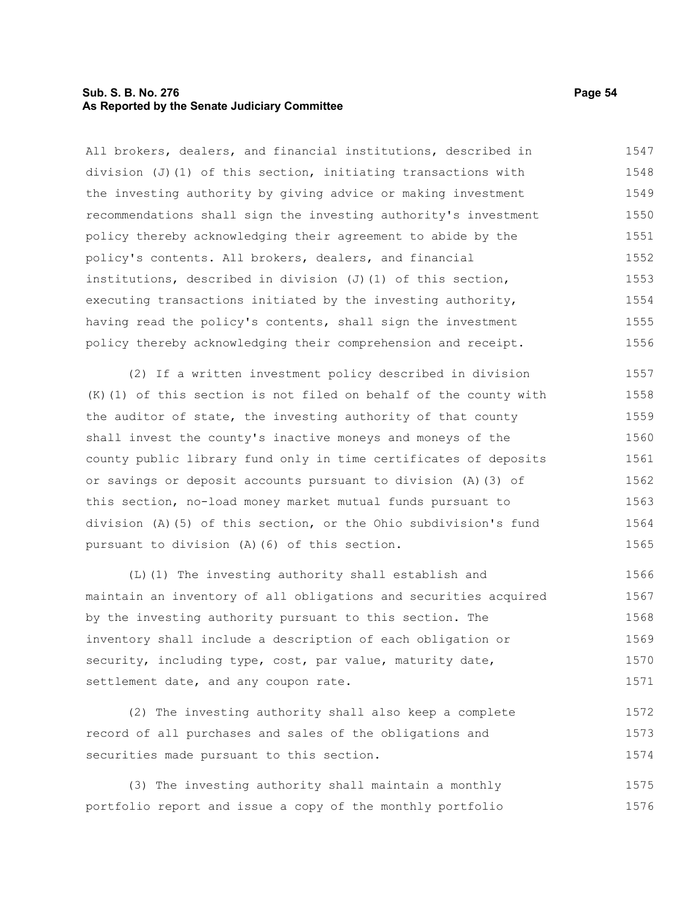#### **Sub. S. B. No. 276 Page 54 As Reported by the Senate Judiciary Committee**

All brokers, dealers, and financial institutions, described in division  $(J)$  (1) of this section, initiating transactions with the investing authority by giving advice or making investment recommendations shall sign the investing authority's investment policy thereby acknowledging their agreement to abide by the policy's contents. All brokers, dealers, and financial institutions, described in division  $(J)$  (1) of this section, executing transactions initiated by the investing authority, having read the policy's contents, shall sign the investment policy thereby acknowledging their comprehension and receipt. 1547 1548 1549 1550 1551 1552 1553 1554 1555 1556

(2) If a written investment policy described in division (K)(1) of this section is not filed on behalf of the county with the auditor of state, the investing authority of that county shall invest the county's inactive moneys and moneys of the county public library fund only in time certificates of deposits or savings or deposit accounts pursuant to division (A)(3) of this section, no-load money market mutual funds pursuant to division (A)(5) of this section, or the Ohio subdivision's fund pursuant to division (A)(6) of this section. 1557 1558 1559 1560 1561 1562 1563 1564 1565

(L)(1) The investing authority shall establish and maintain an inventory of all obligations and securities acquired by the investing authority pursuant to this section. The inventory shall include a description of each obligation or security, including type, cost, par value, maturity date, settlement date, and any coupon rate. 1566 1567 1568 1569 1570 1571

(2) The investing authority shall also keep a complete record of all purchases and sales of the obligations and securities made pursuant to this section. 1572 1573 1574

(3) The investing authority shall maintain a monthly portfolio report and issue a copy of the monthly portfolio 1575 1576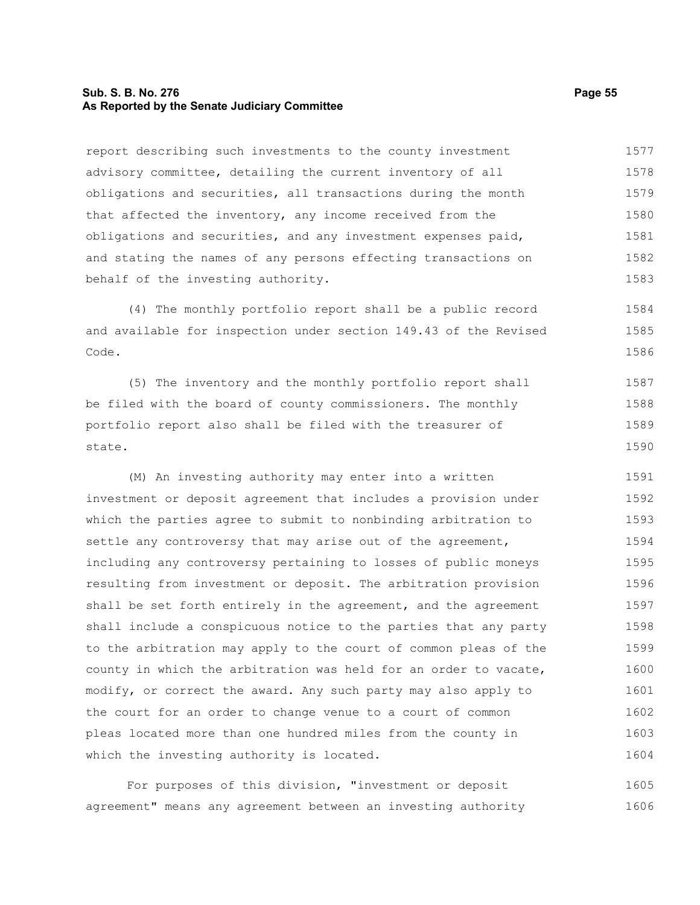## **Sub. S. B. No. 276 Page 55 As Reported by the Senate Judiciary Committee**

report describing such investments to the county investment advisory committee, detailing the current inventory of all obligations and securities, all transactions during the month that affected the inventory, any income received from the obligations and securities, and any investment expenses paid, and stating the names of any persons effecting transactions on behalf of the investing authority. 1577 1578 1579 1580 1581 1582 1583

(4) The monthly portfolio report shall be a public record and available for inspection under section 149.43 of the Revised Code. 1584 1585 1586

(5) The inventory and the monthly portfolio report shall be filed with the board of county commissioners. The monthly portfolio report also shall be filed with the treasurer of state. 1587 1588 1589 1590

(M) An investing authority may enter into a written investment or deposit agreement that includes a provision under which the parties agree to submit to nonbinding arbitration to settle any controversy that may arise out of the agreement, including any controversy pertaining to losses of public moneys resulting from investment or deposit. The arbitration provision shall be set forth entirely in the agreement, and the agreement shall include a conspicuous notice to the parties that any party to the arbitration may apply to the court of common pleas of the county in which the arbitration was held for an order to vacate, modify, or correct the award. Any such party may also apply to the court for an order to change venue to a court of common pleas located more than one hundred miles from the county in which the investing authority is located. 1591 1592 1593 1594 1595 1596 1597 1598 1599 1600 1601 1602 1603 1604

For purposes of this division, "investment or deposit agreement" means any agreement between an investing authority 1605 1606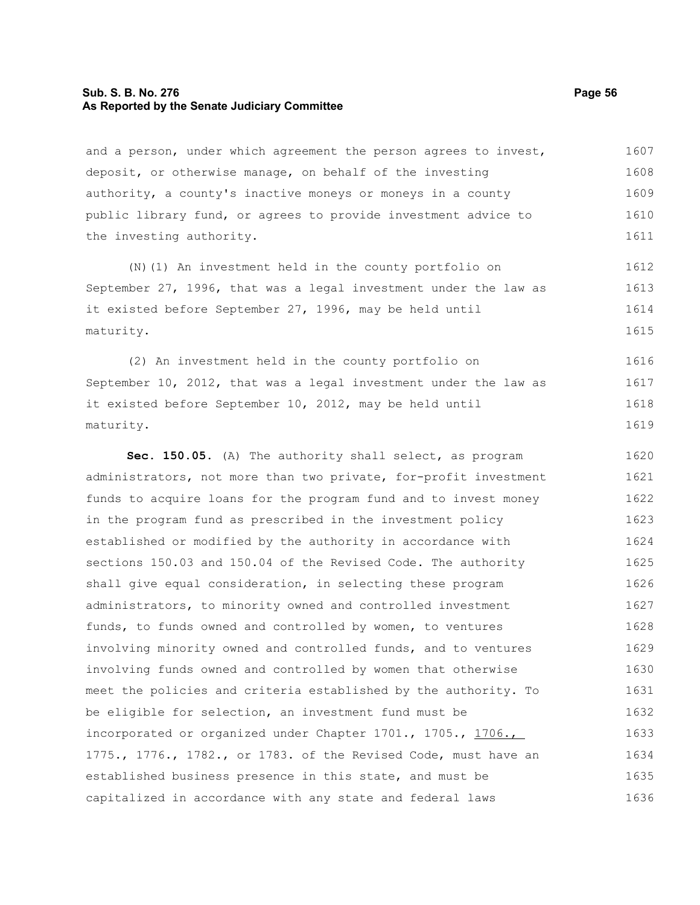# **Sub. S. B. No. 276 Page 56 As Reported by the Senate Judiciary Committee**

and a person, under which agreement the person agrees to invest, deposit, or otherwise manage, on behalf of the investing authority, a county's inactive moneys or moneys in a county public library fund, or agrees to provide investment advice to the investing authority. 1607 1608 1609 1610 1611

(N)(1) An investment held in the county portfolio on September 27, 1996, that was a legal investment under the law as it existed before September 27, 1996, may be held until maturity. 1612 1613 1614 1615

(2) An investment held in the county portfolio on September 10, 2012, that was a legal investment under the law as it existed before September 10, 2012, may be held until maturity. 1616 1617 1618 1619

**Sec. 150.05.** (A) The authority shall select, as program administrators, not more than two private, for-profit investment funds to acquire loans for the program fund and to invest money in the program fund as prescribed in the investment policy established or modified by the authority in accordance with sections 150.03 and 150.04 of the Revised Code. The authority shall give equal consideration, in selecting these program administrators, to minority owned and controlled investment funds, to funds owned and controlled by women, to ventures involving minority owned and controlled funds, and to ventures involving funds owned and controlled by women that otherwise meet the policies and criteria established by the authority. To be eligible for selection, an investment fund must be incorporated or organized under Chapter 1701., 1705., 1706., 1775., 1776., 1782., or 1783. of the Revised Code, must have an established business presence in this state, and must be capitalized in accordance with any state and federal laws 1620 1621 1622 1623 1624 1625 1626 1627 1628 1629 1630 1631 1632 1633 1634 1635 1636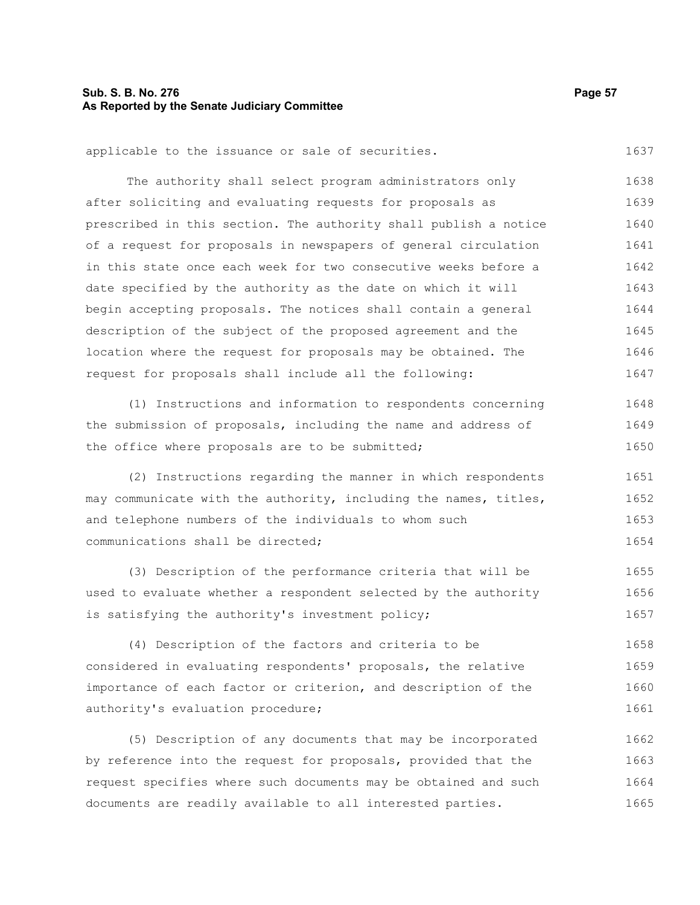# **Sub. S. B. No. 276 Page 57 As Reported by the Senate Judiciary Committee**

applicable to the issuance or sale of securities. 1637

The authority shall select program administrators only after soliciting and evaluating requests for proposals as prescribed in this section. The authority shall publish a notice of a request for proposals in newspapers of general circulation in this state once each week for two consecutive weeks before a date specified by the authority as the date on which it will begin accepting proposals. The notices shall contain a general description of the subject of the proposed agreement and the location where the request for proposals may be obtained. The request for proposals shall include all the following: 1639 1640 1641 1642 1643 1644 1645 1646 1647

(1) Instructions and information to respondents concerning the submission of proposals, including the name and address of the office where proposals are to be submitted; 1648 1649 1650

(2) Instructions regarding the manner in which respondents may communicate with the authority, including the names, titles, and telephone numbers of the individuals to whom such communications shall be directed; 1651 1652 1653 1654

(3) Description of the performance criteria that will be used to evaluate whether a respondent selected by the authority is satisfying the authority's investment policy; 1655 1656 1657

(4) Description of the factors and criteria to be considered in evaluating respondents' proposals, the relative importance of each factor or criterion, and description of the authority's evaluation procedure; 1658 1659 1660 1661

(5) Description of any documents that may be incorporated by reference into the request for proposals, provided that the request specifies where such documents may be obtained and such documents are readily available to all interested parties. 1662 1663 1664 1665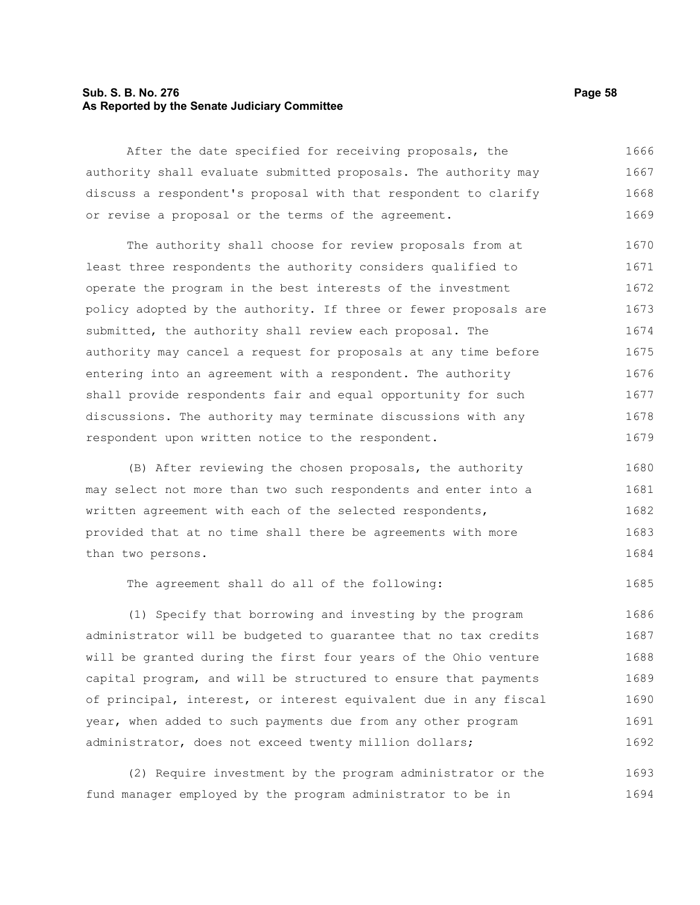# **Sub. S. B. No. 276 Page 58 As Reported by the Senate Judiciary Committee**

After the date specified for receiving proposals, the authority shall evaluate submitted proposals. The authority may discuss a respondent's proposal with that respondent to clarify or revise a proposal or the terms of the agreement. 1666 1667 1668 1669

The authority shall choose for review proposals from at least three respondents the authority considers qualified to operate the program in the best interests of the investment policy adopted by the authority. If three or fewer proposals are submitted, the authority shall review each proposal. The authority may cancel a request for proposals at any time before entering into an agreement with a respondent. The authority shall provide respondents fair and equal opportunity for such discussions. The authority may terminate discussions with any respondent upon written notice to the respondent. 1670 1671 1672 1673 1674 1675 1676 1677 1678 1679

(B) After reviewing the chosen proposals, the authority may select not more than two such respondents and enter into a written agreement with each of the selected respondents, provided that at no time shall there be agreements with more than two persons. 1680 1681 1682 1683 1684

The agreement shall do all of the following:

(1) Specify that borrowing and investing by the program administrator will be budgeted to guarantee that no tax credits will be granted during the first four years of the Ohio venture capital program, and will be structured to ensure that payments of principal, interest, or interest equivalent due in any fiscal year, when added to such payments due from any other program administrator, does not exceed twenty million dollars; 1686 1687 1688 1689 1690 1691 1692

(2) Require investment by the program administrator or the fund manager employed by the program administrator to be in 1693 1694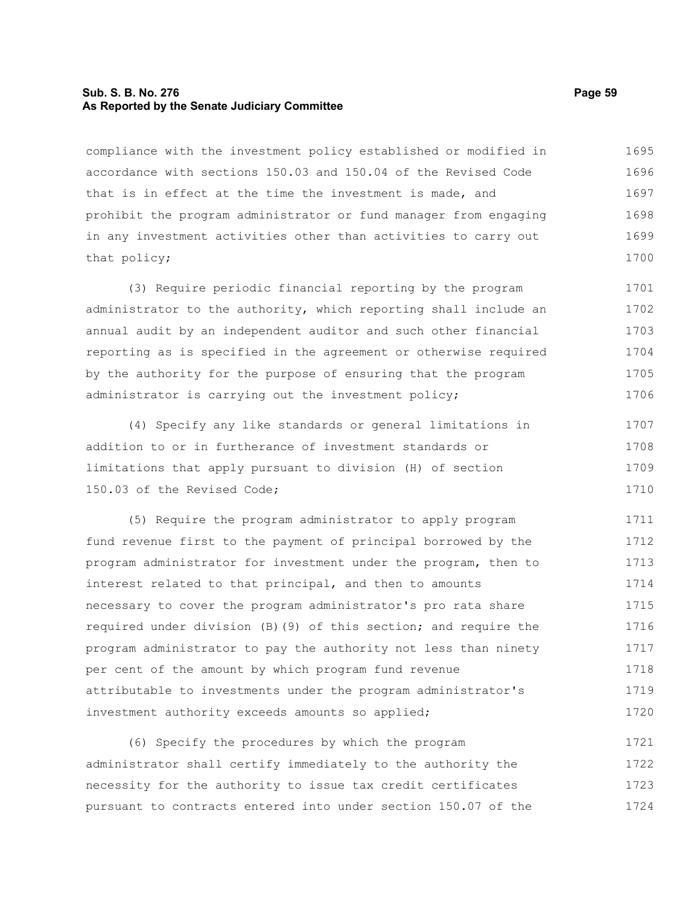# **Sub. S. B. No. 276 Page 59 As Reported by the Senate Judiciary Committee**

compliance with the investment policy established or modified in accordance with sections 150.03 and 150.04 of the Revised Code that is in effect at the time the investment is made, and prohibit the program administrator or fund manager from engaging in any investment activities other than activities to carry out that policy; 1695 1696 1697 1698 1699 1700

(3) Require periodic financial reporting by the program administrator to the authority, which reporting shall include an annual audit by an independent auditor and such other financial reporting as is specified in the agreement or otherwise required by the authority for the purpose of ensuring that the program administrator is carrying out the investment policy; 1701 1702 1703 1704 1705 1706

(4) Specify any like standards or general limitations in addition to or in furtherance of investment standards or limitations that apply pursuant to division (H) of section 150.03 of the Revised Code; 1707 1708 1709 1710

(5) Require the program administrator to apply program fund revenue first to the payment of principal borrowed by the program administrator for investment under the program, then to interest related to that principal, and then to amounts necessary to cover the program administrator's pro rata share required under division (B)(9) of this section; and require the program administrator to pay the authority not less than ninety per cent of the amount by which program fund revenue attributable to investments under the program administrator's investment authority exceeds amounts so applied; 1711 1712 1713 1714 1715 1716 1717 1718 1719 1720

(6) Specify the procedures by which the program administrator shall certify immediately to the authority the necessity for the authority to issue tax credit certificates pursuant to contracts entered into under section 150.07 of the 1721 1722 1723 1724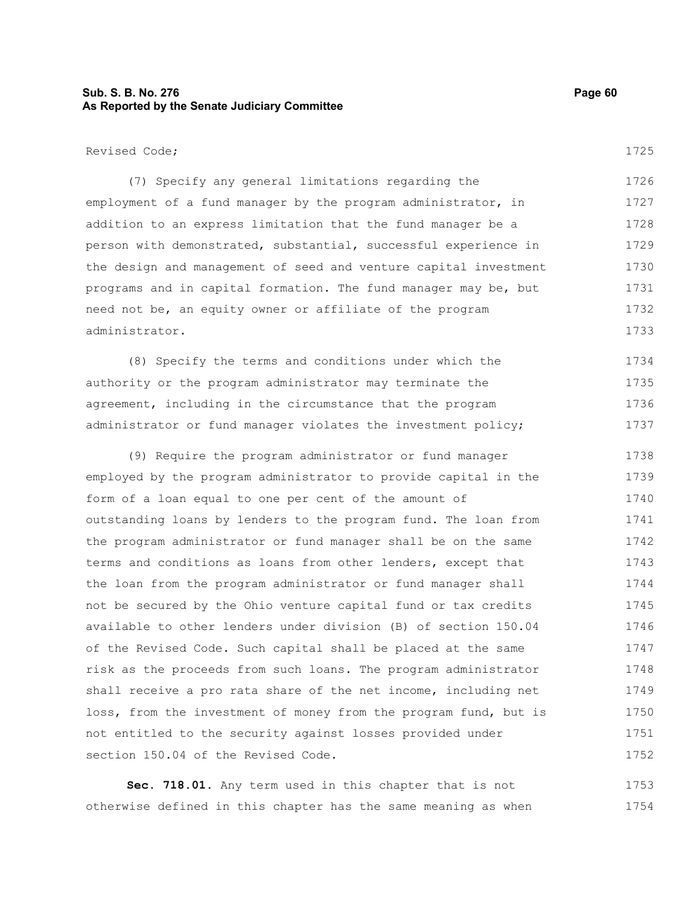# **Sub. S. B. No. 276 Page 60 As Reported by the Senate Judiciary Committee**

(7) Specify any general limitations regarding the employment of a fund manager by the program administrator, in addition to an express limitation that the fund manager be a person with demonstrated, substantial, successful experience in the design and management of seed and venture capital investment programs and in capital formation. The fund manager may be, but need not be, an equity owner or affiliate of the program administrator. 1726 1727 1728 1729 1730 1731 1732 1733

(8) Specify the terms and conditions under which the authority or the program administrator may terminate the agreement, including in the circumstance that the program administrator or fund manager violates the investment policy; 1734 1735 1736 1737

(9) Require the program administrator or fund manager employed by the program administrator to provide capital in the form of a loan equal to one per cent of the amount of outstanding loans by lenders to the program fund. The loan from the program administrator or fund manager shall be on the same terms and conditions as loans from other lenders, except that the loan from the program administrator or fund manager shall not be secured by the Ohio venture capital fund or tax credits available to other lenders under division (B) of section 150.04 of the Revised Code. Such capital shall be placed at the same risk as the proceeds from such loans. The program administrator shall receive a pro rata share of the net income, including net loss, from the investment of money from the program fund, but is not entitled to the security against losses provided under section 150.04 of the Revised Code. 1738 1739 1740 1741 1742 1743 1744 1745 1746 1747 1748 1749 1750 1751 1752

**Sec. 718.01.** Any term used in this chapter that is not otherwise defined in this chapter has the same meaning as when 1753 1754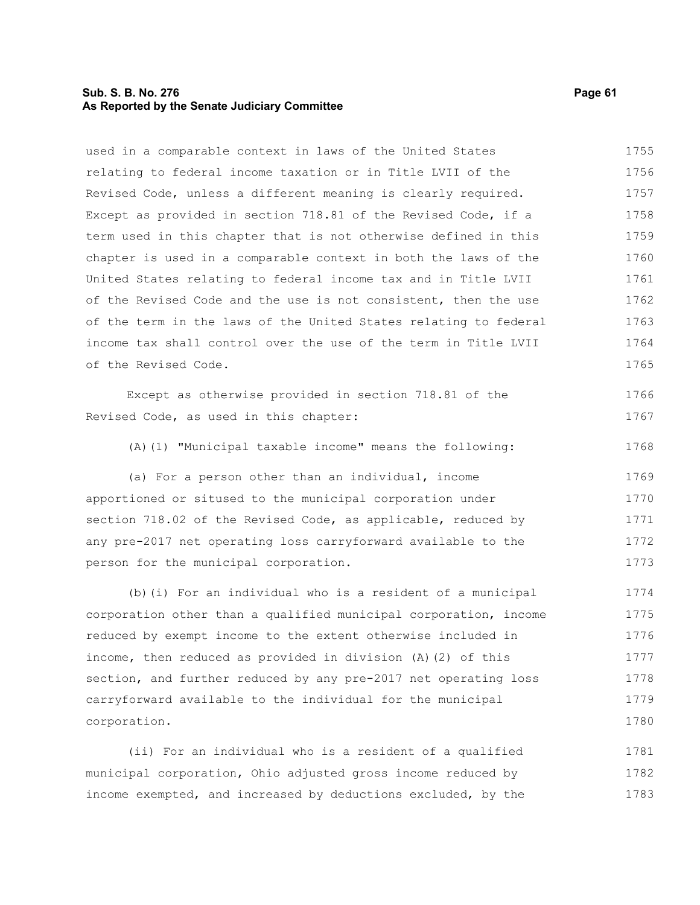# **Sub. S. B. No. 276 Page 61 As Reported by the Senate Judiciary Committee**

| used in a comparable context in laws of the United States        | 1755 |
|------------------------------------------------------------------|------|
| relating to federal income taxation or in Title LVII of the      | 1756 |
| Revised Code, unless a different meaning is clearly required.    | 1757 |
| Except as provided in section 718.81 of the Revised Code, if a   | 1758 |
| term used in this chapter that is not otherwise defined in this  | 1759 |
| chapter is used in a comparable context in both the laws of the  | 1760 |
| United States relating to federal income tax and in Title LVII   | 1761 |
| of the Revised Code and the use is not consistent, then the use  | 1762 |
| of the term in the laws of the United States relating to federal | 1763 |
| income tax shall control over the use of the term in Title LVII  | 1764 |
| of the Revised Code.                                             | 1765 |
| Except as otherwise provided in section 718.81 of the            | 1766 |
| Revised Code, as used in this chapter:                           | 1767 |
| (A) (1) "Municipal taxable income" means the following:          | 1768 |
| (a) For a person other than an individual, income                | 1769 |
| apportioned or sitused to the municipal corporation under        | 1770 |
| section 718.02 of the Revised Code, as applicable, reduced by    | 1771 |
| any pre-2017 net operating loss carryforward available to the    | 1772 |
| person for the municipal corporation.                            | 1773 |
| (b) (i) For an individual who is a resident of a municipal       | 1774 |
| corporation other than a qualified municipal corporation, income | 1775 |
| reduced by exempt income to the extent otherwise included in     | 1776 |
| income, then reduced as provided in division (A)(2) of this      | 1777 |
| section, and further reduced by any pre-2017 net operating loss  | 1778 |
| carryforward available to the individual for the municipal       | 1779 |
| corporation.                                                     | 1780 |
| (ii) For an individual who is a resident of a qualified          | 1781 |
| municipal corporation, Ohio adjusted gross income reduced by     | 1782 |
| income exempted, and increased by deductions excluded, by the    | 1783 |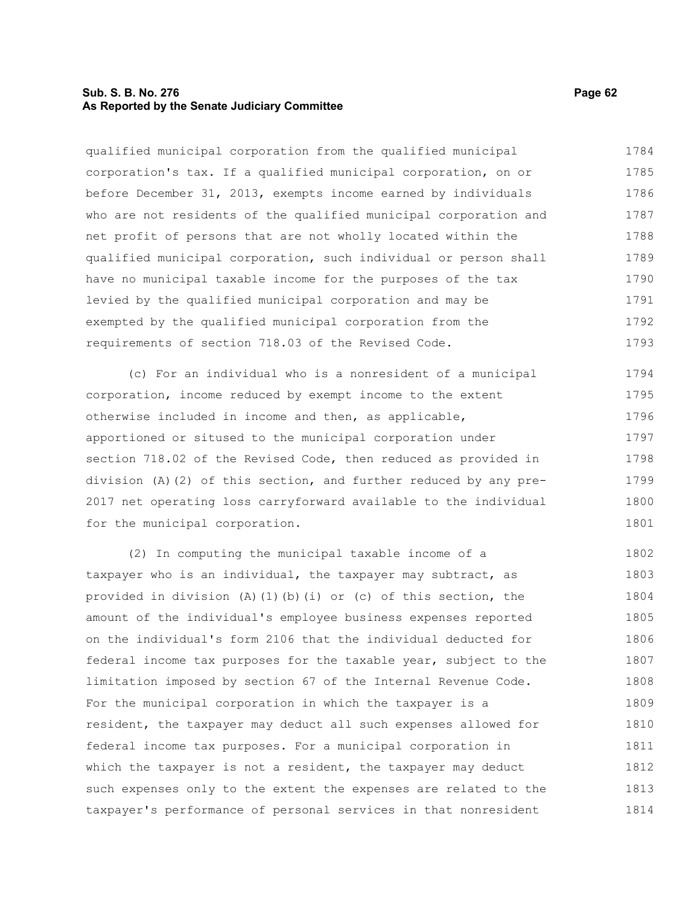# **Sub. S. B. No. 276 Page 62 As Reported by the Senate Judiciary Committee**

qualified municipal corporation from the qualified municipal corporation's tax. If a qualified municipal corporation, on or before December 31, 2013, exempts income earned by individuals who are not residents of the qualified municipal corporation and net profit of persons that are not wholly located within the qualified municipal corporation, such individual or person shall have no municipal taxable income for the purposes of the tax levied by the qualified municipal corporation and may be exempted by the qualified municipal corporation from the requirements of section 718.03 of the Revised Code. 1784 1785 1786 1787 1788 1789 1790 1791 1792 1793

(c) For an individual who is a nonresident of a municipal corporation, income reduced by exempt income to the extent otherwise included in income and then, as applicable, apportioned or sitused to the municipal corporation under section 718.02 of the Revised Code, then reduced as provided in division (A)(2) of this section, and further reduced by any pre-2017 net operating loss carryforward available to the individual for the municipal corporation. 1794 1795 1796 1797 1798 1799 1800 1801

(2) In computing the municipal taxable income of a taxpayer who is an individual, the taxpayer may subtract, as provided in division (A)(1)(b)(i) or (c) of this section, the amount of the individual's employee business expenses reported on the individual's form 2106 that the individual deducted for federal income tax purposes for the taxable year, subject to the limitation imposed by section 67 of the Internal Revenue Code. For the municipal corporation in which the taxpayer is a resident, the taxpayer may deduct all such expenses allowed for federal income tax purposes. For a municipal corporation in which the taxpayer is not a resident, the taxpayer may deduct such expenses only to the extent the expenses are related to the taxpayer's performance of personal services in that nonresident 1802 1803 1804 1805 1806 1807 1808 1809 1810 1811 1812 1813 1814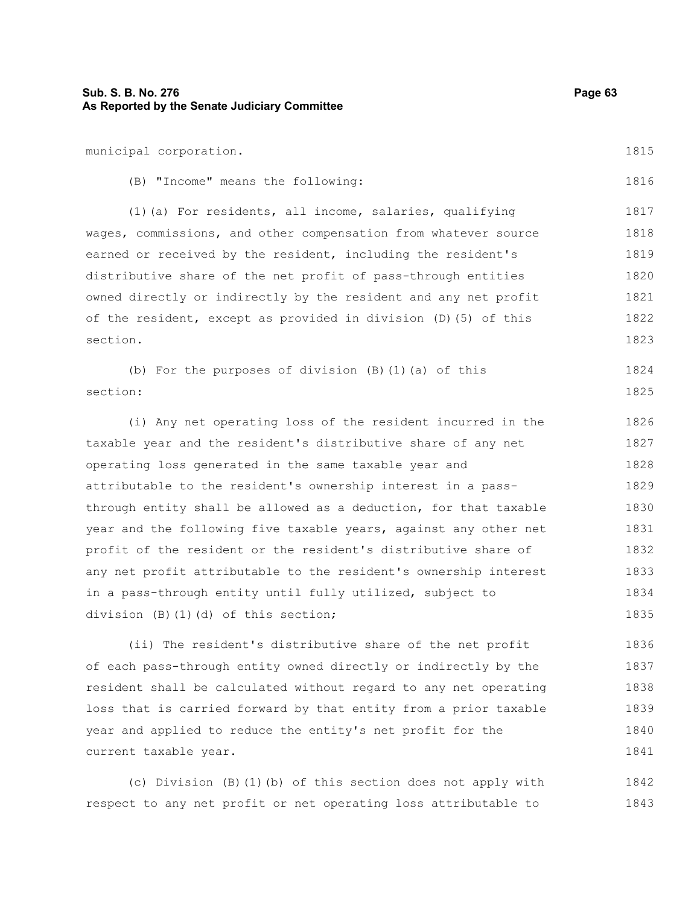municipal corporation. (B) "Income" means the following: (1)(a) For residents, all income, salaries, qualifying wages, commissions, and other compensation from whatever source earned or received by the resident, including the resident's distributive share of the net profit of pass-through entities owned directly or indirectly by the resident and any net profit of the resident, except as provided in division (D)(5) of this section. (b) For the purposes of division (B)(1)(a) of this section: (i) Any net operating loss of the resident incurred in the taxable year and the resident's distributive share of any net operating loss generated in the same taxable year and attributable to the resident's ownership interest in a passthrough entity shall be allowed as a deduction, for that taxable year and the following five taxable years, against any other net 1816 1817 1818 1819 1820 1821 1822 1823 1824 1825 1826 1827 1828 1829 1830 1831

profit of the resident or the resident's distributive share of any net profit attributable to the resident's ownership interest in a pass-through entity until fully utilized, subject to division (B)(1)(d) of this section; 1832 1833 1834 1835

(ii) The resident's distributive share of the net profit of each pass-through entity owned directly or indirectly by the resident shall be calculated without regard to any net operating loss that is carried forward by that entity from a prior taxable year and applied to reduce the entity's net profit for the current taxable year. 1836 1837 1838 1839 1840 1841

(c) Division (B)(1)(b) of this section does not apply with respect to any net profit or net operating loss attributable to 1842 1843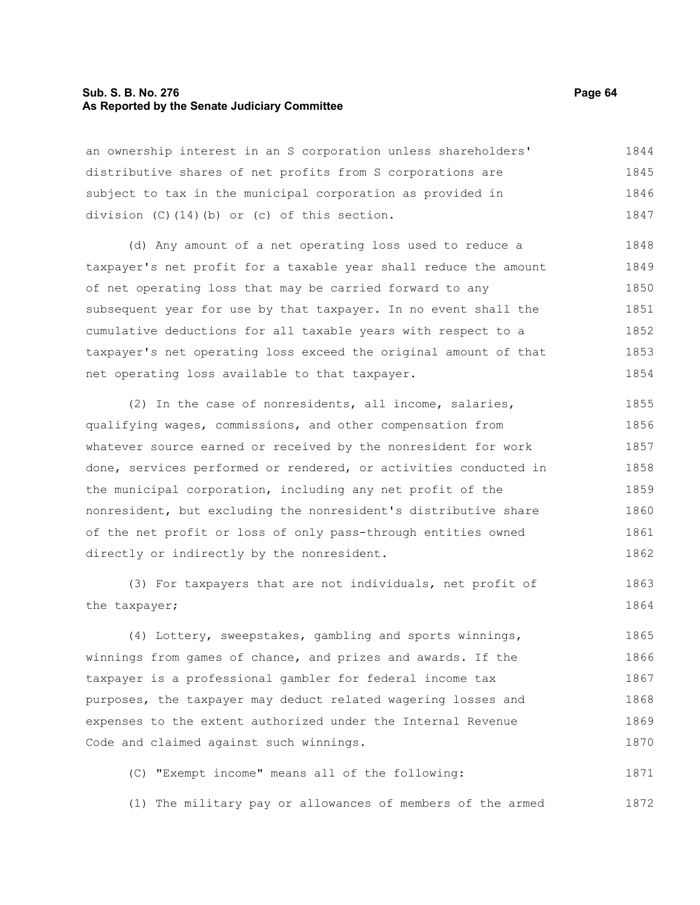## **Sub. S. B. No. 276 Page 64 As Reported by the Senate Judiciary Committee**

an ownership interest in an S corporation unless shareholders' distributive shares of net profits from S corporations are subject to tax in the municipal corporation as provided in division (C)(14)(b) or (c) of this section. 1844 1845 1846 1847

(d) Any amount of a net operating loss used to reduce a taxpayer's net profit for a taxable year shall reduce the amount of net operating loss that may be carried forward to any subsequent year for use by that taxpayer. In no event shall the cumulative deductions for all taxable years with respect to a taxpayer's net operating loss exceed the original amount of that net operating loss available to that taxpayer. 1848 1849 1850 1851 1852 1853 1854

(2) In the case of nonresidents, all income, salaries, qualifying wages, commissions, and other compensation from whatever source earned or received by the nonresident for work done, services performed or rendered, or activities conducted in the municipal corporation, including any net profit of the nonresident, but excluding the nonresident's distributive share of the net profit or loss of only pass-through entities owned directly or indirectly by the nonresident. 1855 1856 1857 1858 1859 1860 1861 1862

(3) For taxpayers that are not individuals, net profit of the taxpayer; 1863 1864

(4) Lottery, sweepstakes, gambling and sports winnings, winnings from games of chance, and prizes and awards. If the taxpayer is a professional gambler for federal income tax purposes, the taxpayer may deduct related wagering losses and expenses to the extent authorized under the Internal Revenue Code and claimed against such winnings. 1865 1866 1867 1868 1869 1870

(C) "Exempt income" means all of the following: 1871

(1) The military pay or allowances of members of the armed 1872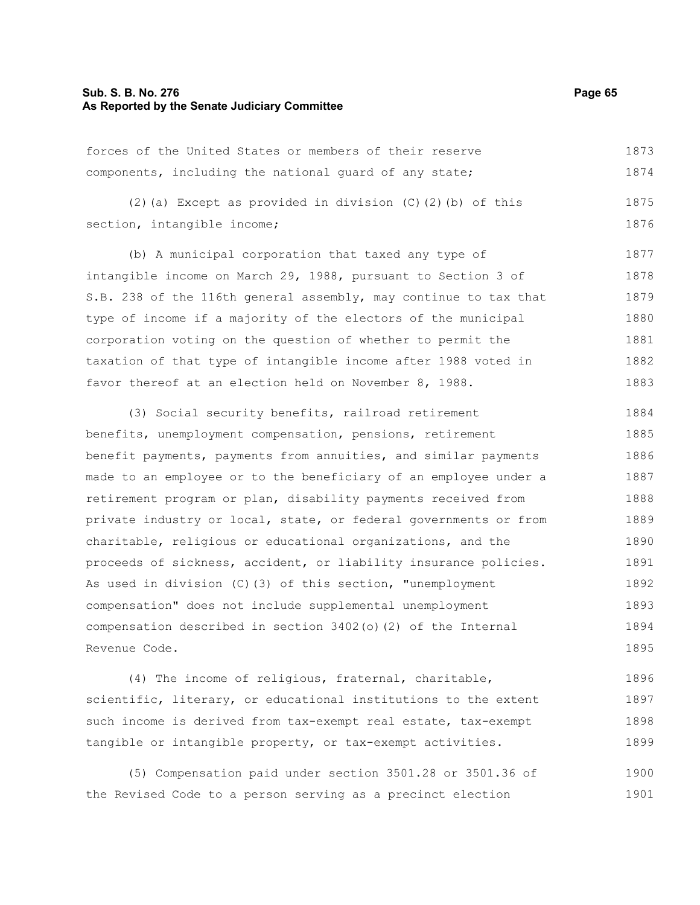#### **Sub. S. B. No. 276 Page 65 As Reported by the Senate Judiciary Committee**

forces of the United States or members of their reserve components, including the national guard of any state; 1873 1874

(2)(a) Except as provided in division (C)(2)(b) of this section, intangible income; 1875 1876

(b) A municipal corporation that taxed any type of intangible income on March 29, 1988, pursuant to Section 3 of S.B. 238 of the 116th general assembly, may continue to tax that type of income if a majority of the electors of the municipal corporation voting on the question of whether to permit the taxation of that type of intangible income after 1988 voted in favor thereof at an election held on November 8, 1988. 1877 1878 1879 1880 1881 1882 1883

(3) Social security benefits, railroad retirement benefits, unemployment compensation, pensions, retirement benefit payments, payments from annuities, and similar payments made to an employee or to the beneficiary of an employee under a retirement program or plan, disability payments received from private industry or local, state, or federal governments or from charitable, religious or educational organizations, and the proceeds of sickness, accident, or liability insurance policies. As used in division (C)(3) of this section, "unemployment compensation" does not include supplemental unemployment compensation described in section 3402(o)(2) of the Internal Revenue Code. 1884 1885 1886 1887 1888 1889 1890 1891 1892 1893 1894 1895

(4) The income of religious, fraternal, charitable, scientific, literary, or educational institutions to the extent such income is derived from tax-exempt real estate, tax-exempt tangible or intangible property, or tax-exempt activities. 1896 1897 1898 1899

(5) Compensation paid under section 3501.28 or 3501.36 of the Revised Code to a person serving as a precinct election 1900 1901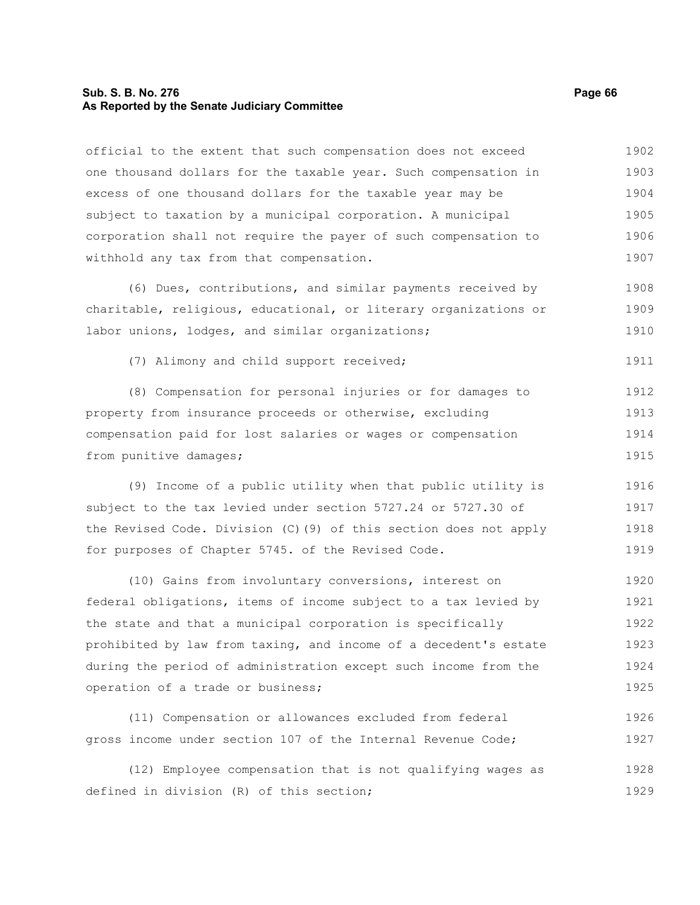#### **Sub. S. B. No. 276 Page 66 As Reported by the Senate Judiciary Committee**

official to the extent that such compensation does not exceed

one thousand dollars for the taxable year. Such compensation in excess of one thousand dollars for the taxable year may be subject to taxation by a municipal corporation. A municipal corporation shall not require the payer of such compensation to withhold any tax from that compensation. (6) Dues, contributions, and similar payments received by charitable, religious, educational, or literary organizations or labor unions, lodges, and similar organizations; (7) Alimony and child support received; (8) Compensation for personal injuries or for damages to property from insurance proceeds or otherwise, excluding compensation paid for lost salaries or wages or compensation from punitive damages; (9) Income of a public utility when that public utility is subject to the tax levied under section 5727.24 or 5727.30 of the Revised Code. Division (C)(9) of this section does not apply for purposes of Chapter 5745. of the Revised Code. (10) Gains from involuntary conversions, interest on federal obligations, items of income subject to a tax levied by the state and that a municipal corporation is specifically prohibited by law from taxing, and income of a decedent's estate during the period of administration except such income from the operation of a trade or business; 1903 1904 1905 1906 1907 1908 1909 1910 1911 1912 1913 1914 1915 1916 1917 1918 1919 1920 1921 1922 1923 1924 1925

(11) Compensation or allowances excluded from federal gross income under section 107 of the Internal Revenue Code; 1926 1927

(12) Employee compensation that is not qualifying wages as defined in division (R) of this section; 1928 1929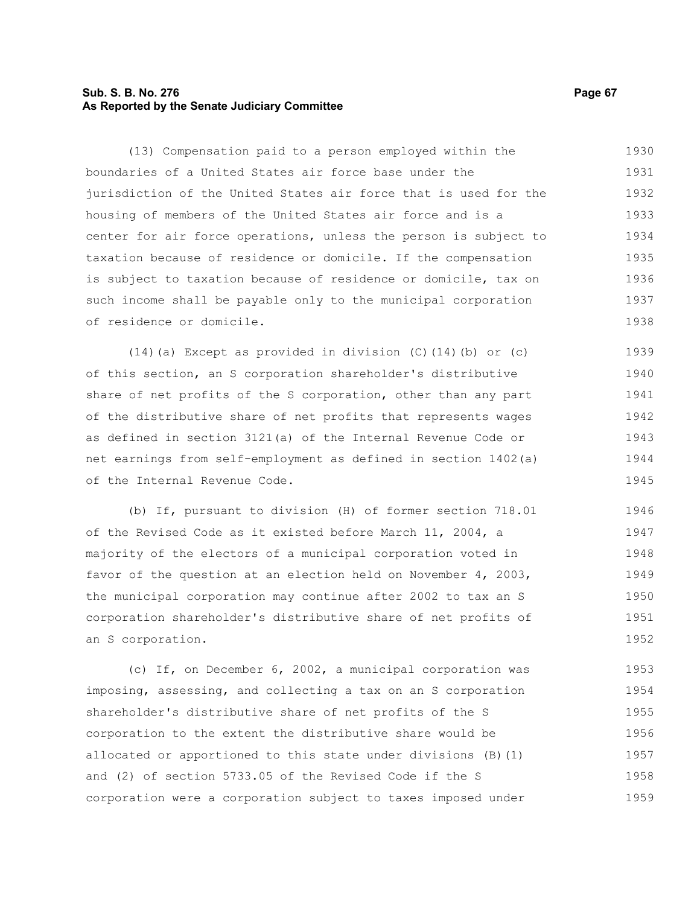# **Sub. S. B. No. 276 Page 67 As Reported by the Senate Judiciary Committee**

(13) Compensation paid to a person employed within the boundaries of a United States air force base under the jurisdiction of the United States air force that is used for the housing of members of the United States air force and is a center for air force operations, unless the person is subject to taxation because of residence or domicile. If the compensation is subject to taxation because of residence or domicile, tax on such income shall be payable only to the municipal corporation of residence or domicile. 1930 1931 1932 1933 1934 1935 1936 1937 1938

(14)(a) Except as provided in division (C)(14)(b) or (c) of this section, an S corporation shareholder's distributive share of net profits of the S corporation, other than any part of the distributive share of net profits that represents wages as defined in section 3121(a) of the Internal Revenue Code or net earnings from self-employment as defined in section 1402(a) of the Internal Revenue Code. 1939 1940 1941 1942 1943 1944 1945

(b) If, pursuant to division (H) of former section 718.01 of the Revised Code as it existed before March 11, 2004, a majority of the electors of a municipal corporation voted in favor of the question at an election held on November 4, 2003, the municipal corporation may continue after 2002 to tax an S corporation shareholder's distributive share of net profits of an S corporation. 1946 1947 1948 1949 1950 1951 1952

(c) If, on December 6, 2002, a municipal corporation was imposing, assessing, and collecting a tax on an S corporation shareholder's distributive share of net profits of the S corporation to the extent the distributive share would be allocated or apportioned to this state under divisions (B)(1) and (2) of section 5733.05 of the Revised Code if the S corporation were a corporation subject to taxes imposed under 1953 1954 1955 1956 1957 1958 1959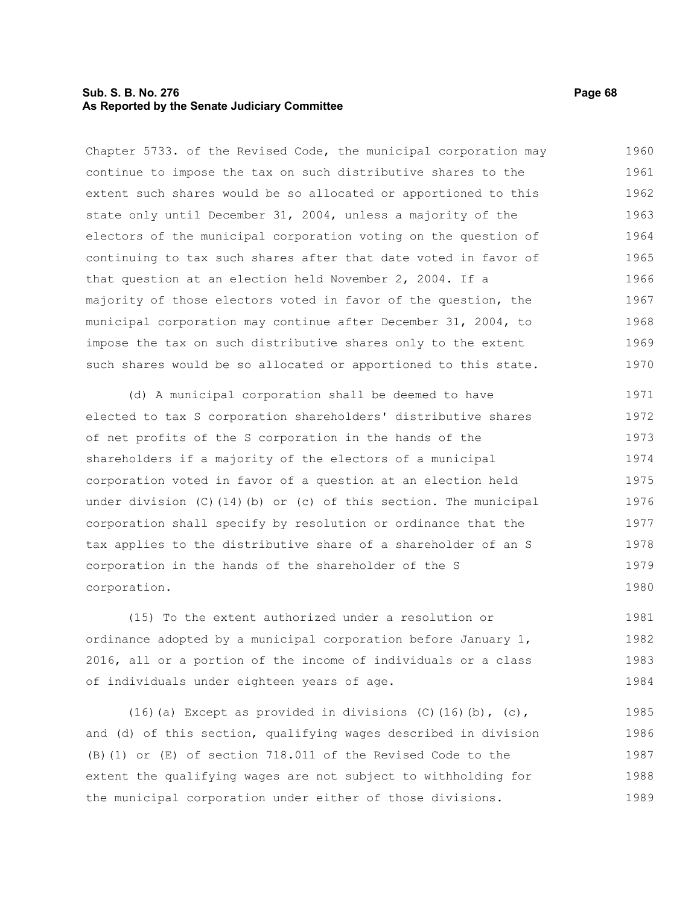## **Sub. S. B. No. 276 Page 68 As Reported by the Senate Judiciary Committee**

Chapter 5733. of the Revised Code, the municipal corporation may continue to impose the tax on such distributive shares to the extent such shares would be so allocated or apportioned to this state only until December 31, 2004, unless a majority of the electors of the municipal corporation voting on the question of continuing to tax such shares after that date voted in favor of that question at an election held November 2, 2004. If a majority of those electors voted in favor of the question, the municipal corporation may continue after December 31, 2004, to impose the tax on such distributive shares only to the extent such shares would be so allocated or apportioned to this state. 1960 1961 1962 1963 1964 1965 1966 1967 1968 1969 1970

(d) A municipal corporation shall be deemed to have elected to tax S corporation shareholders' distributive shares of net profits of the S corporation in the hands of the shareholders if a majority of the electors of a municipal corporation voted in favor of a question at an election held under division (C)(14)(b) or (c) of this section. The municipal corporation shall specify by resolution or ordinance that the tax applies to the distributive share of a shareholder of an S corporation in the hands of the shareholder of the S corporation. 1971 1972 1973 1974 1975 1976 1977 1978 1979 1980

(15) To the extent authorized under a resolution or ordinance adopted by a municipal corporation before January 1, 2016, all or a portion of the income of individuals or a class of individuals under eighteen years of age. 1981 1982 1983 1984

(16)(a) Except as provided in divisions  $(C)$ (16)(b),  $(c)$ , and (d) of this section, qualifying wages described in division (B)(1) or (E) of section 718.011 of the Revised Code to the extent the qualifying wages are not subject to withholding for the municipal corporation under either of those divisions. 1985 1986 1987 1988 1989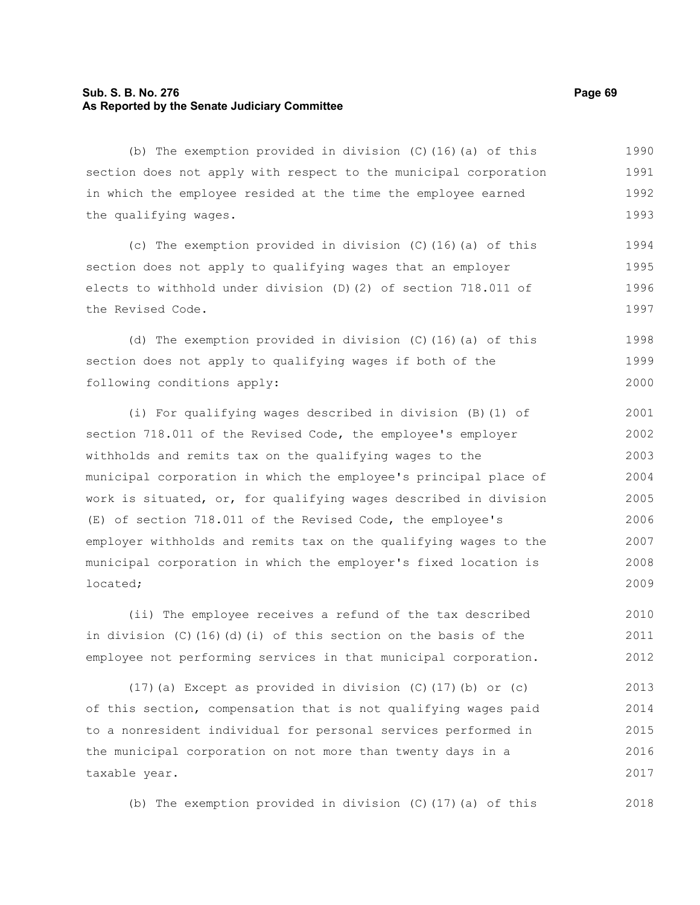# **Sub. S. B. No. 276 Page 69 As Reported by the Senate Judiciary Committee**

taxable year.

(b) The exemption provided in division (C)(16)(a) of this section does not apply with respect to the municipal corporation in which the employee resided at the time the employee earned the qualifying wages. (c) The exemption provided in division (C)(16)(a) of this section does not apply to qualifying wages that an employer elects to withhold under division (D)(2) of section 718.011 of the Revised Code. (d) The exemption provided in division (C)(16)(a) of this section does not apply to qualifying wages if both of the following conditions apply: (i) For qualifying wages described in division (B)(1) of section 718.011 of the Revised Code, the employee's employer withholds and remits tax on the qualifying wages to the municipal corporation in which the employee's principal place of work is situated, or, for qualifying wages described in division (E) of section 718.011 of the Revised Code, the employee's employer withholds and remits tax on the qualifying wages to the municipal corporation in which the employer's fixed location is located; (ii) The employee receives a refund of the tax described in division (C)(16)(d)(i) of this section on the basis of the employee not performing services in that municipal corporation.  $(17)$  (a) Except as provided in division (C)(17)(b) or (c) of this section, compensation that is not qualifying wages paid to a nonresident individual for personal services performed in the municipal corporation on not more than twenty days in a 1990 1991 1992 1993 1994 1995 1996 1997 1998 1999 2000 2001 2002 2003 2004 2005 2006 2007 2008 2009 2010 2011 2012 2013 2014 2015 2016

(b) The exemption provided in division (C)(17)(a) of this

2017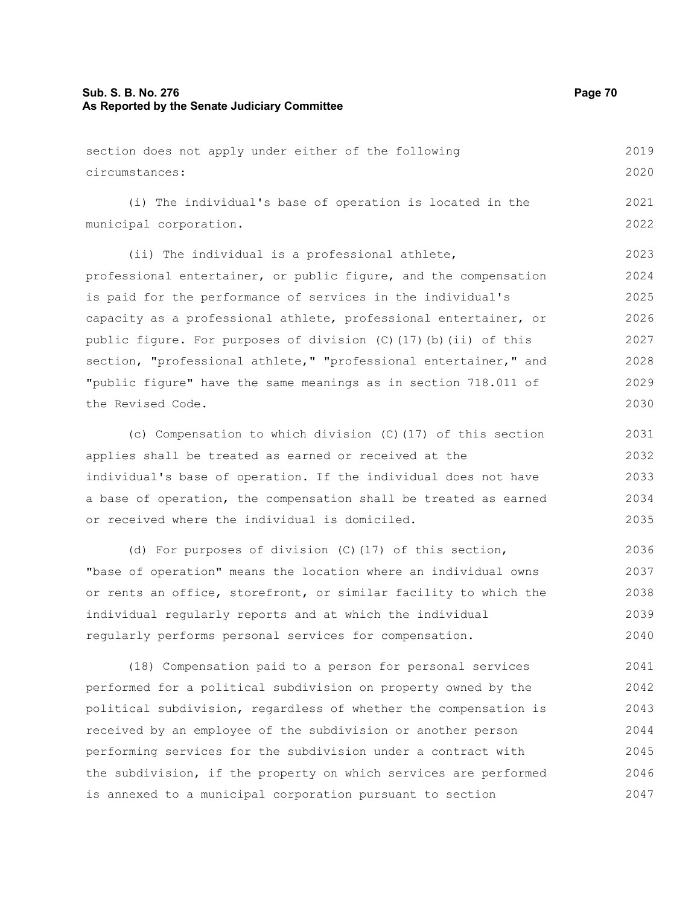# **Sub. S. B. No. 276 Page 70 As Reported by the Senate Judiciary Committee**

| 2020<br>circumstances:<br>2021<br>(i) The individual's base of operation is located in the |
|--------------------------------------------------------------------------------------------|
|                                                                                            |
|                                                                                            |
| 2022<br>municipal corporation.                                                             |
| 2023<br>(ii) The individual is a professional athlete,                                     |
| 2024<br>professional entertainer, or public figure, and the compensation                   |
| 2025<br>is paid for the performance of services in the individual's                        |

capacity as a professional athlete, professional entertainer, or public figure. For purposes of division (C)(17)(b)(ii) of this section, "professional athlete," "professional entertainer," and "public figure" have the same meanings as in section 718.011 of the Revised Code. 2026 2027 2028 2029 2030

(c) Compensation to which division (C)(17) of this section applies shall be treated as earned or received at the individual's base of operation. If the individual does not have a base of operation, the compensation shall be treated as earned or received where the individual is domiciled. 2031 2032 2033 2034 2035

(d) For purposes of division (C)(17) of this section, "base of operation" means the location where an individual owns or rents an office, storefront, or similar facility to which the individual regularly reports and at which the individual regularly performs personal services for compensation. 2036 2037 2038 2039 2040

(18) Compensation paid to a person for personal services performed for a political subdivision on property owned by the political subdivision, regardless of whether the compensation is received by an employee of the subdivision or another person performing services for the subdivision under a contract with the subdivision, if the property on which services are performed is annexed to a municipal corporation pursuant to section 2041 2042 2043 2044 2045 2046 2047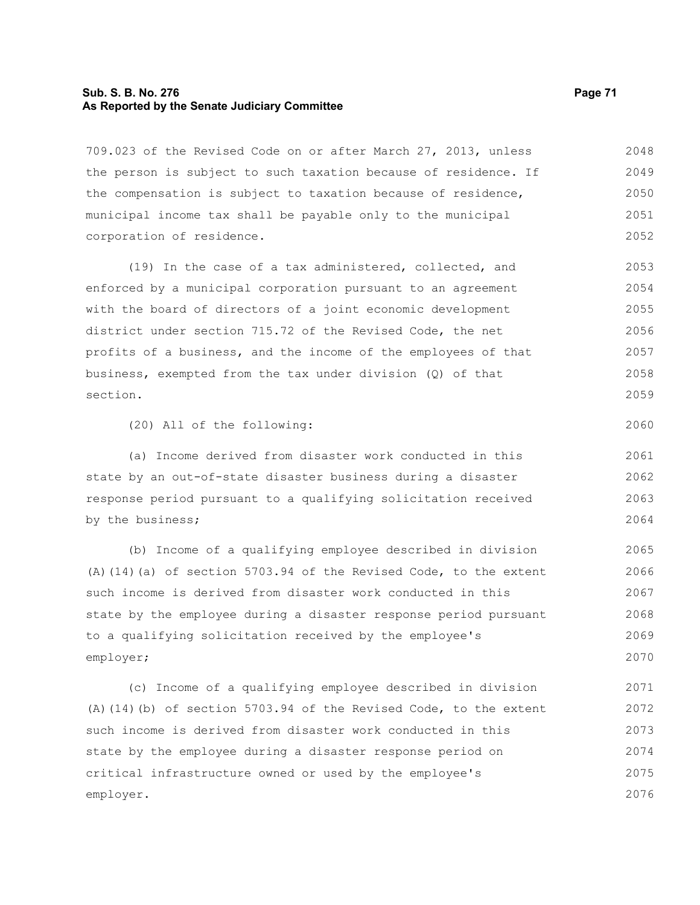# **Sub. S. B. No. 276 Page 71 As Reported by the Senate Judiciary Committee**

709.023 of the Revised Code on or after March 27, 2013, unless the person is subject to such taxation because of residence. If the compensation is subject to taxation because of residence, municipal income tax shall be payable only to the municipal corporation of residence. 2048 2049 2050 2051 2052

(19) In the case of a tax administered, collected, and enforced by a municipal corporation pursuant to an agreement with the board of directors of a joint economic development district under section 715.72 of the Revised Code, the net profits of a business, and the income of the employees of that business, exempted from the tax under division (Q) of that section. 2053 2054 2055 2056 2057 2058 2059

(20) All of the following:

(a) Income derived from disaster work conducted in this state by an out-of-state disaster business during a disaster response period pursuant to a qualifying solicitation received by the business; 2061 2062 2063 2064

(b) Income of a qualifying employee described in division (A)(14)(a) of section 5703.94 of the Revised Code, to the extent such income is derived from disaster work conducted in this state by the employee during a disaster response period pursuant to a qualifying solicitation received by the employee's employer; 2065 2066 2067 2068 2069 2070

(c) Income of a qualifying employee described in division (A)(14)(b) of section 5703.94 of the Revised Code, to the extent such income is derived from disaster work conducted in this state by the employee during a disaster response period on critical infrastructure owned or used by the employee's employer. 2071 2072 2073 2074 2075 2076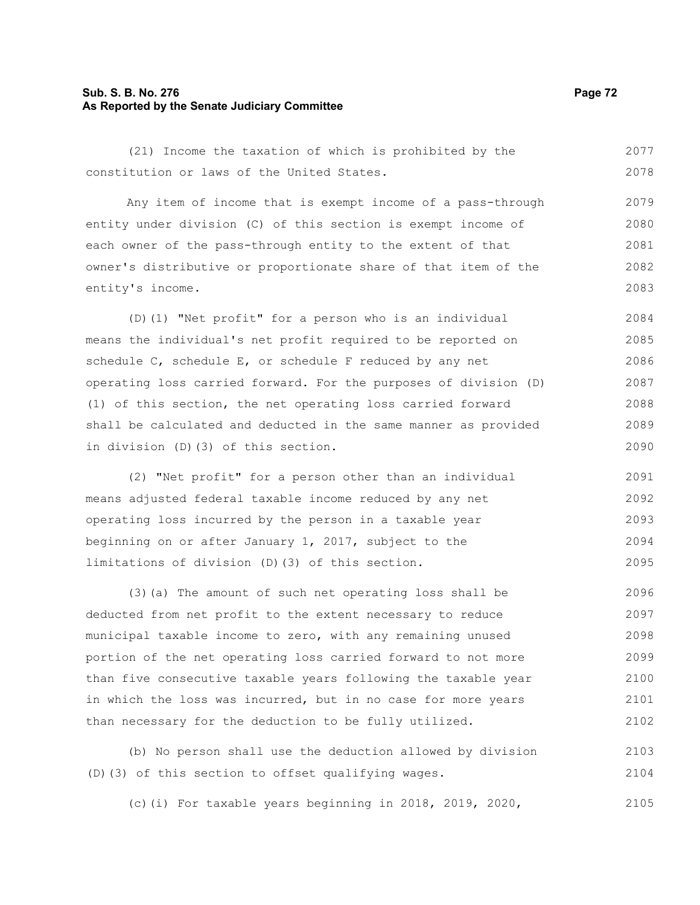# **Sub. S. B. No. 276 Page 72 As Reported by the Senate Judiciary Committee**

(21) Income the taxation of which is prohibited by the constitution or laws of the United States. 2077 2078

Any item of income that is exempt income of a pass-through entity under division (C) of this section is exempt income of each owner of the pass-through entity to the extent of that owner's distributive or proportionate share of that item of the entity's income. 2079 2080 2081 2082 2083

(D)(1) "Net profit" for a person who is an individual means the individual's net profit required to be reported on schedule C, schedule E, or schedule F reduced by any net operating loss carried forward. For the purposes of division (D) (1) of this section, the net operating loss carried forward shall be calculated and deducted in the same manner as provided in division (D)(3) of this section. 2084 2085 2086 2087 2088 2089 2090

(2) "Net profit" for a person other than an individual means adjusted federal taxable income reduced by any net operating loss incurred by the person in a taxable year beginning on or after January 1, 2017, subject to the limitations of division (D)(3) of this section. 2091 2092 2093 2094 2095

(3)(a) The amount of such net operating loss shall be deducted from net profit to the extent necessary to reduce municipal taxable income to zero, with any remaining unused portion of the net operating loss carried forward to not more than five consecutive taxable years following the taxable year in which the loss was incurred, but in no case for more years than necessary for the deduction to be fully utilized. 2096 2097 2098 2099 2100 2101 2102

(b) No person shall use the deduction allowed by division (D)(3) of this section to offset qualifying wages. 2103 2104

(c)(i) For taxable years beginning in 2018, 2019, 2020, 2105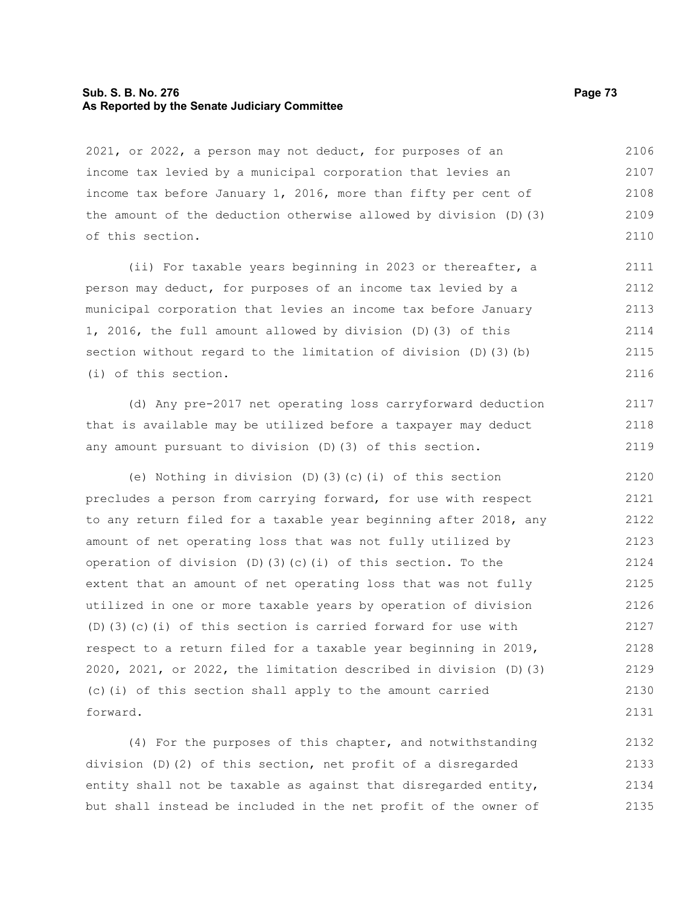# **Sub. S. B. No. 276 Page 73 As Reported by the Senate Judiciary Committee**

2021, or 2022, a person may not deduct, for purposes of an income tax levied by a municipal corporation that levies an income tax before January 1, 2016, more than fifty per cent of the amount of the deduction otherwise allowed by division (D)(3) of this section. 2106 2107 2108 2109 2110

(ii) For taxable years beginning in 2023 or thereafter, a person may deduct, for purposes of an income tax levied by a municipal corporation that levies an income tax before January 1, 2016, the full amount allowed by division (D)(3) of this section without regard to the limitation of division (D)(3)(b) (i) of this section. 2111 2112 2113 2114 2115 2116

(d) Any pre-2017 net operating loss carryforward deduction that is available may be utilized before a taxpayer may deduct any amount pursuant to division (D)(3) of this section.

(e) Nothing in division (D)(3)(c)(i) of this section precludes a person from carrying forward, for use with respect to any return filed for a taxable year beginning after 2018, any amount of net operating loss that was not fully utilized by operation of division (D)(3)(c)(i) of this section. To the extent that an amount of net operating loss that was not fully utilized in one or more taxable years by operation of division (D)(3)(c)(i) of this section is carried forward for use with respect to a return filed for a taxable year beginning in 2019, 2020, 2021, or 2022, the limitation described in division (D)(3) (c)(i) of this section shall apply to the amount carried forward. 2120 2121 2122 2123 2124 2125 2126 2127 2128 2129 2130 2131

(4) For the purposes of this chapter, and notwithstanding division (D)(2) of this section, net profit of a disregarded entity shall not be taxable as against that disregarded entity, but shall instead be included in the net profit of the owner of 2132 2133 2134 2135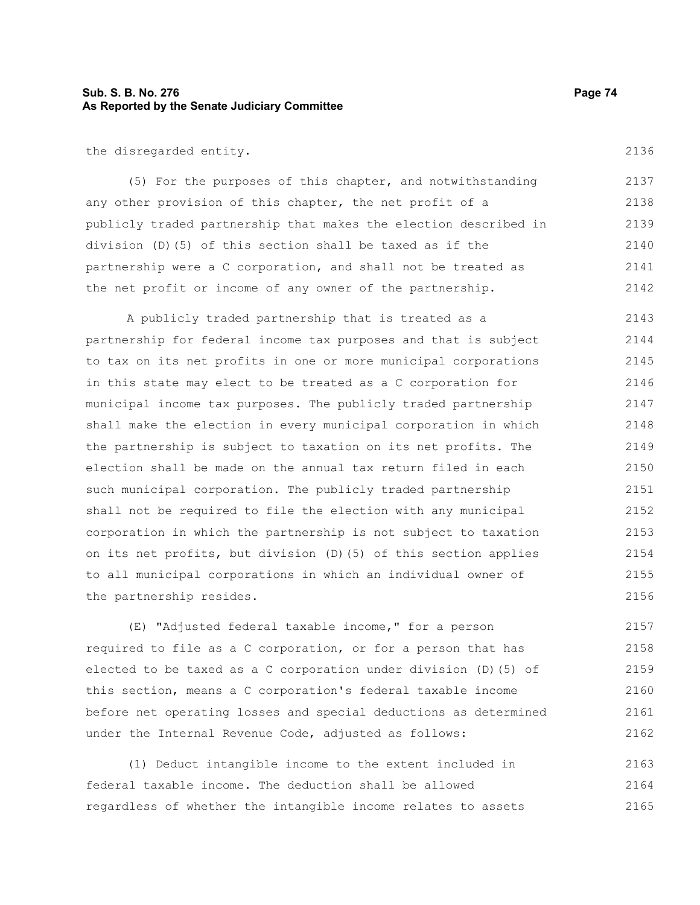# **Sub. S. B. No. 276 Page 74 As Reported by the Senate Judiciary Committee**

the disregarded entity.

(5) For the purposes of this chapter, and notwithstanding any other provision of this chapter, the net profit of a publicly traded partnership that makes the election described in division (D)(5) of this section shall be taxed as if the partnership were a C corporation, and shall not be treated as the net profit or income of any owner of the partnership. 2137 2138 2139 2140 2141 2142

A publicly traded partnership that is treated as a partnership for federal income tax purposes and that is subject to tax on its net profits in one or more municipal corporations in this state may elect to be treated as a C corporation for municipal income tax purposes. The publicly traded partnership shall make the election in every municipal corporation in which the partnership is subject to taxation on its net profits. The election shall be made on the annual tax return filed in each such municipal corporation. The publicly traded partnership shall not be required to file the election with any municipal corporation in which the partnership is not subject to taxation on its net profits, but division (D)(5) of this section applies to all municipal corporations in which an individual owner of the partnership resides. 2143 2144 2145 2146 2147 2148 2149 2150 2151 2152 2153 2154 2155 2156

(E) "Adjusted federal taxable income," for a person required to file as a C corporation, or for a person that has elected to be taxed as a C corporation under division (D)(5) of this section, means a C corporation's federal taxable income before net operating losses and special deductions as determined under the Internal Revenue Code, adjusted as follows: 2157 2158 2159 2160 2161 2162

(1) Deduct intangible income to the extent included in federal taxable income. The deduction shall be allowed regardless of whether the intangible income relates to assets 2163 2164 2165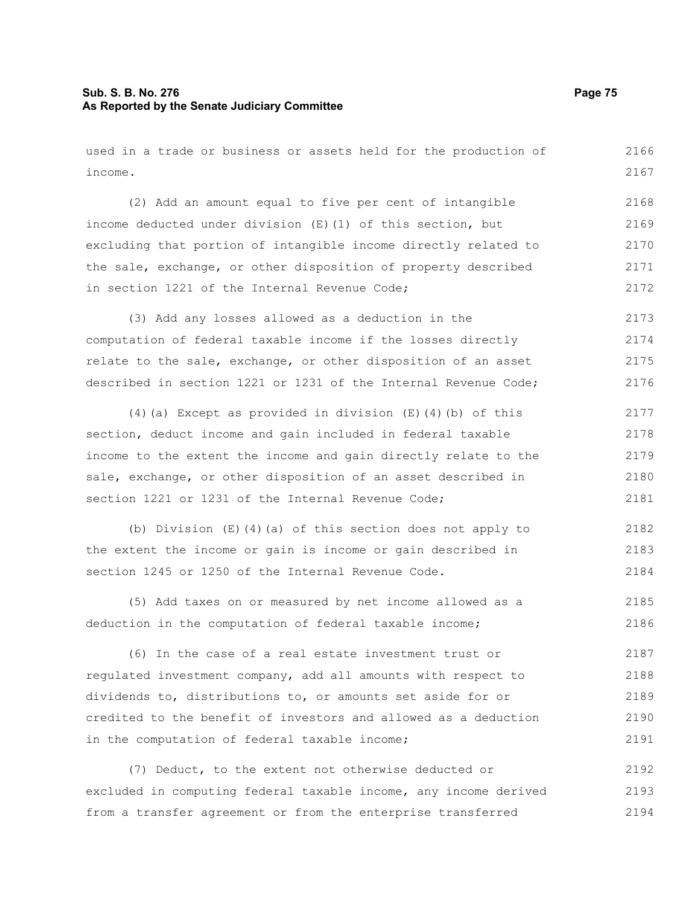# **Sub. S. B. No. 276 Page 75 As Reported by the Senate Judiciary Committee**

used in a trade or business or assets held for the production of income. 2166 2167

(2) Add an amount equal to five per cent of intangible income deducted under division (E)(1) of this section, but excluding that portion of intangible income directly related to the sale, exchange, or other disposition of property described in section 1221 of the Internal Revenue Code; 2168 2169 2170 2171 2172

(3) Add any losses allowed as a deduction in the computation of federal taxable income if the losses directly relate to the sale, exchange, or other disposition of an asset described in section 1221 or 1231 of the Internal Revenue Code; 2173 2174 2175 2176

(4)(a) Except as provided in division (E)(4)(b) of this section, deduct income and gain included in federal taxable income to the extent the income and gain directly relate to the sale, exchange, or other disposition of an asset described in section 1221 or 1231 of the Internal Revenue Code; 2177 2178 2179 2180 2181

(b) Division (E)(4)(a) of this section does not apply to the extent the income or gain is income or gain described in section 1245 or 1250 of the Internal Revenue Code. 2182 2183 2184

(5) Add taxes on or measured by net income allowed as a deduction in the computation of federal taxable income; 2185 2186

(6) In the case of a real estate investment trust or regulated investment company, add all amounts with respect to dividends to, distributions to, or amounts set aside for or credited to the benefit of investors and allowed as a deduction in the computation of federal taxable income; 2187 2188 2189 2190 2191

(7) Deduct, to the extent not otherwise deducted or excluded in computing federal taxable income, any income derived from a transfer agreement or from the enterprise transferred 2192 2193 2194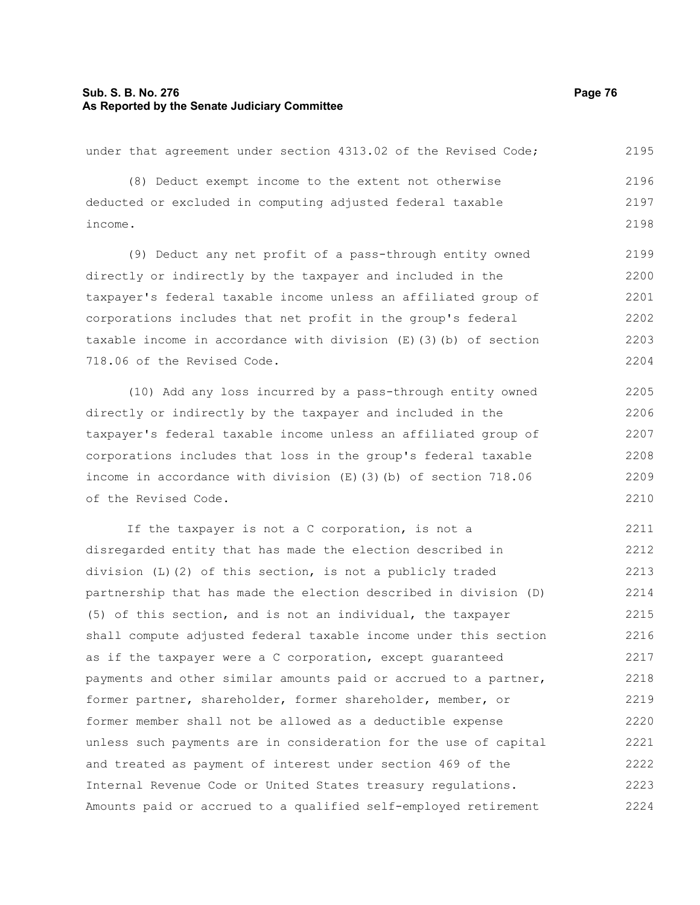# **Sub. S. B. No. 276 Page 76 As Reported by the Senate Judiciary Committee**

under that agreement under section 4313.02 of the Revised Code; (8) Deduct exempt income to the extent not otherwise deducted or excluded in computing adjusted federal taxable income.

(9) Deduct any net profit of a pass-through entity owned directly or indirectly by the taxpayer and included in the taxpayer's federal taxable income unless an affiliated group of corporations includes that net profit in the group's federal taxable income in accordance with division (E)(3)(b) of section 718.06 of the Revised Code. 2199 2200 2201 2202 2203 2204

(10) Add any loss incurred by a pass-through entity owned directly or indirectly by the taxpayer and included in the taxpayer's federal taxable income unless an affiliated group of corporations includes that loss in the group's federal taxable income in accordance with division (E)(3)(b) of section 718.06 of the Revised Code. 2205 2206 2207 2208 2209 2210

If the taxpayer is not a C corporation, is not a disregarded entity that has made the election described in division (L)(2) of this section, is not a publicly traded partnership that has made the election described in division (D) (5) of this section, and is not an individual, the taxpayer shall compute adjusted federal taxable income under this section as if the taxpayer were a C corporation, except guaranteed payments and other similar amounts paid or accrued to a partner, former partner, shareholder, former shareholder, member, or former member shall not be allowed as a deductible expense unless such payments are in consideration for the use of capital and treated as payment of interest under section 469 of the Internal Revenue Code or United States treasury regulations. Amounts paid or accrued to a qualified self-employed retirement 2211 2212 2213 2214 2215 2216 2217 2218 2219 2220 2221 2222 2223 2224

2195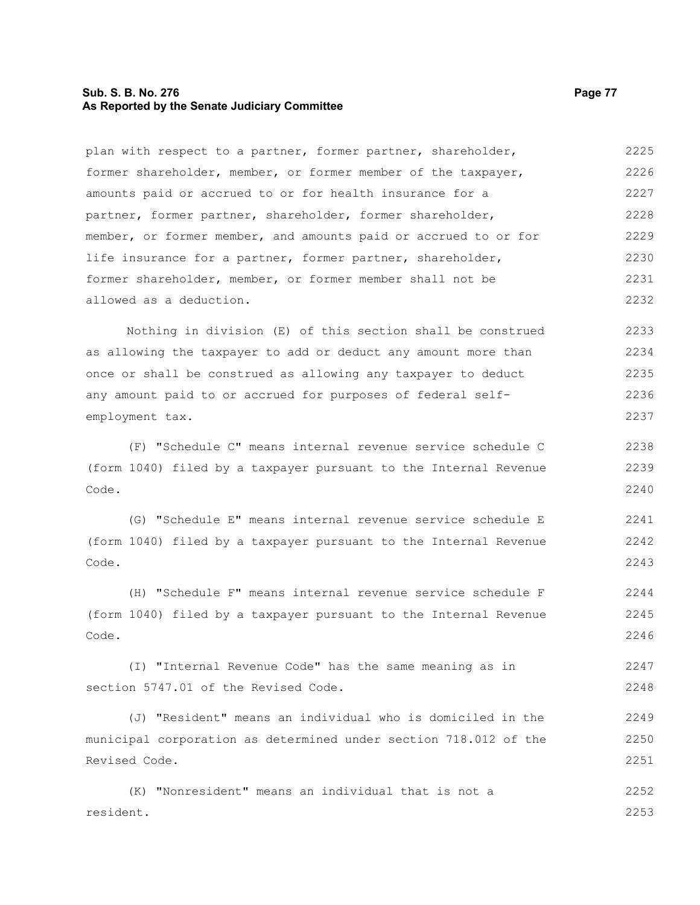# **Sub. S. B. No. 276 Page 77 As Reported by the Senate Judiciary Committee**

plan with respect to a partner, former partner, shareholder, former shareholder, member, or former member of the taxpayer, amounts paid or accrued to or for health insurance for a partner, former partner, shareholder, former shareholder, member, or former member, and amounts paid or accrued to or for life insurance for a partner, former partner, shareholder, former shareholder, member, or former member shall not be allowed as a deduction. 2225 2226 2227 2228 2229 2230 2231 2232

Nothing in division (E) of this section shall be construed as allowing the taxpayer to add or deduct any amount more than once or shall be construed as allowing any taxpayer to deduct any amount paid to or accrued for purposes of federal selfemployment tax. 2233 2234 2235 2236 2237

(F) "Schedule C" means internal revenue service schedule C (form 1040) filed by a taxpayer pursuant to the Internal Revenue Code. 2238 2239 2240

(G) "Schedule E" means internal revenue service schedule E (form 1040) filed by a taxpayer pursuant to the Internal Revenue Code. 2241 2242 2243

(H) "Schedule F" means internal revenue service schedule F (form 1040) filed by a taxpayer pursuant to the Internal Revenue Code. 2244 2245 2246

(I) "Internal Revenue Code" has the same meaning as in section 5747.01 of the Revised Code. 2247 2248

(J) "Resident" means an individual who is domiciled in the municipal corporation as determined under section 718.012 of the Revised Code. 2249 2250 2251

(K) "Nonresident" means an individual that is not a resident. 2252 2253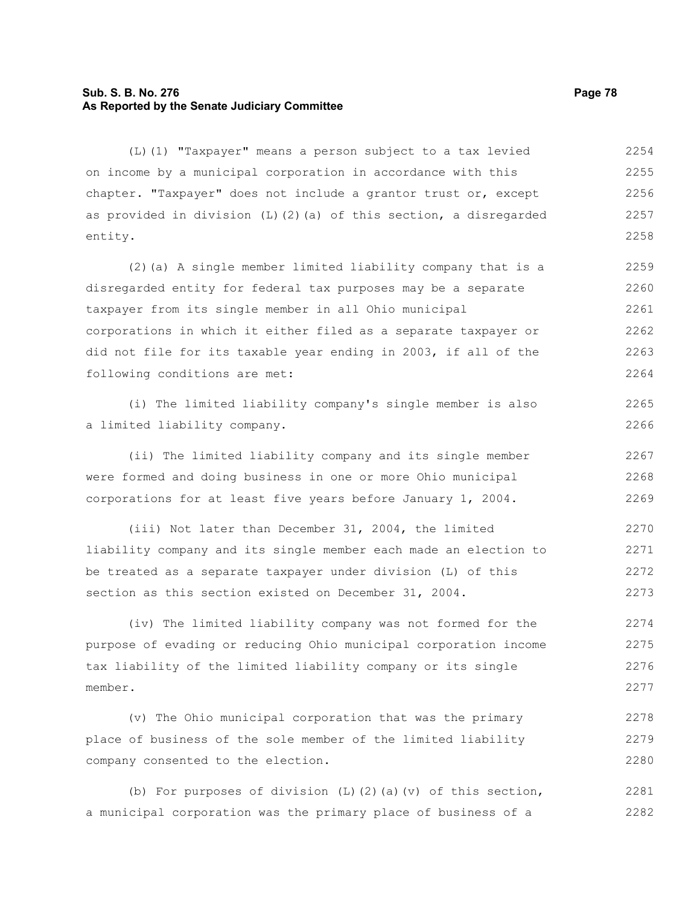# **Sub. S. B. No. 276 Page 78 As Reported by the Senate Judiciary Committee**

(L)(1) "Taxpayer" means a person subject to a tax levied on income by a municipal corporation in accordance with this chapter. "Taxpayer" does not include a grantor trust or, except as provided in division  $(L)$  (2)(a) of this section, a disregarded entity. 2254 2255 2256 2257 2258

(2)(a) A single member limited liability company that is a disregarded entity for federal tax purposes may be a separate taxpayer from its single member in all Ohio municipal corporations in which it either filed as a separate taxpayer or did not file for its taxable year ending in 2003, if all of the following conditions are met: 2259 2260 2261 2262 2263 2264

(i) The limited liability company's single member is also a limited liability company.

(ii) The limited liability company and its single member were formed and doing business in one or more Ohio municipal corporations for at least five years before January 1, 2004. 2267 2268 2269

(iii) Not later than December 31, 2004, the limited liability company and its single member each made an election to be treated as a separate taxpayer under division (L) of this section as this section existed on December 31, 2004. 2270 2271 2272 2273

(iv) The limited liability company was not formed for the purpose of evading or reducing Ohio municipal corporation income tax liability of the limited liability company or its single member. 2274 2275 2276 2277

(v) The Ohio municipal corporation that was the primary place of business of the sole member of the limited liability company consented to the election. 2278 2279 2280

(b) For purposes of division (L)(2)(a)(v) of this section, a municipal corporation was the primary place of business of a 2281 2282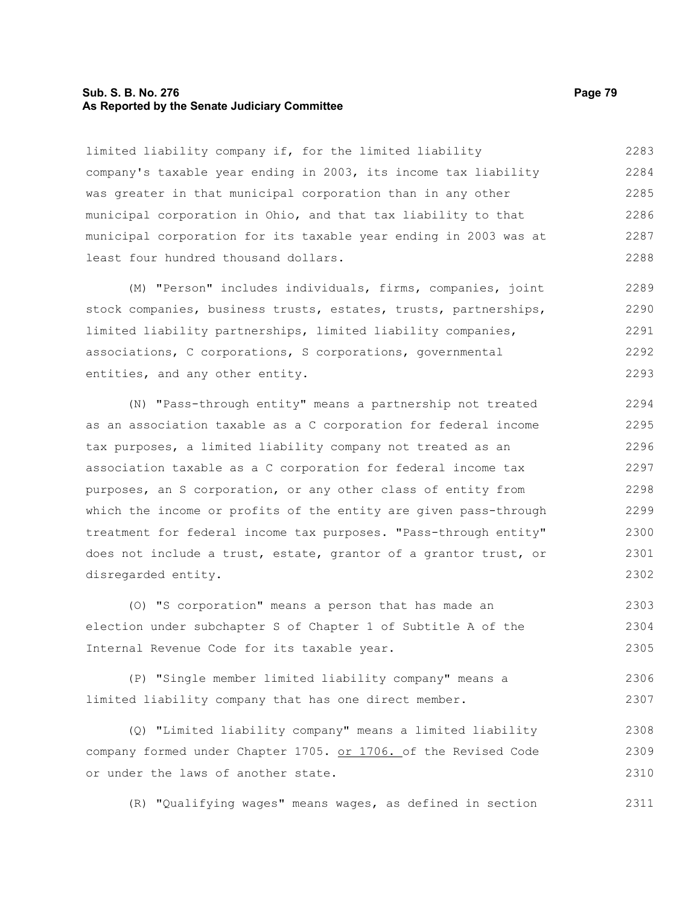# **Sub. S. B. No. 276 Page 79 As Reported by the Senate Judiciary Committee**

limited liability company if, for the limited liability company's taxable year ending in 2003, its income tax liability was greater in that municipal corporation than in any other municipal corporation in Ohio, and that tax liability to that municipal corporation for its taxable year ending in 2003 was at least four hundred thousand dollars. 2283 2284 2285 2286 2287 2288

(M) "Person" includes individuals, firms, companies, joint stock companies, business trusts, estates, trusts, partnerships, limited liability partnerships, limited liability companies, associations, C corporations, S corporations, governmental entities, and any other entity. 2289 2290 2291 2292 2293

(N) "Pass-through entity" means a partnership not treated as an association taxable as a C corporation for federal income tax purposes, a limited liability company not treated as an association taxable as a C corporation for federal income tax purposes, an S corporation, or any other class of entity from which the income or profits of the entity are given pass-through treatment for federal income tax purposes. "Pass-through entity" does not include a trust, estate, grantor of a grantor trust, or disregarded entity. 2294 2295 2296 2297 2298 2299 2300 2301 2302

(O) "S corporation" means a person that has made an election under subchapter S of Chapter 1 of Subtitle A of the Internal Revenue Code for its taxable year. 2303 2304 2305

(P) "Single member limited liability company" means a limited liability company that has one direct member. 2306 2307

(Q) "Limited liability company" means a limited liability company formed under Chapter 1705. or 1706. of the Revised Code or under the laws of another state. 2308 2309 2310

(R) "Qualifying wages" means wages, as defined in section 2311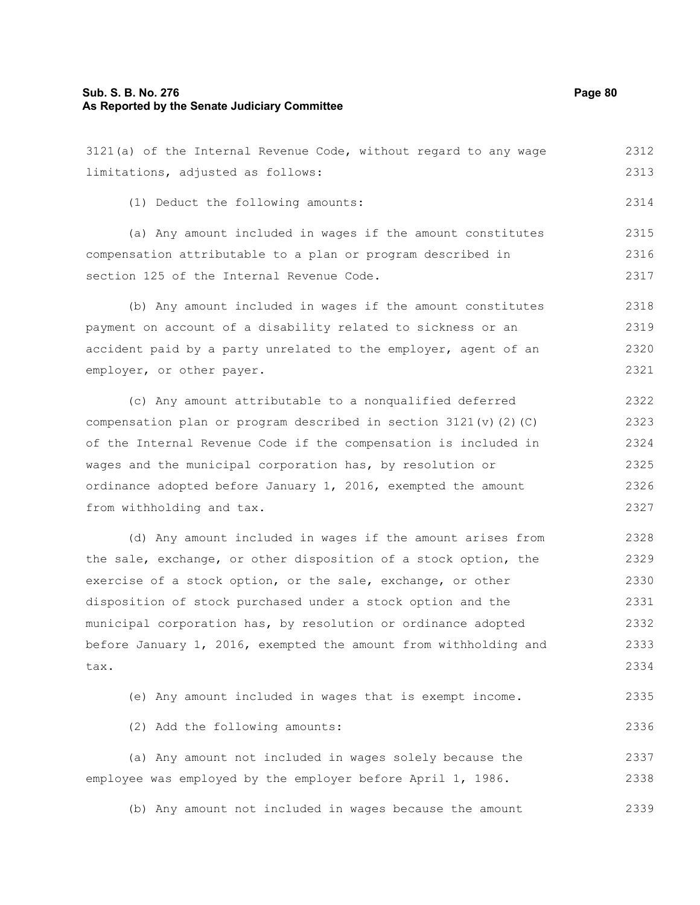#### **Sub. S. B. No. 276 Page 80 As Reported by the Senate Judiciary Committee**

limitations, adjusted as follows:

(1) Deduct the following amounts:

| compensation attributable to a plan or program described in        |      |  |  |  |  |  |
|--------------------------------------------------------------------|------|--|--|--|--|--|
|                                                                    | 2316 |  |  |  |  |  |
| section 125 of the Internal Revenue Code.                          |      |  |  |  |  |  |
|                                                                    |      |  |  |  |  |  |
| (b) Any amount included in wages if the amount constitutes         | 2318 |  |  |  |  |  |
| payment on account of a disability related to sickness or an       | 2319 |  |  |  |  |  |
| accident paid by a party unrelated to the employer, agent of an    | 2320 |  |  |  |  |  |
| employer, or other payer.                                          | 2321 |  |  |  |  |  |
|                                                                    |      |  |  |  |  |  |
| (c) Any amount attributable to a nonqualified deferred             | 2322 |  |  |  |  |  |
| compensation plan or program described in section 3121 (v) (2) (C) | 2323 |  |  |  |  |  |
| of the Internal Revenue Code if the compensation is included in    | 2324 |  |  |  |  |  |
| wages and the municipal corporation has, by resolution or          | 2325 |  |  |  |  |  |
|                                                                    |      |  |  |  |  |  |

3121(a) of the Internal Revenue Code, without regard to any wage

(a) Any amount included in wages if the amount constitutes

ordinance adopted before January 1, 2016, exempted the amount from withholding and tax. 2326 2327

(d) Any amount included in wages if the amount arises from the sale, exchange, or other disposition of a stock option, the exercise of a stock option, or the sale, exchange, or other disposition of stock purchased under a stock option and the municipal corporation has, by resolution or ordinance adopted before January 1, 2016, exempted the amount from withholding and tax. 2328 2329 2330 2331 2332 2333 2334

| (e) Any amount included in wages that is exempt income. | 2335 |
|---------------------------------------------------------|------|
| (2) Add the following amounts:                          | 2336 |
| (a) Any amount not included in wages solely because the | 2337 |

employee was employed by the employer before April 1, 1986. 2338

(b) Any amount not included in wages because the amount 2339

2312 2313

2314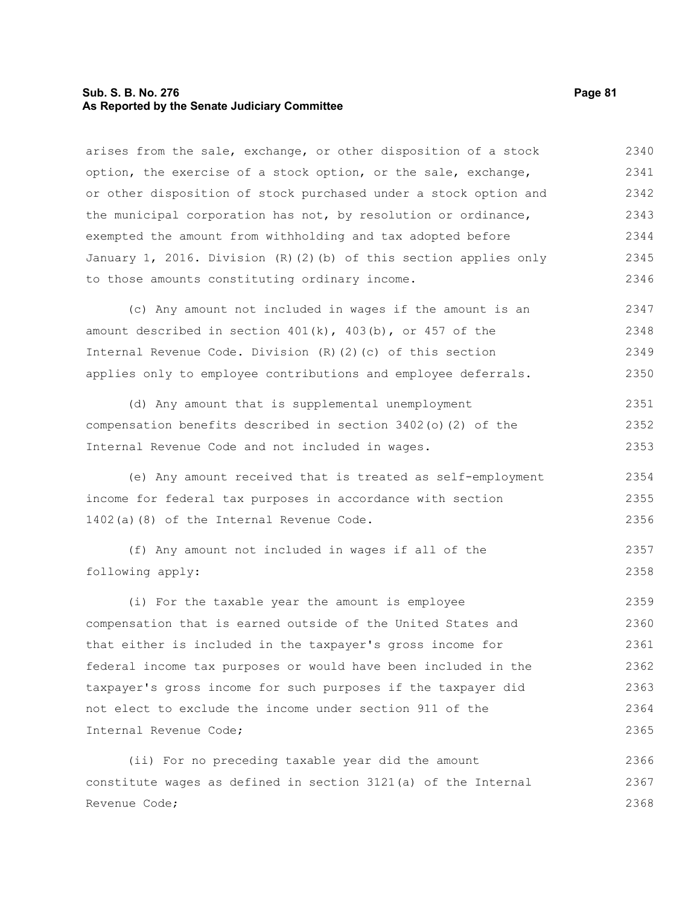# **Sub. S. B. No. 276 Page 81 As Reported by the Senate Judiciary Committee**

arises from the sale, exchange, or other disposition of a stock option, the exercise of a stock option, or the sale, exchange, or other disposition of stock purchased under a stock option and the municipal corporation has not, by resolution or ordinance, exempted the amount from withholding and tax adopted before January 1, 2016. Division (R)(2)(b) of this section applies only to those amounts constituting ordinary income. 2340 2341 2342 2343 2344 2345 2346

(c) Any amount not included in wages if the amount is an amount described in section  $401(k)$ ,  $403(b)$ , or  $457$  of the Internal Revenue Code. Division (R)(2)(c) of this section applies only to employee contributions and employee deferrals. 2347 2348 2349 2350

(d) Any amount that is supplemental unemployment compensation benefits described in section 3402(o)(2) of the Internal Revenue Code and not included in wages. 2351 2352 2353

(e) Any amount received that is treated as self-employment income for federal tax purposes in accordance with section 1402(a)(8) of the Internal Revenue Code. 2354 2355 2356

(f) Any amount not included in wages if all of the following apply: 2357 2358

(i) For the taxable year the amount is employee compensation that is earned outside of the United States and that either is included in the taxpayer's gross income for federal income tax purposes or would have been included in the taxpayer's gross income for such purposes if the taxpayer did not elect to exclude the income under section 911 of the Internal Revenue Code; 2359 2360 2361 2362 2363 2364 2365

(ii) For no preceding taxable year did the amount constitute wages as defined in section 3121(a) of the Internal Revenue Code; 2366 2367 2368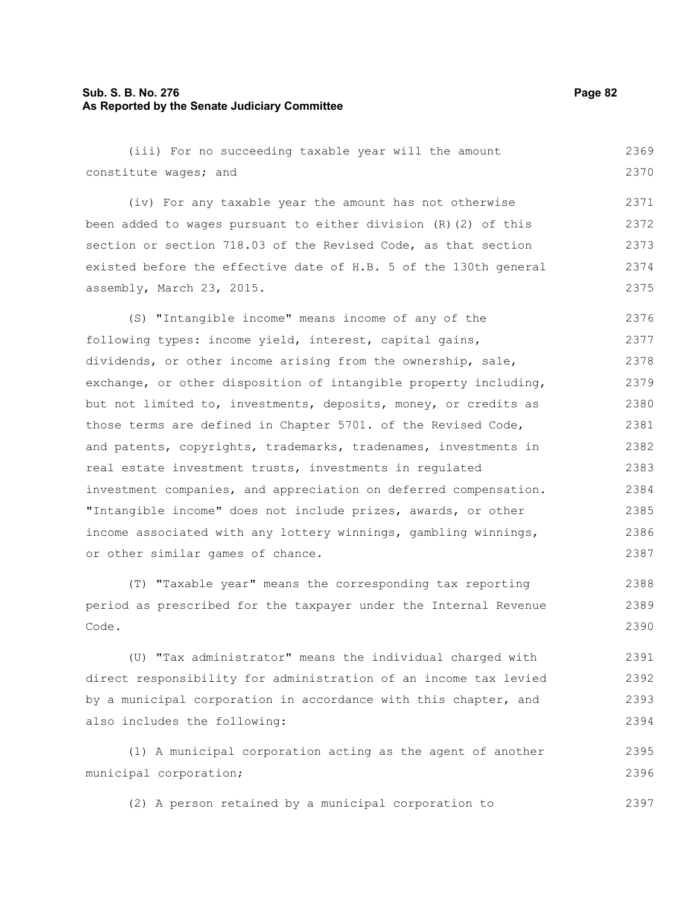# **Sub. S. B. No. 276 Page 82 As Reported by the Senate Judiciary Committee**

(iii) For no succeeding taxable year will the amount constitute wages; and (iv) For any taxable year the amount has not otherwise been added to wages pursuant to either division (R)(2) of this section or section 718.03 of the Revised Code, as that section existed before the effective date of H.B. 5 of the 130th general assembly, March 23, 2015. (S) "Intangible income" means income of any of the following types: income yield, interest, capital gains, dividends, or other income arising from the ownership, sale, exchange, or other disposition of intangible property including, but not limited to, investments, deposits, money, or credits as those terms are defined in Chapter 5701. of the Revised Code, and patents, copyrights, trademarks, tradenames, investments in real estate investment trusts, investments in regulated investment companies, and appreciation on deferred compensation. "Intangible income" does not include prizes, awards, or other income associated with any lottery winnings, gambling winnings, or other similar games of chance. (T) "Taxable year" means the corresponding tax reporting 2369 2370 2371 2372 2373 2374 2375 2376 2377 2378 2379 2380 2381 2382 2383 2384 2385 2386 2387 2388

period as prescribed for the taxpayer under the Internal Revenue Code. 2389 2390

(U) "Tax administrator" means the individual charged with direct responsibility for administration of an income tax levied by a municipal corporation in accordance with this chapter, and also includes the following: 2391 2392 2393 2394

(1) A municipal corporation acting as the agent of another municipal corporation; 2395 2396

(2) A person retained by a municipal corporation to 2397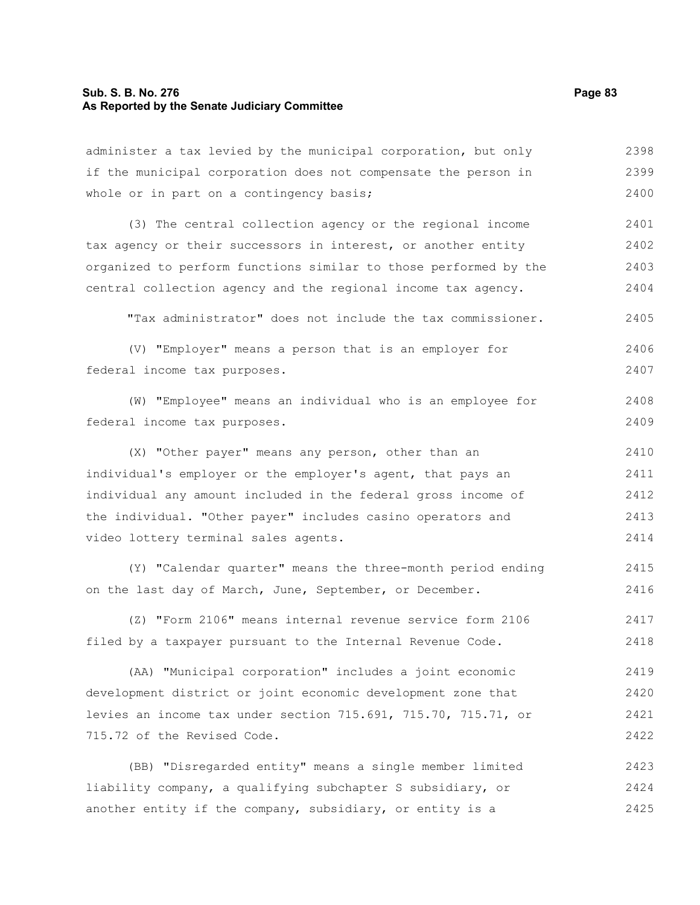# **Sub. S. B. No. 276 Page 83 As Reported by the Senate Judiciary Committee**

administer a tax levied by the municipal corporation, but only if the municipal corporation does not compensate the person in whole or in part on a contingency basis; 2398 2399 2400

(3) The central collection agency or the regional income tax agency or their successors in interest, or another entity organized to perform functions similar to those performed by the central collection agency and the regional income tax agency. 2401 2402 2403 2404

"Tax administrator" does not include the tax commissioner. 2405

- (V) "Employer" means a person that is an employer for federal income tax purposes. 2406 2407
- (W) "Employee" means an individual who is an employee for federal income tax purposes. 2408 2409

(X) "Other payer" means any person, other than an individual's employer or the employer's agent, that pays an individual any amount included in the federal gross income of the individual. "Other payer" includes casino operators and video lottery terminal sales agents. 2410 2411 2412 2413 2414

(Y) "Calendar quarter" means the three-month period ending on the last day of March, June, September, or December. 2415 2416

(Z) "Form 2106" means internal revenue service form 2106 filed by a taxpayer pursuant to the Internal Revenue Code. 2417 2418

(AA) "Municipal corporation" includes a joint economic development district or joint economic development zone that levies an income tax under section 715.691, 715.70, 715.71, or 715.72 of the Revised Code. 2419 2420 2421 2422

(BB) "Disregarded entity" means a single member limited liability company, a qualifying subchapter S subsidiary, or another entity if the company, subsidiary, or entity is a 2423 2424 2425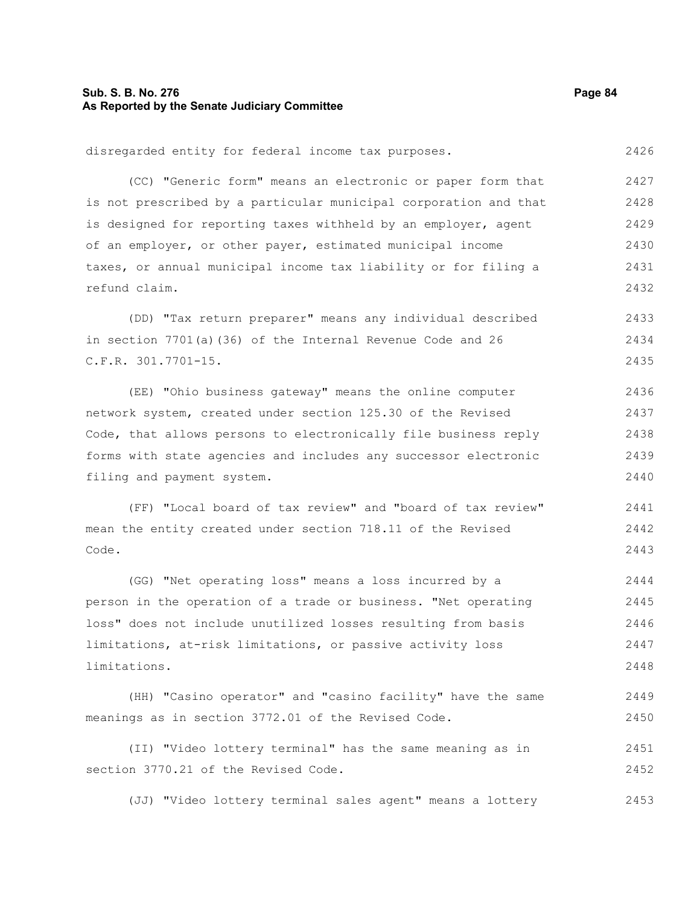# **Sub. S. B. No. 276 Page 84 As Reported by the Senate Judiciary Committee**

disregarded entity for federal income tax purposes. (CC) "Generic form" means an electronic or paper form that is not prescribed by a particular municipal corporation and that is designed for reporting taxes withheld by an employer, agent of an employer, or other payer, estimated municipal income taxes, or annual municipal income tax liability or for filing a refund claim. (DD) "Tax return preparer" means any individual described in section 7701(a)(36) of the Internal Revenue Code and 26 C.F.R. 301.7701-15. (EE) "Ohio business gateway" means the online computer network system, created under section 125.30 of the Revised Code, that allows persons to electronically file business reply forms with state agencies and includes any successor electronic filing and payment system. (FF) "Local board of tax review" and "board of tax review" mean the entity created under section 718.11 of the Revised Code. (GG) "Net operating loss" means a loss incurred by a person in the operation of a trade or business. "Net operating loss" does not include unutilized losses resulting from basis 2426 2427 2428 2429 2430 2431 2432 2433 2434 2435 2436 2437 2438 2439 2440 2441 2442 2443 2444 2445 2446

limitations, at-risk limitations, or passive activity loss limitations. 2447 2448

(HH) "Casino operator" and "casino facility" have the same meanings as in section 3772.01 of the Revised Code. 2449 2450

(II) "Video lottery terminal" has the same meaning as in section 3770.21 of the Revised Code. 2451 2452

(JJ) "Video lottery terminal sales agent" means a lottery 2453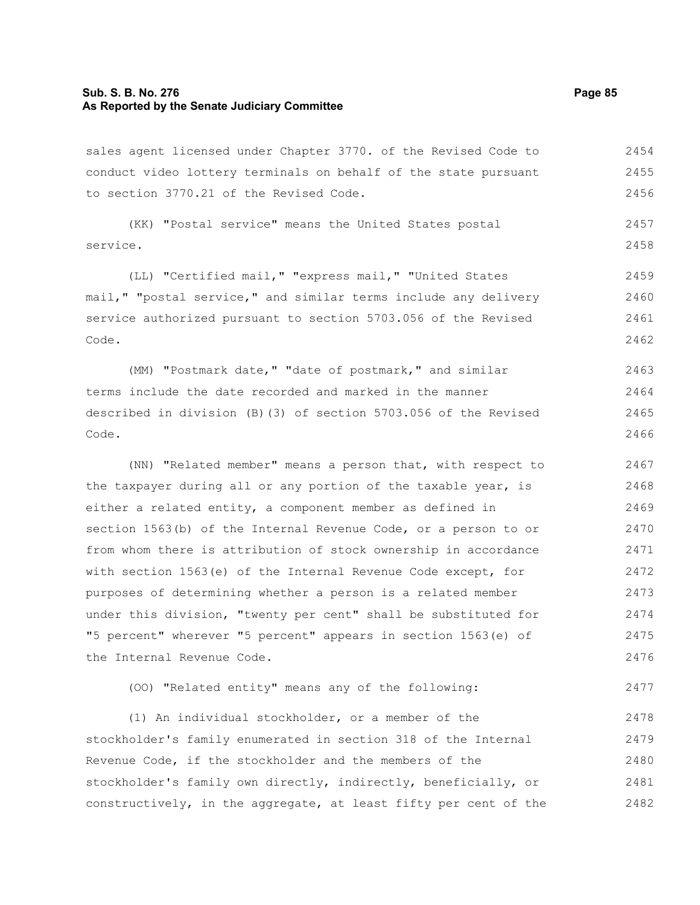## **Sub. S. B. No. 276 Page 85 As Reported by the Senate Judiciary Committee**

sales agent licensed under Chapter 3770. of the Revised Code to conduct video lottery terminals on behalf of the state pursuant to section 3770.21 of the Revised Code. 2454 2455 2456

(KK) "Postal service" means the United States postal service. 2457 2458

(LL) "Certified mail," "express mail," "United States mail," "postal service," and similar terms include any delivery service authorized pursuant to section 5703.056 of the Revised Code. 2459 2460 2461 2462

(MM) "Postmark date," "date of postmark," and similar terms include the date recorded and marked in the manner described in division (B)(3) of section 5703.056 of the Revised Code. 2463 2464 2465 2466

(NN) "Related member" means a person that, with respect to the taxpayer during all or any portion of the taxable year, is either a related entity, a component member as defined in section 1563(b) of the Internal Revenue Code, or a person to or from whom there is attribution of stock ownership in accordance with section 1563(e) of the Internal Revenue Code except, for purposes of determining whether a person is a related member under this division, "twenty per cent" shall be substituted for "5 percent" wherever "5 percent" appears in section 1563(e) of the Internal Revenue Code. 2467 2468 2469 2470 2471 2472 2473 2474 2475 2476

(OO) "Related entity" means any of the following: 2477

(1) An individual stockholder, or a member of the stockholder's family enumerated in section 318 of the Internal Revenue Code, if the stockholder and the members of the stockholder's family own directly, indirectly, beneficially, or constructively, in the aggregate, at least fifty per cent of the 2478 2479 2480 2481 2482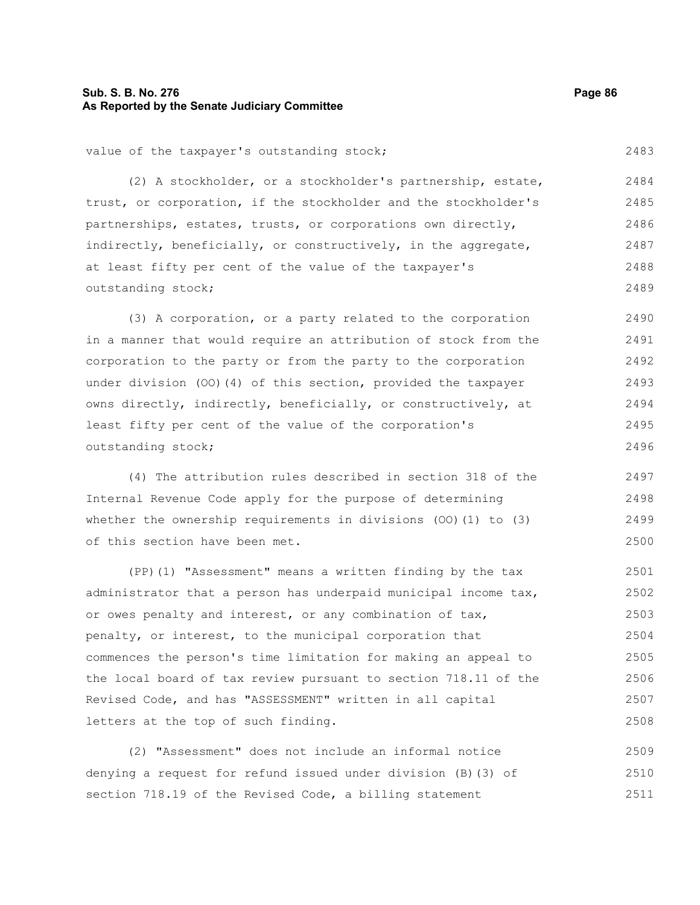# **Sub. S. B. No. 276 Page 86 As Reported by the Senate Judiciary Committee**

value of the taxpayer's outstanding stock;

(2) A stockholder, or a stockholder's partnership, estate, trust, or corporation, if the stockholder and the stockholder's partnerships, estates, trusts, or corporations own directly, indirectly, beneficially, or constructively, in the aggregate, at least fifty per cent of the value of the taxpayer's outstanding stock; 2484 2485 2486 2487 2488 2489

(3) A corporation, or a party related to the corporation in a manner that would require an attribution of stock from the corporation to the party or from the party to the corporation under division (OO)(4) of this section, provided the taxpayer owns directly, indirectly, beneficially, or constructively, at least fifty per cent of the value of the corporation's outstanding stock; 2490 2491 2492 2493 2494 2495 2496

(4) The attribution rules described in section 318 of the Internal Revenue Code apply for the purpose of determining whether the ownership requirements in divisions (OO)(1) to (3) of this section have been met.

(PP)(1) "Assessment" means a written finding by the tax administrator that a person has underpaid municipal income tax, or owes penalty and interest, or any combination of tax, penalty, or interest, to the municipal corporation that commences the person's time limitation for making an appeal to the local board of tax review pursuant to section 718.11 of the Revised Code, and has "ASSESSMENT" written in all capital letters at the top of such finding. 2501 2502 2503 2504 2505 2506 2507 2508

(2) "Assessment" does not include an informal notice denying a request for refund issued under division (B)(3) of section 718.19 of the Revised Code, a billing statement 2509 2510 2511

2483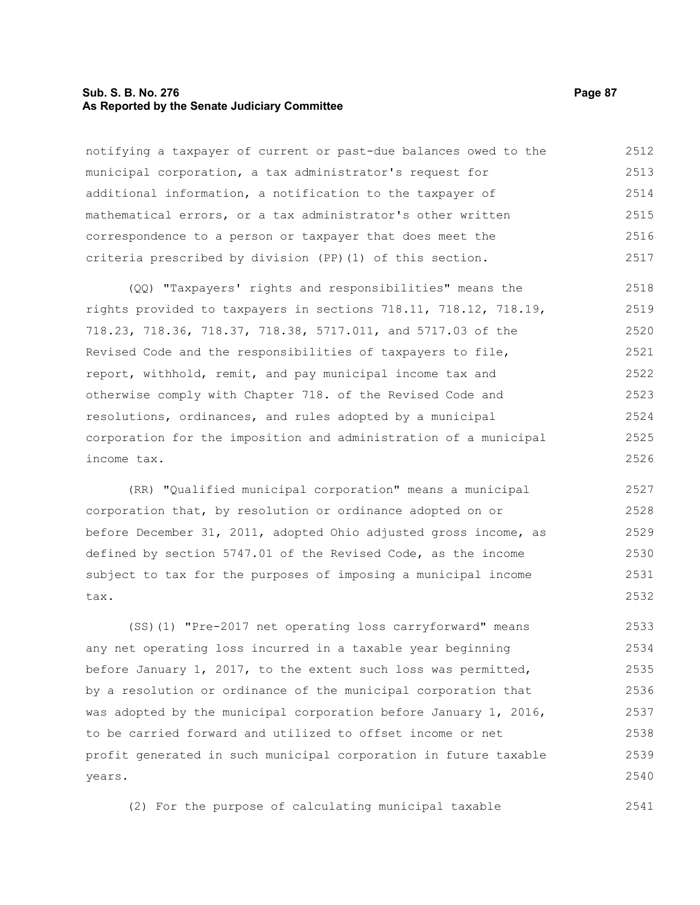#### **Sub. S. B. No. 276 Page 87 As Reported by the Senate Judiciary Committee**

notifying a taxpayer of current or past-due balances owed to the municipal corporation, a tax administrator's request for additional information, a notification to the taxpayer of mathematical errors, or a tax administrator's other written correspondence to a person or taxpayer that does meet the criteria prescribed by division (PP)(1) of this section. 2512 2513 2514 2515 2516 2517

(QQ) "Taxpayers' rights and responsibilities" means the rights provided to taxpayers in sections 718.11, 718.12, 718.19, 718.23, 718.36, 718.37, 718.38, 5717.011, and 5717.03 of the Revised Code and the responsibilities of taxpayers to file, report, withhold, remit, and pay municipal income tax and otherwise comply with Chapter 718. of the Revised Code and resolutions, ordinances, and rules adopted by a municipal corporation for the imposition and administration of a municipal income tax. 2518 2519 2520 2521 2522 2523 2524 2525 2526

(RR) "Qualified municipal corporation" means a municipal corporation that, by resolution or ordinance adopted on or before December 31, 2011, adopted Ohio adjusted gross income, as defined by section 5747.01 of the Revised Code, as the income subject to tax for the purposes of imposing a municipal income tax. 2527 2528 2529 2530 2531 2532

(SS)(1) "Pre-2017 net operating loss carryforward" means any net operating loss incurred in a taxable year beginning before January 1, 2017, to the extent such loss was permitted, by a resolution or ordinance of the municipal corporation that was adopted by the municipal corporation before January 1, 2016, to be carried forward and utilized to offset income or net profit generated in such municipal corporation in future taxable years. 2533 2534 2535 2536 2537 2538 2539 2540

(2) For the purpose of calculating municipal taxable 2541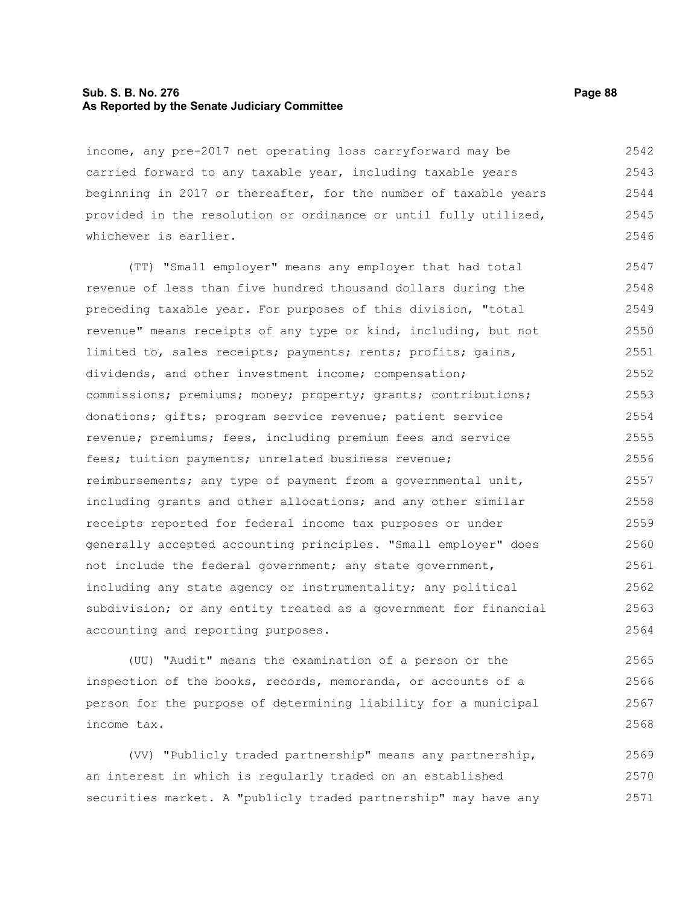# **Sub. S. B. No. 276 Page 88 As Reported by the Senate Judiciary Committee**

income, any pre-2017 net operating loss carryforward may be carried forward to any taxable year, including taxable years beginning in 2017 or thereafter, for the number of taxable years provided in the resolution or ordinance or until fully utilized, whichever is earlier. 2542 2543 2544 2545 2546

(TT) "Small employer" means any employer that had total revenue of less than five hundred thousand dollars during the preceding taxable year. For purposes of this division, "total revenue" means receipts of any type or kind, including, but not limited to, sales receipts; payments; rents; profits; gains, dividends, and other investment income; compensation; commissions; premiums; money; property; grants; contributions; donations; gifts; program service revenue; patient service revenue; premiums; fees, including premium fees and service fees; tuition payments; unrelated business revenue; reimbursements; any type of payment from a governmental unit, including grants and other allocations; and any other similar receipts reported for federal income tax purposes or under generally accepted accounting principles. "Small employer" does not include the federal government; any state government, including any state agency or instrumentality; any political subdivision; or any entity treated as a government for financial accounting and reporting purposes. 2547 2548 2549 2550 2551 2552 2553 2554 2555 2556 2557 2558 2559 2560 2561 2562 2563 2564

(UU) "Audit" means the examination of a person or the inspection of the books, records, memoranda, or accounts of a person for the purpose of determining liability for a municipal income tax. 2565 2566 2567 2568

(VV) "Publicly traded partnership" means any partnership, an interest in which is regularly traded on an established securities market. A "publicly traded partnership" may have any 2569 2570 2571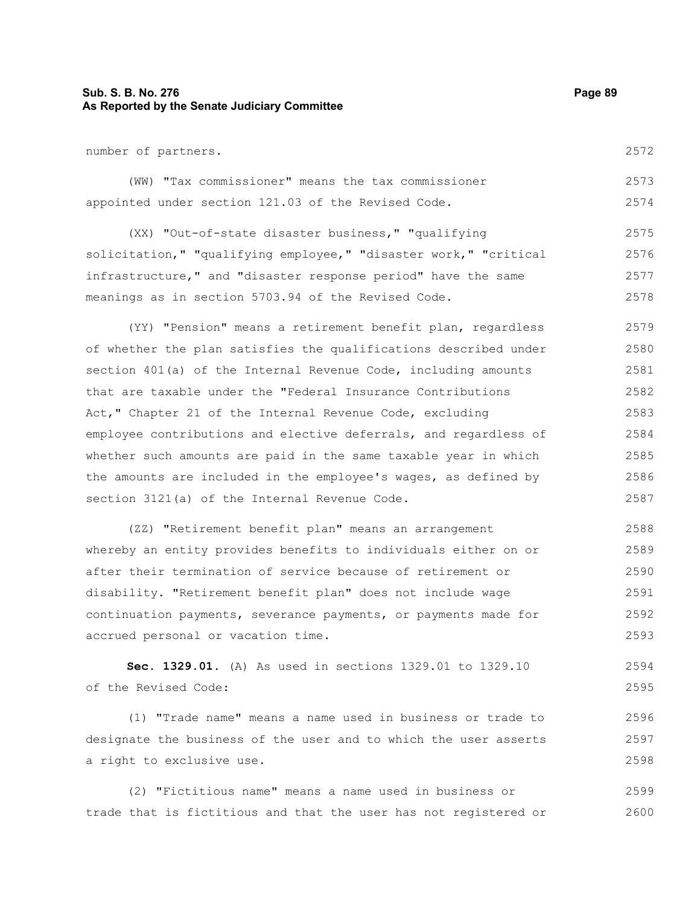# **Sub. S. B. No. 276 Page 89 As Reported by the Senate Judiciary Committee**

number of partners.

|  | (WW) "Tax commissioner" means the tax commissioner  |  |  | 2573 |
|--|-----------------------------------------------------|--|--|------|
|  | appointed under section 121.03 of the Revised Code. |  |  | 2574 |

(XX) "Out-of-state disaster business," "qualifying solicitation," "qualifying employee," "disaster work," "critical infrastructure," and "disaster response period" have the same meanings as in section 5703.94 of the Revised Code. 2575 2576 2577 2578

(YY) "Pension" means a retirement benefit plan, regardless of whether the plan satisfies the qualifications described under section 401(a) of the Internal Revenue Code, including amounts that are taxable under the "Federal Insurance Contributions Act," Chapter 21 of the Internal Revenue Code, excluding employee contributions and elective deferrals, and regardless of whether such amounts are paid in the same taxable year in which the amounts are included in the employee's wages, as defined by section 3121(a) of the Internal Revenue Code. 2579 2580 2581 2582 2583 2584 2585 2586 2587

(ZZ) "Retirement benefit plan" means an arrangement whereby an entity provides benefits to individuals either on or after their termination of service because of retirement or disability. "Retirement benefit plan" does not include wage continuation payments, severance payments, or payments made for accrued personal or vacation time. 2588 2589 2590 2591 2592 2593

**Sec. 1329.01.** (A) As used in sections 1329.01 to 1329.10 of the Revised Code: 2594 2595

(1) "Trade name" means a name used in business or trade to designate the business of the user and to which the user asserts a right to exclusive use. 2596 2597 2598

(2) "Fictitious name" means a name used in business or trade that is fictitious and that the user has not registered or 2599 2600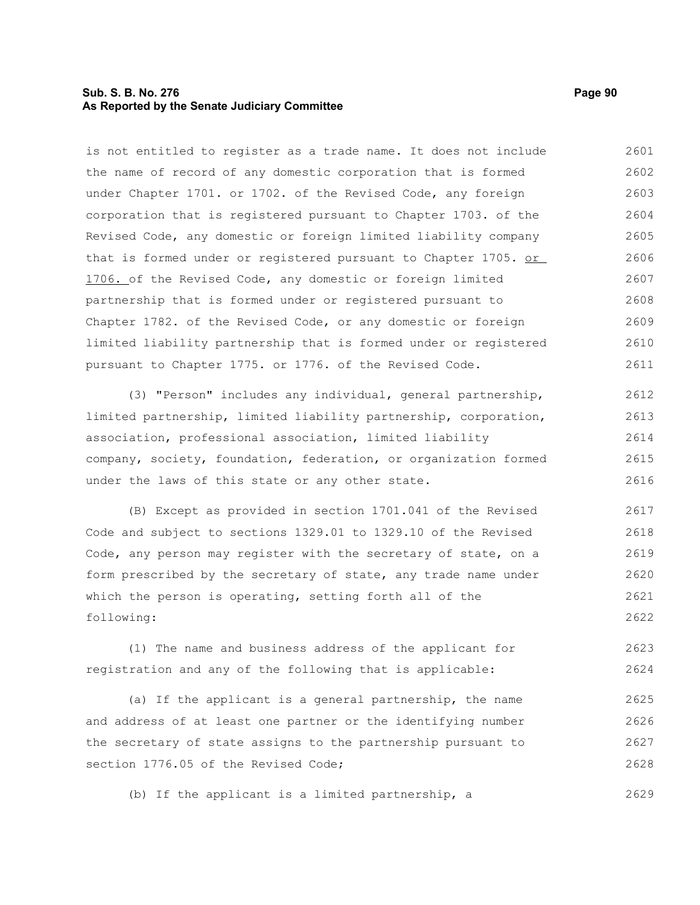# **Sub. S. B. No. 276 Page 90 As Reported by the Senate Judiciary Committee**

is not entitled to register as a trade name. It does not include the name of record of any domestic corporation that is formed under Chapter 1701. or 1702. of the Revised Code, any foreign corporation that is registered pursuant to Chapter 1703. of the Revised Code, any domestic or foreign limited liability company that is formed under or registered pursuant to Chapter 1705. or 1706. of the Revised Code, any domestic or foreign limited partnership that is formed under or registered pursuant to Chapter 1782. of the Revised Code, or any domestic or foreign limited liability partnership that is formed under or registered pursuant to Chapter 1775. or 1776. of the Revised Code. 2601 2602 2603 2604 2605 2606 2607 2608 2609 2610 2611

(3) "Person" includes any individual, general partnership, limited partnership, limited liability partnership, corporation, association, professional association, limited liability company, society, foundation, federation, or organization formed under the laws of this state or any other state. 2612 2613 2614 2615 2616

(B) Except as provided in section 1701.041 of the Revised Code and subject to sections 1329.01 to 1329.10 of the Revised Code, any person may register with the secretary of state, on a form prescribed by the secretary of state, any trade name under which the person is operating, setting forth all of the following: 2617 2618 2619 2620 2621 2622

(1) The name and business address of the applicant for registration and any of the following that is applicable: 2623 2624

(a) If the applicant is a general partnership, the name and address of at least one partner or the identifying number the secretary of state assigns to the partnership pursuant to section 1776.05 of the Revised Code; 2625 2626 2627 2628

(b) If the applicant is a limited partnership, a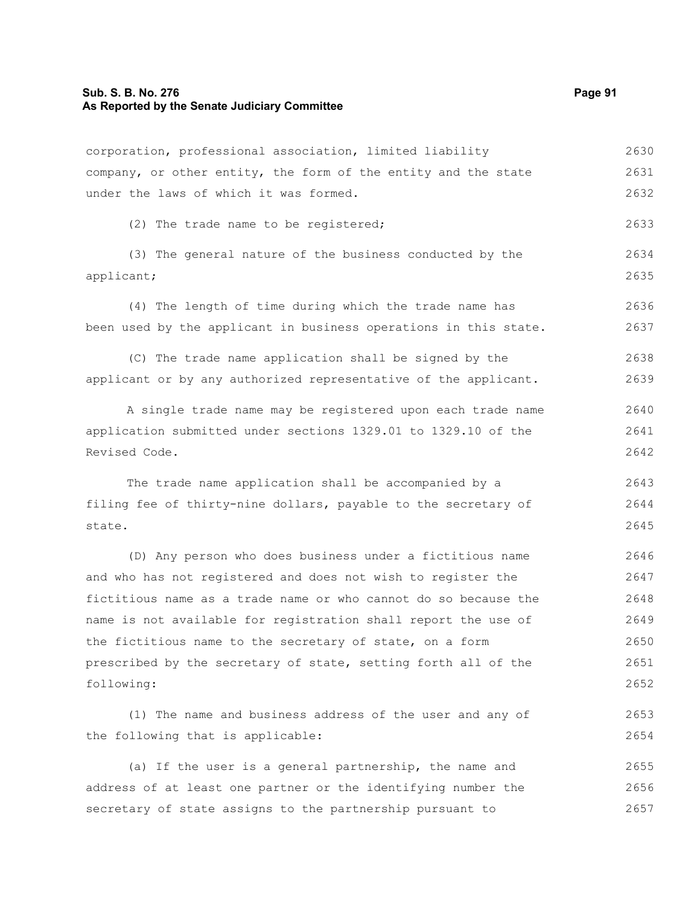#### **Sub. S. B. No. 276 Page 91 As Reported by the Senate Judiciary Committee**

corporation, professional association, limited liability company, or other entity, the form of the entity and the state under the laws of which it was formed. (2) The trade name to be registered; (3) The general nature of the business conducted by the applicant; (4) The length of time during which the trade name has been used by the applicant in business operations in this state. (C) The trade name application shall be signed by the applicant or by any authorized representative of the applicant. A single trade name may be registered upon each trade name application submitted under sections 1329.01 to 1329.10 of the Revised Code. The trade name application shall be accompanied by a filing fee of thirty-nine dollars, payable to the secretary of state. (D) Any person who does business under a fictitious name and who has not registered and does not wish to register the fictitious name as a trade name or who cannot do so because the name is not available for registration shall report the use of the fictitious name to the secretary of state, on a form prescribed by the secretary of state, setting forth all of the following: (1) The name and business address of the user and any of the following that is applicable: 2630 2631 2632 2633 2634 2635 2636 2637 2638 2639 2640 2641 2642 2643 2644 2645 2646 2647 2648 2649 2650 2651 2652 2653 2654

(a) If the user is a general partnership, the name and address of at least one partner or the identifying number the secretary of state assigns to the partnership pursuant to 2655 2656 2657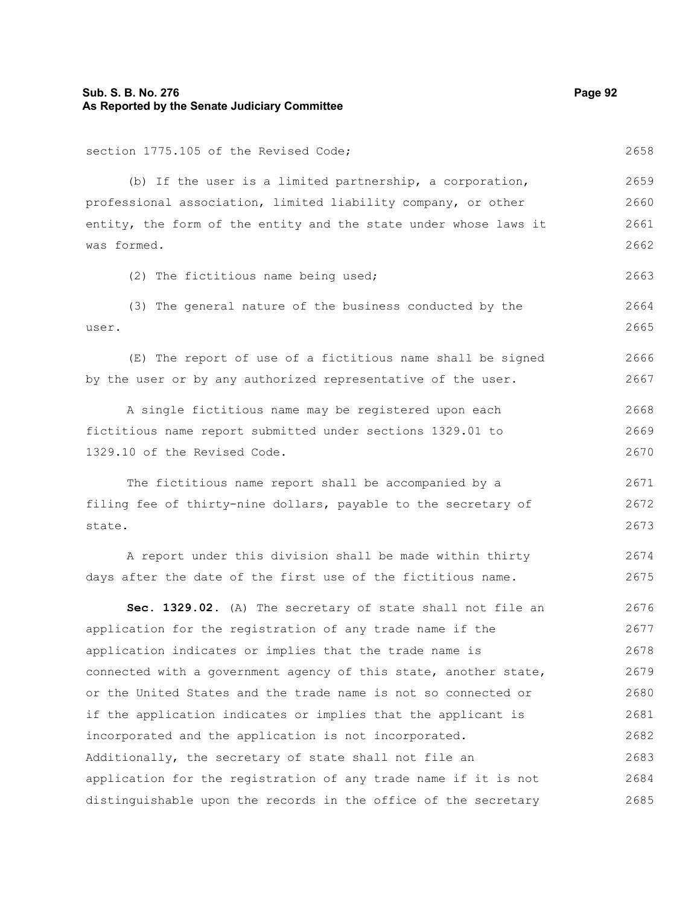# **Sub. S. B. No. 276 Page 92 As Reported by the Senate Judiciary Committee**

section 1775.105 of the Revised Code; (b) If the user is a limited partnership, a corporation, professional association, limited liability company, or other entity, the form of the entity and the state under whose laws it was formed. (2) The fictitious name being used; (3) The general nature of the business conducted by the user. (E) The report of use of a fictitious name shall be signed by the user or by any authorized representative of the user. A single fictitious name may be registered upon each fictitious name report submitted under sections 1329.01 to 1329.10 of the Revised Code. The fictitious name report shall be accompanied by a filing fee of thirty-nine dollars, payable to the secretary of state.

A report under this division shall be made within thirty days after the date of the first use of the fictitious name. 2674 2675

**Sec. 1329.02.** (A) The secretary of state shall not file an application for the registration of any trade name if the application indicates or implies that the trade name is connected with a government agency of this state, another state, or the United States and the trade name is not so connected or if the application indicates or implies that the applicant is incorporated and the application is not incorporated. Additionally, the secretary of state shall not file an application for the registration of any trade name if it is not distinguishable upon the records in the office of the secretary 2676 2677 2678 2679 2680 2681 2682 2683 2684 2685

2659 2660

2661 2662

2663

2664 2665

2666 2667

2668 2669 2670

2671 2672 2673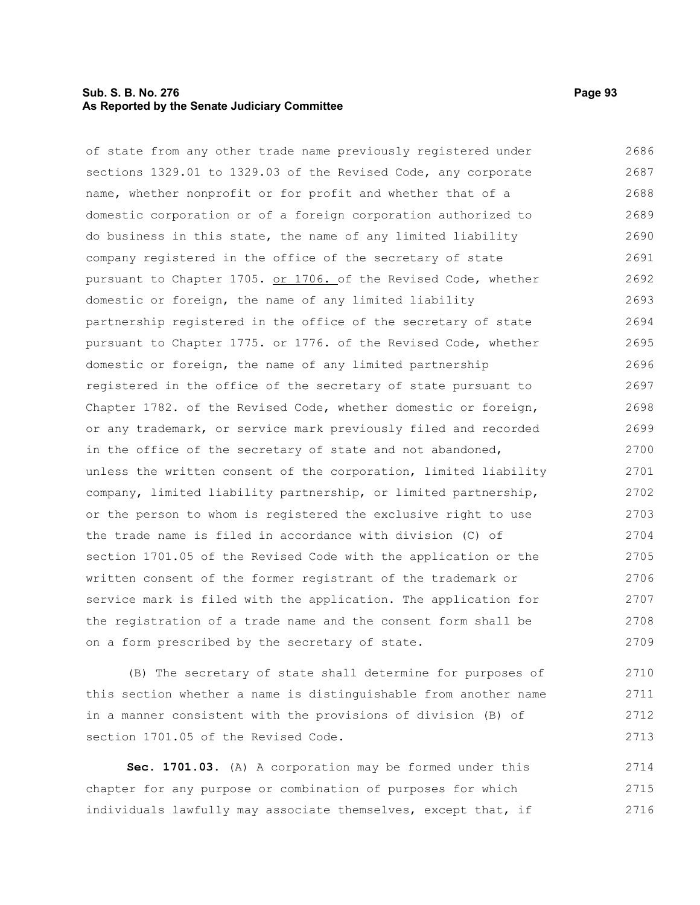# **Sub. S. B. No. 276 Page 93 As Reported by the Senate Judiciary Committee**

of state from any other trade name previously registered under sections 1329.01 to 1329.03 of the Revised Code, any corporate name, whether nonprofit or for profit and whether that of a domestic corporation or of a foreign corporation authorized to do business in this state, the name of any limited liability company registered in the office of the secretary of state pursuant to Chapter 1705. or 1706. of the Revised Code, whether domestic or foreign, the name of any limited liability partnership registered in the office of the secretary of state pursuant to Chapter 1775. or 1776. of the Revised Code, whether domestic or foreign, the name of any limited partnership registered in the office of the secretary of state pursuant to Chapter 1782. of the Revised Code, whether domestic or foreign, or any trademark, or service mark previously filed and recorded in the office of the secretary of state and not abandoned, unless the written consent of the corporation, limited liability company, limited liability partnership, or limited partnership, or the person to whom is registered the exclusive right to use the trade name is filed in accordance with division (C) of section 1701.05 of the Revised Code with the application or the written consent of the former registrant of the trademark or service mark is filed with the application. The application for the registration of a trade name and the consent form shall be on a form prescribed by the secretary of state. 2686 2687 2688 2689 2690 2691 2692 2693 2694 2695 2696 2697 2698 2699 2700 2701 2702 2703 2704 2705 2706 2707 2708 2709

(B) The secretary of state shall determine for purposes of this section whether a name is distinguishable from another name in a manner consistent with the provisions of division (B) of section 1701.05 of the Revised Code.

**Sec. 1701.03.** (A) A corporation may be formed under this chapter for any purpose or combination of purposes for which individuals lawfully may associate themselves, except that, if 2714 2715 2716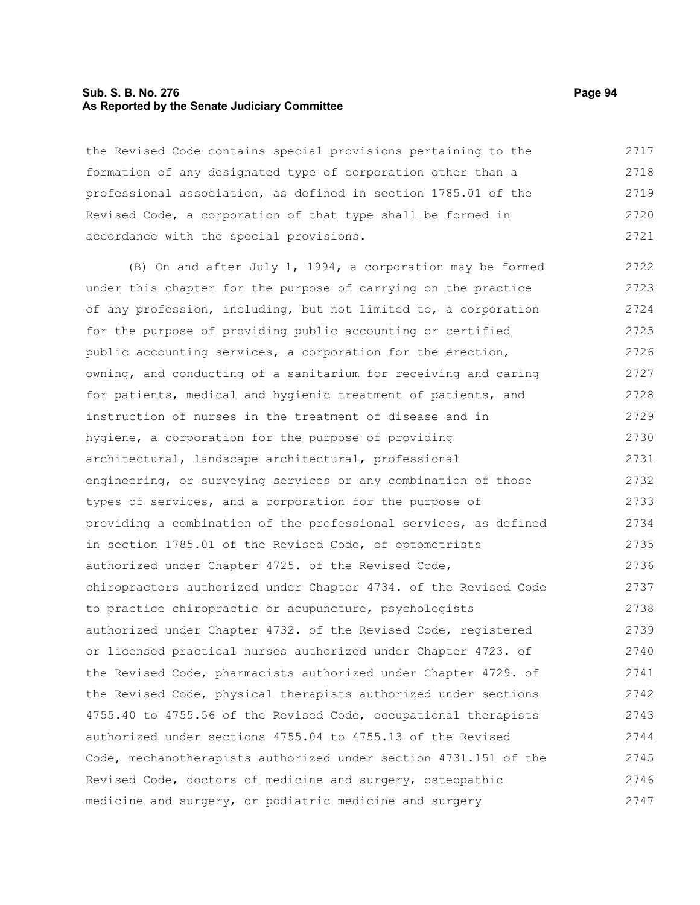# **Sub. S. B. No. 276 Page 94 As Reported by the Senate Judiciary Committee**

the Revised Code contains special provisions pertaining to the formation of any designated type of corporation other than a professional association, as defined in section 1785.01 of the Revised Code, a corporation of that type shall be formed in accordance with the special provisions. 2717 2718 2719 2720 2721

(B) On and after July 1, 1994, a corporation may be formed under this chapter for the purpose of carrying on the practice of any profession, including, but not limited to, a corporation for the purpose of providing public accounting or certified public accounting services, a corporation for the erection, owning, and conducting of a sanitarium for receiving and caring for patients, medical and hygienic treatment of patients, and instruction of nurses in the treatment of disease and in hygiene, a corporation for the purpose of providing architectural, landscape architectural, professional engineering, or surveying services or any combination of those types of services, and a corporation for the purpose of providing a combination of the professional services, as defined in section 1785.01 of the Revised Code, of optometrists authorized under Chapter 4725. of the Revised Code, chiropractors authorized under Chapter 4734. of the Revised Code to practice chiropractic or acupuncture, psychologists authorized under Chapter 4732. of the Revised Code, registered or licensed practical nurses authorized under Chapter 4723. of the Revised Code, pharmacists authorized under Chapter 4729. of the Revised Code, physical therapists authorized under sections 4755.40 to 4755.56 of the Revised Code, occupational therapists authorized under sections 4755.04 to 4755.13 of the Revised Code, mechanotherapists authorized under section 4731.151 of the Revised Code, doctors of medicine and surgery, osteopathic medicine and surgery, or podiatric medicine and surgery 2722 2723 2724 2725 2726 2727 2728 2729 2730 2731 2732 2733 2734 2735 2736 2737 2738 2739 2740 2741 2742 2743 2744 2745 2746 2747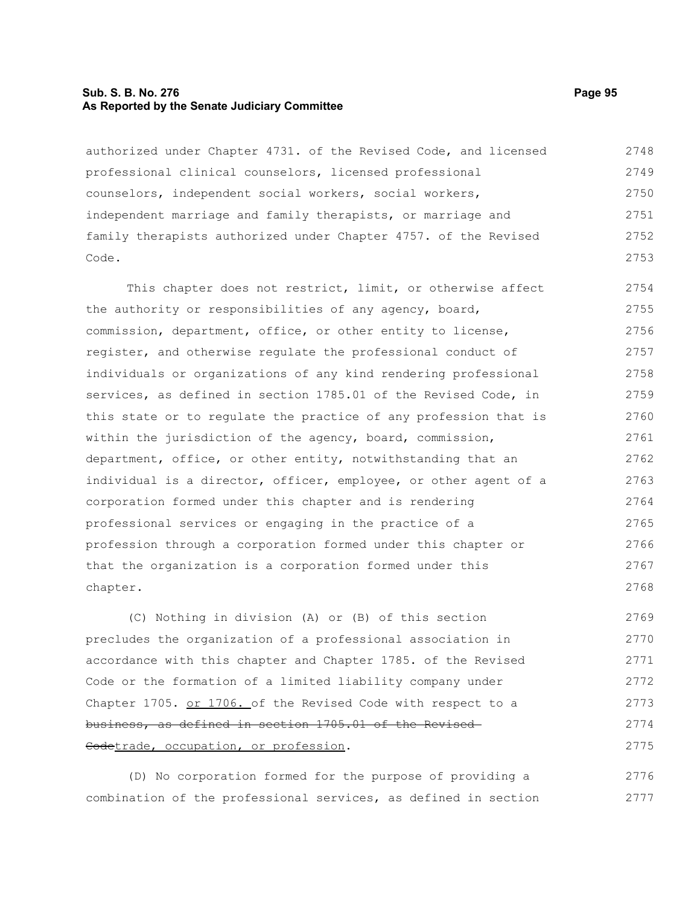# **Sub. S. B. No. 276 Page 95 As Reported by the Senate Judiciary Committee**

authorized under Chapter 4731. of the Revised Code, and licensed professional clinical counselors, licensed professional counselors, independent social workers, social workers, independent marriage and family therapists, or marriage and family therapists authorized under Chapter 4757. of the Revised Code. 2748 2749 2750 2751 2752 2753

This chapter does not restrict, limit, or otherwise affect the authority or responsibilities of any agency, board, commission, department, office, or other entity to license, register, and otherwise regulate the professional conduct of individuals or organizations of any kind rendering professional services, as defined in section 1785.01 of the Revised Code, in this state or to regulate the practice of any profession that is within the jurisdiction of the agency, board, commission, department, office, or other entity, notwithstanding that an individual is a director, officer, employee, or other agent of a corporation formed under this chapter and is rendering professional services or engaging in the practice of a profession through a corporation formed under this chapter or that the organization is a corporation formed under this chapter. 2754 2755 2756 2757 2758 2759 2760 2761 2762 2763 2764 2765 2766 2767 2768

(C) Nothing in division (A) or (B) of this section precludes the organization of a professional association in accordance with this chapter and Chapter 1785. of the Revised Code or the formation of a limited liability company under Chapter 1705. or 1706. of the Revised Code with respect to a business, as defined in section 1705.01 of the Revised Codetrade, occupation, or profession. 2769 2770 2771 2772 2773 2774 2775

(D) No corporation formed for the purpose of providing a combination of the professional services, as defined in section 2776 2777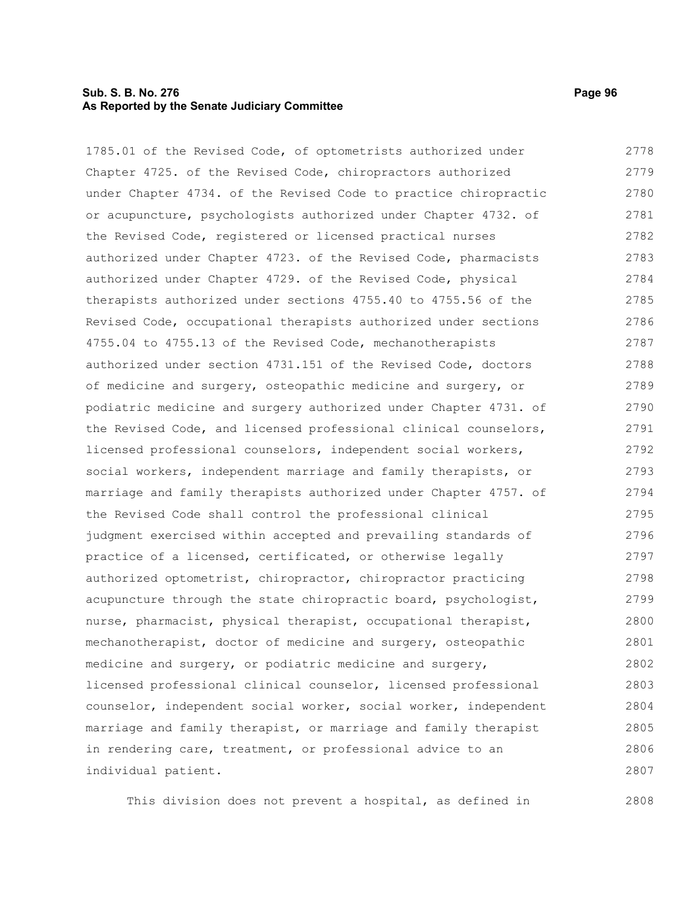# **Sub. S. B. No. 276 Page 96 As Reported by the Senate Judiciary Committee**

1785.01 of the Revised Code, of optometrists authorized under Chapter 4725. of the Revised Code, chiropractors authorized under Chapter 4734. of the Revised Code to practice chiropractic or acupuncture, psychologists authorized under Chapter 4732. of the Revised Code, registered or licensed practical nurses authorized under Chapter 4723. of the Revised Code, pharmacists authorized under Chapter 4729. of the Revised Code, physical therapists authorized under sections 4755.40 to 4755.56 of the Revised Code, occupational therapists authorized under sections 4755.04 to 4755.13 of the Revised Code, mechanotherapists authorized under section 4731.151 of the Revised Code, doctors of medicine and surgery, osteopathic medicine and surgery, or podiatric medicine and surgery authorized under Chapter 4731. of the Revised Code, and licensed professional clinical counselors, licensed professional counselors, independent social workers, social workers, independent marriage and family therapists, or marriage and family therapists authorized under Chapter 4757. of the Revised Code shall control the professional clinical judgment exercised within accepted and prevailing standards of practice of a licensed, certificated, or otherwise legally authorized optometrist, chiropractor, chiropractor practicing acupuncture through the state chiropractic board, psychologist, nurse, pharmacist, physical therapist, occupational therapist, mechanotherapist, doctor of medicine and surgery, osteopathic medicine and surgery, or podiatric medicine and surgery, licensed professional clinical counselor, licensed professional counselor, independent social worker, social worker, independent marriage and family therapist, or marriage and family therapist in rendering care, treatment, or professional advice to an individual patient. 2778 2779 2780 2781 2782 2783 2784 2785 2786 2787 2788 2789 2790 2791 2792 2793 2794 2795 2796 2797 2798 2799 2800 2801 2802 2803 2804 2805 2806 2807

This division does not prevent a hospital, as defined in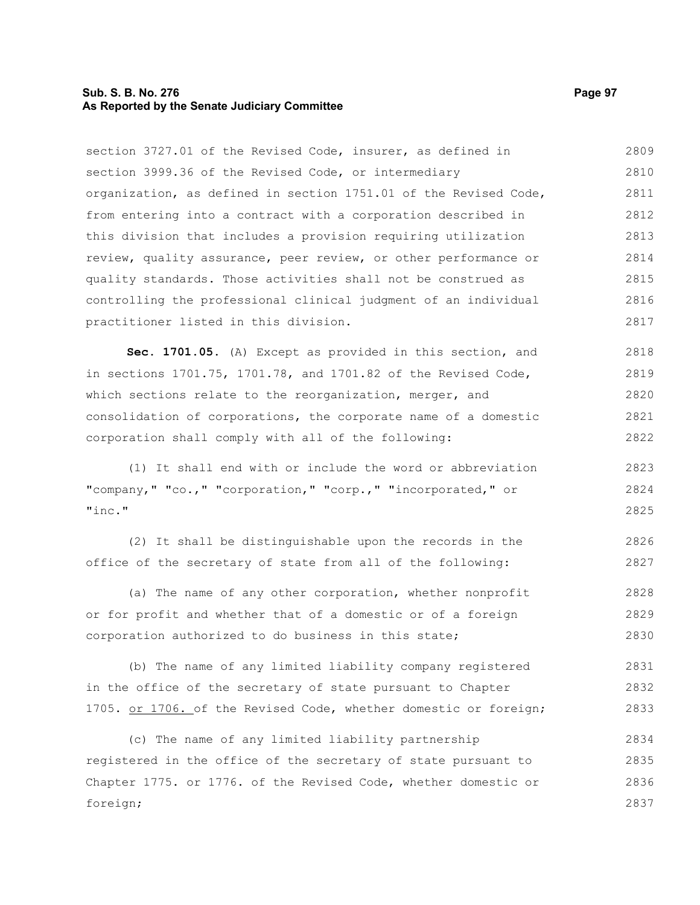# **Sub. S. B. No. 276 Page 97 As Reported by the Senate Judiciary Committee**

section 3727.01 of the Revised Code, insurer, as defined in section 3999.36 of the Revised Code, or intermediary organization, as defined in section 1751.01 of the Revised Code, from entering into a contract with a corporation described in this division that includes a provision requiring utilization review, quality assurance, peer review, or other performance or quality standards. Those activities shall not be construed as controlling the professional clinical judgment of an individual practitioner listed in this division. 2809 2810 2811 2812 2813 2814 2815 2816 2817

**Sec. 1701.05.** (A) Except as provided in this section, and in sections 1701.75, 1701.78, and 1701.82 of the Revised Code, which sections relate to the reorganization, merger, and consolidation of corporations, the corporate name of a domestic corporation shall comply with all of the following: 2818 2819 2820 2821 2822

(1) It shall end with or include the word or abbreviation "company," "co.," "corporation," "corp.," "incorporated," or "inc." 2823 2824 2825

(2) It shall be distinguishable upon the records in the office of the secretary of state from all of the following: 2826 2827

(a) The name of any other corporation, whether nonprofit or for profit and whether that of a domestic or of a foreign corporation authorized to do business in this state; 2828 2829 2830

(b) The name of any limited liability company registered in the office of the secretary of state pursuant to Chapter 1705. or 1706. of the Revised Code, whether domestic or foreign; 2831 2832 2833

(c) The name of any limited liability partnership registered in the office of the secretary of state pursuant to Chapter 1775. or 1776. of the Revised Code, whether domestic or foreign; 2834 2835 2836 2837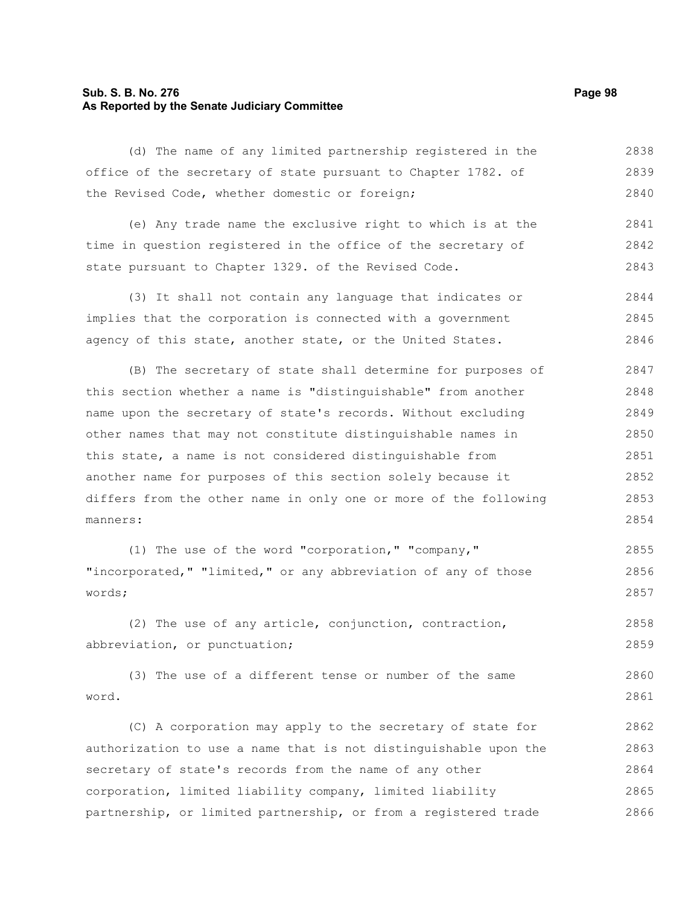# **Sub. S. B. No. 276 Page 98 As Reported by the Senate Judiciary Committee**

(d) The name of any limited partnership registered in the office of the secretary of state pursuant to Chapter 1782. of the Revised Code, whether domestic or foreign; 2838 2839 2840

(e) Any trade name the exclusive right to which is at the time in question registered in the office of the secretary of state pursuant to Chapter 1329. of the Revised Code. 2841 2842 2843

(3) It shall not contain any language that indicates or implies that the corporation is connected with a government agency of this state, another state, or the United States. 2844 2845 2846

(B) The secretary of state shall determine for purposes of this section whether a name is "distinguishable" from another name upon the secretary of state's records. Without excluding other names that may not constitute distinguishable names in this state, a name is not considered distinguishable from another name for purposes of this section solely because it differs from the other name in only one or more of the following manners: 2847 2848 2849 2850 2851 2852 2853 2854

(1) The use of the word "corporation," "company," "incorporated," "limited," or any abbreviation of any of those words; 2855 2856 2857

(2) The use of any article, conjunction, contraction, abbreviation, or punctuation; 2858 2859

(3) The use of a different tense or number of the same word. 2860 2861

(C) A corporation may apply to the secretary of state for authorization to use a name that is not distinguishable upon the secretary of state's records from the name of any other corporation, limited liability company, limited liability partnership, or limited partnership, or from a registered trade 2862 2863 2864 2865 2866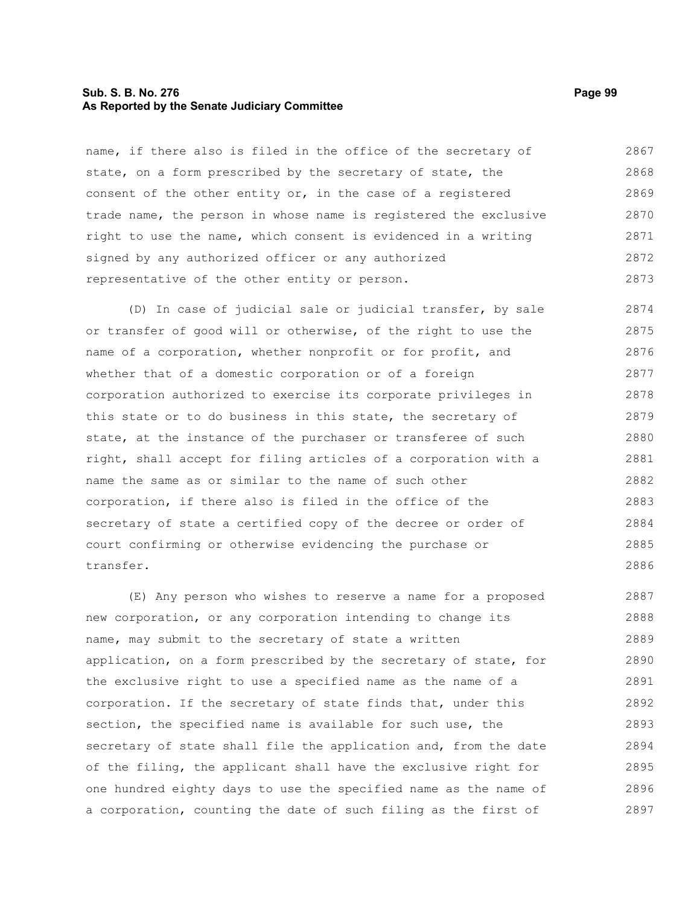#### **Sub. S. B. No. 276 Page 99 As Reported by the Senate Judiciary Committee**

name, if there also is filed in the office of the secretary of state, on a form prescribed by the secretary of state, the consent of the other entity or, in the case of a registered trade name, the person in whose name is registered the exclusive right to use the name, which consent is evidenced in a writing signed by any authorized officer or any authorized representative of the other entity or person. 2867 2868 2869 2870 2871 2872 2873

(D) In case of judicial sale or judicial transfer, by sale or transfer of good will or otherwise, of the right to use the name of a corporation, whether nonprofit or for profit, and whether that of a domestic corporation or of a foreign corporation authorized to exercise its corporate privileges in this state or to do business in this state, the secretary of state, at the instance of the purchaser or transferee of such right, shall accept for filing articles of a corporation with a name the same as or similar to the name of such other corporation, if there also is filed in the office of the secretary of state a certified copy of the decree or order of court confirming or otherwise evidencing the purchase or transfer. 2874 2875 2876 2877 2878 2879 2880 2881 2882 2883 2884 2885 2886

(E) Any person who wishes to reserve a name for a proposed new corporation, or any corporation intending to change its name, may submit to the secretary of state a written application, on a form prescribed by the secretary of state, for the exclusive right to use a specified name as the name of a corporation. If the secretary of state finds that, under this section, the specified name is available for such use, the secretary of state shall file the application and, from the date of the filing, the applicant shall have the exclusive right for one hundred eighty days to use the specified name as the name of a corporation, counting the date of such filing as the first of 2887 2888 2889 2890 2891 2892 2893 2894 2895 2896 2897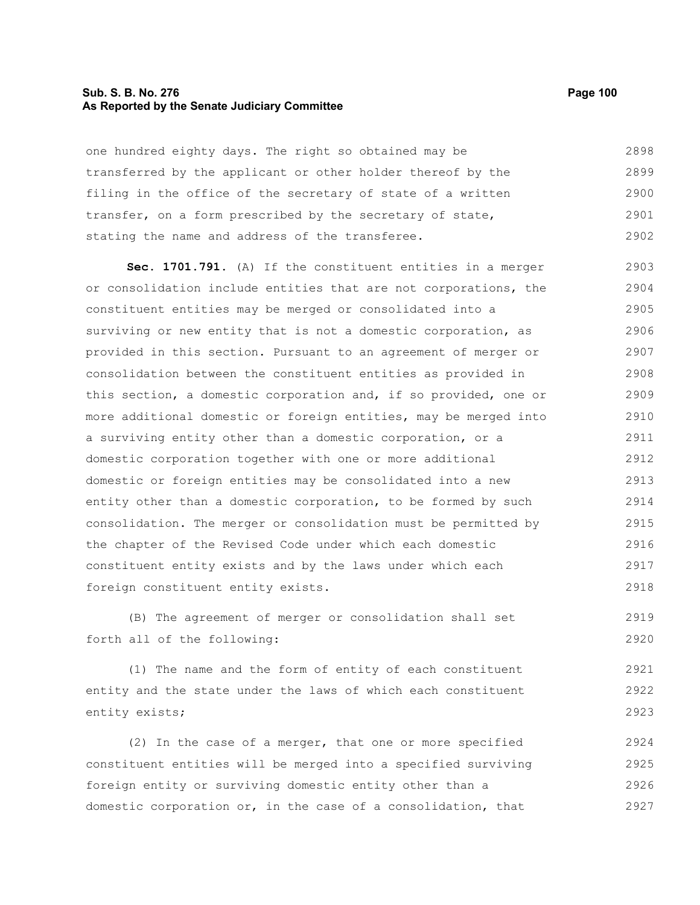#### **Sub. S. B. No. 276 Page 100 As Reported by the Senate Judiciary Committee**

one hundred eighty days. The right so obtained may be transferred by the applicant or other holder thereof by the filing in the office of the secretary of state of a written transfer, on a form prescribed by the secretary of state, stating the name and address of the transferee. 2898 2899 2900 2901 2902

**Sec. 1701.791.** (A) If the constituent entities in a merger or consolidation include entities that are not corporations, the constituent entities may be merged or consolidated into a surviving or new entity that is not a domestic corporation, as provided in this section. Pursuant to an agreement of merger or consolidation between the constituent entities as provided in this section, a domestic corporation and, if so provided, one or more additional domestic or foreign entities, may be merged into a surviving entity other than a domestic corporation, or a domestic corporation together with one or more additional domestic or foreign entities may be consolidated into a new entity other than a domestic corporation, to be formed by such consolidation. The merger or consolidation must be permitted by the chapter of the Revised Code under which each domestic constituent entity exists and by the laws under which each foreign constituent entity exists. 2903 2904 2905 2906 2907 2908 2909 2910 2911 2912 2913 2914 2915 2916 2917 2918

(B) The agreement of merger or consolidation shall set forth all of the following: 2919 2920

(1) The name and the form of entity of each constituent entity and the state under the laws of which each constituent entity exists; 2921 2922 2923

(2) In the case of a merger, that one or more specified constituent entities will be merged into a specified surviving foreign entity or surviving domestic entity other than a domestic corporation or, in the case of a consolidation, that 2924 2925 2926 2927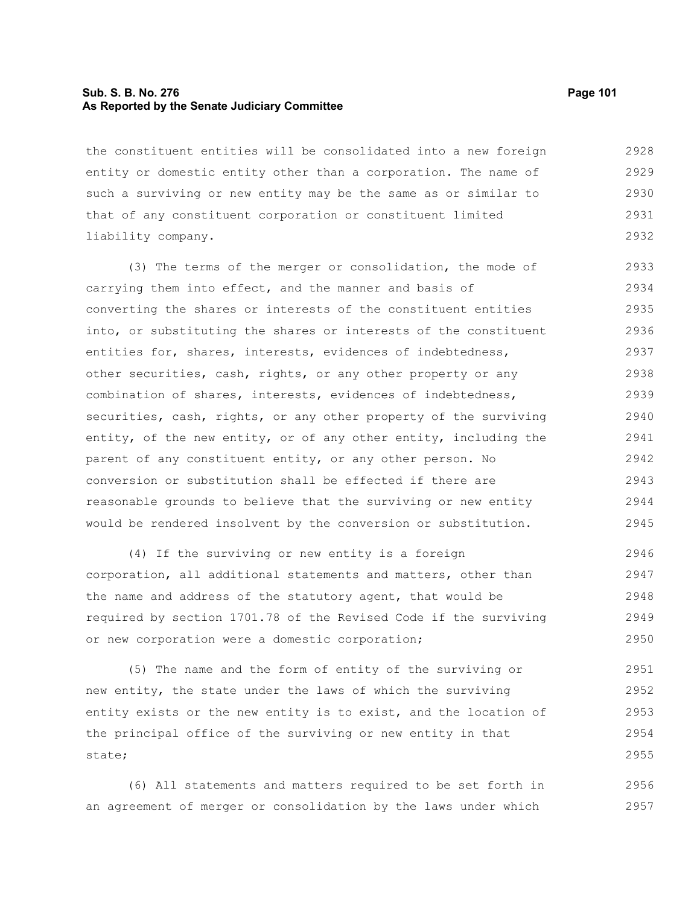# **Sub. S. B. No. 276 Page 101 As Reported by the Senate Judiciary Committee**

the constituent entities will be consolidated into a new foreign entity or domestic entity other than a corporation. The name of such a surviving or new entity may be the same as or similar to that of any constituent corporation or constituent limited liability company. 2928 2929 2930 2931 2932

(3) The terms of the merger or consolidation, the mode of carrying them into effect, and the manner and basis of converting the shares or interests of the constituent entities into, or substituting the shares or interests of the constituent entities for, shares, interests, evidences of indebtedness, other securities, cash, rights, or any other property or any combination of shares, interests, evidences of indebtedness, securities, cash, rights, or any other property of the surviving entity, of the new entity, or of any other entity, including the parent of any constituent entity, or any other person. No conversion or substitution shall be effected if there are reasonable grounds to believe that the surviving or new entity would be rendered insolvent by the conversion or substitution. 2933 2934 2935 2936 2937 2938 2939 2940 2941 2942 2943 2944 2945

(4) If the surviving or new entity is a foreign corporation, all additional statements and matters, other than the name and address of the statutory agent, that would be required by section 1701.78 of the Revised Code if the surviving or new corporation were a domestic corporation; 2946 2947 2948 2949 2950

(5) The name and the form of entity of the surviving or new entity, the state under the laws of which the surviving entity exists or the new entity is to exist, and the location of the principal office of the surviving or new entity in that state; 2951 2952 2953 2954 2955

(6) All statements and matters required to be set forth in an agreement of merger or consolidation by the laws under which 2956 2957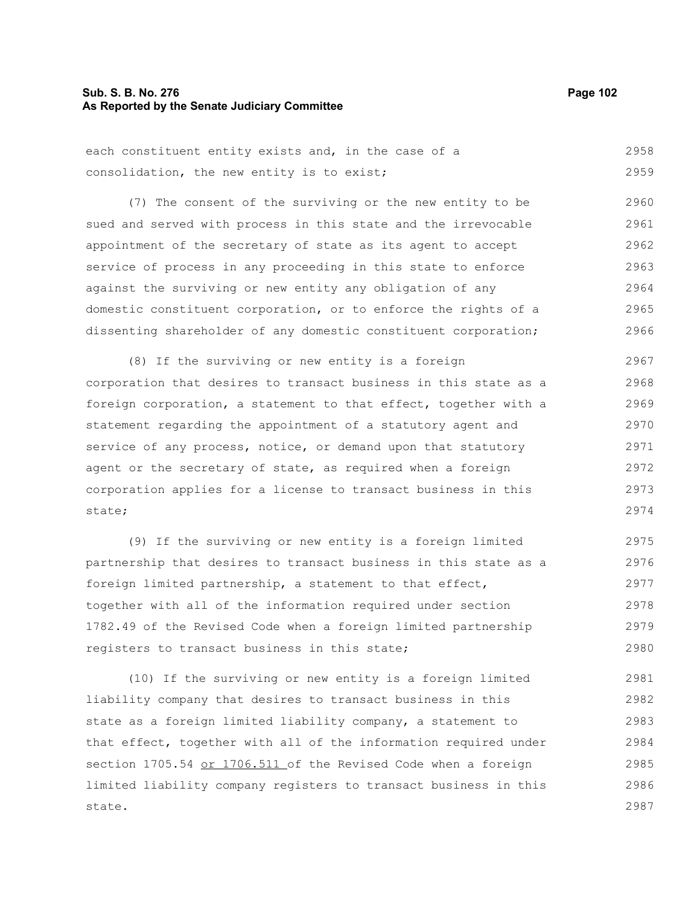## **Sub. S. B. No. 276 Page 102 As Reported by the Senate Judiciary Committee**

each constituent entity exists and, in the case of a consolidation, the new entity is to exist; 2958 2959

(7) The consent of the surviving or the new entity to be sued and served with process in this state and the irrevocable appointment of the secretary of state as its agent to accept service of process in any proceeding in this state to enforce against the surviving or new entity any obligation of any domestic constituent corporation, or to enforce the rights of a dissenting shareholder of any domestic constituent corporation; 2960 2961 2962 2963 2964 2965 2966

(8) If the surviving or new entity is a foreign corporation that desires to transact business in this state as a foreign corporation, a statement to that effect, together with a statement regarding the appointment of a statutory agent and service of any process, notice, or demand upon that statutory agent or the secretary of state, as required when a foreign corporation applies for a license to transact business in this state; 2967 2968 2969 2970 2971 2972 2973 2974

(9) If the surviving or new entity is a foreign limited partnership that desires to transact business in this state as a foreign limited partnership, a statement to that effect, together with all of the information required under section 1782.49 of the Revised Code when a foreign limited partnership registers to transact business in this state; 2975 2976 2977 2978 2979 2980

(10) If the surviving or new entity is a foreign limited liability company that desires to transact business in this state as a foreign limited liability company, a statement to that effect, together with all of the information required under section 1705.54 or 1706.511 of the Revised Code when a foreign limited liability company registers to transact business in this state. 2981 2982 2983 2984 2985 2986 2987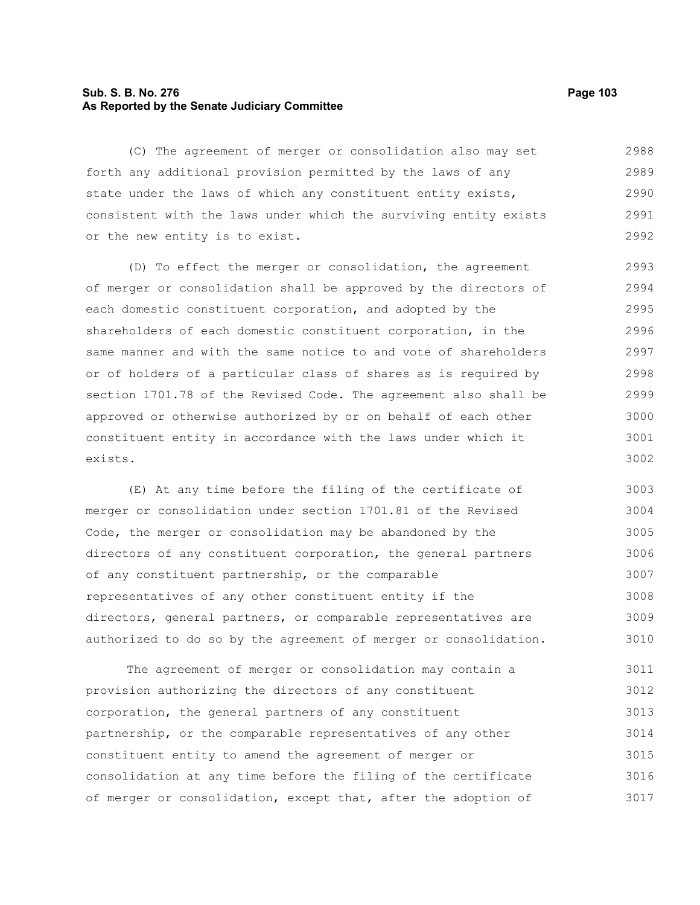# **Sub. S. B. No. 276 Page 103 As Reported by the Senate Judiciary Committee**

(C) The agreement of merger or consolidation also may set forth any additional provision permitted by the laws of any state under the laws of which any constituent entity exists, consistent with the laws under which the surviving entity exists or the new entity is to exist. 2988 2989 2990 2991 2992

(D) To effect the merger or consolidation, the agreement of merger or consolidation shall be approved by the directors of each domestic constituent corporation, and adopted by the shareholders of each domestic constituent corporation, in the same manner and with the same notice to and vote of shareholders or of holders of a particular class of shares as is required by section 1701.78 of the Revised Code. The agreement also shall be approved or otherwise authorized by or on behalf of each other constituent entity in accordance with the laws under which it exists. 2993 2994 2995 2996 2997 2998 2999 3000 3001 3002

(E) At any time before the filing of the certificate of merger or consolidation under section 1701.81 of the Revised Code, the merger or consolidation may be abandoned by the directors of any constituent corporation, the general partners of any constituent partnership, or the comparable representatives of any other constituent entity if the directors, general partners, or comparable representatives are authorized to do so by the agreement of merger or consolidation. 3003 3004 3005 3006 3007 3008 3009 3010

The agreement of merger or consolidation may contain a provision authorizing the directors of any constituent corporation, the general partners of any constituent partnership, or the comparable representatives of any other constituent entity to amend the agreement of merger or consolidation at any time before the filing of the certificate of merger or consolidation, except that, after the adoption of 3011 3012 3013 3014 3015 3016 3017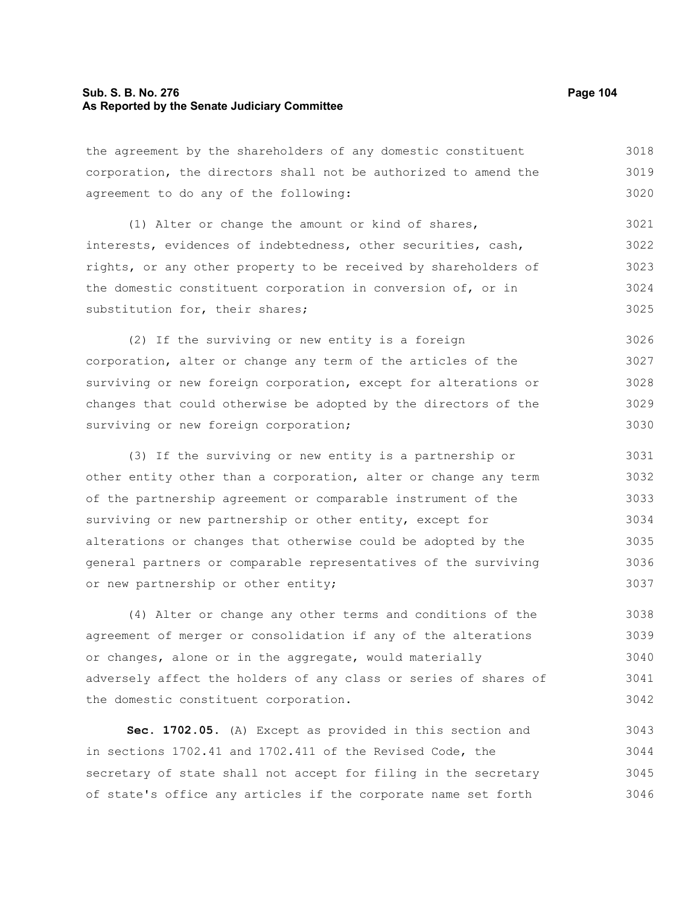# **Sub. S. B. No. 276 Page 104 As Reported by the Senate Judiciary Committee**

the agreement by the shareholders of any domestic constituent corporation, the directors shall not be authorized to amend the agreement to do any of the following: 3018 3019 3020

(1) Alter or change the amount or kind of shares, interests, evidences of indebtedness, other securities, cash, rights, or any other property to be received by shareholders of the domestic constituent corporation in conversion of, or in substitution for, their shares; 3021 3022 3023 3024 3025

(2) If the surviving or new entity is a foreign corporation, alter or change any term of the articles of the surviving or new foreign corporation, except for alterations or changes that could otherwise be adopted by the directors of the surviving or new foreign corporation; 3026 3027 3028 3029 3030

(3) If the surviving or new entity is a partnership or other entity other than a corporation, alter or change any term of the partnership agreement or comparable instrument of the surviving or new partnership or other entity, except for alterations or changes that otherwise could be adopted by the general partners or comparable representatives of the surviving or new partnership or other entity; 3031 3032 3033 3034 3035 3036 3037

(4) Alter or change any other terms and conditions of the agreement of merger or consolidation if any of the alterations or changes, alone or in the aggregate, would materially adversely affect the holders of any class or series of shares of the domestic constituent corporation. 3038 3039 3040 3041 3042

**Sec. 1702.05.** (A) Except as provided in this section and in sections 1702.41 and 1702.411 of the Revised Code, the secretary of state shall not accept for filing in the secretary of state's office any articles if the corporate name set forth 3043 3044 3045 3046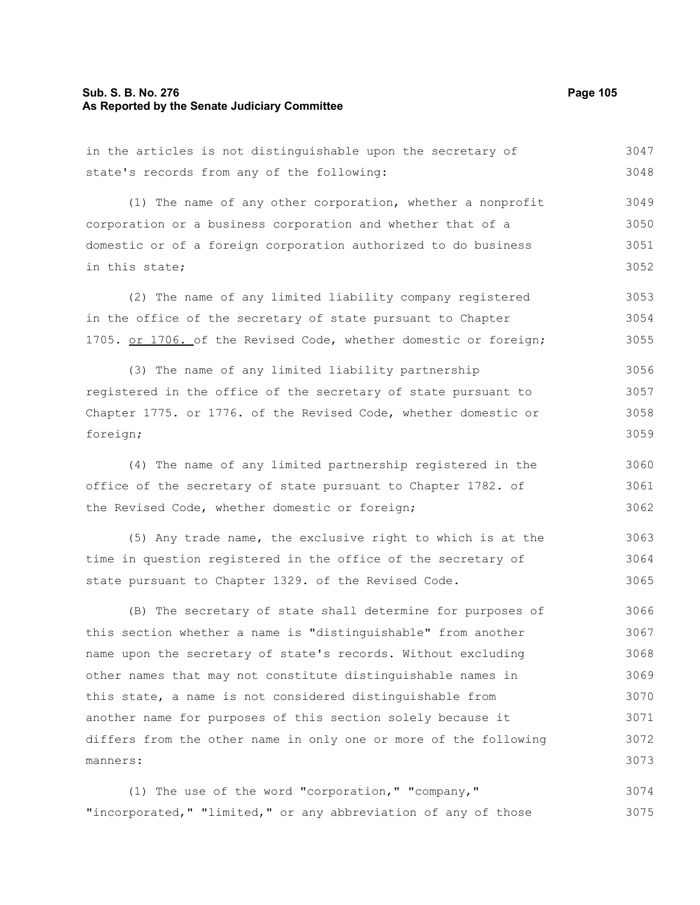## **Sub. S. B. No. 276 Page 105 As Reported by the Senate Judiciary Committee**

the Revised Code, whether domestic or foreign;

in the articles is not distinguishable upon the secretary of state's records from any of the following: (1) The name of any other corporation, whether a nonprofit corporation or a business corporation and whether that of a domestic or of a foreign corporation authorized to do business in this state; (2) The name of any limited liability company registered in the office of the secretary of state pursuant to Chapter 1705. or 1706. of the Revised Code, whether domestic or foreign; (3) The name of any limited liability partnership registered in the office of the secretary of state pursuant to Chapter 1775. or 1776. of the Revised Code, whether domestic or foreign; (4) The name of any limited partnership registered in the office of the secretary of state pursuant to Chapter 1782. of 3047 3048 3049 3050 3051 3052 3053 3054 3055 3056 3057 3058 3059 3060 3061

(5) Any trade name, the exclusive right to which is at the time in question registered in the office of the secretary of state pursuant to Chapter 1329. of the Revised Code. 3063 3064 3065

(B) The secretary of state shall determine for purposes of this section whether a name is "distinguishable" from another name upon the secretary of state's records. Without excluding other names that may not constitute distinguishable names in this state, a name is not considered distinguishable from another name for purposes of this section solely because it differs from the other name in only one or more of the following manners: 3066 3067 3068 3069 3070 3071 3072 3073

(1) The use of the word "corporation," "company," "incorporated," "limited," or any abbreviation of any of those 3074 3075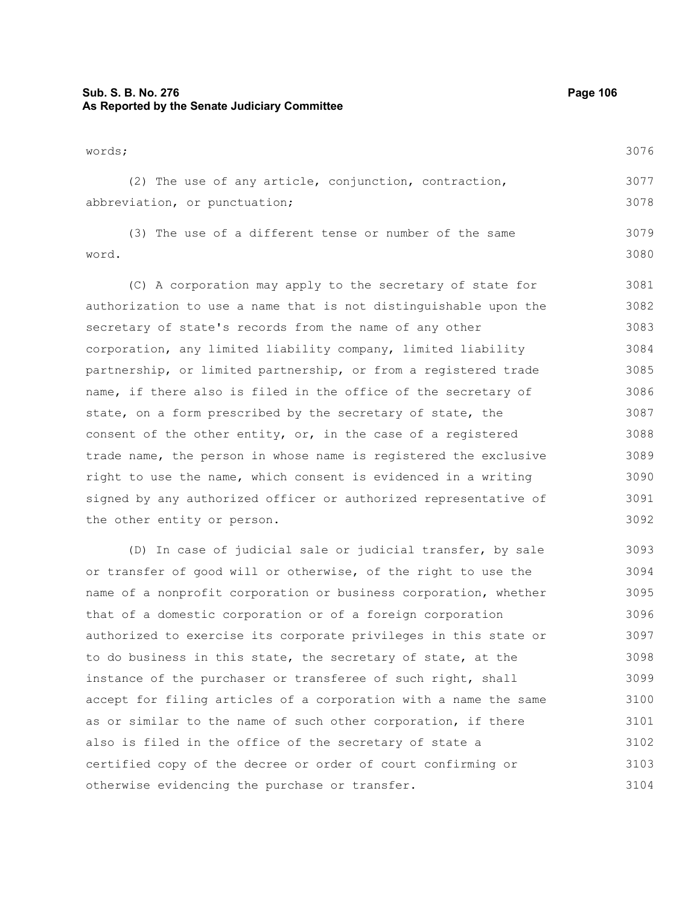# **Sub. S. B. No. 276 Page 106 As Reported by the Senate Judiciary Committee**

words; (2) The use of any article, conjunction, contraction, abbreviation, or punctuation; (3) The use of a different tense or number of the same word. (C) A corporation may apply to the secretary of state for authorization to use a name that is not distinguishable upon the secretary of state's records from the name of any other corporation, any limited liability company, limited liability partnership, or limited partnership, or from a registered trade name, if there also is filed in the office of the secretary of state, on a form prescribed by the secretary of state, the consent of the other entity, or, in the case of a registered trade name, the person in whose name is registered the exclusive right to use the name, which consent is evidenced in a writing signed by any authorized officer or authorized representative of the other entity or person. (D) In case of judicial sale or judicial transfer, by sale or transfer of good will or otherwise, of the right to use the name of a nonprofit corporation or business corporation, whether 3076 3077 3078 3079 3080 3081 3082 3083 3084 3085 3086 3087 3088 3089 3090 3091 3092 3093 3094 3095

that of a domestic corporation or of a foreign corporation authorized to exercise its corporate privileges in this state or to do business in this state, the secretary of state, at the instance of the purchaser or transferee of such right, shall accept for filing articles of a corporation with a name the same as or similar to the name of such other corporation, if there also is filed in the office of the secretary of state a certified copy of the decree or order of court confirming or otherwise evidencing the purchase or transfer. 3096 3097 3098 3099 3100 3101 3102 3103 3104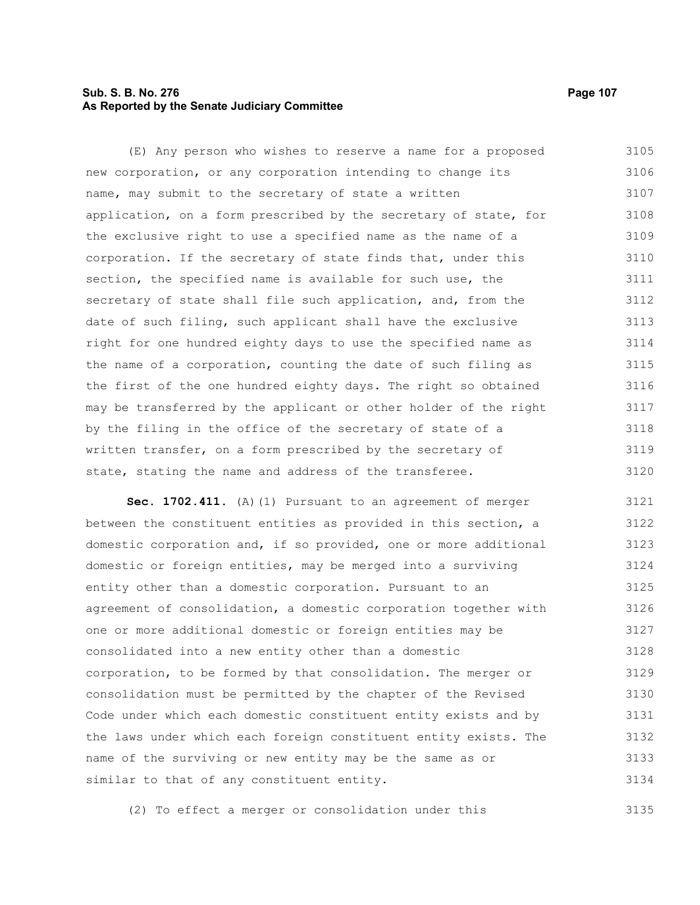# **Sub. S. B. No. 276 Page 107 As Reported by the Senate Judiciary Committee**

(E) Any person who wishes to reserve a name for a proposed new corporation, or any corporation intending to change its name, may submit to the secretary of state a written application, on a form prescribed by the secretary of state, for the exclusive right to use a specified name as the name of a corporation. If the secretary of state finds that, under this section, the specified name is available for such use, the secretary of state shall file such application, and, from the date of such filing, such applicant shall have the exclusive right for one hundred eighty days to use the specified name as the name of a corporation, counting the date of such filing as the first of the one hundred eighty days. The right so obtained may be transferred by the applicant or other holder of the right by the filing in the office of the secretary of state of a written transfer, on a form prescribed by the secretary of state, stating the name and address of the transferee. 3105 3106 3107 3108 3109 3110 3111 3112 3113 3114 3115 3116 3117 3118 3119 3120

**Sec. 1702.411.** (A)(1) Pursuant to an agreement of merger between the constituent entities as provided in this section, a domestic corporation and, if so provided, one or more additional domestic or foreign entities, may be merged into a surviving entity other than a domestic corporation. Pursuant to an agreement of consolidation, a domestic corporation together with one or more additional domestic or foreign entities may be consolidated into a new entity other than a domestic corporation, to be formed by that consolidation. The merger or consolidation must be permitted by the chapter of the Revised Code under which each domestic constituent entity exists and by the laws under which each foreign constituent entity exists. The name of the surviving or new entity may be the same as or similar to that of any constituent entity. 3121 3122 3123 3124 3125 3126 3127 3128 3129 3130 3131 3132 3133 3134

(2) To effect a merger or consolidation under this 3135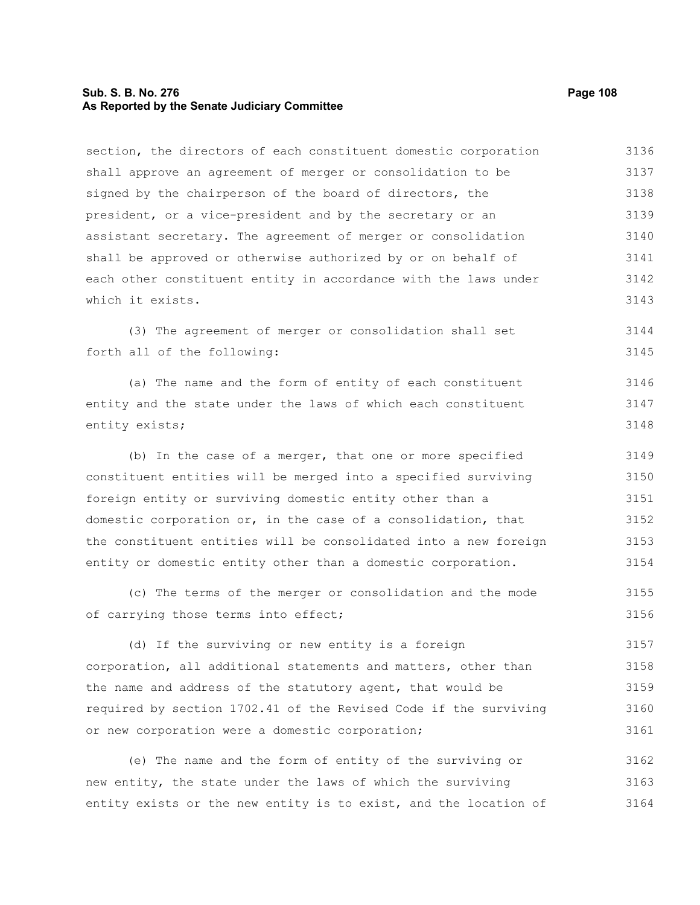## **Sub. S. B. No. 276 Page 108 As Reported by the Senate Judiciary Committee**

section, the directors of each constituent domestic corporation shall approve an agreement of merger or consolidation to be signed by the chairperson of the board of directors, the president, or a vice-president and by the secretary or an assistant secretary. The agreement of merger or consolidation shall be approved or otherwise authorized by or on behalf of each other constituent entity in accordance with the laws under which it exists. (3) The agreement of merger or consolidation shall set forth all of the following: (a) The name and the form of entity of each constituent entity and the state under the laws of which each constituent entity exists; (b) In the case of a merger, that one or more specified constituent entities will be merged into a specified surviving foreign entity or surviving domestic entity other than a domestic corporation or, in the case of a consolidation, that the constituent entities will be consolidated into a new foreign entity or domestic entity other than a domestic corporation. (c) The terms of the merger or consolidation and the mode of carrying those terms into effect; (d) If the surviving or new entity is a foreign corporation, all additional statements and matters, other than the name and address of the statutory agent, that would be required by section 1702.41 of the Revised Code if the surviving or new corporation were a domestic corporation; (e) The name and the form of entity of the surviving or new entity, the state under the laws of which the surviving 3136 3137 3138 3139 3140 3141 3142 3143 3144 3145 3146 3147 3148 3149 3150 3151 3152 3153 3154 3155 3156 3157 3158 3159 3160 3161 3162 3163

entity exists or the new entity is to exist, and the location of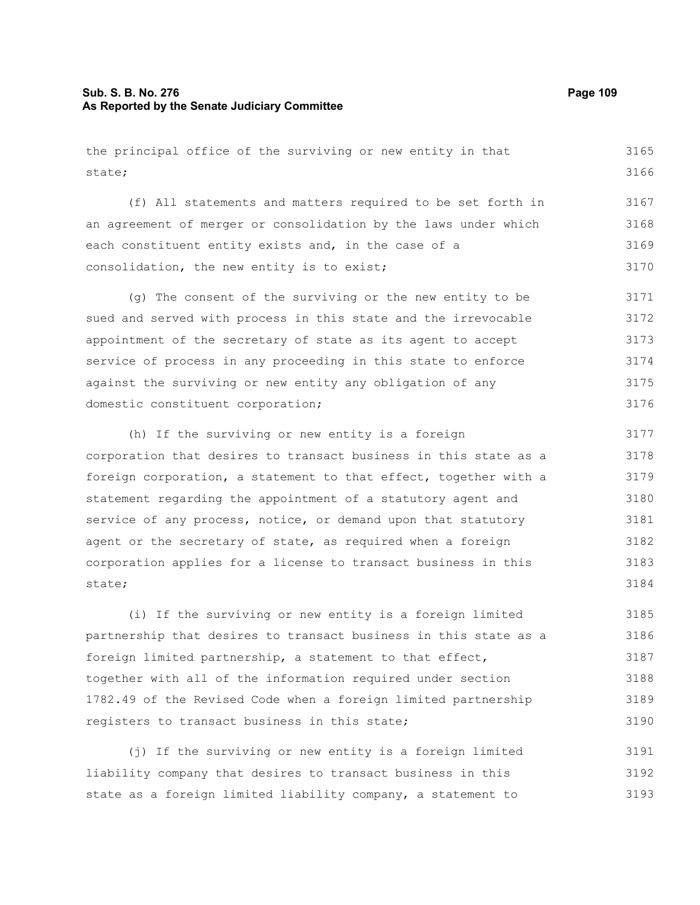## **Sub. S. B. No. 276 Page 109 As Reported by the Senate Judiciary Committee**

the principal office of the surviving or new entity in that state; 3165 3166

(f) All statements and matters required to be set forth in an agreement of merger or consolidation by the laws under which each constituent entity exists and, in the case of a consolidation, the new entity is to exist; 3167 3168 3169 3170

(g) The consent of the surviving or the new entity to be sued and served with process in this state and the irrevocable appointment of the secretary of state as its agent to accept service of process in any proceeding in this state to enforce against the surviving or new entity any obligation of any domestic constituent corporation; 3171 3172 3173 3174 3175 3176

(h) If the surviving or new entity is a foreign corporation that desires to transact business in this state as a foreign corporation, a statement to that effect, together with a statement regarding the appointment of a statutory agent and service of any process, notice, or demand upon that statutory agent or the secretary of state, as required when a foreign corporation applies for a license to transact business in this state; 3177 3178 3179 3180 3181 3182 3183 3184

(i) If the surviving or new entity is a foreign limited partnership that desires to transact business in this state as a foreign limited partnership, a statement to that effect, together with all of the information required under section 1782.49 of the Revised Code when a foreign limited partnership registers to transact business in this state; 3185 3186 3187 3188 3189 3190

(j) If the surviving or new entity is a foreign limited liability company that desires to transact business in this state as a foreign limited liability company, a statement to 3191 3192 3193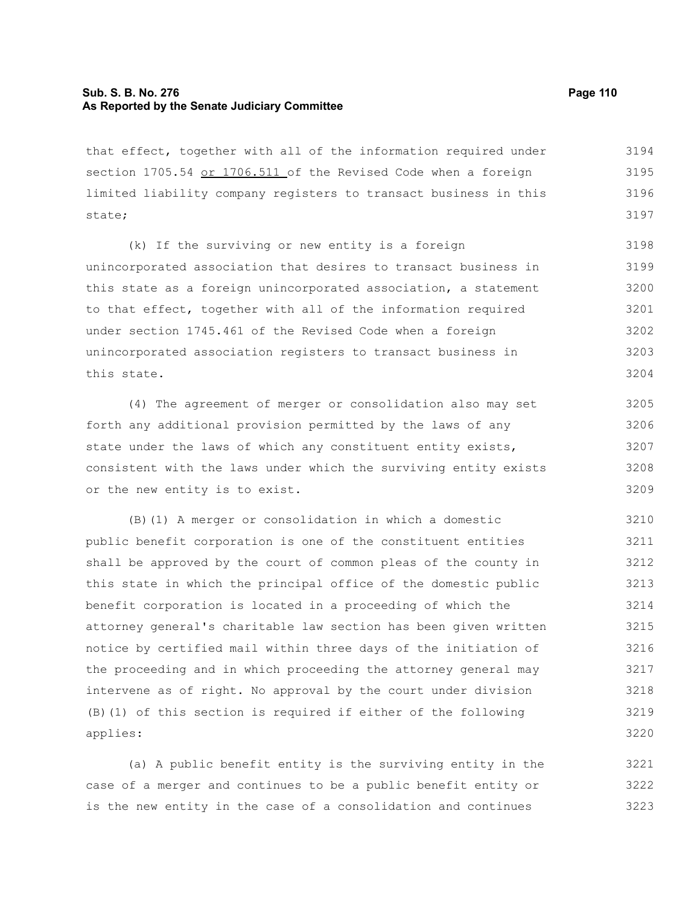## **Sub. S. B. No. 276 Page 110 As Reported by the Senate Judiciary Committee**

that effect, together with all of the information required under section 1705.54 or 1706.511 of the Revised Code when a foreign limited liability company registers to transact business in this state; 3194 3195 3196 3197

(k) If the surviving or new entity is a foreign unincorporated association that desires to transact business in this state as a foreign unincorporated association, a statement to that effect, together with all of the information required under section 1745.461 of the Revised Code when a foreign unincorporated association registers to transact business in this state. 3198 3199 3200 3201 3202 3203 3204

(4) The agreement of merger or consolidation also may set forth any additional provision permitted by the laws of any state under the laws of which any constituent entity exists, consistent with the laws under which the surviving entity exists or the new entity is to exist. 3205 3206 3207 3208 3209

(B)(1) A merger or consolidation in which a domestic public benefit corporation is one of the constituent entities shall be approved by the court of common pleas of the county in this state in which the principal office of the domestic public benefit corporation is located in a proceeding of which the attorney general's charitable law section has been given written notice by certified mail within three days of the initiation of the proceeding and in which proceeding the attorney general may intervene as of right. No approval by the court under division (B)(1) of this section is required if either of the following applies: 3210 3211 3212 3213 3214 3215 3216 3217 3218 3219 3220

(a) A public benefit entity is the surviving entity in the case of a merger and continues to be a public benefit entity or is the new entity in the case of a consolidation and continues 3221 3222 3223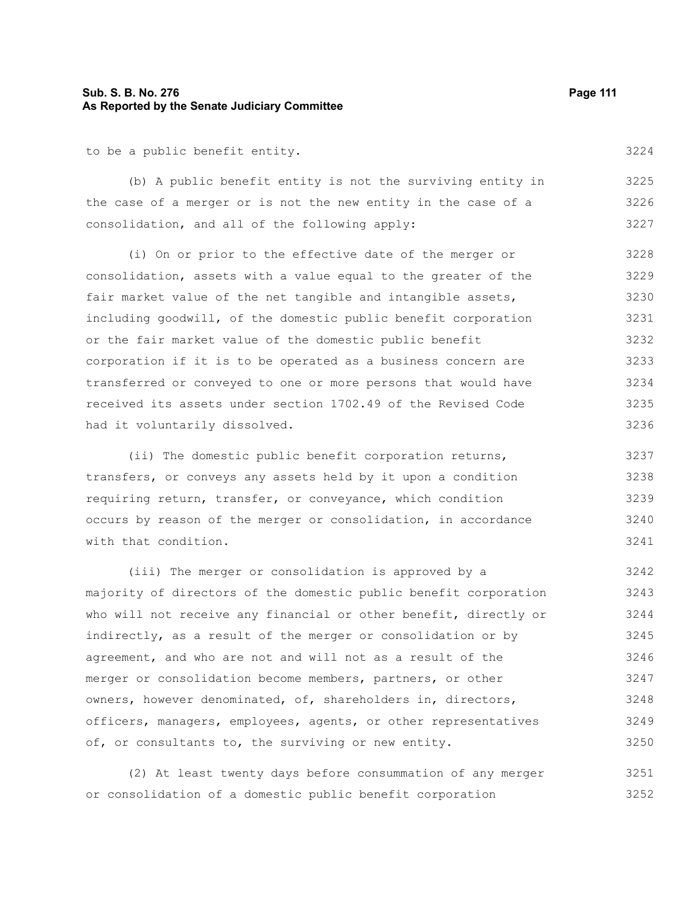#### **Sub. S. B. No. 276 Page 111 As Reported by the Senate Judiciary Committee**

to be a public benefit entity.

(b) A public benefit entity is not the surviving entity in the case of a merger or is not the new entity in the case of a consolidation, and all of the following apply: 3225 3226 3227

(i) On or prior to the effective date of the merger or consolidation, assets with a value equal to the greater of the fair market value of the net tangible and intangible assets, including goodwill, of the domestic public benefit corporation or the fair market value of the domestic public benefit corporation if it is to be operated as a business concern are transferred or conveyed to one or more persons that would have received its assets under section 1702.49 of the Revised Code had it voluntarily dissolved. 3228 3229 3230 3231 3232 3233 3234 3235 3236

(ii) The domestic public benefit corporation returns, transfers, or conveys any assets held by it upon a condition requiring return, transfer, or conveyance, which condition occurs by reason of the merger or consolidation, in accordance with that condition. 3237 3238 3239 3240 3241

(iii) The merger or consolidation is approved by a majority of directors of the domestic public benefit corporation who will not receive any financial or other benefit, directly or indirectly, as a result of the merger or consolidation or by agreement, and who are not and will not as a result of the merger or consolidation become members, partners, or other owners, however denominated, of, shareholders in, directors, officers, managers, employees, agents, or other representatives of, or consultants to, the surviving or new entity. 3242 3243 3244 3245 3246 3247 3248 3249 3250

(2) At least twenty days before consummation of any merger or consolidation of a domestic public benefit corporation 3251 3252

3224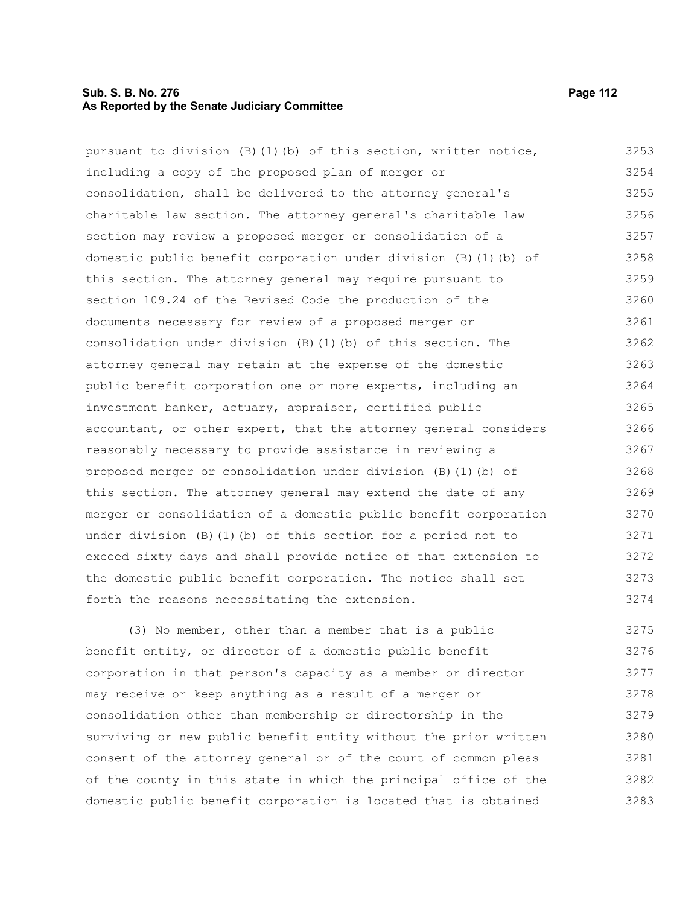## **Sub. S. B. No. 276 Page 112 As Reported by the Senate Judiciary Committee**

pursuant to division  $(B)(1)(b)$  of this section, written notice, including a copy of the proposed plan of merger or consolidation, shall be delivered to the attorney general's charitable law section. The attorney general's charitable law section may review a proposed merger or consolidation of a domestic public benefit corporation under division (B)(1)(b) of this section. The attorney general may require pursuant to section 109.24 of the Revised Code the production of the documents necessary for review of a proposed merger or consolidation under division (B)(1)(b) of this section. The attorney general may retain at the expense of the domestic public benefit corporation one or more experts, including an investment banker, actuary, appraiser, certified public accountant, or other expert, that the attorney general considers reasonably necessary to provide assistance in reviewing a proposed merger or consolidation under division (B)(1)(b) of this section. The attorney general may extend the date of any merger or consolidation of a domestic public benefit corporation under division (B)(1)(b) of this section for a period not to exceed sixty days and shall provide notice of that extension to the domestic public benefit corporation. The notice shall set forth the reasons necessitating the extension. (3) No member, other than a member that is a public benefit entity, or director of a domestic public benefit 3253 3254 3255 3256 3257 3258 3259 3260 3261 3262 3263 3264 3265 3266 3267 3268 3269 3270 3271 3272 3273 3274 3275 3276

corporation in that person's capacity as a member or director may receive or keep anything as a result of a merger or consolidation other than membership or directorship in the surviving or new public benefit entity without the prior written consent of the attorney general or of the court of common pleas of the county in this state in which the principal office of the domestic public benefit corporation is located that is obtained 3277 3278 3279 3280 3281 3282 3283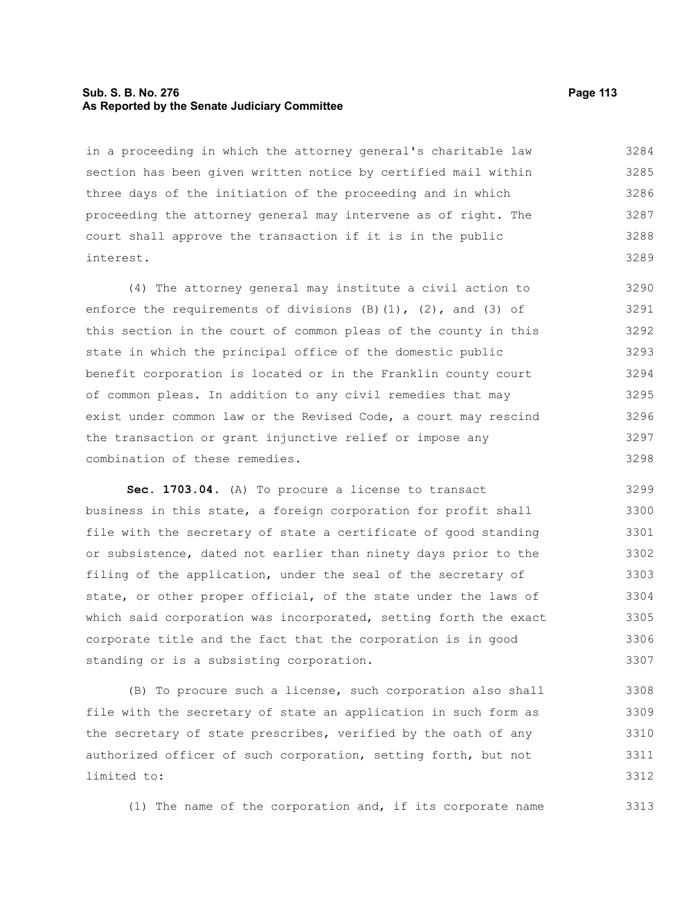#### **Sub. S. B. No. 276 Page 113 As Reported by the Senate Judiciary Committee**

in a proceeding in which the attorney general's charitable law section has been given written notice by certified mail within three days of the initiation of the proceeding and in which proceeding the attorney general may intervene as of right. The court shall approve the transaction if it is in the public interest. 3284 3285 3286 3287 3288 3289

(4) The attorney general may institute a civil action to enforce the requirements of divisions  $(B)$   $(1)$ ,  $(2)$ , and  $(3)$  of this section in the court of common pleas of the county in this state in which the principal office of the domestic public benefit corporation is located or in the Franklin county court of common pleas. In addition to any civil remedies that may exist under common law or the Revised Code, a court may rescind the transaction or grant injunctive relief or impose any combination of these remedies. 3290 3291 3292 3293 3294 3295 3296 3297 3298

**Sec. 1703.04.** (A) To procure a license to transact business in this state, a foreign corporation for profit shall file with the secretary of state a certificate of good standing or subsistence, dated not earlier than ninety days prior to the filing of the application, under the seal of the secretary of state, or other proper official, of the state under the laws of which said corporation was incorporated, setting forth the exact corporate title and the fact that the corporation is in good standing or is a subsisting corporation. 3299 3300 3301 3302 3303 3304 3305 3306 3307

(B) To procure such a license, such corporation also shall file with the secretary of state an application in such form as the secretary of state prescribes, verified by the oath of any authorized officer of such corporation, setting forth, but not limited to: 3308 3309 3310 3311 3312

(1) The name of the corporation and, if its corporate name

3313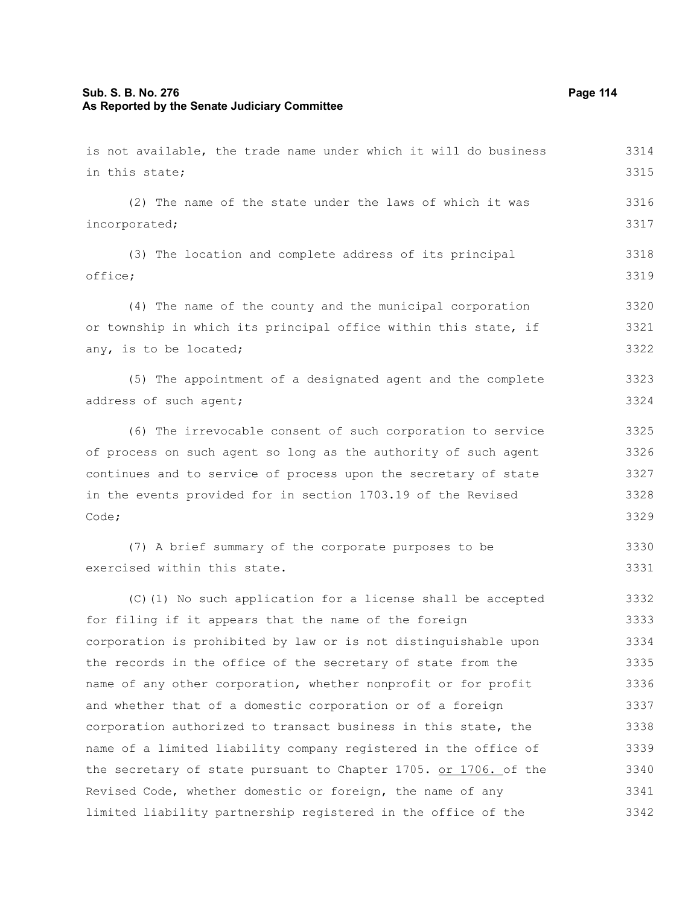## **Sub. S. B. No. 276 Page 114 As Reported by the Senate Judiciary Committee**

is not available, the trade name under which it will do business in this state; (2) The name of the state under the laws of which it was incorporated; (3) The location and complete address of its principal office; (4) The name of the county and the municipal corporation or township in which its principal office within this state, if any, is to be located; (5) The appointment of a designated agent and the complete address of such agent; (6) The irrevocable consent of such corporation to service of process on such agent so long as the authority of such agent continues and to service of process upon the secretary of state in the events provided for in section 1703.19 of the Revised Code; (7) A brief summary of the corporate purposes to be exercised within this state. (C)(1) No such application for a license shall be accepted for filing if it appears that the name of the foreign corporation is prohibited by law or is not distinguishable upon the records in the office of the secretary of state from the name of any other corporation, whether nonprofit or for profit and whether that of a domestic corporation or of a foreign corporation authorized to transact business in this state, the name of a limited liability company registered in the office of the secretary of state pursuant to Chapter 1705. or 1706. of the Revised Code, whether domestic or foreign, the name of any 3314 3315 3316 3317 3318 3319 3320 3321 3322 3323 3324 3325 3326 3327 3328 3329 3330 3331 3332 3333 3334 3335 3336 3337 3338 3339 3340 3341

limited liability partnership registered in the office of the

3342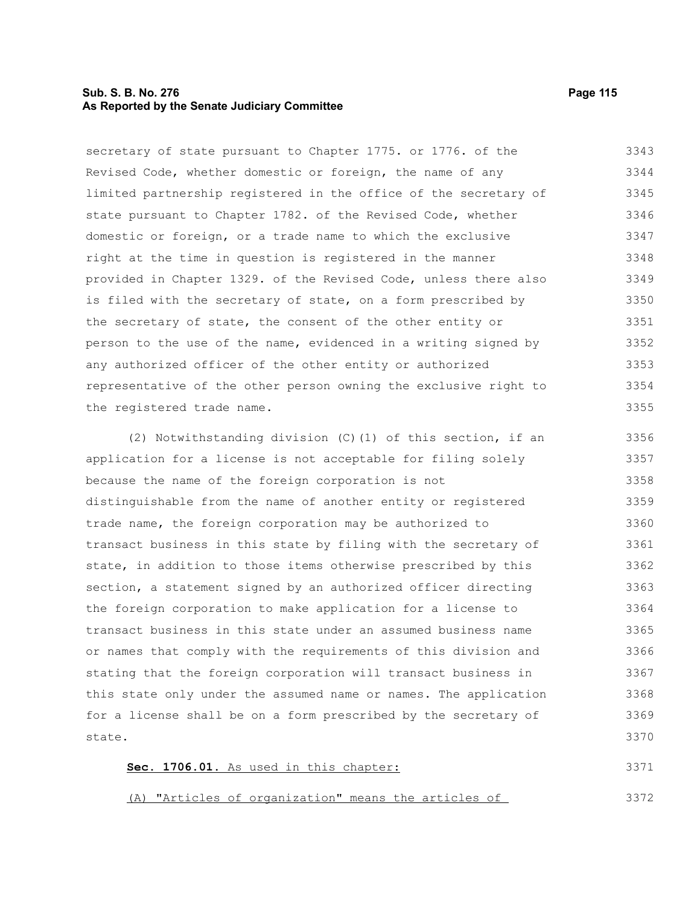## **Sub. S. B. No. 276 Page 115 As Reported by the Senate Judiciary Committee**

secretary of state pursuant to Chapter 1775. or 1776. of the Revised Code, whether domestic or foreign, the name of any limited partnership registered in the office of the secretary of state pursuant to Chapter 1782. of the Revised Code, whether domestic or foreign, or a trade name to which the exclusive right at the time in question is registered in the manner provided in Chapter 1329. of the Revised Code, unless there also is filed with the secretary of state, on a form prescribed by the secretary of state, the consent of the other entity or person to the use of the name, evidenced in a writing signed by any authorized officer of the other entity or authorized representative of the other person owning the exclusive right to the registered trade name. 3343 3344 3345 3346 3347 3348 3349 3350 3351 3352 3353 3354 3355

(2) Notwithstanding division (C)(1) of this section, if an application for a license is not acceptable for filing solely because the name of the foreign corporation is not distinguishable from the name of another entity or registered trade name, the foreign corporation may be authorized to transact business in this state by filing with the secretary of state, in addition to those items otherwise prescribed by this section, a statement signed by an authorized officer directing the foreign corporation to make application for a license to transact business in this state under an assumed business name or names that comply with the requirements of this division and stating that the foreign corporation will transact business in this state only under the assumed name or names. The application for a license shall be on a form prescribed by the secretary of state. 3356 3357 3358 3359 3360 3361 3362 3363 3364 3365 3366 3367 3368 3369 3370

| Sec. 1706.01. As used in this chapter:               |  |  |  |  | 3371 |
|------------------------------------------------------|--|--|--|--|------|
|                                                      |  |  |  |  |      |
|                                                      |  |  |  |  |      |
| (A) "Articles of organization" means the articles of |  |  |  |  | 3372 |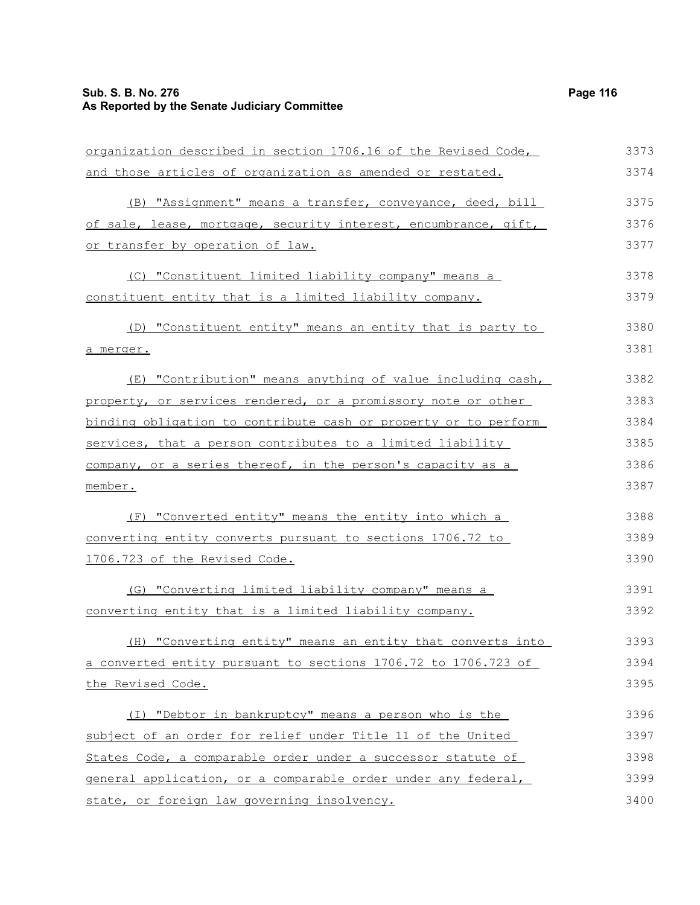| organization described in section 1706.16 of the Revised Code,  | 3373 |
|-----------------------------------------------------------------|------|
| and those articles of organization as amended or restated.      | 3374 |
| (B) "Assignment" means a transfer, conveyance, deed, bill       | 3375 |
| of sale, lease, mortgage, security interest, encumbrance, gift, | 3376 |
| or transfer by operation of law.                                | 3377 |
| (C) "Constituent limited liability company" means a             | 3378 |
| constituent entity that is a limited liability company.         | 3379 |
| (D) "Constituent entity" means an entity that is party to       | 3380 |
| a merger.                                                       | 3381 |
| (E) "Contribution" means anything of value including cash,      | 3382 |
| property, or services rendered, or a promissory note or other   | 3383 |
| binding obligation to contribute cash or property or to perform | 3384 |
| services, that a person contributes to a limited liability      | 3385 |
| company, or a series thereof, in the person's capacity as a     | 3386 |
| member.                                                         | 3387 |
| (F) "Converted entity" means the entity into which a            | 3388 |
| converting entity converts pursuant to sections 1706.72 to      | 3389 |
| 1706.723 of the Revised Code.                                   | 3390 |
| (G) "Converting limited liability company" means a              | 3391 |
| converting entity that is a limited liability company.          | 3392 |
| (H) "Converting entity" means an entity that converts into      | 3393 |
| a converted entity pursuant to sections 1706.72 to 1706.723 of  | 3394 |
| the Revised Code.                                               | 3395 |
| (I) "Debtor in bankruptcy" means a person who is the            | 3396 |
| subject of an order for relief under Title 11 of the United     | 3397 |
| States Code, a comparable order under a successor statute of    | 3398 |
| general application, or a comparable order under any federal,   | 3399 |
| state, or foreign law governing insolvency.                     | 3400 |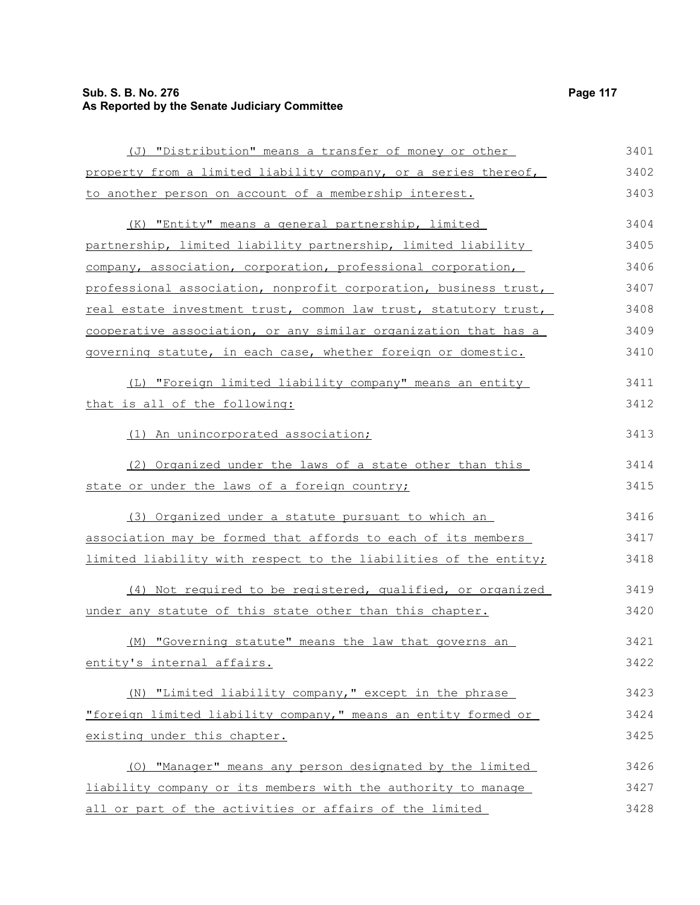# **Sub. S. B. No. 276 Page 117 As Reported by the Senate Judiciary Committee**

| (J) "Distribution" means a transfer of money or other            | 3401 |
|------------------------------------------------------------------|------|
| property from a limited liability company, or a series thereof,  | 3402 |
| to another person on account of a membership interest.           | 3403 |
| (K) "Entity" means a general partnership, limited                | 3404 |
| partnership, limited liability partnership, limited liability    | 3405 |
| company, association, corporation, professional corporation,     | 3406 |
| professional association, nonprofit corporation, business trust, | 3407 |
| real estate investment trust, common law trust, statutory trust, | 3408 |
| cooperative association, or any similar organization that has a  | 3409 |
| governing statute, in each case, whether foreign or domestic.    | 3410 |
| (L) "Foreign limited liability company" means an entity          | 3411 |
| that is all of the following:                                    | 3412 |
| (1) An unincorporated association;                               | 3413 |
| (2) Organized under the laws of a state other than this          | 3414 |
| state or under the laws of a foreign country;                    | 3415 |
| (3) Organized under a statute pursuant to which an               | 3416 |
| association may be formed that affords to each of its members    | 3417 |
| limited liability with respect to the liabilities of the entity; | 3418 |
| (4) Not required to be registered, qualified, or organized       | 3419 |
| under any statute of this state other than this chapter.         | 3420 |
| (M) "Governing statute" means the law that governs an            | 3421 |
| entity's internal affairs.                                       | 3422 |
| (N) "Limited liability company," except in the phrase            | 3423 |
| "foreign limited liability company," means an entity formed or   | 3424 |
| existing under this chapter.                                     | 3425 |
| (0) "Manager" means any person designated by the limited         | 3426 |
| liability company or its members with the authority to manage    | 3427 |
| all or part of the activities or affairs of the limited          | 3428 |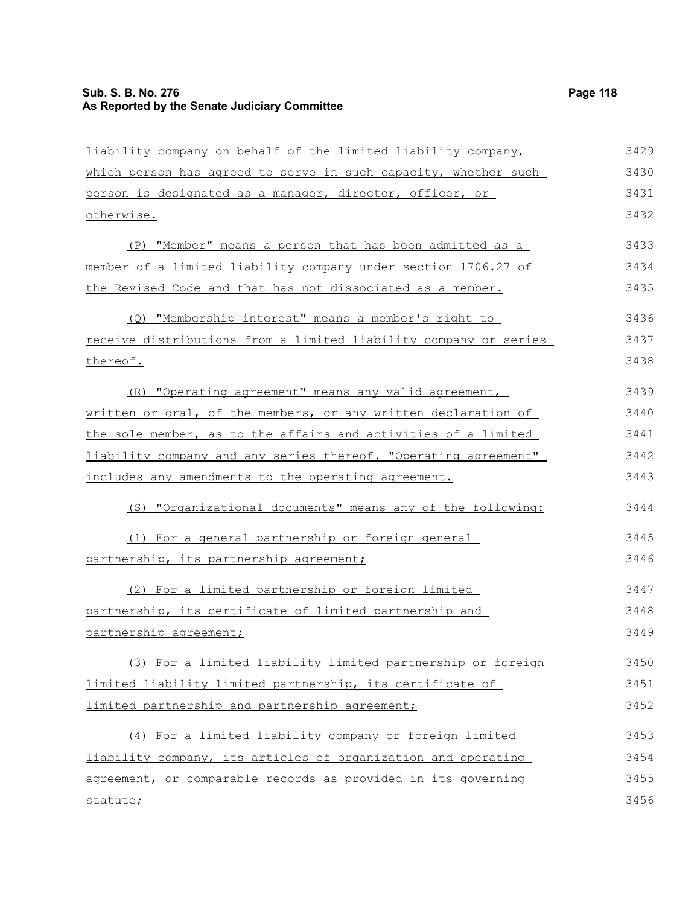# **Sub. S. B. No. 276 Page 118 As Reported by the Senate Judiciary Committee**

| liability company on behalf of the limited liability company,    | 3429 |
|------------------------------------------------------------------|------|
| which person has agreed to serve in such capacity, whether such  | 3430 |
| person is designated as a manager, director, officer, or         | 3431 |
| otherwise.                                                       | 3432 |
| (P) "Member" means a person that has been admitted as a          | 3433 |
| member of a limited liability company under section 1706.27 of   | 3434 |
| the Revised Code and that has not dissociated as a member.       | 3435 |
| (Q) "Membership interest" means a member's right to              | 3436 |
| receive distributions from a limited liability company or series | 3437 |
| thereof.                                                         | 3438 |
| (R) "Operating agreement" means any valid agreement,             | 3439 |
| written or oral, of the members, or any written declaration of   | 3440 |
| the sole member, as to the affairs and activities of a limited   | 3441 |
| liability company and any series thereof. "Operating agreement"  | 3442 |
| includes any amendments to the operating agreement.              | 3443 |
| (S) "Organizational documents" means any of the following:       | 3444 |
| (1) For a general partnership or foreign general                 | 3445 |
| partnership, its partnership agreement;                          | 3446 |
| (2) For a limited partnership or foreign limited                 | 3447 |
| partnership, its certificate of limited partnership and          | 3448 |
| partnership agreement;                                           | 3449 |
| (3) For a limited liability limited partnership or foreign       | 3450 |
| limited liability limited partnership, its certificate of        | 3451 |
| limited partnership and partnership agreement;                   | 3452 |
| (4) For a limited liability company or foreign limited           | 3453 |
| liability company, its articles of organization and operating    | 3454 |
| agreement, or comparable records as provided in its governing    | 3455 |
| statute;                                                         | 3456 |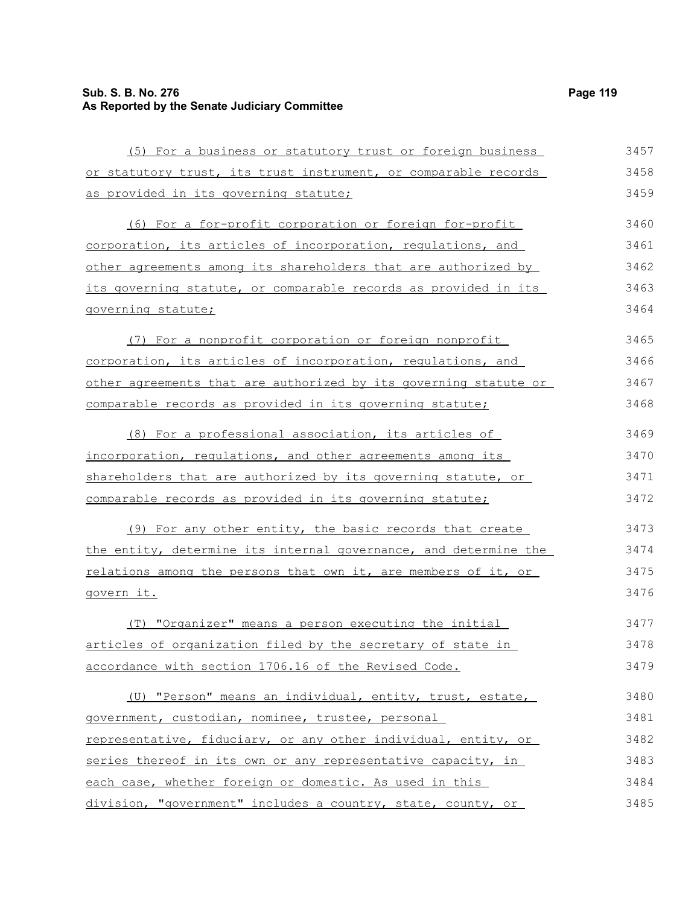# **Sub. S. B. No. 276 Page 119 As Reported by the Senate Judiciary Committee**

| (5) For a business or statutory trust or foreign business        | 3457 |
|------------------------------------------------------------------|------|
| or statutory trust, its trust instrument, or comparable records  | 3458 |
| as provided in its governing statute;                            | 3459 |
| (6) For a for-profit corporation or foreign for-profit           | 3460 |
| corporation, its articles of incorporation, requlations, and     | 3461 |
| other agreements among its shareholders that are authorized by   | 3462 |
| its governing statute, or comparable records as provided in its  | 3463 |
| governing statute;                                               | 3464 |
| (7) For a nonprofit corporation or foreign nonprofit             | 3465 |
| corporation, its articles of incorporation, regulations, and     | 3466 |
| other agreements that are authorized by its governing statute or | 3467 |
| comparable records as provided in its governing statute;         | 3468 |
| (8) For a professional association, its articles of              | 3469 |
| incorporation, regulations, and other agreements among its       | 3470 |
| shareholders that are authorized by its governing statute, or    | 3471 |
| <u>comparable records as provided in its governing statute;</u>  | 3472 |
| (9) For any other entity, the basic records that create          | 3473 |
| the entity, determine its internal governance, and determine the | 3474 |
| relations among the persons that own it, are members of it, or   | 3475 |
| <u>govern it.</u>                                                | 3476 |
| (T) "Organizer" means a person executing the initial             | 3477 |
| articles of organization filed by the secretary of state in      | 3478 |
| accordance with section 1706.16 of the Revised Code.             | 3479 |
| (U) "Person" means an individual, entity, trust, estate,         | 3480 |
| government, custodian, nominee, trustee, personal                | 3481 |
| representative, fiduciary, or any other individual, entity, or   | 3482 |
| series thereof in its own or any representative capacity, in     | 3483 |
| each case, whether foreign or domestic. As used in this          | 3484 |
| division, "government" includes a country, state, county, or     | 3485 |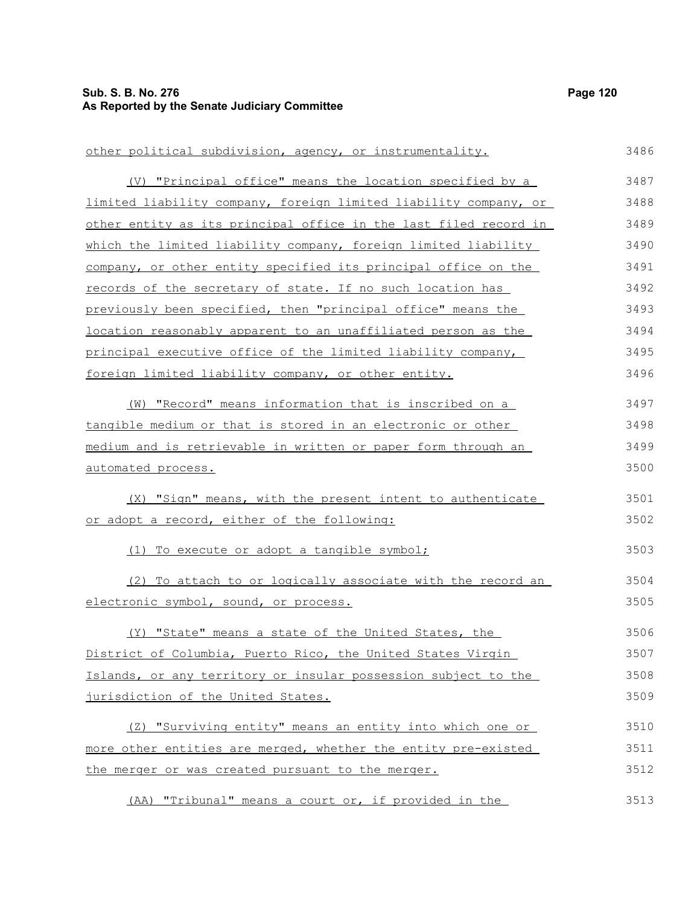## **Sub. S. B. No. 276 Page 120 As Reported by the Senate Judiciary Committee**

other political subdivision, agency, or instrumentality. (V) "Principal office" means the location specified by a limited liability company, foreign limited liability company, or other entity as its principal office in the last filed record in which the limited liability company, foreign limited liability company, or other entity specified its principal office on the records of the secretary of state. If no such location has previously been specified, then "principal office" means the location reasonably apparent to an unaffiliated person as the principal executive office of the limited liability company, foreign limited liability company, or other entity. (W) "Record" means information that is inscribed on a tangible medium or that is stored in an electronic or other medium and is retrievable in written or paper form through an automated process. (X) "Sign" means, with the present intent to authenticate or adopt a record, either of the following: (1) To execute or adopt a tangible symbol; (2) To attach to or logically associate with the record an electronic symbol, sound, or process. (Y) "State" means a state of the United States, the District of Columbia, Puerto Rico, the United States Virgin Islands, or any territory or insular possession subject to the jurisdiction of the United States. (Z) "Surviving entity" means an entity into which one or more other entities are merged, whether the entity pre-existed the merger or was created pursuant to the merger. 3486 3487 3488 3489 3490 3491 3492 3493 3494 3495 3496 3497 3498 3499 3500 3501 3502 3503 3504 3505 3506 3507 3508 3509 3510 3511 3512

(AA) "Tribunal" means a court or, if provided in the 3513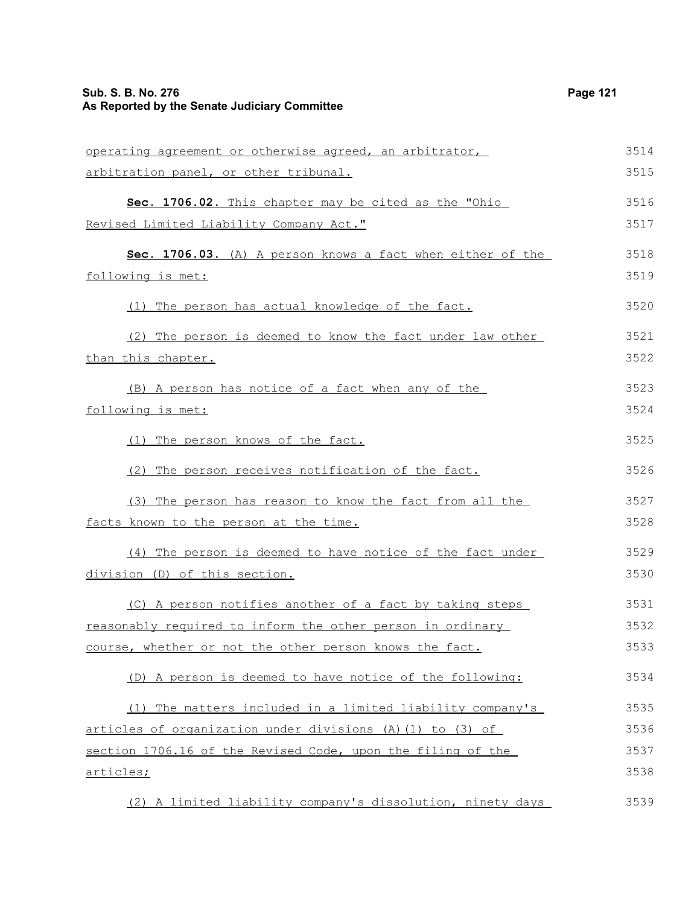# **Sub. S. B. No. 276 Page 121 As Reported by the Senate Judiciary Committee**

| operating agreement or otherwise agreed, an arbitrator,     | 3514 |
|-------------------------------------------------------------|------|
| arbitration panel, or other tribunal.                       | 3515 |
| Sec. 1706.02. This chapter may be cited as the "Ohio        | 3516 |
| Revised Limited Liability Company Act."                     | 3517 |
| Sec. 1706.03. (A) A person knows a fact when either of the  | 3518 |
| following is met:                                           | 3519 |
| (1) The person has actual knowledge of the fact.            | 3520 |
| (2) The person is deemed to know the fact under law other   | 3521 |
| <u>than this chapter.</u>                                   | 3522 |
| (B) A person has notice of a fact when any of the           | 3523 |
| <u>following is met:</u>                                    | 3524 |
| (1) The person knows of the fact.                           | 3525 |
| (2) The person receives notification of the fact.           | 3526 |
| (3) The person has reason to know the fact from all the     | 3527 |
| facts known to the person at the time.                      | 3528 |
| (4) The person is deemed to have notice of the fact under   | 3529 |
| division (D) of this section.                               | 3530 |
| (C) A person notifies another of a fact by taking steps     | 3531 |
| reasonably required to inform the other person in ordinary  | 3532 |
| course, whether or not the other person knows the fact.     | 3533 |
| (D) A person is deemed to have notice of the following:     | 3534 |
| (1) The matters included in a limited liability company's   | 3535 |
| articles of organization under divisions (A) (1) to (3) of  | 3536 |
| section 1706.16 of the Revised Code, upon the filing of the | 3537 |
| articles;                                                   | 3538 |
| (2) A limited liability company's dissolution, ninety days  | 3539 |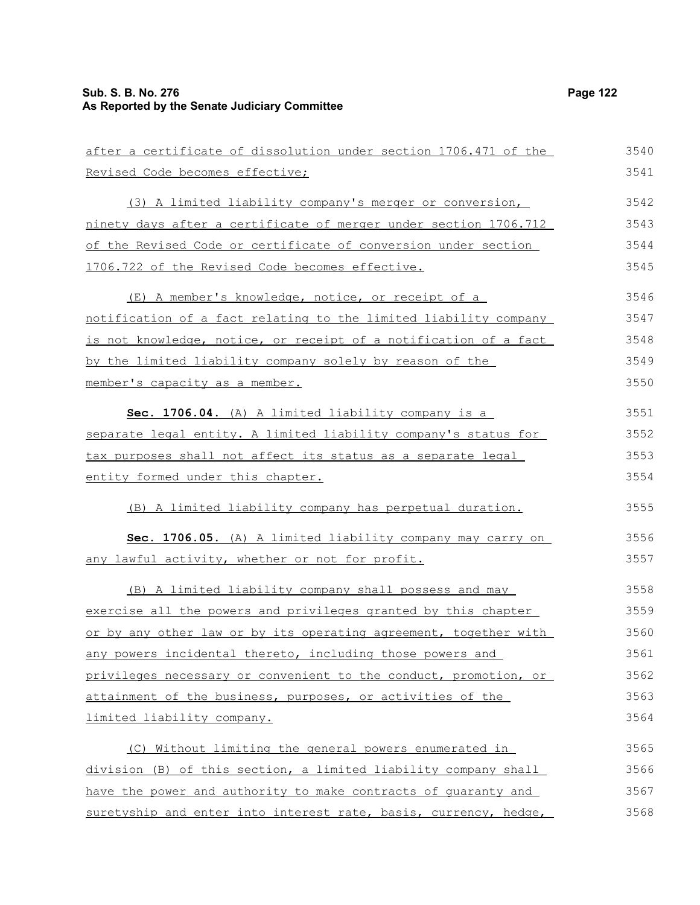| after a certificate of dissolution under section 1706.471 of the | 3540 |
|------------------------------------------------------------------|------|
| Revised Code becomes effective;                                  | 3541 |
| (3) A limited liability company's merger or conversion,          | 3542 |
| ninety days after a certificate of merger under section 1706.712 | 3543 |
| of the Revised Code or certificate of conversion under section   | 3544 |
| 1706.722 of the Revised Code becomes effective.                  | 3545 |
| (E) A member's knowledge, notice, or receipt of a                | 3546 |
| notification of a fact relating to the limited liability company | 3547 |
| is not knowledge, notice, or receipt of a notification of a fact | 3548 |
| by the limited liability company solely by reason of the         | 3549 |
| member's capacity as a member.                                   | 3550 |
| Sec. 1706.04. (A) A limited liability company is a               | 3551 |
| separate legal entity. A limited liability company's status for  | 3552 |
| tax purposes shall not affect its status as a separate legal     | 3553 |
| entity formed under this chapter.                                | 3554 |
| (B) A limited liability company has perpetual duration.          | 3555 |
| Sec. 1706.05. (A) A limited liability company may carry on       | 3556 |
| any lawful activity, whether or not for profit.                  | 3557 |
| (B) A limited liability company shall possess and may            | 3558 |
| exercise all the powers and privileges granted by this chapter   | 3559 |
| or by any other law or by its operating agreement, together with | 3560 |
| any powers incidental thereto, including those powers and        | 3561 |
| privileges necessary or convenient to the conduct, promotion, or | 3562 |
| attainment of the business, purposes, or activities of the       | 3563 |
| limited liability company.                                       | 3564 |
| (C) Without limiting the general powers enumerated in            | 3565 |
| division (B) of this section, a limited liability company shall  | 3566 |
| have the power and authority to make contracts of quaranty and   | 3567 |
| suretyship and enter into interest rate, basis, currency, hedge, | 3568 |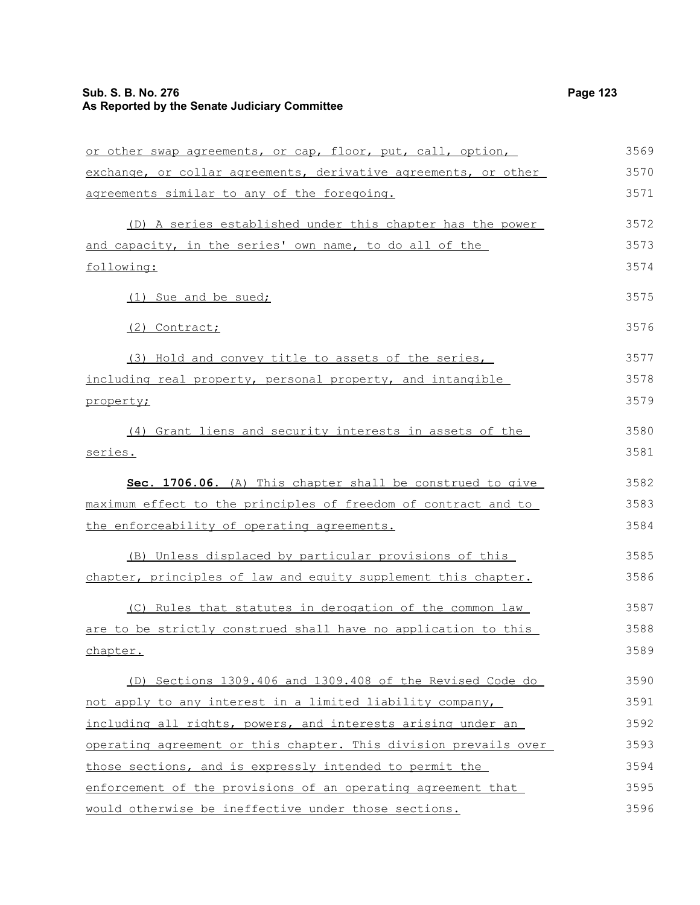## **Sub. S. B. No. 276 Page 123 As Reported by the Senate Judiciary Committee**

or other swap agreements, or cap, floor, put, call, option, exchange, or collar agreements, derivative agreements, or other agreements similar to any of the foregoing. (D) A series established under this chapter has the power and capacity, in the series' own name, to do all of the (1) Sue and be sued; (2) Contract; (3) Hold and convey title to assets of the series, including real property, personal property, and intangible

#### property;

following:

(4) Grant liens and security interests in assets of the series.

 **Sec. 1706.06.** (A) This chapter shall be construed to give maximum effect to the principles of freedom of contract and to the enforceability of operating agreements. 3582 3583 3584

(B) Unless displaced by particular provisions of this chapter, principles of law and equity supplement this chapter. 3585 3586

(C) Rules that statutes in derogation of the common law are to be strictly construed shall have no application to this chapter. 3587 3588 3589

(D) Sections 1309.406 and 1309.408 of the Revised Code do not apply to any interest in a limited liability company, including all rights, powers, and interests arising under an operating agreement or this chapter. This division prevails over those sections, and is expressly intended to permit the enforcement of the provisions of an operating agreement that would otherwise be ineffective under those sections. 3590 3591 3592 3593 3594 3595 3596

3569 3570 3571

3572 3573 3574

3575

3576

3577 3578 3579

3580 3581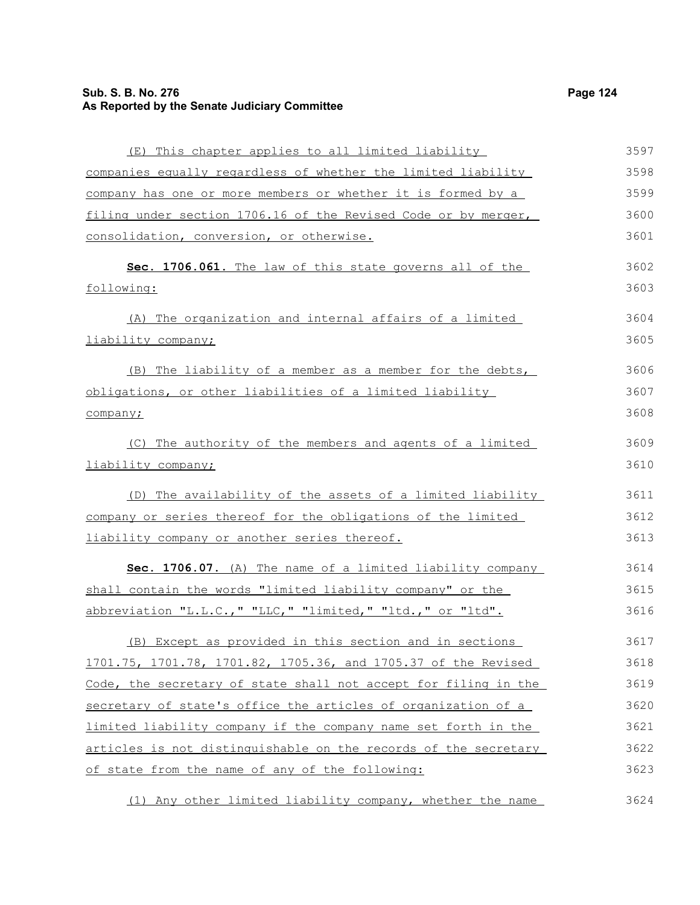## **Sub. S. B. No. 276 Page 124 As Reported by the Senate Judiciary Committee**

| (E) This chapter applies to all limited liability               | 3597 |
|-----------------------------------------------------------------|------|
| companies equally regardless of whether the limited liability   | 3598 |
| company has one or more members or whether it is formed by a    | 3599 |
| filing under section 1706.16 of the Revised Code or by merger,  | 3600 |
| consolidation, conversion, or otherwise.                        | 3601 |
| Sec. 1706.061. The law of this state governs all of the         | 3602 |
| following:                                                      | 3603 |
| (A) The organization and internal affairs of a limited          | 3604 |
| liability company;                                              | 3605 |
| (B) The liability of a member as a member for the debts,        | 3606 |
| obligations, or other liabilities of a limited liability        | 3607 |
| company;                                                        | 3608 |
| (C) The authority of the members and agents of a limited        | 3609 |
| liability company;                                              | 3610 |
| (D) The availability of the assets of a limited liability       | 3611 |
| company or series thereof for the obligations of the limited    | 3612 |
| liability company or another series thereof.                    | 3613 |
| Sec. 1706.07. (A) The name of a limited liability company       | 3614 |
| shall contain the words "limited liability company" or the      | 3615 |
| abbreviation "L.L.C.," "LLC," "limited," "ltd.," or "ltd".      | 3616 |
| (B) Except as provided in this section and in sections          | 3617 |
| 1701.75, 1701.78, 1701.82, 1705.36, and 1705.37 of the Revised  | 3618 |
| Code, the secretary of state shall not accept for filing in the | 3619 |
| secretary of state's office the articles of organization of a   | 3620 |
| limited liability company if the company name set forth in the  | 3621 |
| articles is not distinguishable on the records of the secretary | 3622 |
| of state from the name of any of the following:                 | 3623 |
| (1) Any other limited liability company, whether the name       | 3624 |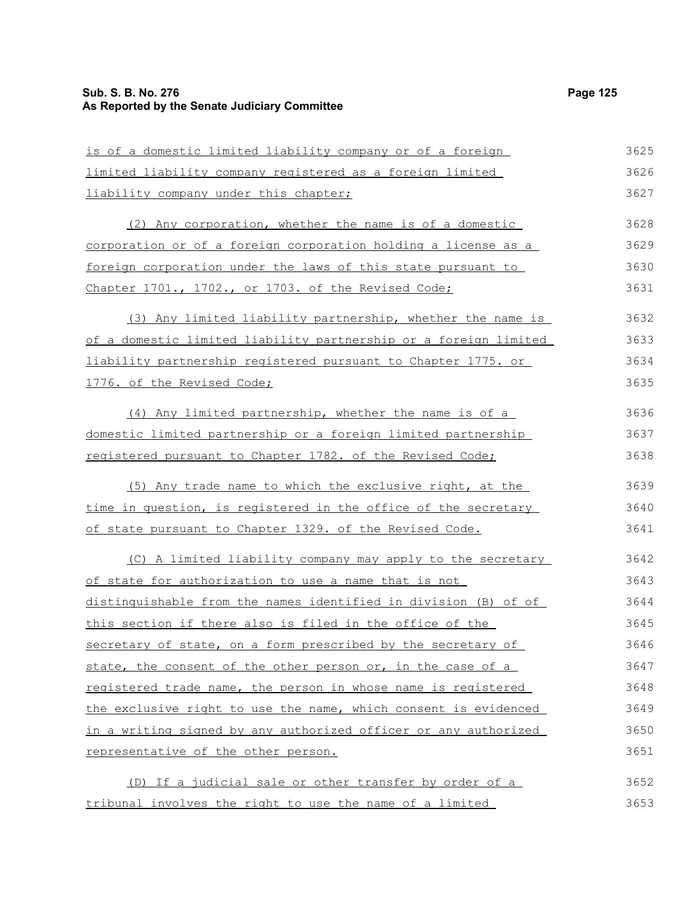## **Sub. S. B. No. 276 Page 125 As Reported by the Senate Judiciary Committee**

| is of a domestic limited liability company or of a foreign       | 3625 |
|------------------------------------------------------------------|------|
| limited liability company registered as a foreign limited        | 3626 |
| liability company under this chapter;                            | 3627 |
| (2) Any corporation, whether the name is of a domestic           | 3628 |
| corporation or of a foreign corporation holding a license as a   | 3629 |
| foreign corporation under the laws of this state pursuant to     | 3630 |
| Chapter 1701., 1702., or 1703. of the Revised Code;              | 3631 |
| (3) Any limited liability partnership, whether the name is       | 3632 |
| of a domestic limited liability partnership or a foreign limited | 3633 |
| liability partnership registered pursuant to Chapter 1775. or    | 3634 |
| 1776. of the Revised Code;                                       | 3635 |
| (4) Any limited partnership, whether the name is of a            | 3636 |
| domestic limited partnership or a foreign limited partnership    | 3637 |
| registered pursuant to Chapter 1782. of the Revised Code;        | 3638 |
| (5) Any trade name to which the exclusive right, at the          | 3639 |
| time in question, is registered in the office of the secretary   | 3640 |
| of state pursuant to Chapter 1329. of the Revised Code.          | 3641 |
| (C) A limited liability company may apply to the secretary       | 3642 |
| of state for authorization to use a name that is not             | 3643 |
| distinguishable from the names identified in division (B) of of  | 3644 |
| this section if there also is filed in the office of the         | 3645 |
| secretary of state, on a form prescribed by the secretary of     | 3646 |
| state, the consent of the other person or, in the case of a      | 3647 |
| registered trade name, the person in whose name is registered    | 3648 |
| the exclusive right to use the name, which consent is evidenced  | 3649 |
| in a writing signed by any authorized officer or any authorized  | 3650 |
| representative of the other person.                              | 3651 |
| (D) If a judicial sale or other transfer by order of a           | 3652 |
| tribunal involves the right to use the name of a limited         | 3653 |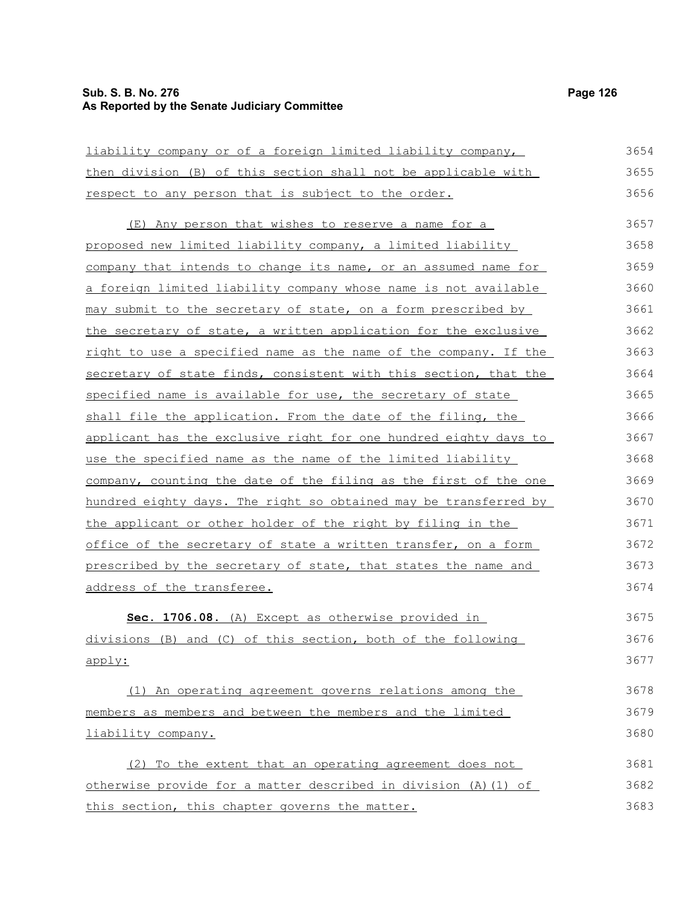### **Sub. S. B. No. 276 Page 126 As Reported by the Senate Judiciary Committee**

liability company or of a foreign limited liability company, then division (B) of this section shall not be applicable with respect to any person that is subject to the order. (E) Any person that wishes to reserve a name for a proposed new limited liability company, a limited liability company that intends to change its name, or an assumed name for a foreign limited liability company whose name is not available may submit to the secretary of state, on a form prescribed by the secretary of state, a written application for the exclusive right to use a specified name as the name of the company. If the secretary of state finds, consistent with this section, that the specified name is available for use, the secretary of state shall file the application. From the date of the filing, the applicant has the exclusive right for one hundred eighty days to use the specified name as the name of the limited liability company, counting the date of the filing as the first of the one hundred eighty days. The right so obtained may be transferred by the applicant or other holder of the right by filing in the office of the secretary of state a written transfer, on a form prescribed by the secretary of state, that states the name and address of the transferee. **Sec. 1706.08.** (A) Except as otherwise provided in divisions (B) and (C) of this section, both of the following apply: 3654 3655 3656 3657 3658 3659 3660 3661 3662 3663 3664 3665 3666 3667 3668 3669 3670 3671 3672 3673 3674 3675 3676 3677

(1) An operating agreement governs relations among the members as members and between the members and the limited liability company. 3678 3679 3680

(2) To the extent that an operating agreement does not otherwise provide for a matter described in division (A)(1) of this section, this chapter governs the matter. 3681 3682 3683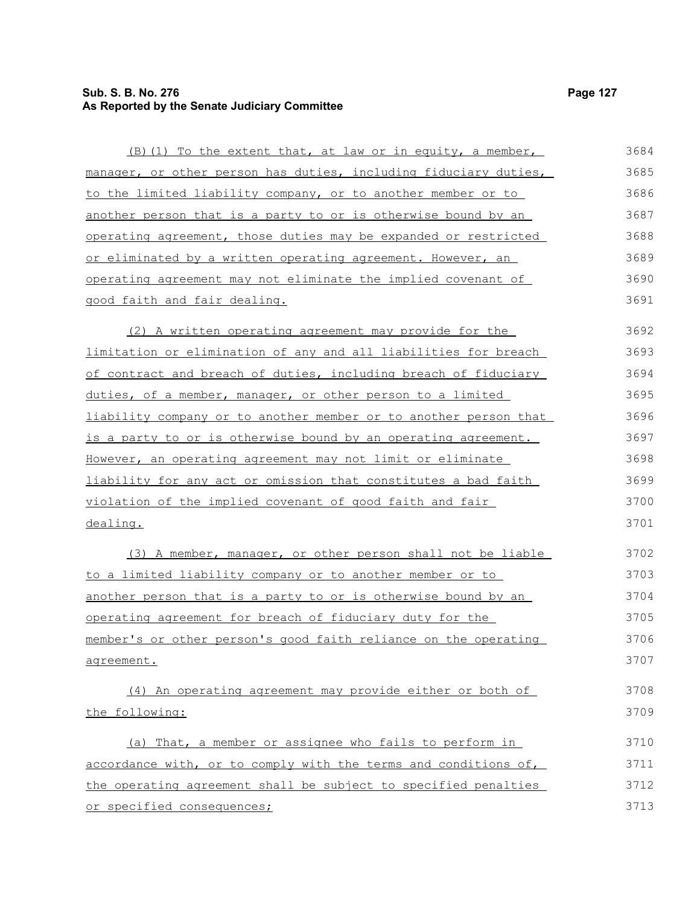# **Sub. S. B. No. 276 Page 127 As Reported by the Senate Judiciary Committee**

| (B) (1) To the extent that, at law or in equity, a member,       | 3684 |
|------------------------------------------------------------------|------|
| manager, or other person has duties, including fiduciary duties, | 3685 |
| to the limited liability company, or to another member or to     | 3686 |
| another person that is a party to or is otherwise bound by an    | 3687 |
| operating agreement, those duties may be expanded or restricted  | 3688 |
| or eliminated by a written operating agreement. However, an      | 3689 |
| operating agreement may not eliminate the implied covenant of    | 3690 |
| good faith and fair dealing.                                     | 3691 |
| (2) A written operating agreement may provide for the            | 3692 |
| limitation or elimination of any and all liabilities for breach  | 3693 |
| of contract and breach of duties, including breach of fiduciary  | 3694 |
| duties, of a member, manager, or other person to a limited       | 3695 |
| liability company or to another member or to another person that | 3696 |
| is a party to or is otherwise bound by an operating agreement.   | 3697 |
| However, an operating agreement may not limit or eliminate       | 3698 |
| liability for any act or omission that constitutes a bad faith   | 3699 |
| violation of the implied covenant of good faith and fair         | 3700 |
| dealing.                                                         | 3701 |
| (3) A member, manager, or other person shall not be liable       | 3702 |
| to a limited liability company or to another member or to        | 3703 |
| another person that is a party to or is otherwise bound by an    | 3704 |
| operating agreement for breach of fiduciary duty for the         | 3705 |
| member's or other person's good faith reliance on the operating  | 3706 |
| agreement.                                                       | 3707 |
| (4) An operating agreement may provide either or both of         | 3708 |
| the following:                                                   | 3709 |
| (a) That, a member or assignee who fails to perform in           | 3710 |
| accordance with, or to comply with the terms and conditions of,  | 3711 |
| the operating agreement shall be subject to specified penalties  | 3712 |
| or specified consequences;                                       | 3713 |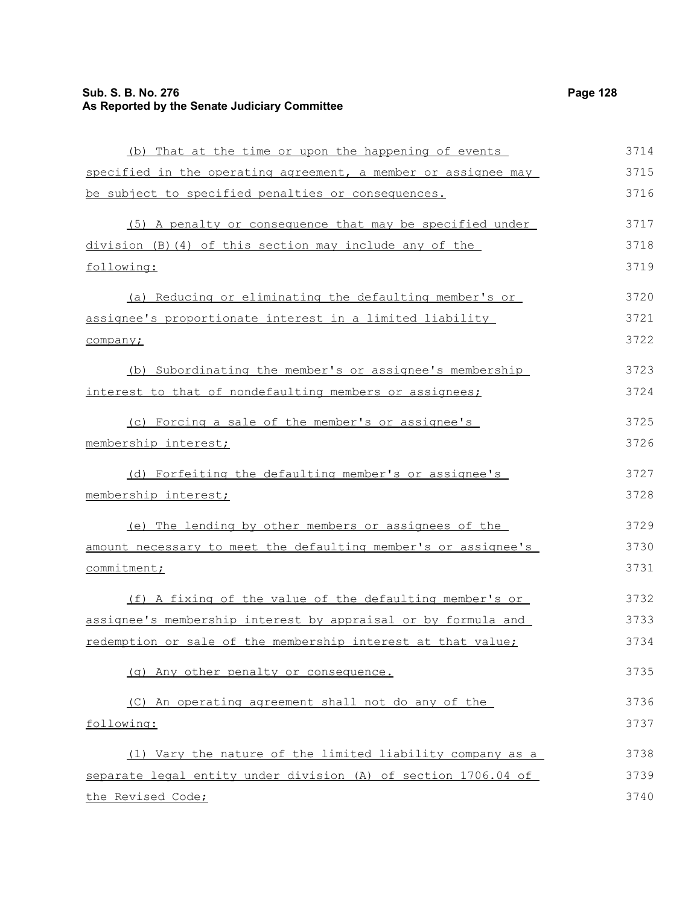## **Sub. S. B. No. 276 Page 128 As Reported by the Senate Judiciary Committee**

(b) That at the time or upon the happening of events specified in the operating agreement, a member or assignee may be subject to specified penalties or consequences. (5) A penalty or consequence that may be specified under division (B)(4) of this section may include any of the following: (a) Reducing or eliminating the defaulting member's or assignee's proportionate interest in a limited liability company; (b) Subordinating the member's or assignee's membership interest to that of nondefaulting members or assignees; (c) Forcing a sale of the member's or assignee's membership interest; (d) Forfeiting the defaulting member's or assignee's membership interest; (e) The lending by other members or assignees of the amount necessary to meet the defaulting member's or assignee's commitment; 3714 3715 3716 3717 3718 3719 3720 3721 3722 3723 3724 3725 3726 3727 3728 3729 3730 3731

(f) A fixing of the value of the defaulting member's or assignee's membership interest by appraisal or by formula and redemption or sale of the membership interest at that value; (g) Any other penalty or consequence. (C) An operating agreement shall not do any of the following: (1) Vary the nature of the limited liability company as a separate legal entity under division (A) of section 1706.04 of the Revised Code; 3732 3733 3734 3735 3736 3737 3738 3739 3740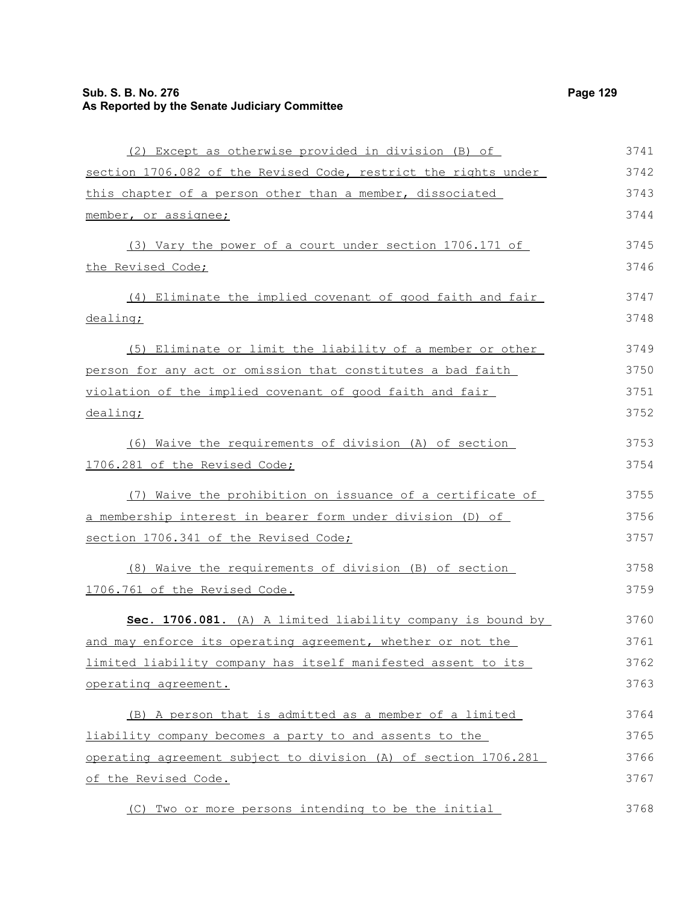## **Sub. S. B. No. 276 Page 129 As Reported by the Senate Judiciary Committee**

| (2) Except as otherwise provided in division (B) of             | 3741 |
|-----------------------------------------------------------------|------|
| section 1706.082 of the Revised Code, restrict the rights under | 3742 |
| this chapter of a person other than a member, dissociated       | 3743 |
| member, or assignee;                                            | 3744 |
| (3) Vary the power of a court under section 1706.171 of         | 3745 |
| the Revised Code;                                               | 3746 |
| (4) Eliminate the implied covenant of good faith and fair       | 3747 |
| dealing;                                                        | 3748 |
| (5) Eliminate or limit the liability of a member or other       | 3749 |
| person for any act or omission that constitutes a bad faith     | 3750 |
| violation of the implied covenant of good faith and fair        | 3751 |
| dealing;                                                        | 3752 |
| (6) Waive the requirements of division (A) of section           | 3753 |
| 1706.281 of the Revised Code;                                   | 3754 |
| (7) Waive the prohibition on issuance of a certificate of       | 3755 |
| a membership interest in bearer form under division (D) of      | 3756 |
| section 1706.341 of the Revised Code;                           | 3757 |
| (8) Waive the requirements of division (B) of section           | 3758 |
| 1706.761 of the Revised Code.                                   | 3759 |
| Sec. 1706.081. (A) A limited liability company is bound by      | 3760 |
| and may enforce its operating agreement, whether or not the     | 3761 |
| limited liability company has itself manifested assent to its   | 3762 |
| operating agreement.                                            | 3763 |
| (B) A person that is admitted as a member of a limited          | 3764 |
| liability company becomes a party to and assents to the         | 3765 |
| operating agreement subject to division (A) of section 1706.281 | 3766 |
| of the Revised Code.                                            | 3767 |
| Two or more persons intending to be the initial<br>(C)          | 3768 |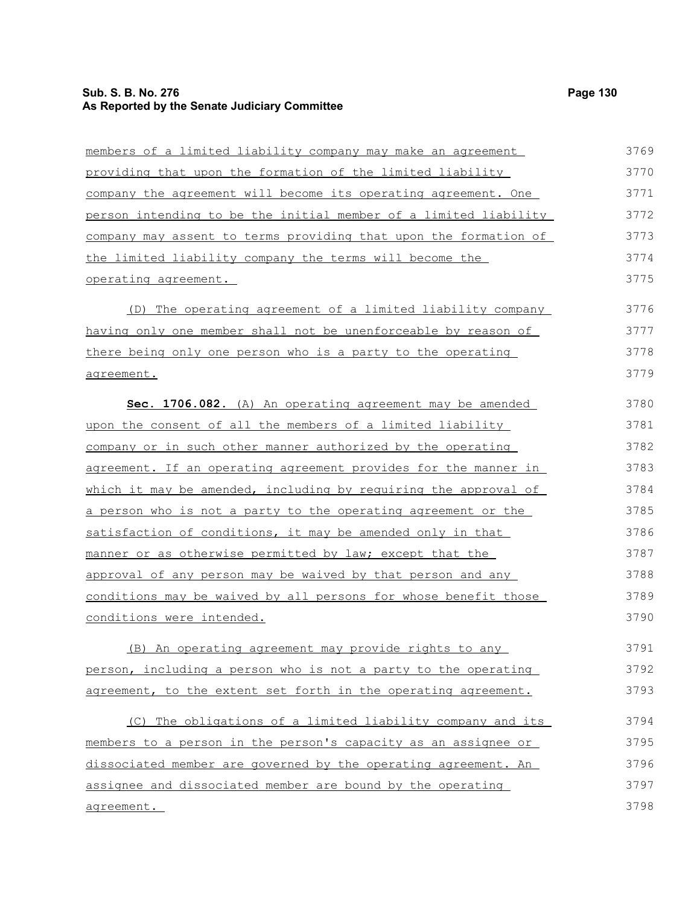## **Sub. S. B. No. 276 Page 130 As Reported by the Senate Judiciary Committee**

| members of a limited liability company may make an agreement            | 3769 |
|-------------------------------------------------------------------------|------|
| <u>providing that upon the formation of the limited liability</u>       | 3770 |
| company the agreement will become its operating agreement. One          | 3771 |
| <u>person intending to be the initial member of a limited liability</u> | 3772 |
| company may assent to terms providing that upon the formation of        | 3773 |
| <u>the limited liability company the terms will become the</u>          | 3774 |
| operating agreement.                                                    | 3775 |
| (D) The operating agreement of a limited liability company              | 3776 |
| having only one member shall not be unenforceable by reason of          | 3777 |
| there being only one person who is a party to the operating             | 3778 |
| <u>agreement.</u>                                                       | 3779 |
| Sec. 1706.082. (A) An operating agreement may be amended                | 3780 |
| upon the consent of all the members of a limited liability              | 3781 |
| company or in such other manner authorized by the operating             | 3782 |
| <u>agreement. If an operating agreement provides for the manner in</u>  | 3783 |
| which it may be amended, including by requiring the approval of         | 3784 |
| a person who is not a party to the operating agreement or the           | 3785 |
| satisfaction of conditions, it may be amended only in that              | 3786 |
| manner or as otherwise permitted by law; except that the                | 3787 |
| approval of any person may be waived by that person and any             | 3788 |
| <u>conditions may be waived by all persons for whose benefit those</u>  | 3789 |
| <u>conditions were intended.</u>                                        | 3790 |
| (B) An operating agreement may provide rights to any                    | 3791 |
| person, including a person who is not a party to the operating          | 3792 |
| agreement, to the extent set forth in the operating agreement.          | 3793 |
| (C) The obligations of a limited liability company and its              | 3794 |
| members to a person in the person's capacity as an assignee or          | 3795 |
| dissociated member are governed by the operating agreement. An          | 3796 |
| assignee and dissociated member are bound by the operating              | 3797 |
| agreement.                                                              | 3798 |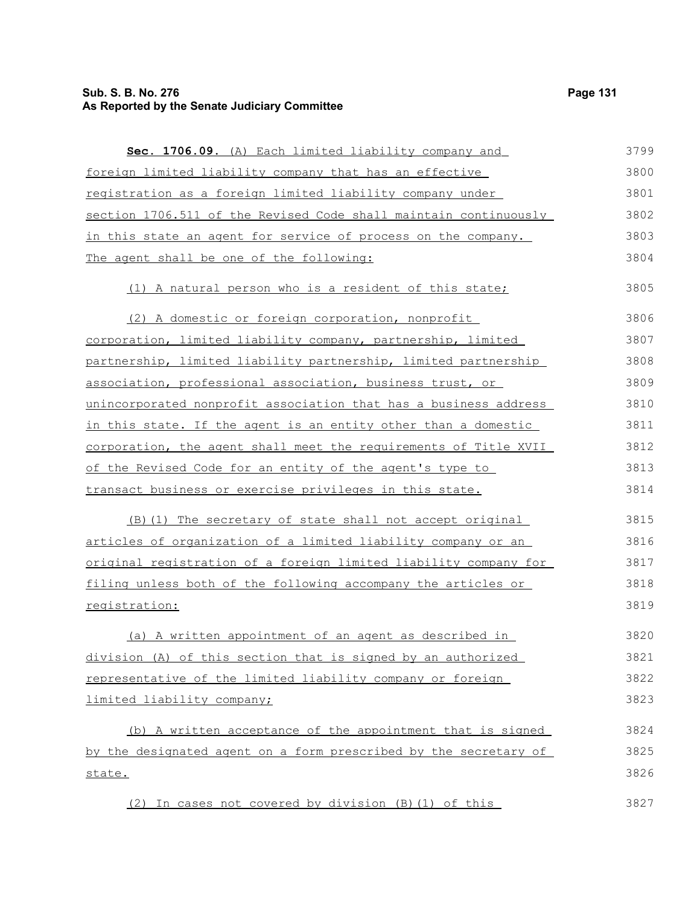# **Sub. S. B. No. 276 Page 131 As Reported by the Senate Judiciary Committee**

| Sec. 1706.09. (A) Each limited liability company and             | 3799 |
|------------------------------------------------------------------|------|
| foreign limited liability company that has an effective          | 3800 |
| registration as a foreign limited liability company under        | 3801 |
| section 1706.511 of the Revised Code shall maintain continuously | 3802 |
| in this state an agent for service of process on the company.    | 3803 |
| The agent shall be one of the following:                         | 3804 |
| (1) A natural person who is a resident of this state;            | 3805 |
| (2) A domestic or foreign corporation, nonprofit                 | 3806 |
| corporation, limited liability company, partnership, limited     | 3807 |
| partnership, limited liability partnership, limited partnership  | 3808 |
| association, professional association, business trust, or        | 3809 |
| unincorporated nonprofit association that has a business address | 3810 |
| in this state. If the agent is an entity other than a domestic   | 3811 |
| corporation, the agent shall meet the requirements of Title XVII | 3812 |
| of the Revised Code for an entity of the agent's type to         | 3813 |
| transact business or exercise privileges in this state.          | 3814 |
| (B) (1) The secretary of state shall not accept original         | 3815 |
| articles of organization of a limited liability company or an    | 3816 |
| original registration of a foreign limited liability company for | 3817 |
| filing unless both of the following accompany the articles or    | 3818 |
| registration:                                                    | 3819 |
| (a) A written appointment of an agent as described in            | 3820 |
| division (A) of this section that is signed by an authorized     | 3821 |
| representative of the limited liability company or foreign       | 3822 |
| limited liability company;                                       | 3823 |
| (b) A written acceptance of the appointment that is signed       | 3824 |
| by the designated agent on a form prescribed by the secretary of | 3825 |
| <u>state.</u>                                                    | 3826 |
| (2) In cases not covered by division (B) (1) of this             | 3827 |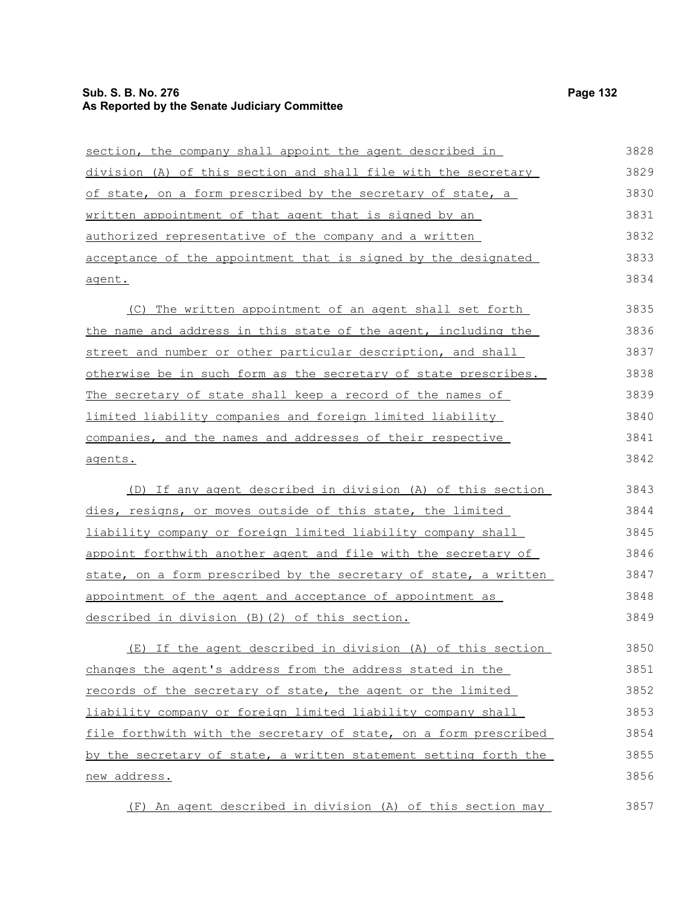#### **Sub. S. B. No. 276 Page 132 As Reported by the Senate Judiciary Committee**

new address.

section, the company shall appoint the agent described in division (A) of this section and shall file with the secretary of state, on a form prescribed by the secretary of state, a written appointment of that agent that is signed by an authorized representative of the company and a written acceptance of the appointment that is signed by the designated agent. (C) The written appointment of an agent shall set forth the name and address in this state of the agent, including the street and number or other particular description, and shall otherwise be in such form as the secretary of state prescribes. The secretary of state shall keep a record of the names of limited liability companies and foreign limited liability companies, and the names and addresses of their respective agents. (D) If any agent described in division (A) of this section dies, resigns, or moves outside of this state, the limited liability company or foreign limited liability company shall appoint forthwith another agent and file with the secretary of state, on a form prescribed by the secretary of state, a written appointment of the agent and acceptance of appointment as described in division (B)(2) of this section. (E) If the agent described in division (A) of this section changes the agent's address from the address stated in the records of the secretary of state, the agent or the limited liability company or foreign limited liability company shall file forthwith with the secretary of state, on a form prescribed by the secretary of state, a written statement setting forth the 3828 3829 3830 3831 3832 3833 3834 3835 3836 3837 3838 3839 3840 3841 3842 3843 3844 3845 3846 3847 3848 3849 3850 3851 3852 3853 3854 3855

(F) An agent described in division (A) of this section may 3857

3856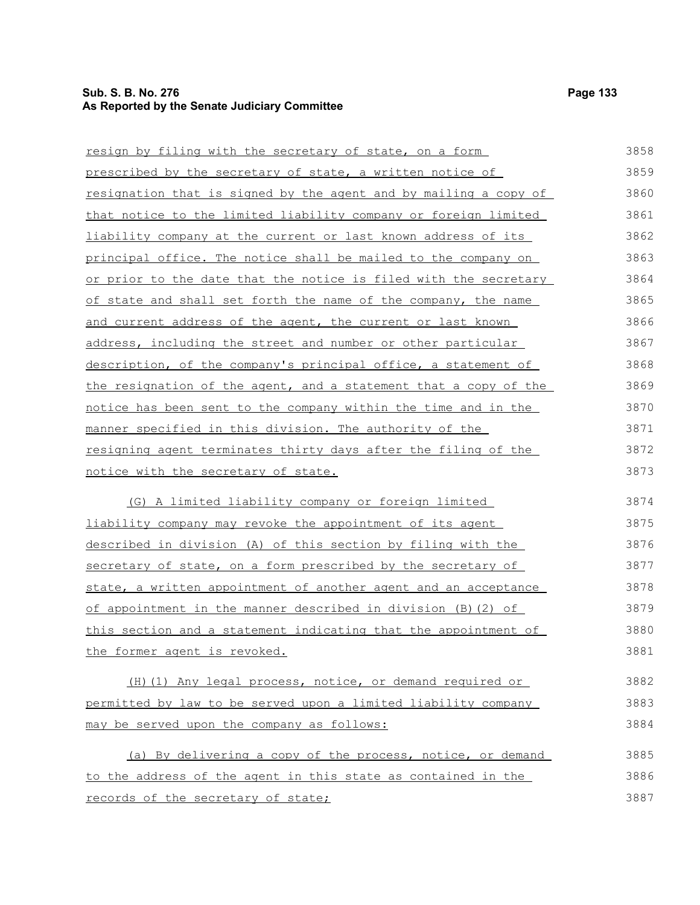## **Sub. S. B. No. 276 Page 133 As Reported by the Senate Judiciary Committee**

| resign by filing with the secretary of state, on a form                 | 3858 |
|-------------------------------------------------------------------------|------|
| prescribed by the secretary of state, a written notice of               | 3859 |
| <u>resignation that is signed by the agent and by mailing a copy of</u> | 3860 |
| <u>that notice to the limited liability company or foreign limited</u>  | 3861 |
| liability company at the current or last known address of its           | 3862 |
| principal office. The notice shall be mailed to the company on          | 3863 |
| or prior to the date that the notice is filed with the secretary        | 3864 |
| of state and shall set forth the name of the company, the name          | 3865 |
| and current address of the agent, the current or last known             | 3866 |
| address, including the street and number or other particular            | 3867 |
| description, of the company's principal office, a statement of          | 3868 |
| the resignation of the agent, and a statement that a copy of the        | 3869 |
| notice has been sent to the company within the time and in the          | 3870 |
| manner specified in this division. The authority of the                 | 3871 |
| resigning agent terminates thirty days after the filing of the          | 3872 |
| notice with the secretary of state.                                     | 3873 |
| (G) A limited liability company or foreign limited                      | 3874 |
| liability company may revoke the appointment of its agent               | 3875 |
| described in division (A) of this section by filing with the            | 3876 |
| secretary of state, on a form prescribed by the secretary of            | 3877 |
| state, a written appointment of another agent and an acceptance         | 3878 |
| of appointment in the manner described in division (B) (2) of           | 3879 |
| <u>this section and a statement indicating that the appointment of</u>  | 3880 |
| the former agent is revoked.                                            | 3881 |
| (H) (1) Any legal process, notice, or demand required or                | 3882 |
| permitted by law to be served upon a limited liability company          | 3883 |
| may be served upon the company as follows:                              | 3884 |
| (a) By delivering a copy of the process, notice, or demand              | 3885 |
| to the address of the agent in this state as contained in the           | 3886 |
| records of the secretary of state;                                      | 3887 |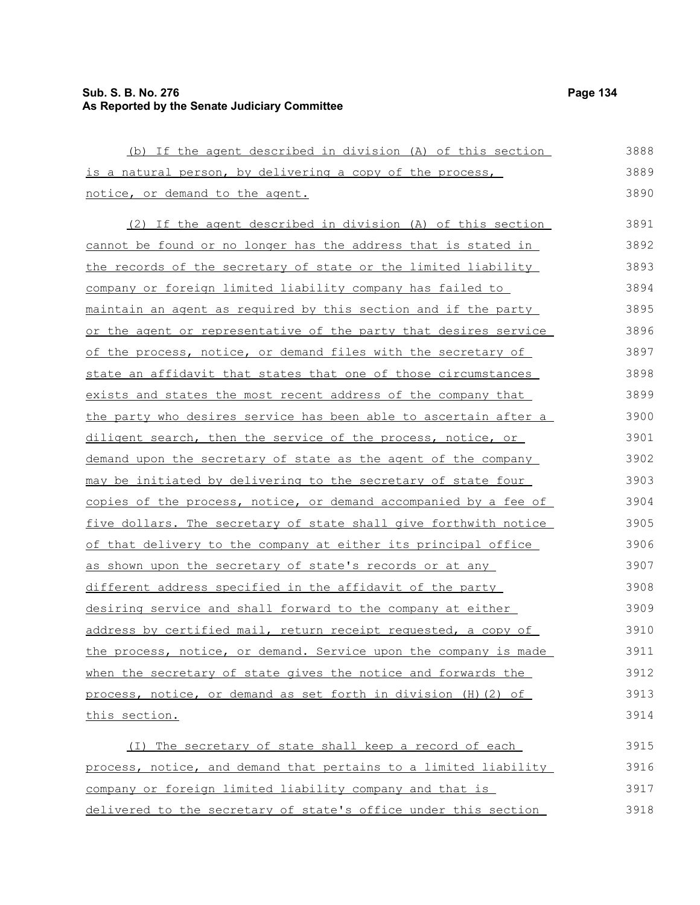## **Sub. S. B. No. 276 Page 134 As Reported by the Senate Judiciary Committee**

(b) If the agent described in division (A) of this section is a natural person, by delivering a copy of the process, notice, or demand to the agent. (2) If the agent described in division (A) of this section cannot be found or no longer has the address that is stated in the records of the secretary of state or the limited liability company or foreign limited liability company has failed to maintain an agent as required by this section and if the party or the agent or representative of the party that desires service of the process, notice, or demand files with the secretary of state an affidavit that states that one of those circumstances exists and states the most recent address of the company that the party who desires service has been able to ascertain after a diligent search, then the service of the process, notice, or demand upon the secretary of state as the agent of the company may be initiated by delivering to the secretary of state four copies of the process, notice, or demand accompanied by a fee of five dollars. The secretary of state shall give forthwith notice of that delivery to the company at either its principal office as shown upon the secretary of state's records or at any different address specified in the affidavit of the party desiring service and shall forward to the company at either address by certified mail, return receipt requested, a copy of the process, notice, or demand. Service upon the company is made when the secretary of state gives the notice and forwards the process, notice, or demand as set forth in division (H)(2) of 3888 3889 3890 3891 3892 3893 3894 3895 3896 3897 3898 3899 3900 3901 3902 3903 3904 3905 3906 3907 3908 3909 3910 3911 3912 3913

this section.

(I) The secretary of state shall keep a record of each process, notice, and demand that pertains to a limited liability company or foreign limited liability company and that is delivered to the secretary of state's office under this section 3915 3916 3917 3918

3914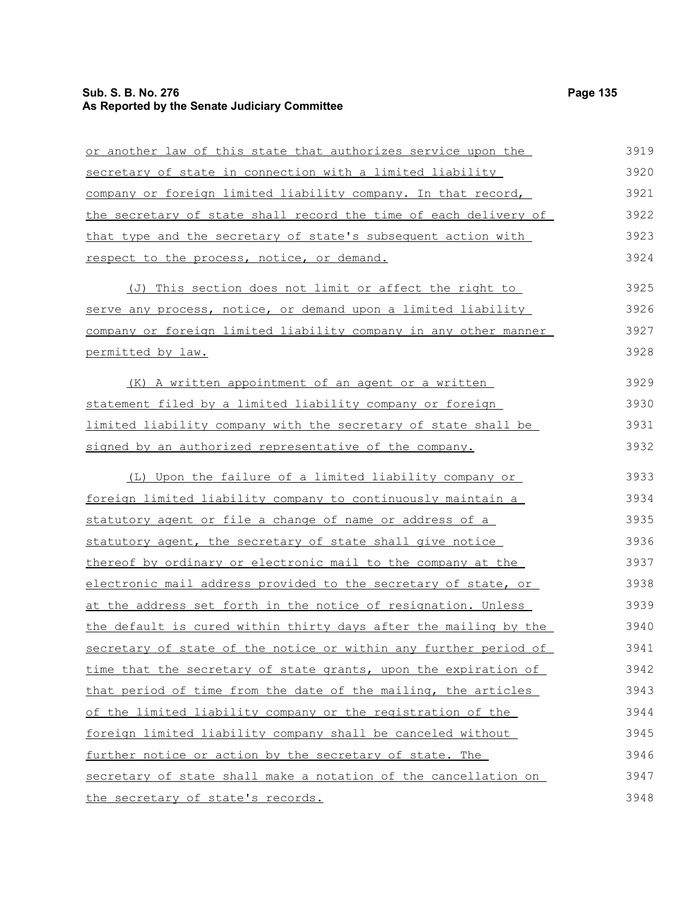## **Sub. S. B. No. 276 Page 135 As Reported by the Senate Judiciary Committee**

| or another law of this state that authorizes service upon the    | 3919 |
|------------------------------------------------------------------|------|
| secretary of state in connection with a limited liability        | 3920 |
| company or foreign limited liability company. In that record,    | 3921 |
| the secretary of state shall record the time of each delivery of | 3922 |
| that type and the secretary of state's subsequent action with    | 3923 |
| respect to the process, notice, or demand.                       | 3924 |
| (J) This section does not limit or affect the right to           | 3925 |
| serve any process, notice, or demand upon a limited liability    | 3926 |
| company or foreign limited liability company in any other manner | 3927 |
| permitted by law.                                                | 3928 |
| (K) A written appointment of an agent or a written               | 3929 |
| statement filed by a limited liability company or foreign        | 3930 |
| limited liability company with the secretary of state shall be   | 3931 |
| signed by an authorized representative of the company.           | 3932 |
| (L) Upon the failure of a limited liability company or           | 3933 |
| foreign limited liability company to continuously maintain a     | 3934 |
| statutory agent or file a change of name or address of a         | 3935 |
| statutory agent, the secretary of state shall give notice        | 3936 |
| thereof by ordinary or electronic mail to the company at the     | 3937 |
| electronic mail address provided to the secretary of state, or   | 3938 |
| at the address set forth in the notice of resignation. Unless    | 3939 |
| the default is cured within thirty days after the mailing by the | 3940 |
| secretary of state of the notice or within any further period of | 3941 |
| time that the secretary of state grants, upon the expiration of  | 3942 |
| that period of time from the date of the mailing, the articles   | 3943 |
| of the limited liability company or the registration of the      | 3944 |
| foreign limited liability company shall be canceled without      | 3945 |
| further notice or action by the secretary of state. The          | 3946 |
| secretary of state shall make a notation of the cancellation on  | 3947 |
| the secretary of state's records.                                | 3948 |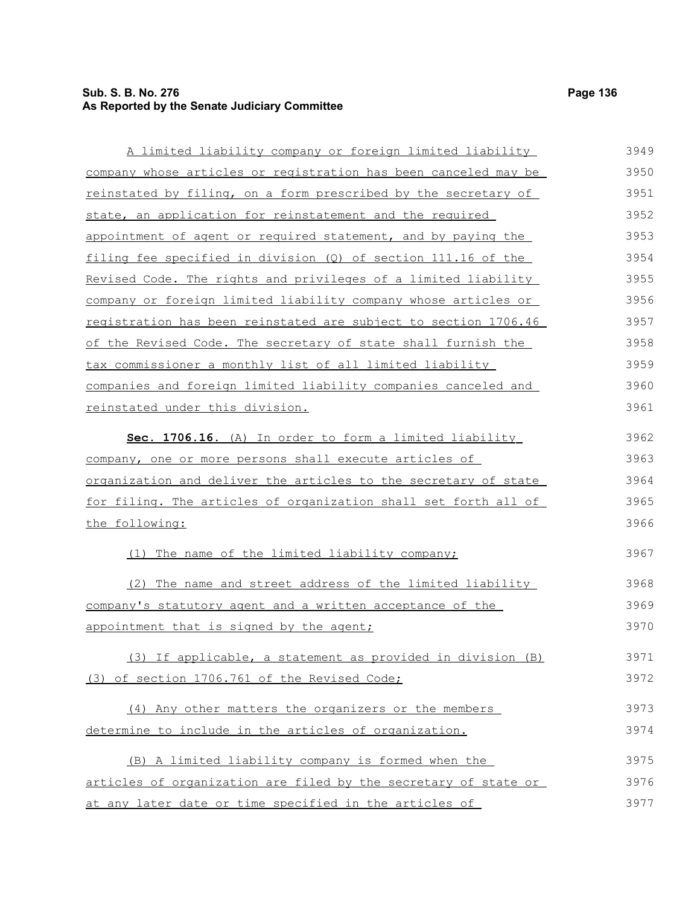# **Sub. S. B. No. 276 Page 136 As Reported by the Senate Judiciary Committee**

| A limited liability company or foreign limited liability        | 3949 |
|-----------------------------------------------------------------|------|
| company whose articles or registration has been canceled may be | 3950 |
| reinstated by filing, on a form prescribed by the secretary of  | 3951 |
| state, an application for reinstatement and the required        | 3952 |
| appointment of agent or required statement, and by paying the   | 3953 |
| filing fee specified in division (Q) of section 111.16 of the   | 3954 |
| Revised Code. The rights and privileges of a limited liability  | 3955 |
| company or foreign limited liability company whose articles or  | 3956 |
| registration has been reinstated are subject to section 1706.46 | 3957 |
| of the Revised Code. The secretary of state shall furnish the   | 3958 |
| tax commissioner a monthly list of all limited liability        | 3959 |
| companies and foreign limited liability companies canceled and  | 3960 |
| reinstated under this division.                                 | 3961 |
|                                                                 |      |
| Sec. 1706.16. (A) In order to form a limited liability          | 3962 |
| company, one or more persons shall execute articles of          | 3963 |
| organization and deliver the articles to the secretary of state | 3964 |
| for filing. The articles of organization shall set forth all of | 3965 |
| the following:                                                  | 3966 |
| (1) The name of the limited liability company;                  | 3967 |
| (2) The name and street address of the limited liability        | 3968 |
| company's statutory agent and a written acceptance of the       | 3969 |
| appointment that is signed by the agent;                        | 3970 |
| (3) If applicable, a statement as provided in division (B)      | 3971 |
| (3) of section 1706.761 of the Revised Code;                    | 3972 |
|                                                                 |      |
| (4) Any other matters the organizers or the members             | 3973 |
| determine to include in the articles of organization.           | 3974 |
| (B) A limited liability company is formed when the              | 3975 |
| articles of organization are filed by the secretary of state or | 3976 |
| at any later date or time specified in the articles of          | 3977 |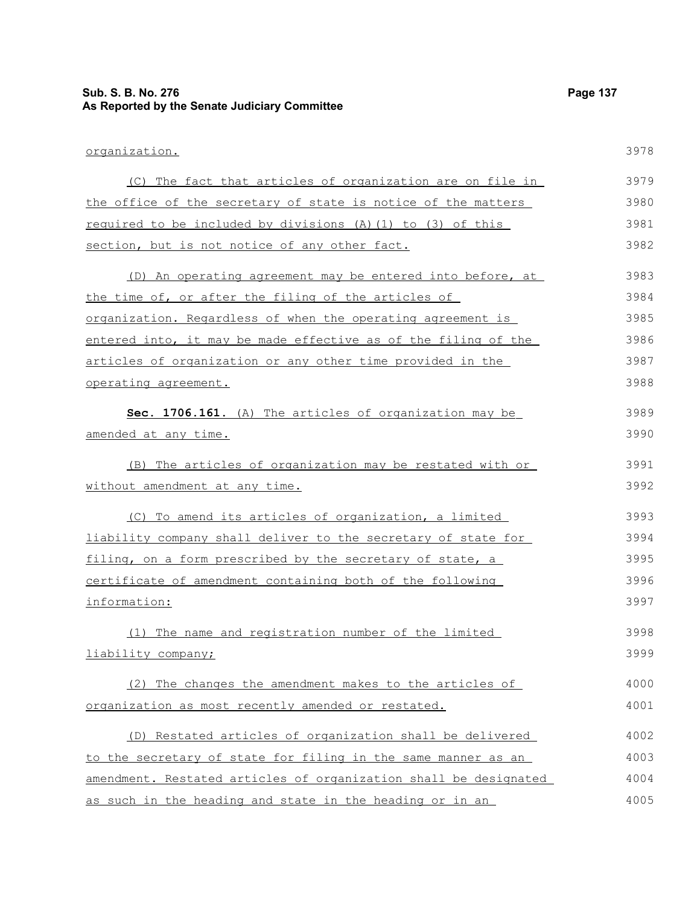# **As Reported by the Senate Judiciary Committee**

**Sub. S. B. No. 276 Page 137**

organization. (C) The fact that articles of organization are on file in the office of the secretary of state is notice of the matters required to be included by divisions (A)(1) to (3) of this section, but is not notice of any other fact. (D) An operating agreement may be entered into before, at the time of, or after the filing of the articles of organization. Regardless of when the operating agreement is entered into, it may be made effective as of the filing of the articles of organization or any other time provided in the operating agreement. Sec. 1706.161. (A) The articles of organization may be amended at any time. (B) The articles of organization may be restated with or without amendment at any time. (C) To amend its articles of organization, a limited liability company shall deliver to the secretary of state for filing, on a form prescribed by the secretary of state, a certificate of amendment containing both of the following information: (1) The name and registration number of the limited liability company; (2) The changes the amendment makes to the articles of organization as most recently amended or restated. (D) Restated articles of organization shall be delivered to the secretary of state for filing in the same manner as an amendment. Restated articles of organization shall be designated 3978 3979 3980 3981 3982 3983 3984 3985 3986 3987 3988 3989 3990 3991 3992 3993 3994 3995 3996 3997 3998 3999 4000 4001 4002 4003 4004

as such in the heading and state in the heading or in an 4005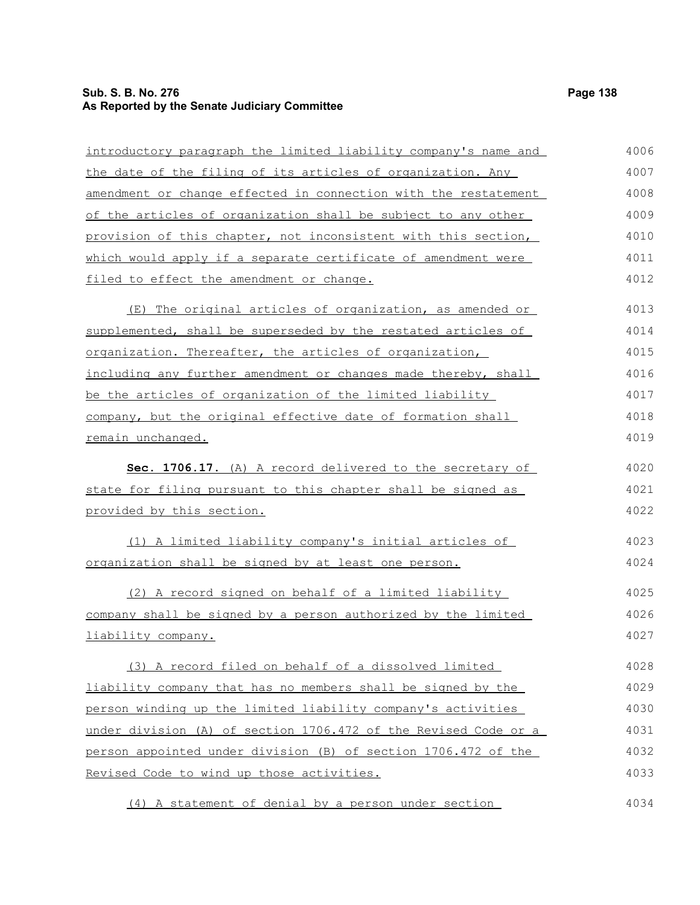# **Sub. S. B. No. 276 Page 138 As Reported by the Senate Judiciary Committee**

| introductory paragraph the limited liability company's name and | 4006 |
|-----------------------------------------------------------------|------|
| the date of the filing of its articles of organization. Any     | 4007 |
| amendment or change effected in connection with the restatement | 4008 |
| of the articles of organization shall be subject to any other   | 4009 |
| provision of this chapter, not inconsistent with this section,  | 4010 |
| which would apply if a separate certificate of amendment were   | 4011 |
| filed to effect the amendment or change.                        | 4012 |
| (E) The original articles of organization, as amended or        | 4013 |
| supplemented, shall be superseded by the restated articles of   | 4014 |
| organization. Thereafter, the articles of organization,         | 4015 |
| including any further amendment or changes made thereby, shall  | 4016 |
| be the articles of organization of the limited liability        | 4017 |
| company, but the original effective date of formation shall     | 4018 |
| remain unchanged.                                               | 4019 |
| Sec. 1706.17. (A) A record delivered to the secretary of        | 4020 |
| state for filing pursuant to this chapter shall be signed as    | 4021 |
|                                                                 | 4022 |
| <u>provided by this section.</u>                                |      |
| (1) A limited liability company's initial articles of           | 4023 |
| organization shall be signed by at least one person.            | 4024 |
| (2) A record signed on behalf of a limited liability            | 4025 |
| company shall be signed by a person authorized by the limited   | 4026 |
| liability company.                                              | 4027 |
|                                                                 |      |
| (3) A record filed on behalf of a dissolved limited             | 4028 |
| liability company that has no members shall be signed by the    | 4029 |
| person winding up the limited liability company's activities    | 4030 |
| under division (A) of section 1706.472 of the Revised Code or a | 4031 |
| person appointed under division (B) of section 1706.472 of the  | 4032 |
| Revised Code to wind up those activities.                       | 4033 |
| (4) A statement of denial by a person under section             | 4034 |
|                                                                 |      |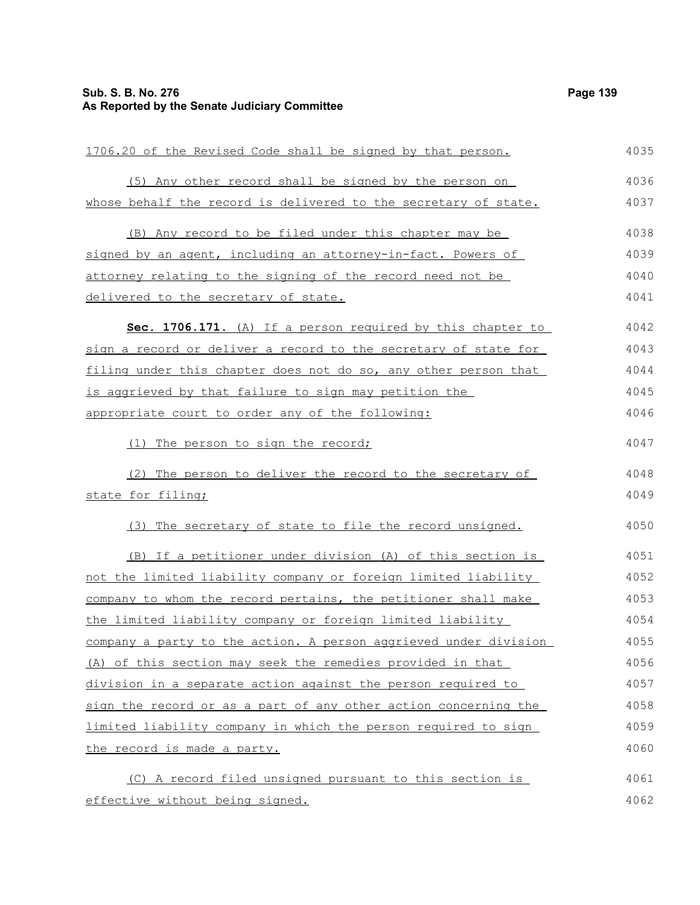# **Sub. S. B. No. 276 Page 139 As Reported by the Senate Judiciary Committee**

| 1706.20 of the Revised Code shall be signed by that person.      | 4035 |
|------------------------------------------------------------------|------|
| (5) Any other record shall be signed by the person on            | 4036 |
| whose behalf the record is delivered to the secretary of state.  | 4037 |
| (B) Any record to be filed under this chapter may be             | 4038 |
| signed by an agent, including an attorney-in-fact. Powers of     | 4039 |
| attorney relating to the signing of the record need not be       | 4040 |
| delivered to the secretary of state.                             | 4041 |
| Sec. 1706.171. (A) If a person required by this chapter to       | 4042 |
| sign a record or deliver a record to the secretary of state for  | 4043 |
| filing under this chapter does not do so, any other person that  | 4044 |
| is aggrieved by that failure to sign may petition the            | 4045 |
| appropriate court to order any of the following:                 | 4046 |
| (1) The person to sign the record;                               | 4047 |
| The person to deliver the record to the secretary of<br>(2)      | 4048 |
| state for filing;                                                | 4049 |
| (3) The secretary of state to file the record unsigned.          | 4050 |
| (B) If a petitioner under division (A) of this section is        | 4051 |
| not the limited liability company or foreign limited liability   | 4052 |
| company to whom the record pertains, the petitioner shall make   | 4053 |
| the limited liability company or foreign limited liability       | 4054 |
| company a party to the action. A person aggrieved under division | 4055 |
| (A) of this section may seek the remedies provided in that       | 4056 |
| division in a separate action against the person required to     | 4057 |
| sign the record or as a part of any other action concerning the  | 4058 |
| limited liability company in which the person required to sign   | 4059 |
| the record is made a party.                                      | 4060 |
| (C) A record filed unsigned pursuant to this section is          | 4061 |
| effective without being signed.                                  | 4062 |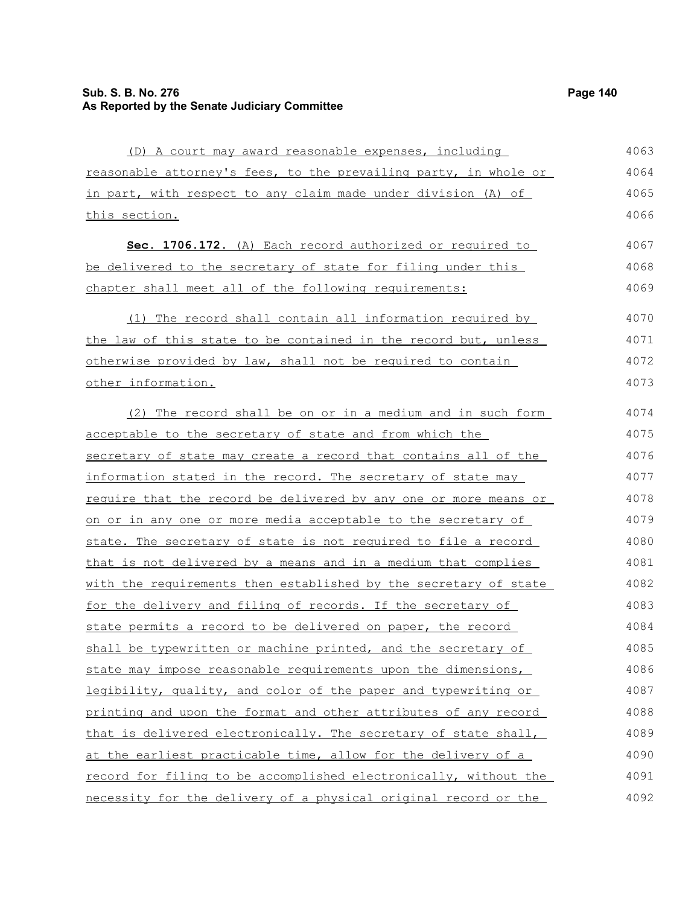# **Sub. S. B. No. 276 Page 140 As Reported by the Senate Judiciary Committee**

| (D) A court may award reasonable expenses, including                    | 4063 |
|-------------------------------------------------------------------------|------|
| reasonable attorney's fees, to the prevailing party, in whole or        | 4064 |
| in part, with respect to any claim made under division (A) of           | 4065 |
| this section.                                                           | 4066 |
| Sec. 1706.172. (A) Each record authorized or required to                | 4067 |
| be delivered to the secretary of state for filing under this            | 4068 |
| chapter shall meet all of the following requirements:                   | 4069 |
| (1) The record shall contain all information required by                | 4070 |
| the law of this state to be contained in the record but, unless         | 4071 |
| otherwise provided by law, shall not be required to contain             | 4072 |
| other information.                                                      | 4073 |
| (2) The record shall be on or in a medium and in such form              | 4074 |
| acceptable to the secretary of state and from which the                 | 4075 |
| secretary of state may create a record that contains all of the         | 4076 |
| information stated in the record. The secretary of state may            | 4077 |
| <u>require that the record be delivered by any one or more means or</u> | 4078 |
| on or in any one or more media acceptable to the secretary of           | 4079 |
| state. The secretary of state is not required to file a record          | 4080 |
| that is not delivered by a means and in a medium that complies          | 4081 |
| with the requirements then established by the secretary of state        | 4082 |
| for the delivery and filing of records. If the secretary of             | 4083 |
| state permits a record to be delivered on paper, the record             | 4084 |
| shall be typewritten or machine printed, and the secretary of           | 4085 |
| state may impose reasonable requirements upon the dimensions,           | 4086 |
| legibility, quality, and color of the paper and typewriting or          | 4087 |
| printing and upon the format and other attributes of any record         | 4088 |
| that is delivered electronically. The secretary of state shall,         | 4089 |
| at the earliest practicable time, allow for the delivery of a           | 4090 |
| record for filing to be accomplished electronically, without the        | 4091 |
| necessity for the delivery of a physical original record or the         | 4092 |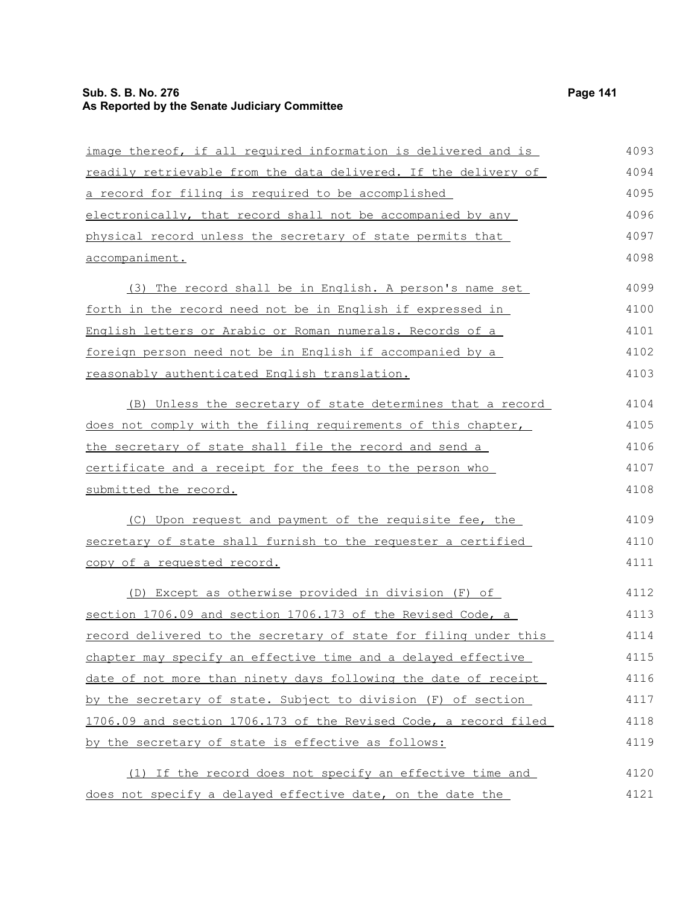## **Sub. S. B. No. 276 Page 141 As Reported by the Senate Judiciary Committee**

| image thereof, if all required information is delivered and is   | 4093 |
|------------------------------------------------------------------|------|
| readily retrievable from the data delivered. If the delivery of  | 4094 |
| a record for filing is required to be accomplished               | 4095 |
| electronically, that record shall not be accompanied by any      | 4096 |
| physical record unless the secretary of state permits that       | 4097 |
| accompaniment.                                                   | 4098 |
| (3) The record shall be in English. A person's name set          | 4099 |
| forth in the record need not be in English if expressed in       | 4100 |
| English letters or Arabic or Roman numerals. Records of a        | 4101 |
| foreign person need not be in English if accompanied by a        | 4102 |
| reasonably authenticated English translation.                    | 4103 |
| (B) Unless the secretary of state determines that a record       | 4104 |
| does not comply with the filing requirements of this chapter,    | 4105 |
| the secretary of state shall file the record and send a          | 4106 |
| certificate and a receipt for the fees to the person who         | 4107 |
| submitted the record.                                            | 4108 |
| (C) Upon request and payment of the requisite fee, the           | 4109 |
| secretary of state shall furnish to the requester a certified    | 4110 |
| copy of a requested record.                                      | 4111 |
| (D) Except as otherwise provided in division (F) of              | 4112 |
| section 1706.09 and section 1706.173 of the Revised Code, a      | 4113 |
| record delivered to the secretary of state for filing under this | 4114 |
| chapter may specify an effective time and a delayed effective    | 4115 |
| date of not more than ninety days following the date of receipt  | 4116 |
| by the secretary of state. Subject to division (F) of section    | 4117 |
| 1706.09 and section 1706.173 of the Revised Code, a record filed | 4118 |
| by the secretary of state is effective as follows:               | 4119 |
| (1) If the record does not specify an effective time and         | 4120 |
| does not specify a delayed effective date, on the date the       | 4121 |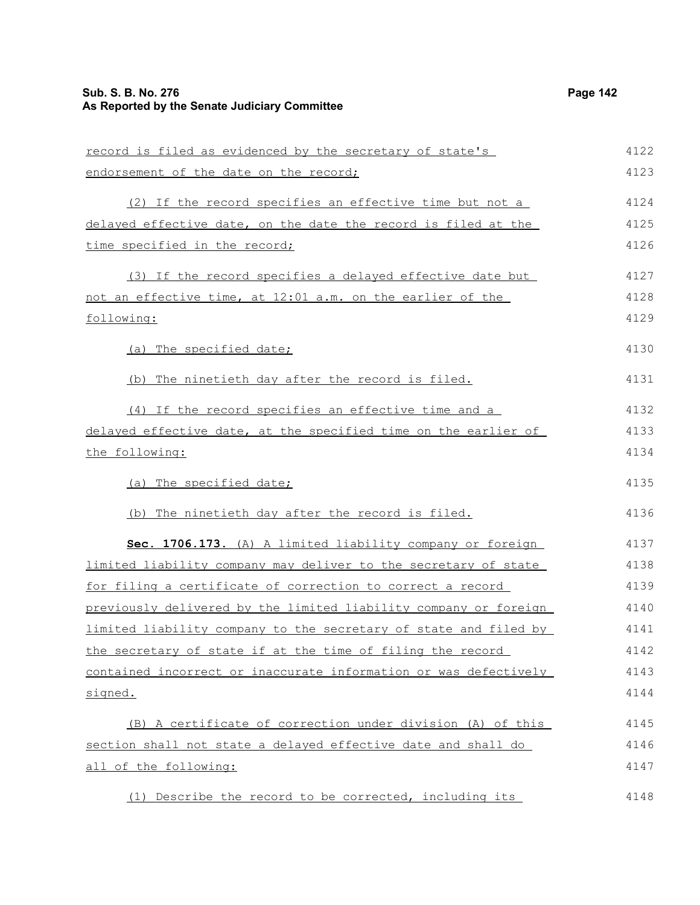| record is filed as evidenced by the secretary of state's                 | 4122 |
|--------------------------------------------------------------------------|------|
| endorsement of the date on the record;                                   | 4123 |
| (2) If the record specifies an effective time but not a                  | 4124 |
| delayed effective date, on the date the record is filed at the           | 4125 |
| time specified in the record;                                            | 4126 |
| (3) If the record specifies a delayed effective date but                 | 4127 |
| not an effective time, at 12:01 a.m. on the earlier of the               | 4128 |
| following:                                                               | 4129 |
| (a) The specified date;                                                  | 4130 |
| (b) The ninetieth day after the record is filed.                         | 4131 |
| (4) If the record specifies an effective time and a                      | 4132 |
| delayed effective date, at the specified time on the earlier of          | 4133 |
| the following:                                                           | 4134 |
| (a) The specified date;                                                  | 4135 |
| (b) The ninetieth day after the record is filed.                         | 4136 |
| Sec. 1706.173. (A) A limited liability company or foreign                | 4137 |
| <u>limited liability company may deliver to the secretary of state</u>   | 4138 |
| <u>for filing a certificate of correction to correct a record</u>        | 4139 |
| previously delivered by the limited liability company or foreign         | 4140 |
| <u>limited liability company to the secretary of state and filed by </u> | 4141 |
| the secretary of state if at the time of filing the record               | 4142 |
| contained incorrect or inaccurate information or was defectively         | 4143 |
| signed.                                                                  | 4144 |
| (B) A certificate of correction under division (A) of this               | 4145 |
| section shall not state a delayed effective date and shall do            | 4146 |
| all of the following:                                                    | 4147 |
| (1) Describe the record to be corrected, including its                   | 4148 |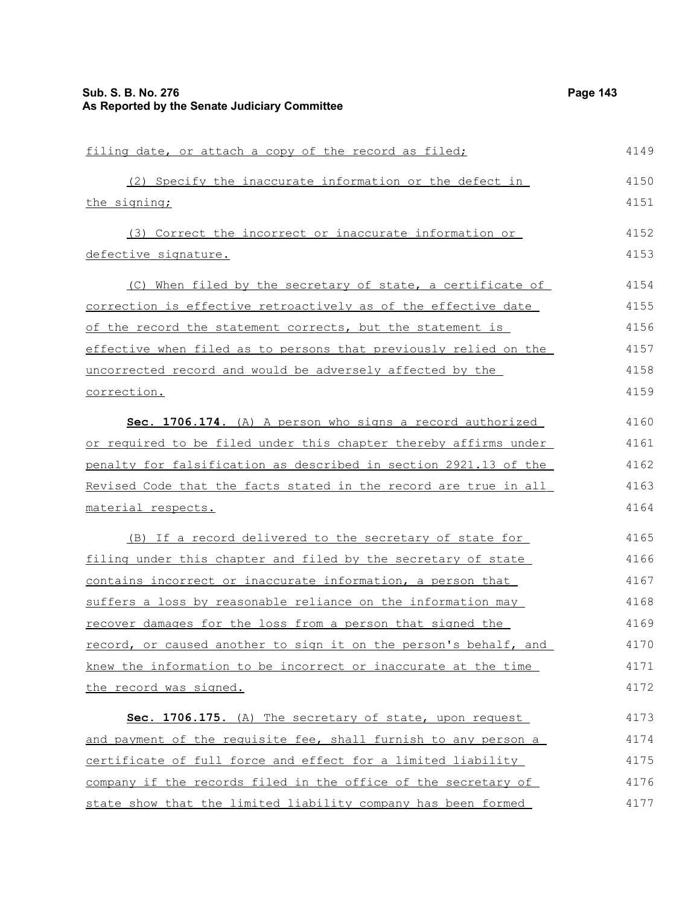| filing date, or attach a copy of the record as filed;            | 4149 |
|------------------------------------------------------------------|------|
| (2) Specify the inaccurate information or the defect in          | 4150 |
| the signing;                                                     | 4151 |
| (3) Correct the incorrect or inaccurate information or           | 4152 |
| defective signature.                                             | 4153 |
| (C) When filed by the secretary of state, a certificate of       | 4154 |
| correction is effective retroactively as of the effective date   | 4155 |
| of the record the statement corrects, but the statement is       | 4156 |
| effective when filed as to persons that previously relied on the | 4157 |
| uncorrected record and would be adversely affected by the        | 4158 |
| correction.                                                      | 4159 |
| Sec. 1706.174. (A) A person who signs a record authorized        | 4160 |
| or required to be filed under this chapter thereby affirms under | 4161 |
| penalty for falsification as described in section 2921.13 of the | 4162 |
| Revised Code that the facts stated in the record are true in all | 4163 |
| material respects.                                               | 4164 |
| (B) If a record delivered to the secretary of state for          | 4165 |
| filing under this chapter and filed by the secretary of state    | 4166 |
| contains incorrect or inaccurate information, a person that      | 4167 |
| suffers a loss by reasonable reliance on the information may     | 4168 |
| recover damages for the loss from a person that signed the       | 4169 |
| record, or caused another to sign it on the person's behalf, and | 4170 |
| knew the information to be incorrect or inaccurate at the time   | 4171 |
| the record was signed.                                           | 4172 |
| Sec. 1706.175. (A) The secretary of state, upon request          | 4173 |
| and payment of the requisite fee, shall furnish to any person a  | 4174 |
| certificate of full force and effect for a limited liability     | 4175 |
| company if the records filed in the office of the secretary of   | 4176 |
| state show that the limited liability company has been formed    | 4177 |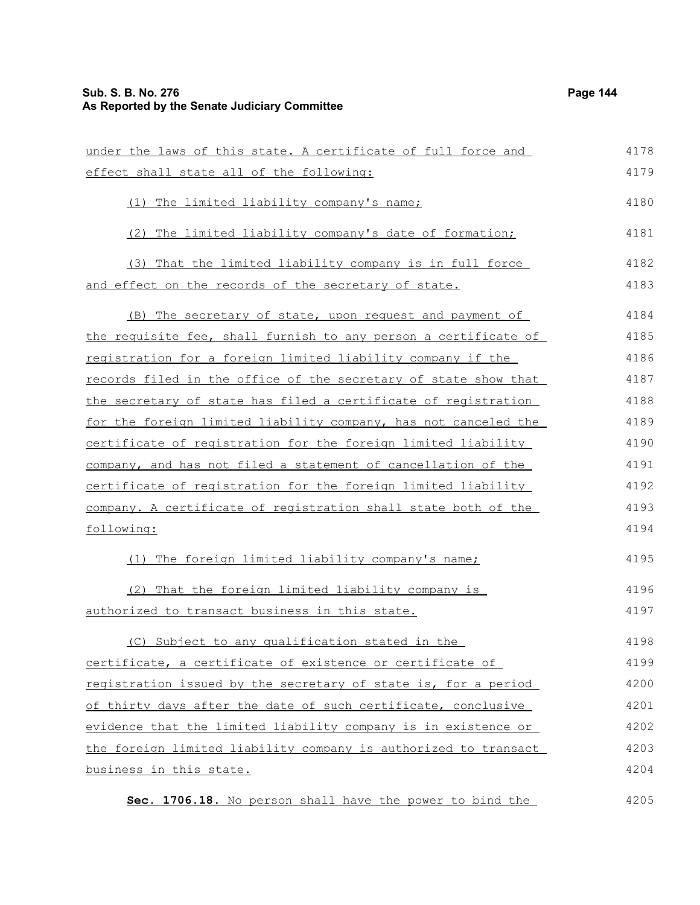## **Sub. S. B. No. 276 Page 144 As Reported by the Senate Judiciary Committee**

under the laws of this state. A certificate of full force and effect shall state all of the following: (1) The limited liability company's name; (2) The limited liability company's date of formation; (3) That the limited liability company is in full force and effect on the records of the secretary of state. (B) The secretary of state, upon request and payment of the requisite fee, shall furnish to any person a certificate of registration for a foreign limited liability company if the records filed in the office of the secretary of state show that the secretary of state has filed a certificate of registration for the foreign limited liability company, has not canceled the certificate of registration for the foreign limited liability company, and has not filed a statement of cancellation of the certificate of registration for the foreign limited liability company. A certificate of registration shall state both of the following: (1) The foreign limited liability company's name; (2) That the foreign limited liability company is authorized to transact business in this state. (C) Subject to any qualification stated in the certificate, a certificate of existence or certificate of registration issued by the secretary of state is, for a period of thirty days after the date of such certificate, conclusive evidence that the limited liability company is in existence or the foreign limited liability company is authorized to transact business in this state. 4178 4179 4180 4181 4182 4183 4184 4185 4186 4187 4188 4189 4190 4191 4192 4193 4194 4195 4196 4197 4198 4199 4200 4201 4202 4203 4204

 **Sec. 1706.18.** No person shall have the power to bind the 4205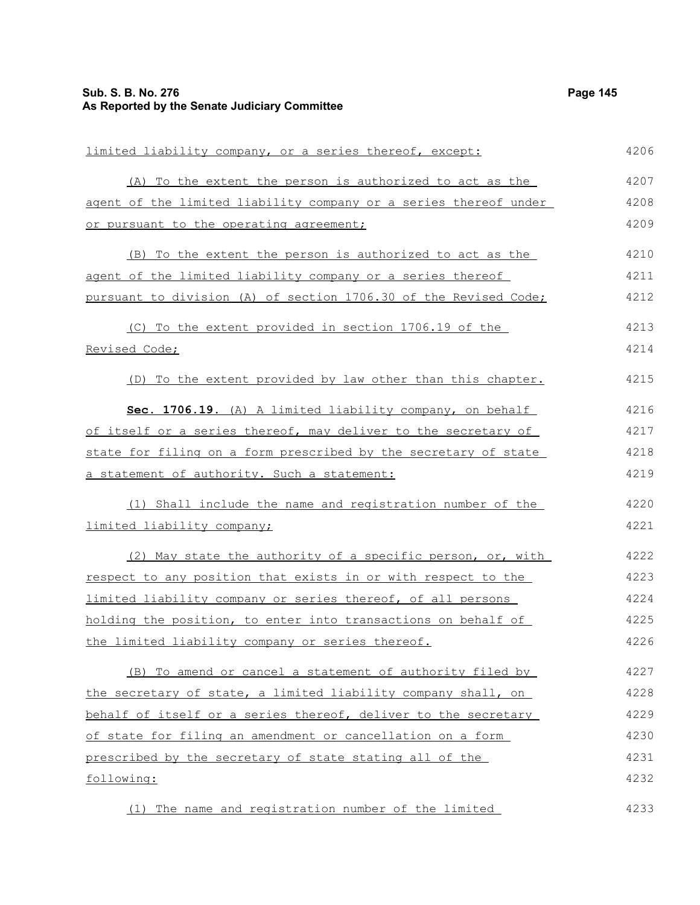| limited liability company, or a series thereof, except:          | 4206 |
|------------------------------------------------------------------|------|
| (A) To the extent the person is authorized to act as the         | 4207 |
| agent of the limited liability company or a series thereof under | 4208 |
| or pursuant to the operating agreement;                          | 4209 |
| (B) To the extent the person is authorized to act as the         | 4210 |
| agent of the limited liability company or a series thereof       | 4211 |
| pursuant to division (A) of section 1706.30 of the Revised Code; | 4212 |
| (C) To the extent provided in section 1706.19 of the             | 4213 |
| Revised Code;                                                    | 4214 |
| (D) To the extent provided by law other than this chapter.       | 4215 |
| Sec. 1706.19. (A) A limited liability company, on behalf         | 4216 |
| of itself or a series thereof, may deliver to the secretary of   | 4217 |
| state for filing on a form prescribed by the secretary of state  | 4218 |
| a statement of authority. Such a statement:                      | 4219 |
| (1) Shall include the name and registration number of the        | 4220 |
| limited liability company;                                       | 4221 |
| (2) May state the authority of a specific person, or, with       | 4222 |
| respect to any position that exists in or with respect to the    | 4223 |
| limited liability company or series thereof, of all persons      | 4224 |
| holding the position, to enter into transactions on behalf of    | 4225 |
| the limited liability company or series thereof.                 | 4226 |
| (B) To amend or cancel a statement of authority filed by         | 4227 |
| the secretary of state, a limited liability company shall, on    | 4228 |
| behalf of itself or a series thereof, deliver to the secretary   | 4229 |
| of state for filing an amendment or cancellation on a form       | 4230 |
| prescribed by the secretary of state stating all of the          | 4231 |
| following:                                                       | 4232 |
| (1) The name and registration number of the limited              | 4233 |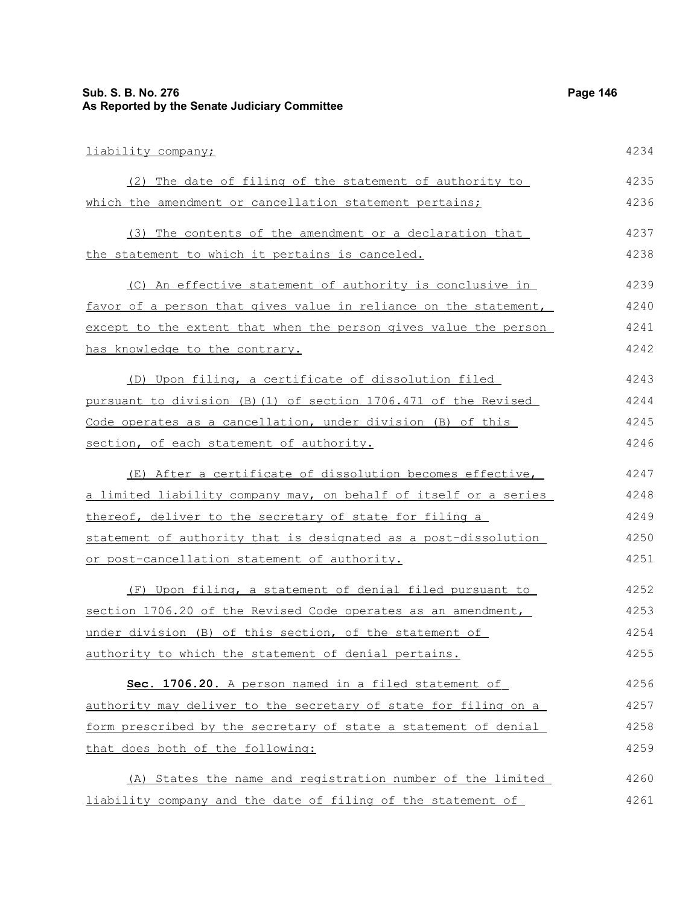## **Sub. S. B. No. 276 Page 146 As Reported by the Senate Judiciary Committee**

| liability company;                                               | 4234 |
|------------------------------------------------------------------|------|
| (2) The date of filing of the statement of authority to          | 4235 |
| which the amendment or cancellation statement pertains;          | 4236 |
| (3) The contents of the amendment or a declaration that          | 4237 |
| the statement to which it pertains is canceled.                  | 4238 |
| (C) An effective statement of authority is conclusive in         | 4239 |
| favor of a person that gives value in reliance on the statement, | 4240 |
| except to the extent that when the person gives value the person | 4241 |
| has knowledge to the contrary.                                   | 4242 |
| (D) Upon filing, a certificate of dissolution filed              | 4243 |
| pursuant to division (B)(1) of section 1706.471 of the Revised   | 4244 |
| Code operates as a cancellation, under division (B) of this      | 4245 |
| section, of each statement of authority.                         | 4246 |
| (E) After a certificate of dissolution becomes effective,        | 4247 |
| a limited liability company may, on behalf of itself or a series | 4248 |
| thereof, deliver to the secretary of state for filing a          | 4249 |
| statement of authority that is designated as a post-dissolution  | 4250 |
| or post-cancellation statement of authority.                     | 4251 |
| (F) Upon filing, a statement of denial filed pursuant to         | 4252 |
| section 1706.20 of the Revised Code operates as an amendment,    | 4253 |
| under division (B) of this section, of the statement of          | 4254 |
| authority to which the statement of denial pertains.             | 4255 |
| Sec. 1706.20. A person named in a filed statement of             | 4256 |
| authority may deliver to the secretary of state for filing on a  | 4257 |
| form prescribed by the secretary of state a statement of denial  | 4258 |
| that does both of the following:                                 | 4259 |
| (A) States the name and registration number of the limited       | 4260 |
| liability company and the date of filing of the statement of     | 4261 |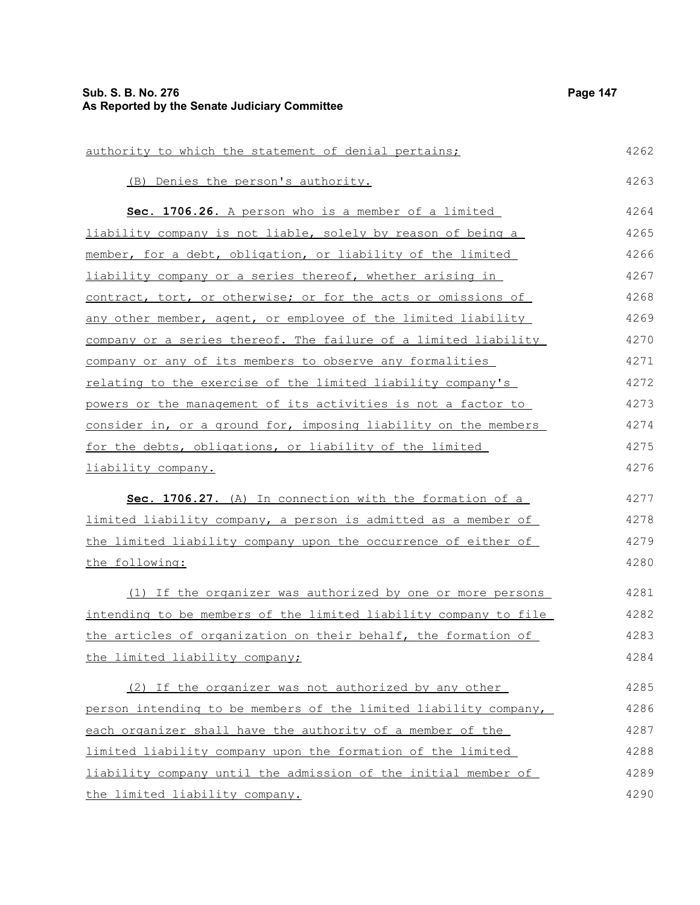| authority to which the statement of denial pertains;             | 4262 |
|------------------------------------------------------------------|------|
| (B) Denies the person's authority.                               | 4263 |
| Sec. 1706.26. A person who is a member of a limited              | 4264 |
| liability company is not liable, solely by reason of being a     | 4265 |
| member, for a debt, obligation, or liability of the limited      | 4266 |
| liability company or a series thereof, whether arising in        | 4267 |
| contract, tort, or otherwise; or for the acts or omissions of    | 4268 |
| any other member, agent, or employee of the limited liability    | 4269 |
| company or a series thereof. The failure of a limited liability  | 4270 |
| company or any of its members to observe any formalities         | 4271 |
| relating to the exercise of the limited liability company's      | 4272 |
| powers or the management of its activities is not a factor to    | 4273 |
| consider in, or a ground for, imposing liability on the members  | 4274 |
| for the debts, obligations, or liability of the limited          | 4275 |
| liability company.                                               | 4276 |
| Sec. 1706.27. (A) In connection with the formation of a          | 4277 |
| limited liability company, a person is admitted as a member of   | 4278 |
| the limited liability company upon the occurrence of either of   | 4279 |
| the following:                                                   | 4280 |
| (1) If the organizer was authorized by one or more persons       | 4281 |
| intending to be members of the limited liability company to file | 4282 |
| the articles of organization on their behalf, the formation of   | 4283 |
| the limited liability company;                                   | 4284 |
| (2) If the organizer was not authorized by any other             | 4285 |
| person intending to be members of the limited liability company, | 4286 |
| each organizer shall have the authority of a member of the       | 4287 |
| limited liability company upon the formation of the limited      | 4288 |
| liability company until the admission of the initial member of   | 4289 |
| the limited liability company.                                   | 4290 |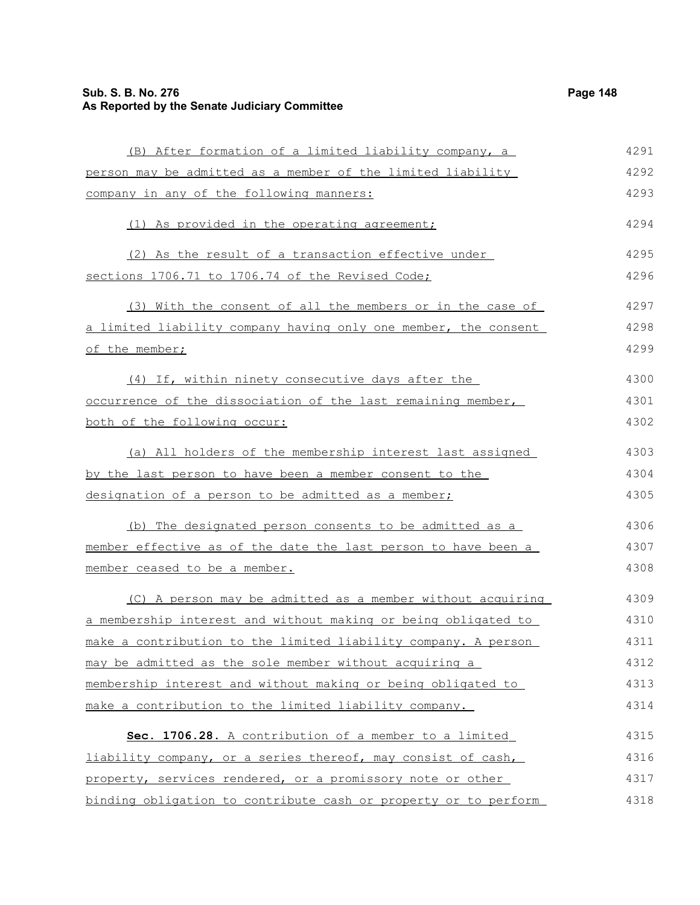## **Sub. S. B. No. 276 Page 148 As Reported by the Senate Judiciary Committee**

| (B) After formation of a limited liability company, a           | 4291 |
|-----------------------------------------------------------------|------|
| person may be admitted as a member of the limited liability     | 4292 |
| company in any of the following manners:                        | 4293 |
| (1) As provided in the operating agreement;                     | 4294 |
| (2) As the result of a transaction effective under              | 4295 |
| sections 1706.71 to 1706.74 of the Revised Code;                | 4296 |
| (3) With the consent of all the members or in the case of       | 4297 |
| a limited liability company having only one member, the consent | 4298 |
| of the member;                                                  | 4299 |
| (4) If, within ninety consecutive days after the                | 4300 |
| occurrence of the dissociation of the last remaining member,    | 4301 |
| both of the following occur:                                    | 4302 |
| (a) All holders of the membership interest last assigned        | 4303 |
| by the last person to have been a member consent to the         | 4304 |
| designation of a person to be admitted as a member;             | 4305 |
| (b) The designated person consents to be admitted as a          | 4306 |
| member effective as of the date the last person to have been a  | 4307 |
| member ceased to be a member.                                   | 4308 |
| (C) A person may be admitted as a member without acquiring      | 4309 |
| a membership interest and without making or being obligated to  | 4310 |
| make a contribution to the limited liability company. A person  | 4311 |
| may be admitted as the sole member without acquiring a          | 4312 |
| membership interest and without making or being obligated to    | 4313 |
| make a contribution to the limited liability company.           | 4314 |
| Sec. 1706.28. A contribution of a member to a limited           | 4315 |
| liability company, or a series thereof, may consist of cash,    | 4316 |
| property, services rendered, or a promissory note or other      | 4317 |
| binding obligation to contribute cash or property or to perform | 4318 |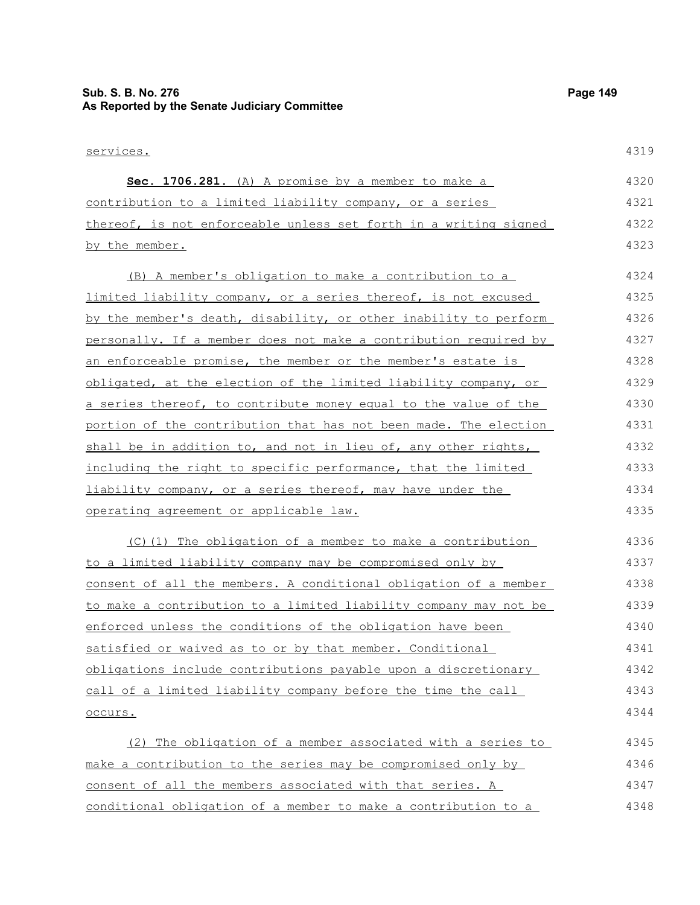# **Sub. S. B. No. 276 Page 149 As Reported by the Senate Judiciary Committee**

| <u>services.</u>                                                  | 4319 |
|-------------------------------------------------------------------|------|
| Sec. 1706.281. (A) A promise by a member to make a                | 4320 |
| contribution to a limited liability company, or a series          | 4321 |
| thereof, is not enforceable unless set forth in a writing signed  | 4322 |
| by the member.                                                    | 4323 |
| (B) A member's obligation to make a contribution to a             | 4324 |
| limited liability company, or a series thereof, is not excused    | 4325 |
| by the member's death, disability, or other inability to perform  | 4326 |
| personally. If a member does not make a contribution required by  | 4327 |
| an enforceable promise, the member or the member's estate is      | 4328 |
| obligated, at the election of the limited liability company, or   | 4329 |
| a series thereof, to contribute money equal to the value of the   | 4330 |
| portion of the contribution that has not been made. The election  | 4331 |
| shall be in addition to, and not in lieu of, any other rights,    | 4332 |
| including the right to specific performance, that the limited     | 4333 |
| <u>liability company, or a series thereof, may have under the</u> | 4334 |
| operating agreement or applicable law.                            | 4335 |
| (C)(1) The obligation of a member to make a contribution          | 4336 |
| to a limited liability company may be compromised only by         | 4337 |
| consent of all the members. A conditional obligation of a member  | 4338 |
| to make a contribution to a limited liability company may not be  | 4339 |
| enforced unless the conditions of the obligation have been        | 4340 |
| satisfied or waived as to or by that member. Conditional          | 4341 |
| obligations include contributions payable upon a discretionary    | 4342 |
| call of a limited liability company before the time the call      | 4343 |
| occurs.                                                           | 4344 |
| (2) The obligation of a member associated with a series to        | 4345 |
| make a contribution to the series may be compromised only by      | 4346 |
| consent of all the members associated with that series. A         | 4347 |
| conditional obligation of a member to make a contribution to a    | 4348 |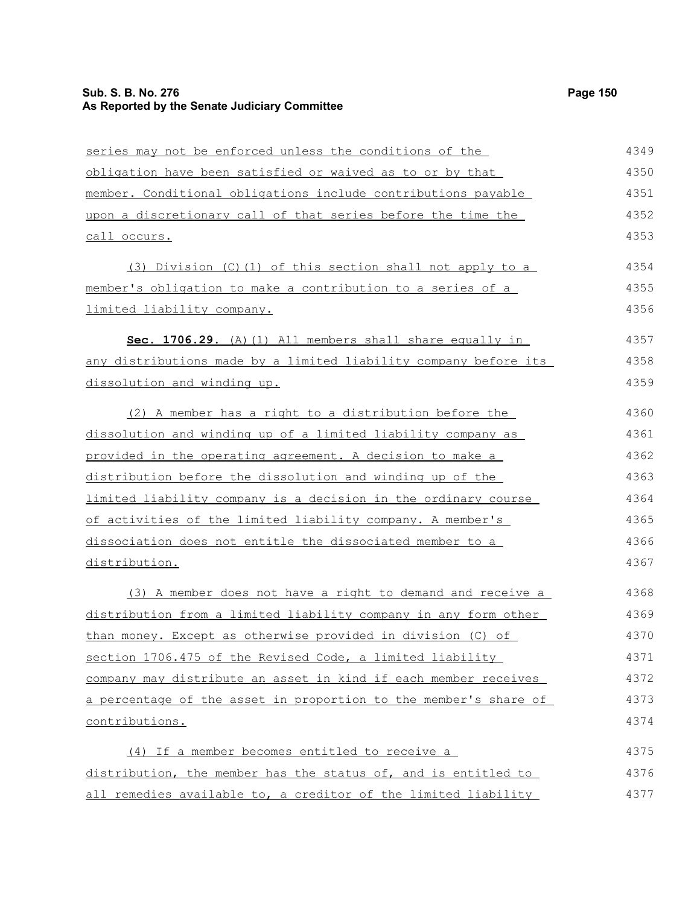## **Sub. S. B. No. 276 Page 150 As Reported by the Senate Judiciary Committee**

| series may not be enforced unless the conditions of the          | 4349 |
|------------------------------------------------------------------|------|
| obligation have been satisfied or waived as to or by that        | 4350 |
| member. Conditional obligations include contributions payable    | 4351 |
| upon a discretionary call of that series before the time the     | 4352 |
| <u>call occurs.</u>                                              | 4353 |
| (3) Division (C)(1) of this section shall not apply to a         | 4354 |
| member's obligation to make a contribution to a series of a      | 4355 |
| limited liability company.                                       | 4356 |
| Sec. 1706.29. (A) (1) All members shall share equally in         | 4357 |
| any distributions made by a limited liability company before its | 4358 |
| dissolution and winding up.                                      | 4359 |
| (2) A member has a right to a distribution before the            | 4360 |
| dissolution and winding up of a limited liability company as     | 4361 |
| provided in the operating agreement. A decision to make a        | 4362 |
| distribution before the dissolution and winding up of the        | 4363 |
| limited liability company is a decision in the ordinary course   | 4364 |
| of activities of the limited liability company. A member's       | 4365 |
| dissociation does not entitle the dissociated member to a        | 4366 |
| distribution.                                                    | 4367 |
| (3) A member does not have a right to demand and receive a       | 4368 |
| distribution from a limited liability company in any form other  | 4369 |
| than money. Except as otherwise provided in division (C) of      | 4370 |
| section 1706.475 of the Revised Code, a limited liability        | 4371 |
| company may distribute an asset in kind if each member receives  | 4372 |
| a percentage of the asset in proportion to the member's share of | 4373 |
| contributions.                                                   | 4374 |
| (4) If a member becomes entitled to receive a                    | 4375 |
| distribution, the member has the status of, and is entitled to   | 4376 |
| all remedies available to, a creditor of the limited liability   | 4377 |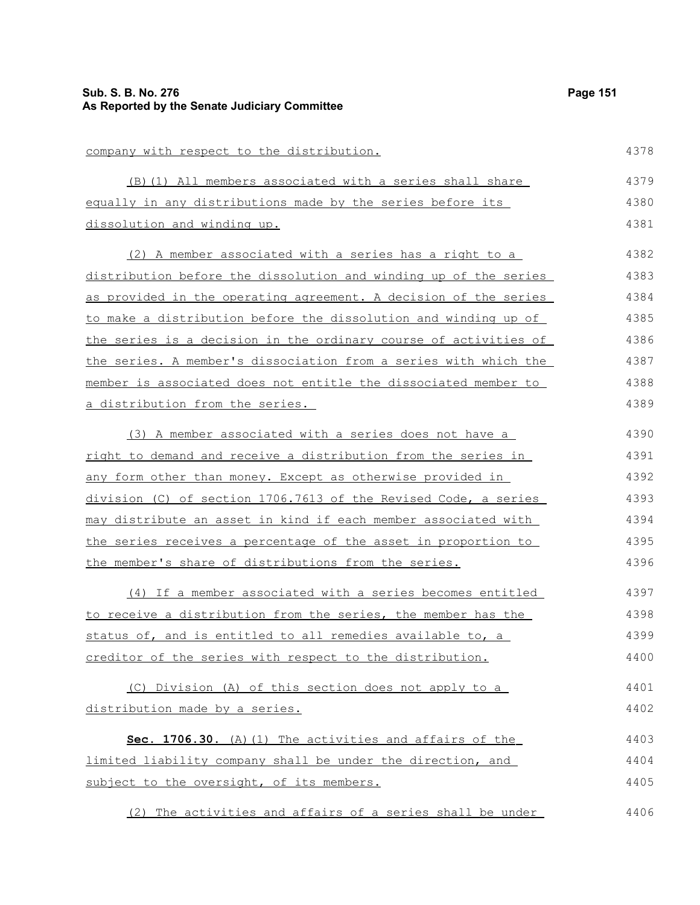company with respect to the distribution. (B)(1) All members associated with a series shall share

equally in any distributions made by the series before its dissolution and winding up.

(2) A member associated with a series has a right to a distribution before the dissolution and winding up of the series as provided in the operating agreement. A decision of the series to make a distribution before the dissolution and winding up of the series is a decision in the ordinary course of activities of the series. A member's dissociation from a series with which the member is associated does not entitle the dissociated member to a distribution from the series. 4382 4383 4384 4385 4386 4387 4388 4389

(3) A member associated with a series does not have a right to demand and receive a distribution from the series in any form other than money. Except as otherwise provided in division (C) of section 1706.7613 of the Revised Code, a series may distribute an asset in kind if each member associated with the series receives a percentage of the asset in proportion to the member's share of distributions from the series. 4390 4391 4392 4393 4394 4395 4396

(4) If a member associated with a series becomes entitled to receive a distribution from the series, the member has the status of, and is entitled to all remedies available to, a creditor of the series with respect to the distribution. 4397 4398 4399 4400

(C) Division (A) of this section does not apply to a distribution made by a series. 4401 4402

 **Sec. 1706.30.** (A)(1) The activities and affairs of the limited liability company shall be under the direction, and subject to the oversight, of its members. 4403 4404 4405

(2) The activities and affairs of a series shall be under 4406

4378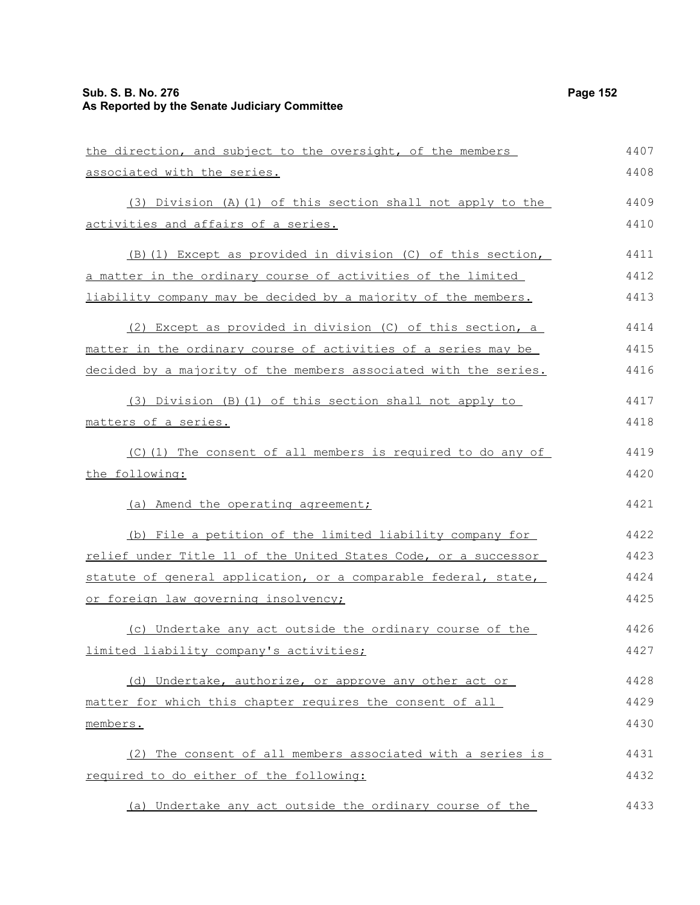## **Sub. S. B. No. 276 Page 152 As Reported by the Senate Judiciary Committee**

| the direction, and subject to the oversight, of the members      | 4407 |
|------------------------------------------------------------------|------|
| associated with the series.                                      | 4408 |
| (3) Division (A)(1) of this section shall not apply to the       | 4409 |
| activities and affairs of a series.                              | 4410 |
| (B) (1) Except as provided in division (C) of this section,      | 4411 |
| a matter in the ordinary course of activities of the limited     | 4412 |
| liability company may be decided by a majority of the members.   | 4413 |
| (2) Except as provided in division (C) of this section, a        | 4414 |
| matter in the ordinary course of activities of a series may be   | 4415 |
| decided by a majority of the members associated with the series. | 4416 |
| (3) Division (B) (1) of this section shall not apply to          | 4417 |
| matters of a series.                                             | 4418 |
| (C)(1) The consent of all members is required to do any of       | 4419 |
| the following:                                                   | 4420 |
| (a) Amend the operating agreement;                               | 4421 |
| (b) File a petition of the limited liability company for         | 4422 |
| relief under Title 11 of the United States Code, or a successor  | 4423 |
| statute of general application, or a comparable federal, state,  | 4424 |
| or foreign law governing insolvency;                             | 4425 |
| (c) Undertake any act outside the ordinary course of the         | 4426 |
| limited liability company's activities;                          | 4427 |
| (d) Undertake, authorize, or approve any other act or            | 4428 |
| matter for which this chapter requires the consent of all        | 4429 |
| members.                                                         | 4430 |
| (2) The consent of all members associated with a series is       | 4431 |
| required to do either of the following:                          | 4432 |
| (a) Undertake any act outside the ordinary course of the         | 4433 |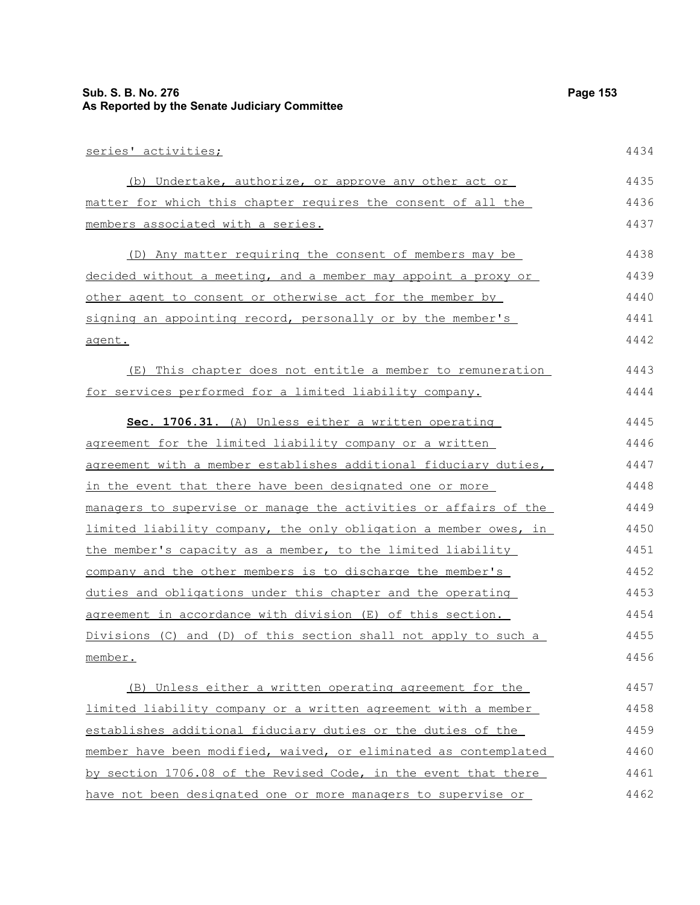#### **Sub. S. B. No. 276 Page 153 As Reported by the Senate Judiciary Committee**

series' activities; (b) Undertake, authorize, or approve any other act or matter for which this chapter requires the consent of all the members associated with a series. (D) Any matter requiring the consent of members may be decided without a meeting, and a member may appoint a proxy or other agent to consent or otherwise act for the member by signing an appointing record, personally or by the member's agent. (E) This chapter does not entitle a member to remuneration for services performed for a limited liability company. **Sec. 1706.31.** (A) Unless either a written operating agreement for the limited liability company or a written agreement with a member establishes additional fiduciary duties, in the event that there have been designated one or more managers to supervise or manage the activities or affairs of the limited liability company, the only obligation a member owes, in the member's capacity as a member, to the limited liability company and the other members is to discharge the member's duties and obligations under this chapter and the operating agreement in accordance with division (E) of this section. Divisions (C) and (D) of this section shall not apply to such a member. (B) Unless either a written operating agreement for the limited liability company or a written agreement with a member establishes additional fiduciary duties or the duties of the 4434 4435 4436 4437 4438 4439 4440 4441 4442 4443 4444 4445 4446 4447 4448 4449 4450 4451 4452 4453 4454 4455 4456 4457 4458 4459

member have been modified, waived, or eliminated as contemplated by section 1706.08 of the Revised Code, in the event that there have not been designated one or more managers to supervise or 4460 4461 4462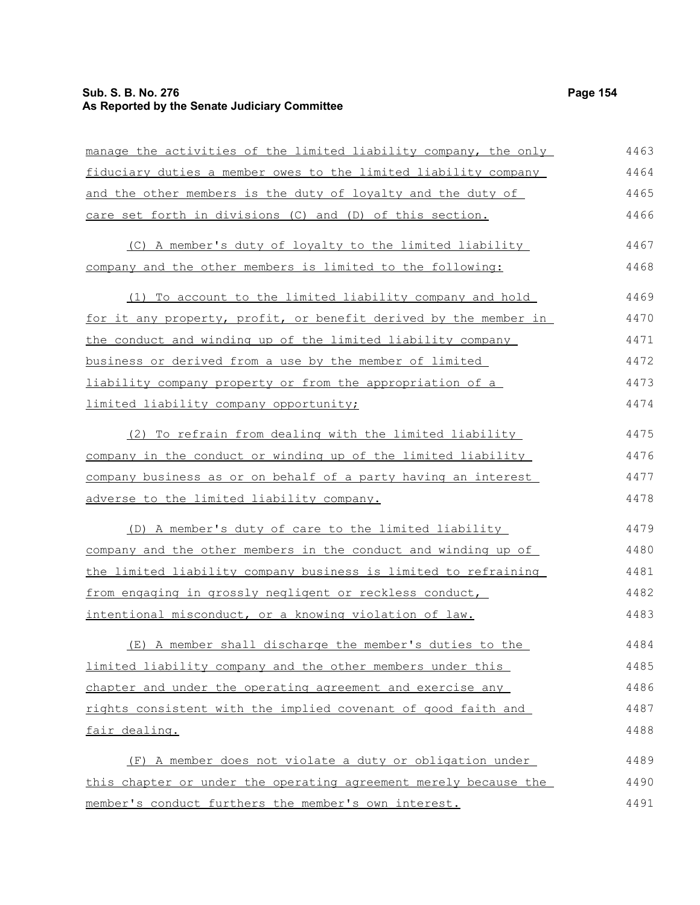## **Sub. S. B. No. 276 Page 154 As Reported by the Senate Judiciary Committee**

| manage the activities of the limited liability company, the only | 4463 |
|------------------------------------------------------------------|------|
| fiduciary duties a member owes to the limited liability company  | 4464 |
| and the other members is the duty of loyalty and the duty of     | 4465 |
| care set forth in divisions (C) and (D) of this section.         | 4466 |
| (C) A member's duty of loyalty to the limited liability          | 4467 |
| company and the other members is limited to the following:       | 4468 |
| (1) To account to the limited liability company and hold         | 4469 |
| for it any property, profit, or benefit derived by the member in | 4470 |
| the conduct and winding up of the limited liability company      | 4471 |
| business or derived from a use by the member of limited          | 4472 |
| liability company property or from the appropriation of a        | 4473 |
| limited liability company opportunity;                           | 4474 |
| (2) To refrain from dealing with the limited liability           | 4475 |
| company in the conduct or winding up of the limited liability    | 4476 |
| company business as or on behalf of a party having an interest   | 4477 |
| <u>adverse to the limited liability company.</u>                 | 4478 |
| (D) A member's duty of care to the limited liability             | 4479 |
| company and the other members in the conduct and winding up of   | 4480 |
| the limited liability company business is limited to refraining  | 4481 |
| from engaging in grossly negligent or reckless conduct,          | 4482 |
| intentional misconduct, or a knowing violation of law.           | 4483 |
| (E) A member shall discharge the member's duties to the          | 4484 |
| limited liability company and the other members under this       | 4485 |
| chapter and under the operating agreement and exercise any       | 4486 |
| rights consistent with the implied covenant of good faith and    | 4487 |
| fair dealing.                                                    | 4488 |
| (F) A member does not violate a duty or obligation under         | 4489 |
| this chapter or under the operating agreement merely because the | 4490 |
| member's conduct furthers the member's own interest.             | 4491 |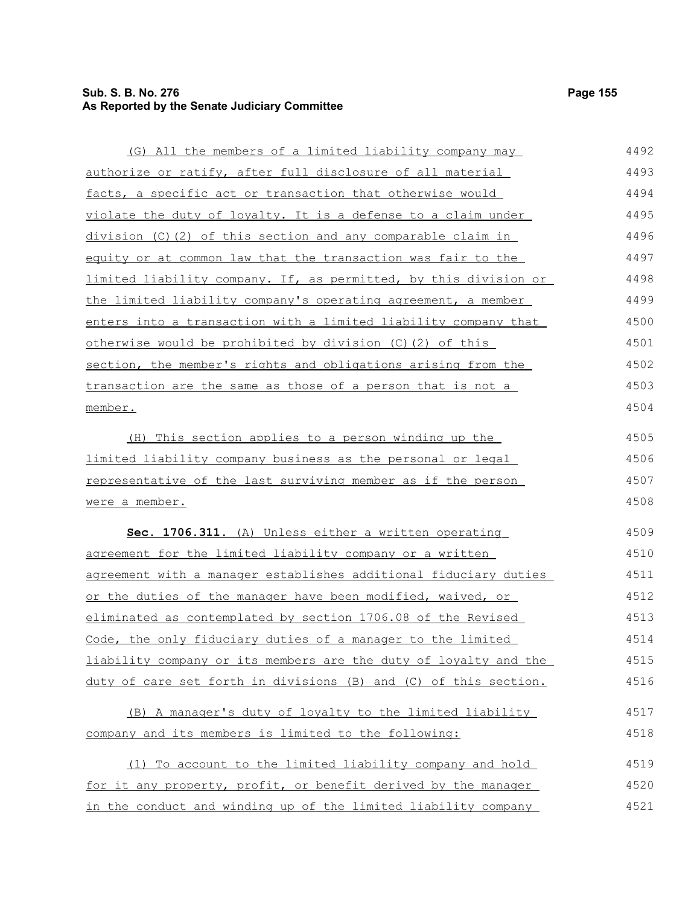## **Sub. S. B. No. 276 Page 155 As Reported by the Senate Judiciary Committee**

| (G) All the members of a limited liability company may           | 4492 |
|------------------------------------------------------------------|------|
| authorize or ratify, after full disclosure of all material       | 4493 |
| facts, a specific act or transaction that otherwise would        | 4494 |
| violate the duty of loyalty. It is a defense to a claim under    | 4495 |
| division (C)(2) of this section and any comparable claim in      | 4496 |
| equity or at common law that the transaction was fair to the     | 4497 |
| limited liability company. If, as permitted, by this division or | 4498 |
| the limited liability company's operating agreement, a member    | 4499 |
| enters into a transaction with a limited liability company that  | 4500 |
| otherwise would be prohibited by division (C)(2) of this         | 4501 |
| section, the member's rights and obligations arising from the    | 4502 |
| transaction are the same as those of a person that is not a      | 4503 |
| member.                                                          | 4504 |
| (H) This section applies to a person winding up the              | 4505 |
| limited liability company business as the personal or legal      | 4506 |
| representative of the last surviving member as if the person     | 4507 |
| were a member.                                                   | 4508 |
| Sec. 1706.311. (A) Unless either a written operating             | 4509 |
| agreement for the limited liability company or a written         | 4510 |
| agreement with a manager establishes additional fiduciary duties | 4511 |
| or the duties of the manager have been modified, waived, or      | 4512 |
| eliminated as contemplated by section 1706.08 of the Revised     | 4513 |
| Code, the only fiduciary duties of a manager to the limited      | 4514 |
| liability company or its members are the duty of loyalty and the | 4515 |
| duty of care set forth in divisions (B) and (C) of this section. | 4516 |
| (B) A manager's duty of loyalty to the limited liability         | 4517 |
| company and its members is limited to the following:             | 4518 |
| (1) To account to the limited liability company and hold         | 4519 |
| for it any property, profit, or benefit derived by the manager   | 4520 |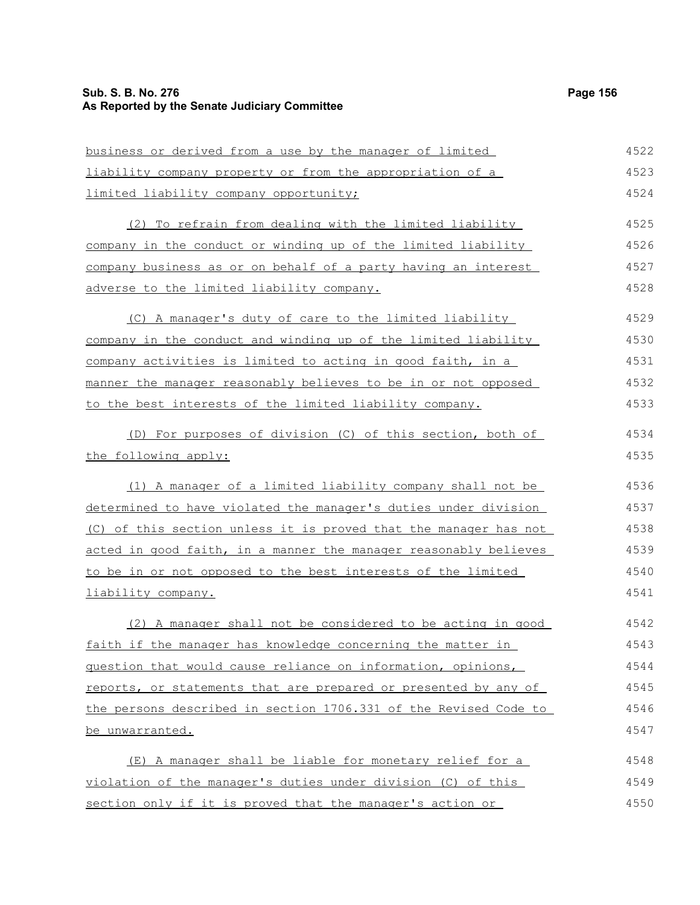## **Sub. S. B. No. 276 Page 156 As Reported by the Senate Judiciary Committee**

| business or derived from a use by the manager of limited         | 4522 |
|------------------------------------------------------------------|------|
| liability company property or from the appropriation of a        | 4523 |
| limited liability company opportunity;                           | 4524 |
| (2) To refrain from dealing with the limited liability           | 4525 |
| company in the conduct or winding up of the limited liability    | 4526 |
| company business as or on behalf of a party having an interest   | 4527 |
| adverse to the limited liability company.                        | 4528 |
| (C) A manager's duty of care to the limited liability            | 4529 |
| company in the conduct and winding up of the limited liability   | 4530 |
| company activities is limited to acting in good faith, in a      | 4531 |
| manner the manager reasonably believes to be in or not opposed   | 4532 |
| to the best interests of the limited liability company.          | 4533 |
| (D) For purposes of division (C) of this section, both of        | 4534 |
| the following apply:                                             | 4535 |
| (1) A manager of a limited liability company shall not be        | 4536 |
| determined to have violated the manager's duties under division  | 4537 |
| (C) of this section unless it is proved that the manager has not | 4538 |
| acted in good faith, in a manner the manager reasonably believes | 4539 |
| to be in or not opposed to the best interests of the limited     | 4540 |
| liability company.                                               | 4541 |
| (2) A manager shall not be considered to be acting in good       | 4542 |
| faith if the manager has knowledge concerning the matter in      | 4543 |
| question that would cause reliance on information, opinions,     | 4544 |
| reports, or statements that are prepared or presented by any of  | 4545 |
| the persons described in section 1706.331 of the Revised Code to | 4546 |
| be unwarranted.                                                  | 4547 |
| (E) A manager shall be liable for monetary relief for a          | 4548 |
| violation of the manager's duties under division (C) of this     | 4549 |
| section only if it is proved that the manager's action or        | 4550 |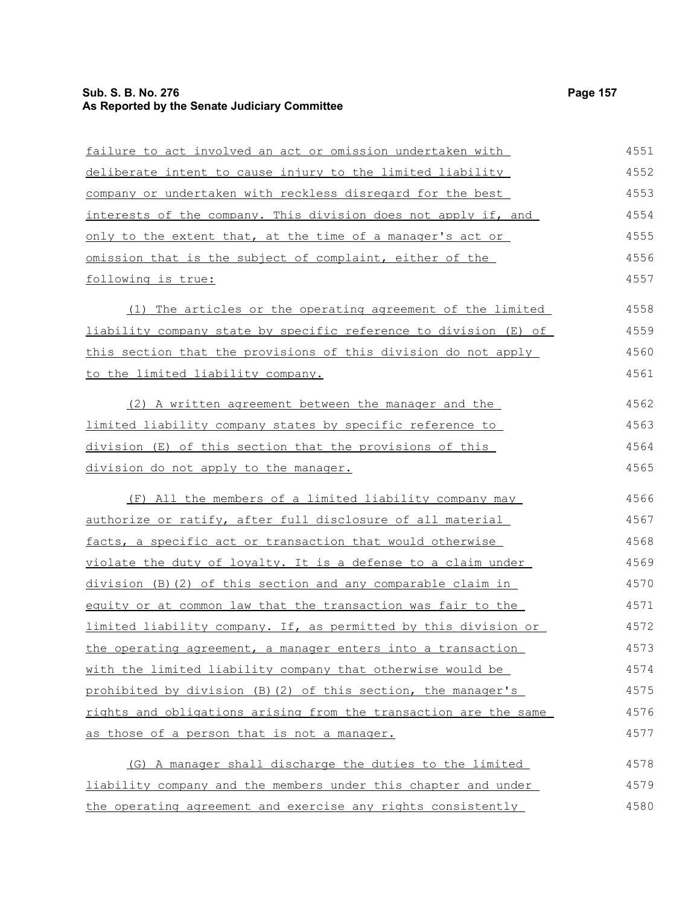## **Sub. S. B. No. 276 Page 157 As Reported by the Senate Judiciary Committee**

| failure to act involved an act or omission undertaken with              | 4551 |
|-------------------------------------------------------------------------|------|
| <u>deliberate intent to cause injury to the limited liability</u>       | 4552 |
| company or undertaken with reckless disregard for the best              | 4553 |
| <u>interests of the company. This division does not apply if, and</u>   | 4554 |
| only to the extent that, at the time of a manager's act or              | 4555 |
| <u>omission that is the subject of complaint, either of the </u>        | 4556 |
| following is true:                                                      | 4557 |
| (1) The articles or the operating agreement of the limited              | 4558 |
| liability company state by specific reference to division (E) of        | 4559 |
| this section that the provisions of this division do not apply          | 4560 |
| to the limited liability company.                                       | 4561 |
| (2) A written agreement between the manager and the                     | 4562 |
| limited liability company states by specific reference to               | 4563 |
| <u>division (E) of this section that the provisions of this </u>        | 4564 |
| division do not apply to the manager.                                   | 4565 |
| (F) All the members of a limited liability company may                  | 4566 |
| authorize or ratify, after full disclosure of all material              | 4567 |
| facts, a specific act or transaction that would otherwise               | 4568 |
| violate the duty of loyalty. It is a defense to a claim under           | 4569 |
| <u>division (B)(2) of this section and any comparable claim in </u>     | 4570 |
| equity or at common law that the transaction was fair to the            | 4571 |
| <u>limited liability company. If, as permitted by this division or </u> | 4572 |
| the operating agreement, a manager enters into a transaction            | 4573 |
| with the limited liability company that otherwise would be              | 4574 |
| prohibited by division (B) (2) of this section, the manager's           | 4575 |
| rights and obligations arising from the transaction are the same        | 4576 |
| as those of a person that is not a manager.                             | 4577 |
| (G) A manager shall discharge the duties to the limited                 | 4578 |
| liability company and the members under this chapter and under          | 4579 |
| the operating agreement and exercise any rights consistently            | 4580 |
|                                                                         |      |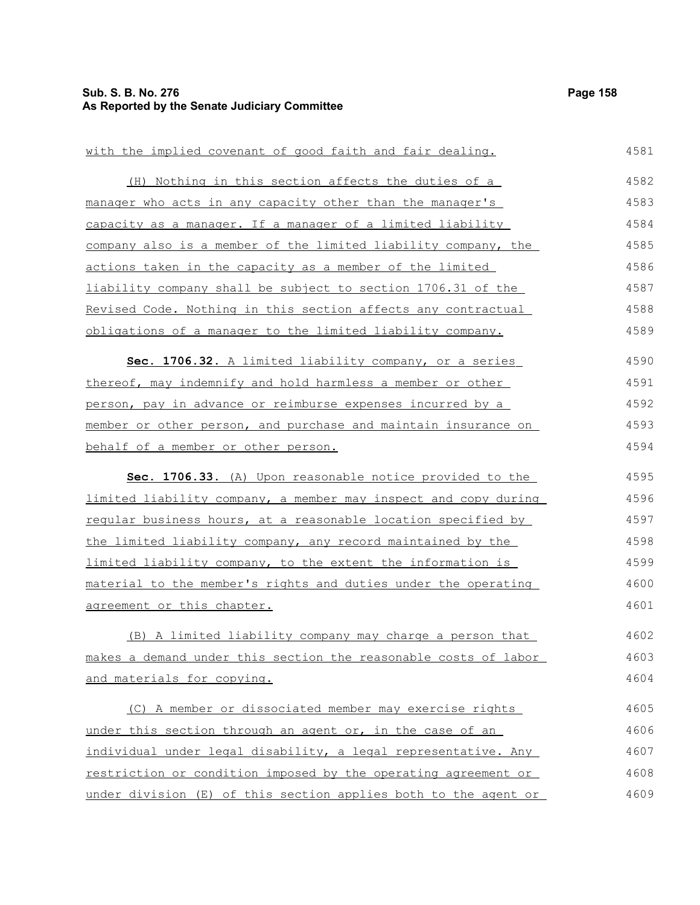## **Sub. S. B. No. 276 Page 158 As Reported by the Senate Judiciary Committee**

| with the implied covenant of good faith and fair dealing.       | 4581 |
|-----------------------------------------------------------------|------|
| (H) Nothing in this section affects the duties of a             | 4582 |
| manager who acts in any capacity other than the manager's       | 4583 |
| capacity as a manager. If a manager of a limited liability      | 4584 |
| company also is a member of the limited liability company, the  | 4585 |
| actions taken in the capacity as a member of the limited        | 4586 |
| liability company shall be subject to section 1706.31 of the    | 4587 |
| Revised Code. Nothing in this section affects any contractual   | 4588 |
| obligations of a manager to the limited liability company.      | 4589 |
| Sec. 1706.32. A limited liability company, or a series          | 4590 |
| thereof, may indemnify and hold harmless a member or other      | 4591 |
| person, pay in advance or reimburse expenses incurred by a      | 4592 |
| member or other person, and purchase and maintain insurance on  | 4593 |
| behalf of a member or other person.                             | 4594 |
| Sec. 1706.33. (A) Upon reasonable notice provided to the        | 4595 |
| limited liability company, a member may inspect and copy during | 4596 |
| regular business hours, at a reasonable location specified by   | 4597 |
| the limited liability company, any record maintained by the     | 4598 |
| limited liability company, to the extent the information is     | 4599 |
| material to the member's rights and duties under the operating  | 4600 |
| agreement or this chapter.                                      | 4601 |
| (B) A limited liability company may charge a person that        | 4602 |
| makes a demand under this section the reasonable costs of labor | 4603 |
| and materials for copying.                                      | 4604 |
| (C) A member or dissociated member may exercise rights          | 4605 |
| under this section through an agent or, in the case of an       | 4606 |
| individual under legal disability, a legal representative. Any  | 4607 |
| restriction or condition imposed by the operating agreement or  | 4608 |
| under division (E) of this section applies both to the agent or | 4609 |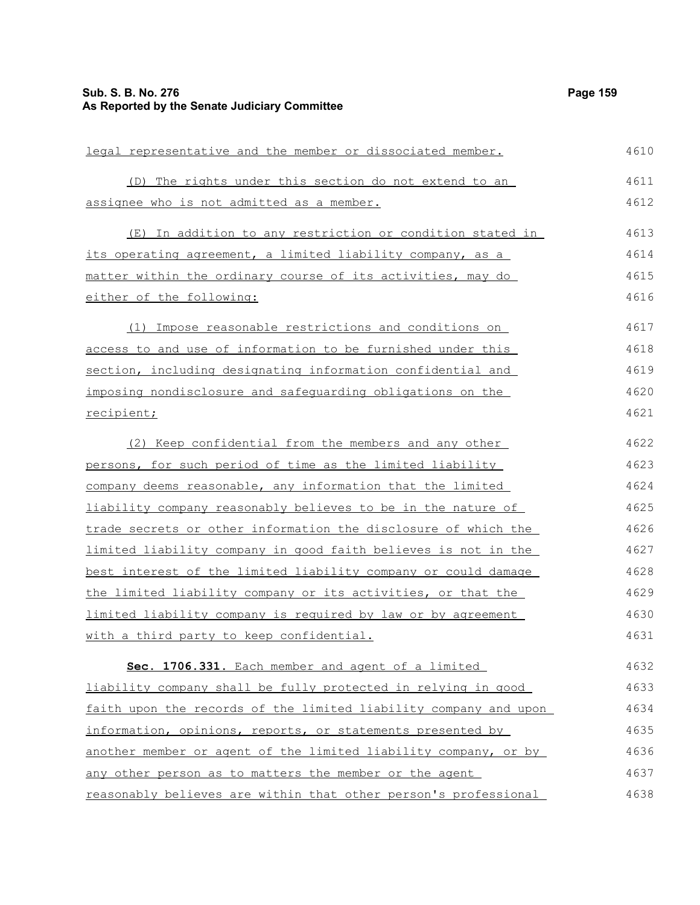#### **Sub. S. B. No. 276 Page 159 As Reported by the Senate Judiciary Committee**

legal representative and the member or dissociated member. (D) The rights under this section do not extend to an assignee who is not admitted as a member. (E) In addition to any restriction or condition stated in its operating agreement, a limited liability company, as a matter within the ordinary course of its activities, may do either of the following: (1) Impose reasonable restrictions and conditions on access to and use of information to be furnished under this section, including designating information confidential and imposing nondisclosure and safeguarding obligations on the recipient; (2) Keep confidential from the members and any other persons, for such period of time as the limited liability company deems reasonable, any information that the limited liability company reasonably believes to be in the nature of trade secrets or other information the disclosure of which the limited liability company in good faith believes is not in the best interest of the limited liability company or could damage the limited liability company or its activities, or that the limited liability company is required by law or by agreement with a third party to keep confidential. **Sec. 1706.331.** Each member and agent of a limited liability company shall be fully protected in relying in good faith upon the records of the limited liability company and upon information, opinions, reports, or statements presented by another member or agent of the limited liability company, or by any other person as to matters the member or the agent 4610 4611 4612 4613 4614 4615 4616 4617 4618 4619 4620 4621 4622 4623 4624 4625 4626 4627 4628 4629 4630 4631 4632 4633 4634 4635 4636 4637

reasonably believes are within that other person's professional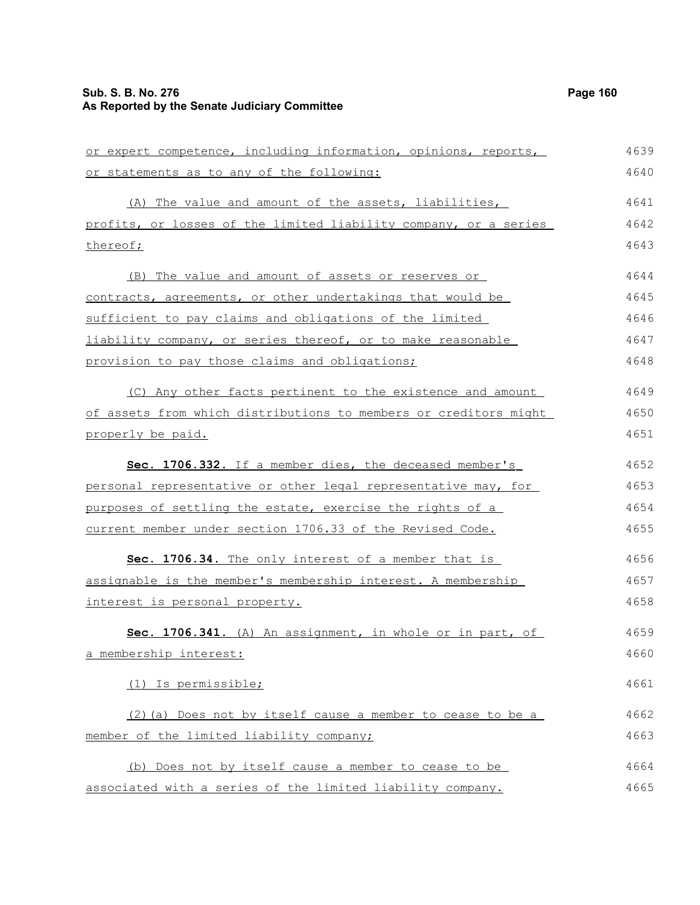#### **Sub. S. B. No. 276 Page 160 As Reported by the Senate Judiciary Committee**

or expert competence, including information, opinions, reports, or statements as to any of the following: (A) The value and amount of the assets, liabilities, profits, or losses of the limited liability company, or a series thereof; (B) The value and amount of assets or reserves or contracts, agreements, or other undertakings that would be sufficient to pay claims and obligations of the limited liability company, or series thereof, or to make reasonable provision to pay those claims and obligations; (C) Any other facts pertinent to the existence and amount of assets from which distributions to members or creditors might properly be paid. **Sec. 1706.332.** If a member dies, the deceased member's personal representative or other legal representative may, for purposes of settling the estate, exercise the rights of a current member under section 1706.33 of the Revised Code. **Sec. 1706.34.** The only interest of a member that is assignable is the member's membership interest. A membership interest is personal property. **Sec. 1706.341.** (A) An assignment, in whole or in part, of a membership interest: (1) Is permissible; (2)(a) Does not by itself cause a member to cease to be a member of the limited liability company; (b) Does not by itself cause a member to cease to be associated with a series of the limited liability company. 4639 4640 4641 4642 4643 4644 4645 4646 4647 4648 4649 4650 4651 4652 4653 4654 4655 4656 4657 4658 4659 4660 4661 4662 4663 4664 4665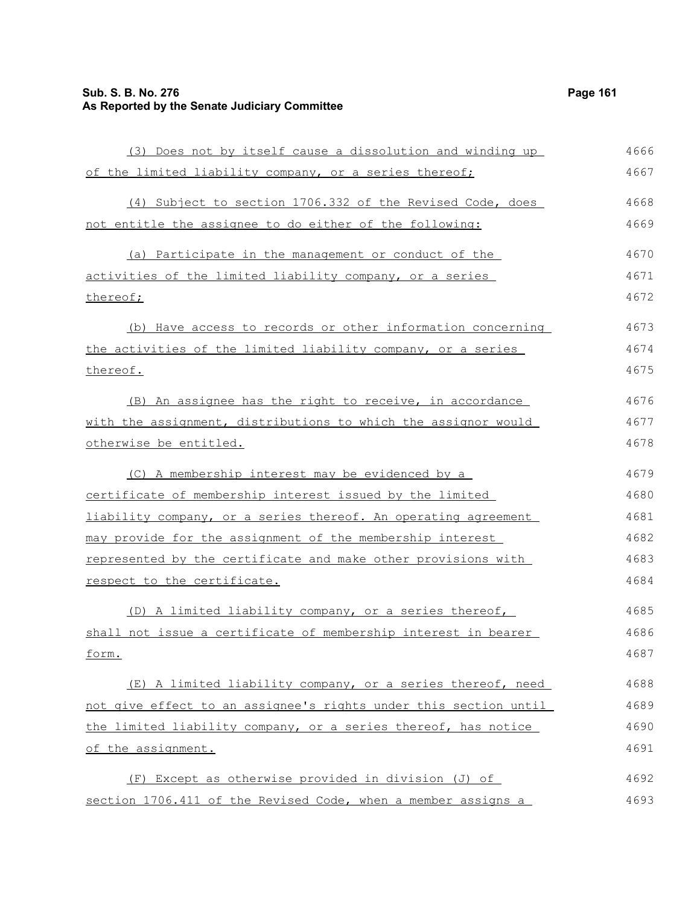## **Sub. S. B. No. 276 Page 161 As Reported by the Senate Judiciary Committee**

| (3) Does not by itself cause a dissolution and winding up        | 4666 |
|------------------------------------------------------------------|------|
| of the limited liability company, or a series thereof;           | 4667 |
| (4) Subject to section 1706.332 of the Revised Code, does        | 4668 |
| not entitle the assignee to do either of the following:          | 4669 |
| (a) Participate in the management or conduct of the              | 4670 |
| activities of the limited liability company, or a series         | 4671 |
| thereof;                                                         | 4672 |
| (b) Have access to records or other information concerning       | 4673 |
| the activities of the limited liability company, or a series     | 4674 |
| thereof.                                                         | 4675 |
| (B) An assignee has the right to receive, in accordance          | 4676 |
| with the assignment, distributions to which the assignor would   | 4677 |
| otherwise be entitled.                                           | 4678 |
| (C) A membership interest may be evidenced by a                  | 4679 |
| certificate of membership interest issued by the limited         | 4680 |
| liability company, or a series thereof. An operating agreement   | 4681 |
| may provide for the assignment of the membership interest        | 4682 |
| represented by the certificate and make other provisions with    | 4683 |
| respect to the certificate.                                      | 4684 |
| (D) A limited liability company, or a series thereof,            | 4685 |
| shall not issue a certificate of membership interest in bearer   | 4686 |
| form.                                                            | 4687 |
| (E) A limited liability company, or a series thereof, need       | 4688 |
| not give effect to an assignee's rights under this section until | 4689 |
| the limited liability company, or a series thereof, has notice   | 4690 |
| of the assignment.                                               | 4691 |
| (F) Except as otherwise provided in division (J) of              | 4692 |
| section 1706.411 of the Revised Code, when a member assigns a    | 4693 |
|                                                                  |      |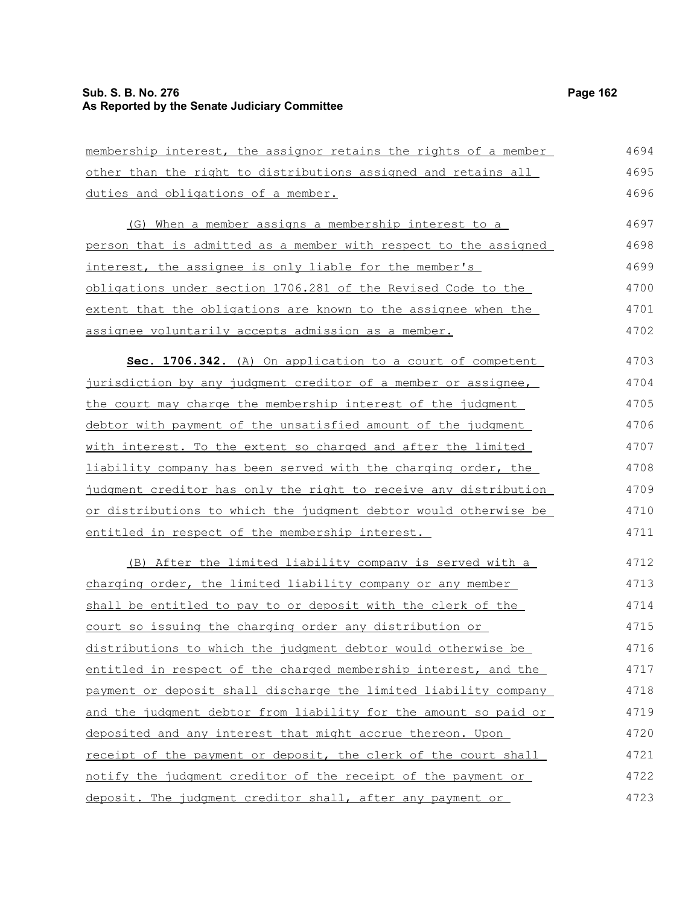#### **Sub. S. B. No. 276 Page 162 As Reported by the Senate Judiciary Committee**

duties and obligations of a member.

membership interest, the assignor retains the rights of a member other than the right to distributions assigned and retains all

(G) When a member assigns a membership interest to a person that is admitted as a member with respect to the assigned interest, the assignee is only liable for the member's obligations under section 1706.281 of the Revised Code to the extent that the obligations are known to the assignee when the assignee voluntarily accepts admission as a member. 4697 4698 4699 4700 4701 4702

 **Sec. 1706.342.** (A) On application to a court of competent jurisdiction by any judgment creditor of a member or assignee, the court may charge the membership interest of the judgment debtor with payment of the unsatisfied amount of the judgment with interest. To the extent so charged and after the limited liability company has been served with the charging order, the judgment creditor has only the right to receive any distribution or distributions to which the judgment debtor would otherwise be entitled in respect of the membership interest. 4703 4704 4705 4706 4707 4708 4709 4710 4711

(B) After the limited liability company is served with a charging order, the limited liability company or any member shall be entitled to pay to or deposit with the clerk of the court so issuing the charging order any distribution or distributions to which the judgment debtor would otherwise be entitled in respect of the charged membership interest, and the payment or deposit shall discharge the limited liability company and the judgment debtor from liability for the amount so paid or deposited and any interest that might accrue thereon. Upon receipt of the payment or deposit, the clerk of the court shall notify the judgment creditor of the receipt of the payment or deposit. The judgment creditor shall, after any payment or 4712 4713 4714 4715 4716 4717 4718 4719 4720 4721 4722 4723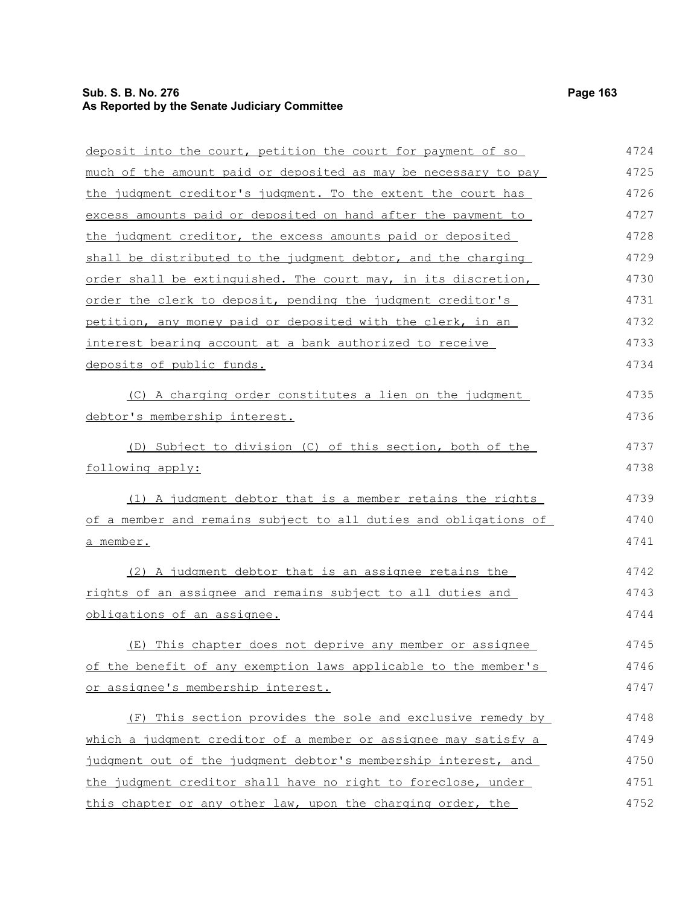#### **Sub. S. B. No. 276 Page 163 As Reported by the Senate Judiciary Committee**

deposit into the court, petition the court for payment of so much of the amount paid or deposited as may be necessary to pay the judgment creditor's judgment. To the extent the court has

excess amounts paid or deposited on hand after the payment to the judgment creditor, the excess amounts paid or deposited shall be distributed to the judgment debtor, and the charging order shall be extinguished. The court may, in its discretion, order the clerk to deposit, pending the judgment creditor's petition, any money paid or deposited with the clerk, in an interest bearing account at a bank authorized to receive deposits of public funds. (C) A charging order constitutes a lien on the judgment debtor's membership interest. (D) Subject to division (C) of this section, both of the following apply: (1) A judgment debtor that is a member retains the rights of a member and remains subject to all duties and obligations of a member. (2) A judgment debtor that is an assignee retains the rights of an assignee and remains subject to all duties and obligations of an assignee. 4727 4728 4729 4730 4731 4732 4733 4734 4735 4736 4737 4738 4739 4740 4741 4742 4743 4744

(E) This chapter does not deprive any member or assignee of the benefit of any exemption laws applicable to the member's or assignee's membership interest. 4745 4746 4747

(F) This section provides the sole and exclusive remedy by which a judgment creditor of a member or assignee may satisfy a judgment out of the judgment debtor's membership interest, and the judgment creditor shall have no right to foreclose, under this chapter or any other law, upon the charging order, the 4748 4749 4750 4751 4752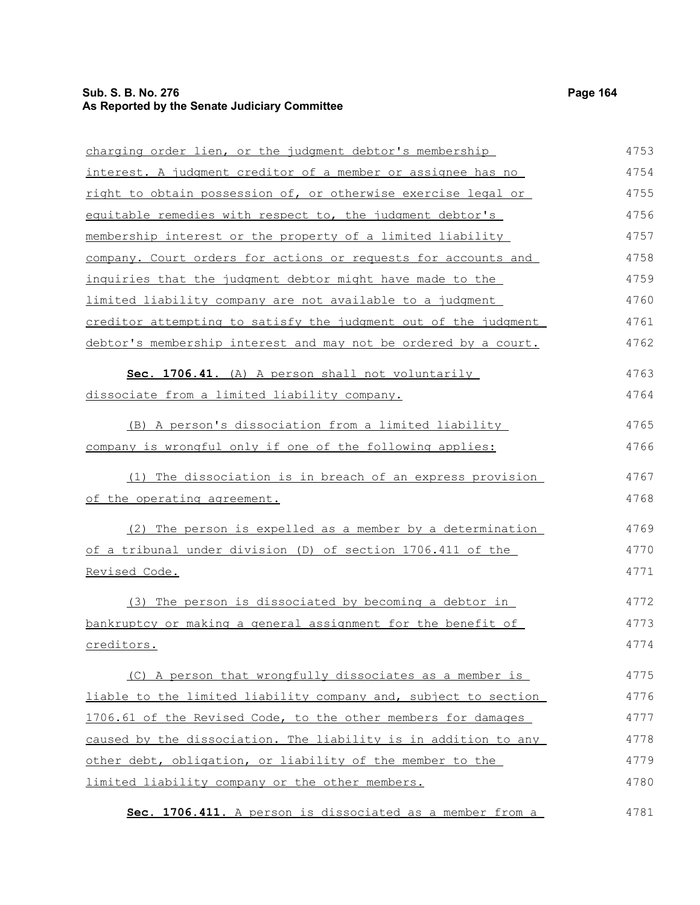## **Sub. S. B. No. 276 Page 164 As Reported by the Senate Judiciary Committee**

| charging order lien, or the judgment debtor's membership        | 4753 |
|-----------------------------------------------------------------|------|
| interest. A judgment creditor of a member or assignee has no    | 4754 |
| right to obtain possession of, or otherwise exercise legal or   | 4755 |
| equitable remedies with respect to, the judgment debtor's       | 4756 |
| membership interest or the property of a limited liability      | 4757 |
| company. Court orders for actions or requests for accounts and  | 4758 |
| inquiries that the judgment debtor might have made to the       | 4759 |
| limited liability company are not available to a judgment       | 4760 |
| creditor attempting to satisfy the judgment out of the judgment | 4761 |
| debtor's membership interest and may not be ordered by a court. | 4762 |
| Sec. 1706.41. (A) A person shall not voluntarily                | 4763 |
| dissociate from a limited liability company.                    | 4764 |
| (B) A person's dissociation from a limited liability            | 4765 |
| company is wrongful only if one of the following applies:       | 4766 |
| (1) The dissociation is in breach of an express provision       | 4767 |
| of the operating agreement.                                     | 4768 |
| (2) The person is expelled as a member by a determination       | 4769 |
| of a tribunal under division (D) of section 1706.411 of the     | 4770 |
| Revised Code.                                                   | 4771 |
| (3) The person is dissociated by becoming a debtor in           | 4772 |
| bankruptcy or making a general assignment for the benefit of    | 4773 |
| creditors.                                                      | 4774 |
| (C) A person that wrongfully dissociates as a member is         | 4775 |
| liable to the limited liability company and, subject to section | 4776 |
| 1706.61 of the Revised Code, to the other members for damages   | 4777 |
| caused by the dissociation. The liability is in addition to any | 4778 |
| other debt, obligation, or liability of the member to the       | 4779 |
| limited liability company or the other members.                 | 4780 |
|                                                                 |      |

 **Sec. 1706.411.** A person is dissociated as a member from a 4781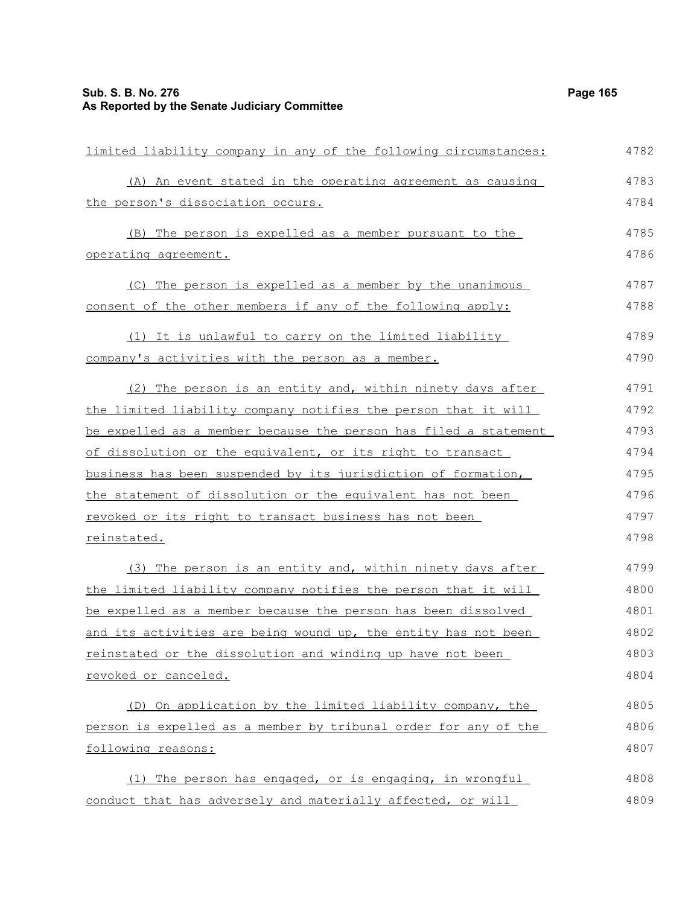limited liability company in any of the following circumstances:

(A) An event stated in the operating agreement as causing the person's dissociation occurs. (B) The person is expelled as a member pursuant to the operating agreement. (C) The person is expelled as a member by the unanimous consent of the other members if any of the following apply: (1) It is unlawful to carry on the limited liability company's activities with the person as a member. (2) The person is an entity and, within ninety days after the limited liability company notifies the person that it will be expelled as a member because the person has filed a statement of dissolution or the equivalent, or its right to transact business has been suspended by its jurisdiction of formation, the statement of dissolution or the equivalent has not been revoked or its right to transact business has not been reinstated. (3) The person is an entity and, within ninety days after the limited liability company notifies the person that it will be expelled as a member because the person has been dissolved and its activities are being wound up, the entity has not been reinstated or the dissolution and winding up have not been revoked or canceled. (D) On application by the limited liability company, the person is expelled as a member by tribunal order for any of the following reasons: (1) The person has engaged, or is engaging, in wrongful 4783 4784 4785 4786 4787 4788 4789 4790 4791 4792 4793 4794 4795 4796 4797 4798 4799 4800 4801 4802 4803 4804 4805 4806 4807 4808

conduct that has adversely and materially affected, or will 4809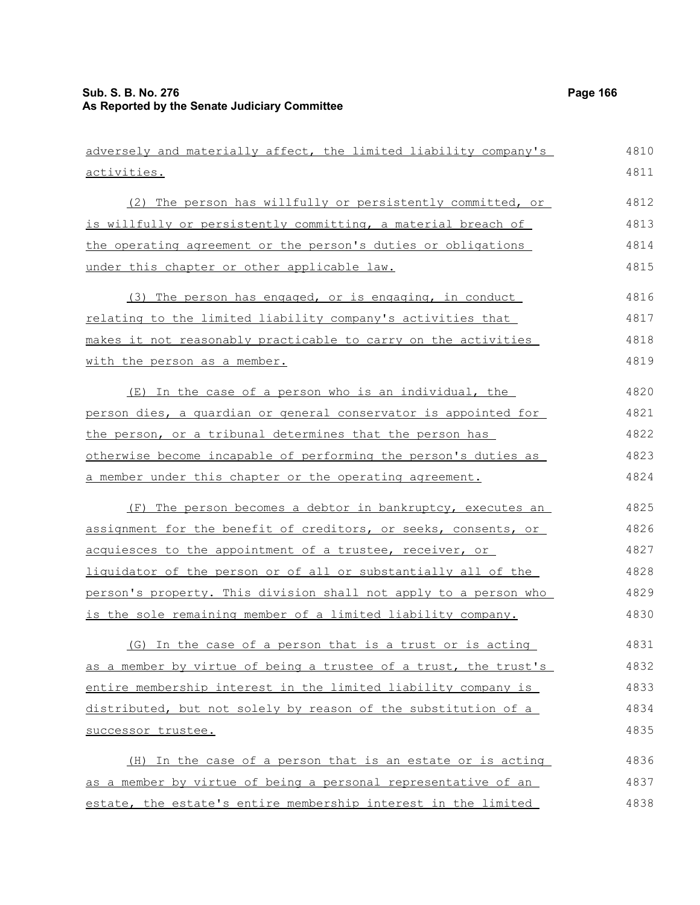| adversely and materially affect, the limited liability company's | 4810 |
|------------------------------------------------------------------|------|
| activities.                                                      | 4811 |
| (2) The person has willfully or persistently committed, or       | 4812 |
| is willfully or persistently committing, a material breach of    | 4813 |
| the operating agreement or the person's duties or obligations    | 4814 |
| under this chapter or other applicable law.                      | 4815 |
| (3) The person has engaged, or is engaging, in conduct           | 4816 |
| relating to the limited liability company's activities that      | 4817 |
| makes it not reasonably practicable to carry on the activities   | 4818 |
| with the person as a member.                                     | 4819 |
| (E) In the case of a person who is an individual, the            | 4820 |
| person dies, a quardian or general conservator is appointed for  | 4821 |
| the person, or a tribunal determines that the person has         | 4822 |
| otherwise become incapable of performing the person's duties as  | 4823 |
| a member under this chapter or the operating agreement.          | 4824 |
| (F) The person becomes a debtor in bankruptcy, executes an       | 4825 |
| assignment for the benefit of creditors, or seeks, consents, or  | 4826 |
| acquiesces to the appointment of a trustee, receiver, or         | 4827 |
| liquidator of the person or of all or substantially all of the   | 4828 |
| person's property. This division shall not apply to a person who | 4829 |
| is the sole remaining member of a limited liability company.     | 4830 |
| (G) In the case of a person that is a trust or is acting         | 4831 |
| as a member by virtue of being a trustee of a trust, the trust's | 4832 |
| entire membership interest in the limited liability company is   | 4833 |
| distributed, but not solely by reason of the substitution of a   | 4834 |
| successor trustee.                                               | 4835 |
| (H) In the case of a person that is an estate or is acting       | 4836 |
| as a member by virtue of being a personal representative of an   | 4837 |
| estate, the estate's entire membership interest in the limited   | 4838 |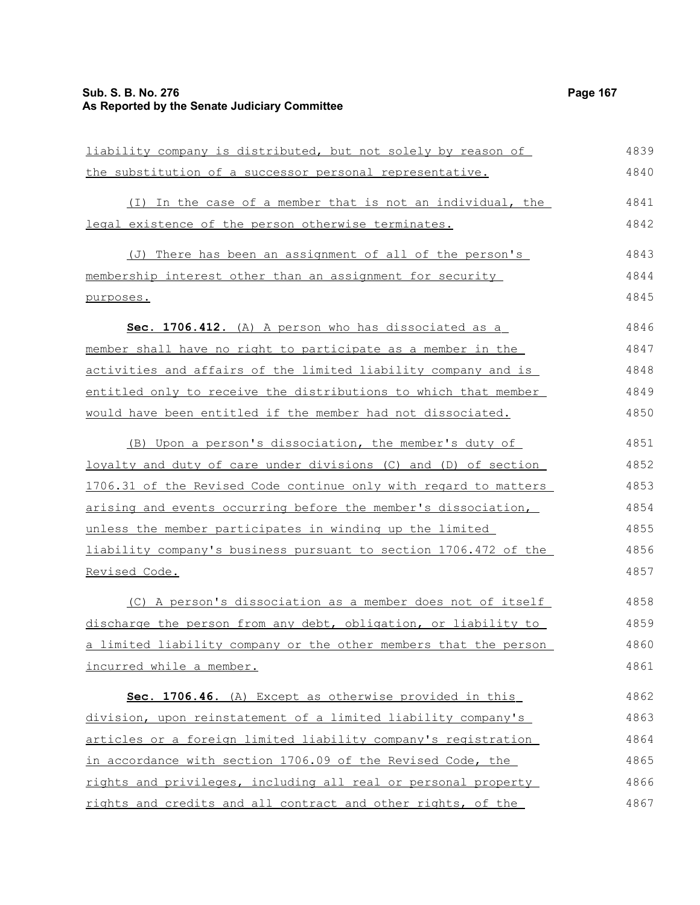## **Sub. S. B. No. 276 Page 167 As Reported by the Senate Judiciary Committee**

| liability company is distributed, but not solely by reason of    | 4839 |
|------------------------------------------------------------------|------|
| the substitution of a successor personal representative.         | 4840 |
| (I) In the case of a member that is not an individual, the       | 4841 |
| legal existence of the person otherwise terminates.              | 4842 |
| (J) There has been an assignment of all of the person's          | 4843 |
| membership interest other than an assignment for security        | 4844 |
| purposes.                                                        | 4845 |
| Sec. 1706.412. (A) A person who has dissociated as a             | 4846 |
| member shall have no right to participate as a member in the     | 4847 |
| activities and affairs of the limited liability company and is   | 4848 |
| entitled only to receive the distributions to which that member  | 4849 |
| would have been entitled if the member had not dissociated.      | 4850 |
| (B) Upon a person's dissociation, the member's duty of           | 4851 |
| loyalty and duty of care under divisions (C) and (D) of section  | 4852 |
| 1706.31 of the Revised Code continue only with regard to matters | 4853 |
| arising and events occurring before the member's dissociation,   | 4854 |
| unless the member participates in winding up the limited         | 4855 |
| liability company's business pursuant to section 1706.472 of the | 4856 |
| Revised Code.                                                    | 4857 |
| (C) A person's dissociation as a member does not of itself       | 4858 |
| discharge the person from any debt, obligation, or liability to  | 4859 |
| a limited liability company or the other members that the person | 4860 |
| incurred while a member.                                         | 4861 |
| Sec. 1706.46. (A) Except as otherwise provided in this           | 4862 |
| division, upon reinstatement of a limited liability company's    | 4863 |
| articles or a foreign limited liability company's registration   | 4864 |
| in accordance with section 1706.09 of the Revised Code, the      | 4865 |
| rights and privileges, including all real or personal property   | 4866 |
| rights and credits and all contract and other rights, of the     | 4867 |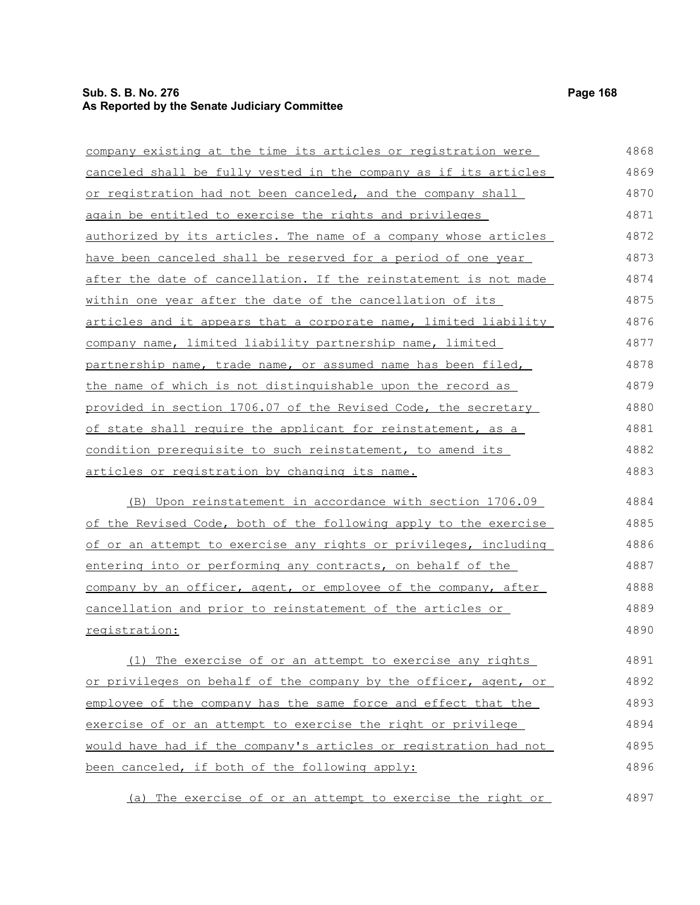## **Sub. S. B. No. 276 Page 168 As Reported by the Senate Judiciary Committee**

| company existing at the time its articles or registration were       | 4868 |
|----------------------------------------------------------------------|------|
| canceled shall be fully vested in the company as if its articles     | 4869 |
| or registration had not been canceled, and the company shall         | 4870 |
| <u>again be entitled to exercise the rights and privileges</u>       | 4871 |
| authorized by its articles. The name of a company whose articles     | 4872 |
| <u>have been canceled shall be reserved for a period of one year</u> | 4873 |
| after the date of cancellation. If the reinstatement is not made     | 4874 |
| within one year after the date of the cancellation of its            | 4875 |
| articles and it appears that a corporate name, limited liability     | 4876 |
| company name, limited liability partnership name, limited            | 4877 |
| partnership name, trade name, or assumed name has been filed,        | 4878 |
| the name of which is not distinguishable upon the record as          | 4879 |
| provided in section 1706.07 of the Revised Code, the secretary       | 4880 |
| of state shall require the applicant for reinstatement, as a         | 4881 |
| <u>condition prerequisite to such reinstatement, to amend its</u>    | 4882 |
| articles or registration by changing its name.                       | 4883 |
| (B) Upon reinstatement in accordance with section 1706.09            | 4884 |
| of the Revised Code, both of the following apply to the exercise     | 4885 |
| of or an attempt to exercise any rights or privileges, including     | 4886 |
| entering into or performing any contracts, on behalf of the          | 4887 |
| company by an officer, agent, or employee of the company, after      | 4888 |
| cancellation and prior to reinstatement of the articles or           | 4889 |
| <u>registration:</u>                                                 | 4890 |
| (1) The exercise of or an attempt to exercise any rights             | 4891 |
| or privileges on behalf of the company by the officer, agent, or     | 4892 |
| employee of the company has the same force and effect that the       | 4893 |
| exercise of or an attempt to exercise the right or privilege         | 4894 |
| would have had if the company's articles or registration had not     | 4895 |
| been canceled, if both of the following apply:                       | 4896 |
| (a) The exercise of or an attempt to exercise the right or           | 4897 |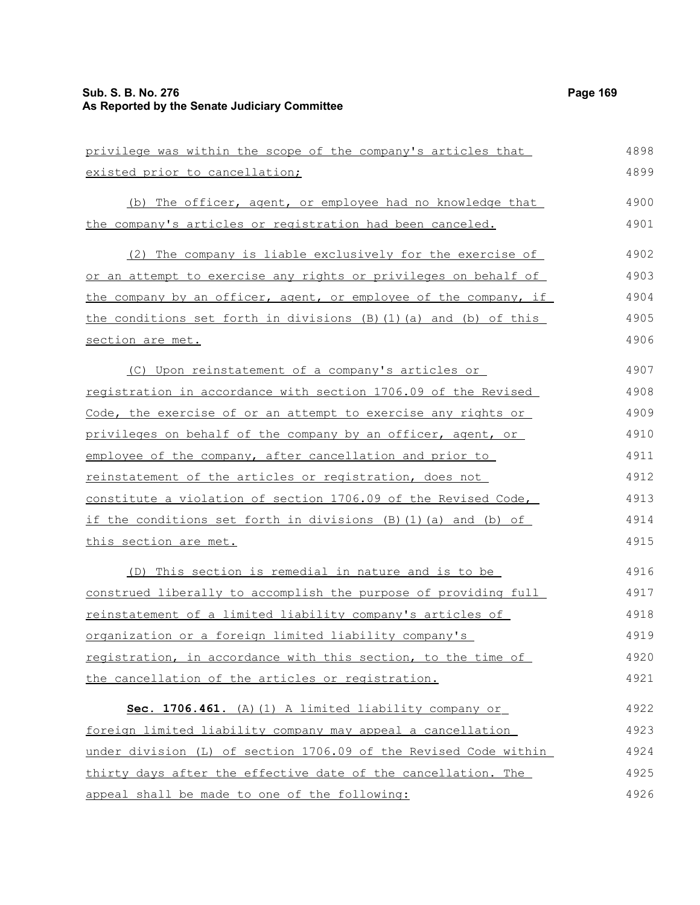| privilege was within the scope of the company's articles that     | 4898 |
|-------------------------------------------------------------------|------|
| existed prior to cancellation;                                    | 4899 |
| (b) The officer, agent, or employee had no knowledge that         | 4900 |
| the company's articles or registration had been canceled.         | 4901 |
| The company is liable exclusively for the exercise of<br>(2)      | 4902 |
| or an attempt to exercise any rights or privileges on behalf of   | 4903 |
| the company by an officer, agent, or employee of the company, if  | 4904 |
| the conditions set forth in divisions (B) (1) (a) and (b) of this | 4905 |
| section are met.                                                  | 4906 |
| (C) Upon reinstatement of a company's articles or                 | 4907 |
| registration in accordance with section 1706.09 of the Revised    | 4908 |
| Code, the exercise of or an attempt to exercise any rights or     | 4909 |
| privileges on behalf of the company by an officer, agent, or      | 4910 |
| employee of the company, after cancellation and prior to          | 4911 |
| reinstatement of the articles or registration, does not           | 4912 |
| constitute a violation of section 1706.09 of the Revised Code,    | 4913 |
| if the conditions set forth in divisions (B)(1)(a) and (b) of     | 4914 |
| this section are met.                                             | 4915 |
| (D) This section is remedial in nature and is to be               | 4916 |
| construed liberally to accomplish the purpose of providing full   | 4917 |
| reinstatement of a limited liability company's articles of        | 4918 |
| organization or a foreign limited liability company's             | 4919 |
| registration, in accordance with this section, to the time of     | 4920 |
| the cancellation of the articles or registration.                 | 4921 |
| Sec. 1706.461. (A) (1) A limited liability company or             | 4922 |
| foreign limited liability company may appeal a cancellation       | 4923 |
| under division (L) of section 1706.09 of the Revised Code within  | 4924 |
| thirty days after the effective date of the cancellation. The     | 4925 |
| appeal shall be made to one of the following:                     | 4926 |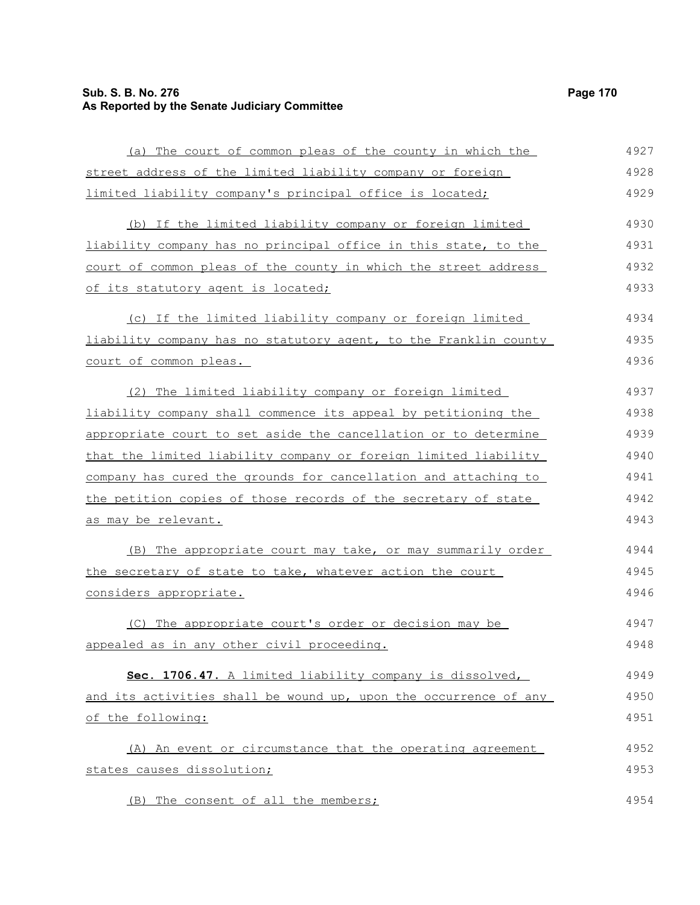## **Sub. S. B. No. 276 Page 170 As Reported by the Senate Judiciary Committee**

| (a) The court of common pleas of the county in which the         | 4927 |
|------------------------------------------------------------------|------|
| street address of the limited liability company or foreign       | 4928 |
| limited liability company's principal office is located;         | 4929 |
| (b) If the limited liability company or foreign limited          | 4930 |
| liability company has no principal office in this state, to the  | 4931 |
| court of common pleas of the county in which the street address  | 4932 |
| <u>of its statutory agent is located;</u>                        | 4933 |
| (c) If the limited liability company or foreign limited          | 4934 |
| liability company has no statutory agent, to the Franklin county | 4935 |
| court of common pleas.                                           | 4936 |
| (2) The limited liability company or foreign limited             | 4937 |
| liability company shall commence its appeal by petitioning the   | 4938 |
| appropriate court to set aside the cancellation or to determine  | 4939 |
| that the limited liability company or foreign limited liability  | 4940 |
| company has cured the grounds for cancellation and attaching to  | 4941 |
| the petition copies of those records of the secretary of state   | 4942 |
| as may be relevant.                                              | 4943 |
| (B) The appropriate court may take, or may summarily order       | 4944 |
| the secretary of state to take, whatever action the court        | 4945 |
| considers appropriate.                                           | 4946 |
| (C) The appropriate court's order or decision may be             | 4947 |
| appealed as in any other civil proceeding.                       | 4948 |
| Sec. 1706.47. A limited liability company is dissolved,          | 4949 |
| and its activities shall be wound up, upon the occurrence of any | 4950 |
| of the following:                                                | 4951 |
| (A) An event or circumstance that the operating agreement        | 4952 |
| states causes dissolution;                                       | 4953 |
| (B) The consent of all the members;                              | 4954 |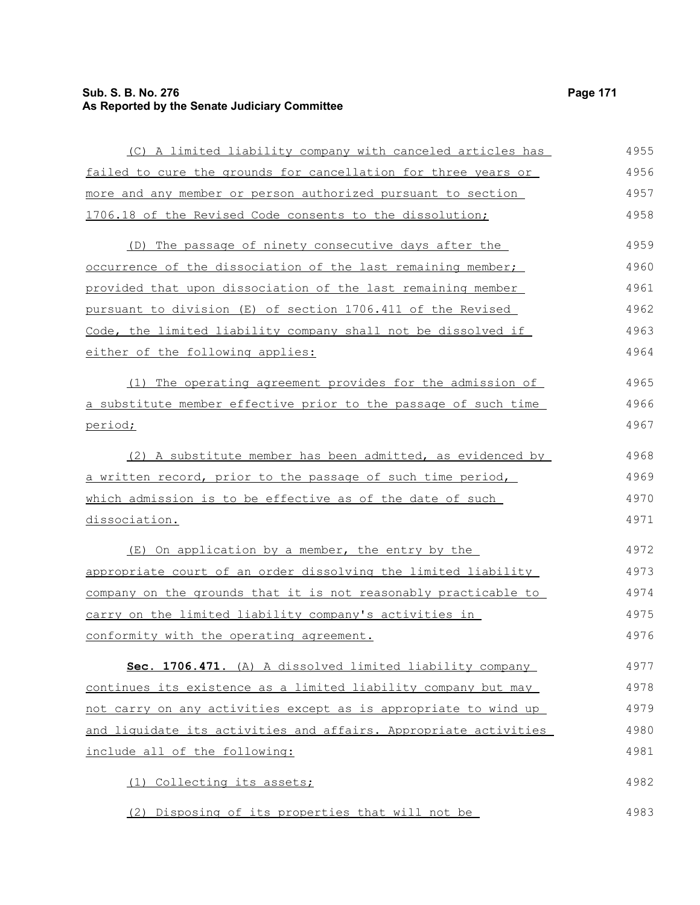## **Sub. S. B. No. 276 Page 171 As Reported by the Senate Judiciary Committee**

| (C) A limited liability company with canceled articles has       | 4955 |
|------------------------------------------------------------------|------|
| failed to cure the grounds for cancellation for three years or   | 4956 |
| more and any member or person authorized pursuant to section     | 4957 |
| 1706.18 of the Revised Code consents to the dissolution;         | 4958 |
| (D) The passage of ninety consecutive days after the             | 4959 |
| occurrence of the dissociation of the last remaining member;     | 4960 |
| provided that upon dissociation of the last remaining member     | 4961 |
| pursuant to division (E) of section 1706.411 of the Revised      | 4962 |
| Code, the limited liability company shall not be dissolved if    | 4963 |
| either of the following applies:                                 | 4964 |
| The operating agreement provides for the admission of<br>(1)     | 4965 |
| a substitute member effective prior to the passage of such time  | 4966 |
| period;                                                          | 4967 |
| (2) A substitute member has been admitted, as evidenced by       | 4968 |
| a written record, prior to the passage of such time period,      | 4969 |
| which admission is to be effective as of the date of such        | 4970 |
| dissociation.                                                    | 4971 |
| (E) On application by a member, the entry by the                 | 4972 |
| appropriate court of an order dissolving the limited liability   | 4973 |
| company on the grounds that it is not reasonably practicable to  | 4974 |
| carry on the limited liability company's activities in           | 4975 |
| conformity with the operating agreement.                         | 4976 |
| Sec. 1706.471. (A) A dissolved limited liability company         | 4977 |
| continues its existence as a limited liability company but may   | 4978 |
| not carry on any activities except as is appropriate to wind up  | 4979 |
| and liquidate its activities and affairs. Appropriate activities | 4980 |
| include all of the following:                                    | 4981 |
| (1) Collecting its assets;                                       | 4982 |
| (2) Disposing of its properties that will not be                 | 4983 |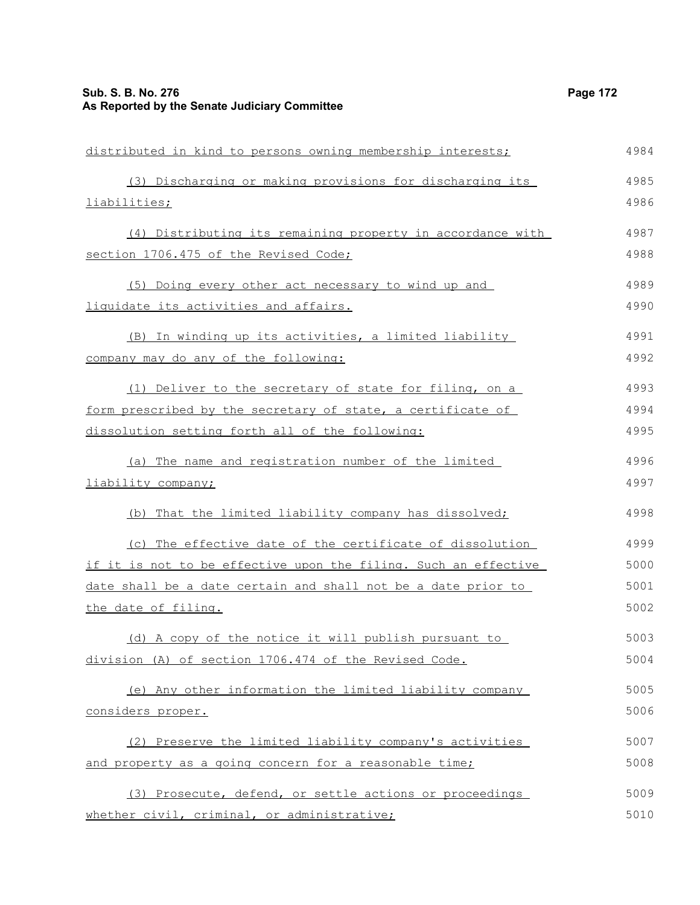| distributed in kind to persons owning membership interests;     | 4984 |
|-----------------------------------------------------------------|------|
| (3) Discharging or making provisions for discharging its        | 4985 |
| liabilities;                                                    | 4986 |
| (4) Distributing its remaining property in accordance with      | 4987 |
| section 1706.475 of the Revised Code;                           | 4988 |
| (5) Doing every other act necessary to wind up and              | 4989 |
| liquidate its activities and affairs.                           | 4990 |
| (B) In winding up its activities, a limited liability           | 4991 |
| company may do any of the following:                            | 4992 |
| (1) Deliver to the secretary of state for filing, on a          | 4993 |
| form prescribed by the secretary of state, a certificate of     | 4994 |
| dissolution setting forth all of the following:                 | 4995 |
| (a) The name and registration number of the limited             | 4996 |
| liability company;                                              | 4997 |
| (b) That the limited liability company has dissolved;           | 4998 |
| (c) The effective date of the certificate of dissolution        | 4999 |
| if it is not to be effective upon the filing. Such an effective | 5000 |
| date shall be a date certain and shall not be a date prior to   | 5001 |
| the date of filing.                                             | 5002 |
| (d) A copy of the notice it will publish pursuant to            | 5003 |
| division (A) of section 1706.474 of the Revised Code.           | 5004 |
| (e) Any other information the limited liability company         | 5005 |
| considers proper.                                               | 5006 |
| (2) Preserve the limited liability company's activities         | 5007 |
| and property as a going concern for a reasonable time;          | 5008 |
| (3) Prosecute, defend, or settle actions or proceedings         | 5009 |
| whether civil, criminal, or administrative;                     | 5010 |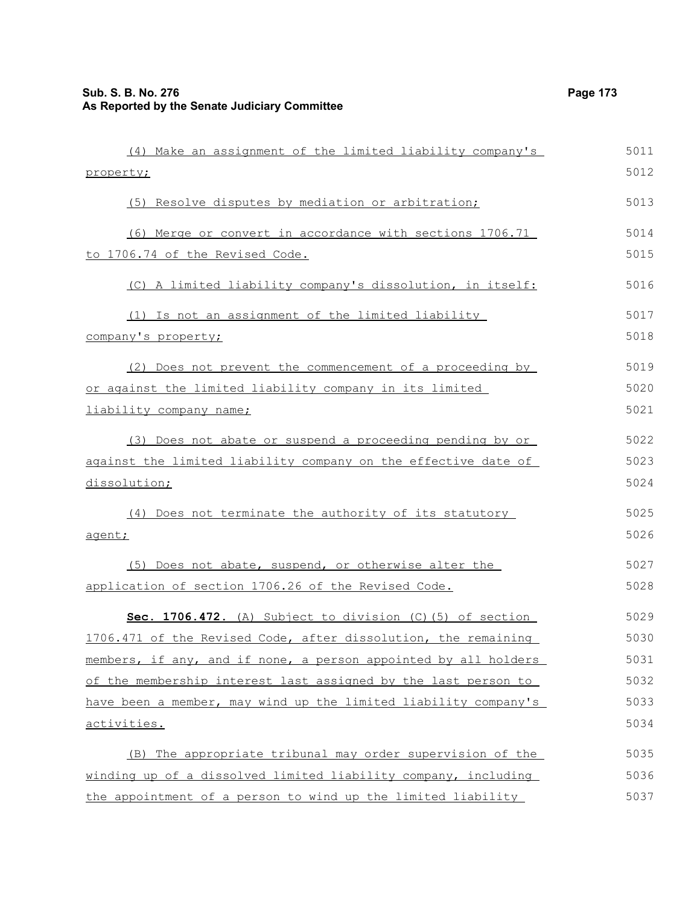| (4) Make an assignment of the limited liability company's       | 5011 |
|-----------------------------------------------------------------|------|
| property;                                                       | 5012 |
| (5) Resolve disputes by mediation or arbitration;               | 5013 |
| (6) Merge or convert in accordance with sections 1706.71        | 5014 |
| to 1706.74 of the Revised Code.                                 | 5015 |
| (C) A limited liability company's dissolution, in itself:       | 5016 |
| (1) Is not an assignment of the limited liability               | 5017 |
| company's property;                                             | 5018 |
| (2) Does not prevent the commencement of a proceeding by        | 5019 |
| or against the limited liability company in its limited         | 5020 |
| liability company name;                                         | 5021 |
| (3) Does not abate or suspend a proceeding pending by or        | 5022 |
| against the limited liability company on the effective date of  | 5023 |
| dissolution;                                                    | 5024 |
| (4) Does not terminate the authority of its statutory           | 5025 |
| agent;                                                          | 5026 |
| (5) Does not abate, suspend, or otherwise alter the             | 5027 |
| application of section 1706.26 of the Revised Code.             | 5028 |
| Sec. 1706.472. (A) Subject to division (C) (5) of section       | 5029 |
| 1706.471 of the Revised Code, after dissolution, the remaining  | 5030 |
| members, if any, and if none, a person appointed by all holders | 5031 |
| of the membership interest last assigned by the last person to  | 5032 |
| have been a member, may wind up the limited liability company's | 5033 |
| activities.                                                     | 5034 |
| (B) The appropriate tribunal may order supervision of the       | 5035 |
| winding up of a dissolved limited liability company, including  | 5036 |
| the appointment of a person to wind up the limited liability    | 5037 |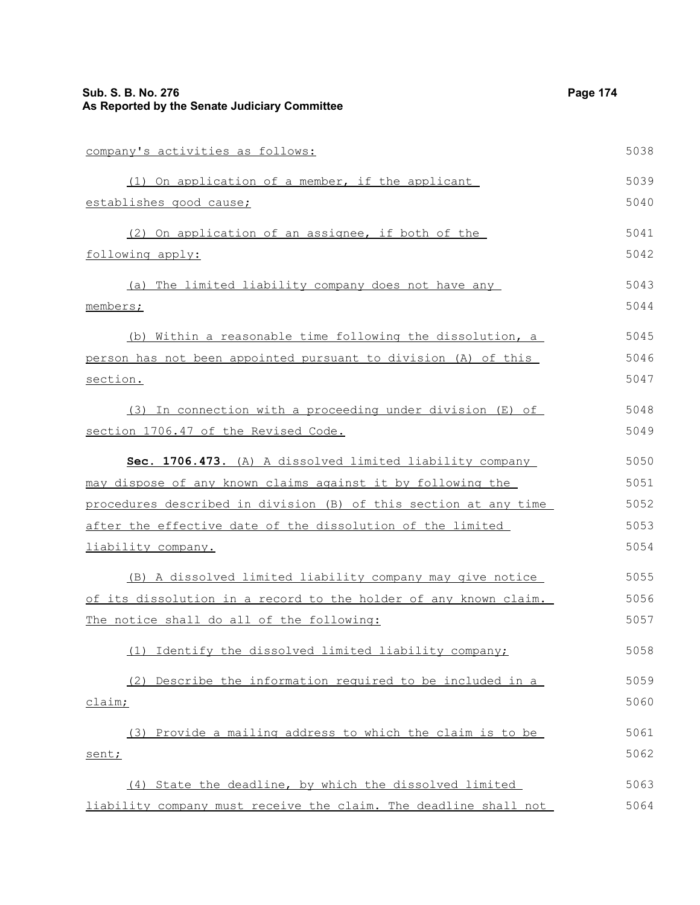# **Sub. S. B. No. 276 Page 174 As Reported by the Senate Judiciary Committee**

| company's activities as follows:                                        | 5038 |
|-------------------------------------------------------------------------|------|
| (1) On application of a member, if the applicant                        | 5039 |
| establishes good cause;                                                 | 5040 |
| (2) On application of an assignee, if both of the                       | 5041 |
| following apply:                                                        | 5042 |
| (a) The limited liability company does not have any                     | 5043 |
| members;                                                                | 5044 |
| (b) Within a reasonable time following the dissolution, a               | 5045 |
| person has not been appointed pursuant to division (A) of this          | 5046 |
| <u>section.</u>                                                         | 5047 |
| (3) In connection with a proceeding under division (E) of               | 5048 |
| section 1706.47 of the Revised Code.                                    | 5049 |
| Sec. 1706.473. (A) A dissolved limited liability company                | 5050 |
| <u>may dispose of any known claims against it by following the </u>     | 5051 |
| procedures described in division (B) of this section at any time        | 5052 |
| <u>after the effective date of the dissolution of the limited</u>       | 5053 |
| <u>liability company.</u>                                               | 5054 |
| (B) A dissolved limited liability company may give notice               | 5055 |
| <u>of its dissolution in a record to the holder of any known claim.</u> | 5056 |
| The notice shall do all of the following:                               | 5057 |
| (1) Identify the dissolved limited liability company;                   | 5058 |
| (2) Describe the information required to be included in a               | 5059 |
| <u>claim;</u>                                                           | 5060 |
| (3) Provide a mailing address to which the claim is to be               | 5061 |
| sent;                                                                   | 5062 |
| (4) State the deadline, by which the dissolved limited                  | 5063 |
| liability company must receive the claim. The deadline shall not        | 5064 |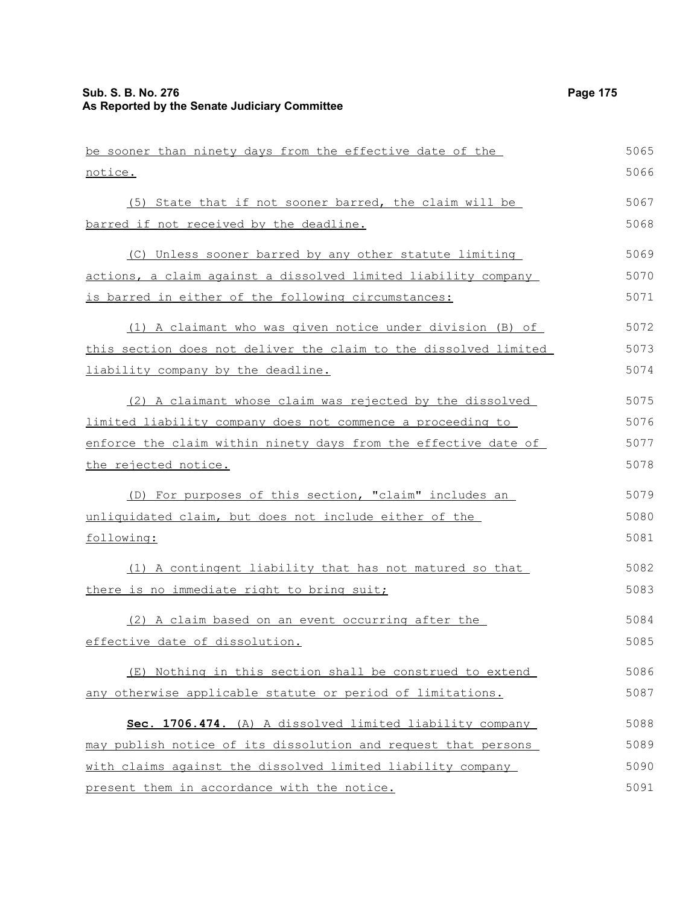| be sooner than ninety days from the effective date of the        | 5065 |
|------------------------------------------------------------------|------|
| notice.                                                          | 5066 |
| (5) State that if not sooner barred, the claim will be           | 5067 |
| barred if not received by the deadline.                          | 5068 |
| (C) Unless sooner barred by any other statute limiting           | 5069 |
| actions, a claim against a dissolved limited liability company   | 5070 |
| is barred in either of the following circumstances:              | 5071 |
| (1) A claimant who was given notice under division (B) of        | 5072 |
| this section does not deliver the claim to the dissolved limited | 5073 |
| liability company by the deadline.                               | 5074 |
| (2) A claimant whose claim was rejected by the dissolved         | 5075 |
| limited liability company does not commence a proceeding to      | 5076 |
| enforce the claim within ninety days from the effective date of  | 5077 |
| the rejected notice.                                             | 5078 |
| (D) For purposes of this section, "claim" includes an            | 5079 |
| unliquidated claim, but does not include either of the           | 5080 |
| following:                                                       | 5081 |
| (1) A contingent liability that has not matured so that          | 5082 |
| there is no immediate right to bring suit;                       | 5083 |
| (2) A claim based on an event occurring after the                | 5084 |
| effective date of dissolution.                                   | 5085 |
| (E) Nothing in this section shall be construed to extend         | 5086 |
| any otherwise applicable statute or period of limitations.       | 5087 |
| Sec. 1706.474. (A) A dissolved limited liability company         | 5088 |
| may publish notice of its dissolution and request that persons   | 5089 |
| with claims against the dissolved limited liability company      | 5090 |
| present them in accordance with the notice.                      | 5091 |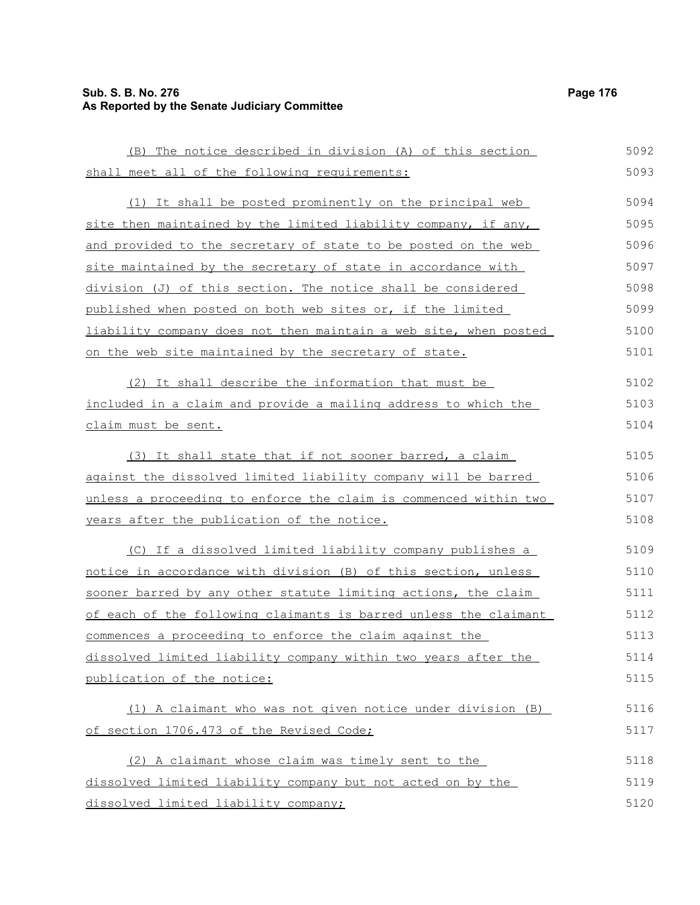# **Sub. S. B. No. 276 Page 176 As Reported by the Senate Judiciary Committee**

(B) The notice described in division (A) of this section

| shall meet all of the following requirements:                    | 5093 |
|------------------------------------------------------------------|------|
| (1) It shall be posted prominently on the principal web          | 5094 |
| site then maintained by the limited liability company, if any,   | 5095 |
| and provided to the secretary of state to be posted on the web   | 5096 |
| site maintained by the secretary of state in accordance with     | 5097 |
| division (J) of this section. The notice shall be considered     | 5098 |
| published when posted on both web sites or, if the limited       | 5099 |
| liability company does not then maintain a web site, when posted | 5100 |
| on the web site maintained by the secretary of state.            | 5101 |
| (2) It shall describe the information that must be               | 5102 |
| included in a claim and provide a mailing address to which the   | 5103 |
| claim must be sent.                                              | 5104 |
| (3) It shall state that if not sooner barred, a claim            | 5105 |
| against the dissolved limited liability company will be barred   | 5106 |
| unless a proceeding to enforce the claim is commenced within two | 5107 |
| years after the publication of the notice.                       | 5108 |
| (C) If a dissolved limited liability company publishes a         | 5109 |
| notice in accordance with division (B) of this section, unless   | 5110 |
| sooner barred by any other statute limiting actions, the claim   | 5111 |
| of each of the following claimants is barred unless the claimant | 5112 |
| commences a proceeding to enforce the claim against the          | 5113 |
| dissolved limited liability company within two years after the   | 5114 |
| publication of the notice:                                       | 5115 |
| (1) A claimant who was not given notice under division (B)       | 5116 |
| of section 1706.473 of the Revised Code;                         | 5117 |
| (2) A claimant whose claim was timely sent to the                | 5118 |
| dissolved limited liability company but not acted on by the      | 5119 |
| dissolved limited liability company;                             | 5120 |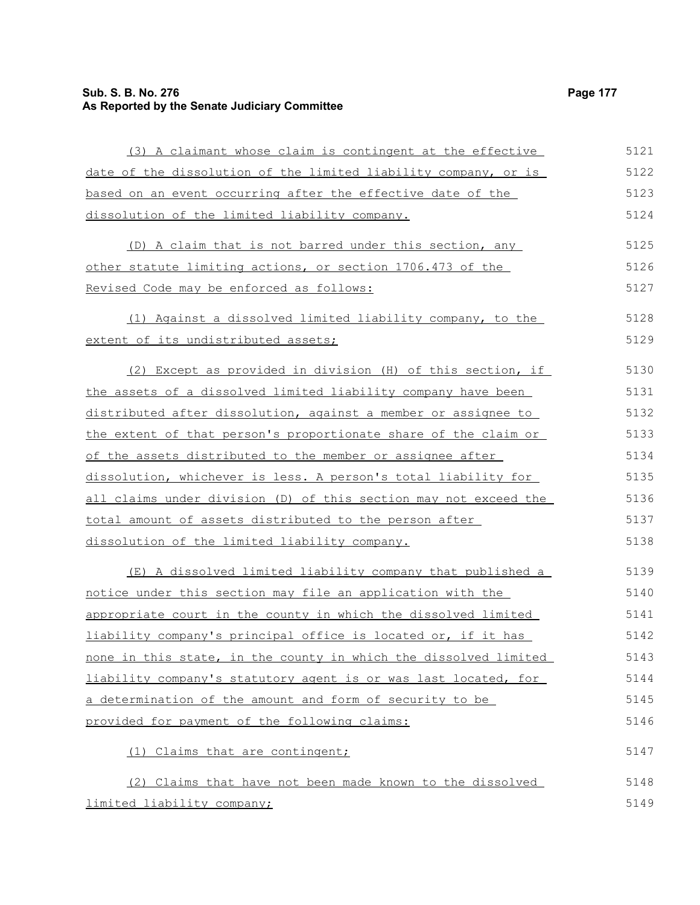# **Sub. S. B. No. 276 Page 177 As Reported by the Senate Judiciary Committee**

| (3) A claimant whose claim is contingent at the effective        | 5121 |
|------------------------------------------------------------------|------|
| date of the dissolution of the limited liability company, or is  | 5122 |
| based on an event occurring after the effective date of the      | 5123 |
| dissolution of the limited liability company.                    | 5124 |
| (D) A claim that is not barred under this section, any           | 5125 |
| other statute limiting actions, or section 1706.473 of the       | 5126 |
| Revised Code may be enforced as follows:                         | 5127 |
| (1) Against a dissolved limited liability company, to the        | 5128 |
| extent of its undistributed assets;                              | 5129 |
| (2) Except as provided in division (H) of this section, if       | 5130 |
| the assets of a dissolved limited liability company have been    | 5131 |
| distributed after dissolution, against a member or assignee to   | 5132 |
| the extent of that person's proportionate share of the claim or  | 5133 |
| of the assets distributed to the member or assignee after        | 5134 |
| dissolution, whichever is less. A person's total liability for   | 5135 |
| all claims under division (D) of this section may not exceed the | 5136 |
| total amount of assets distributed to the person after           | 5137 |
| dissolution of the limited liability company.                    | 5138 |
| (E) A dissolved limited liability company that published a       | 5139 |
| notice under this section may file an application with the       | 5140 |
| appropriate court in the county in which the dissolved limited   | 5141 |
| liability company's principal office is located or, if it has    | 5142 |
| none in this state, in the county in which the dissolved limited | 5143 |
| liability company's statutory agent is or was last located, for  | 5144 |
| a determination of the amount and form of security to be         | 5145 |
| provided for payment of the following claims:                    | 5146 |
| (1) Claims that are contingent;                                  | 5147 |
| (2) Claims that have not been made known to the dissolved        | 5148 |
| limited liability company;                                       | 5149 |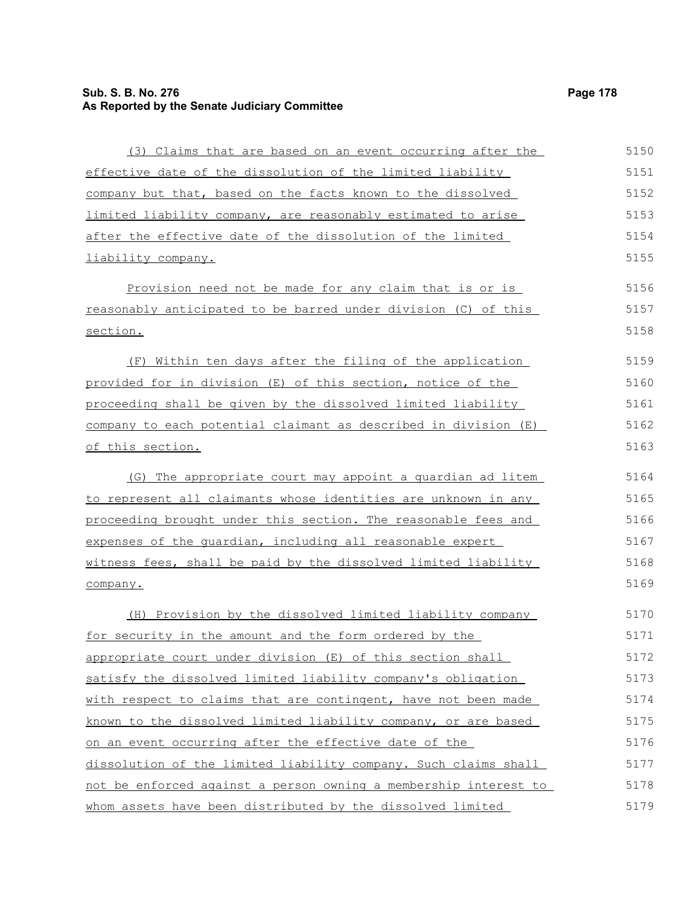## **Sub. S. B. No. 276 Page 178 As Reported by the Senate Judiciary Committee**

| (3) Claims that are based on an event occurring after the        | 5150 |
|------------------------------------------------------------------|------|
| effective date of the dissolution of the limited liability       | 5151 |
| company but that, based on the facts known to the dissolved      | 5152 |
| limited liability company, are reasonably estimated to arise     | 5153 |
| after the effective date of the dissolution of the limited       | 5154 |
| liability company.                                               | 5155 |
| Provision need not be made for any claim that is or is           | 5156 |
| reasonably anticipated to be barred under division (C) of this   | 5157 |
| section.                                                         | 5158 |
| Within ten days after the filing of the application<br>(F)       | 5159 |
| provided for in division (E) of this section, notice of the      | 5160 |
| proceeding shall be given by the dissolved limited liability     | 5161 |
| company to each potential claimant as described in division (E)  | 5162 |
| of this section.                                                 | 5163 |
| (G) The appropriate court may appoint a quardian ad litem        | 5164 |
| to represent all claimants whose identities are unknown in any   | 5165 |
| proceeding brought under this section. The reasonable fees and   | 5166 |
| expenses of the quardian, including all reasonable expert        | 5167 |
| witness fees, shall be paid by the dissolved limited liability   | 5168 |
| company.                                                         | 5169 |
| (H) Provision by the dissolved limited liability company         | 5170 |
| for security in the amount and the form ordered by the           | 5171 |
| appropriate court under division (E) of this section shall       | 5172 |
| satisfy the dissolved limited liability company's obligation     | 5173 |
| with respect to claims that are contingent, have not been made   | 5174 |
| known to the dissolved limited liability company, or are based   | 5175 |
| on an event occurring after the effective date of the            | 5176 |
| dissolution of the limited liability company. Such claims shall  | 5177 |
| not be enforced against a person owning a membership interest to | 5178 |
| whom assets have been distributed by the dissolved limited       | 5179 |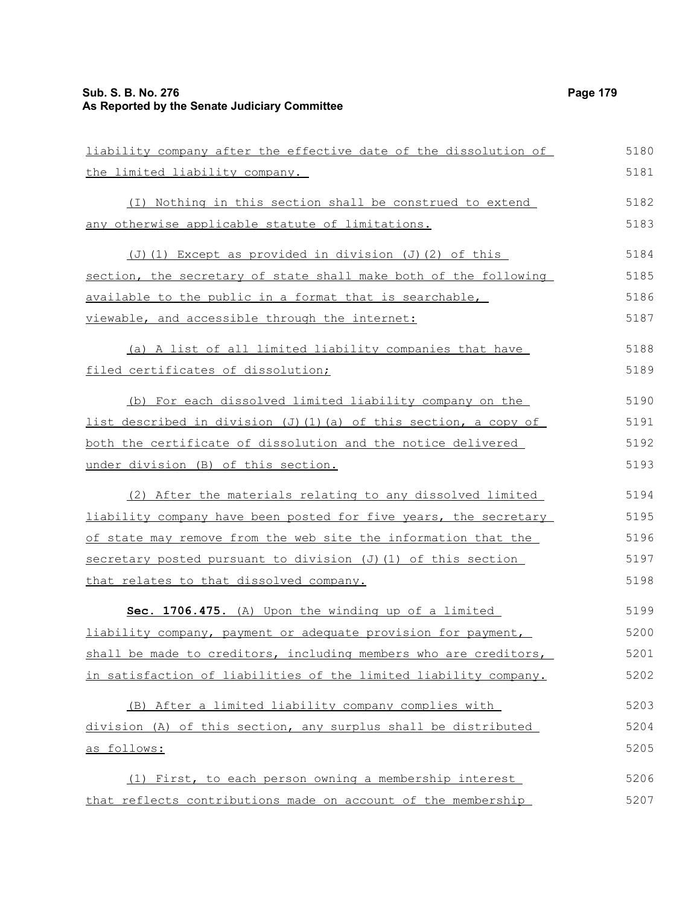#### **Sub. S. B. No. 276 Page 179 As Reported by the Senate Judiciary Committee**

| liability company after the effective date of the dissolution of     | 5180 |
|----------------------------------------------------------------------|------|
| the limited liability company.                                       | 5181 |
| (I) Nothing in this section shall be construed to extend             | 5182 |
| <u>any otherwise applicable statute of limitations.</u>              | 5183 |
| (J)(1) Except as provided in division (J)(2) of this                 | 5184 |
| section, the secretary of state shall make both of the following     | 5185 |
| available to the public in a format that is searchable,              | 5186 |
| viewable, and accessible through the internet:                       | 5187 |
| (a) A list of all limited liability companies that have              | 5188 |
| filed certificates of dissolution;                                   | 5189 |
| (b) For each dissolved limited liability company on the              | 5190 |
| list described in division (J)(1)(a) of this section, a copy of      | 5191 |
| <u>both the certificate of dissolution and the notice delivered </u> | 5192 |
| under division (B) of this section.                                  | 5193 |
| (2) After the materials relating to any dissolved limited            | 5194 |
| liability company have been posted for five years, the secretary     | 5195 |
| of state may remove from the web site the information that the       | 5196 |
| secretary posted pursuant to division (J) (1) of this section        | 5197 |
| that relates to that dissolved company.                              | 5198 |
| Sec. 1706.475. (A) Upon the winding up of a limited                  | 5199 |
| liability company, payment or adequate provision for payment,        | 5200 |
| shall be made to creditors, including members who are creditors,     | 5201 |
| in satisfaction of liabilities of the limited liability company.     | 5202 |
| (B) After a limited liability company complies with                  | 5203 |
| division (A) of this section, any surplus shall be distributed       | 5204 |
| <u>as follows:</u>                                                   | 5205 |
| (1) First, to each person owning a membership interest               | 5206 |
| that reflects contributions made on account of the membership        | 5207 |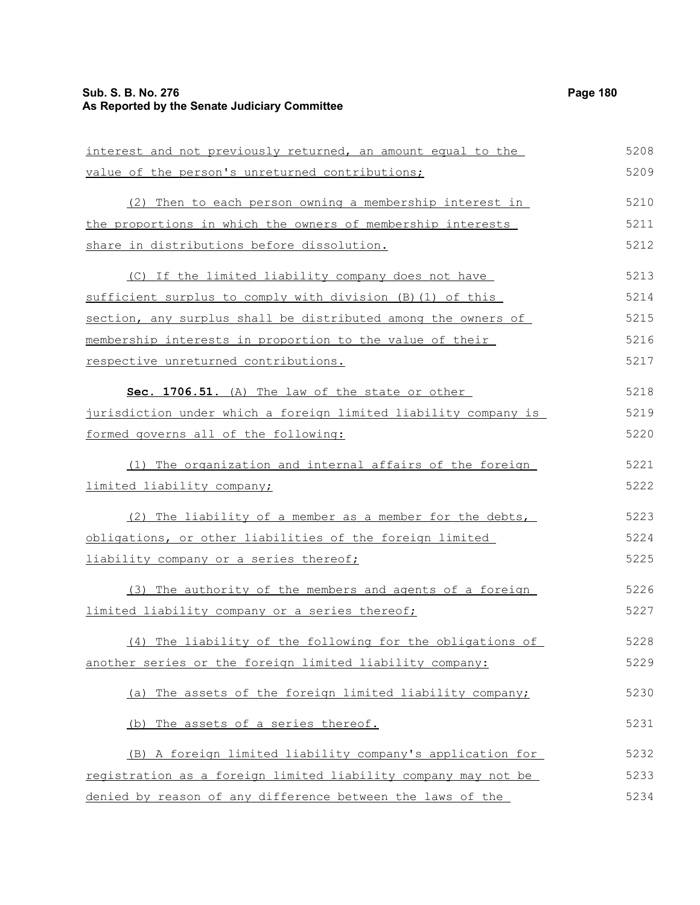## **Sub. S. B. No. 276 Page 180 As Reported by the Senate Judiciary Committee**

| interest and not previously returned, an amount equal to the    | 5208 |
|-----------------------------------------------------------------|------|
| value of the person's unreturned contributions;                 | 5209 |
| (2) Then to each person owning a membership interest in         | 5210 |
| the proportions in which the owners of membership interests     | 5211 |
| share in distributions before dissolution.                      | 5212 |
| (C) If the limited liability company does not have              | 5213 |
| sufficient surplus to comply with division (B) (1) of this      | 5214 |
| section, any surplus shall be distributed among the owners of   | 5215 |
| membership interests in proportion to the value of their        | 5216 |
| respective unreturned contributions.                            | 5217 |
| Sec. 1706.51. (A) The law of the state or other                 | 5218 |
| jurisdiction under which a foreign limited liability company is | 5219 |
| formed governs all of the following:                            | 5220 |
| (1) The organization and internal affairs of the foreign        | 5221 |
| <u>limited liability company;</u>                               | 5222 |
| (2) The liability of a member as a member for the debts,        | 5223 |
| obligations, or other liabilities of the foreign limited        | 5224 |
| liability company or a series thereof;                          | 5225 |
| (3) The authority of the members and agents of a foreign        | 5226 |
| limited liability company or a series thereof;                  | 5227 |
| (4) The liability of the following for the obligations of       | 5228 |
| another series or the foreign limited liability company:        | 5229 |
| (a) The assets of the foreign limited liability company;        | 5230 |
| (b) The assets of a series thereof.                             | 5231 |
| (B) A foreign limited liability company's application for       | 5232 |
| registration as a foreign limited liability company may not be  | 5233 |
| denied by reason of any difference between the laws of the      | 5234 |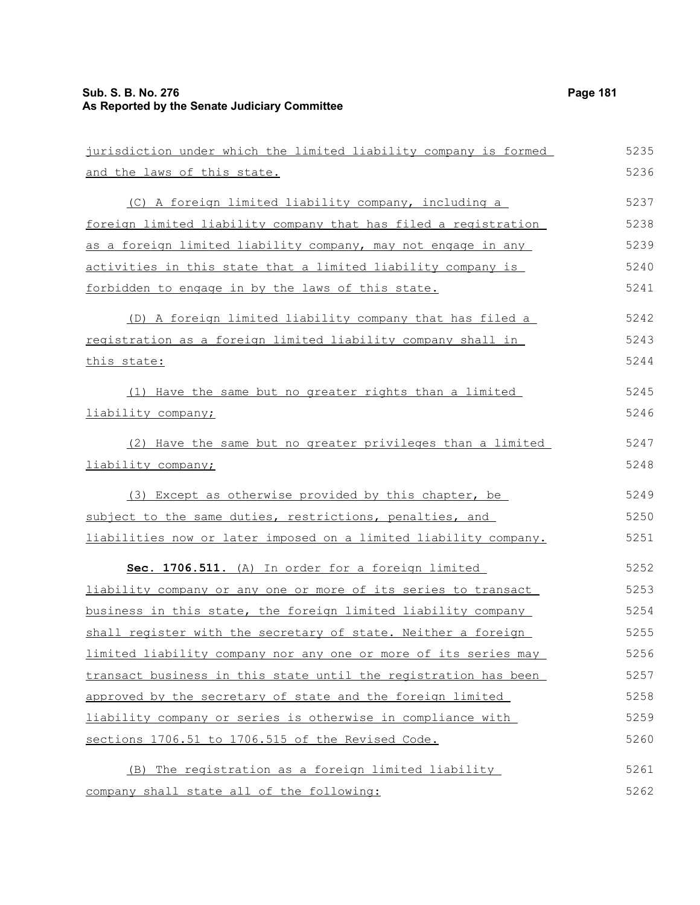| jurisdiction under which the limited liability company is formed      | 5235 |
|-----------------------------------------------------------------------|------|
| and the laws of this state.                                           | 5236 |
| (C) A foreign limited liability company, including a                  | 5237 |
| foreign limited liability company that has filed a registration       | 5238 |
| as a foreign limited liability company, may not engage in any         | 5239 |
| activities in this state that a limited liability company is          | 5240 |
| forbidden to engage in by the laws of this state.                     | 5241 |
| (D) A foreign limited liability company that has filed a              | 5242 |
| registration as a foreign limited liability company shall in          | 5243 |
| this state:                                                           | 5244 |
| (1) Have the same but no greater rights than a limited                | 5245 |
| liability company;                                                    | 5246 |
| (2) Have the same but no greater privileges than a limited            | 5247 |
| liability company;                                                    | 5248 |
| (3) Except as otherwise provided by this chapter, be                  | 5249 |
| subject to the same duties, restrictions, penalties, and              | 5250 |
| liabilities now or later imposed on a limited liability company.      | 5251 |
| Sec. 1706.511. (A) In order for a foreign limited                     | 5252 |
| <u>liability company or any one or more of its series to transact</u> | 5253 |
| business in this state, the foreign limited liability company         | 5254 |
| shall register with the secretary of state. Neither a foreign         | 5255 |
| limited liability company nor any one or more of its series may       | 5256 |
| transact business in this state until the registration has been       | 5257 |
| approved by the secretary of state and the foreign limited            | 5258 |
| liability company or series is otherwise in compliance with           | 5259 |
| sections 1706.51 to 1706.515 of the Revised Code.                     | 5260 |
| The registration as a foreign limited liability<br>(B)                | 5261 |
| company shall state all of the following:                             | 5262 |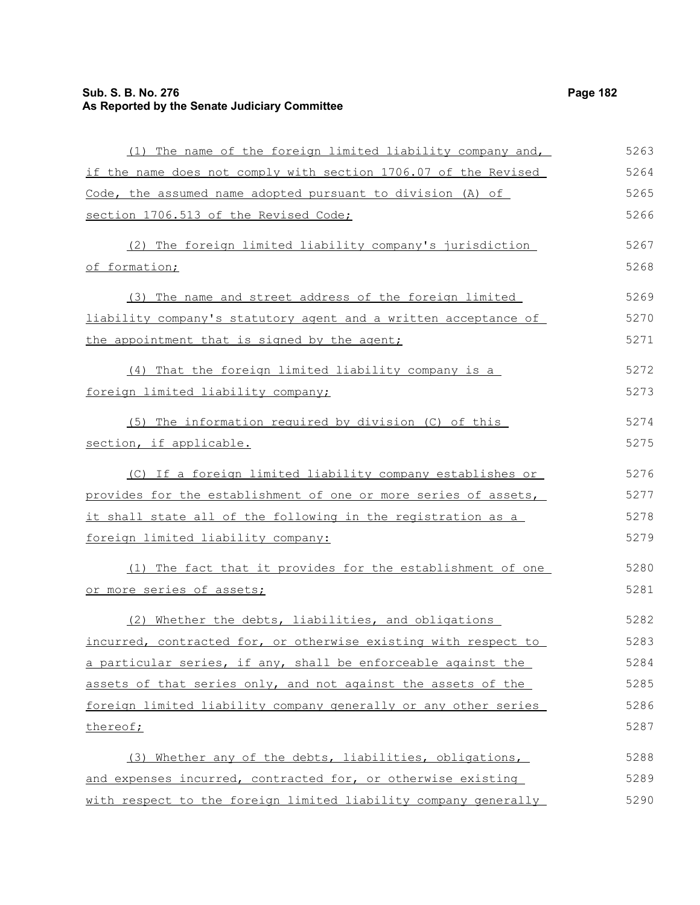# **Sub. S. B. No. 276 Page 182 As Reported by the Senate Judiciary Committee**

| (1) The name of the foreign limited liability company and,      | 5263 |
|-----------------------------------------------------------------|------|
| if the name does not comply with section 1706.07 of the Revised | 5264 |
| Code, the assumed name adopted pursuant to division (A) of      | 5265 |
| section 1706.513 of the Revised Code;                           | 5266 |
| (2) The foreign limited liability company's jurisdiction        | 5267 |
| of formation;                                                   | 5268 |
| (3) The name and street address of the foreign limited          | 5269 |
| liability company's statutory agent and a written acceptance of | 5270 |
| the appointment that is signed by the agent;                    | 5271 |
| (4) That the foreign limited liability company is a             | 5272 |
| foreign limited liability company;                              | 5273 |
| (5) The information required by division (C) of this            | 5274 |
| section, if applicable.                                         | 5275 |
| (C) If a foreign limited liability company establishes or       | 5276 |
| provides for the establishment of one or more series of assets, | 5277 |
| it shall state all of the following in the registration as a    | 5278 |
| foreign limited liability company:                              | 5279 |
| (1) The fact that it provides for the establishment of one      | 5280 |
| or more series of assets;                                       | 5281 |
| (2) Whether the debts, liabilities, and obligations             | 5282 |
| incurred, contracted for, or otherwise existing with respect to | 5283 |
| a particular series, if any, shall be enforceable against the   | 5284 |
| assets of that series only, and not against the assets of the   | 5285 |
| foreign limited liability company generally or any other series | 5286 |
| thereof;                                                        | 5287 |
| (3) Whether any of the debts, liabilities, obligations,         | 5288 |
| and expenses incurred, contracted for, or otherwise existing    | 5289 |
| with respect to the foreign limited liability company generally | 5290 |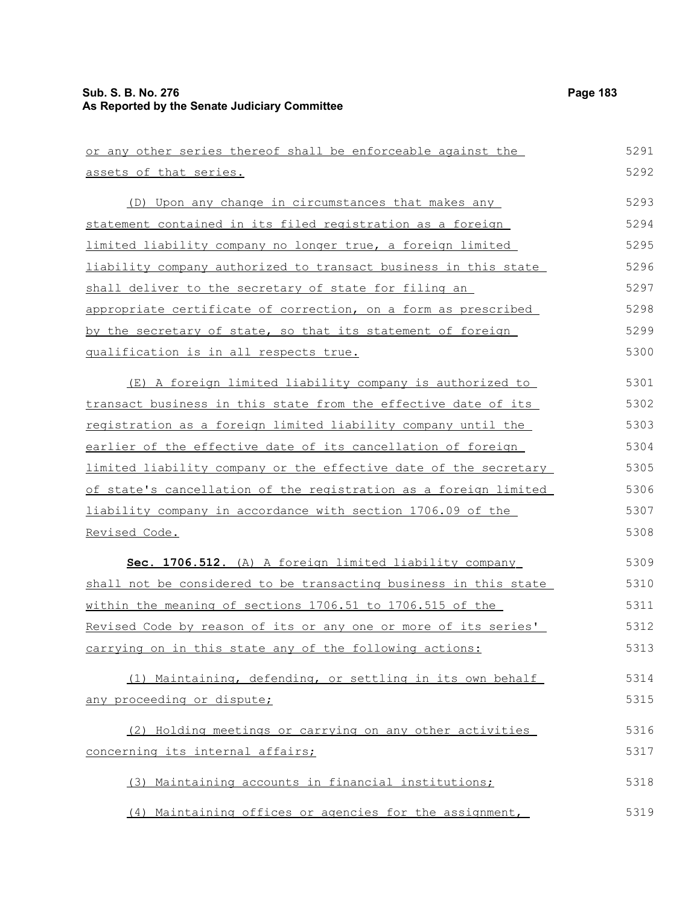| or any other series thereof shall be enforceable against the           | 5291 |
|------------------------------------------------------------------------|------|
| assets of that series.                                                 | 5292 |
| (D) Upon any change in circumstances that makes any                    | 5293 |
| statement contained in its filed registration as a foreign             | 5294 |
| limited liability company no longer true, a foreign limited            | 5295 |
| <u>liability company authorized to transact business in this state</u> | 5296 |
| shall deliver to the secretary of state for filing an                  | 5297 |
| appropriate certificate of correction, on a form as prescribed         | 5298 |
| by the secretary of state, so that its statement of foreign            | 5299 |
| qualification is in all respects true.                                 | 5300 |
| (E) A foreign limited liability company is authorized to               | 5301 |
| transact business in this state from the effective date of its         | 5302 |
| registration as a foreign limited liability company until the          | 5303 |
| earlier of the effective date of its cancellation of foreign           | 5304 |
| limited liability company or the effective date of the secretary       | 5305 |
| of state's cancellation of the registration as a foreign limited       | 5306 |
| liability company in accordance with section 1706.09 of the            | 5307 |
| Revised Code.                                                          | 5308 |
| Sec. 1706.512. (A) A foreign limited liability company                 | 5309 |
| shall not be considered to be transacting business in this state       | 5310 |
| within the meaning of sections 1706.51 to 1706.515 of the              | 5311 |
| Revised Code by reason of its or any one or more of its series'        | 5312 |
| carrying on in this state any of the following actions:                | 5313 |
| (1) Maintaining, defending, or settling in its own behalf              | 5314 |
| any proceeding or dispute;                                             | 5315 |
| (2) Holding meetings or carrying on any other activities               | 5316 |
| concerning its internal affairs;                                       | 5317 |
| (3) Maintaining accounts in financial institutions;                    | 5318 |
| (4) Maintaining offices or agencies for the assignment,                | 5319 |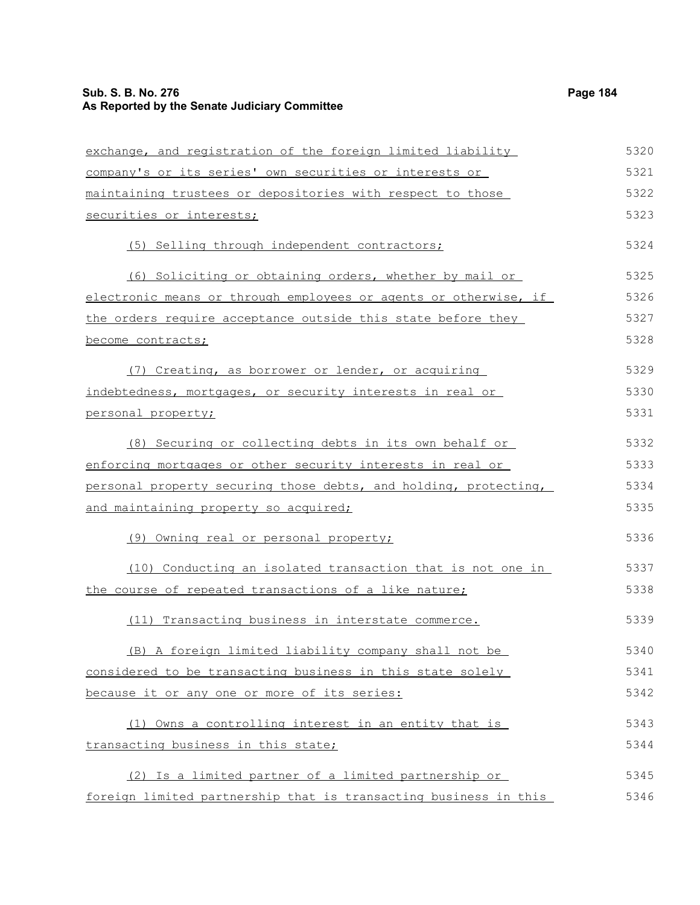| exchange, and registration of the foreign limited liability      | 5320 |
|------------------------------------------------------------------|------|
| company's or its series' own securities or interests or          | 5321 |
| maintaining trustees or depositories with respect to those       | 5322 |
| securities or interests;                                         | 5323 |
| (5) Selling through independent contractors;                     | 5324 |
| (6) Soliciting or obtaining orders, whether by mail or           | 5325 |
| electronic means or through employees or agents or otherwise, if | 5326 |
| the orders require acceptance outside this state before they     | 5327 |
| become contracts;                                                | 5328 |
| (7) Creating, as borrower or lender, or acquiring                | 5329 |
| indebtedness, mortgages, or security interests in real or        | 5330 |
| personal property;                                               | 5331 |
| (8) Securing or collecting debts in its own behalf or            | 5332 |
| enforcing mortgages or other security interests in real or       | 5333 |
| personal property securing those debts, and holding, protecting, | 5334 |
| and maintaining property so acquired;                            | 5335 |
| (9) Owning real or personal property;                            | 5336 |
| (10) Conducting an isolated transaction that is not one in       | 5337 |
| the course of repeated transactions of a like nature;            | 5338 |
| (11) Transacting business in interstate commerce.                | 5339 |
| (B) A foreign limited liability company shall not be             | 5340 |
| considered to be transacting business in this state solely       | 5341 |
| because it or any one or more of its series:                     | 5342 |
| (1) Owns a controlling interest in an entity that is             | 5343 |
| transacting business in this state;                              | 5344 |
| (2) Is a limited partner of a limited partnership or             | 5345 |
| foreign limited partnership that is transacting business in this | 5346 |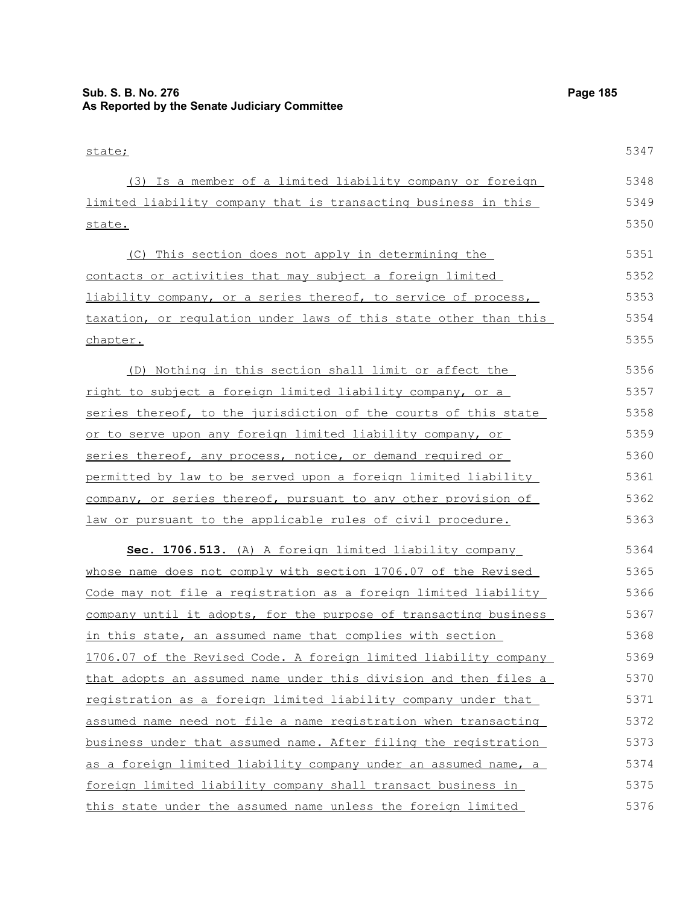| state;                                                           | 5347 |
|------------------------------------------------------------------|------|
| (3) Is a member of a limited liability company or foreign        | 5348 |
| limited liability company that is transacting business in this   | 5349 |
| state.                                                           | 5350 |
| (C) This section does not apply in determining the               | 5351 |
| contacts or activities that may subject a foreign limited        | 5352 |
| liability company, or a series thereof, to service of process,   | 5353 |
| taxation, or regulation under laws of this state other than this | 5354 |
| chapter.                                                         | 5355 |
| (D) Nothing in this section shall limit or affect the            | 5356 |
| right to subject a foreign limited liability company, or a       | 5357 |
| series thereof, to the jurisdiction of the courts of this state  | 5358 |
| or to serve upon any foreign limited liability company, or       | 5359 |
| series thereof, any process, notice, or demand required or       | 5360 |
| permitted by law to be served upon a foreign limited liability   | 5361 |
| company, or series thereof, pursuant to any other provision of   | 5362 |
| law or pursuant to the applicable rules of civil procedure.      | 5363 |
| Sec. 1706.513. (A) A foreign limited liability company           | 5364 |
| whose name does not comply with section 1706.07 of the Revised   | 5365 |
| Code may not file a registration as a foreign limited liability  | 5366 |
| company until it adopts, for the purpose of transacting business | 5367 |
| in this state, an assumed name that complies with section        | 5368 |
| 1706.07 of the Revised Code. A foreign limited liability company | 5369 |
| that adopts an assumed name under this division and then files a | 5370 |
| registration as a foreign limited liability company under that   | 5371 |
| assumed name need not file a name registration when transacting  | 5372 |
| business under that assumed name. After filing the registration  | 5373 |
| as a foreign limited liability company under an assumed name, a  | 5374 |
| foreign limited liability company shall transact business in     | 5375 |
| this state under the assumed name unless the foreign limited     | 5376 |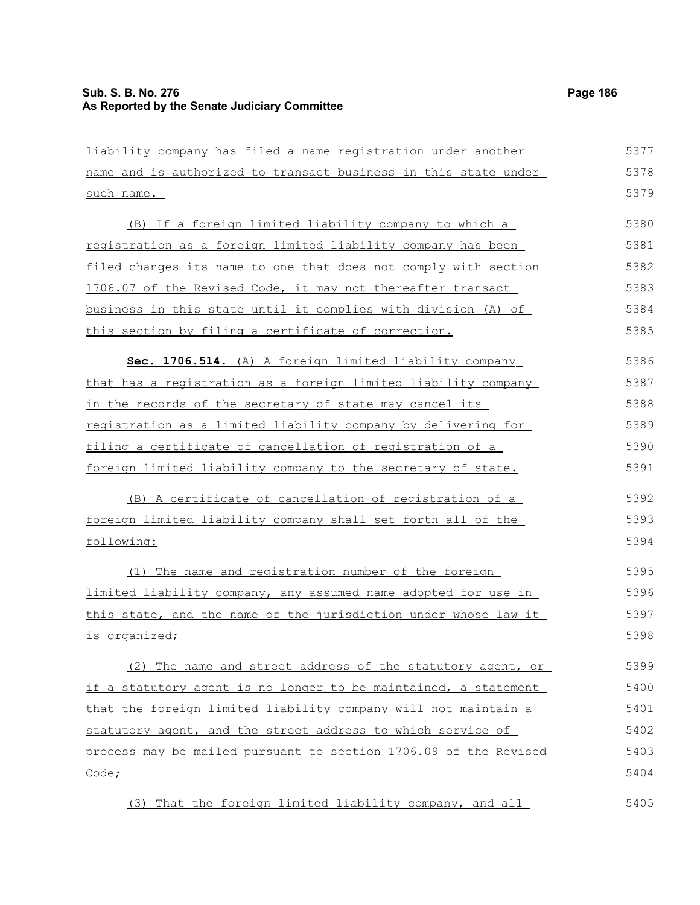| liability company has filed a name registration under another    | 5377 |
|------------------------------------------------------------------|------|
| name and is authorized to transact business in this state under  | 5378 |
| such name.                                                       | 5379 |
| (B) If a foreign limited liability company to which a            | 5380 |
| registration as a foreign limited liability company has been     | 5381 |
| filed changes its name to one that does not comply with section  | 5382 |
| 1706.07 of the Revised Code, it may not thereafter transact      | 5383 |
| business in this state until it complies with division (A) of    | 5384 |
| this section by filing a certificate of correction.              | 5385 |
| Sec. 1706.514. (A) A foreign limited liability company           | 5386 |
| that has a registration as a foreign limited liability company   | 5387 |
| in the records of the secretary of state may cancel its          | 5388 |
| registration as a limited liability company by delivering for    | 5389 |
| filing a certificate of cancellation of registration of a        | 5390 |
| foreign limited liability company to the secretary of state.     | 5391 |
|                                                                  |      |
| (B) A certificate of cancellation of registration of a           | 5392 |
| foreign limited liability company shall set forth all of the     | 5393 |
| following:                                                       | 5394 |
| (1) The name and registration number of the foreign              | 5395 |
| limited liability company, any assumed name adopted for use in   | 5396 |
| this state, and the name of the jurisdiction under whose law it  | 5397 |
| is organized;                                                    | 5398 |
| (2) The name and street address of the statutory agent, or       | 5399 |
| if a statutory agent is no longer to be maintained, a statement  | 5400 |
| that the foreign limited liability company will not maintain a   | 5401 |
| statutory agent, and the street address to which service of      | 5402 |
| process may be mailed pursuant to section 1706.09 of the Revised | 5403 |
| Code;                                                            | 5404 |
|                                                                  |      |
| (3) That the foreign limited liability company, and all          | 5405 |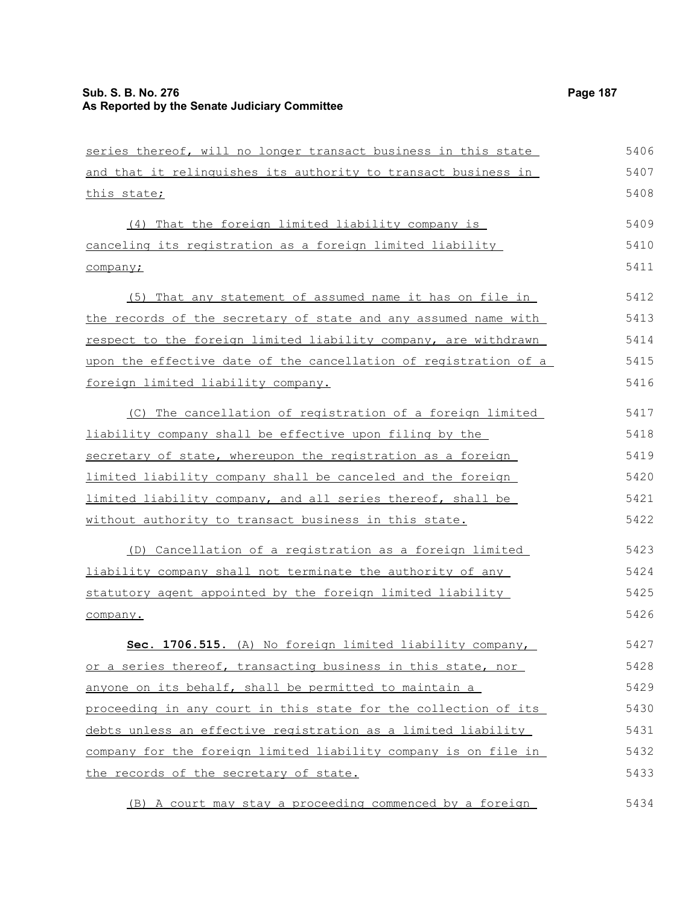| series thereof, will no longer transact business in this state   | 5406 |
|------------------------------------------------------------------|------|
| and that it relinquishes its authority to transact business in   | 5407 |
| <u>this state;</u>                                               | 5408 |
| (4) That the foreign limited liability company is                | 5409 |
| canceling its registration as a foreign limited liability        | 5410 |
| company;                                                         | 5411 |
| (5) That any statement of assumed name it has on file in         | 5412 |
| the records of the secretary of state and any assumed name with  | 5413 |
| respect to the foreign limited liability company, are withdrawn  | 5414 |
| upon the effective date of the cancellation of registration of a | 5415 |
| foreign limited liability company.                               | 5416 |
| (C) The cancellation of registration of a foreign limited        | 5417 |
| liability company shall be effective upon filing by the          | 5418 |
| secretary of state, whereupon the registration as a foreign      | 5419 |
| limited liability company shall be canceled and the foreign      | 5420 |
| limited liability company, and all series thereof, shall be      | 5421 |
| <u>without authority to transact business in this state.</u>     | 5422 |
| (D) Cancellation of a registration as a foreign limited          | 5423 |
| liability company shall not terminate the authority of any       | 5424 |
| statutory agent appointed by the foreign limited liability       | 5425 |
| company.                                                         | 5426 |
| Sec. 1706.515. (A) No foreign limited liability company,         | 5427 |
| or a series thereof, transacting business in this state, nor     | 5428 |
| anyone on its behalf, shall be permitted to maintain a           | 5429 |
| proceeding in any court in this state for the collection of its  | 5430 |
| debts unless an effective registration as a limited liability    | 5431 |
| company for the foreign limited liability company is on file in  | 5432 |
| the records of the secretary of state.                           | 5433 |
|                                                                  |      |

(B) A court may stay a proceeding commenced by a foreign 5434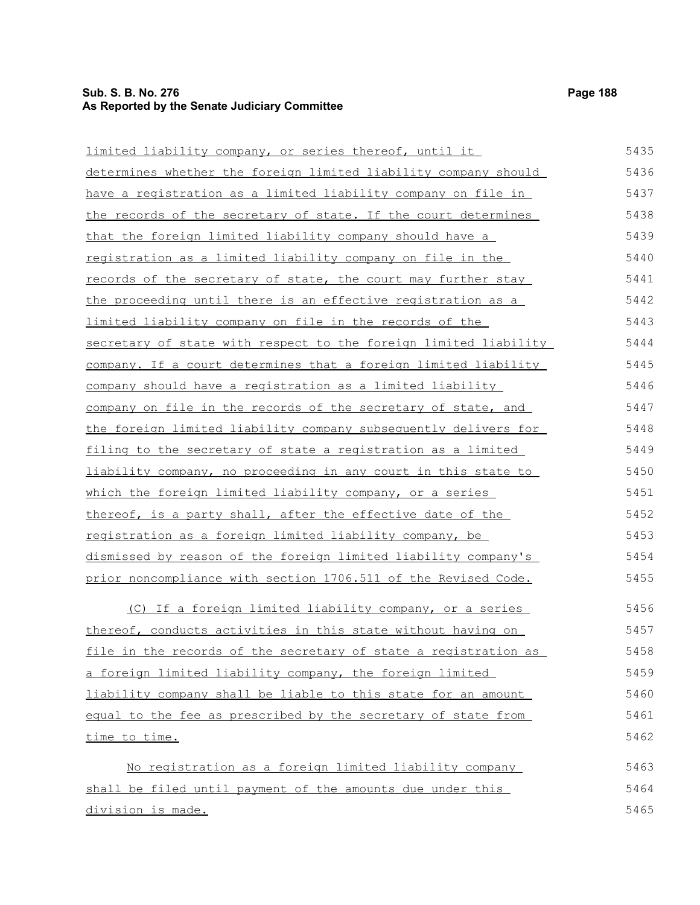# **Sub. S. B. No. 276 Page 188 As Reported by the Senate Judiciary Committee**

| limited liability company, or series thereof, until it           | 5435 |
|------------------------------------------------------------------|------|
| determines whether the foreign limited liability company should  | 5436 |
| have a registration as a limited liability company on file in    | 5437 |
| the records of the secretary of state. If the court determines   | 5438 |
| <u>that the foreign limited liability company should have a</u>  | 5439 |
| registration as a limited liability company on file in the       | 5440 |
| records of the secretary of state, the court may further stay    | 5441 |
| the proceeding until there is an effective registration as a     | 5442 |
| limited liability company on file in the records of the          | 5443 |
| secretary of state with respect to the foreign limited liability | 5444 |
| company. If a court determines that a foreign limited liability  | 5445 |
| company should have a registration as a limited liability        | 5446 |
| company on file in the records of the secretary of state, and    | 5447 |
| the foreign limited liability company subsequently delivers for  | 5448 |
| filing to the secretary of state a registration as a limited     | 5449 |
| liability company, no proceeding in any court in this state to   | 5450 |
| which the foreign limited liability company, or a series         | 5451 |
| thereof, is a party shall, after the effective date of the       | 5452 |
| registration as a foreign limited liability company, be          | 5453 |
| dismissed by reason of the foreign limited liability company's   | 5454 |
| prior noncompliance with section 1706.511 of the Revised Code.   | 5455 |
| (C) If a foreign limited liability company, or a series          | 5456 |
| thereof, conducts activities in this state without having on     | 5457 |
| file in the records of the secretary of state a registration as  | 5458 |
| a foreign limited liability company, the foreign limited         | 5459 |
| liability company shall be liable to this state for an amount    | 5460 |
| equal to the fee as prescribed by the secretary of state from    | 5461 |
| time to time.                                                    | 5462 |
| No registration as a foreign limited liability company           | 5463 |
| shall be filed until payment of the amounts due under this       | 5464 |
| division is made.                                                | 5465 |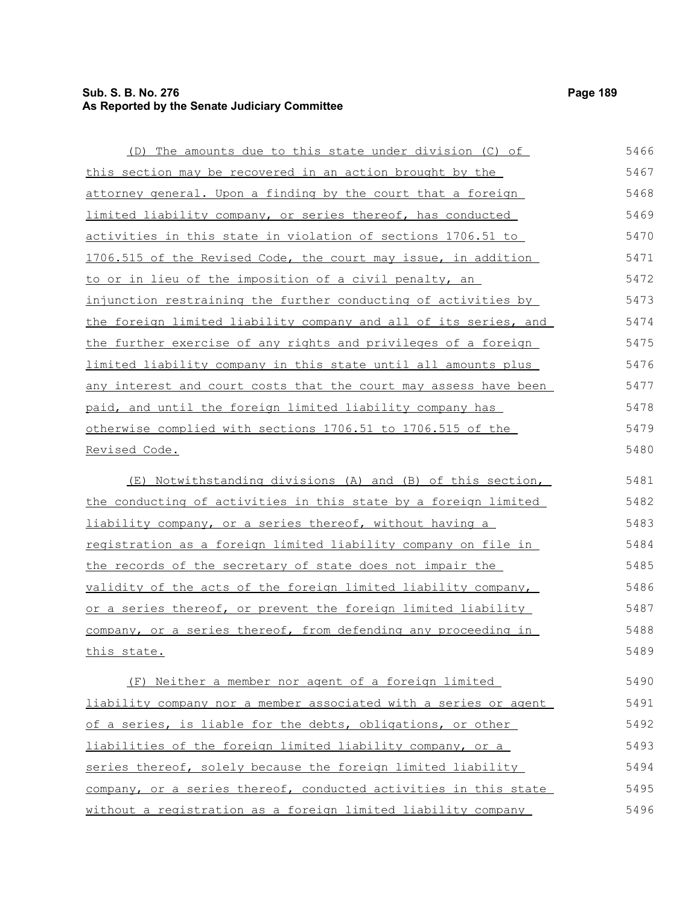#### **Sub. S. B. No. 276 Page 189 As Reported by the Senate Judiciary Committee**

(D) The amounts due to this state under division (C) of this section may be recovered in an action brought by the attorney general. Upon a finding by the court that a foreign limited liability company, or series thereof, has conducted activities in this state in violation of sections 1706.51 to 1706.515 of the Revised Code, the court may issue, in addition to or in lieu of the imposition of a civil penalty, an injunction restraining the further conducting of activities by the foreign limited liability company and all of its series, and the further exercise of any rights and privileges of a foreign limited liability company in this state until all amounts plus any interest and court costs that the court may assess have been paid, and until the foreign limited liability company has otherwise complied with sections 1706.51 to 1706.515 of the Revised Code. (E) Notwithstanding divisions (A) and (B) of this section, the conducting of activities in this state by a foreign limited liability company, or a series thereof, without having a registration as a foreign limited liability company on file in the records of the secretary of state does not impair the validity of the acts of the foreign limited liability company, or a series thereof, or prevent the foreign limited liability company, or a series thereof, from defending any proceeding in this state. (F) Neither a member nor agent of a foreign limited liability company nor a member associated with a series or agent of a series, is liable for the debts, obligations, or other liabilities of the foreign limited liability company, or a series thereof, solely because the foreign limited liability company, or a series thereof, conducted activities in this state 5466 5467 5468 5469 5470 5471 5472 5473 5474 5475 5476 5477 5478 5479 5480 5481 5482 5483 5484 5485 5486 5487 5488 5489 5490 5491 5492 5493 5494 5495

without a registration as a foreign limited liability company

5496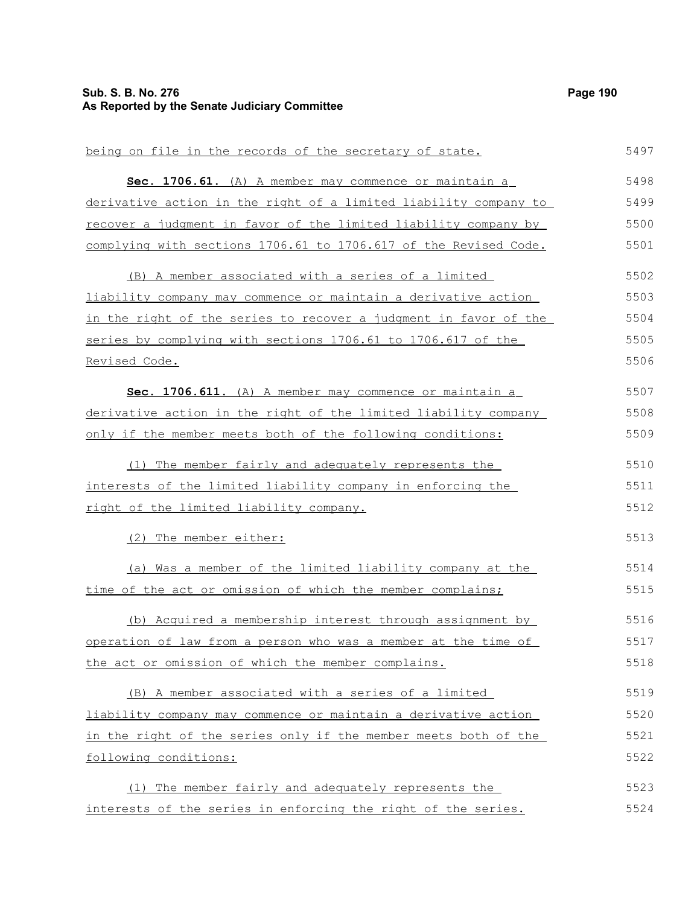#### **Sub. S. B. No. 276 Page 190 As Reported by the Senate Judiciary Committee**

being on file in the records of the secretary of state. **Sec. 1706.61.** (A) A member may commence or maintain a derivative action in the right of a limited liability company to recover a judgment in favor of the limited liability company by complying with sections 1706.61 to 1706.617 of the Revised Code. (B) A member associated with a series of a limited liability company may commence or maintain a derivative action in the right of the series to recover a judgment in favor of the series by complying with sections 1706.61 to 1706.617 of the Revised Code. **Sec. 1706.611.** (A) A member may commence or maintain a derivative action in the right of the limited liability company only if the member meets both of the following conditions: (1) The member fairly and adequately represents the interests of the limited liability company in enforcing the right of the limited liability company. (2) The member either: (a) Was a member of the limited liability company at the time of the act or omission of which the member complains; (b) Acquired a membership interest through assignment by operation of law from a person who was a member at the time of the act or omission of which the member complains. (B) A member associated with a series of a limited liability company may commence or maintain a derivative action in the right of the series only if the member meets both of the following conditions: (1) The member fairly and adequately represents the interests of the series in enforcing the right of the series. 5497 5498 5499 5500 5501 5502 5503 5504 5505 5506 5507 5508 5509 5510 5511 5512 5513 5514 5515 5516 5517 5518 5519 5520 5521 5522 5523 5524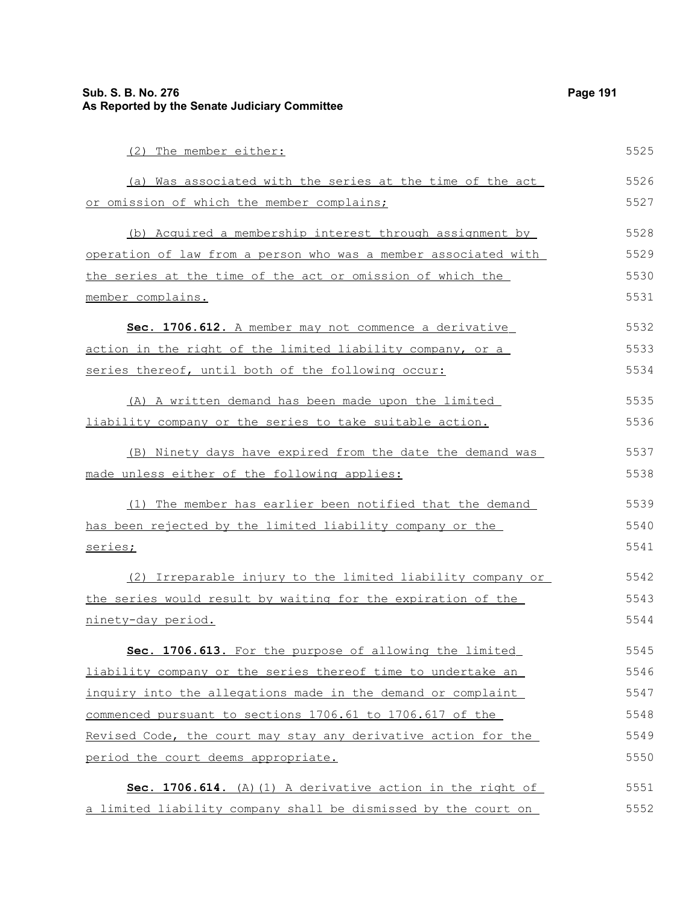| (2) The member either:                                          | 5525 |
|-----------------------------------------------------------------|------|
| (a) Was associated with the series at the time of the act       | 5526 |
| or omission of which the member complains;                      | 5527 |
| (b) Acquired a membership interest through assignment by        | 5528 |
| operation of law from a person who was a member associated with | 5529 |
| the series at the time of the act or omission of which the      | 5530 |
| member complains.                                               | 5531 |
| Sec. 1706.612. A member may not commence a derivative           | 5532 |
| action in the right of the limited liability company, or a      | 5533 |
| series thereof, until both of the following occur:              | 5534 |
| (A) A written demand has been made upon the limited             | 5535 |
| liability company or the series to take suitable action.        | 5536 |
| (B) Ninety days have expired from the date the demand was       | 5537 |
| made unless either of the following applies:                    | 5538 |
| (1) The member has earlier been notified that the demand        | 5539 |
| has been rejected by the limited liability company or the       | 5540 |
| series;                                                         | 5541 |
| (2) Irreparable injury to the limited liability company or      | 5542 |
| the series would result by waiting for the expiration of the    | 5543 |
| ninety-day period.                                              | 5544 |
| Sec. 1706.613. For the purpose of allowing the limited          | 5545 |
| liability company or the series thereof time to undertake an    | 5546 |
| inquiry into the allegations made in the demand or complaint    | 5547 |
| commenced pursuant to sections 1706.61 to 1706.617 of the       | 5548 |
| Revised Code, the court may stay any derivative action for the  | 5549 |
| period the court deems appropriate.                             | 5550 |
| Sec. 1706.614. (A) (1) A derivative action in the right of      | 5551 |
| a limited liability company shall be dismissed by the court on  | 5552 |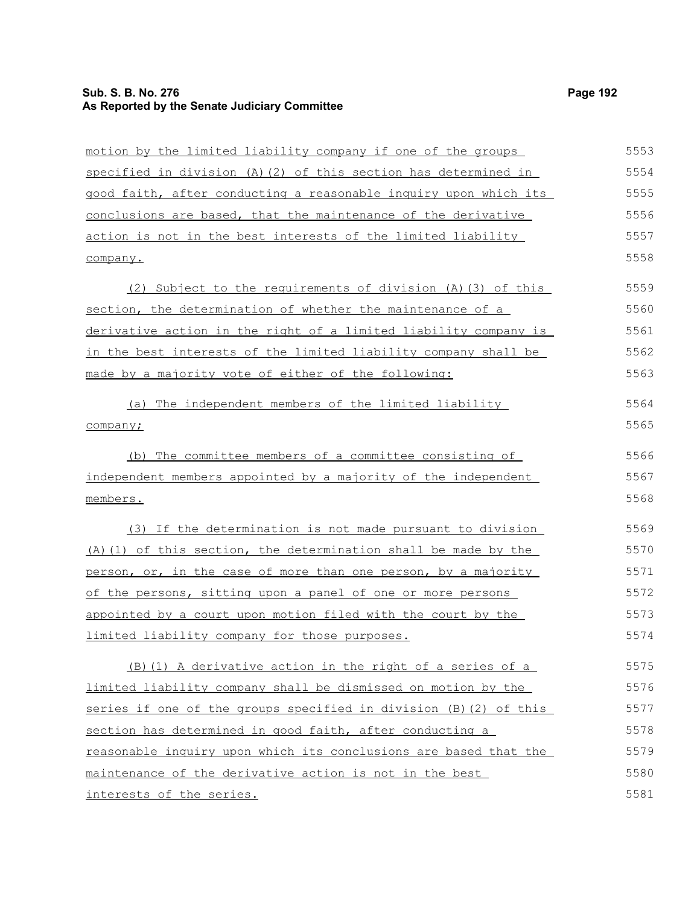# **Sub. S. B. No. 276 Page 192 As Reported by the Senate Judiciary Committee**

interests of the series.

| motion by the limited liability company if one of the groups        | 5553 |
|---------------------------------------------------------------------|------|
| specified in division $(A)$ $(2)$ of this section has determined in | 5554 |
| good faith, after conducting a reasonable inquiry upon which its    | 5555 |
| conclusions are based, that the maintenance of the derivative       | 5556 |
| action is not in the best interests of the limited liability        | 5557 |
| company.                                                            | 5558 |
| (2) Subject to the requirements of division (A) (3) of this         | 5559 |
| section, the determination of whether the maintenance of a          | 5560 |
| derivative action in the right of a limited liability company is    | 5561 |
| in the best interests of the limited liability company shall be     | 5562 |
| made by a majority vote of either of the following:                 | 5563 |
| (a) The independent members of the limited liability                | 5564 |
| company;                                                            | 5565 |
| (b) The committee members of a committee consisting of              | 5566 |
| independent members appointed by a majority of the independent      | 5567 |
| members.                                                            | 5568 |
| (3) If the determination is not made pursuant to division           | 5569 |
| (A) (1) of this section, the determination shall be made by the     | 5570 |
| person, or, in the case of more than one person, by a majority      | 5571 |
| of the persons, sitting upon a panel of one or more persons         | 5572 |
| appointed by a court upon motion filed with the court by the        | 5573 |
| limited liability company for those purposes.                       | 5574 |
| (B) (1) A derivative action in the right of a series of a           | 5575 |
| limited liability company shall be dismissed on motion by the       | 5576 |
| series if one of the groups specified in division (B)(2) of this    | 5577 |
| section has determined in good faith, after conducting a            | 5578 |
| reasonable inquiry upon which its conclusions are based that the    | 5579 |
| maintenance of the derivative action is not in the best             | 5580 |
| interests of the series.                                            | 5581 |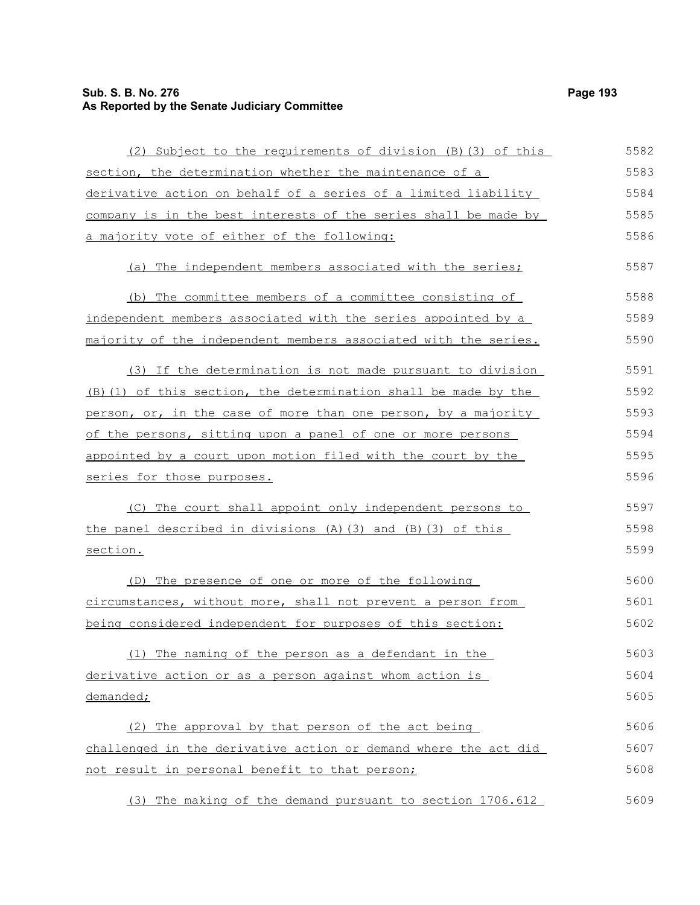# **Sub. S. B. No. 276 Page 193 As Reported by the Senate Judiciary Committee**

| (2) Subject to the requirements of division (B) (3) of this          | 5582 |
|----------------------------------------------------------------------|------|
| section, the determination whether the maintenance of a              | 5583 |
| derivative action on behalf of a series of a limited liability       | 5584 |
| company is in the best interests of the series shall be made by      | 5585 |
| a majority vote of either of the following:                          | 5586 |
| (a) The independent members associated with the series;              | 5587 |
| (b) The committee members of a committee consisting of               | 5588 |
| independent members associated with the series appointed by a        | 5589 |
| majority of the independent members associated with the series.      | 5590 |
| (3) If the determination is not made pursuant to division            | 5591 |
| (B) (1) of this section, the determination shall be made by the      | 5592 |
| person, or, in the case of more than one person, by a majority       | 5593 |
| of the persons, sitting upon a panel of one or more persons          | 5594 |
| appointed by a court upon motion filed with the court by the         | 5595 |
| series for those purposes.                                           | 5596 |
| (C) The court shall appoint only independent persons to              | 5597 |
| the panel described in divisions $(A)$ $(3)$ and $(B)$ $(3)$ of this | 5598 |
| section.                                                             | 5599 |
| (D) The presence of one or more of the following                     | 5600 |
| circumstances, without more, shall not prevent a person from         | 5601 |
| being considered independent for purposes of this section:           | 5602 |
| (1) The naming of the person as a defendant in the                   | 5603 |
| derivative action or as a person against whom action is              | 5604 |
| demanded;                                                            | 5605 |
| (2) The approval by that person of the act being                     | 5606 |
| challenged in the derivative action or demand where the act did      | 5607 |
| not result in personal benefit to that person;                       | 5608 |
| (3) The making of the demand pursuant to section 1706.612            | 5609 |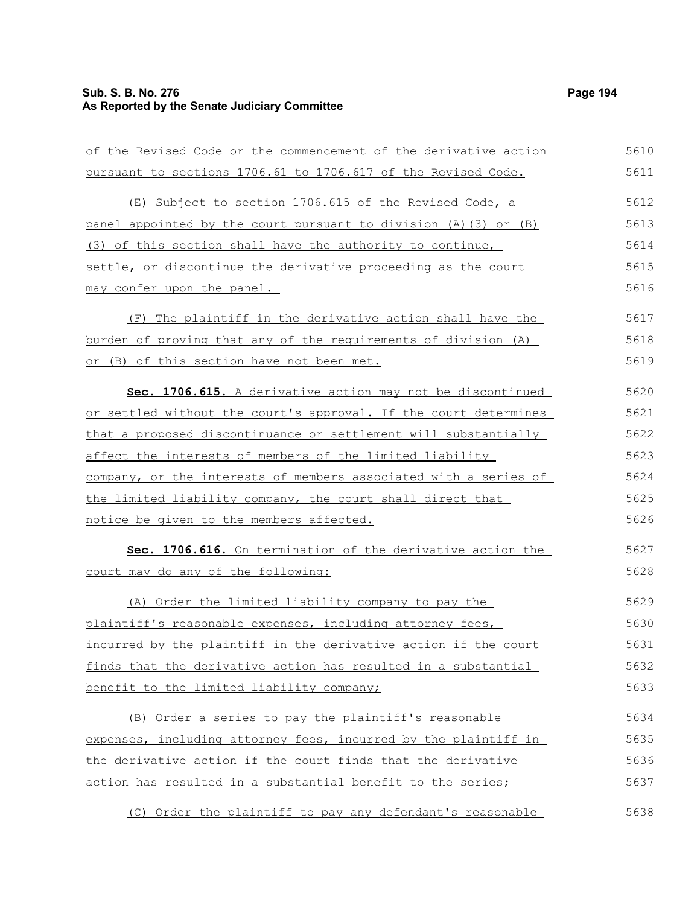#### **Sub. S. B. No. 276 Page 194 As Reported by the Senate Judiciary Committee**

of the Revised Code or the commencement of the derivative action pursuant to sections 1706.61 to 1706.617 of the Revised Code. (E) Subject to section 1706.615 of the Revised Code, a panel appointed by the court pursuant to division (A)(3) or (B) (3) of this section shall have the authority to continue, settle, or discontinue the derivative proceeding as the court may confer upon the panel. (F) The plaintiff in the derivative action shall have the burden of proving that any of the requirements of division (A) or (B) of this section have not been met. **Sec. 1706.615.** A derivative action may not be discontinued or settled without the court's approval. If the court determines that a proposed discontinuance or settlement will substantially affect the interests of members of the limited liability company, or the interests of members associated with a series of the limited liability company, the court shall direct that notice be given to the members affected. **Sec. 1706.616.** On termination of the derivative action the court may do any of the following: (A) Order the limited liability company to pay the plaintiff's reasonable expenses, including attorney fees, incurred by the plaintiff in the derivative action if the court finds that the derivative action has resulted in a substantial benefit to the limited liability company; (B) Order a series to pay the plaintiff's reasonable expenses, including attorney fees, incurred by the plaintiff in 5610 5611 5612 5613 5614 5615 5616 5617 5618 5619 5620 5621 5622 5623 5624 5625 5626 5627 5628 5629 5630 5631 5632 5633 5634 5635

the derivative action if the court finds that the derivative action has resulted in a substantial benefit to the series; 5636 5637

(C) Order the plaintiff to pay any defendant's reasonable 5638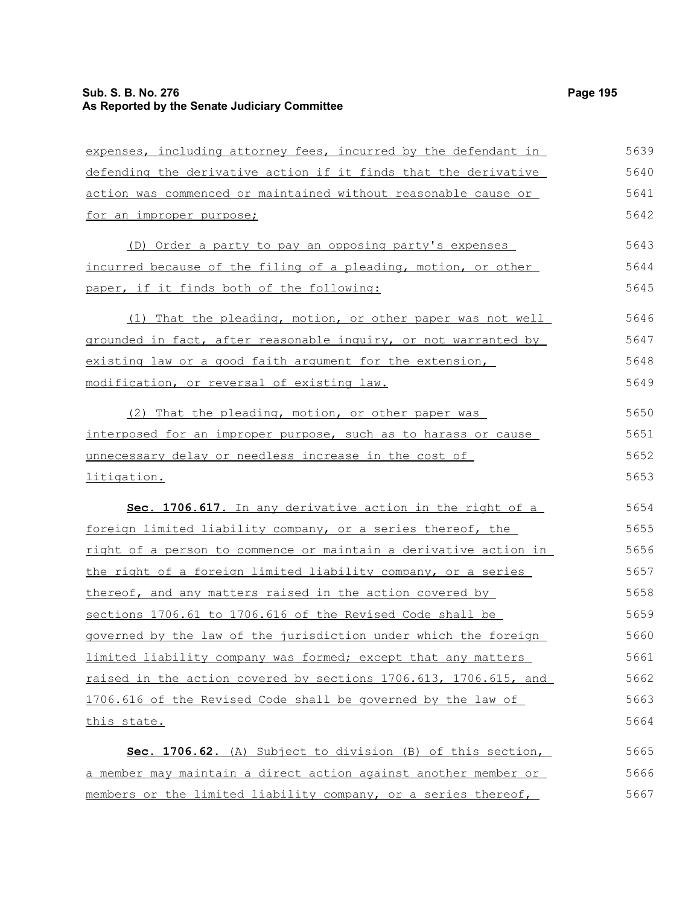| expenses, including attorney fees, incurred by the defendant in  | 5639 |
|------------------------------------------------------------------|------|
| defending the derivative action if it finds that the derivative  | 5640 |
| action was commenced or maintained without reasonable cause or   | 5641 |
| for an improper purpose;                                         | 5642 |
| (D) Order a party to pay an opposing party's expenses            | 5643 |
| incurred because of the filing of a pleading, motion, or other   | 5644 |
| paper, if it finds both of the following:                        | 5645 |
| (1) That the pleading, motion, or other paper was not well       | 5646 |
| grounded in fact, after reasonable inquiry, or not warranted by  | 5647 |
| existing law or a good faith argument for the extension,         | 5648 |
| modification, or reversal of existing law.                       | 5649 |
| (2) That the pleading, motion, or other paper was                | 5650 |
| interposed for an improper purpose, such as to harass or cause   | 5651 |
| unnecessary delay or needless increase in the cost of            | 5652 |
| litigation.                                                      | 5653 |
| Sec. 1706.617. In any derivative action in the right of a        | 5654 |
| foreign limited liability company, or a series thereof, the      | 5655 |
| right of a person to commence or maintain a derivative action in | 5656 |
| the right of a foreign limited liability company, or a series    | 5657 |
| thereof, and any matters raised in the action covered by         | 5658 |
| sections 1706.61 to 1706.616 of the Revised Code shall be        | 5659 |
| governed by the law of the jurisdiction under which the foreign  | 5660 |
| limited liability company was formed; except that any matters    | 5661 |
| raised in the action covered by sections 1706.613, 1706.615, and | 5662 |
| 1706.616 of the Revised Code shall be governed by the law of     | 5663 |
| this state.                                                      | 5664 |
| Sec. 1706.62. (A) Subject to division (B) of this section,       | 5665 |
| a member may maintain a direct action against another member or  | 5666 |
| members or the limited liability company, or a series thereof,   | 5667 |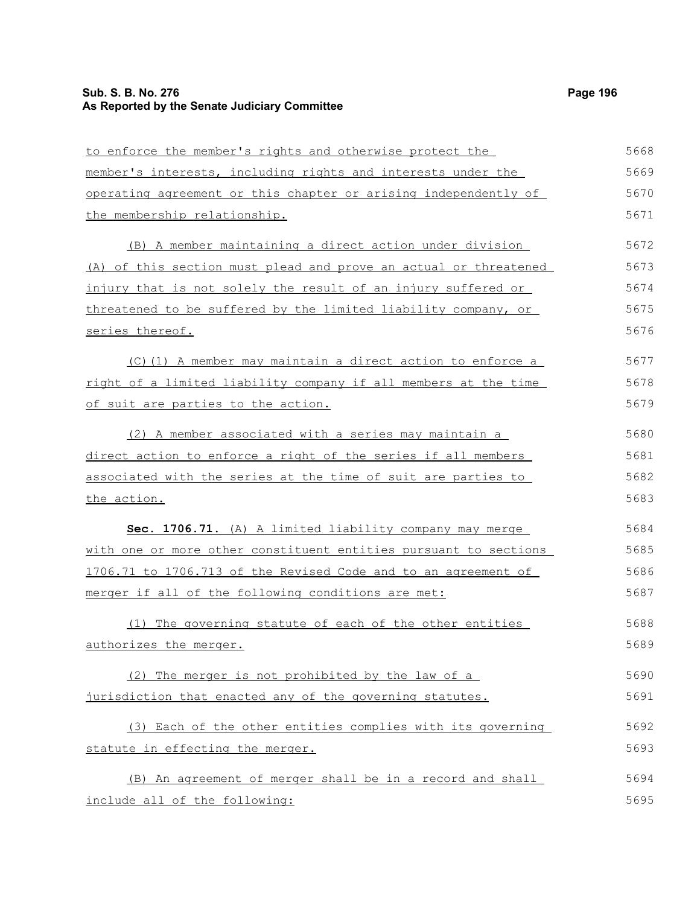# **Sub. S. B. No. 276 Page 196 As Reported by the Senate Judiciary Committee**

| to enforce the member's rights and otherwise protect the         | 5668 |
|------------------------------------------------------------------|------|
| member's interests, including rights and interests under the     | 5669 |
| operating agreement or this chapter or arising independently of  | 5670 |
| the membership relationship.                                     | 5671 |
| (B) A member maintaining a direct action under division          | 5672 |
| (A) of this section must plead and prove an actual or threatened | 5673 |
| injury that is not solely the result of an injury suffered or    | 5674 |
| threatened to be suffered by the limited liability company, or   | 5675 |
| series thereof.                                                  | 5676 |
| (C)(1) A member may maintain a direct action to enforce a        | 5677 |
| right of a limited liability company if all members at the time  | 5678 |
| of suit are parties to the action.                               | 5679 |
| (2) A member associated with a series may maintain a             | 5680 |
| direct action to enforce a right of the series if all members    | 5681 |
| associated with the series at the time of suit are parties to    | 5682 |
| the action.                                                      | 5683 |
| Sec. 1706.71. (A) A limited liability company may merge          | 5684 |
| with one or more other constituent entities pursuant to sections | 5685 |
| 1706.71 to 1706.713 of the Revised Code and to an agreement of   | 5686 |
| merger if all of the following conditions are met:               | 5687 |
| (1) The governing statute of each of the other entities          | 5688 |
| authorizes the merger.                                           | 5689 |
| (2) The merger is not prohibited by the law of a                 | 5690 |
| jurisdiction that enacted any of the governing statutes.         | 5691 |
| (3) Each of the other entities complies with its governing       | 5692 |
| statute in effecting the merger.                                 | 5693 |
| (B) An agreement of merger shall be in a record and shall        | 5694 |
| include all of the following:                                    | 5695 |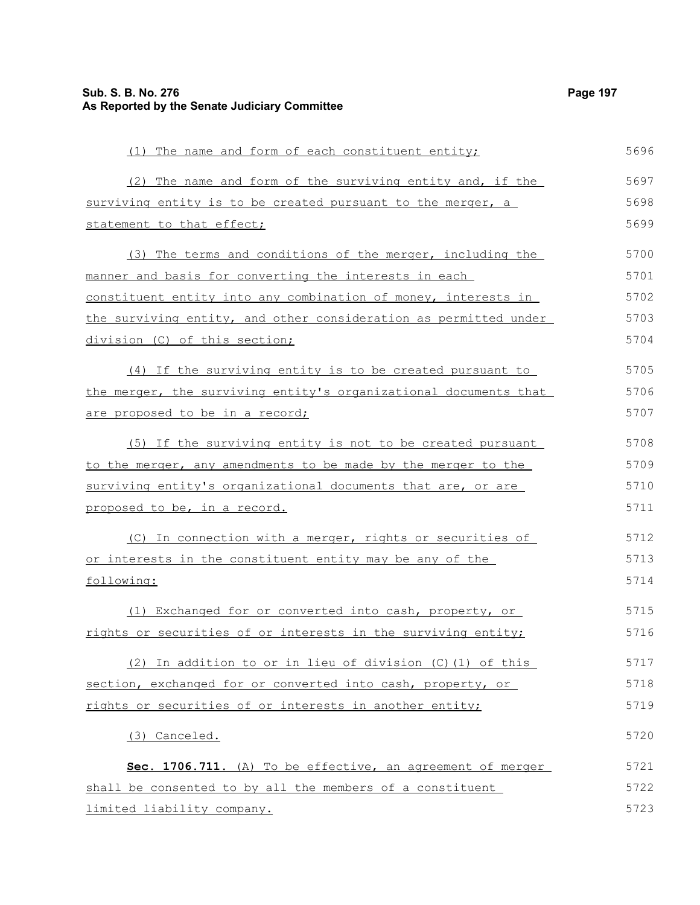| (1) The name and form of each constituent entity;                | 5696 |
|------------------------------------------------------------------|------|
| (2) The name and form of the surviving entity and, if the        | 5697 |
| surviving entity is to be created pursuant to the merger, a      | 5698 |
| statement to that effect;                                        | 5699 |
| (3) The terms and conditions of the merger, including the        | 5700 |
| manner and basis for converting the interests in each            | 5701 |
| constituent entity into any combination of money, interests in   | 5702 |
| the surviving entity, and other consideration as permitted under | 5703 |
| division (C) of this section;                                    | 5704 |
| (4) If the surviving entity is to be created pursuant to         | 5705 |
| the merger, the surviving entity's organizational documents that | 5706 |
| are proposed to be in a record;                                  | 5707 |
| (5) If the surviving entity is not to be created pursuant        | 5708 |
| to the merger, any amendments to be made by the merger to the    | 5709 |
| surviving entity's organizational documents that are, or are     | 5710 |
| proposed to be, in a record.                                     | 5711 |
| (C) In connection with a merger, rights or securities of         | 5712 |
| <u>or interests in the constituent entity may be any of the</u>  | 5713 |
| following:                                                       | 5714 |
| (1) Exchanged for or converted into cash, property, or           | 5715 |
| rights or securities of or interests in the surviving entity;    | 5716 |
| (2) In addition to or in lieu of division (C) (1) of this        | 5717 |
| section, exchanged for or converted into cash, property, or      | 5718 |
| rights or securities of or interests in another entity;          | 5719 |
| (3) Canceled.                                                    | 5720 |
| Sec. 1706.711. (A) To be effective, an agreement of merger       | 5721 |
| shall be consented to by all the members of a constituent        | 5722 |
| limited liability company.                                       | 5723 |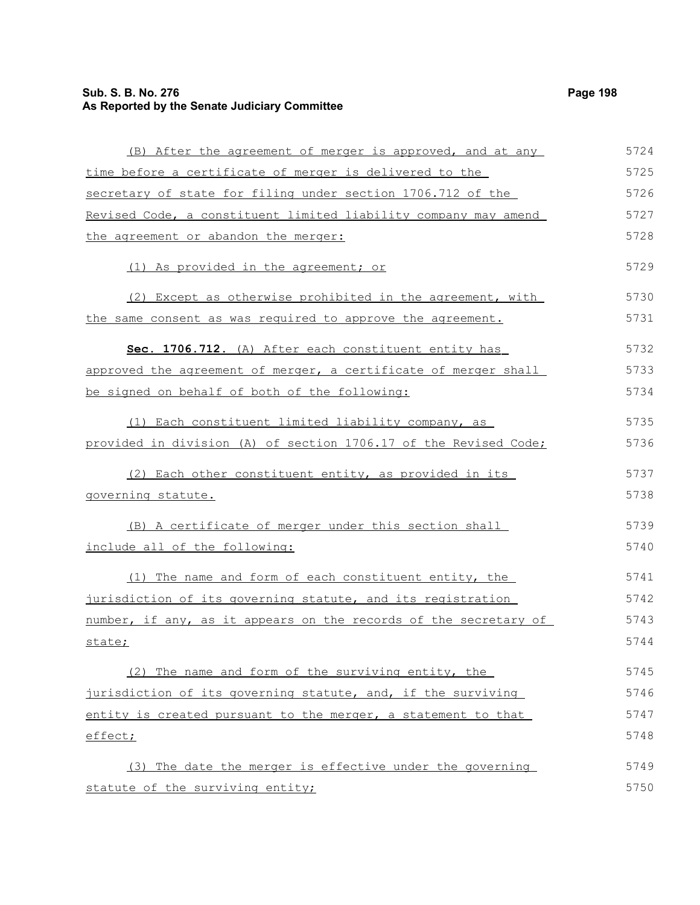# **Sub. S. B. No. 276 Page 198 As Reported by the Senate Judiciary Committee**

| (B) After the agreement of merger is approved, and at any        | 5724 |
|------------------------------------------------------------------|------|
| time before a certificate of merger is delivered to the          | 5725 |
| secretary of state for filing under section 1706.712 of the      | 5726 |
| Revised Code, a constituent limited liability company may amend  | 5727 |
| the agreement or abandon the merger:                             | 5728 |
| (1) As provided in the agreement; or                             | 5729 |
| (2) Except as otherwise prohibited in the agreement, with        | 5730 |
| the same consent as was required to approve the agreement.       | 5731 |
| Sec. 1706.712. (A) After each constituent entity has             | 5732 |
| approved the agreement of merger, a certificate of merger shall  | 5733 |
| be signed on behalf of both of the following:                    | 5734 |
| (1) Each constituent limited liability company, as               | 5735 |
| provided in division (A) of section 1706.17 of the Revised Code; | 5736 |
| (2) Each other constituent entity, as provided in its            | 5737 |
| governing statute.                                               | 5738 |
| (B) A certificate of merger under this section shall             | 5739 |
| include all of the following:                                    | 5740 |
| (1) The name and form of each constituent entity, the            | 5741 |
| jurisdiction of its governing statute, and its registration      | 5742 |
| number, if any, as it appears on the records of the secretary of | 5743 |
| state;                                                           | 5744 |
| (2) The name and form of the surviving entity, the               | 5745 |
| jurisdiction of its governing statute, and, if the surviving     | 5746 |
| entity is created pursuant to the merger, a statement to that    | 5747 |
| effect;                                                          | 5748 |
| (3) The date the merger is effective under the governing         | 5749 |
| statute of the surviving entity;                                 | 5750 |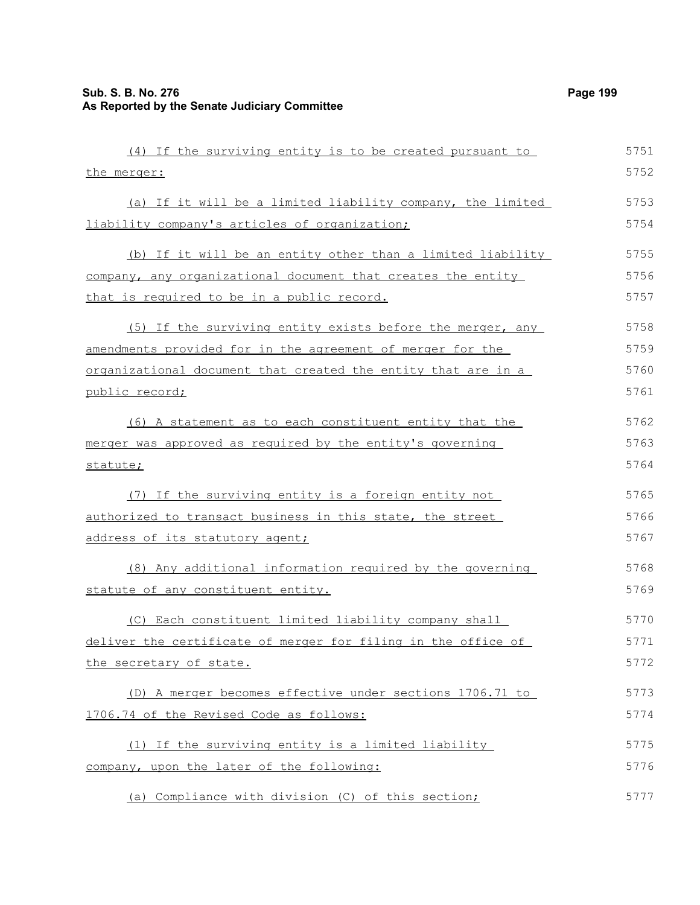| (4) If the surviving entity is to be created pursuant to             | 5751 |
|----------------------------------------------------------------------|------|
| the merger:                                                          | 5752 |
| (a) If it will be a limited liability company, the limited           | 5753 |
| liability company's articles of organization;                        | 5754 |
| (b) If it will be an entity other than a limited liability           | 5755 |
| company, any organizational document that creates the entity         | 5756 |
| that is required to be in a public record.                           | 5757 |
| (5) If the surviving entity exists before the merger, any            | 5758 |
| amendments provided for in the agreement of merger for the           | 5759 |
| <u>organizational document that created the entity that are in a</u> | 5760 |
| public record;                                                       | 5761 |
| (6) A statement as to each constituent entity that the               | 5762 |
| merger was approved as required by the entity's governing            | 5763 |
| statute;                                                             | 5764 |
| (7) If the surviving entity is a foreign entity not                  | 5765 |
| authorized to transact business in this state, the street            | 5766 |
| address of its statutory agent;                                      | 5767 |
| (8) Any additional information required by the governing             | 5768 |
| statute of any constituent entity.                                   | 5769 |
| (C) Each constituent limited liability company shall                 | 5770 |
| deliver the certificate of merger for filing in the office of        | 5771 |
| the secretary of state.                                              | 5772 |
| (D) A merger becomes effective under sections 1706.71 to             | 5773 |
| 1706.74 of the Revised Code as follows:                              | 5774 |
| (1) If the surviving entity is a limited liability                   | 5775 |
| company, upon the later of the following:                            | 5776 |
| (a) Compliance with division (C) of this section;                    | 5777 |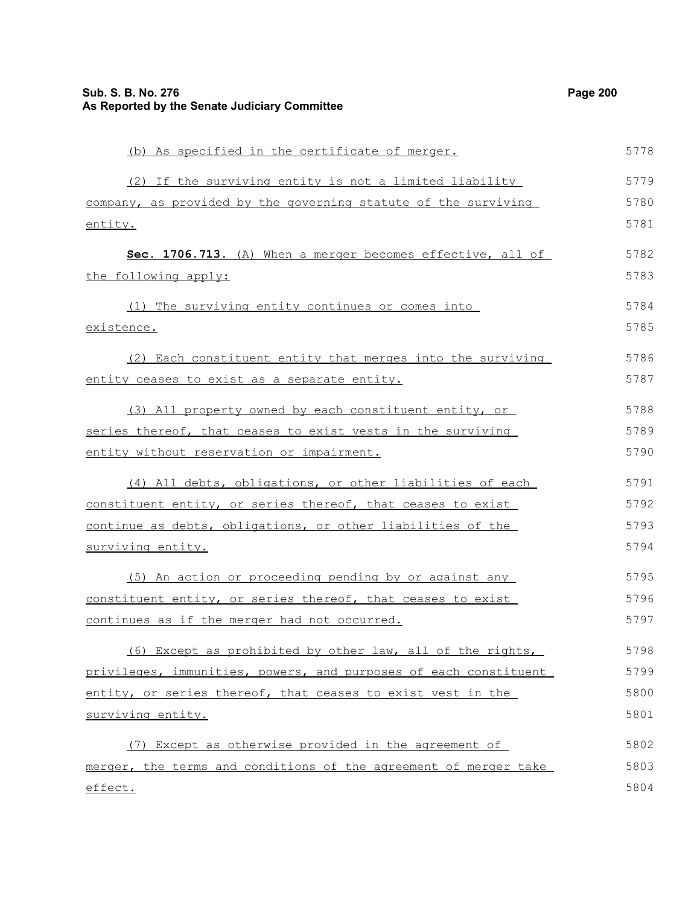| (b) As specified in the certificate of merger.                   | 5778 |
|------------------------------------------------------------------|------|
| (2) If the surviving entity is not a limited liability           | 5779 |
| company, as provided by the governing statute of the surviving   | 5780 |
| <u>entity.</u>                                                   | 5781 |
| Sec. 1706.713. (A) When a merger becomes effective, all of       | 5782 |
| the following apply:                                             | 5783 |
| (1) The surviving entity continues or comes into                 | 5784 |
| <u>existence.</u>                                                | 5785 |
| (2) Each constituent entity that merges into the surviving       | 5786 |
| entity ceases to exist as a separate entity.                     | 5787 |
| (3) All property owned by each constituent entity, or            | 5788 |
| series thereof, that ceases to exist vests in the surviving      | 5789 |
| entity without reservation or impairment.                        | 5790 |
| (4) All debts, obligations, or other liabilities of each         | 5791 |
| constituent entity, or series thereof, that ceases to exist      | 5792 |
| continue as debts, obligations, or other liabilities of the      | 5793 |
| <u>surviving entity.</u>                                         | 5794 |
| (5) An action or proceeding pending by or against any            | 5795 |
| constituent entity, or series thereof, that ceases to exist      | 5796 |
| continues as if the merger had not occurred.                     | 5797 |
| (6) Except as prohibited by other law, all of the rights,        | 5798 |
| privileges, immunities, powers, and purposes of each constituent | 5799 |
| entity, or series thereof, that ceases to exist vest in the      | 5800 |
| surviving entity.                                                | 5801 |
| (7) Except as otherwise provided in the agreement of             | 5802 |
| merger, the terms and conditions of the agreement of merger take | 5803 |
| effect.                                                          | 5804 |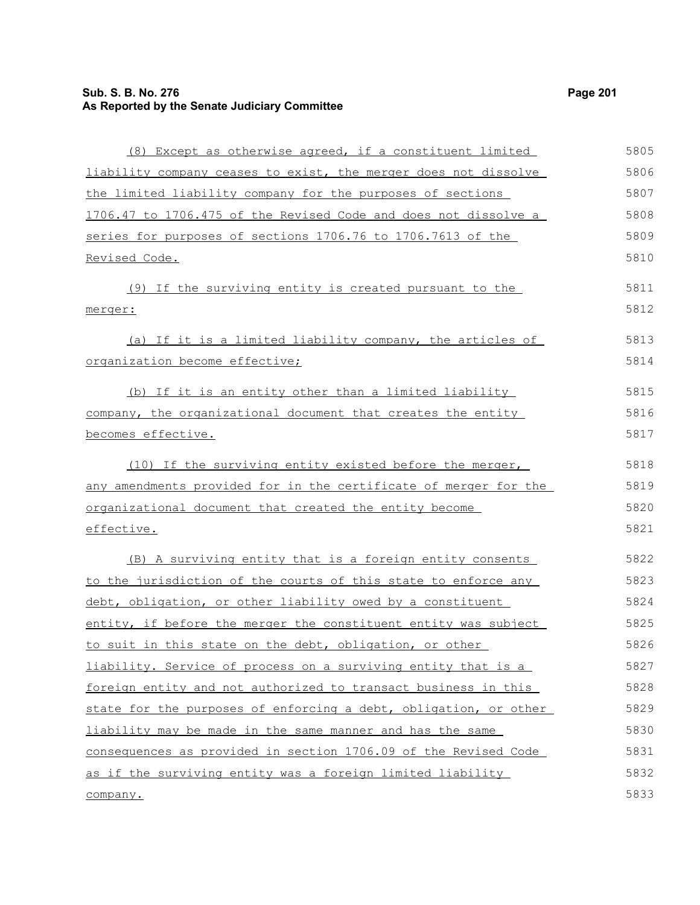# **Sub. S. B. No. 276 Page 201 As Reported by the Senate Judiciary Committee**

| (8) Except as otherwise agreed, if a constituent limited         | 5805 |
|------------------------------------------------------------------|------|
| liability company ceases to exist, the merger does not dissolve  | 5806 |
| the limited liability company for the purposes of sections       | 5807 |
| 1706.47 to 1706.475 of the Revised Code and does not dissolve a  | 5808 |
| series for purposes of sections 1706.76 to 1706.7613 of the      | 5809 |
| Revised Code.                                                    | 5810 |
| (9) If the surviving entity is created pursuant to the           | 5811 |
| merger:                                                          | 5812 |
| (a) If it is a limited liability company, the articles of        | 5813 |
| organization become effective;                                   | 5814 |
| (b) If it is an entity other than a limited liability            | 5815 |
| company, the organizational document that creates the entity     | 5816 |
| becomes effective.                                               | 5817 |
| (10) If the surviving entity existed before the merger,          | 5818 |
| any amendments provided for in the certificate of merger for the | 5819 |
| organizational document that created the entity become           | 5820 |
| effective.                                                       | 5821 |
| (B) A surviving entity that is a foreign entity consents         | 5822 |
| to the jurisdiction of the courts of this state to enforce any   | 5823 |
| debt, obligation, or other liability owed by a constituent       | 5824 |
| entity, if before the merger the constituent entity was subject  | 5825 |
| to suit in this state on the debt, obligation, or other          | 5826 |
| liability. Service of process on a surviving entity that is a    | 5827 |
| foreign entity and not authorized to transact business in this   | 5828 |
| state for the purposes of enforcing a debt, obligation, or other | 5829 |
| liability may be made in the same manner and has the same        | 5830 |
| consequences as provided in section 1706.09 of the Revised Code  | 5831 |
| as if the surviving entity was a foreign limited liability       | 5832 |
| company.                                                         | 5833 |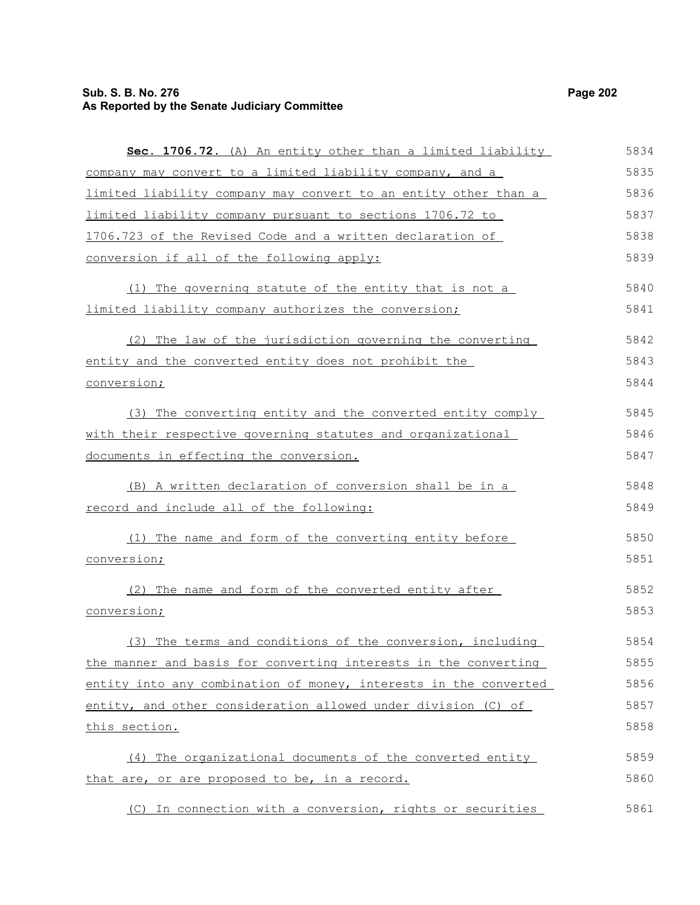# **Sub. S. B. No. 276 Page 202 As Reported by the Senate Judiciary Committee**

| Sec. 1706.72. (A) An entity other than a limited liability       | 5834 |
|------------------------------------------------------------------|------|
| company may convert to a limited liability company, and a        | 5835 |
| limited liability company may convert to an entity other than a  | 5836 |
| limited liability company pursuant to sections 1706.72 to        | 5837 |
| 1706.723 of the Revised Code and a written declaration of        | 5838 |
| conversion if all of the following apply:                        | 5839 |
| (1) The governing statute of the entity that is not a            | 5840 |
| limited liability company authorizes the conversion;             | 5841 |
| (2) The law of the jurisdiction governing the converting         | 5842 |
| entity and the converted entity does not prohibit the            | 5843 |
| conversion;                                                      | 5844 |
| (3) The converting entity and the converted entity comply        | 5845 |
| with their respective governing statutes and organizational      | 5846 |
| documents in effecting the conversion.                           | 5847 |
| (B) A written declaration of conversion shall be in a            | 5848 |
| record and include all of the following:                         | 5849 |
| (1) The name and form of the converting entity before            | 5850 |
| conversion;                                                      | 5851 |
| (2) The name and form of the converted entity after              | 5852 |
| conversion;                                                      | 5853 |
| (3) The terms and conditions of the conversion, including        | 5854 |
| the manner and basis for converting interests in the converting  | 5855 |
| entity into any combination of money, interests in the converted | 5856 |
| entity, and other consideration allowed under division (C) of    | 5857 |
| this section.                                                    | 5858 |
| (4) The organizational documents of the converted entity         | 5859 |
| that are, or are proposed to be, in a record.                    | 5860 |
| (C) In connection with a conversion, rights or securities        | 5861 |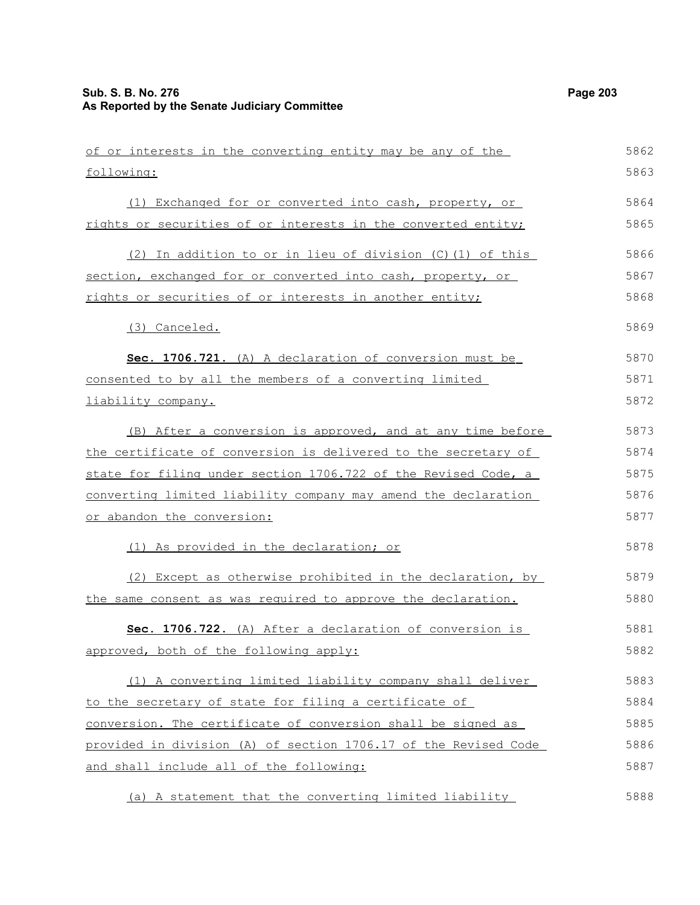of or interests in the converting entity may be any of the (1) Exchanged for or converted into cash, property, or 5862 5863 5864

| rights or securities of or interests in the converted entity; | 5865 |
|---------------------------------------------------------------|------|
| (2) In addition to or in lieu of division $(C)$ (1) of this   | 5866 |
| section, exchanged for or converted into cash, property, or   | 5867 |
| rights or securities of or interests in another entity;       | 5868 |
| (3) Canceled.                                                 | 5869 |
| <b>Sec. 1706.721.</b> (A) A declaration of conversion must be | 5870 |
| consented to by all the members of a converting limited       | 5871 |

liability company.

following:

| (B) After a conversion is approved, and at any time before     | 5873 |
|----------------------------------------------------------------|------|
| the certificate of conversion is delivered to the secretary of | 5874 |
| state for filing under section 1706.722 of the Revised Code, a | 5875 |
| converting limited liability company may amend the declaration | 5876 |
| or abandon the conversion:                                     | 5877 |

(1) As provided in the declaration; or

(2) Except as otherwise prohibited in the declaration, by the same consent as was required to approve the declaration. 5879 5880

|                                        |  |  |  | Sec. 1706.722. (A) After a declaration of conversion is |  | 5881 |
|----------------------------------------|--|--|--|---------------------------------------------------------|--|------|
| approved, both of the following apply: |  |  |  |                                                         |  | 5882 |

(1) A converting limited liability company shall deliver to the secretary of state for filing a certificate of conversion. The certificate of conversion shall be signed as provided in division (A) of section 1706.17 of the Revised Code and shall include all of the following: 5883 5884 5885 5886 5887

(a) A statement that the converting limited liability

5872

5878

5888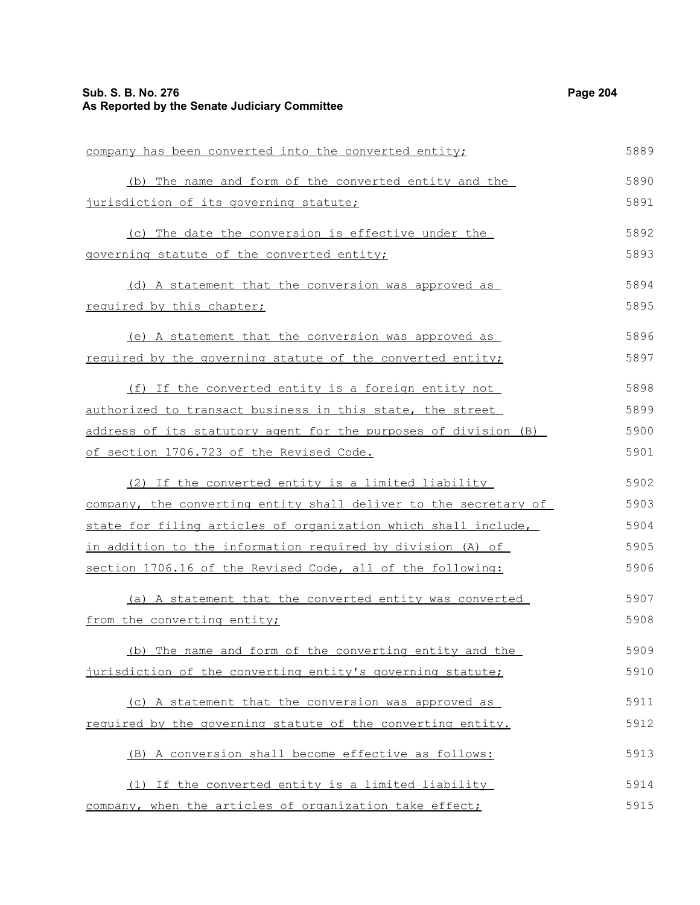# **Sub. S. B. No. 276 Page 204 As Reported by the Senate Judiciary Committee**

| company has been converted into the converted entity;                  | 5889 |
|------------------------------------------------------------------------|------|
| (b) The name and form of the converted entity and the                  | 5890 |
| jurisdiction of its governing statute;                                 | 5891 |
| (c) The date the conversion is effective under the                     | 5892 |
| governing statute of the converted entity;                             | 5893 |
| (d) A statement that the conversion was approved as                    | 5894 |
| required by this chapter;                                              | 5895 |
| (e) A statement that the conversion was approved as                    | 5896 |
| required by the governing statute of the converted entity;             | 5897 |
| (f) If the converted entity is a foreign entity not                    | 5898 |
| authorized to transact business in this state, the street              | 5899 |
| <u>address of its statutory agent for the purposes of division (B)</u> | 5900 |
| of section 1706.723 of the Revised Code.                               | 5901 |
| (2) If the converted entity is a limited liability                     | 5902 |
| company, the converting entity shall deliver to the secretary of       | 5903 |
| state for filing articles of organization which shall include,         | 5904 |
| in addition to the information required by division (A) of             | 5905 |
| section 1706.16 of the Revised Code, all of the following:             | 5906 |
| (a) A statement that the converted entity was converted                | 5907 |
| from the converting entity;                                            | 5908 |
| (b) The name and form of the converting entity and the                 | 5909 |
| jurisdiction of the converting entity's governing statute;             | 5910 |
| (c) A statement that the conversion was approved as                    | 5911 |
| required by the governing statute of the converting entity.            | 5912 |
| (B) A conversion shall become effective as follows:                    | 5913 |
| (1) If the converted entity is a limited liability                     | 5914 |
| company, when the articles of organization take effect;                | 5915 |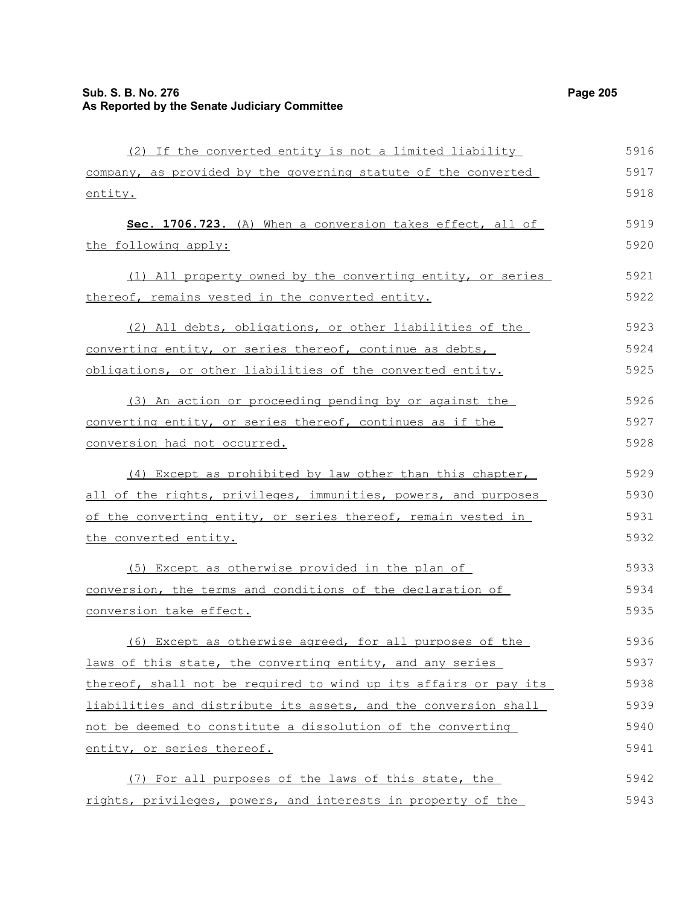(2) If the converted entity is not a limited liability company, as provided by the governing statute of the converted entity. **Sec. 1706.723.** (A) When a conversion takes effect, all of the following apply: (1) All property owned by the converting entity, or series thereof, remains vested in the converted entity. (2) All debts, obligations, or other liabilities of the converting entity, or series thereof, continue as debts, obligations, or other liabilities of the converted entity. (3) An action or proceeding pending by or against the converting entity, or series thereof, continues as if the conversion had not occurred. (4) Except as prohibited by law other than this chapter, all of the rights, privileges, immunities, powers, and purposes of the converting entity, or series thereof, remain vested in the converted entity. (5) Except as otherwise provided in the plan of conversion, the terms and conditions of the declaration of conversion take effect. (6) Except as otherwise agreed, for all purposes of the laws of this state, the converting entity, and any series thereof, shall not be required to wind up its affairs or pay its liabilities and distribute its assets, and the conversion shall not be deemed to constitute a dissolution of the converting entity, or series thereof. (7) For all purposes of the laws of this state, the rights, privileges, powers, and interests in property of the 5916 5917 5918 5919 5920 5921 5922 5923 5924 5925 5926 5927 5928 5929 5930 5931 5932 5933 5934 5935 5936 5937 5938 5939 5940 5941 5942 5943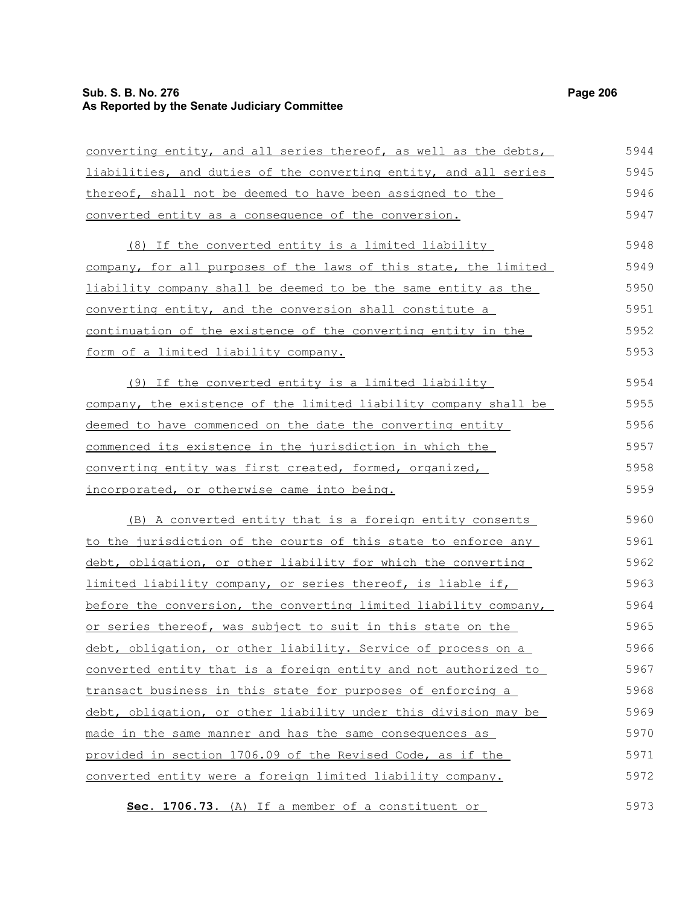# **Sub. S. B. No. 276 Page 206 As Reported by the Senate Judiciary Committee**

| converting entity, and all series thereof, as well as the debts,   | 5944 |
|--------------------------------------------------------------------|------|
| liabilities, and duties of the converting entity, and all series   | 5945 |
| thereof, shall not be deemed to have been assigned to the          | 5946 |
| converted entity as a consequence of the conversion.               | 5947 |
| (8) If the converted entity is a limited liability                 | 5948 |
| company, for all purposes of the laws of this state, the limited   | 5949 |
| liability company shall be deemed to be the same entity as the     | 5950 |
| <u>converting entity, and the conversion shall constitute a</u>    | 5951 |
| continuation of the existence of the converting entity in the      | 5952 |
| <u>form of a limited liability company.</u>                        | 5953 |
| (9) If the converted entity is a limited liability                 | 5954 |
| company, the existence of the limited liability company shall be   | 5955 |
| deemed to have commenced on the date the converting entity         | 5956 |
| <u>commenced its existence in the jurisdiction in which the</u>    | 5957 |
| converting entity was first created, formed, organized,            | 5958 |
| incorporated, or otherwise came into being.                        | 5959 |
| (B) A converted entity that is a foreign entity consents           | 5960 |
| to the jurisdiction of the courts of this state to enforce any     | 5961 |
| debt, obligation, or other liability for which the converting      | 5962 |
| <u>limited liability company, or series thereof, is liable if,</u> | 5963 |
| before the conversion, the converting limited liability company,   | 5964 |
| or series thereof, was subject to suit in this state on the        | 5965 |
| debt, obligation, or other liability. Service of process on a      | 5966 |
| converted entity that is a foreign entity and not authorized to    | 5967 |
| transact business in this state for purposes of enforcing a        | 5968 |
| debt, obligation, or other liability under this division may be    | 5969 |
| made in the same manner and has the same consequences as           | 5970 |
| provided in section 1706.09 of the Revised Code, as if the         | 5971 |
| converted entity were a foreign limited liability company.         | 5972 |
| Sec. 1706.73. (A) If a member of a constituent or                  | 5973 |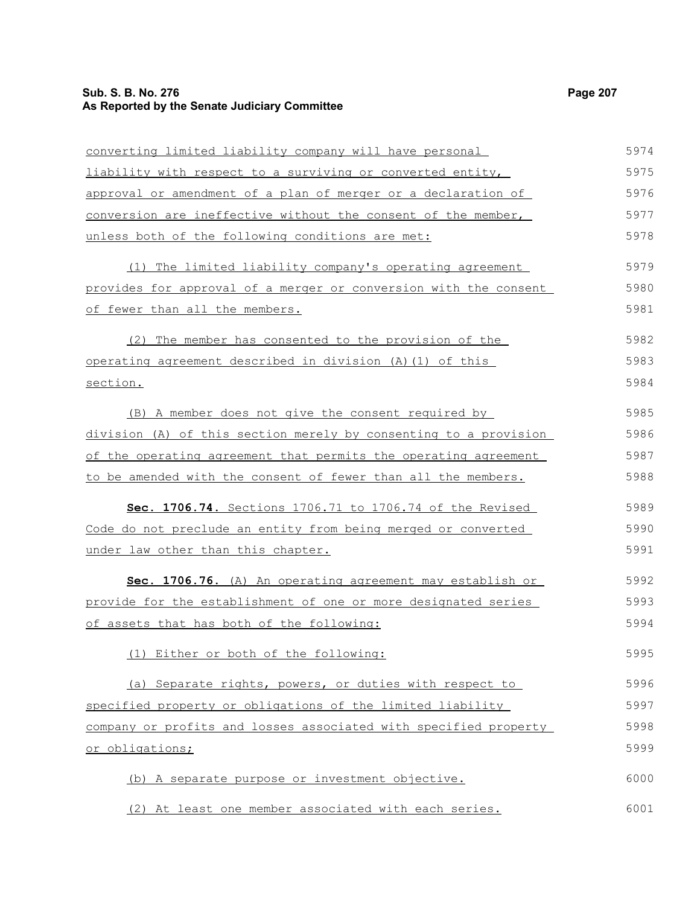# **Sub. S. B. No. 276 Page 207 As Reported by the Senate Judiciary Committee**

| converting limited liability company will have personal          | 5974 |
|------------------------------------------------------------------|------|
| liability with respect to a surviving or converted entity,       | 5975 |
| approval or amendment of a plan of merger or a declaration of    | 5976 |
| conversion are ineffective without the consent of the member,    | 5977 |
| unless both of the following conditions are met:                 | 5978 |
| (1) The limited liability company's operating agreement          | 5979 |
| provides for approval of a merger or conversion with the consent | 5980 |
| of fewer than all the members.                                   | 5981 |
| (2) The member has consented to the provision of the             | 5982 |
| operating agreement described in division (A) (1) of this        | 5983 |
| section.                                                         | 5984 |
| (B) A member does not give the consent required by               | 5985 |
| division (A) of this section merely by consenting to a provision | 5986 |
| of the operating agreement that permits the operating agreement  | 5987 |
| to be amended with the consent of fewer than all the members.    | 5988 |
| Sec. 1706.74. Sections 1706.71 to 1706.74 of the Revised         | 5989 |
| Code do not preclude an entity from being merged or converted    | 5990 |
| under law other than this chapter.                               | 5991 |
| Sec. 1706.76. (A) An operating agreement may establish or        | 5992 |
| provide for the establishment of one or more designated series   | 5993 |
| of assets that has both of the following:                        | 5994 |
| (1) Either or both of the following:                             | 5995 |
| (a) Separate rights, powers, or duties with respect to           | 5996 |
| specified property or obligations of the limited liability       | 5997 |
| company or profits and losses associated with specified property | 5998 |
| or obligations;                                                  | 5999 |
| (b) A separate purpose or investment objective.                  | 6000 |
| (2) At least one member associated with each series.             | 6001 |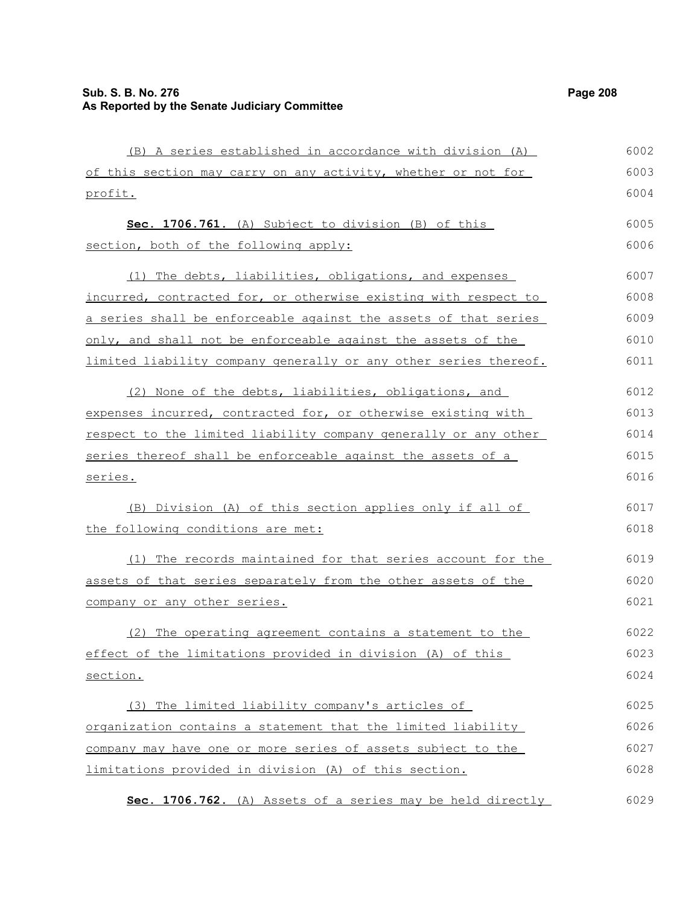(B) A series established in accordance with division (A) of this section may carry on any activity, whether or not for profit. **Sec. 1706.761.** (A) Subject to division (B) of this section, both of the following apply: (1) The debts, liabilities, obligations, and expenses incurred, contracted for, or otherwise existing with respect to a series shall be enforceable against the assets of that series only, and shall not be enforceable against the assets of the limited liability company generally or any other series thereof. (2) None of the debts, liabilities, obligations, and expenses incurred, contracted for, or otherwise existing with respect to the limited liability company generally or any other series thereof shall be enforceable against the assets of a series. (B) Division (A) of this section applies only if all of the following conditions are met: (1) The records maintained for that series account for the assets of that series separately from the other assets of the company or any other series. (2) The operating agreement contains a statement to the effect of the limitations provided in division (A) of this section. 6002 6003 6004 6005 6006 6007 6008 6009 6010 6011 6012 6013 6014 6015 6016 6017 6018 6019 6020 6021 6022 6023 6024

(3) The limited liability company's articles of organization contains a statement that the limited liability company may have one or more series of assets subject to the limitations provided in division (A) of this section. 6025 6026 6027 6028

 **Sec. 1706.762.** (A) Assets of a series may be held directly 6029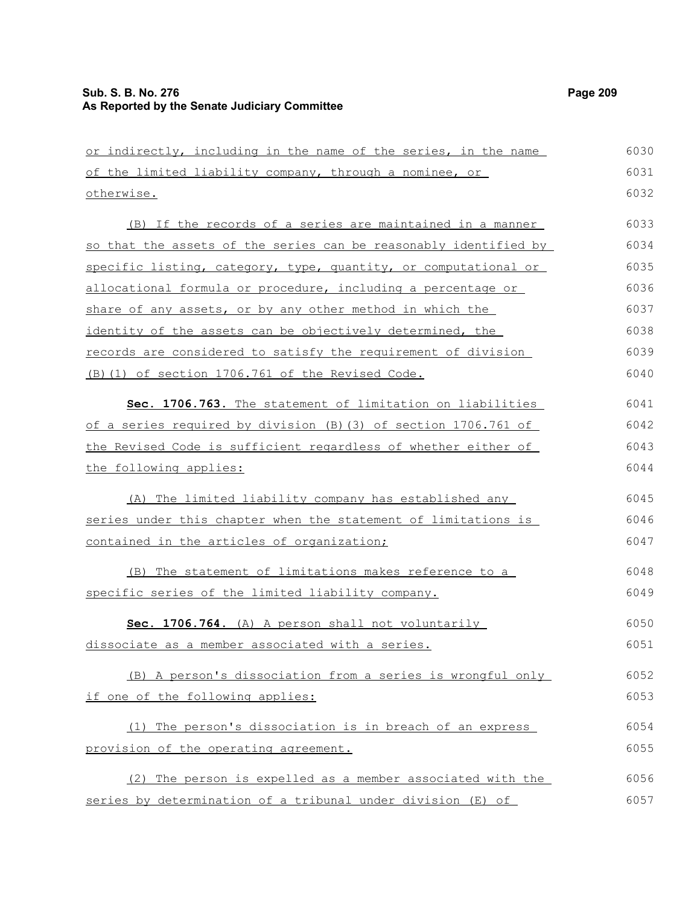| or indirectly, including in the name of the series, in the name  | 6030 |
|------------------------------------------------------------------|------|
| of the limited liability company, through a nominee, or          | 6031 |
| otherwise.                                                       | 6032 |
| (B) If the records of a series are maintained in a manner        | 6033 |
| so that the assets of the series can be reasonably identified by | 6034 |
| specific listing, category, type, quantity, or computational or  | 6035 |
| allocational formula or procedure, including a percentage or     | 6036 |
| share of any assets, or by any other method in which the         | 6037 |
| identity of the assets can be objectively determined, the        | 6038 |
| records are considered to satisfy the requirement of division    | 6039 |
| (B) (1) of section 1706.761 of the Revised Code.                 | 6040 |
| Sec. 1706.763. The statement of limitation on liabilities        | 6041 |
| of a series required by division (B) (3) of section 1706.761 of  | 6042 |
| the Revised Code is sufficient regardless of whether either of   | 6043 |
| the following applies:                                           | 6044 |
| (A) The limited liability company has established any            | 6045 |
| series under this chapter when the statement of limitations is   | 6046 |
| contained in the articles of organization;                       | 6047 |
| (B) The statement of limitations makes reference to a            | 6048 |
| specific series of the limited liability company.                | 6049 |
| Sec. 1706.764. (A) A person shall not voluntarily                | 6050 |
| dissociate as a member associated with a series.                 | 6051 |
| (B) A person's dissociation from a series is wrongful only       | 6052 |
| if one of the following applies:                                 | 6053 |
| The person's dissociation is in breach of an express<br>(1)      | 6054 |
| provision of the operating agreement.                            | 6055 |
| (2) The person is expelled as a member associated with the       | 6056 |
| series by determination of a tribunal under division (E) of      | 6057 |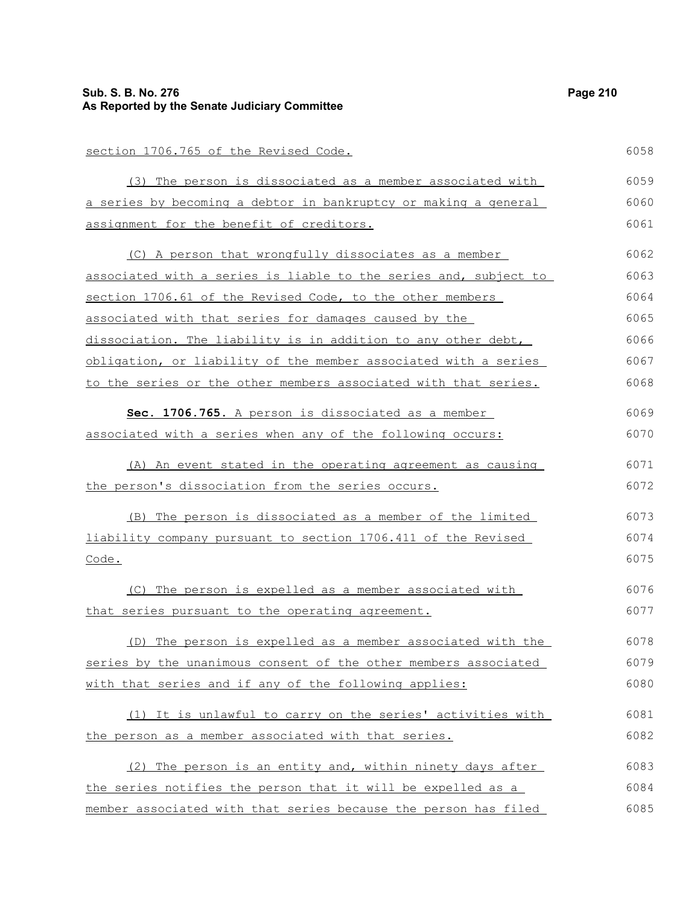#### **Sub. S. B. No. 276 Page 210 As Reported by the Senate Judiciary Committee**

#### section 1706.765 of the Revised Code. (3) The person is dissociated as a member associated with a series by becoming a debtor in bankruptcy or making a general assignment for the benefit of creditors. (C) A person that wrongfully dissociates as a member associated with a series is liable to the series and, subject to section 1706.61 of the Revised Code, to the other members associated with that series for damages caused by the dissociation. The liability is in addition to any other debt, obligation, or liability of the member associated with a series to the series or the other members associated with that series. **Sec. 1706.765.** A person is dissociated as a member associated with a series when any of the following occurs: (A) An event stated in the operating agreement as causing the person's dissociation from the series occurs. (B) The person is dissociated as a member of the limited liability company pursuant to section 1706.411 of the Revised Code. (C) The person is expelled as a member associated with that series pursuant to the operating agreement. (D) The person is expelled as a member associated with the series by the unanimous consent of the other members associated with that series and if any of the following applies: (1) It is unlawful to carry on the series' activities with the person as a member associated with that series. (2) The person is an entity and, within ninety days after the series notifies the person that it will be expelled as a 6058 6059 6060 6061 6062 6063 6064 6065 6066 6067 6068 6069 6070 6071 6072 6073 6074 6075 6076 6077 6078 6079 6080 6081 6082 6083 6084

member associated with that series because the person has filed

6085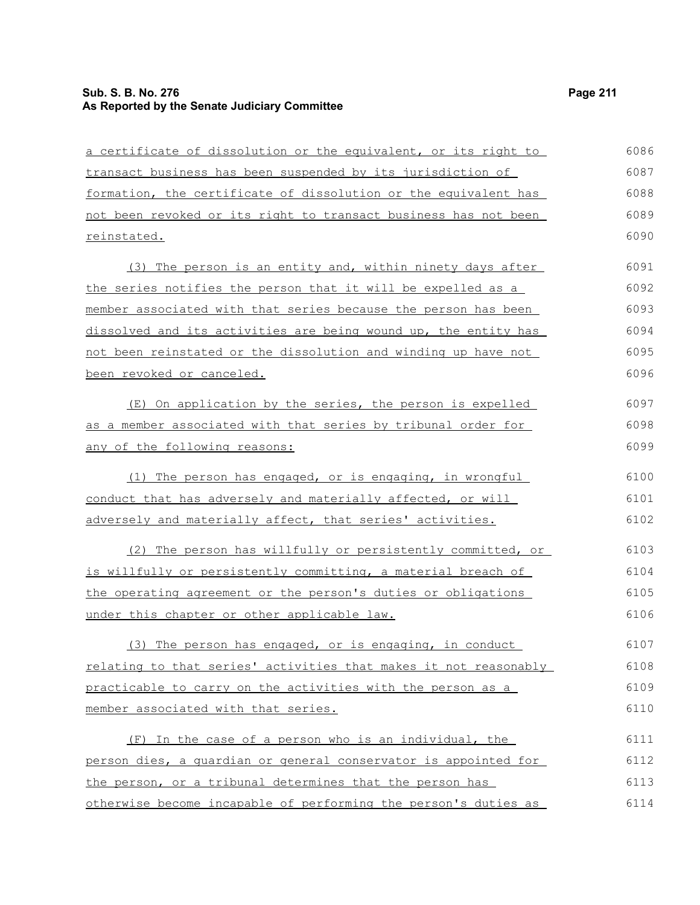# **Sub. S. B. No. 276 Page 211 As Reported by the Senate Judiciary Committee**

| a certificate of dissolution or the equivalent, or its right to  | 6086 |
|------------------------------------------------------------------|------|
| transact business has been suspended by its jurisdiction of      | 6087 |
| formation, the certificate of dissolution or the equivalent has  | 6088 |
| not been revoked or its right to transact business has not been  | 6089 |
| reinstated.                                                      | 6090 |
| (3) The person is an entity and, within ninety days after        | 6091 |
| the series notifies the person that it will be expelled as a     | 6092 |
| member associated with that series because the person has been   | 6093 |
| dissolved and its activities are being wound up, the entity has  | 6094 |
| not been reinstated or the dissolution and winding up have not   | 6095 |
| been revoked or canceled.                                        | 6096 |
| (E) On application by the series, the person is expelled         | 6097 |
| as a member associated with that series by tribunal order for    | 6098 |
| any of the following reasons:                                    | 6099 |
| (1) The person has engaged, or is engaging, in wrongful          | 6100 |
| conduct that has adversely and materially affected, or will      | 6101 |
| adversely and materially affect, that series' activities.        | 6102 |
| (2) The person has willfully or persistently committed, or       | 6103 |
| is willfully or persistently committing, a material breach of    | 6104 |
| the operating agreement or the person's duties or obligations    | 6105 |
| under this chapter or other applicable law.                      | 6106 |
| (3) The person has engaged, or is engaging, in conduct           | 6107 |
| relating to that series' activities that makes it not reasonably | 6108 |
| practicable to carry on the activities with the person as a      | 6109 |
| member associated with that series.                              | 6110 |
| (F) In the case of a person who is an individual, the            | 6111 |
| person dies, a quardian or general conservator is appointed for  | 6112 |
| the person, or a tribunal determines that the person has         | 6113 |
| otherwise become incapable of performing the person's duties as  | 6114 |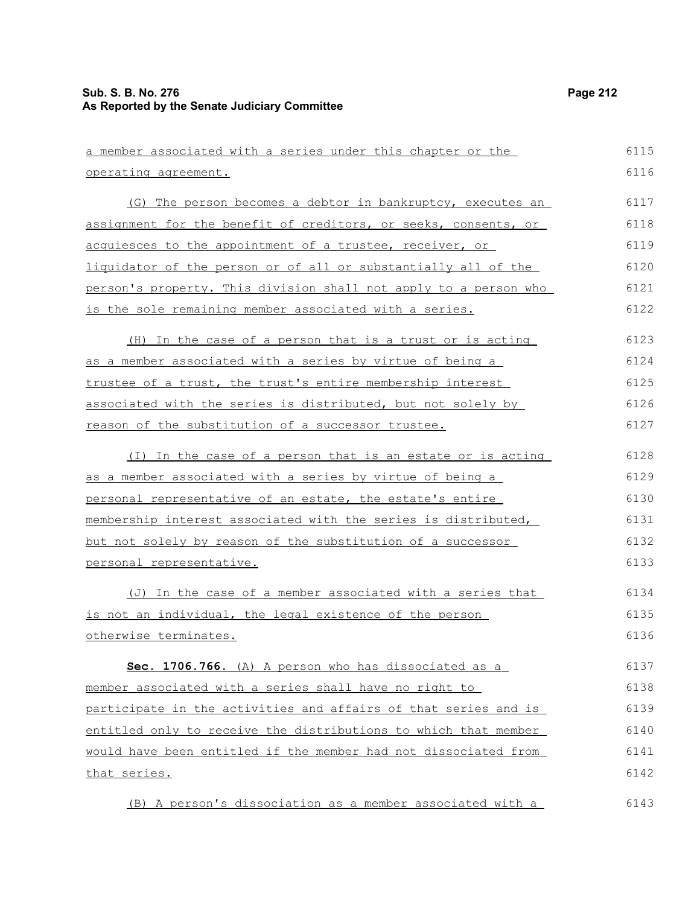| <u>a member associated with a series under this chapter or the </u> | 6115 |
|---------------------------------------------------------------------|------|
| operating agreement.                                                | 6116 |
| (G) The person becomes a debtor in bankruptcy, executes an          | 6117 |
| assignment for the benefit of creditors, or seeks, consents, or     | 6118 |
| <u>acquiesces to the appointment of a trustee, receiver, or </u>    | 6119 |
| liquidator of the person or of all or substantially all of the      | 6120 |
| person's property. This division shall not apply to a person who    | 6121 |
| is the sole remaining member associated with a series.              | 6122 |
| (H) In the case of a person that is a trust or is acting            | 6123 |
| <u>as a member associated with a series by virtue of being a </u>   | 6124 |
| trustee of a trust, the trust's entire membership interest          | 6125 |
| associated with the series is distributed, but not solely by        | 6126 |
| reason of the substitution of a successor trustee.                  | 6127 |
| (I) In the case of a person that is an estate or is acting          | 6128 |
| as a member associated with a series by virtue of being a           | 6129 |
| <u>personal representative of an estate, the estate's entire </u>   | 6130 |
| membership interest associated with the series is distributed,      | 6131 |
| but not solely by reason of the substitution of a successor         | 6132 |
| <u>personal representative.</u>                                     | 6133 |
| (J) In the case of a member associated with a series that           | 6134 |
| <u>is not an individual, the legal existence of the person</u>      | 6135 |
| otherwise terminates.                                               | 6136 |
| Sec. 1706.766. (A) A person who has dissociated as a                | 6137 |
| member associated with a series shall have no right to              | 6138 |
| participate in the activities and affairs of that series and is     | 6139 |
| entitled only to receive the distributions to which that member     | 6140 |
| would have been entitled if the member had not dissociated from     | 6141 |
| that series.                                                        | 6142 |
| (B) A person's dissociation as a member associated with a           | 6143 |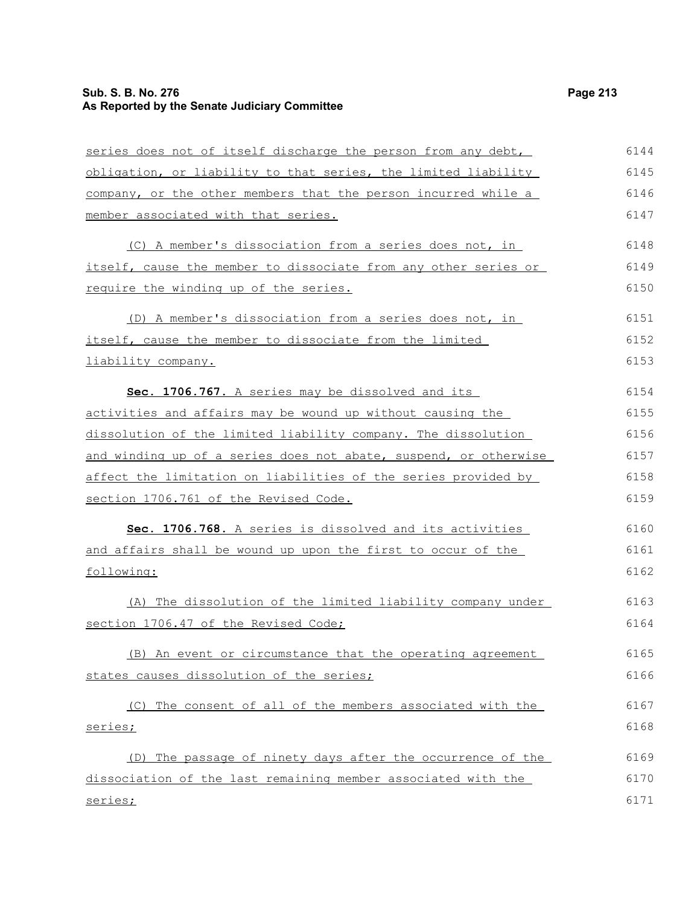# **Sub. S. B. No. 276 Page 213 As Reported by the Senate Judiciary Committee**

| series does not of itself discharge the person from any debt,    | 6144 |
|------------------------------------------------------------------|------|
| obligation, or liability to that series, the limited liability   | 6145 |
| company, or the other members that the person incurred while a   | 6146 |
| member associated with that series.                              | 6147 |
| (C) A member's dissociation from a series does not, in           | 6148 |
| itself, cause the member to dissociate from any other series or  | 6149 |
| require the winding up of the series.                            | 6150 |
| (D) A member's dissociation from a series does not, in           | 6151 |
| itself, cause the member to dissociate from the limited          | 6152 |
| liability company.                                               | 6153 |
| Sec. 1706.767. A series may be dissolved and its                 | 6154 |
| activities and affairs may be wound up without causing the       | 6155 |
| dissolution of the limited liability company. The dissolution    | 6156 |
| and winding up of a series does not abate, suspend, or otherwise | 6157 |
| affect the limitation on liabilities of the series provided by   | 6158 |
| section 1706.761 of the Revised Code.                            | 6159 |
| Sec. 1706.768. A series is dissolved and its activities          | 6160 |
| and affairs shall be wound up upon the first to occur of the     | 6161 |
| following:                                                       | 6162 |
| (A) The dissolution of the limited liability company under       | 6163 |
| section 1706.47 of the Revised Code;                             | 6164 |
| (B) An event or circumstance that the operating agreement        | 6165 |
| states causes dissolution of the series;                         | 6166 |
| (C) The consent of all of the members associated with the        | 6167 |
| series;                                                          | 6168 |
| (D) The passage of ninety days after the occurrence of the       | 6169 |
| dissociation of the last remaining member associated with the    | 6170 |
| series;                                                          | 6171 |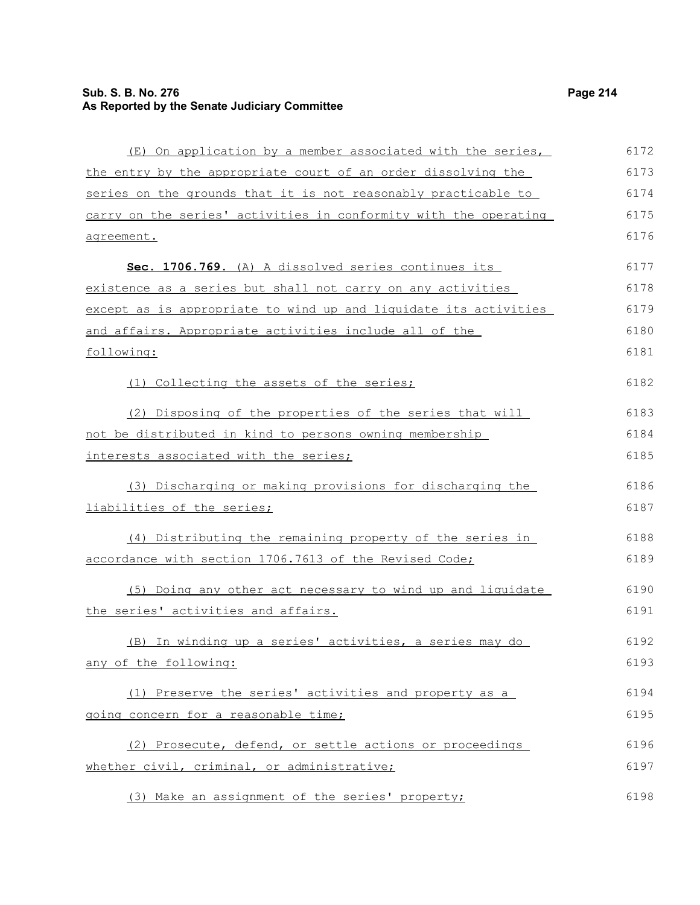# **Sub. S. B. No. 276 Page 214 As Reported by the Senate Judiciary Committee**

| (E) On application by a member associated with the series,       | 6172 |
|------------------------------------------------------------------|------|
| the entry by the appropriate court of an order dissolving the    | 6173 |
| series on the grounds that it is not reasonably practicable to   | 6174 |
| carry on the series' activities in conformity with the operating | 6175 |
| agreement.                                                       | 6176 |
| Sec. 1706.769. (A) A dissolved series continues its              | 6177 |
| existence as a series but shall not carry on any activities      | 6178 |
| except as is appropriate to wind up and liquidate its activities | 6179 |
| and affairs. Appropriate activities include all of the           | 6180 |
| following:                                                       | 6181 |
| (1) Collecting the assets of the series;                         | 6182 |
| (2) Disposing of the properties of the series that will          | 6183 |
| not be distributed in kind to persons owning membership          | 6184 |
| interests associated with the series;                            | 6185 |
| (3) Discharging or making provisions for discharging the         | 6186 |
| liabilities of the series;                                       | 6187 |
| (4) Distributing the remaining property of the series in         | 6188 |
| accordance with section 1706.7613 of the Revised Code;           | 6189 |
| (5) Doing any other act necessary to wind up and liquidate       | 6190 |
| the series' activities and affairs.                              | 6191 |
| (B) In winding up a series' activities, a series may do          | 6192 |
| any of the following:                                            | 6193 |
| (1) Preserve the series' activities and property as a            | 6194 |
| going concern for a reasonable time;                             | 6195 |
| (2) Prosecute, defend, or settle actions or proceedings          | 6196 |
| whether civil, criminal, or administrative;                      | 6197 |
| (3) Make an assignment of the series' property;                  | 6198 |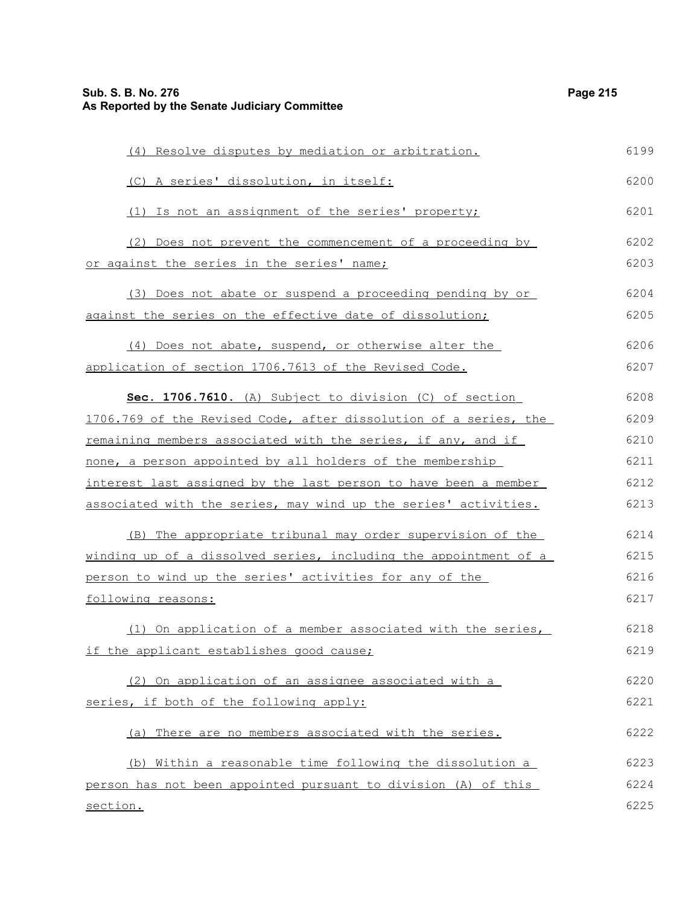| (4) Resolve disputes by mediation or arbitration.                | 6199 |
|------------------------------------------------------------------|------|
| (C) A series' dissolution, in itself:                            | 6200 |
| (1) Is not an assignment of the series' property;                | 6201 |
| (2) Does not prevent the commencement of a proceeding by         | 6202 |
| or against the series in the series' name;                       | 6203 |
| (3) Does not abate or suspend a proceeding pending by or         | 6204 |
| against the series on the effective date of dissolution;         | 6205 |
| (4) Does not abate, suspend, or otherwise alter the              | 6206 |
| application of section 1706.7613 of the Revised Code.            | 6207 |
| Sec. 1706.7610. (A) Subject to division (C) of section           | 6208 |
| 1706.769 of the Revised Code, after dissolution of a series, the | 6209 |
| remaining members associated with the series, if any, and if     | 6210 |
| none, a person appointed by all holders of the membership        | 6211 |
| interest last assigned by the last person to have been a member  | 6212 |
| associated with the series, may wind up the series' activities.  | 6213 |
| (B) The appropriate tribunal may order supervision of the        | 6214 |
| winding up of a dissolved series, including the appointment of a | 6215 |
| person to wind up the series' activities for any of the          | 6216 |
| following reasons:                                               | 6217 |
| (1) On application of a member associated with the series,       | 6218 |
| if the applicant establishes good cause;                         | 6219 |
| (2) On application of an assignee associated with a              | 6220 |
| series, if both of the following apply:                          | 6221 |
| (a) There are no members associated with the series.             | 6222 |
| (b) Within a reasonable time following the dissolution a         | 6223 |
| person has not been appointed pursuant to division (A) of this   | 6224 |
| section.                                                         | 6225 |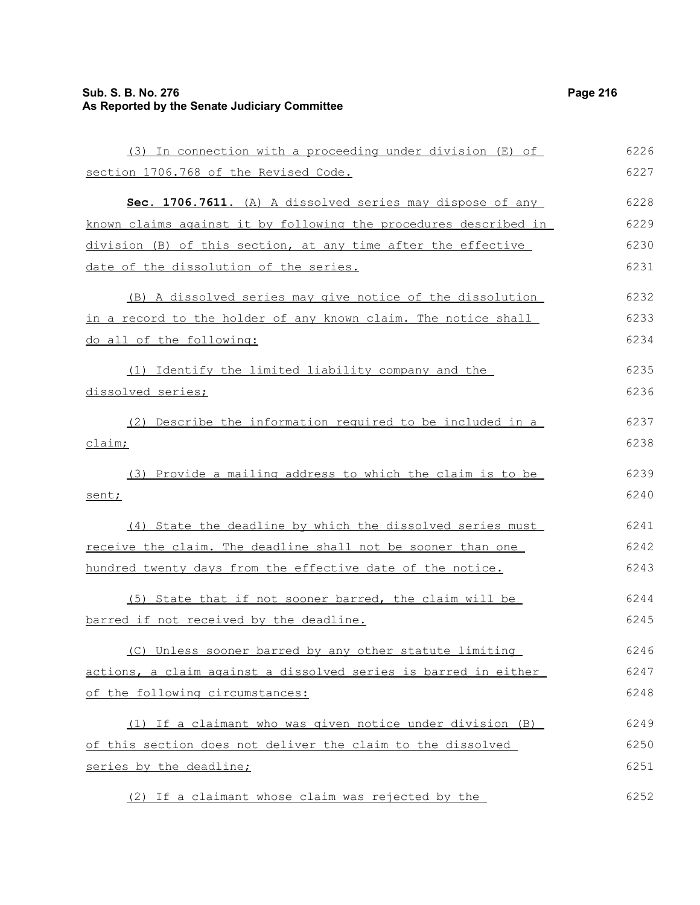# **Sub. S. B. No. 276 Page 216 As Reported by the Senate Judiciary Committee**

| (3) In connection with a proceeding under division (E) of        | 6226 |
|------------------------------------------------------------------|------|
| section 1706.768 of the Revised Code.                            | 6227 |
| Sec. 1706.7611. (A) A dissolved series may dispose of any        | 6228 |
| known claims against it by following the procedures described in | 6229 |
| division (B) of this section, at any time after the effective    | 6230 |
| date of the dissolution of the series.                           | 6231 |
| (B) A dissolved series may give notice of the dissolution        | 6232 |
| in a record to the holder of any known claim. The notice shall   | 6233 |
| do all of the following:                                         | 6234 |
| (1) Identify the limited liability company and the               | 6235 |
| dissolved series;                                                | 6236 |
| (2) Describe the information required to be included in a        | 6237 |
| claim;                                                           | 6238 |
| (3) Provide a mailing address to which the claim is to be        | 6239 |
| sent;                                                            | 6240 |
| (4) State the deadline by which the dissolved series must        | 6241 |
| receive the claim. The deadline shall not be sooner than one     | 6242 |
| hundred twenty days from the effective date of the notice.       | 6243 |
| (5) State that if not sooner barred, the claim will be           | 6244 |
| barred if not received by the deadline.                          | 6245 |
| (C) Unless sooner barred by any other statute limiting           | 6246 |
| actions, a claim against a dissolved series is barred in either  | 6247 |
| of the following circumstances:                                  | 6248 |
| (1) If a claimant who was given notice under division (B)        | 6249 |
| of this section does not deliver the claim to the dissolved      | 6250 |
| series by the deadline;                                          | 6251 |
| (2) If a claimant whose claim was rejected by the                | 6252 |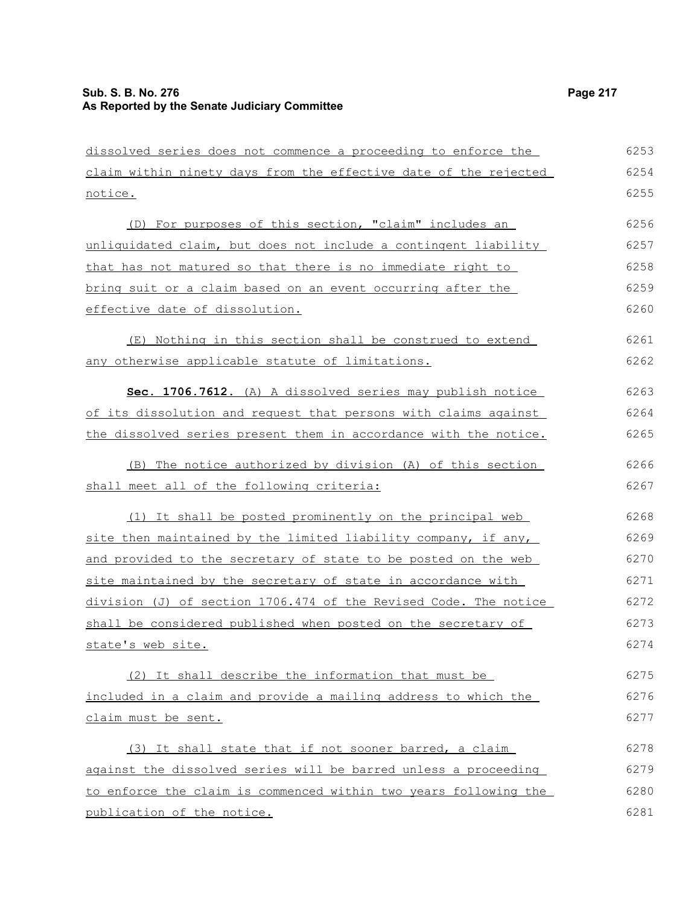| dissolved series does not commence a proceeding to enforce the   | 6253 |
|------------------------------------------------------------------|------|
| claim within ninety days from the effective date of the rejected | 6254 |
| notice.                                                          | 6255 |
| (D) For purposes of this section, "claim" includes an            | 6256 |
| unliquidated claim, but does not include a contingent liability  | 6257 |
| that has not matured so that there is no immediate right to      | 6258 |
| bring suit or a claim based on an event occurring after the      | 6259 |
| effective date of dissolution.                                   | 6260 |
| (E) Nothing in this section shall be construed to extend         | 6261 |
| any otherwise applicable statute of limitations.                 | 6262 |
| Sec. 1706.7612. (A) A dissolved series may publish notice        | 6263 |
| of its dissolution and request that persons with claims against  | 6264 |
| the dissolved series present them in accordance with the notice. | 6265 |
| (B) The notice authorized by division (A) of this section        | 6266 |
| shall meet all of the following criteria:                        | 6267 |
| (1) It shall be posted prominently on the principal web          | 6268 |
| site then maintained by the limited liability company, if any,   | 6269 |
| and provided to the secretary of state to be posted on the web   | 6270 |
| site maintained by the secretary of state in accordance with     | 6271 |
| division (J) of section 1706.474 of the Revised Code. The notice | 6272 |
| shall be considered published when posted on the secretary of    | 6273 |
| state's web site.                                                | 6274 |
| (2) It shall describe the information that must be               | 6275 |
| included in a claim and provide a mailing address to which the   | 6276 |
| <u>claim must be sent.</u>                                       | 6277 |
| (3) It shall state that if not sooner barred, a claim            | 6278 |
| against the dissolved series will be barred unless a proceeding  | 6279 |
| to enforce the claim is commenced within two years following the | 6280 |
| publication of the notice.                                       | 6281 |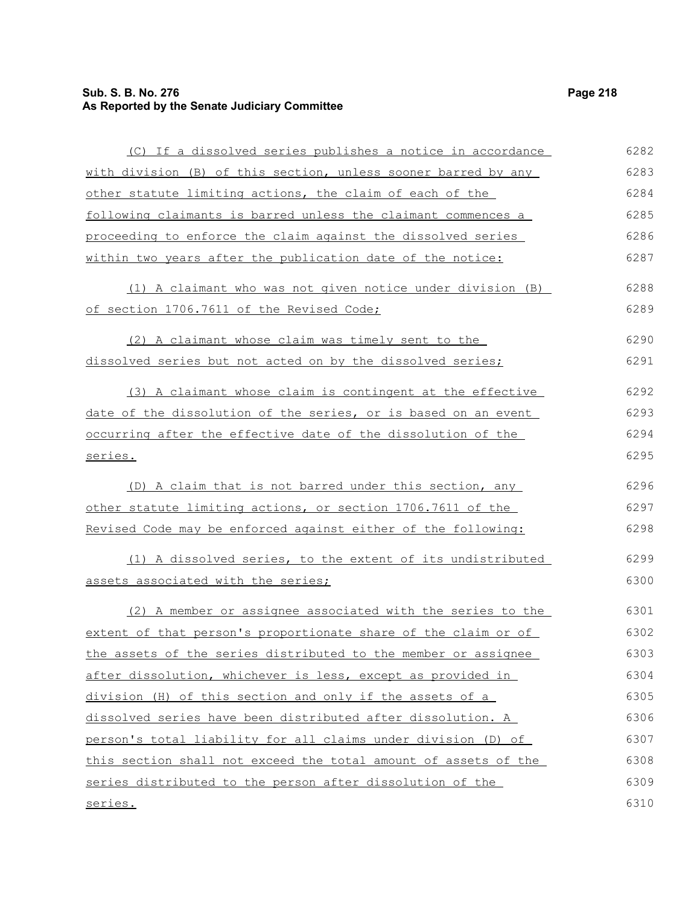# **Sub. S. B. No. 276 Page 218 As Reported by the Senate Judiciary Committee**

| (C) If a dissolved series publishes a notice in accordance      | 6282 |
|-----------------------------------------------------------------|------|
| with division (B) of this section, unless sooner barred by any  | 6283 |
| other statute limiting actions, the claim of each of the        | 6284 |
| following claimants is barred unless the claimant commences a   | 6285 |
| proceeding to enforce the claim against the dissolved series    | 6286 |
| within two years after the publication date of the notice:      | 6287 |
| (1) A claimant who was not given notice under division (B)      | 6288 |
| of section 1706.7611 of the Revised Code;                       | 6289 |
| (2) A claimant whose claim was timely sent to the               | 6290 |
| dissolved series but not acted on by the dissolved series;      | 6291 |
| (3) A claimant whose claim is contingent at the effective       | 6292 |
| date of the dissolution of the series, or is based on an event  | 6293 |
| occurring after the effective date of the dissolution of the    | 6294 |
| series.                                                         | 6295 |
| (D) A claim that is not barred under this section, any          | 6296 |
| other statute limiting actions, or section 1706.7611 of the     | 6297 |
| Revised Code may be enforced against either of the following:   | 6298 |
| (1) A dissolved series, to the extent of its undistributed      | 6299 |
| assets associated with the series;                              | 6300 |
| (2) A member or assignee associated with the series to the      | 6301 |
| extent of that person's proportionate share of the claim or of  | 6302 |
| the assets of the series distributed to the member or assignee  | 6303 |
| after dissolution, whichever is less, except as provided in     | 6304 |
| division (H) of this section and only if the assets of a        | 6305 |
| dissolved series have been distributed after dissolution. A     | 6306 |
| person's total liability for all claims under division (D) of   | 6307 |
| this section shall not exceed the total amount of assets of the | 6308 |
| series distributed to the person after dissolution of the       | 6309 |
| <u>series.</u>                                                  | 6310 |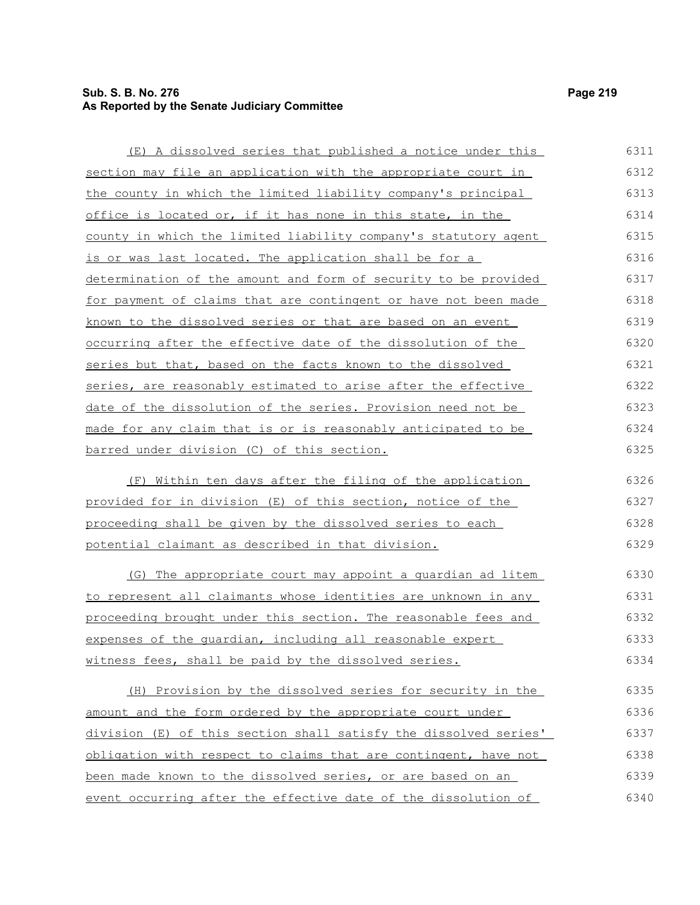# **Sub. S. B. No. 276 Page 219 As Reported by the Senate Judiciary Committee**

| (E) A dissolved series that published a notice under this        | 6311 |
|------------------------------------------------------------------|------|
| section may file an application with the appropriate court in    | 6312 |
| the county in which the limited liability company's principal    | 6313 |
| office is located or, if it has none in this state, in the       | 6314 |
| county in which the limited liability company's statutory agent  | 6315 |
| is or was last located. The application shall be for a           | 6316 |
| determination of the amount and form of security to be provided  | 6317 |
| for payment of claims that are contingent or have not been made  | 6318 |
| known to the dissolved series or that are based on an event      | 6319 |
| occurring after the effective date of the dissolution of the     | 6320 |
| series but that, based on the facts known to the dissolved       | 6321 |
| series, are reasonably estimated to arise after the effective    | 6322 |
| date of the dissolution of the series. Provision need not be     | 6323 |
| made for any claim that is or is reasonably anticipated to be    | 6324 |
| barred under division (C) of this section.                       | 6325 |
| (F) Within ten days after the filing of the application          | 6326 |
| provided for in division (E) of this section, notice of the      | 6327 |
| proceeding shall be given by the dissolved series to each        | 6328 |
| potential claimant as described in that division.                | 6329 |
| (G) The appropriate court may appoint a quardian ad litem        | 6330 |
| to represent all claimants whose identities are unknown in any   | 6331 |
| proceeding brought under this section. The reasonable fees and   | 6332 |
| expenses of the quardian, including all reasonable expert        | 6333 |
| witness fees, shall be paid by the dissolved series.             | 6334 |
| (H) Provision by the dissolved series for security in the        | 6335 |
| amount and the form ordered by the appropriate court under       | 6336 |
| division (E) of this section shall satisfy the dissolved series' | 6337 |
| obligation with respect to claims that are contingent, have not  | 6338 |
| been made known to the dissolved series, or are based on an      | 6339 |
| event occurring after the effective date of the dissolution of   | 6340 |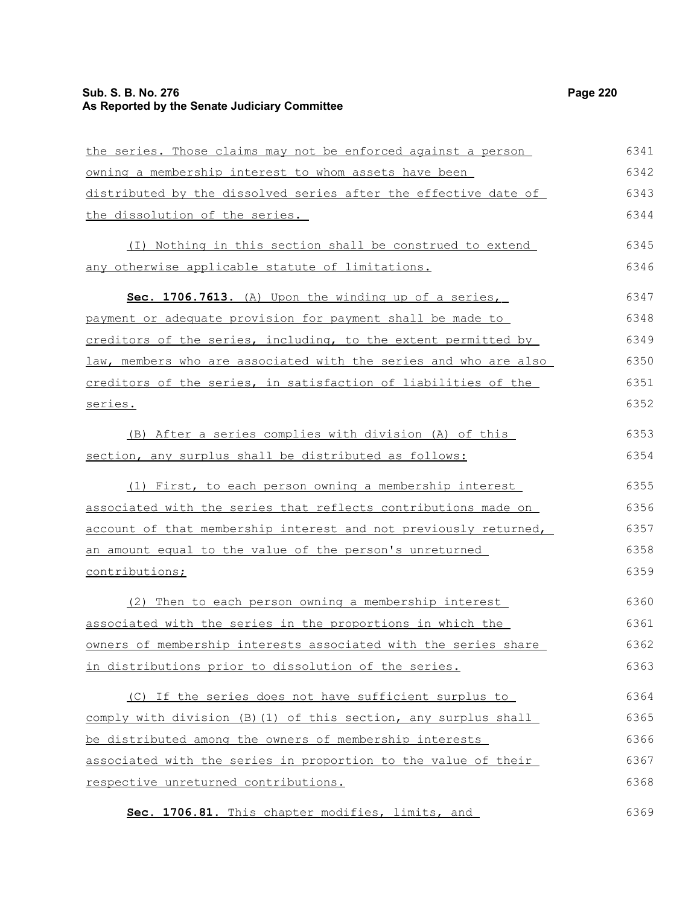# **Sub. S. B. No. 276 Page 220 As Reported by the Senate Judiciary Committee**

| the series. Those claims may not be enforced against a person    | 6341 |
|------------------------------------------------------------------|------|
| owning a membership interest to whom assets have been            | 6342 |
| distributed by the dissolved series after the effective date of  | 6343 |
| the dissolution of the series.                                   | 6344 |
| (I) Nothing in this section shall be construed to extend         | 6345 |
| any otherwise applicable statute of limitations.                 | 6346 |
| Sec. 1706.7613. (A) Upon the winding up of a series,             | 6347 |
| payment or adequate provision for payment shall be made to       | 6348 |
| creditors of the series, including, to the extent permitted by   | 6349 |
| law, members who are associated with the series and who are also | 6350 |
| creditors of the series, in satisfaction of liabilities of the   | 6351 |
| series.                                                          | 6352 |
| (B) After a series complies with division (A) of this            | 6353 |
| section, any surplus shall be distributed as follows:            | 6354 |
| (1) First, to each person owning a membership interest           | 6355 |
| associated with the series that reflects contributions made on   | 6356 |
| account of that membership interest and not previously returned, | 6357 |
| an amount equal to the value of the person's unreturned          | 6358 |
| contributions;                                                   | 6359 |
| (2) Then to each person owning a membership interest             | 6360 |
| associated with the series in the proportions in which the       | 6361 |
| owners of membership interests associated with the series share  | 6362 |
| in distributions prior to dissolution of the series.             | 6363 |
| (C) If the series does not have sufficient surplus to            | 6364 |
| comply with division (B) (1) of this section, any surplus shall  | 6365 |
| be distributed among the owners of membership interests          | 6366 |
| associated with the series in proportion to the value of their   | 6367 |
| respective unreturned contributions.                             | 6368 |
| Sec. 1706.81. This chapter modifies, limits, and                 | 6369 |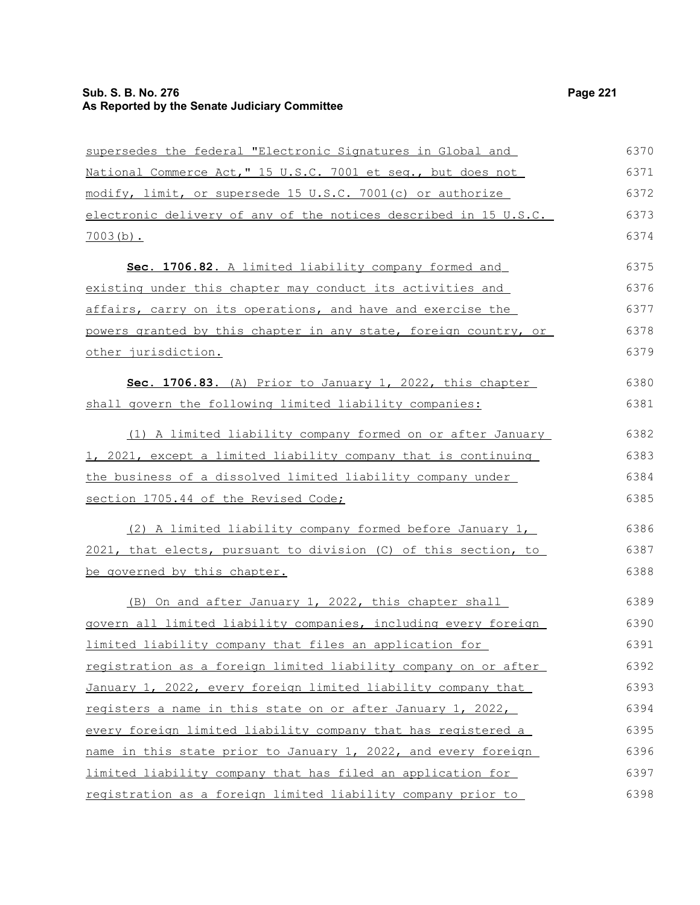# **Sub. S. B. No. 276 Page 221 As Reported by the Senate Judiciary Committee**

| supersedes the federal "Electronic Signatures in Global and      | 6370 |
|------------------------------------------------------------------|------|
| National Commerce Act," 15 U.S.C. 7001 et seq., but does not     | 6371 |
| modify, limit, or supersede 15 U.S.C. 7001(c) or authorize       | 6372 |
| electronic delivery of any of the notices described in 15 U.S.C. | 6373 |
| $7003(b)$ .                                                      | 6374 |
| Sec. 1706.82. A limited liability company formed and             | 6375 |
| existing under this chapter may conduct its activities and       | 6376 |
| affairs, carry on its operations, and have and exercise the      | 6377 |
| powers granted by this chapter in any state, foreign country, or | 6378 |
| other jurisdiction.                                              | 6379 |
| Sec. 1706.83. (A) Prior to January 1, 2022, this chapter         | 6380 |
| shall govern the following limited liability companies:          | 6381 |
| (1) A limited liability company formed on or after January       | 6382 |
| 1, 2021, except a limited liability company that is continuing   | 6383 |
| the business of a dissolved limited liability company under      | 6384 |
| section 1705.44 of the Revised Code;                             | 6385 |
| (2) A limited liability company formed before January 1,         | 6386 |
| 2021, that elects, pursuant to division (C) of this section, to  | 6387 |
| be governed by this chapter.                                     | 6388 |
| (B) On and after January 1, 2022, this chapter shall             | 6389 |
| govern all limited liability companies, including every foreign  | 6390 |
| limited liability company that files an application for          | 6391 |
| registration as a foreign limited liability company on or after  | 6392 |
| January 1, 2022, every foreign limited liability company that    | 6393 |
| registers a name in this state on or after January 1, 2022,      | 6394 |
| every foreign limited liability company that has registered a    | 6395 |
| name in this state prior to January 1, 2022, and every foreign   | 6396 |
| limited liability company that has filed an application for      | 6397 |
| registration as a foreign limited liability company prior to     | 6398 |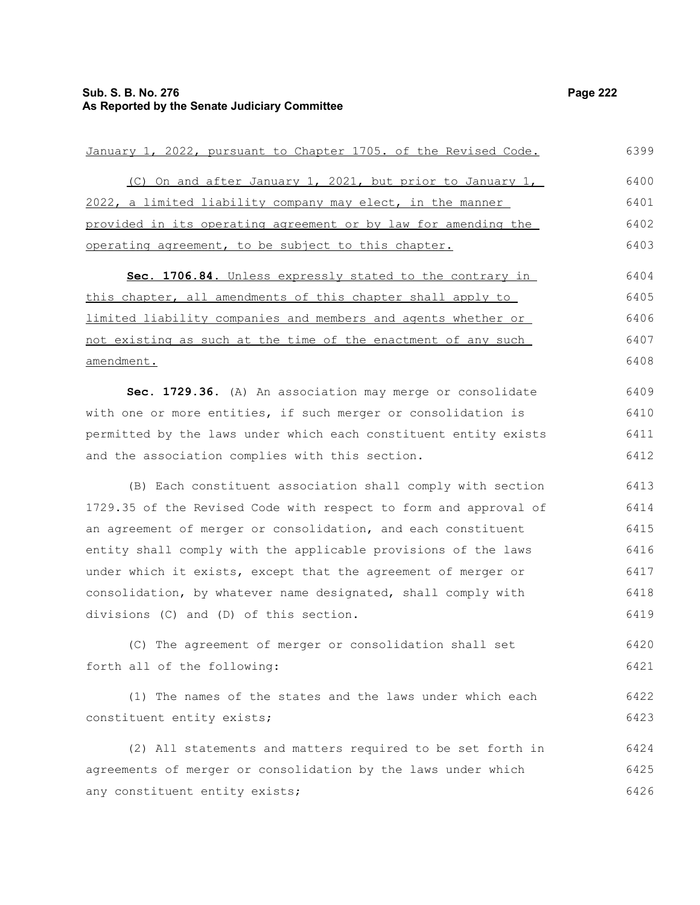January 1, 2022, pursuant to Chapter 1705. of the Revised Code. (C) On and after January 1, 2021, but prior to January 1, 2022, a limited liability company may elect, in the manner provided in its operating agreement or by law for amending the operating agreement, to be subject to this chapter. Sec. 1706.84. Unless expressly stated to the contrary in this chapter, all amendments of this chapter shall apply to limited liability companies and members and agents whether or not existing as such at the time of the enactment of any such amendment. **Sec. 1729.36.** (A) An association may merge or consolidate with one or more entities, if such merger or consolidation is permitted by the laws under which each constituent entity exists and the association complies with this section. (B) Each constituent association shall comply with section 1729.35 of the Revised Code with respect to form and approval of an agreement of merger or consolidation, and each constituent entity shall comply with the applicable provisions of the laws under which it exists, except that the agreement of merger or consolidation, by whatever name designated, shall comply with divisions (C) and (D) of this section. (C) The agreement of merger or consolidation shall set forth all of the following: (1) The names of the states and the laws under which each constituent entity exists; 6399 6400 6401 6402 6403 6404 6405 6406 6407 6408 6409 6410 6411 6412 6413 6414 6415 6416 6417 6418 6419 6420 6421 6422 6423

(2) All statements and matters required to be set forth in agreements of merger or consolidation by the laws under which any constituent entity exists; 6424 6425 6426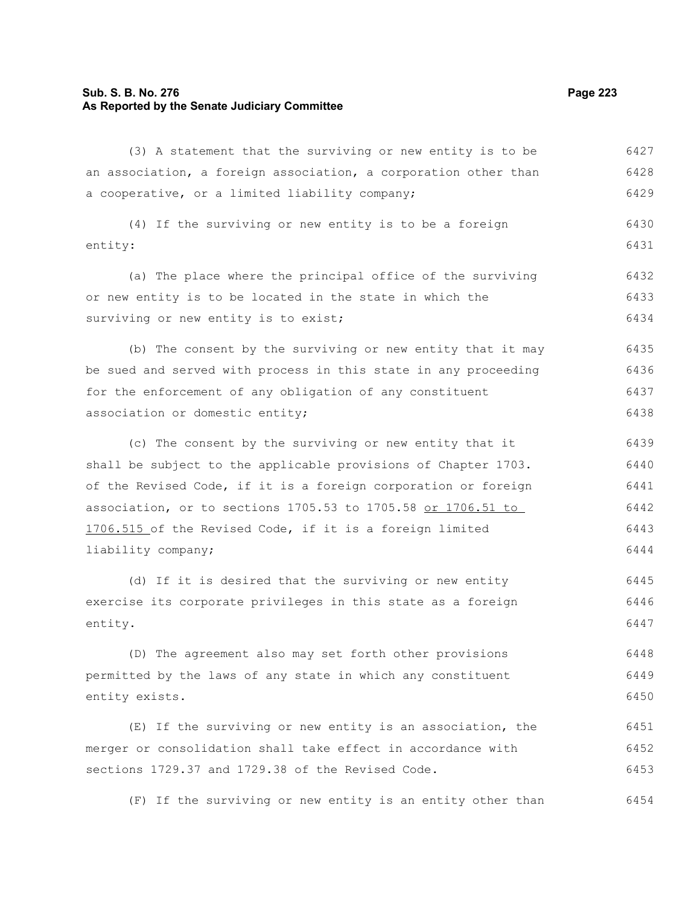### **Sub. S. B. No. 276 Page 223 As Reported by the Senate Judiciary Committee**

(3) A statement that the surviving or new entity is to be an association, a foreign association, a corporation other than a cooperative, or a limited liability company; 6427 6428 6429

(4) If the surviving or new entity is to be a foreign entity: 6430 6431

(a) The place where the principal office of the surviving or new entity is to be located in the state in which the surviving or new entity is to exist; 6432 6433 6434

(b) The consent by the surviving or new entity that it may be sued and served with process in this state in any proceeding for the enforcement of any obligation of any constituent association or domestic entity; 6435 6436 6437 6438

(c) The consent by the surviving or new entity that it shall be subject to the applicable provisions of Chapter 1703. of the Revised Code, if it is a foreign corporation or foreign association, or to sections 1705.53 to 1705.58 or 1706.51 to 1706.515 of the Revised Code, if it is a foreign limited liability company; 6439 6440 6441 6442 6443 6444

(d) If it is desired that the surviving or new entity exercise its corporate privileges in this state as a foreign entity. 6445 6446 6447

(D) The agreement also may set forth other provisions permitted by the laws of any state in which any constituent entity exists. 6448 6449 6450

(E) If the surviving or new entity is an association, the merger or consolidation shall take effect in accordance with sections 1729.37 and 1729.38 of the Revised Code. 6451 6452 6453

(F) If the surviving or new entity is an entity other than 6454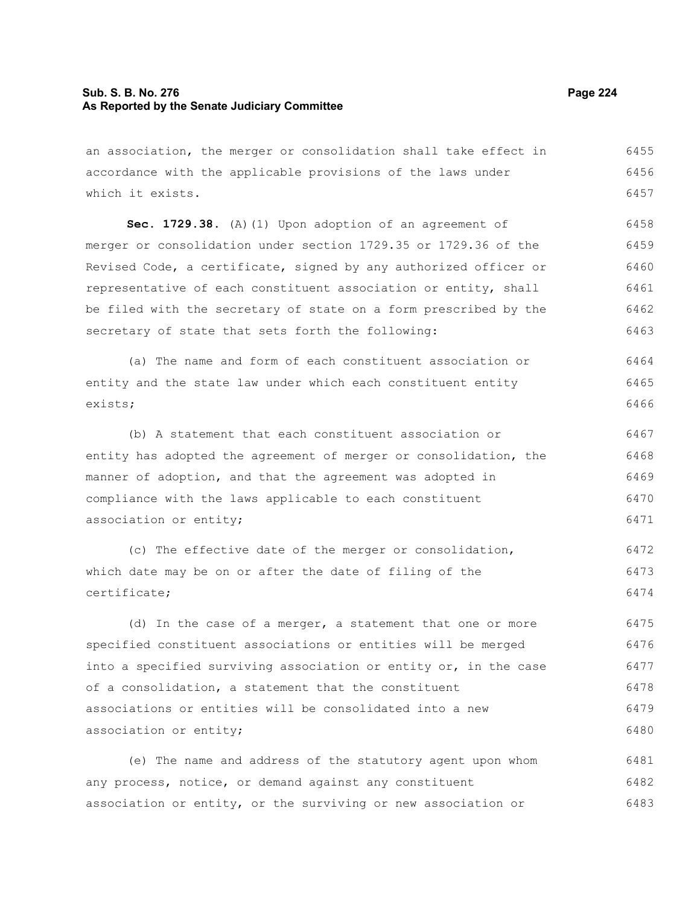### **Sub. S. B. No. 276 Page 224 As Reported by the Senate Judiciary Committee**

an association, the merger or consolidation shall take effect in accordance with the applicable provisions of the laws under which it exists. 6455 6456 6457

**Sec. 1729.38.** (A)(1) Upon adoption of an agreement of merger or consolidation under section 1729.35 or 1729.36 of the Revised Code, a certificate, signed by any authorized officer or representative of each constituent association or entity, shall be filed with the secretary of state on a form prescribed by the secretary of state that sets forth the following: 6458 6459 6460 6461 6462 6463

(a) The name and form of each constituent association or entity and the state law under which each constituent entity exists; 6464 6465 6466

(b) A statement that each constituent association or entity has adopted the agreement of merger or consolidation, the manner of adoption, and that the agreement was adopted in compliance with the laws applicable to each constituent association or entity; 6467 6468 6469 6470 6471

(c) The effective date of the merger or consolidation, which date may be on or after the date of filing of the certificate; 6472 6473 6474

(d) In the case of a merger, a statement that one or more specified constituent associations or entities will be merged into a specified surviving association or entity or, in the case of a consolidation, a statement that the constituent associations or entities will be consolidated into a new association or entity; 6475 6476 6477 6478 6479 6480

(e) The name and address of the statutory agent upon whom any process, notice, or demand against any constituent association or entity, or the surviving or new association or 6481 6482 6483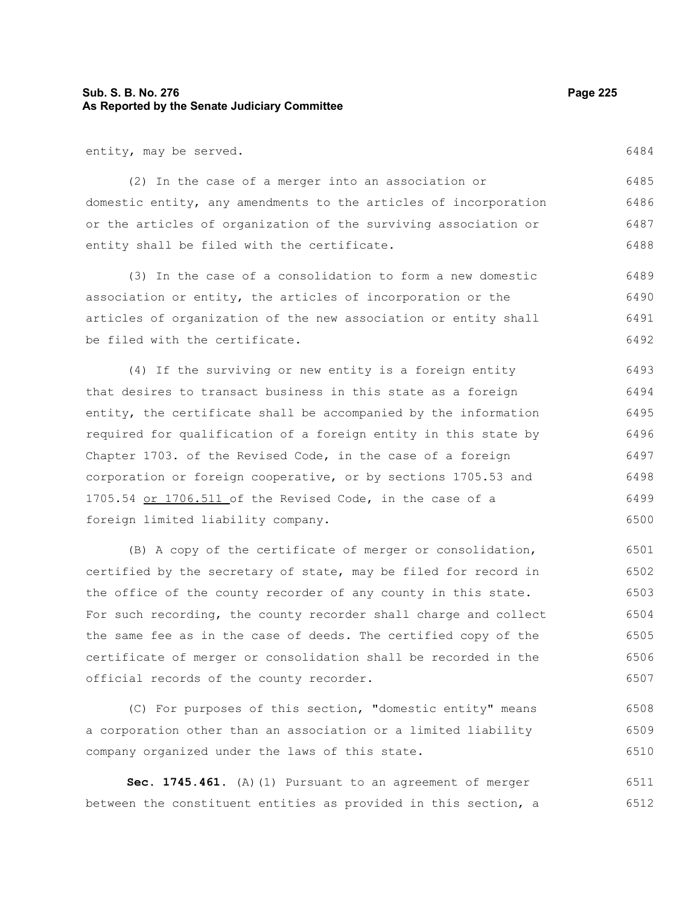## **Sub. S. B. No. 276 Page 225 As Reported by the Senate Judiciary Committee**

entity, may be served.

(2) In the case of a merger into an association or domestic entity, any amendments to the articles of incorporation or the articles of organization of the surviving association or entity shall be filed with the certificate. 6485 6486 6487 6488

(3) In the case of a consolidation to form a new domestic association or entity, the articles of incorporation or the articles of organization of the new association or entity shall be filed with the certificate. 6489 6490 6491 6492

(4) If the surviving or new entity is a foreign entity that desires to transact business in this state as a foreign entity, the certificate shall be accompanied by the information required for qualification of a foreign entity in this state by Chapter 1703. of the Revised Code, in the case of a foreign corporation or foreign cooperative, or by sections 1705.53 and 1705.54 or 1706.511 of the Revised Code, in the case of a foreign limited liability company. 6493 6494 6495 6496 6497 6498 6499 6500

(B) A copy of the certificate of merger or consolidation, certified by the secretary of state, may be filed for record in the office of the county recorder of any county in this state. For such recording, the county recorder shall charge and collect the same fee as in the case of deeds. The certified copy of the certificate of merger or consolidation shall be recorded in the official records of the county recorder. 6501 6502 6503 6504 6505 6506 6507

(C) For purposes of this section, "domestic entity" means a corporation other than an association or a limited liability company organized under the laws of this state. 6508 6509 6510

**Sec. 1745.461.** (A)(1) Pursuant to an agreement of merger between the constituent entities as provided in this section, a 6511 6512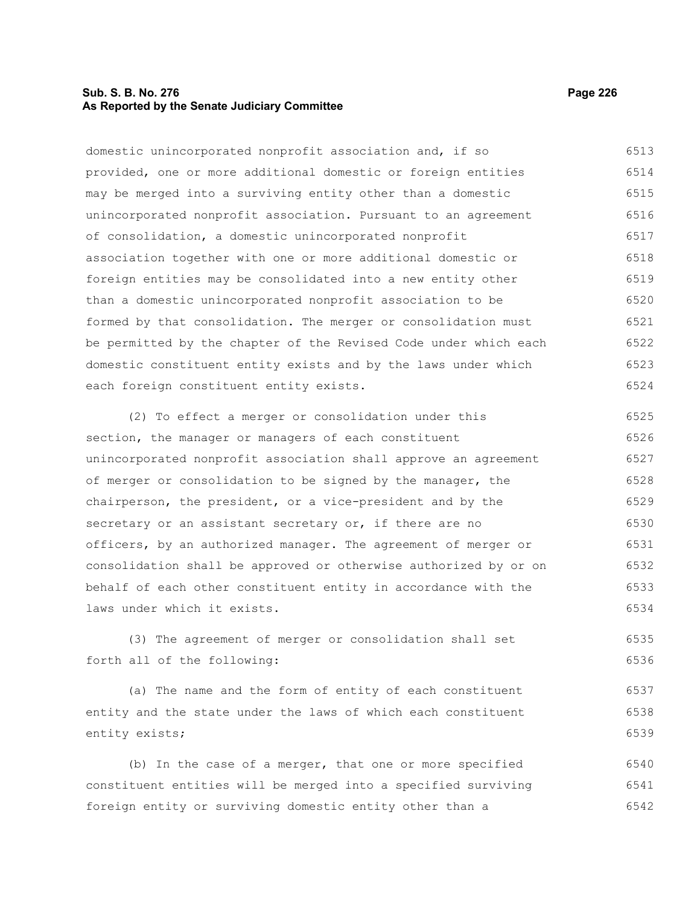## **Sub. S. B. No. 276 Page 226 As Reported by the Senate Judiciary Committee**

domestic unincorporated nonprofit association and, if so provided, one or more additional domestic or foreign entities may be merged into a surviving entity other than a domestic unincorporated nonprofit association. Pursuant to an agreement of consolidation, a domestic unincorporated nonprofit association together with one or more additional domestic or foreign entities may be consolidated into a new entity other than a domestic unincorporated nonprofit association to be formed by that consolidation. The merger or consolidation must be permitted by the chapter of the Revised Code under which each domestic constituent entity exists and by the laws under which each foreign constituent entity exists. 6513 6514 6515 6516 6517 6518 6519 6520 6521 6522 6523 6524

(2) To effect a merger or consolidation under this section, the manager or managers of each constituent unincorporated nonprofit association shall approve an agreement of merger or consolidation to be signed by the manager, the chairperson, the president, or a vice-president and by the secretary or an assistant secretary or, if there are no officers, by an authorized manager. The agreement of merger or consolidation shall be approved or otherwise authorized by or on behalf of each other constituent entity in accordance with the laws under which it exists. 6525 6526 6527 6528 6529 6530 6531 6532 6533 6534

(3) The agreement of merger or consolidation shall set forth all of the following: 6535 6536

(a) The name and the form of entity of each constituent entity and the state under the laws of which each constituent entity exists; 6537 6538 6539

(b) In the case of a merger, that one or more specified constituent entities will be merged into a specified surviving foreign entity or surviving domestic entity other than a 6540 6541 6542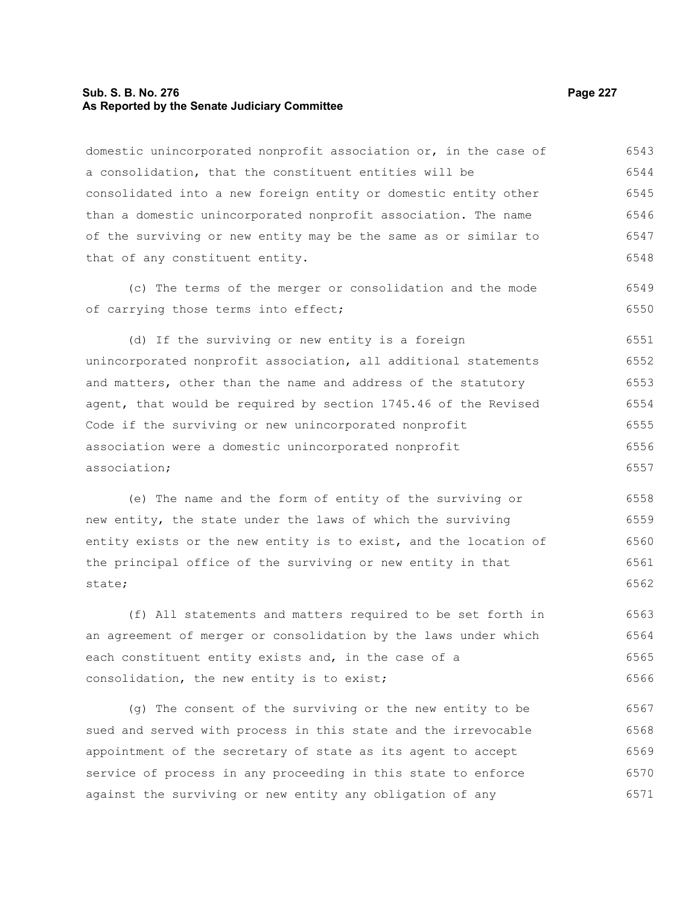## **Sub. S. B. No. 276 Page 227 As Reported by the Senate Judiciary Committee**

domestic unincorporated nonprofit association or, in the case of a consolidation, that the constituent entities will be consolidated into a new foreign entity or domestic entity other than a domestic unincorporated nonprofit association. The name of the surviving or new entity may be the same as or similar to that of any constituent entity. (c) The terms of the merger or consolidation and the mode of carrying those terms into effect; (d) If the surviving or new entity is a foreign unincorporated nonprofit association, all additional statements and matters, other than the name and address of the statutory agent, that would be required by section 1745.46 of the Revised Code if the surviving or new unincorporated nonprofit 6543 6544 6545 6546 6547 6548 6549 6550 6551 6552 6553 6554 6555

(e) The name and the form of entity of the surviving or new entity, the state under the laws of which the surviving entity exists or the new entity is to exist, and the location of the principal office of the surviving or new entity in that state; 6558 6559 6560 6561 6562

association were a domestic unincorporated nonprofit

association;

(f) All statements and matters required to be set forth in an agreement of merger or consolidation by the laws under which each constituent entity exists and, in the case of a consolidation, the new entity is to exist; 6563 6564 6565 6566

(g) The consent of the surviving or the new entity to be sued and served with process in this state and the irrevocable appointment of the secretary of state as its agent to accept service of process in any proceeding in this state to enforce against the surviving or new entity any obligation of any 6567 6568 6569 6570 6571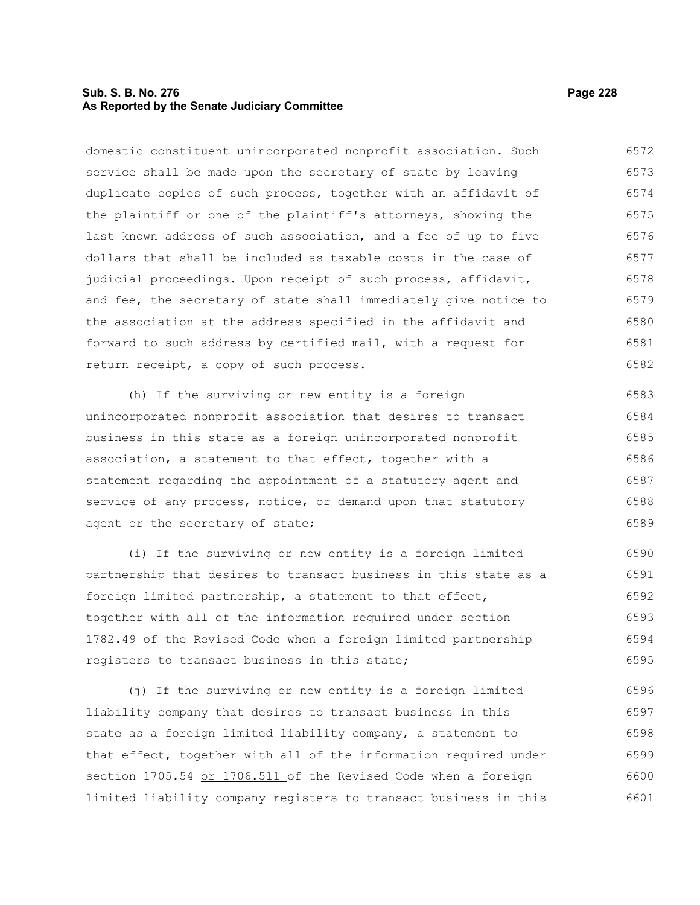## **Sub. S. B. No. 276 Page 228 As Reported by the Senate Judiciary Committee**

domestic constituent unincorporated nonprofit association. Such service shall be made upon the secretary of state by leaving duplicate copies of such process, together with an affidavit of the plaintiff or one of the plaintiff's attorneys, showing the last known address of such association, and a fee of up to five dollars that shall be included as taxable costs in the case of judicial proceedings. Upon receipt of such process, affidavit, and fee, the secretary of state shall immediately give notice to the association at the address specified in the affidavit and forward to such address by certified mail, with a request for return receipt, a copy of such process. 6572 6573 6574 6575 6576 6577 6578 6579 6580 6581 6582

(h) If the surviving or new entity is a foreign unincorporated nonprofit association that desires to transact business in this state as a foreign unincorporated nonprofit association, a statement to that effect, together with a statement regarding the appointment of a statutory agent and service of any process, notice, or demand upon that statutory agent or the secretary of state; 6583 6584 6585 6586 6587 6588 6589

(i) If the surviving or new entity is a foreign limited partnership that desires to transact business in this state as a foreign limited partnership, a statement to that effect, together with all of the information required under section 1782.49 of the Revised Code when a foreign limited partnership registers to transact business in this state; 6590 6591 6592 6593 6594 6595

(j) If the surviving or new entity is a foreign limited liability company that desires to transact business in this state as a foreign limited liability company, a statement to that effect, together with all of the information required under section 1705.54 or 1706.511 of the Revised Code when a foreign limited liability company registers to transact business in this 6596 6597 6598 6599 6600 6601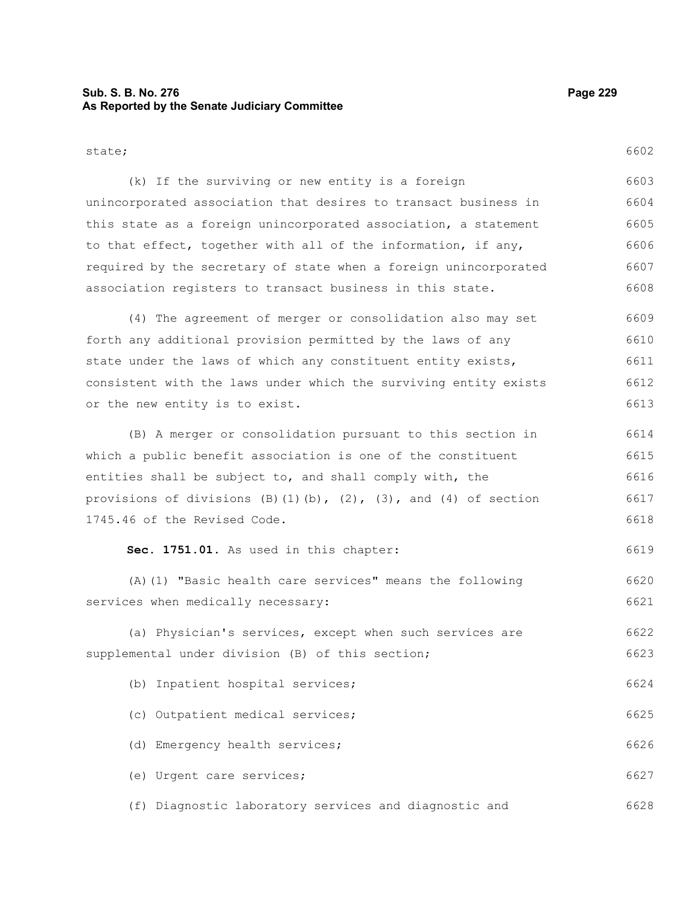## **Sub. S. B. No. 276 Page 229 As Reported by the Senate Judiciary Committee**

state;

(k) If the surviving or new entity is a foreign unincorporated association that desires to transact business in this state as a foreign unincorporated association, a statement 6602 6603 6604 6605

to that effect, together with all of the information, if any, required by the secretary of state when a foreign unincorporated association registers to transact business in this state. (4) The agreement of merger or consolidation also may set forth any additional provision permitted by the laws of any state under the laws of which any constituent entity exists, consistent with the laws under which the surviving entity exists or the new entity is to exist. (B) A merger or consolidation pursuant to this section in which a public benefit association is one of the constituent entities shall be subject to, and shall comply with, the provisions of divisions  $(B)(1)(b)$ ,  $(2)$ ,  $(3)$ , and  $(4)$  of section 1745.46 of the Revised Code. **Sec. 1751.01.** As used in this chapter: (A)(1) "Basic health care services" means the following services when medically necessary: (a) Physician's services, except when such services are supplemental under division (B) of this section; (b) Inpatient hospital services; (c) Outpatient medical services; (d) Emergency health services; (e) Urgent care services; 6606 6607 6608 6609 6610 6611 6612 6613 6614 6615 6616 6617 6618 6619 6620 6621 6622 6623 6624 6625 6626 6627

(f) Diagnostic laboratory services and diagnostic and 6628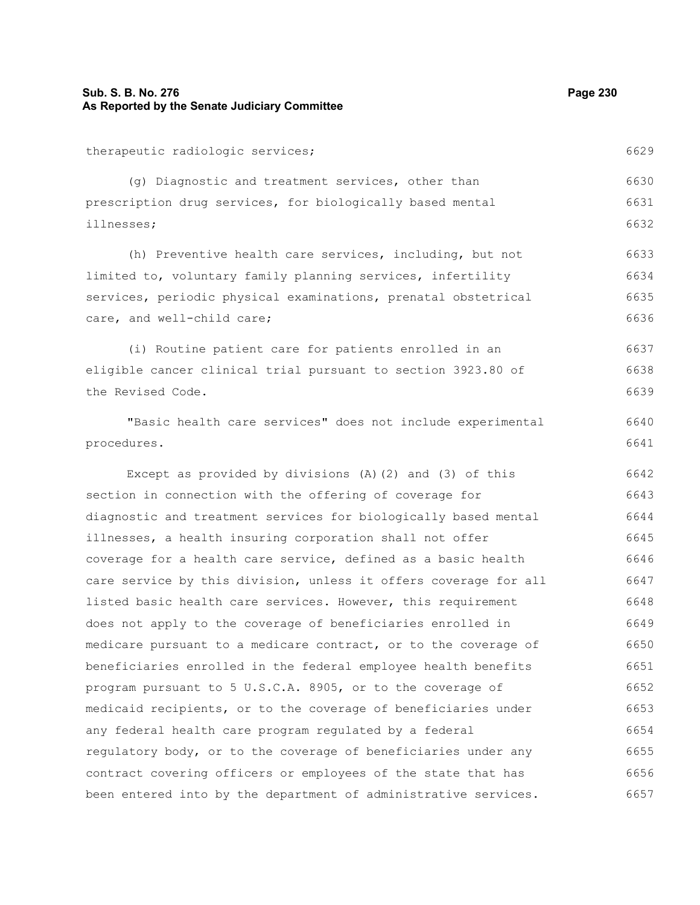## **Sub. S. B. No. 276 Page 230 As Reported by the Senate Judiciary Committee**

therapeutic radiologic services;

(g) Diagnostic and treatment services, other than prescription drug services, for biologically based mental illnesses; 6630 6632

(h) Preventive health care services, including, but not limited to, voluntary family planning services, infertility services, periodic physical examinations, prenatal obstetrical care, and well-child care; 6633 6634 6635 6636

(i) Routine patient care for patients enrolled in an eligible cancer clinical trial pursuant to section 3923.80 of the Revised Code. 6637 6638 6639

"Basic health care services" does not include experimental procedures.

Except as provided by divisions (A)(2) and (3) of this section in connection with the offering of coverage for diagnostic and treatment services for biologically based mental illnesses, a health insuring corporation shall not offer coverage for a health care service, defined as a basic health care service by this division, unless it offers coverage for all listed basic health care services. However, this requirement does not apply to the coverage of beneficiaries enrolled in medicare pursuant to a medicare contract, or to the coverage of beneficiaries enrolled in the federal employee health benefits program pursuant to 5 U.S.C.A. 8905, or to the coverage of medicaid recipients, or to the coverage of beneficiaries under any federal health care program regulated by a federal regulatory body, or to the coverage of beneficiaries under any contract covering officers or employees of the state that has been entered into by the department of administrative services. 6642 6643 6644 6645 6646 6647 6648 6649 6650 6651 6652 6653 6654 6655 6656 6657

6631

6640 6641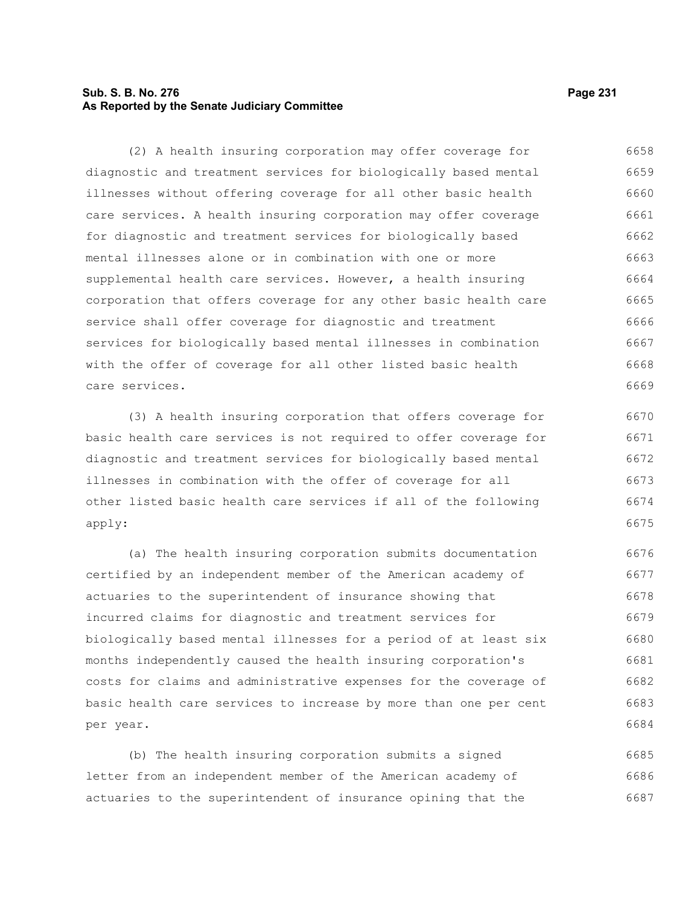## **Sub. S. B. No. 276 Page 231 As Reported by the Senate Judiciary Committee**

(2) A health insuring corporation may offer coverage for diagnostic and treatment services for biologically based mental illnesses without offering coverage for all other basic health care services. A health insuring corporation may offer coverage for diagnostic and treatment services for biologically based mental illnesses alone or in combination with one or more supplemental health care services. However, a health insuring corporation that offers coverage for any other basic health care service shall offer coverage for diagnostic and treatment services for biologically based mental illnesses in combination with the offer of coverage for all other listed basic health care services. 6658 6659 6660 6661 6662 6663 6664 6665 6666 6667 6668 6669

(3) A health insuring corporation that offers coverage for basic health care services is not required to offer coverage for diagnostic and treatment services for biologically based mental illnesses in combination with the offer of coverage for all other listed basic health care services if all of the following apply: 6670 6671 6672 6673 6674 6675

(a) The health insuring corporation submits documentation certified by an independent member of the American academy of actuaries to the superintendent of insurance showing that incurred claims for diagnostic and treatment services for biologically based mental illnesses for a period of at least six months independently caused the health insuring corporation's costs for claims and administrative expenses for the coverage of basic health care services to increase by more than one per cent per year. 6676 6677 6678 6679 6680 6681 6682 6683 6684

(b) The health insuring corporation submits a signed letter from an independent member of the American academy of actuaries to the superintendent of insurance opining that the 6685 6686 6687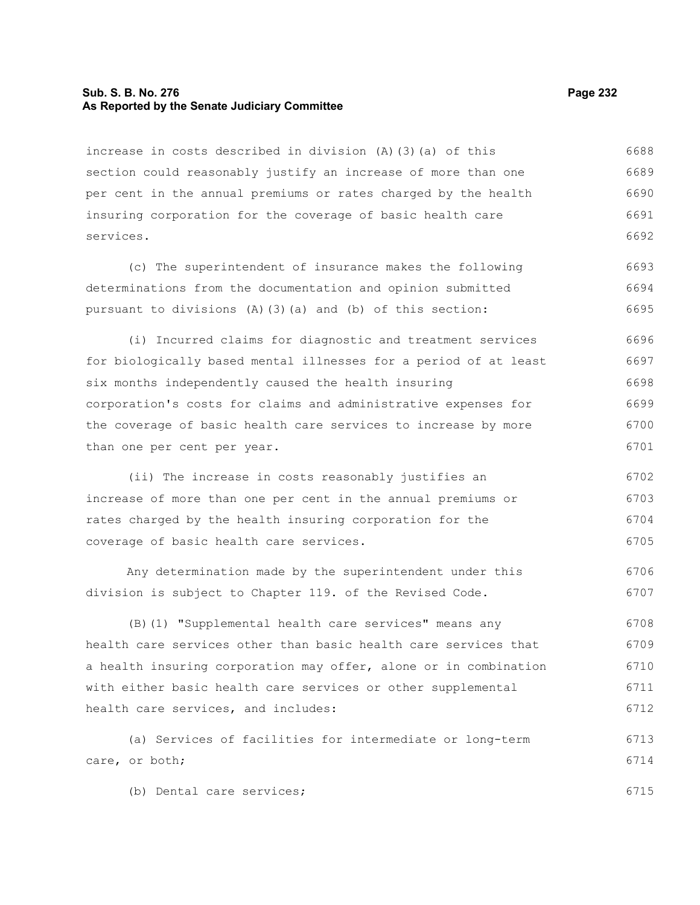#### **Sub. S. B. No. 276 Page 232 As Reported by the Senate Judiciary Committee**

increase in costs described in division (A)(3)(a) of this section could reasonably justify an increase of more than one per cent in the annual premiums or rates charged by the health insuring corporation for the coverage of basic health care services. 6688 6689 6690 6691 6692

(c) The superintendent of insurance makes the following determinations from the documentation and opinion submitted pursuant to divisions (A)(3)(a) and (b) of this section: 6693 6694 6695

(i) Incurred claims for diagnostic and treatment services for biologically based mental illnesses for a period of at least six months independently caused the health insuring corporation's costs for claims and administrative expenses for the coverage of basic health care services to increase by more than one per cent per year. 6696 6697 6698 6699 6700 6701

(ii) The increase in costs reasonably justifies an increase of more than one per cent in the annual premiums or rates charged by the health insuring corporation for the coverage of basic health care services. 6702 6703 6704 6705

Any determination made by the superintendent under this division is subject to Chapter 119. of the Revised Code. 6706 6707

(B)(1) "Supplemental health care services" means any health care services other than basic health care services that a health insuring corporation may offer, alone or in combination with either basic health care services or other supplemental health care services, and includes: 6708 6709 6710 6711 6712

(a) Services of facilities for intermediate or long-term care, or both; 6713 6714

(b) Dental care services;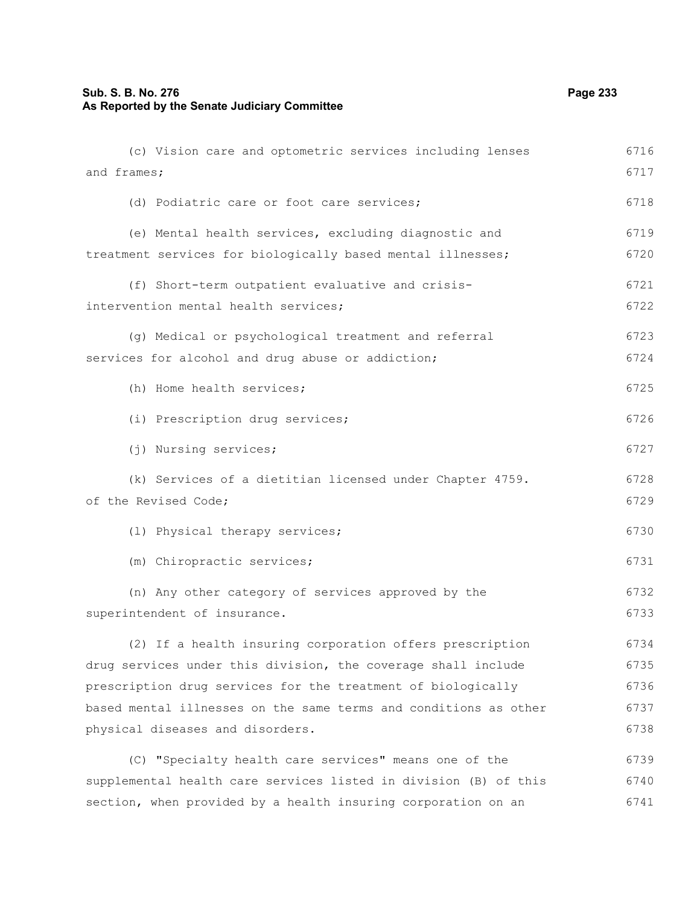and frames; (d) Podiatric care or foot care services; (e) Mental health services, excluding diagnostic and treatment services for biologically based mental illnesses; (f) Short-term outpatient evaluative and crisisintervention mental health services; (g) Medical or psychological treatment and referral services for alcohol and drug abuse or addiction; (h) Home health services; (i) Prescription drug services; (j) Nursing services; (k) Services of a dietitian licensed under Chapter 4759. of the Revised Code; (l) Physical therapy services; (m) Chiropractic services; (n) Any other category of services approved by the superintendent of insurance. (2) If a health insuring corporation offers prescription drug services under this division, the coverage shall include prescription drug services for the treatment of biologically based mental illnesses on the same terms and conditions as other physical diseases and disorders. (C) "Specialty health care services" means one of the 6717 6718 6719 6720 6721 6722 6723 6724 6725 6726 6727 6728 6729 6730 6731 6732 6733 6734 6735 6736 6737 6738 6739

(c) Vision care and optometric services including lenses

supplemental health care services listed in division (B) of this section, when provided by a health insuring corporation on an 6740 6741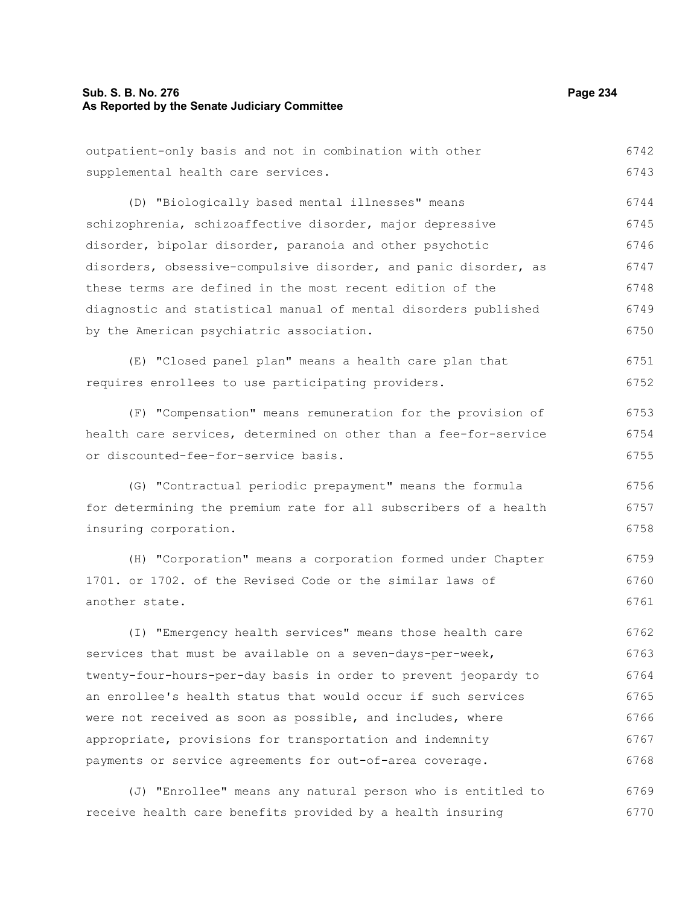### **Sub. S. B. No. 276 Page 234 As Reported by the Senate Judiciary Committee**

outpatient-only basis and not in combination with other supplemental health care services. (D) "Biologically based mental illnesses" means schizophrenia, schizoaffective disorder, major depressive

disorder, bipolar disorder, paranoia and other psychotic disorders, obsessive-compulsive disorder, and panic disorder, as these terms are defined in the most recent edition of the diagnostic and statistical manual of mental disorders published by the American psychiatric association. 6746 6747 6748 6749 6750

(E) "Closed panel plan" means a health care plan that requires enrollees to use participating providers. 6751 6752

(F) "Compensation" means remuneration for the provision of health care services, determined on other than a fee-for-service or discounted-fee-for-service basis. 6753 6754 6755

(G) "Contractual periodic prepayment" means the formula for determining the premium rate for all subscribers of a health insuring corporation. 6756 6757 6758

(H) "Corporation" means a corporation formed under Chapter 1701. or 1702. of the Revised Code or the similar laws of another state. 6759 6760 6761

(I) "Emergency health services" means those health care services that must be available on a seven-days-per-week, twenty-four-hours-per-day basis in order to prevent jeopardy to an enrollee's health status that would occur if such services were not received as soon as possible, and includes, where appropriate, provisions for transportation and indemnity payments or service agreements for out-of-area coverage. 6762 6763 6764 6765 6766 6767 6768

(J) "Enrollee" means any natural person who is entitled to receive health care benefits provided by a health insuring 6769 6770

6742 6743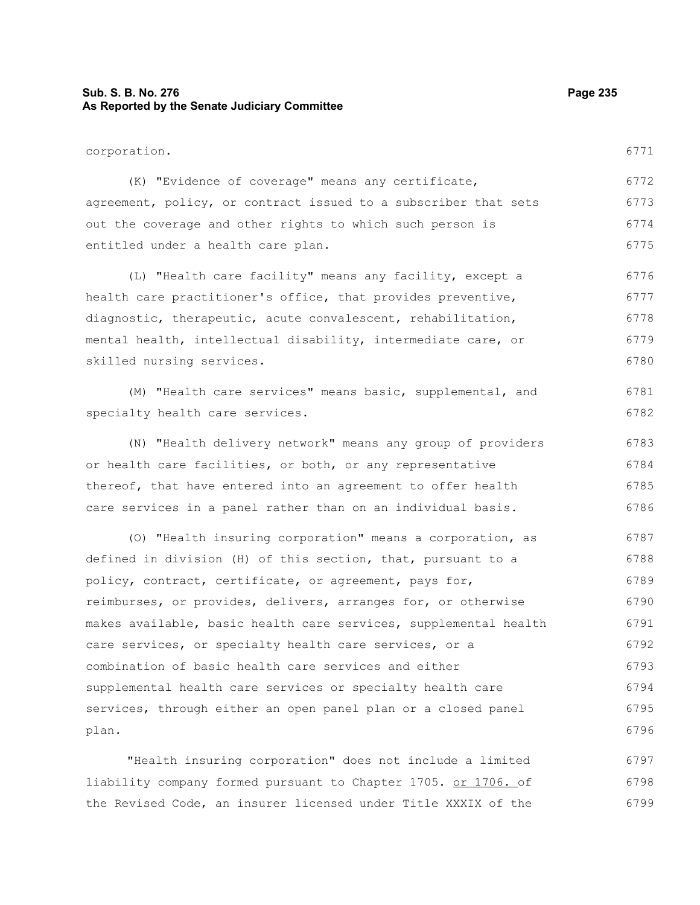## **Sub. S. B. No. 276 Page 235 As Reported by the Senate Judiciary Committee**

corporation. (K) "Evidence of coverage" means any certificate, agreement, policy, or contract issued to a subscriber that sets out the coverage and other rights to which such person is entitled under a health care plan. (L) "Health care facility" means any facility, except a health care practitioner's office, that provides preventive, diagnostic, therapeutic, acute convalescent, rehabilitation, mental health, intellectual disability, intermediate care, or skilled nursing services. (M) "Health care services" means basic, supplemental, and specialty health care services. (N) "Health delivery network" means any group of providers or health care facilities, or both, or any representative thereof, that have entered into an agreement to offer health care services in a panel rather than on an individual basis. (O) "Health insuring corporation" means a corporation, as defined in division (H) of this section, that, pursuant to a policy, contract, certificate, or agreement, pays for, 6771 6772 6773 6774 6775 6776 6777 6778 6779 6780 6781 6782 6783 6784 6785 6786 6787 6788 6789

"Health insuring corporation" does not include a limited liability company formed pursuant to Chapter 1705. or 1706. of the Revised Code, an insurer licensed under Title XXXIX of the 6797 6798 6799

reimburses, or provides, delivers, arranges for, or otherwise

care services, or specialty health care services, or a combination of basic health care services and either

plan.

supplemental health care services or specialty health care

services, through either an open panel plan or a closed panel

makes available, basic health care services, supplemental health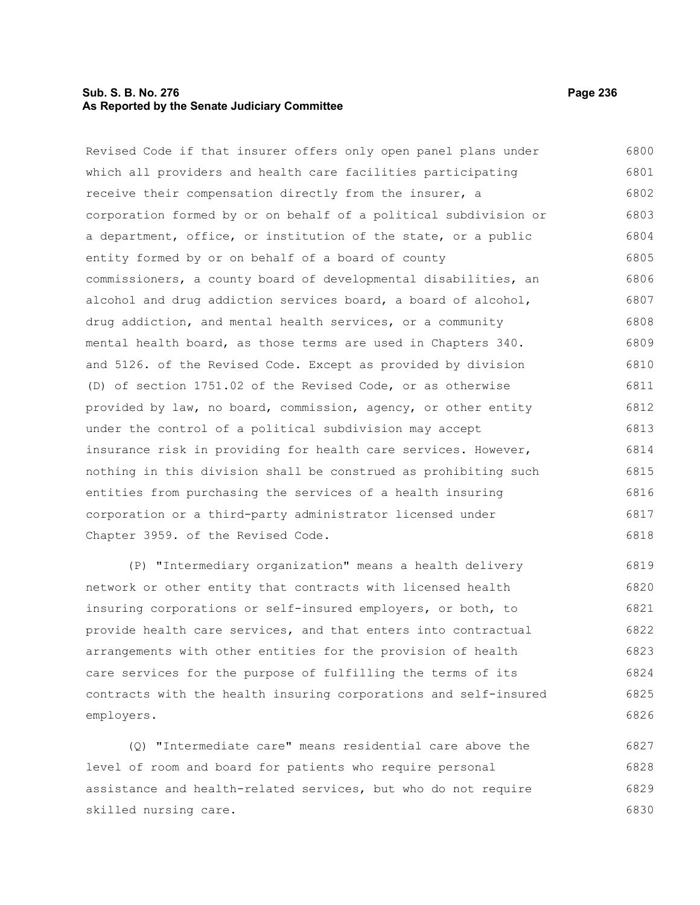## **Sub. S. B. No. 276 Page 236 As Reported by the Senate Judiciary Committee**

Revised Code if that insurer offers only open panel plans under which all providers and health care facilities participating receive their compensation directly from the insurer, a corporation formed by or on behalf of a political subdivision or a department, office, or institution of the state, or a public entity formed by or on behalf of a board of county commissioners, a county board of developmental disabilities, an alcohol and drug addiction services board, a board of alcohol, drug addiction, and mental health services, or a community mental health board, as those terms are used in Chapters 340. and 5126. of the Revised Code. Except as provided by division (D) of section 1751.02 of the Revised Code, or as otherwise provided by law, no board, commission, agency, or other entity under the control of a political subdivision may accept insurance risk in providing for health care services. However, nothing in this division shall be construed as prohibiting such entities from purchasing the services of a health insuring corporation or a third-party administrator licensed under Chapter 3959. of the Revised Code. 6800 6801 6802 6803 6804 6805 6806 6807 6808 6809 6810 6811 6812 6813 6814 6815 6816 6817 6818

(P) "Intermediary organization" means a health delivery network or other entity that contracts with licensed health insuring corporations or self-insured employers, or both, to provide health care services, and that enters into contractual arrangements with other entities for the provision of health care services for the purpose of fulfilling the terms of its contracts with the health insuring corporations and self-insured employers. 6819 6820 6821 6822 6823 6824 6825 6826

(Q) "Intermediate care" means residential care above the level of room and board for patients who require personal assistance and health-related services, but who do not require skilled nursing care. 6827 6828 6829 6830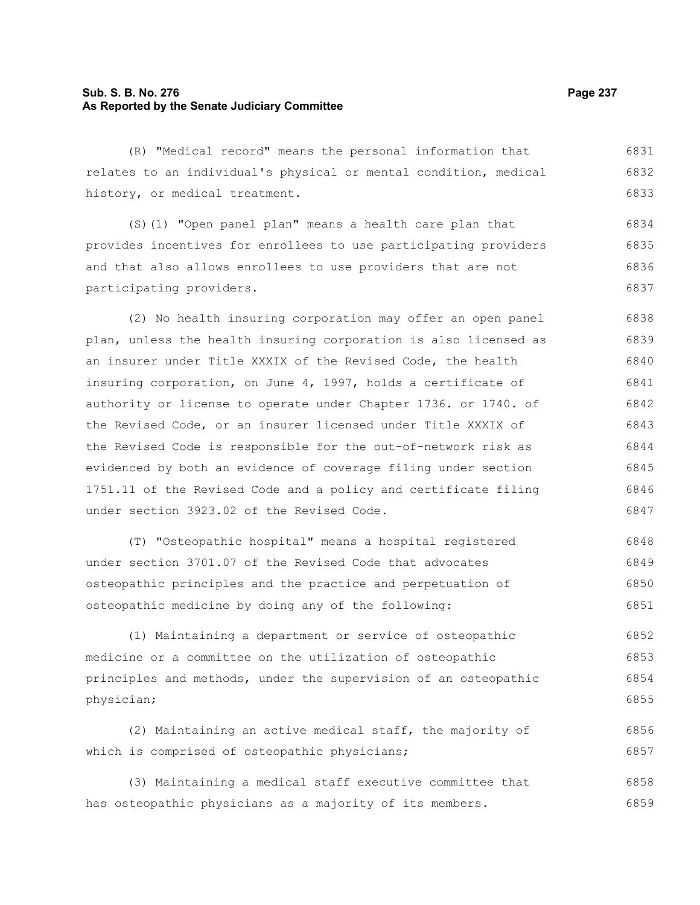## **Sub. S. B. No. 276 Page 237 As Reported by the Senate Judiciary Committee**

(R) "Medical record" means the personal information that relates to an individual's physical or mental condition, medical history, or medical treatment. 6831 6832 6833

(S)(1) "Open panel plan" means a health care plan that provides incentives for enrollees to use participating providers and that also allows enrollees to use providers that are not participating providers. 6835 6836 6837

(2) No health insuring corporation may offer an open panel plan, unless the health insuring corporation is also licensed as an insurer under Title XXXIX of the Revised Code, the health insuring corporation, on June 4, 1997, holds a certificate of authority or license to operate under Chapter 1736. or 1740. of the Revised Code, or an insurer licensed under Title XXXIX of the Revised Code is responsible for the out-of-network risk as evidenced by both an evidence of coverage filing under section 1751.11 of the Revised Code and a policy and certificate filing under section 3923.02 of the Revised Code. 6838 6839 6840 6841 6842 6843 6844 6845 6846 6847

(T) "Osteopathic hospital" means a hospital registered under section 3701.07 of the Revised Code that advocates osteopathic principles and the practice and perpetuation of osteopathic medicine by doing any of the following: 6848 6849 6850 6851

(1) Maintaining a department or service of osteopathic medicine or a committee on the utilization of osteopathic principles and methods, under the supervision of an osteopathic physician; 6852 6853 6854 6855

(2) Maintaining an active medical staff, the majority of which is comprised of osteopathic physicians; 6856 6857

(3) Maintaining a medical staff executive committee that has osteopathic physicians as a majority of its members. 6858 6859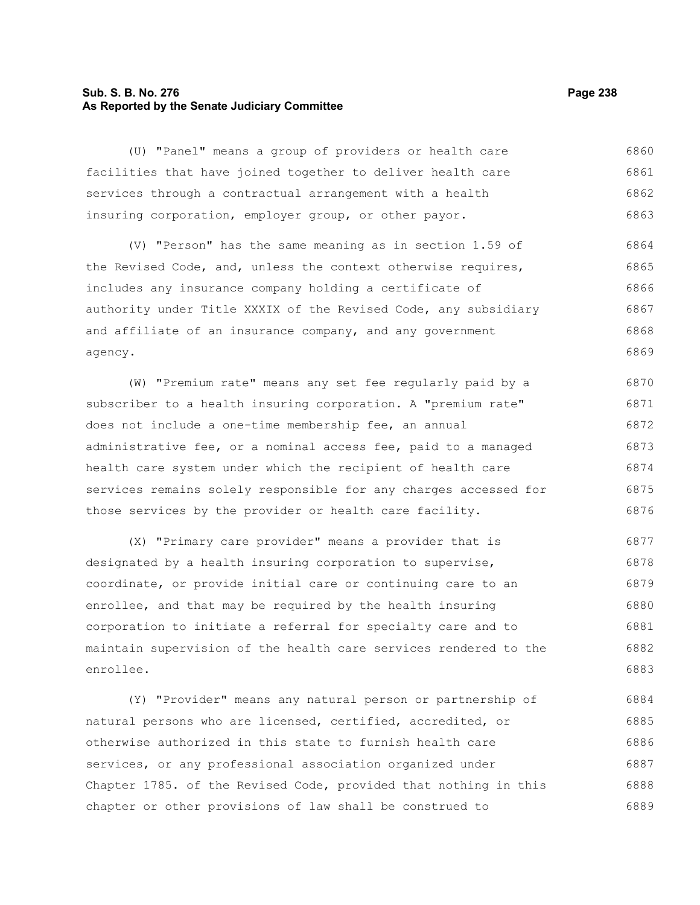## **Sub. S. B. No. 276 Page 238 As Reported by the Senate Judiciary Committee**

(U) "Panel" means a group of providers or health care facilities that have joined together to deliver health care services through a contractual arrangement with a health insuring corporation, employer group, or other payor. 6860 6861 6862 6863

(V) "Person" has the same meaning as in section 1.59 of the Revised Code, and, unless the context otherwise requires, includes any insurance company holding a certificate of authority under Title XXXIX of the Revised Code, any subsidiary and affiliate of an insurance company, and any government agency. 6864 6865 6866 6867 6868 6869

(W) "Premium rate" means any set fee regularly paid by a subscriber to a health insuring corporation. A "premium rate" does not include a one-time membership fee, an annual administrative fee, or a nominal access fee, paid to a managed health care system under which the recipient of health care services remains solely responsible for any charges accessed for those services by the provider or health care facility. 6870 6871 6872 6873 6874 6875 6876

(X) "Primary care provider" means a provider that is designated by a health insuring corporation to supervise, coordinate, or provide initial care or continuing care to an enrollee, and that may be required by the health insuring corporation to initiate a referral for specialty care and to maintain supervision of the health care services rendered to the enrollee. 6877 6878 6879 6880 6881 6882 6883

(Y) "Provider" means any natural person or partnership of natural persons who are licensed, certified, accredited, or otherwise authorized in this state to furnish health care services, or any professional association organized under Chapter 1785. of the Revised Code, provided that nothing in this chapter or other provisions of law shall be construed to 6884 6885 6886 6887 6888 6889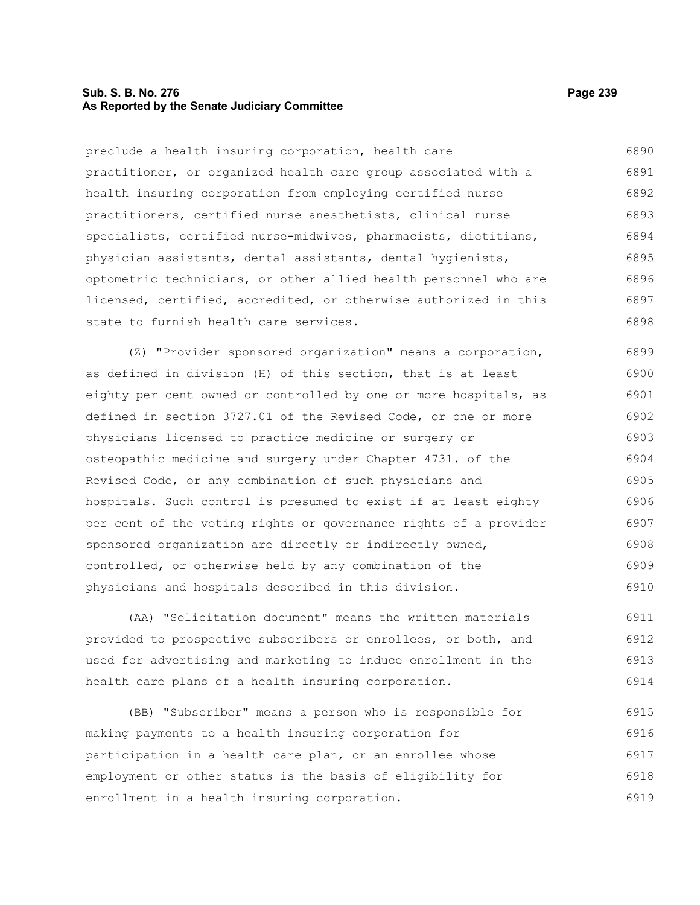#### **Sub. S. B. No. 276 Page 239 As Reported by the Senate Judiciary Committee**

preclude a health insuring corporation, health care practitioner, or organized health care group associated with a health insuring corporation from employing certified nurse practitioners, certified nurse anesthetists, clinical nurse specialists, certified nurse-midwives, pharmacists, dietitians, physician assistants, dental assistants, dental hygienists, optometric technicians, or other allied health personnel who are licensed, certified, accredited, or otherwise authorized in this state to furnish health care services. 6890 6891 6892 6893 6894 6895 6896 6897 6898

(Z) "Provider sponsored organization" means a corporation, as defined in division (H) of this section, that is at least eighty per cent owned or controlled by one or more hospitals, as defined in section 3727.01 of the Revised Code, or one or more physicians licensed to practice medicine or surgery or osteopathic medicine and surgery under Chapter 4731. of the Revised Code, or any combination of such physicians and hospitals. Such control is presumed to exist if at least eighty per cent of the voting rights or governance rights of a provider sponsored organization are directly or indirectly owned, controlled, or otherwise held by any combination of the physicians and hospitals described in this division. 6899 6900 6901 6902 6903 6904 6905 6906 6907 6908 6909 6910

(AA) "Solicitation document" means the written materials provided to prospective subscribers or enrollees, or both, and used for advertising and marketing to induce enrollment in the health care plans of a health insuring corporation. 6911 6912 6913 6914

(BB) "Subscriber" means a person who is responsible for making payments to a health insuring corporation for participation in a health care plan, or an enrollee whose employment or other status is the basis of eligibility for enrollment in a health insuring corporation. 6915 6916 6917 6918 6919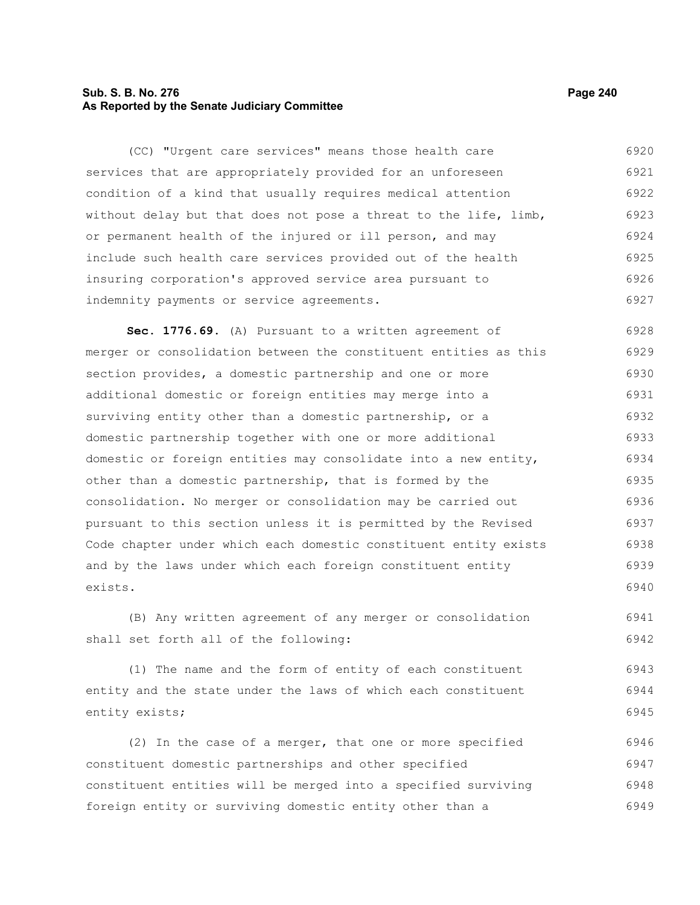## **Sub. S. B. No. 276 Page 240 As Reported by the Senate Judiciary Committee**

(CC) "Urgent care services" means those health care services that are appropriately provided for an unforeseen condition of a kind that usually requires medical attention without delay but that does not pose a threat to the life, limb, or permanent health of the injured or ill person, and may include such health care services provided out of the health insuring corporation's approved service area pursuant to indemnity payments or service agreements. 6920 6921 6922 6923 6924 6925 6926 6927

**Sec. 1776.69.** (A) Pursuant to a written agreement of merger or consolidation between the constituent entities as this section provides, a domestic partnership and one or more additional domestic or foreign entities may merge into a surviving entity other than a domestic partnership, or a domestic partnership together with one or more additional domestic or foreign entities may consolidate into a new entity, other than a domestic partnership, that is formed by the consolidation. No merger or consolidation may be carried out pursuant to this section unless it is permitted by the Revised Code chapter under which each domestic constituent entity exists and by the laws under which each foreign constituent entity exists. 6928 6929 6930 6931 6932 6933 6934 6935 6936 6937 6938 6939 6940

(B) Any written agreement of any merger or consolidation shall set forth all of the following: 6941 6942

(1) The name and the form of entity of each constituent entity and the state under the laws of which each constituent entity exists; 6943 6944 6945

(2) In the case of a merger, that one or more specified constituent domestic partnerships and other specified constituent entities will be merged into a specified surviving foreign entity or surviving domestic entity other than a 6946 6947 6948 6949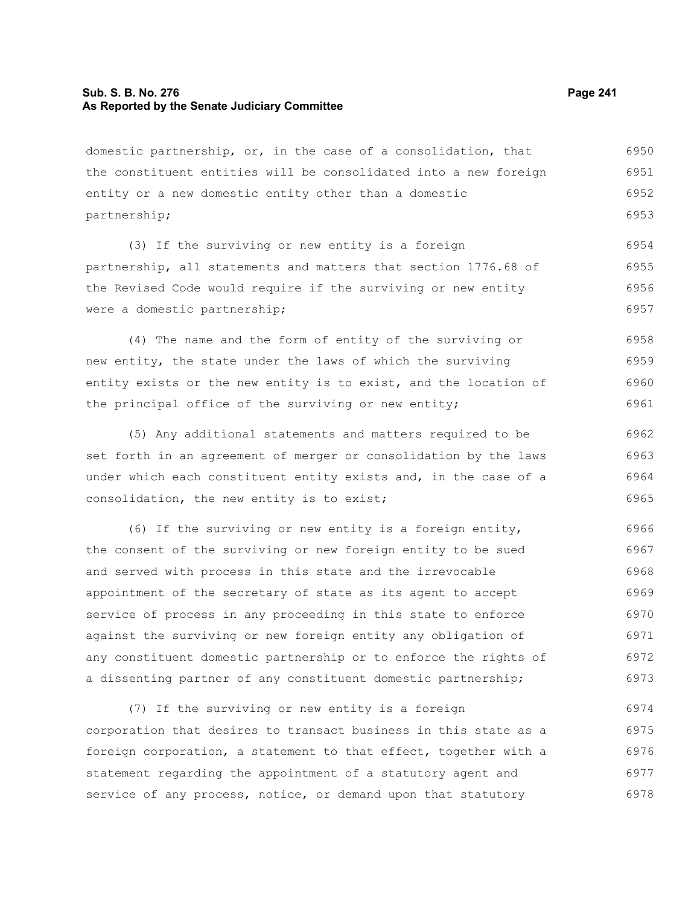## **Sub. S. B. No. 276 Page 241 As Reported by the Senate Judiciary Committee**

domestic partnership, or, in the case of a consolidation, that the constituent entities will be consolidated into a new foreign entity or a new domestic entity other than a domestic partnership; 6950 6951 6952 6953

(3) If the surviving or new entity is a foreign partnership, all statements and matters that section 1776.68 of the Revised Code would require if the surviving or new entity were a domestic partnership; 6954 6955 6956 6957

(4) The name and the form of entity of the surviving or new entity, the state under the laws of which the surviving entity exists or the new entity is to exist, and the location of the principal office of the surviving or new entity; 6958 6959 6960 6961

(5) Any additional statements and matters required to be set forth in an agreement of merger or consolidation by the laws under which each constituent entity exists and, in the case of a consolidation, the new entity is to exist; 6962 6963 6964 6965

(6) If the surviving or new entity is a foreign entity, the consent of the surviving or new foreign entity to be sued and served with process in this state and the irrevocable appointment of the secretary of state as its agent to accept service of process in any proceeding in this state to enforce against the surviving or new foreign entity any obligation of any constituent domestic partnership or to enforce the rights of a dissenting partner of any constituent domestic partnership; 6966 6967 6968 6969 6970 6971 6972 6973

(7) If the surviving or new entity is a foreign corporation that desires to transact business in this state as a foreign corporation, a statement to that effect, together with a statement regarding the appointment of a statutory agent and service of any process, notice, or demand upon that statutory 6974 6975 6976 6977 6978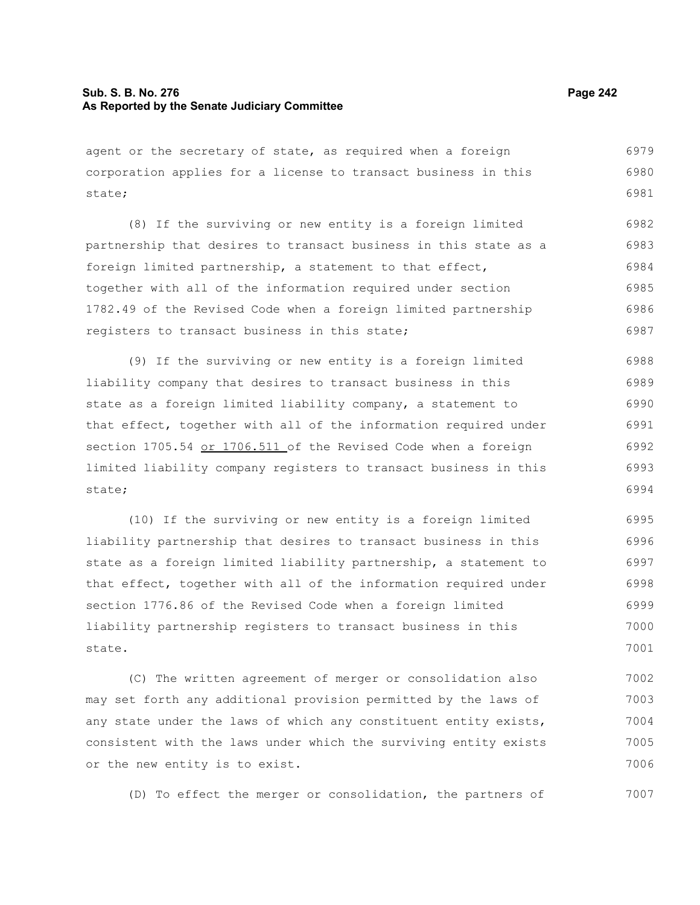### **Sub. S. B. No. 276 Page 242 As Reported by the Senate Judiciary Committee**

agent or the secretary of state, as required when a foreign corporation applies for a license to transact business in this state; 6979 6980 6981

(8) If the surviving or new entity is a foreign limited partnership that desires to transact business in this state as a foreign limited partnership, a statement to that effect, together with all of the information required under section 1782.49 of the Revised Code when a foreign limited partnership registers to transact business in this state; 6982 6983 6984 6985 6986 6987

(9) If the surviving or new entity is a foreign limited liability company that desires to transact business in this state as a foreign limited liability company, a statement to that effect, together with all of the information required under section 1705.54 or 1706.511 of the Revised Code when a foreign limited liability company registers to transact business in this state; 6988 6989 6990 6991 6992 6993 6994

(10) If the surviving or new entity is a foreign limited liability partnership that desires to transact business in this state as a foreign limited liability partnership, a statement to that effect, together with all of the information required under section 1776.86 of the Revised Code when a foreign limited liability partnership registers to transact business in this state. 6995 6996 6997 6998 6999 7000 7001

(C) The written agreement of merger or consolidation also may set forth any additional provision permitted by the laws of any state under the laws of which any constituent entity exists, consistent with the laws under which the surviving entity exists or the new entity is to exist. 7002 7003 7004 7005 7006

(D) To effect the merger or consolidation, the partners of 7007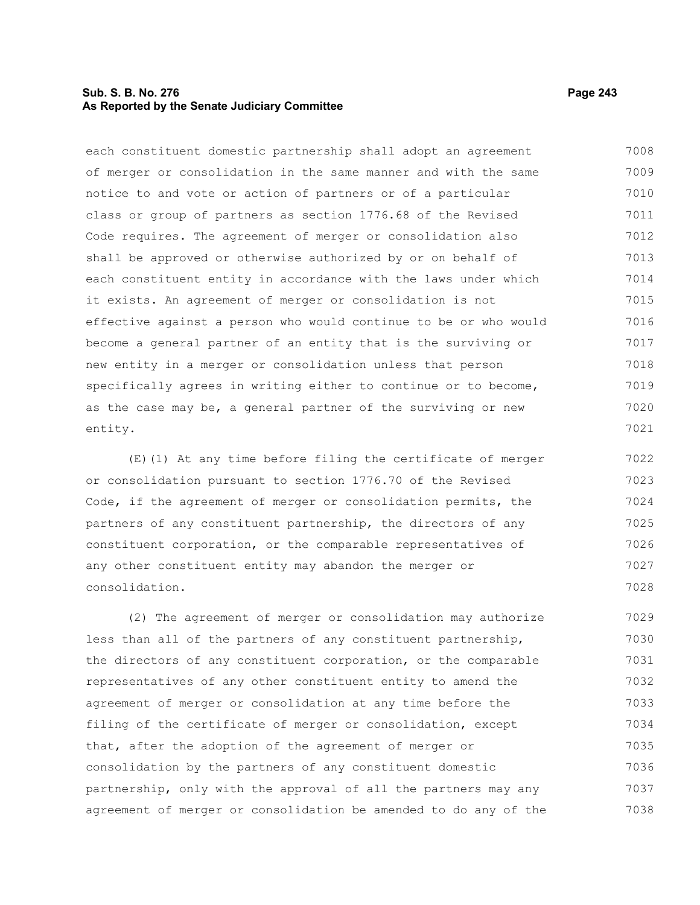## **Sub. S. B. No. 276 Page 243 As Reported by the Senate Judiciary Committee**

each constituent domestic partnership shall adopt an agreement of merger or consolidation in the same manner and with the same notice to and vote or action of partners or of a particular class or group of partners as section 1776.68 of the Revised Code requires. The agreement of merger or consolidation also shall be approved or otherwise authorized by or on behalf of each constituent entity in accordance with the laws under which it exists. An agreement of merger or consolidation is not effective against a person who would continue to be or who would become a general partner of an entity that is the surviving or new entity in a merger or consolidation unless that person specifically agrees in writing either to continue or to become, as the case may be, a general partner of the surviving or new entity. 7008 7009 7010 7011 7012 7013 7014 7015 7016 7017 7018 7019 7020 7021

(E)(1) At any time before filing the certificate of merger or consolidation pursuant to section 1776.70 of the Revised Code, if the agreement of merger or consolidation permits, the partners of any constituent partnership, the directors of any constituent corporation, or the comparable representatives of any other constituent entity may abandon the merger or consolidation. 7022 7023 7024 7025 7026 7027 7028

(2) The agreement of merger or consolidation may authorize less than all of the partners of any constituent partnership, the directors of any constituent corporation, or the comparable representatives of any other constituent entity to amend the agreement of merger or consolidation at any time before the filing of the certificate of merger or consolidation, except that, after the adoption of the agreement of merger or consolidation by the partners of any constituent domestic partnership, only with the approval of all the partners may any agreement of merger or consolidation be amended to do any of the 7029 7030 7031 7032 7033 7034 7035 7036 7037 7038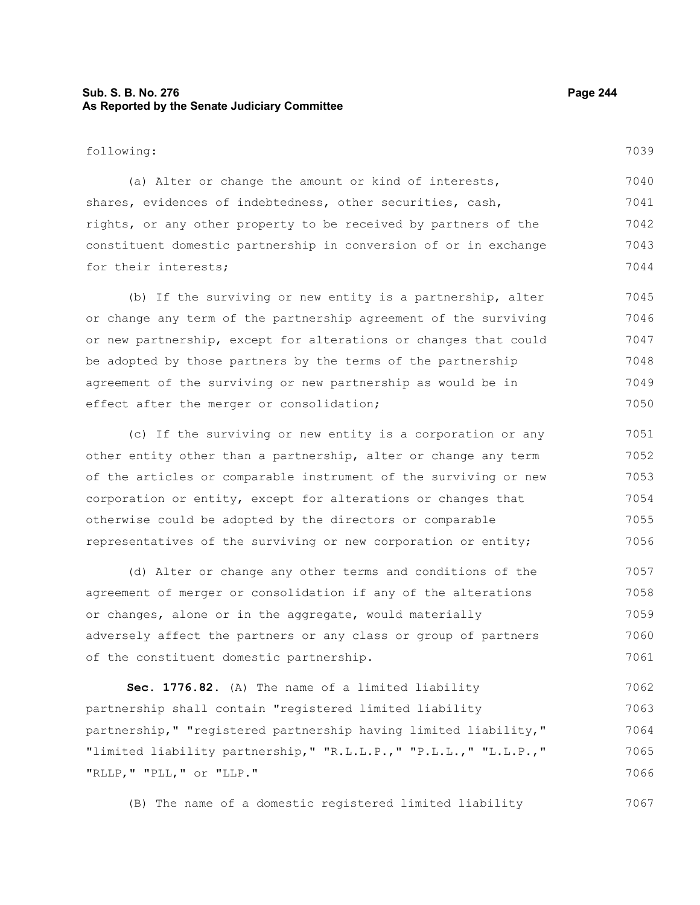## **Sub. S. B. No. 276 Page 244 As Reported by the Senate Judiciary Committee**

following:

(a) Alter or change the amount or kind of interests, shares, evidences of indebtedness, other securities, cash, rights, or any other property to be received by partners of the constituent domestic partnership in conversion of or in exchange for their interests; 7040 7041 7042 7043 7044

(b) If the surviving or new entity is a partnership, alter or change any term of the partnership agreement of the surviving or new partnership, except for alterations or changes that could be adopted by those partners by the terms of the partnership agreement of the surviving or new partnership as would be in effect after the merger or consolidation; 7045 7046 7047 7048 7049 7050

(c) If the surviving or new entity is a corporation or any other entity other than a partnership, alter or change any term of the articles or comparable instrument of the surviving or new corporation or entity, except for alterations or changes that otherwise could be adopted by the directors or comparable representatives of the surviving or new corporation or entity; 7051 7052 7053 7054 7055 7056

(d) Alter or change any other terms and conditions of the agreement of merger or consolidation if any of the alterations or changes, alone or in the aggregate, would materially adversely affect the partners or any class or group of partners of the constituent domestic partnership. 7057 7058 7059 7060 7061

**Sec. 1776.82.** (A) The name of a limited liability partnership shall contain "registered limited liability partnership," "registered partnership having limited liability," "limited liability partnership," "R.L.L.P.," "P.L.L.," "L.L.P.," "RLLP," "PLL," or "LLP." 7062 7063 7064 7065 7066

(B) The name of a domestic registered limited liability 7067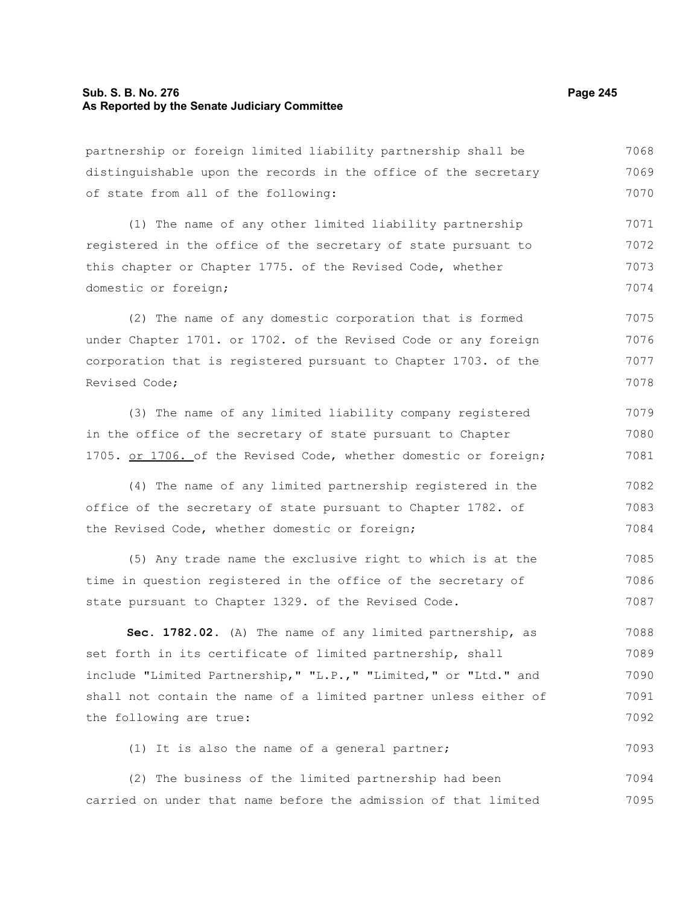## **Sub. S. B. No. 276 Page 245 As Reported by the Senate Judiciary Committee**

partnership or foreign limited liability partnership shall be distinguishable upon the records in the office of the secretary of state from all of the following: 7068 7069 7070

(1) The name of any other limited liability partnership registered in the office of the secretary of state pursuant to this chapter or Chapter 1775. of the Revised Code, whether domestic or foreign; 7071 7072 7073 7074

(2) The name of any domestic corporation that is formed under Chapter 1701. or 1702. of the Revised Code or any foreign corporation that is registered pursuant to Chapter 1703. of the Revised Code; 7075 7076 7077 7078

(3) The name of any limited liability company registered in the office of the secretary of state pursuant to Chapter 1705. or 1706. of the Revised Code, whether domestic or foreign; 7079 7080 7081

(4) The name of any limited partnership registered in the office of the secretary of state pursuant to Chapter 1782. of the Revised Code, whether domestic or foreign; 7082 7083 7084

(5) Any trade name the exclusive right to which is at the time in question registered in the office of the secretary of state pursuant to Chapter 1329. of the Revised Code. 7085 7086 7087

**Sec. 1782.02.** (A) The name of any limited partnership, as set forth in its certificate of limited partnership, shall include "Limited Partnership," "L.P.," "Limited," or "Ltd." and shall not contain the name of a limited partner unless either of the following are true: 7088 7089 7090 7091 7092

(1) It is also the name of a general partner; 7093

(2) The business of the limited partnership had been carried on under that name before the admission of that limited 7094 7095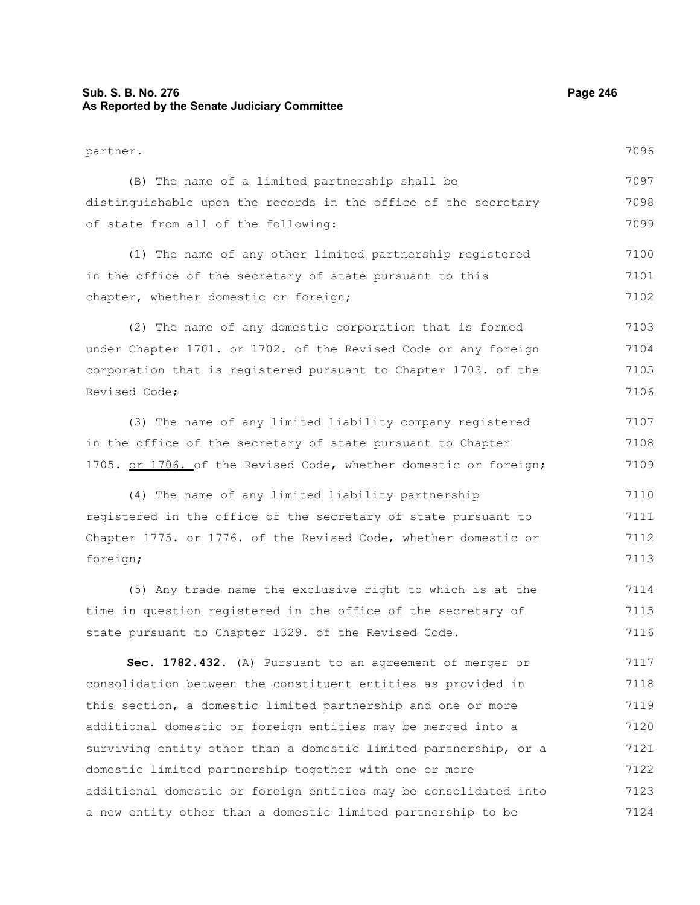# **Sub. S. B. No. 276 Page 246 As Reported by the Senate Judiciary Committee**

| partner.                                                         | 7096 |
|------------------------------------------------------------------|------|
| (B) The name of a limited partnership shall be                   | 7097 |
| distinguishable upon the records in the office of the secretary  | 7098 |
| of state from all of the following:                              | 7099 |
| (1) The name of any other limited partnership registered         | 7100 |
| in the office of the secretary of state pursuant to this         | 7101 |
| chapter, whether domestic or foreign;                            | 7102 |
| (2) The name of any domestic corporation that is formed          | 7103 |
| under Chapter 1701. or 1702. of the Revised Code or any foreign  | 7104 |
| corporation that is registered pursuant to Chapter 1703. of the  | 7105 |
| Revised Code;                                                    | 7106 |
| (3) The name of any limited liability company registered         | 7107 |
| in the office of the secretary of state pursuant to Chapter      | 7108 |
| 1705. or 1706. of the Revised Code, whether domestic or foreign; | 7109 |
| (4) The name of any limited liability partnership                | 7110 |
| registered in the office of the secretary of state pursuant to   | 7111 |
| Chapter 1775. or 1776. of the Revised Code, whether domestic or  | 7112 |
| foreign;                                                         | 7113 |
| (5) Any trade name the exclusive right to which is at the        | 7114 |
| time in question registered in the office of the secretary of    | 7115 |
| state pursuant to Chapter 1329. of the Revised Code.             | 7116 |
| Sec. 1782.432. (A) Pursuant to an agreement of merger or         | 7117 |
| consolidation between the constituent entities as provided in    | 7118 |
| this section, a domestic limited partnership and one or more     | 7119 |
| additional domestic or foreign entities may be merged into a     | 7120 |
| surviving entity other than a domestic limited partnership, or a | 7121 |
| domestic limited partnership together with one or more           | 7122 |
| additional domestic or foreign entities may be consolidated into | 7123 |
| a new entity other than a domestic limited partnership to be     | 7124 |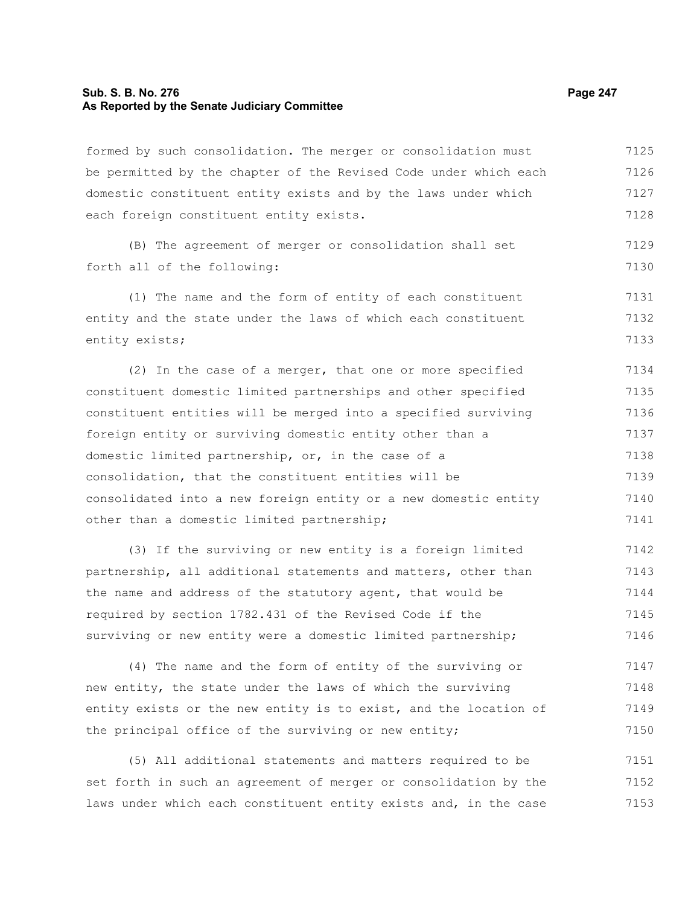#### **Sub. S. B. No. 276 Page 247 As Reported by the Senate Judiciary Committee**

formed by such consolidation. The merger or consolidation must be permitted by the chapter of the Revised Code under which each domestic constituent entity exists and by the laws under which each foreign constituent entity exists. 7125 7126 7127 7128

(B) The agreement of merger or consolidation shall set forth all of the following:

(1) The name and the form of entity of each constituent entity and the state under the laws of which each constituent entity exists; 7131 7132 7133

(2) In the case of a merger, that one or more specified constituent domestic limited partnerships and other specified constituent entities will be merged into a specified surviving foreign entity or surviving domestic entity other than a domestic limited partnership, or, in the case of a consolidation, that the constituent entities will be consolidated into a new foreign entity or a new domestic entity other than a domestic limited partnership; 7134 7135 7136 7137 7138 7139 7140 7141

(3) If the surviving or new entity is a foreign limited partnership, all additional statements and matters, other than the name and address of the statutory agent, that would be required by section 1782.431 of the Revised Code if the surviving or new entity were a domestic limited partnership; 7142 7143 7144 7145 7146

(4) The name and the form of entity of the surviving or new entity, the state under the laws of which the surviving entity exists or the new entity is to exist, and the location of the principal office of the surviving or new entity; 7147 7148 7149 7150

(5) All additional statements and matters required to be set forth in such an agreement of merger or consolidation by the laws under which each constituent entity exists and, in the case 7151 7152 7153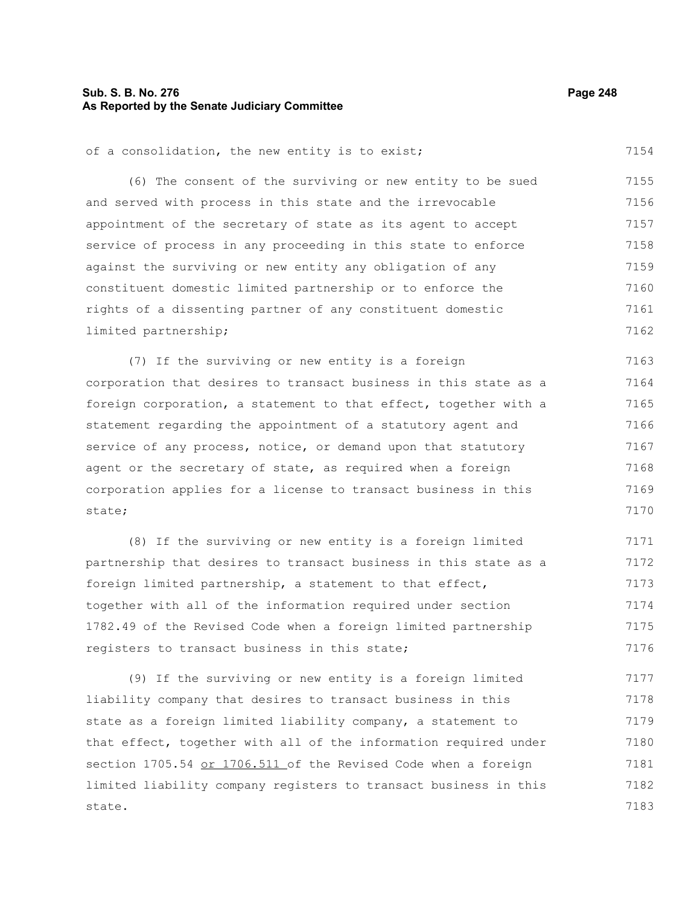## **Sub. S. B. No. 276 Page 248 As Reported by the Senate Judiciary Committee**

(6) The consent of the surviving or new entity to be sued and served with process in this state and the irrevocable appointment of the secretary of state as its agent to accept service of process in any proceeding in this state to enforce against the surviving or new entity any obligation of any constituent domestic limited partnership or to enforce the rights of a dissenting partner of any constituent domestic limited partnership; 7155 7156 7157 7158 7159 7160 7161 7162

(7) If the surviving or new entity is a foreign corporation that desires to transact business in this state as a foreign corporation, a statement to that effect, together with a statement regarding the appointment of a statutory agent and service of any process, notice, or demand upon that statutory agent or the secretary of state, as required when a foreign corporation applies for a license to transact business in this state; 7163 7164 7165 7166 7167 7168 7169 7170

(8) If the surviving or new entity is a foreign limited partnership that desires to transact business in this state as a foreign limited partnership, a statement to that effect, together with all of the information required under section 1782.49 of the Revised Code when a foreign limited partnership registers to transact business in this state; 7171 7172 7173 7174 7175 7176

(9) If the surviving or new entity is a foreign limited liability company that desires to transact business in this state as a foreign limited liability company, a statement to that effect, together with all of the information required under section 1705.54 or 1706.511 of the Revised Code when a foreign limited liability company registers to transact business in this state. 7177 7178 7179 7180 7181 7182 7183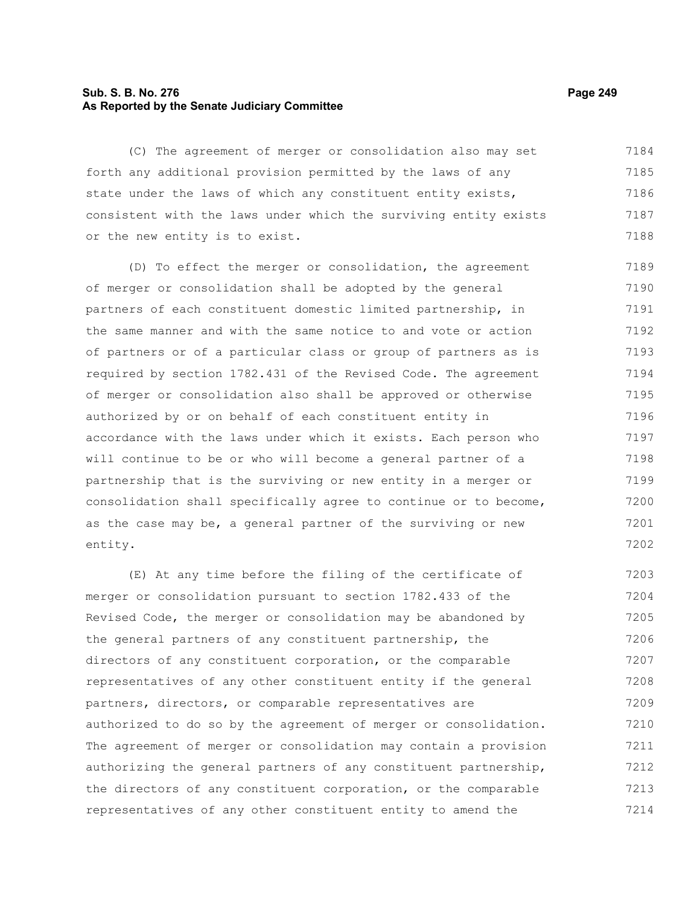## **Sub. S. B. No. 276 Page 249 As Reported by the Senate Judiciary Committee**

(C) The agreement of merger or consolidation also may set forth any additional provision permitted by the laws of any state under the laws of which any constituent entity exists, consistent with the laws under which the surviving entity exists or the new entity is to exist. 7184 7185 7186 7187 7188

(D) To effect the merger or consolidation, the agreement of merger or consolidation shall be adopted by the general partners of each constituent domestic limited partnership, in the same manner and with the same notice to and vote or action of partners or of a particular class or group of partners as is required by section 1782.431 of the Revised Code. The agreement of merger or consolidation also shall be approved or otherwise authorized by or on behalf of each constituent entity in accordance with the laws under which it exists. Each person who will continue to be or who will become a general partner of a partnership that is the surviving or new entity in a merger or consolidation shall specifically agree to continue or to become, as the case may be, a general partner of the surviving or new entity. 7189 7190 7191 7192 7193 7194 7195 7196 7197 7198 7199 7200 7201 7202

(E) At any time before the filing of the certificate of merger or consolidation pursuant to section 1782.433 of the Revised Code, the merger or consolidation may be abandoned by the general partners of any constituent partnership, the directors of any constituent corporation, or the comparable representatives of any other constituent entity if the general partners, directors, or comparable representatives are authorized to do so by the agreement of merger or consolidation. The agreement of merger or consolidation may contain a provision authorizing the general partners of any constituent partnership, the directors of any constituent corporation, or the comparable representatives of any other constituent entity to amend the 7203 7204 7205 7206 7207 7208 7209 7210 7211 7212 7213 7214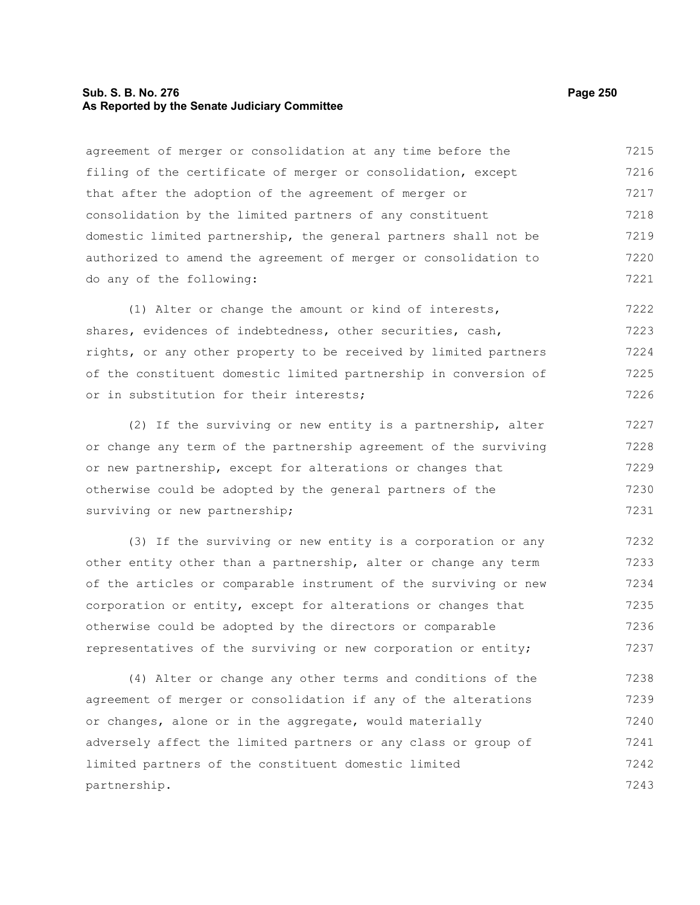#### **Sub. S. B. No. 276 Page 250 As Reported by the Senate Judiciary Committee**

agreement of merger or consolidation at any time before the filing of the certificate of merger or consolidation, except that after the adoption of the agreement of merger or consolidation by the limited partners of any constituent domestic limited partnership, the general partners shall not be authorized to amend the agreement of merger or consolidation to do any of the following: 7215 7216 7217 7218 7219 7220 7221

(1) Alter or change the amount or kind of interests, shares, evidences of indebtedness, other securities, cash, rights, or any other property to be received by limited partners of the constituent domestic limited partnership in conversion of or in substitution for their interests; 7222 7223 7224 7225 7226

(2) If the surviving or new entity is a partnership, alter or change any term of the partnership agreement of the surviving or new partnership, except for alterations or changes that otherwise could be adopted by the general partners of the surviving or new partnership; 7227 7228 7229 7230 7231

(3) If the surviving or new entity is a corporation or any other entity other than a partnership, alter or change any term of the articles or comparable instrument of the surviving or new corporation or entity, except for alterations or changes that otherwise could be adopted by the directors or comparable representatives of the surviving or new corporation or entity; 7232 7233 7234 7235 7236 7237

(4) Alter or change any other terms and conditions of the agreement of merger or consolidation if any of the alterations or changes, alone or in the aggregate, would materially adversely affect the limited partners or any class or group of limited partners of the constituent domestic limited partnership. 7238 7239 7240 7241 7242 7243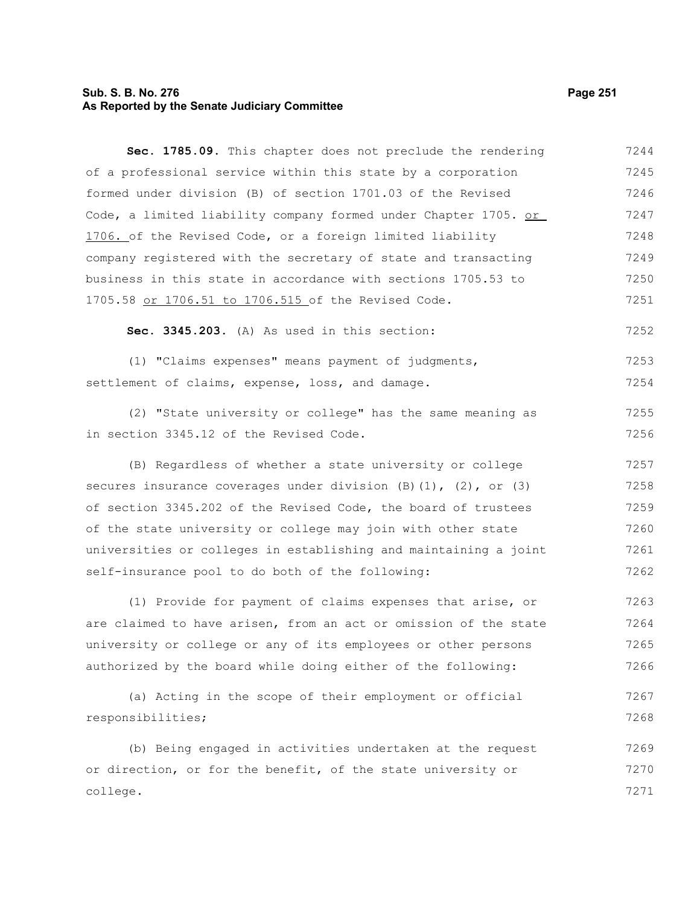# **Sub. S. B. No. 276 Page 251 As Reported by the Senate Judiciary Committee**

college.

| Sec. 1785.09. This chapter does not preclude the rendering             | 7244 |
|------------------------------------------------------------------------|------|
| of a professional service within this state by a corporation           | 7245 |
| formed under division (B) of section 1701.03 of the Revised            | 7246 |
| Code, a limited liability company formed under Chapter 1705. or        | 7247 |
| 1706. of the Revised Code, or a foreign limited liability              | 7248 |
| company registered with the secretary of state and transacting         | 7249 |
| business in this state in accordance with sections 1705.53 to          | 7250 |
| 1705.58 or 1706.51 to 1706.515 of the Revised Code.                    | 7251 |
| Sec. 3345.203. (A) As used in this section:                            | 7252 |
| (1) "Claims expenses" means payment of judgments,                      | 7253 |
| settlement of claims, expense, loss, and damage.                       | 7254 |
| (2) "State university or college" has the same meaning as              | 7255 |
| in section 3345.12 of the Revised Code.                                | 7256 |
| (B) Regardless of whether a state university or college                | 7257 |
| secures insurance coverages under division $(B)(1)$ , $(2)$ , or $(3)$ | 7258 |
| of section 3345.202 of the Revised Code, the board of trustees         | 7259 |
| of the state university or college may join with other state           | 7260 |
| universities or colleges in establishing and maintaining a joint       | 7261 |
| self-insurance pool to do both of the following:                       | 7262 |
| (1) Provide for payment of claims expenses that arise, or              | 7263 |
| are claimed to have arisen, from an act or omission of the state       | 7264 |
| university or college or any of its employees or other persons         | 7265 |
| authorized by the board while doing either of the following:           | 7266 |
| (a) Acting in the scope of their employment or official                | 7267 |
| responsibilities;                                                      | 7268 |
| (b) Being engaged in activities undertaken at the request              | 7269 |
| or direction, or for the benefit, of the state university or           | 7270 |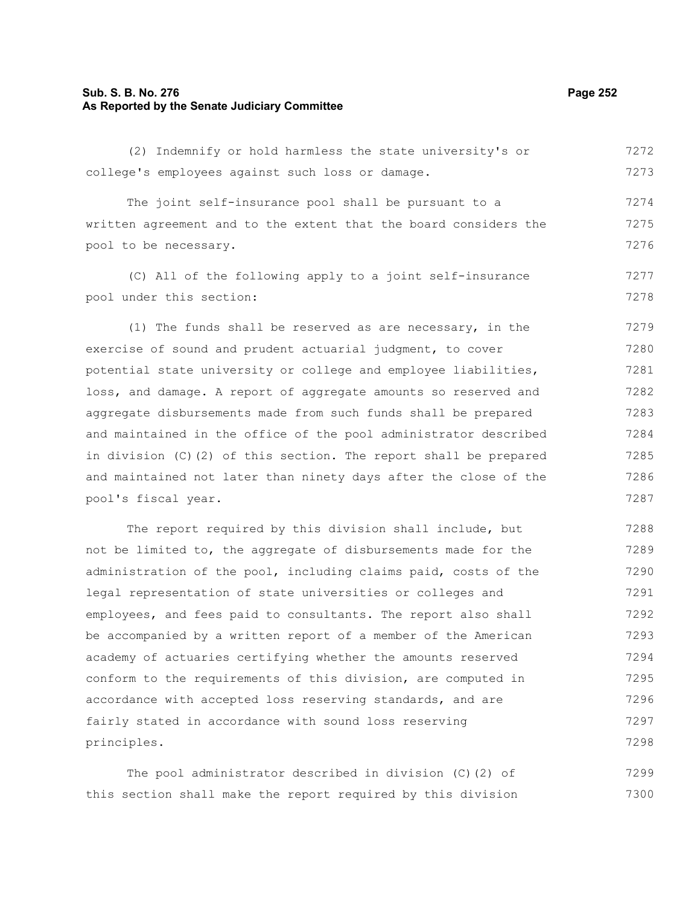## **Sub. S. B. No. 276 Page 252 As Reported by the Senate Judiciary Committee**

(2) Indemnify or hold harmless the state university's or college's employees against such loss or damage. 7272 7273

The joint self-insurance pool shall be pursuant to a written agreement and to the extent that the board considers the pool to be necessary. 7274 7275 7276

(C) All of the following apply to a joint self-insurance pool under this section: 7277 7278

(1) The funds shall be reserved as are necessary, in the exercise of sound and prudent actuarial judgment, to cover potential state university or college and employee liabilities, loss, and damage. A report of aggregate amounts so reserved and aggregate disbursements made from such funds shall be prepared and maintained in the office of the pool administrator described in division (C)(2) of this section. The report shall be prepared and maintained not later than ninety days after the close of the pool's fiscal year. 7279 7280 7281 7282 7283 7284 7285 7286 7287

The report required by this division shall include, but not be limited to, the aggregate of disbursements made for the administration of the pool, including claims paid, costs of the legal representation of state universities or colleges and employees, and fees paid to consultants. The report also shall be accompanied by a written report of a member of the American academy of actuaries certifying whether the amounts reserved conform to the requirements of this division, are computed in accordance with accepted loss reserving standards, and are fairly stated in accordance with sound loss reserving principles. 7288 7289 7290 7291 7292 7293 7294 7295 7296 7297 7298

The pool administrator described in division (C)(2) of this section shall make the report required by this division 7299 7300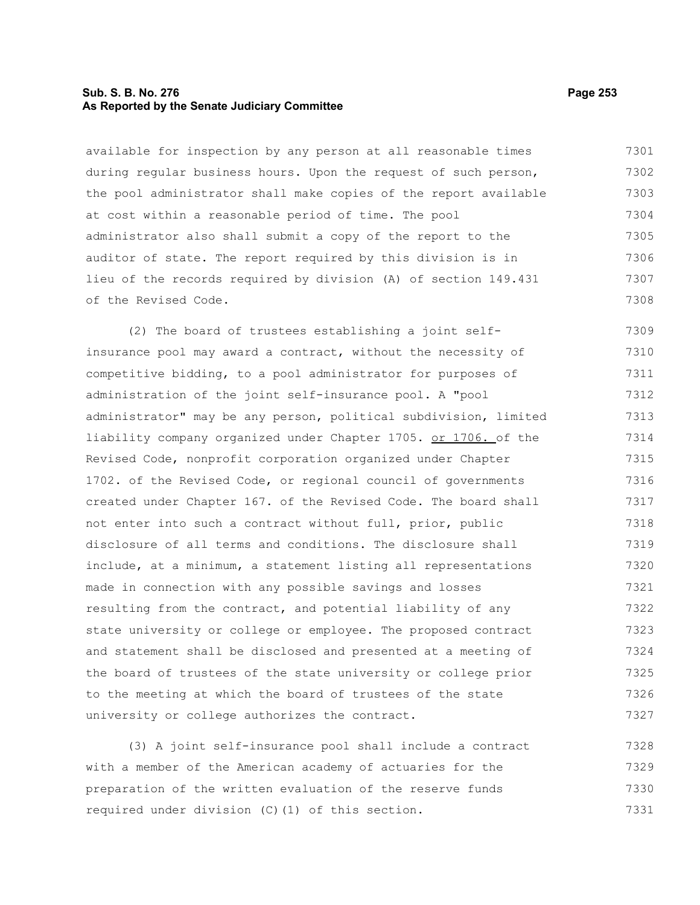## **Sub. S. B. No. 276 Page 253 As Reported by the Senate Judiciary Committee**

available for inspection by any person at all reasonable times during regular business hours. Upon the request of such person, the pool administrator shall make copies of the report available at cost within a reasonable period of time. The pool administrator also shall submit a copy of the report to the auditor of state. The report required by this division is in lieu of the records required by division (A) of section 149.431 of the Revised Code. 7301 7302 7303 7304 7305 7306 7307 7308

(2) The board of trustees establishing a joint selfinsurance pool may award a contract, without the necessity of competitive bidding, to a pool administrator for purposes of administration of the joint self-insurance pool. A "pool administrator" may be any person, political subdivision, limited liability company organized under Chapter 1705. or 1706. of the Revised Code, nonprofit corporation organized under Chapter 1702. of the Revised Code, or regional council of governments created under Chapter 167. of the Revised Code. The board shall not enter into such a contract without full, prior, public disclosure of all terms and conditions. The disclosure shall include, at a minimum, a statement listing all representations made in connection with any possible savings and losses resulting from the contract, and potential liability of any state university or college or employee. The proposed contract and statement shall be disclosed and presented at a meeting of the board of trustees of the state university or college prior to the meeting at which the board of trustees of the state university or college authorizes the contract. 7309 7310 7311 7312 7313 7314 7315 7316 7317 7318 7319 7320 7321 7322 7323 7324 7325 7326 7327

(3) A joint self-insurance pool shall include a contract with a member of the American academy of actuaries for the preparation of the written evaluation of the reserve funds required under division (C)(1) of this section. 7328 7329 7330 7331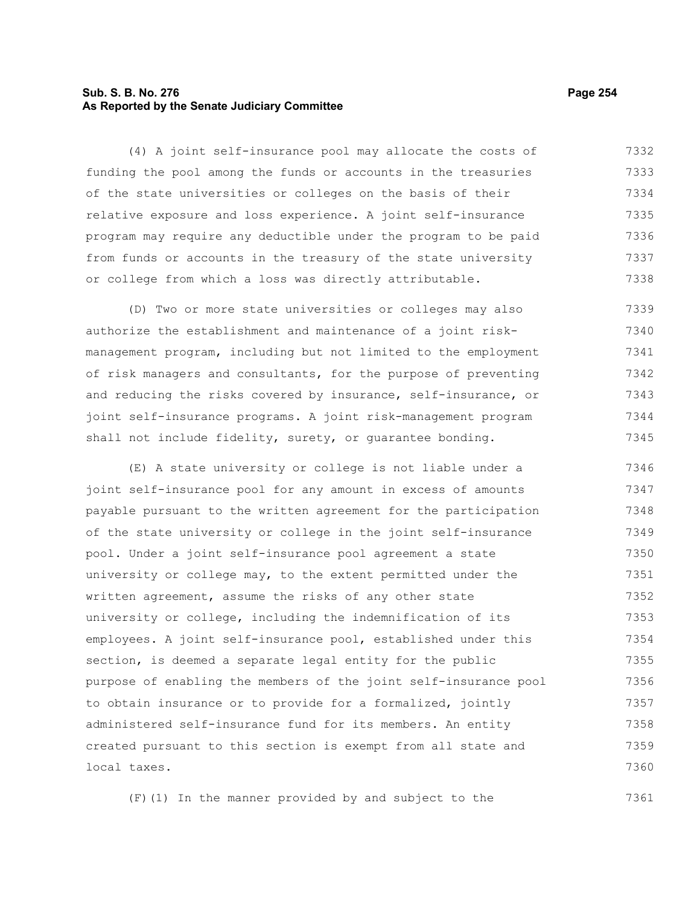## **Sub. S. B. No. 276 Page 254 As Reported by the Senate Judiciary Committee**

(4) A joint self-insurance pool may allocate the costs of funding the pool among the funds or accounts in the treasuries of the state universities or colleges on the basis of their relative exposure and loss experience. A joint self-insurance program may require any deductible under the program to be paid from funds or accounts in the treasury of the state university or college from which a loss was directly attributable. 7332 7333 7334 7335 7336 7337 7338

(D) Two or more state universities or colleges may also authorize the establishment and maintenance of a joint riskmanagement program, including but not limited to the employment of risk managers and consultants, for the purpose of preventing and reducing the risks covered by insurance, self-insurance, or joint self-insurance programs. A joint risk-management program shall not include fidelity, surety, or guarantee bonding. 7339 7340 7341 7342 7343 7344 7345

(E) A state university or college is not liable under a joint self-insurance pool for any amount in excess of amounts payable pursuant to the written agreement for the participation of the state university or college in the joint self-insurance pool. Under a joint self-insurance pool agreement a state university or college may, to the extent permitted under the written agreement, assume the risks of any other state university or college, including the indemnification of its employees. A joint self-insurance pool, established under this section, is deemed a separate legal entity for the public purpose of enabling the members of the joint self-insurance pool to obtain insurance or to provide for a formalized, jointly administered self-insurance fund for its members. An entity created pursuant to this section is exempt from all state and local taxes. 7346 7347 7348 7349 7350 7351 7352 7353 7354 7355 7356 7357 7358 7359 7360

(F)(1) In the manner provided by and subject to the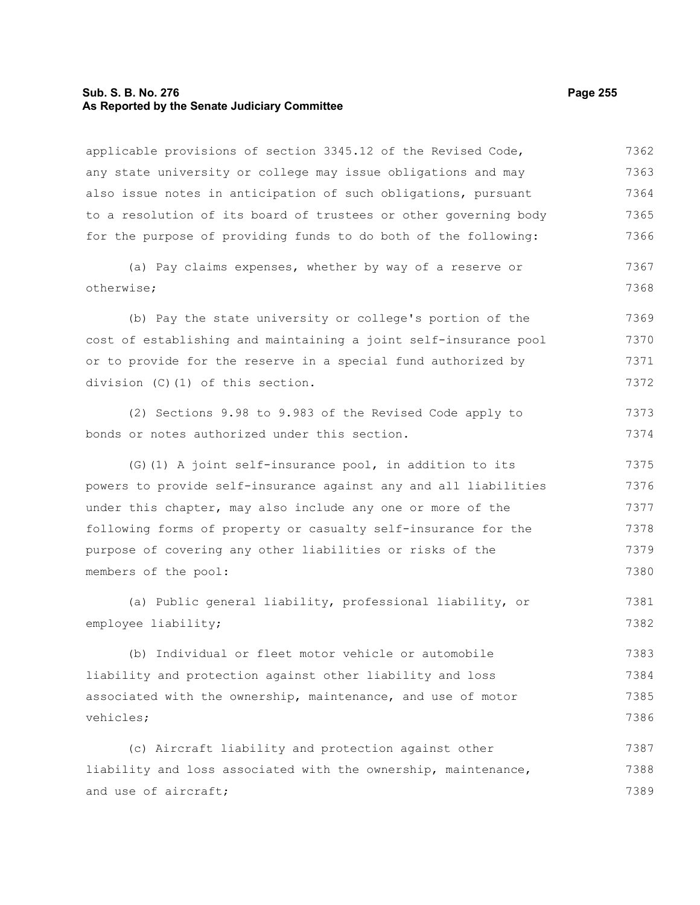#### **Sub. S. B. No. 276 Page 255 As Reported by the Senate Judiciary Committee**

applicable provisions of section 3345.12 of the Revised Code, any state university or college may issue obligations and may also issue notes in anticipation of such obligations, pursuant to a resolution of its board of trustees or other governing body for the purpose of providing funds to do both of the following: (a) Pay claims expenses, whether by way of a reserve or otherwise; (b) Pay the state university or college's portion of the cost of establishing and maintaining a joint self-insurance pool or to provide for the reserve in a special fund authorized by division (C)(1) of this section. (2) Sections 9.98 to 9.983 of the Revised Code apply to bonds or notes authorized under this section. (G)(1) A joint self-insurance pool, in addition to its powers to provide self-insurance against any and all liabilities under this chapter, may also include any one or more of the following forms of property or casualty self-insurance for the purpose of covering any other liabilities or risks of the members of the pool: (a) Public general liability, professional liability, or employee liability; (b) Individual or fleet motor vehicle or automobile liability and protection against other liability and loss associated with the ownership, maintenance, and use of motor vehicles; (c) Aircraft liability and protection against other liability and loss associated with the ownership, maintenance, and use of aircraft; 7362 7363 7364 7365 7366 7367 7368 7369 7370 7371 7372 7373 7374 7375 7376 7377 7378 7379 7380 7381 7382 7383 7384 7385 7386 7387 7388 7389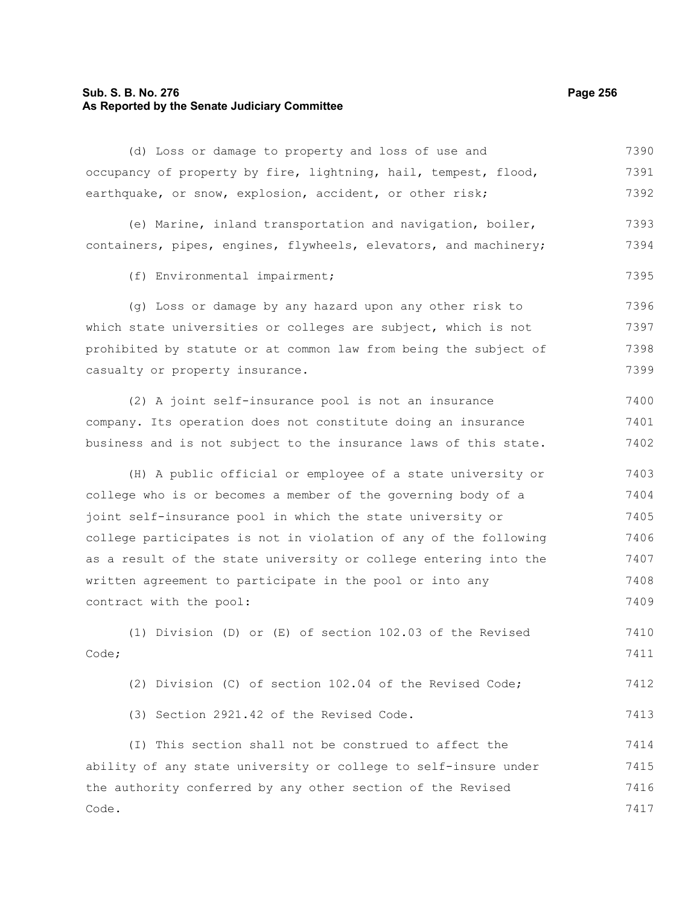## **Sub. S. B. No. 276 Page 256 As Reported by the Senate Judiciary Committee**

(d) Loss or damage to property and loss of use and occupancy of property by fire, lightning, hail, tempest, flood, earthquake, or snow, explosion, accident, or other risk; 7390 7391 7392

(e) Marine, inland transportation and navigation, boiler, containers, pipes, engines, flywheels, elevators, and machinery; 7393 7394

(f) Environmental impairment;

(g) Loss or damage by any hazard upon any other risk to which state universities or colleges are subject, which is not prohibited by statute or at common law from being the subject of casualty or property insurance. 7396 7397 7398 7399

(2) A joint self-insurance pool is not an insurance company. Its operation does not constitute doing an insurance business and is not subject to the insurance laws of this state. 7400 7401 7402

(H) A public official or employee of a state university or college who is or becomes a member of the governing body of a joint self-insurance pool in which the state university or college participates is not in violation of any of the following as a result of the state university or college entering into the written agreement to participate in the pool or into any contract with the pool: 7403 7404 7405 7406 7407 7408 7409

(1) Division (D) or (E) of section 102.03 of the Revised Code; 7410 7411

(2) Division (C) of section 102.04 of the Revised Code; 7412

(3) Section 2921.42 of the Revised Code.

(I) This section shall not be construed to affect the ability of any state university or college to self-insure under the authority conferred by any other section of the Revised Code. 7414 7415 7416 7417

7395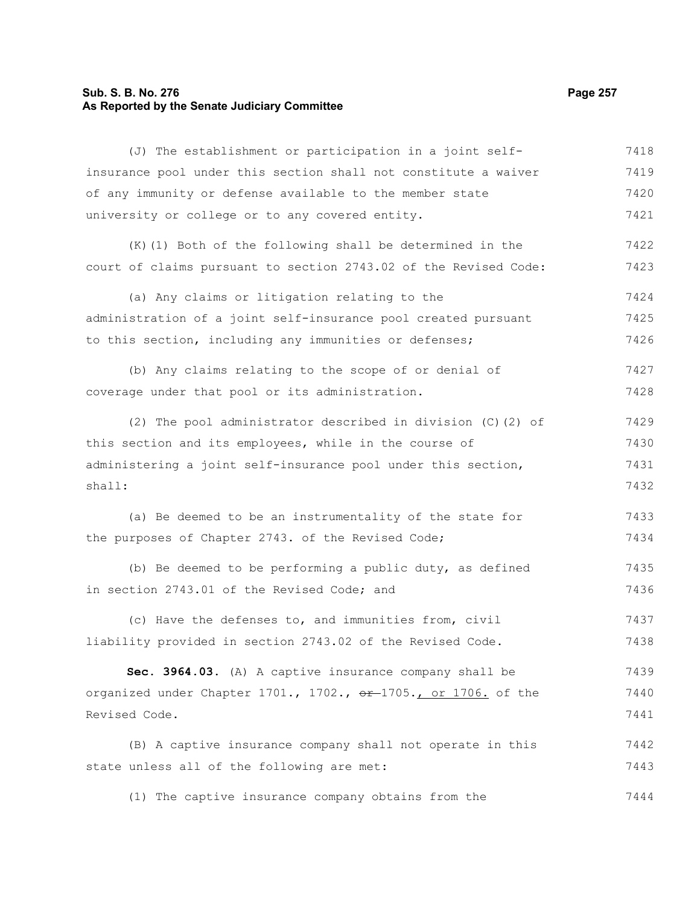# **Sub. S. B. No. 276 Page 257 As Reported by the Senate Judiciary Committee**

| (J) The establishment or participation in a joint self-          | 7418 |
|------------------------------------------------------------------|------|
| insurance pool under this section shall not constitute a waiver  | 7419 |
| of any immunity or defense available to the member state         | 7420 |
| university or college or to any covered entity.                  | 7421 |
| (K) (1) Both of the following shall be determined in the         | 7422 |
| court of claims pursuant to section 2743.02 of the Revised Code: | 7423 |
| (a) Any claims or litigation relating to the                     | 7424 |
| administration of a joint self-insurance pool created pursuant   | 7425 |
| to this section, including any immunities or defenses;           | 7426 |
| (b) Any claims relating to the scope of or denial of             | 7427 |
| coverage under that pool or its administration.                  | 7428 |
| (2) The pool administrator described in division (C) (2) of      | 7429 |
| this section and its employees, while in the course of           | 7430 |
| administering a joint self-insurance pool under this section,    | 7431 |
| shall:                                                           | 7432 |
| (a) Be deemed to be an instrumentality of the state for          | 7433 |
| the purposes of Chapter 2743. of the Revised Code;               | 7434 |
| (b) Be deemed to be performing a public duty, as defined         | 7435 |
| in section 2743.01 of the Revised Code; and                      | 7436 |
| (c) Have the defenses to, and immunities from, civil             | 7437 |
| liability provided in section 2743.02 of the Revised Code.       | 7438 |
| Sec. 3964.03. (A) A captive insurance company shall be           | 7439 |
| organized under Chapter 1701., 1702., or 1705., or 1706. of the  | 7440 |
| Revised Code.                                                    | 7441 |
| (B) A captive insurance company shall not operate in this        | 7442 |
| state unless all of the following are met:                       | 7443 |
|                                                                  |      |

(1) The captive insurance company obtains from the 7444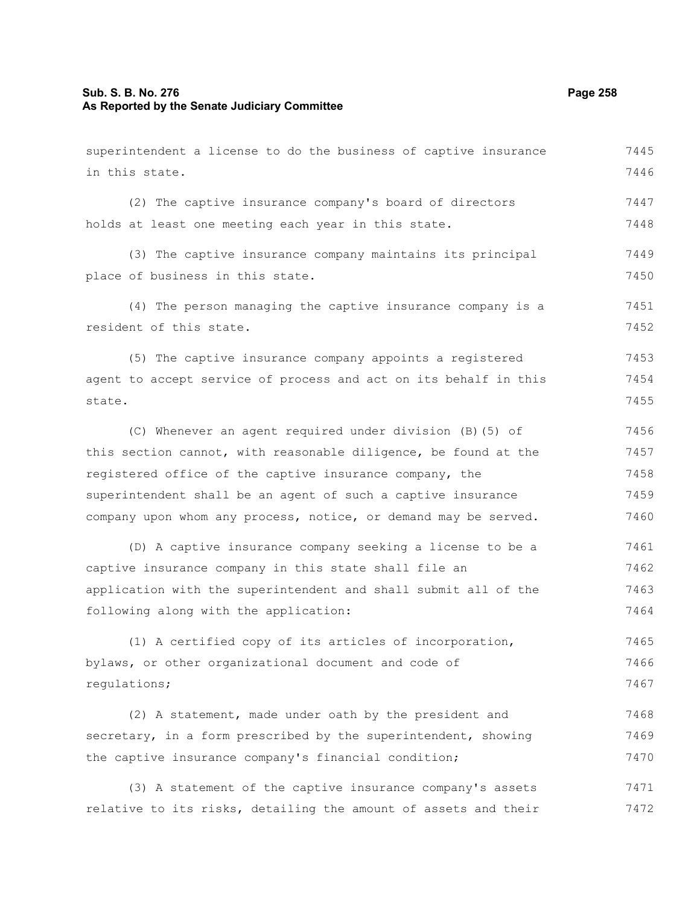## **Sub. S. B. No. 276 Page 258 As Reported by the Senate Judiciary Committee**

superintendent a license to do the business of captive insurance in this state. (2) The captive insurance company's board of directors holds at least one meeting each year in this state. (3) The captive insurance company maintains its principal place of business in this state. (4) The person managing the captive insurance company is a resident of this state. (5) The captive insurance company appoints a registered agent to accept service of process and act on its behalf in this state. (C) Whenever an agent required under division (B)(5) of this section cannot, with reasonable diligence, be found at the registered office of the captive insurance company, the superintendent shall be an agent of such a captive insurance company upon whom any process, notice, or demand may be served. (D) A captive insurance company seeking a license to be a captive insurance company in this state shall file an application with the superintendent and shall submit all of the following along with the application: (1) A certified copy of its articles of incorporation, bylaws, or other organizational document and code of regulations; (2) A statement, made under oath by the president and secretary, in a form prescribed by the superintendent, showing the captive insurance company's financial condition; (3) A statement of the captive insurance company's assets relative to its risks, detailing the amount of assets and their 7445 7446 7447 7448 7449 7450 7451 7452 7453 7454 7455 7456 7457 7458 7459 7460 7461 7462 7463 7464 7465 7466 7467 7468 7469 7470 7471 7472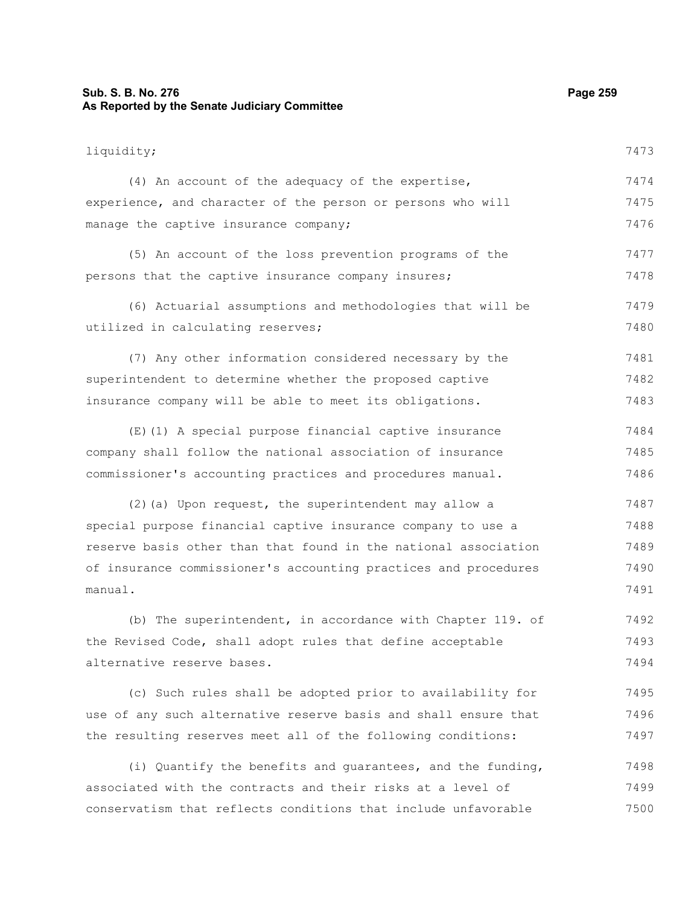## **Sub. S. B. No. 276 Page 259 As Reported by the Senate Judiciary Committee**

liquidity; (4) An account of the adequacy of the expertise, experience, and character of the person or persons who will manage the captive insurance company; (5) An account of the loss prevention programs of the persons that the captive insurance company insures; (6) Actuarial assumptions and methodologies that will be utilized in calculating reserves; (7) Any other information considered necessary by the superintendent to determine whether the proposed captive insurance company will be able to meet its obligations. (E)(1) A special purpose financial captive insurance company shall follow the national association of insurance commissioner's accounting practices and procedures manual. (2)(a) Upon request, the superintendent may allow a special purpose financial captive insurance company to use a reserve basis other than that found in the national association of insurance commissioner's accounting practices and procedures manual. (b) The superintendent, in accordance with Chapter 119. of the Revised Code, shall adopt rules that define acceptable alternative reserve bases. 7473 7474 7475 7476 7477 7478 7479 7480 7481 7482 7483 7484 7485 7486 7487 7488 7489 7490 7491 7492 7493 7494

(c) Such rules shall be adopted prior to availability for use of any such alternative reserve basis and shall ensure that the resulting reserves meet all of the following conditions: 7495 7496 7497

(i) Quantify the benefits and guarantees, and the funding, associated with the contracts and their risks at a level of conservatism that reflects conditions that include unfavorable 7498 7499 7500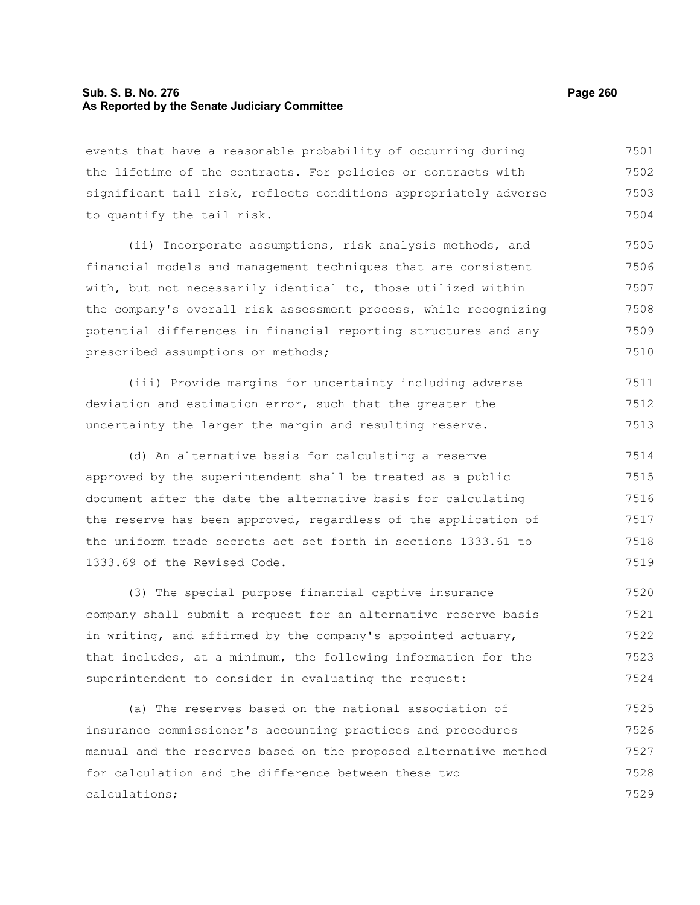## **Sub. S. B. No. 276 Page 260 As Reported by the Senate Judiciary Committee**

events that have a reasonable probability of occurring during the lifetime of the contracts. For policies or contracts with significant tail risk, reflects conditions appropriately adverse to quantify the tail risk. 7501 7502 7503 7504

(ii) Incorporate assumptions, risk analysis methods, and financial models and management techniques that are consistent with, but not necessarily identical to, those utilized within the company's overall risk assessment process, while recognizing potential differences in financial reporting structures and any prescribed assumptions or methods; 7505 7506 7507 7508 7509 7510

(iii) Provide margins for uncertainty including adverse deviation and estimation error, such that the greater the uncertainty the larger the margin and resulting reserve. 7511 7512 7513

(d) An alternative basis for calculating a reserve approved by the superintendent shall be treated as a public document after the date the alternative basis for calculating the reserve has been approved, regardless of the application of the uniform trade secrets act set forth in sections 1333.61 to 1333.69 of the Revised Code. 7514 7515 7516 7517 7518 7519

(3) The special purpose financial captive insurance company shall submit a request for an alternative reserve basis in writing, and affirmed by the company's appointed actuary, that includes, at a minimum, the following information for the superintendent to consider in evaluating the request: 7520 7521 7522 7523 7524

(a) The reserves based on the national association of insurance commissioner's accounting practices and procedures manual and the reserves based on the proposed alternative method for calculation and the difference between these two calculations; 7525 7526 7527 7528 7529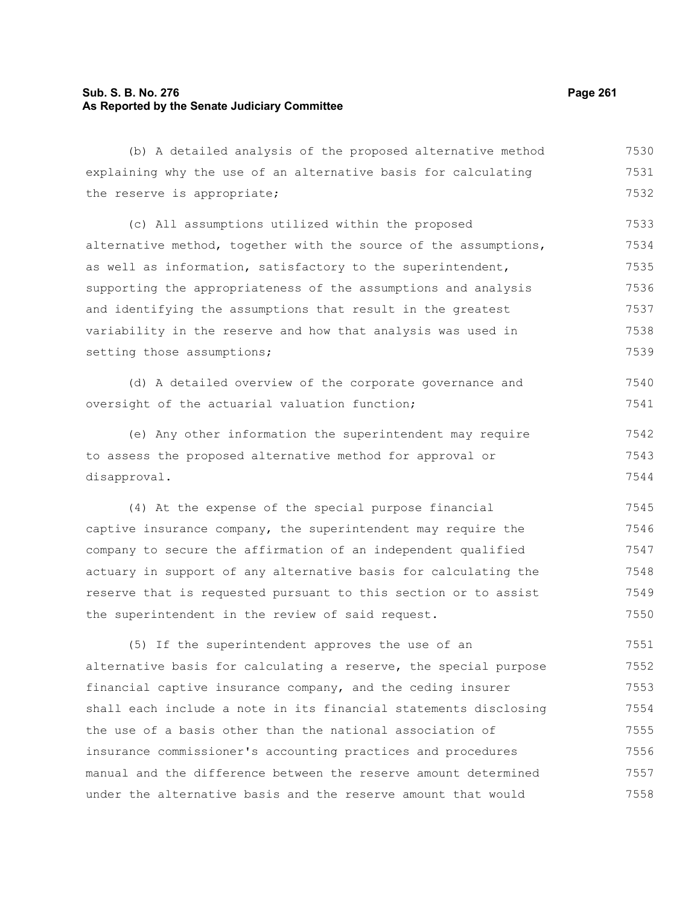## **Sub. S. B. No. 276 Page 261 As Reported by the Senate Judiciary Committee**

(b) A detailed analysis of the proposed alternative method explaining why the use of an alternative basis for calculating the reserve is appropriate; (c) All assumptions utilized within the proposed alternative method, together with the source of the assumptions, as well as information, satisfactory to the superintendent, supporting the appropriateness of the assumptions and analysis and identifying the assumptions that result in the greatest variability in the reserve and how that analysis was used in setting those assumptions; (d) A detailed overview of the corporate governance and oversight of the actuarial valuation function; (e) Any other information the superintendent may require to assess the proposed alternative method for approval or disapproval. (4) At the expense of the special purpose financial captive insurance company, the superintendent may require the company to secure the affirmation of an independent qualified actuary in support of any alternative basis for calculating the reserve that is requested pursuant to this section or to assist the superintendent in the review of said request. (5) If the superintendent approves the use of an alternative basis for calculating a reserve, the special purpose financial captive insurance company, and the ceding insurer shall each include a note in its financial statements disclosing the use of a basis other than the national association of 7530 7531 7532 7533 7534 7535 7536 7537 7538 7539 7540 7541 7542 7543 7544 7545 7546 7547 7548 7549 7550 7551 7552 7553 7554 7555

insurance commissioner's accounting practices and procedures manual and the difference between the reserve amount determined under the alternative basis and the reserve amount that would 7556 7557 7558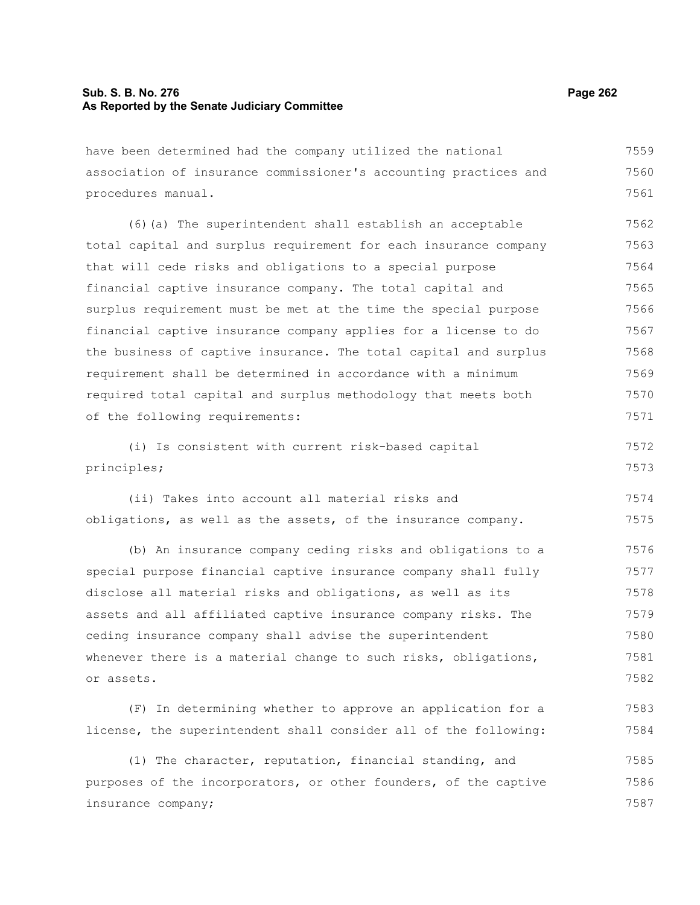## **Sub. S. B. No. 276 Page 262 As Reported by the Senate Judiciary Committee**

have been determined had the company utilized the national association of insurance commissioner's accounting practices and procedures manual. 7559 7560 7561

(6)(a) The superintendent shall establish an acceptable total capital and surplus requirement for each insurance company that will cede risks and obligations to a special purpose financial captive insurance company. The total capital and surplus requirement must be met at the time the special purpose financial captive insurance company applies for a license to do the business of captive insurance. The total capital and surplus requirement shall be determined in accordance with a minimum required total capital and surplus methodology that meets both of the following requirements: 7562 7563 7564 7565 7566 7567 7568 7569 7570 7571

(i) Is consistent with current risk-based capital principles; 7572 7573

(ii) Takes into account all material risks and obligations, as well as the assets, of the insurance company. 7574 7575

(b) An insurance company ceding risks and obligations to a special purpose financial captive insurance company shall fully disclose all material risks and obligations, as well as its assets and all affiliated captive insurance company risks. The ceding insurance company shall advise the superintendent whenever there is a material change to such risks, obligations, or assets. 7576 7577 7578 7579 7580 7581 7582

(F) In determining whether to approve an application for a license, the superintendent shall consider all of the following: 7583 7584

(1) The character, reputation, financial standing, and purposes of the incorporators, or other founders, of the captive insurance company; 7585 7586 7587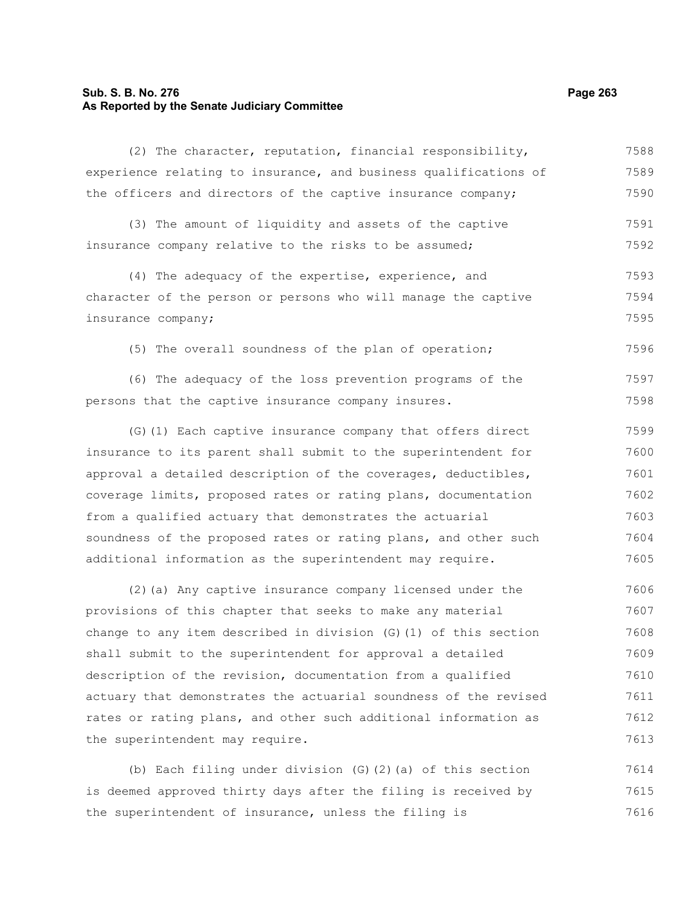## **Sub. S. B. No. 276 Page 263 As Reported by the Senate Judiciary Committee**

(2) The character, reputation, financial responsibility, experience relating to insurance, and business qualifications of the officers and directors of the captive insurance company; 7588 7589 7590

(3) The amount of liquidity and assets of the captive insurance company relative to the risks to be assumed; 7591 7592

(4) The adequacy of the expertise, experience, and character of the person or persons who will manage the captive insurance company; 7593 7594 7595

(5) The overall soundness of the plan of operation;

(6) The adequacy of the loss prevention programs of the persons that the captive insurance company insures. 7597 7598

(G)(1) Each captive insurance company that offers direct insurance to its parent shall submit to the superintendent for approval a detailed description of the coverages, deductibles, coverage limits, proposed rates or rating plans, documentation from a qualified actuary that demonstrates the actuarial soundness of the proposed rates or rating plans, and other such additional information as the superintendent may require. 7599 7600 7601 7602 7603 7604 7605

(2)(a) Any captive insurance company licensed under the provisions of this chapter that seeks to make any material change to any item described in division (G)(1) of this section shall submit to the superintendent for approval a detailed description of the revision, documentation from a qualified actuary that demonstrates the actuarial soundness of the revised rates or rating plans, and other such additional information as the superintendent may require. 7606 7607 7608 7609 7610 7611 7612 7613

(b) Each filing under division (G)(2)(a) of this section is deemed approved thirty days after the filing is received by the superintendent of insurance, unless the filing is 7614 7615 7616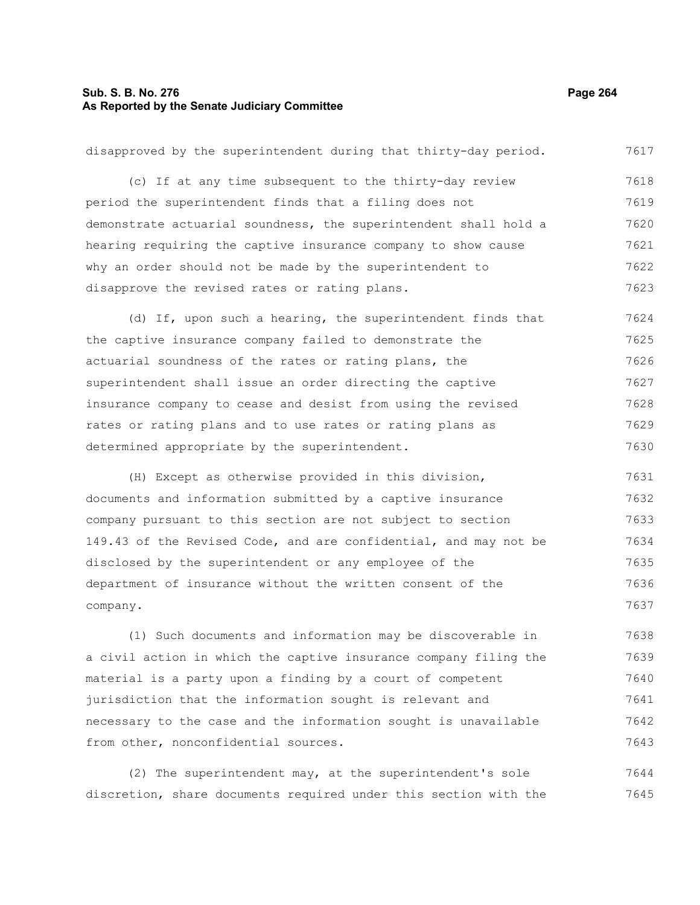## **Sub. S. B. No. 276 Page 264 As Reported by the Senate Judiciary Committee**

disapproved by the superintendent during that thirty-day period. (c) If at any time subsequent to the thirty-day review period the superintendent finds that a filing does not demonstrate actuarial soundness, the superintendent shall hold a hearing requiring the captive insurance company to show cause why an order should not be made by the superintendent to disapprove the revised rates or rating plans. 7617 7618 7619 7620 7621 7622 7623

(d) If, upon such a hearing, the superintendent finds that the captive insurance company failed to demonstrate the actuarial soundness of the rates or rating plans, the superintendent shall issue an order directing the captive insurance company to cease and desist from using the revised rates or rating plans and to use rates or rating plans as determined appropriate by the superintendent. 7624 7625 7626 7627 7628 7629 7630

(H) Except as otherwise provided in this division, documents and information submitted by a captive insurance company pursuant to this section are not subject to section 149.43 of the Revised Code, and are confidential, and may not be disclosed by the superintendent or any employee of the department of insurance without the written consent of the company. 7631 7632 7633 7634 7635 7636 7637

(1) Such documents and information may be discoverable in a civil action in which the captive insurance company filing the material is a party upon a finding by a court of competent jurisdiction that the information sought is relevant and necessary to the case and the information sought is unavailable from other, nonconfidential sources. 7638 7639 7640 7641 7642 7643

(2) The superintendent may, at the superintendent's sole discretion, share documents required under this section with the 7644 7645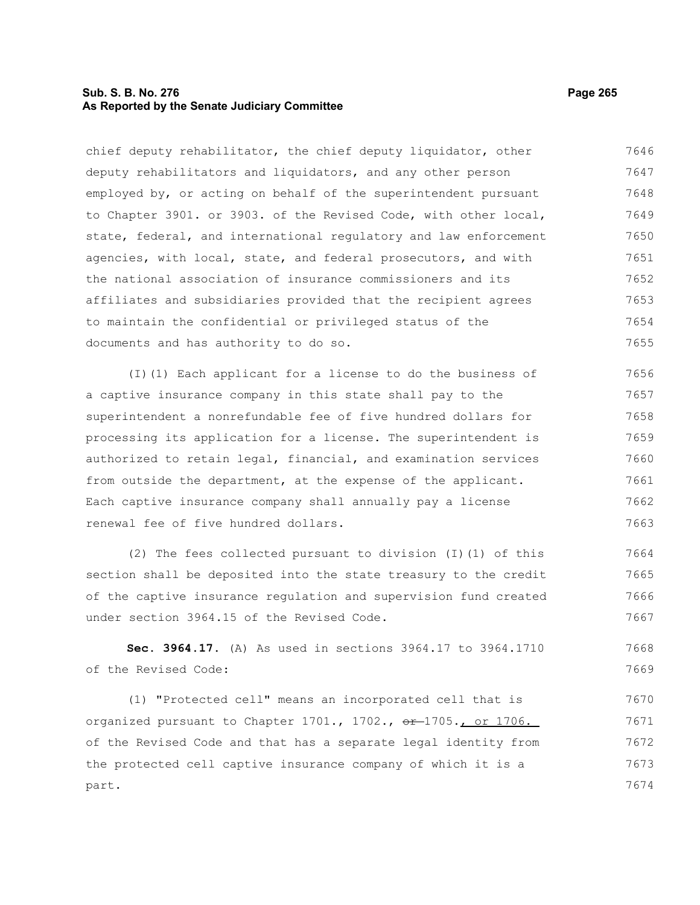## **Sub. S. B. No. 276 Page 265 As Reported by the Senate Judiciary Committee**

chief deputy rehabilitator, the chief deputy liquidator, other deputy rehabilitators and liquidators, and any other person employed by, or acting on behalf of the superintendent pursuant to Chapter 3901. or 3903. of the Revised Code, with other local, state, federal, and international regulatory and law enforcement agencies, with local, state, and federal prosecutors, and with the national association of insurance commissioners and its affiliates and subsidiaries provided that the recipient agrees to maintain the confidential or privileged status of the documents and has authority to do so. 7646 7647 7648 7649 7650 7651 7652 7653 7654 7655

(I)(1) Each applicant for a license to do the business of a captive insurance company in this state shall pay to the superintendent a nonrefundable fee of five hundred dollars for processing its application for a license. The superintendent is authorized to retain legal, financial, and examination services from outside the department, at the expense of the applicant. Each captive insurance company shall annually pay a license renewal fee of five hundred dollars. 7656 7657 7658 7659 7660 7661 7662 7663

(2) The fees collected pursuant to division (I)(1) of this section shall be deposited into the state treasury to the credit of the captive insurance regulation and supervision fund created under section 3964.15 of the Revised Code. 7664 7665 7666 7667

**Sec. 3964.17.** (A) As used in sections 3964.17 to 3964.1710 of the Revised Code: 7668 7669

(1) "Protected cell" means an incorporated cell that is organized pursuant to Chapter  $1701.$ ,  $1702.$ ,  $e^{2}$ -1705., or  $1706.$ of the Revised Code and that has a separate legal identity from the protected cell captive insurance company of which it is a part. 7670 7671 7672 7673 7674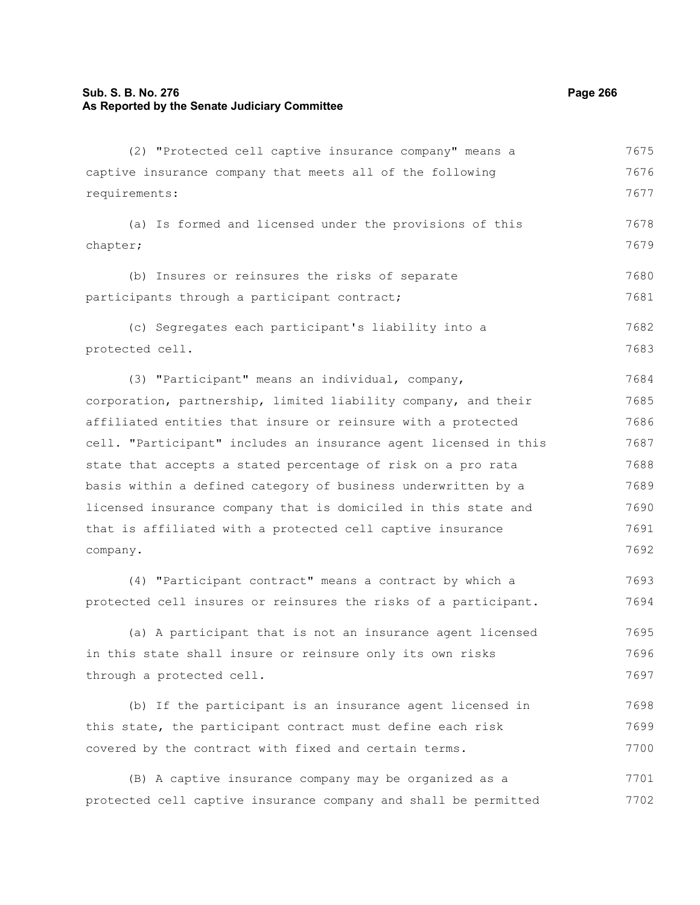## **Sub. S. B. No. 276 Page 266 As Reported by the Senate Judiciary Committee**

(2) "Protected cell captive insurance company" means a captive insurance company that meets all of the following requirements: (a) Is formed and licensed under the provisions of this chapter; (b) Insures or reinsures the risks of separate participants through a participant contract; (c) Segregates each participant's liability into a protected cell. (3) "Participant" means an individual, company, corporation, partnership, limited liability company, and their affiliated entities that insure or reinsure with a protected cell. "Participant" includes an insurance agent licensed in this state that accepts a stated percentage of risk on a pro rata basis within a defined category of business underwritten by a licensed insurance company that is domiciled in this state and that is affiliated with a protected cell captive insurance company. (4) "Participant contract" means a contract by which a protected cell insures or reinsures the risks of a participant. (a) A participant that is not an insurance agent licensed in this state shall insure or reinsure only its own risks through a protected cell. (b) If the participant is an insurance agent licensed in this state, the participant contract must define each risk covered by the contract with fixed and certain terms. 7675 7676 7677 7678 7679 7680 7681 7682 7683 7684 7685 7686 7687 7688 7689 7690 7691 7692 7693 7694 7695 7696 7697 7698 7699 7700

(B) A captive insurance company may be organized as a protected cell captive insurance company and shall be permitted 7701 7702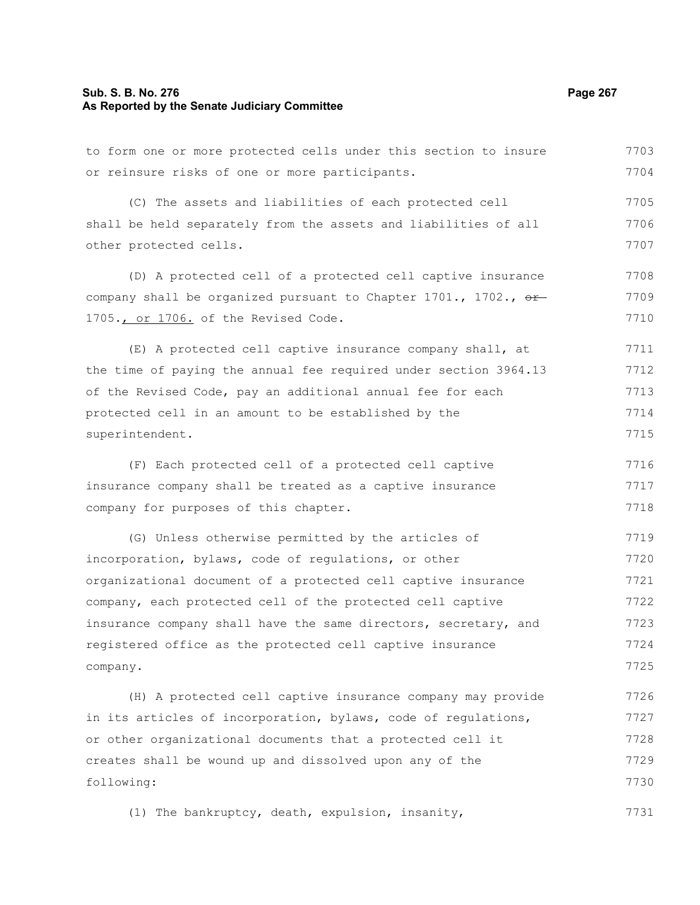## **Sub. S. B. No. 276 Page 267 As Reported by the Senate Judiciary Committee**

to form one or more protected cells under this section to insure

or reinsure risks of one or more participants. (C) The assets and liabilities of each protected cell shall be held separately from the assets and liabilities of all other protected cells. (D) A protected cell of a protected cell captive insurance company shall be organized pursuant to Chapter 1701., 1702.,  $\sigma$ 1705., or 1706. of the Revised Code. (E) A protected cell captive insurance company shall, at the time of paying the annual fee required under section 3964.13 of the Revised Code, pay an additional annual fee for each protected cell in an amount to be established by the superintendent. (F) Each protected cell of a protected cell captive insurance company shall be treated as a captive insurance company for purposes of this chapter. (G) Unless otherwise permitted by the articles of incorporation, bylaws, code of regulations, or other organizational document of a protected cell captive insurance company, each protected cell of the protected cell captive insurance company shall have the same directors, secretary, and registered office as the protected cell captive insurance company. (H) A protected cell captive insurance company may provide in its articles of incorporation, bylaws, code of regulations, or other organizational documents that a protected cell it creates shall be wound up and dissolved upon any of the following: 7704 7705 7706 7707 7708 7709 7710 7711 7712 7713 7714 7715 7716 7717 7718 7719 7720 7721 7722 7723 7724 7725 7726 7727 7728 7729 7730

(1) The bankruptcy, death, expulsion, insanity, 7731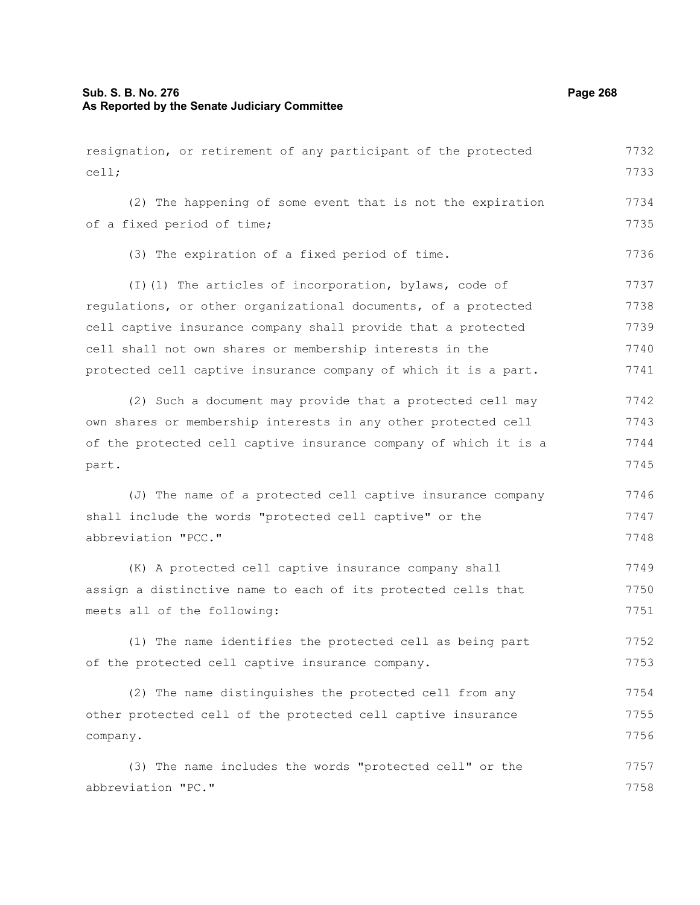## **Sub. S. B. No. 276 Page 268 As Reported by the Senate Judiciary Committee**

resignation, or retirement of any participant of the protected cell; (2) The happening of some event that is not the expiration of a fixed period of time; (3) The expiration of a fixed period of time. (I)(1) The articles of incorporation, bylaws, code of regulations, or other organizational documents, of a protected cell captive insurance company shall provide that a protected cell shall not own shares or membership interests in the protected cell captive insurance company of which it is a part. (2) Such a document may provide that a protected cell may own shares or membership interests in any other protected cell of the protected cell captive insurance company of which it is a part. (J) The name of a protected cell captive insurance company shall include the words "protected cell captive" or the abbreviation "PCC." (K) A protected cell captive insurance company shall assign a distinctive name to each of its protected cells that meets all of the following: (1) The name identifies the protected cell as being part of the protected cell captive insurance company. (2) The name distinguishes the protected cell from any other protected cell of the protected cell captive insurance company. (3) The name includes the words "protected cell" or the 7733 7734 7735 7736 7737 7738 7739 7740 7741 7742 7743 7744 7745 7746 7747 7748 7749 7750 7751 7752 7753 7754 7755 7756 7757

abbreviation "PC." 7758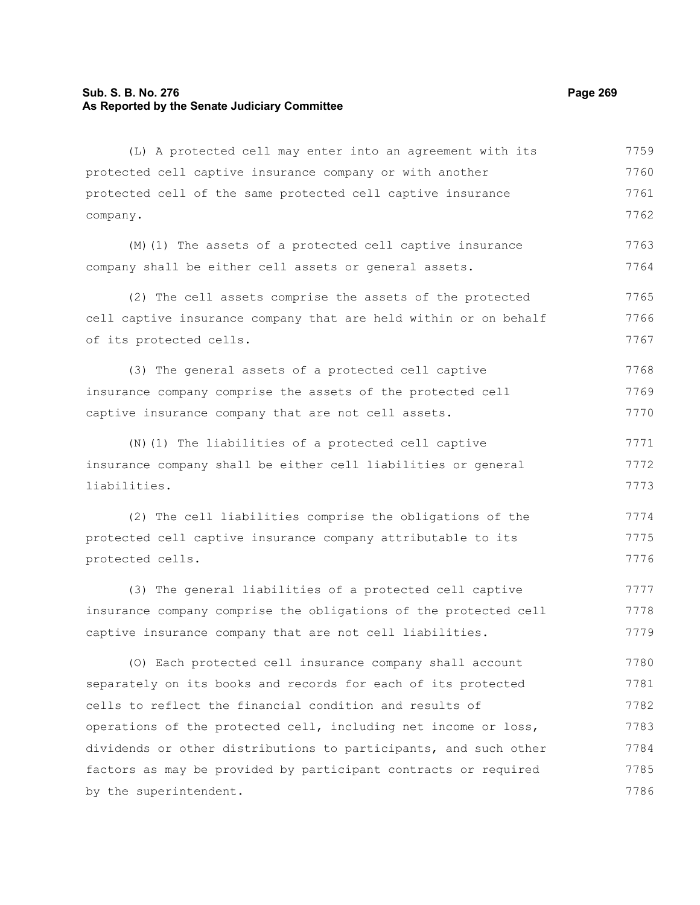## **Sub. S. B. No. 276 Page 269 As Reported by the Senate Judiciary Committee**

protected cell captive insurance company or with another protected cell of the same protected cell captive insurance company. (M)(1) The assets of a protected cell captive insurance company shall be either cell assets or general assets. (2) The cell assets comprise the assets of the protected cell captive insurance company that are held within or on behalf of its protected cells. (3) The general assets of a protected cell captive insurance company comprise the assets of the protected cell captive insurance company that are not cell assets. (N)(1) The liabilities of a protected cell captive insurance company shall be either cell liabilities or general liabilities. (2) The cell liabilities comprise the obligations of the protected cell captive insurance company attributable to its protected cells. (3) The general liabilities of a protected cell captive insurance company comprise the obligations of the protected cell captive insurance company that are not cell liabilities. (O) Each protected cell insurance company shall account separately on its books and records for each of its protected cells to reflect the financial condition and results of operations of the protected cell, including net income or loss, dividends or other distributions to participants, and such other factors as may be provided by participant contracts or required by the superintendent. 7760 7761 7762 7763 7764 7765 7766 7767 7768 7769 7770 7771 7772 7773 7774 7775 7776 7777 7778 7779 7780 7781 7782 7783 7784 7785 7786

(L) A protected cell may enter into an agreement with its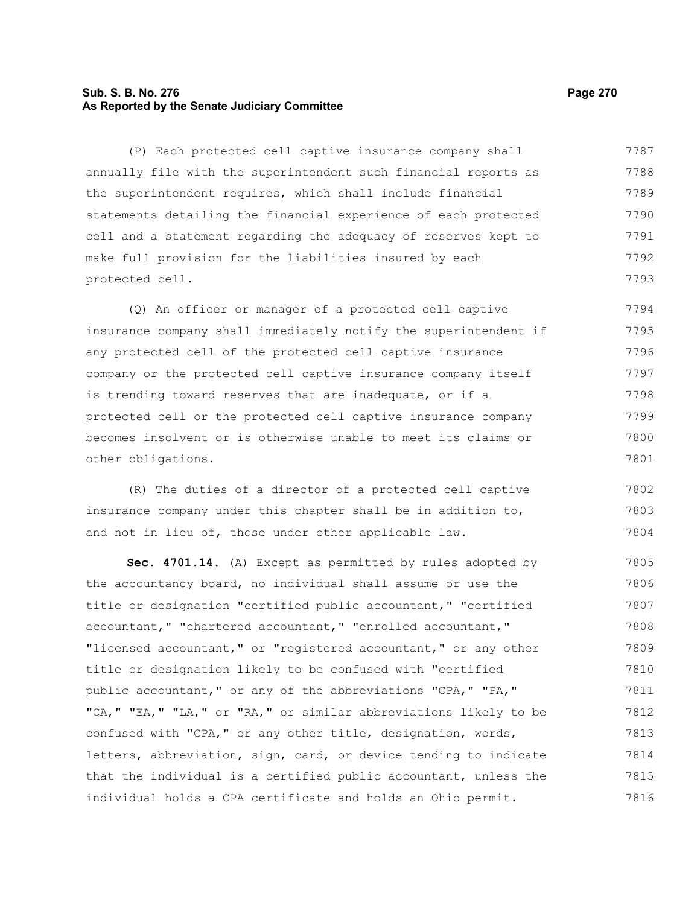## **Sub. S. B. No. 276 Page 270 As Reported by the Senate Judiciary Committee**

(P) Each protected cell captive insurance company shall annually file with the superintendent such financial reports as the superintendent requires, which shall include financial statements detailing the financial experience of each protected cell and a statement regarding the adequacy of reserves kept to make full provision for the liabilities insured by each protected cell. 7787 7788 7789 7790 7791 7792 7793

(Q) An officer or manager of a protected cell captive insurance company shall immediately notify the superintendent if any protected cell of the protected cell captive insurance company or the protected cell captive insurance company itself is trending toward reserves that are inadequate, or if a protected cell or the protected cell captive insurance company becomes insolvent or is otherwise unable to meet its claims or other obligations. 7794 7795 7796 7797 7798 7799 7800 7801

(R) The duties of a director of a protected cell captive insurance company under this chapter shall be in addition to, and not in lieu of, those under other applicable law. 7802 7803 7804

**Sec. 4701.14.** (A) Except as permitted by rules adopted by the accountancy board, no individual shall assume or use the title or designation "certified public accountant," "certified accountant," "chartered accountant," "enrolled accountant," "licensed accountant," or "registered accountant," or any other title or designation likely to be confused with "certified public accountant," or any of the abbreviations "CPA," "PA," "CA," "EA," "LA," or "RA," or similar abbreviations likely to be confused with "CPA," or any other title, designation, words, letters, abbreviation, sign, card, or device tending to indicate that the individual is a certified public accountant, unless the individual holds a CPA certificate and holds an Ohio permit. 7805 7806 7807 7808 7809 7810 7811 7812 7813 7814 7815 7816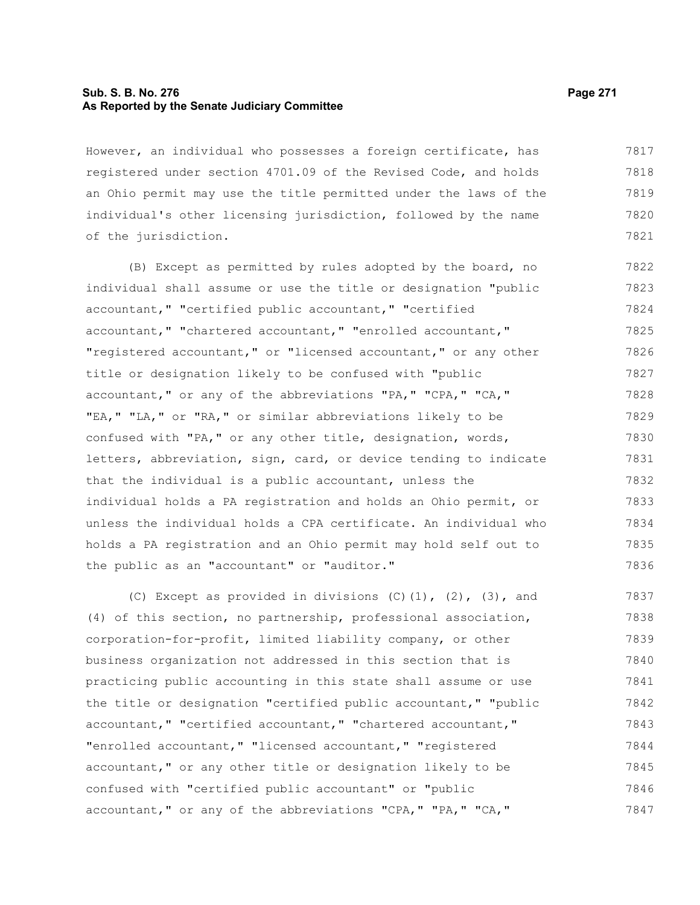## **Sub. S. B. No. 276 Page 271 As Reported by the Senate Judiciary Committee**

However, an individual who possesses a foreign certificate, has registered under section 4701.09 of the Revised Code, and holds an Ohio permit may use the title permitted under the laws of the individual's other licensing jurisdiction, followed by the name of the jurisdiction. 7817 7818 7819 7820 7821

(B) Except as permitted by rules adopted by the board, no individual shall assume or use the title or designation "public accountant," "certified public accountant," "certified accountant," "chartered accountant," "enrolled accountant," "registered accountant," or "licensed accountant," or any other title or designation likely to be confused with "public accountant," or any of the abbreviations "PA," "CPA," "CA," "EA," "LA," or "RA," or similar abbreviations likely to be confused with "PA," or any other title, designation, words, letters, abbreviation, sign, card, or device tending to indicate that the individual is a public accountant, unless the individual holds a PA registration and holds an Ohio permit, or unless the individual holds a CPA certificate. An individual who holds a PA registration and an Ohio permit may hold self out to the public as an "accountant" or "auditor." 7822 7823 7824 7825 7826 7827 7828 7829 7830 7831 7832 7833 7834 7835 7836

(C) Except as provided in divisions  $(C)$   $(1)$ ,  $(2)$ ,  $(3)$ , and (4) of this section, no partnership, professional association, corporation-for-profit, limited liability company, or other business organization not addressed in this section that is practicing public accounting in this state shall assume or use the title or designation "certified public accountant," "public accountant," "certified accountant," "chartered accountant," "enrolled accountant," "licensed accountant," "registered accountant," or any other title or designation likely to be confused with "certified public accountant" or "public accountant," or any of the abbreviations "CPA," "PA," "CA," 7837 7838 7839 7840 7841 7842 7843 7844 7845 7846 7847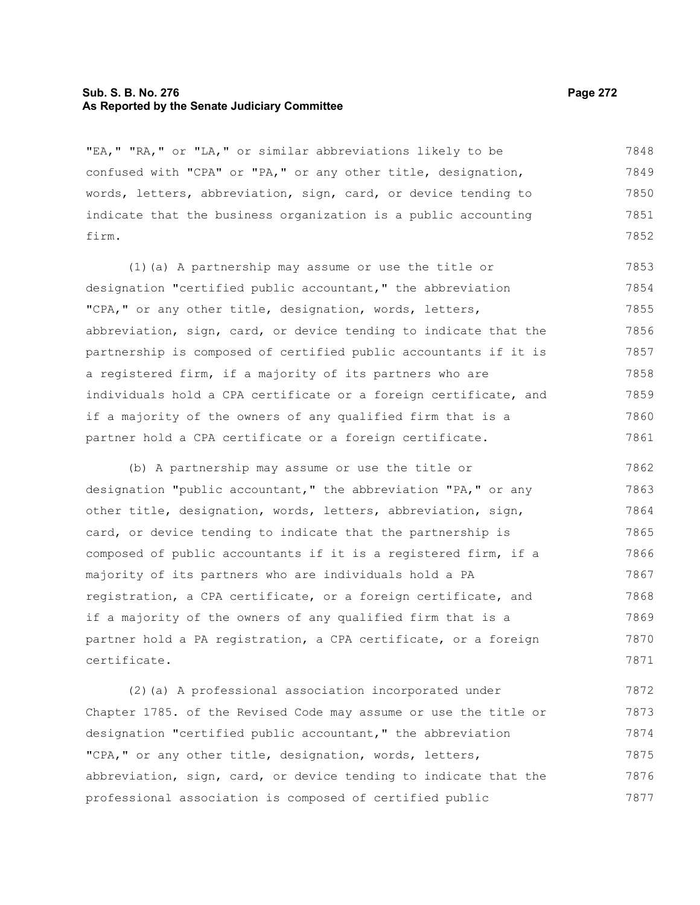#### **Sub. S. B. No. 276 Page 272 As Reported by the Senate Judiciary Committee**

"EA," "RA," or "LA," or similar abbreviations likely to be confused with "CPA" or "PA," or any other title, designation, words, letters, abbreviation, sign, card, or device tending to indicate that the business organization is a public accounting firm. 7848 7849 7850 7851 7852

(1)(a) A partnership may assume or use the title or designation "certified public accountant," the abbreviation "CPA," or any other title, designation, words, letters, abbreviation, sign, card, or device tending to indicate that the partnership is composed of certified public accountants if it is a registered firm, if a majority of its partners who are individuals hold a CPA certificate or a foreign certificate, and if a majority of the owners of any qualified firm that is a partner hold a CPA certificate or a foreign certificate. 7853 7854 7855 7856 7857 7858 7859 7860 7861

(b) A partnership may assume or use the title or designation "public accountant," the abbreviation "PA," or any other title, designation, words, letters, abbreviation, sign, card, or device tending to indicate that the partnership is composed of public accountants if it is a registered firm, if a majority of its partners who are individuals hold a PA registration, a CPA certificate, or a foreign certificate, and if a majority of the owners of any qualified firm that is a partner hold a PA registration, a CPA certificate, or a foreign certificate. 7862 7863 7864 7865 7866 7867 7868 7869 7870 7871

(2)(a) A professional association incorporated under Chapter 1785. of the Revised Code may assume or use the title or designation "certified public accountant," the abbreviation "CPA," or any other title, designation, words, letters, abbreviation, sign, card, or device tending to indicate that the professional association is composed of certified public 7872 7873 7874 7875 7876 7877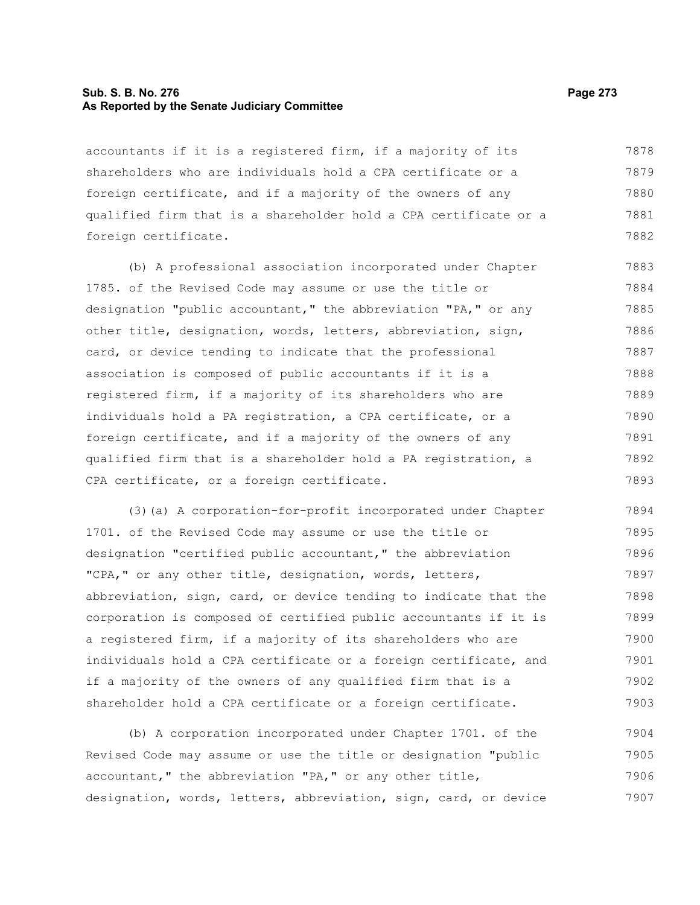## **Sub. S. B. No. 276 Page 273 As Reported by the Senate Judiciary Committee**

accountants if it is a registered firm, if a majority of its shareholders who are individuals hold a CPA certificate or a foreign certificate, and if a majority of the owners of any qualified firm that is a shareholder hold a CPA certificate or a foreign certificate. 7878 7879 7880 7881 7882

(b) A professional association incorporated under Chapter 1785. of the Revised Code may assume or use the title or designation "public accountant," the abbreviation "PA," or any other title, designation, words, letters, abbreviation, sign, card, or device tending to indicate that the professional association is composed of public accountants if it is a registered firm, if a majority of its shareholders who are individuals hold a PA registration, a CPA certificate, or a foreign certificate, and if a majority of the owners of any qualified firm that is a shareholder hold a PA registration, a CPA certificate, or a foreign certificate. 7883 7884 7885 7886 7887 7888 7889 7890 7891 7892 7893

(3)(a) A corporation-for-profit incorporated under Chapter 1701. of the Revised Code may assume or use the title or designation "certified public accountant," the abbreviation "CPA," or any other title, designation, words, letters, abbreviation, sign, card, or device tending to indicate that the corporation is composed of certified public accountants if it is a registered firm, if a majority of its shareholders who are individuals hold a CPA certificate or a foreign certificate, and if a majority of the owners of any qualified firm that is a shareholder hold a CPA certificate or a foreign certificate. 7894 7895 7896 7897 7898 7899 7900 7901 7902 7903

(b) A corporation incorporated under Chapter 1701. of the Revised Code may assume or use the title or designation "public accountant," the abbreviation "PA," or any other title, designation, words, letters, abbreviation, sign, card, or device 7904 7905 7906 7907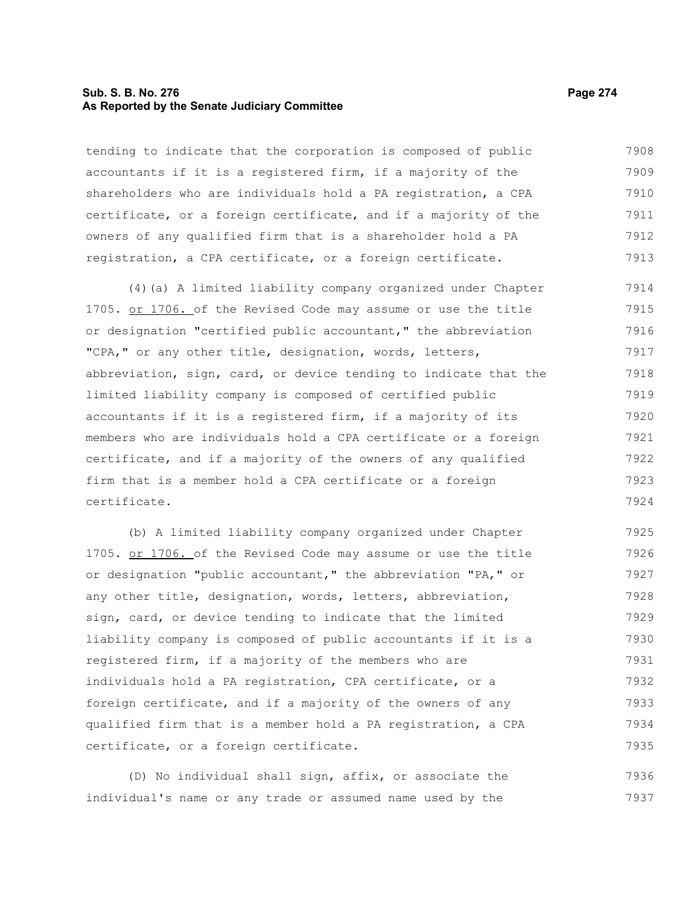### **Sub. S. B. No. 276 Page 274 As Reported by the Senate Judiciary Committee**

tending to indicate that the corporation is composed of public accountants if it is a registered firm, if a majority of the shareholders who are individuals hold a PA registration, a CPA certificate, or a foreign certificate, and if a majority of the owners of any qualified firm that is a shareholder hold a PA registration, a CPA certificate, or a foreign certificate. 7908 7909 7910 7911 7912 7913

(4)(a) A limited liability company organized under Chapter 1705. or 1706. of the Revised Code may assume or use the title or designation "certified public accountant," the abbreviation "CPA," or any other title, designation, words, letters, abbreviation, sign, card, or device tending to indicate that the limited liability company is composed of certified public accountants if it is a registered firm, if a majority of its members who are individuals hold a CPA certificate or a foreign certificate, and if a majority of the owners of any qualified firm that is a member hold a CPA certificate or a foreign certificate. 7914 7915 7916 7917 7918 7919 7920 7921 7922 7923 7924

(b) A limited liability company organized under Chapter 1705. or 1706. of the Revised Code may assume or use the title or designation "public accountant," the abbreviation "PA," or any other title, designation, words, letters, abbreviation, sign, card, or device tending to indicate that the limited liability company is composed of public accountants if it is a registered firm, if a majority of the members who are individuals hold a PA registration, CPA certificate, or a foreign certificate, and if a majority of the owners of any qualified firm that is a member hold a PA registration, a CPA certificate, or a foreign certificate. 7925 7926 7927 7928 7929 7930 7931 7932 7933 7934 7935

(D) No individual shall sign, affix, or associate the individual's name or any trade or assumed name used by the 7936 7937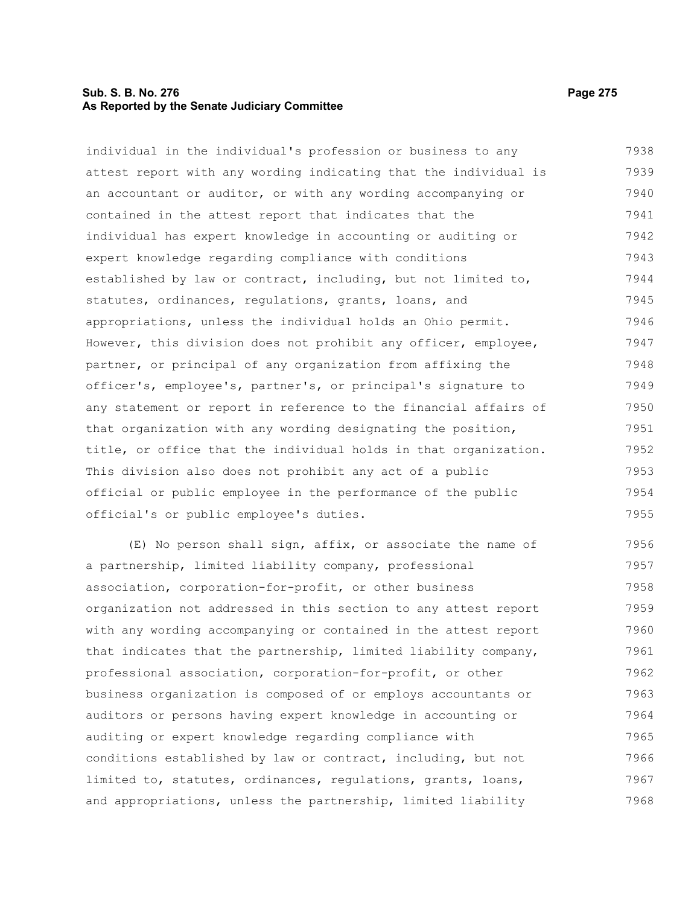## **Sub. S. B. No. 276 Page 275 As Reported by the Senate Judiciary Committee**

individual in the individual's profession or business to any attest report with any wording indicating that the individual is an accountant or auditor, or with any wording accompanying or contained in the attest report that indicates that the individual has expert knowledge in accounting or auditing or expert knowledge regarding compliance with conditions established by law or contract, including, but not limited to, statutes, ordinances, regulations, grants, loans, and appropriations, unless the individual holds an Ohio permit. However, this division does not prohibit any officer, employee, partner, or principal of any organization from affixing the officer's, employee's, partner's, or principal's signature to any statement or report in reference to the financial affairs of that organization with any wording designating the position, title, or office that the individual holds in that organization. This division also does not prohibit any act of a public official or public employee in the performance of the public official's or public employee's duties. 7938 7939 7940 7941 7942 7943 7944 7945 7946 7947 7948 7949 7950 7951 7952 7953 7954 7955

(E) No person shall sign, affix, or associate the name of a partnership, limited liability company, professional association, corporation-for-profit, or other business organization not addressed in this section to any attest report with any wording accompanying or contained in the attest report that indicates that the partnership, limited liability company, professional association, corporation-for-profit, or other business organization is composed of or employs accountants or auditors or persons having expert knowledge in accounting or auditing or expert knowledge regarding compliance with conditions established by law or contract, including, but not limited to, statutes, ordinances, regulations, grants, loans, and appropriations, unless the partnership, limited liability 7956 7957 7958 7959 7960 7961 7962 7963 7964 7965 7966 7967 7968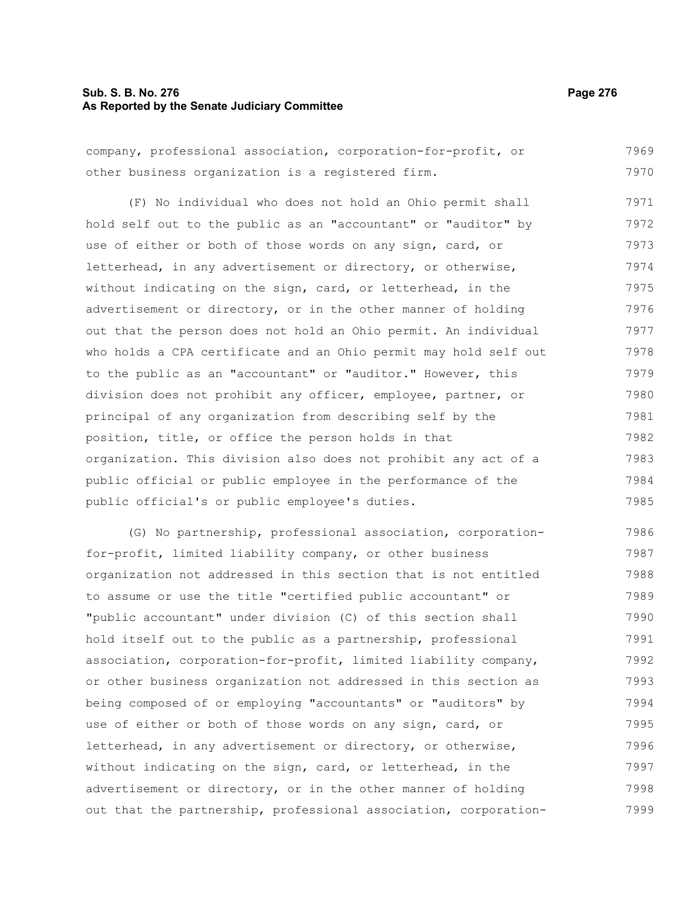#### **Sub. S. B. No. 276 Page 276 As Reported by the Senate Judiciary Committee**

company, professional association, corporation-for-profit, or other business organization is a registered firm. 7969 7970

(F) No individual who does not hold an Ohio permit shall hold self out to the public as an "accountant" or "auditor" by use of either or both of those words on any sign, card, or letterhead, in any advertisement or directory, or otherwise, without indicating on the sign, card, or letterhead, in the advertisement or directory, or in the other manner of holding out that the person does not hold an Ohio permit. An individual who holds a CPA certificate and an Ohio permit may hold self out to the public as an "accountant" or "auditor." However, this division does not prohibit any officer, employee, partner, or principal of any organization from describing self by the position, title, or office the person holds in that organization. This division also does not prohibit any act of a public official or public employee in the performance of the public official's or public employee's duties. 7971 7972 7973 7974 7975 7976 7977 7978 7979 7980 7981 7982 7983 7984 7985

(G) No partnership, professional association, corporationfor-profit, limited liability company, or other business organization not addressed in this section that is not entitled to assume or use the title "certified public accountant" or "public accountant" under division (C) of this section shall hold itself out to the public as a partnership, professional association, corporation-for-profit, limited liability company, or other business organization not addressed in this section as being composed of or employing "accountants" or "auditors" by use of either or both of those words on any sign, card, or letterhead, in any advertisement or directory, or otherwise, without indicating on the sign, card, or letterhead, in the advertisement or directory, or in the other manner of holding out that the partnership, professional association, corporation-7986 7987 7988 7989 7990 7991 7992 7993 7994 7995 7996 7997 7998 7999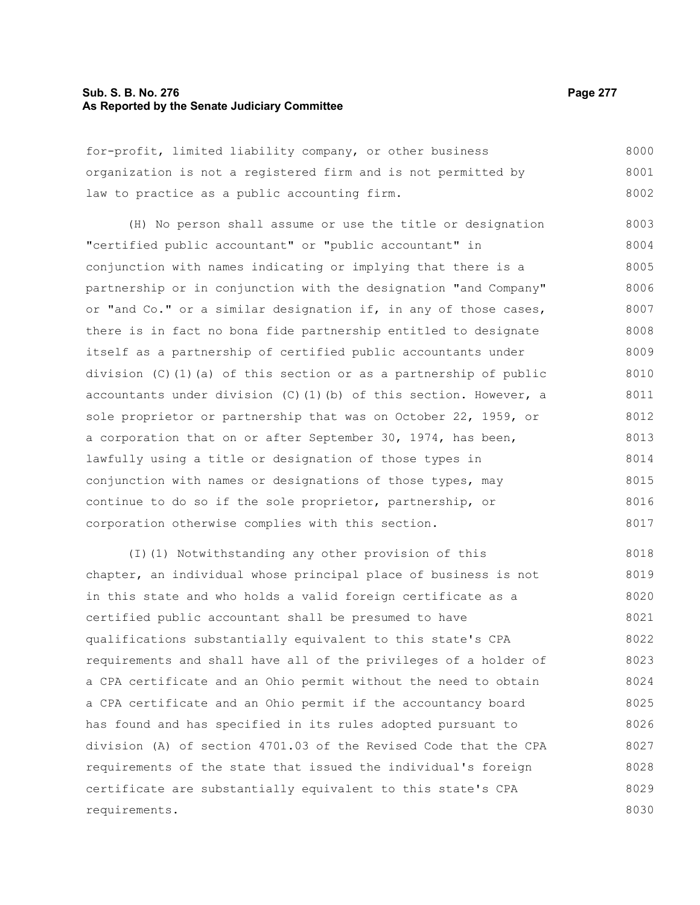### **Sub. S. B. No. 276 Page 277 As Reported by the Senate Judiciary Committee**

for-profit, limited liability company, or other business organization is not a registered firm and is not permitted by law to practice as a public accounting firm. 8000 8001 8002

(H) No person shall assume or use the title or designation "certified public accountant" or "public accountant" in conjunction with names indicating or implying that there is a partnership or in conjunction with the designation "and Company" or "and Co." or a similar designation if, in any of those cases, there is in fact no bona fide partnership entitled to designate itself as a partnership of certified public accountants under division (C)(1)(a) of this section or as a partnership of public accountants under division  $(C)$  (1)(b) of this section. However, a sole proprietor or partnership that was on October 22, 1959, or a corporation that on or after September 30, 1974, has been, lawfully using a title or designation of those types in conjunction with names or designations of those types, may continue to do so if the sole proprietor, partnership, or corporation otherwise complies with this section. 8003 8004 8005 8006 8007 8008 8009 8010 8011 8012 8013 8014 8015 8016 8017

(I)(1) Notwithstanding any other provision of this chapter, an individual whose principal place of business is not in this state and who holds a valid foreign certificate as a certified public accountant shall be presumed to have qualifications substantially equivalent to this state's CPA requirements and shall have all of the privileges of a holder of a CPA certificate and an Ohio permit without the need to obtain a CPA certificate and an Ohio permit if the accountancy board has found and has specified in its rules adopted pursuant to division (A) of section 4701.03 of the Revised Code that the CPA requirements of the state that issued the individual's foreign certificate are substantially equivalent to this state's CPA requirements. 8018 8019 8020 8021 8022 8023 8024 8025 8026 8027 8028 8029 8030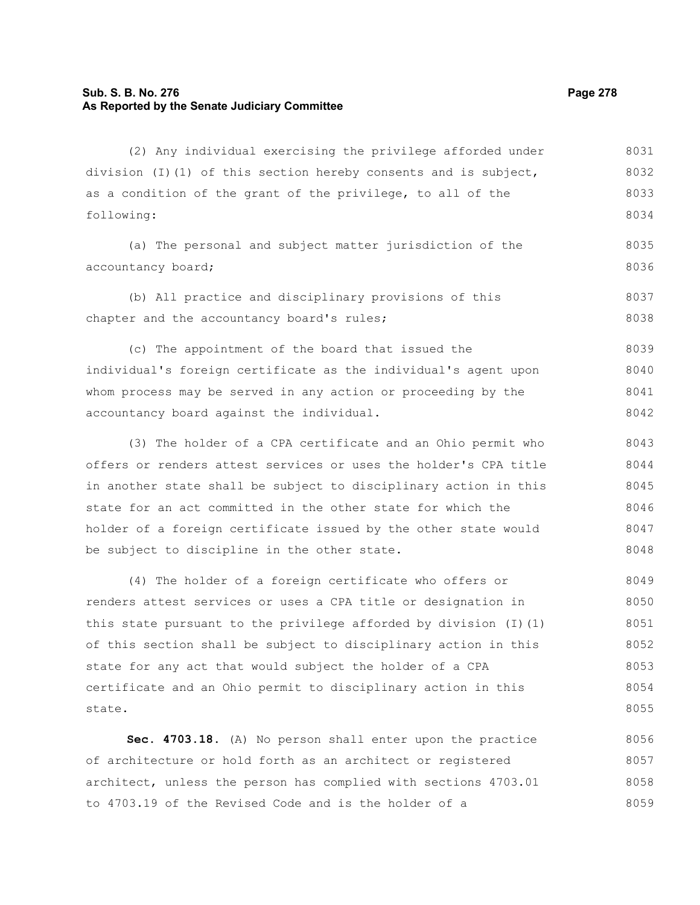## **Sub. S. B. No. 276 Page 278 As Reported by the Senate Judiciary Committee**

(2) Any individual exercising the privilege afforded under division (I)(1) of this section hereby consents and is subject, as a condition of the grant of the privilege, to all of the following: (a) The personal and subject matter jurisdiction of the accountancy board; (b) All practice and disciplinary provisions of this chapter and the accountancy board's rules; (c) The appointment of the board that issued the individual's foreign certificate as the individual's agent upon whom process may be served in any action or proceeding by the accountancy board against the individual. (3) The holder of a CPA certificate and an Ohio permit who offers or renders attest services or uses the holder's CPA title in another state shall be subject to disciplinary action in this state for an act committed in the other state for which the holder of a foreign certificate issued by the other state would be subject to discipline in the other state. (4) The holder of a foreign certificate who offers or renders attest services or uses a CPA title or designation in this state pursuant to the privilege afforded by division  $(I)(1)$ of this section shall be subject to disciplinary action in this state for any act that would subject the holder of a CPA certificate and an Ohio permit to disciplinary action in this state. **Sec. 4703.18.** (A) No person shall enter upon the practice 8031 8032 8033 8034 8035 8036 8037 8038 8039 8040 8041 8042 8043 8044 8045 8046 8047 8048 8049 8050 8051 8052 8053 8054 8055 8056

of architecture or hold forth as an architect or registered architect, unless the person has complied with sections 4703.01 to 4703.19 of the Revised Code and is the holder of a 8057 8058 8059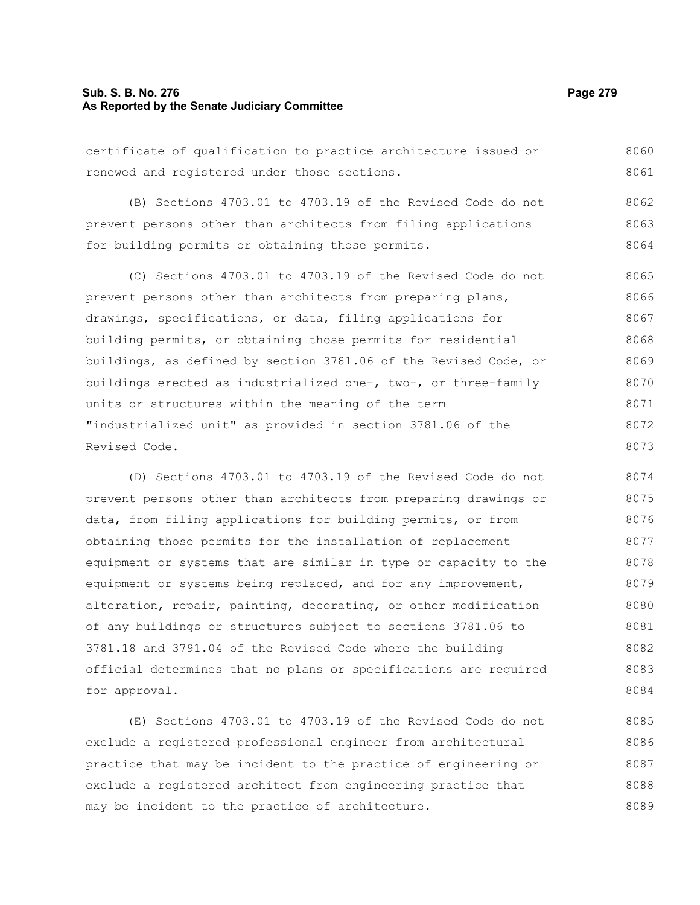## **Sub. S. B. No. 276 Page 279 As Reported by the Senate Judiciary Committee**

certificate of qualification to practice architecture issued or renewed and registered under those sections. 8060 8061

(B) Sections 4703.01 to 4703.19 of the Revised Code do not prevent persons other than architects from filing applications for building permits or obtaining those permits. 8062 8063 8064

(C) Sections 4703.01 to 4703.19 of the Revised Code do not prevent persons other than architects from preparing plans, drawings, specifications, or data, filing applications for building permits, or obtaining those permits for residential buildings, as defined by section 3781.06 of the Revised Code, or buildings erected as industrialized one-, two-, or three-family units or structures within the meaning of the term "industrialized unit" as provided in section 3781.06 of the Revised Code. 8065 8066 8067 8068 8069 8070 8071 8072 8073

(D) Sections 4703.01 to 4703.19 of the Revised Code do not prevent persons other than architects from preparing drawings or data, from filing applications for building permits, or from obtaining those permits for the installation of replacement equipment or systems that are similar in type or capacity to the equipment or systems being replaced, and for any improvement, alteration, repair, painting, decorating, or other modification of any buildings or structures subject to sections 3781.06 to 3781.18 and 3791.04 of the Revised Code where the building official determines that no plans or specifications are required for approval. 8074 8075 8076 8077 8078 8079 8080 8081 8082 8083 8084

(E) Sections 4703.01 to 4703.19 of the Revised Code do not exclude a registered professional engineer from architectural practice that may be incident to the practice of engineering or exclude a registered architect from engineering practice that may be incident to the practice of architecture. 8085 8086 8087 8088 8089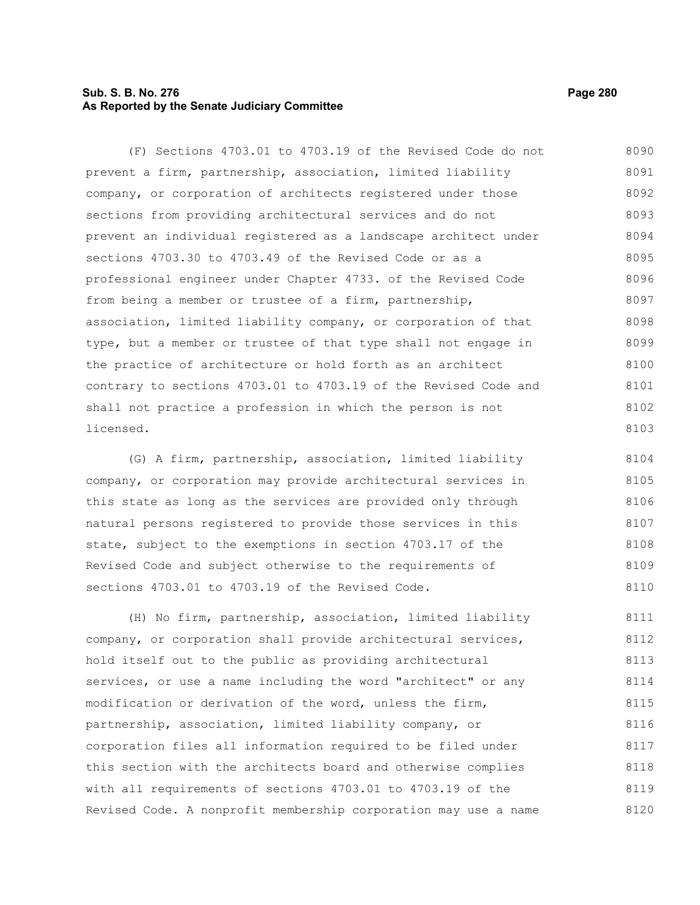# **Sub. S. B. No. 276 Page 280 As Reported by the Senate Judiciary Committee**

(F) Sections 4703.01 to 4703.19 of the Revised Code do not prevent a firm, partnership, association, limited liability company, or corporation of architects registered under those sections from providing architectural services and do not prevent an individual registered as a landscape architect under sections 4703.30 to 4703.49 of the Revised Code or as a professional engineer under Chapter 4733. of the Revised Code from being a member or trustee of a firm, partnership, association, limited liability company, or corporation of that type, but a member or trustee of that type shall not engage in the practice of architecture or hold forth as an architect contrary to sections 4703.01 to 4703.19 of the Revised Code and shall not practice a profession in which the person is not licensed. 8090 8091 8092 8093 8094 8095 8096 8097 8098 8099 8100 8101 8102 8103

(G) A firm, partnership, association, limited liability company, or corporation may provide architectural services in this state as long as the services are provided only through natural persons registered to provide those services in this state, subject to the exemptions in section 4703.17 of the Revised Code and subject otherwise to the requirements of sections 4703.01 to 4703.19 of the Revised Code. 8104 8105 8106 8107 8108 8109 8110

(H) No firm, partnership, association, limited liability company, or corporation shall provide architectural services, hold itself out to the public as providing architectural services, or use a name including the word "architect" or any modification or derivation of the word, unless the firm, partnership, association, limited liability company, or corporation files all information required to be filed under this section with the architects board and otherwise complies with all requirements of sections 4703.01 to 4703.19 of the Revised Code. A nonprofit membership corporation may use a name 8111 8112 8113 8114 8115 8116 8117 8118 8119 8120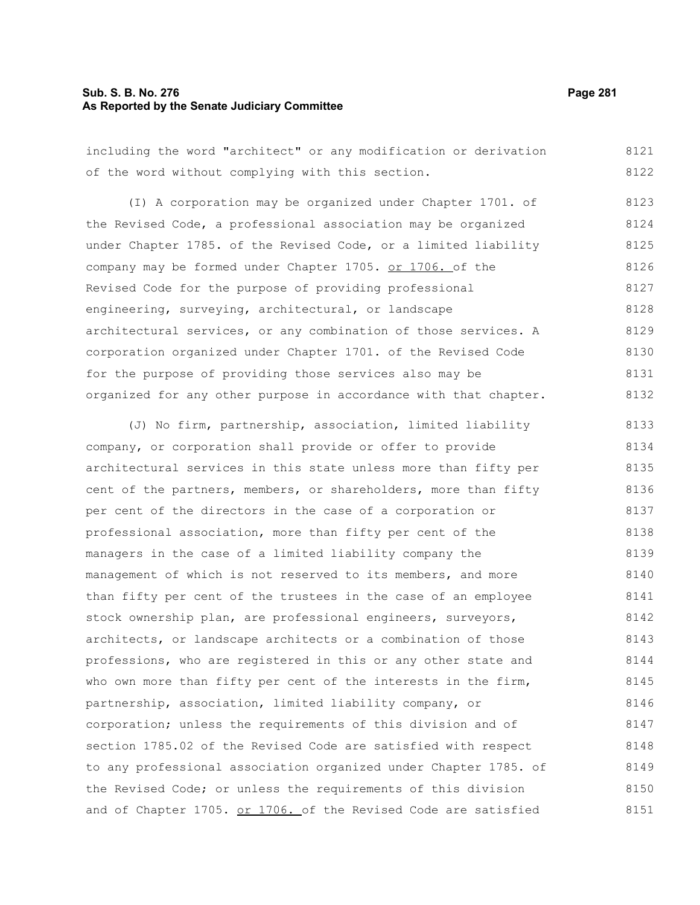## **Sub. S. B. No. 276 Page 281 As Reported by the Senate Judiciary Committee**

including the word "architect" or any modification or derivation of the word without complying with this section. 8121 8122

(I) A corporation may be organized under Chapter 1701. of the Revised Code, a professional association may be organized under Chapter 1785. of the Revised Code, or a limited liability company may be formed under Chapter 1705. or 1706. of the Revised Code for the purpose of providing professional engineering, surveying, architectural, or landscape architectural services, or any combination of those services. A corporation organized under Chapter 1701. of the Revised Code for the purpose of providing those services also may be organized for any other purpose in accordance with that chapter. 8123 8124 8125 8126 8127 8128 8129 8130 8131 8132

(J) No firm, partnership, association, limited liability company, or corporation shall provide or offer to provide architectural services in this state unless more than fifty per cent of the partners, members, or shareholders, more than fifty per cent of the directors in the case of a corporation or professional association, more than fifty per cent of the managers in the case of a limited liability company the management of which is not reserved to its members, and more than fifty per cent of the trustees in the case of an employee stock ownership plan, are professional engineers, surveyors, architects, or landscape architects or a combination of those professions, who are registered in this or any other state and who own more than fifty per cent of the interests in the firm, partnership, association, limited liability company, or corporation; unless the requirements of this division and of section 1785.02 of the Revised Code are satisfied with respect to any professional association organized under Chapter 1785. of the Revised Code; or unless the requirements of this division and of Chapter 1705. or 1706. of the Revised Code are satisfied 8133 8134 8135 8136 8137 8138 8139 8140 8141 8142 8143 8144 8145 8146 8147 8148 8149 8150 8151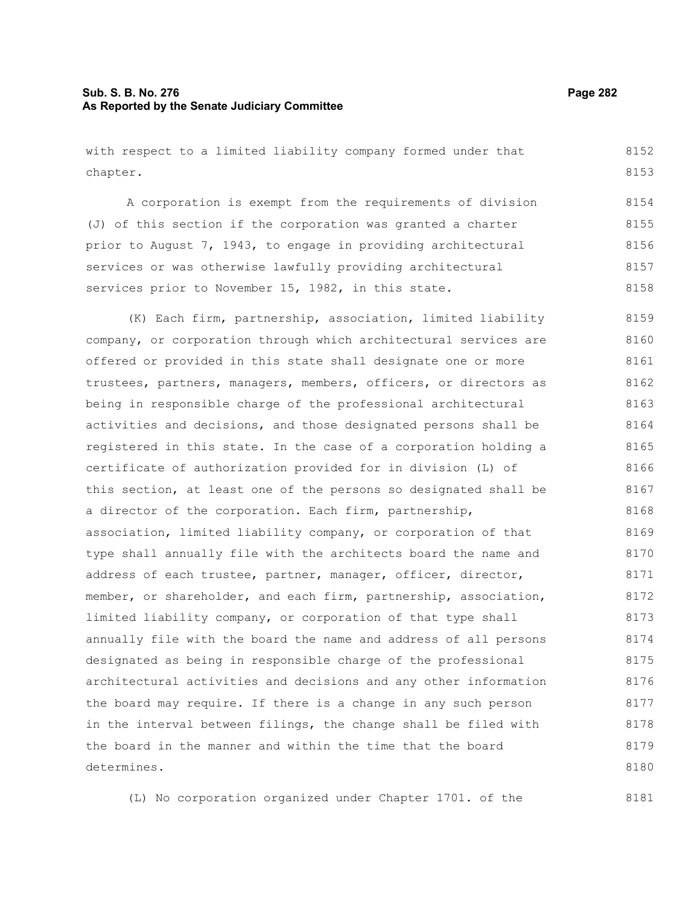## **Sub. S. B. No. 276 Page 282 As Reported by the Senate Judiciary Committee**

with respect to a limited liability company formed under that chapter.

A corporation is exempt from the requirements of division (J) of this section if the corporation was granted a charter prior to August 7, 1943, to engage in providing architectural services or was otherwise lawfully providing architectural services prior to November 15, 1982, in this state. 8154 8155 8156 8157 8158

(K) Each firm, partnership, association, limited liability company, or corporation through which architectural services are offered or provided in this state shall designate one or more trustees, partners, managers, members, officers, or directors as being in responsible charge of the professional architectural activities and decisions, and those designated persons shall be registered in this state. In the case of a corporation holding a certificate of authorization provided for in division (L) of this section, at least one of the persons so designated shall be a director of the corporation. Each firm, partnership, association, limited liability company, or corporation of that type shall annually file with the architects board the name and address of each trustee, partner, manager, officer, director, member, or shareholder, and each firm, partnership, association, limited liability company, or corporation of that type shall annually file with the board the name and address of all persons designated as being in responsible charge of the professional architectural activities and decisions and any other information the board may require. If there is a change in any such person in the interval between filings, the change shall be filed with the board in the manner and within the time that the board determines. 8159 8160 8161 8162 8163 8164 8165 8166 8167 8168 8169 8170 8171 8172 8173 8174 8175 8176 8177 8178 8179 8180

(L) No corporation organized under Chapter 1701. of the

8181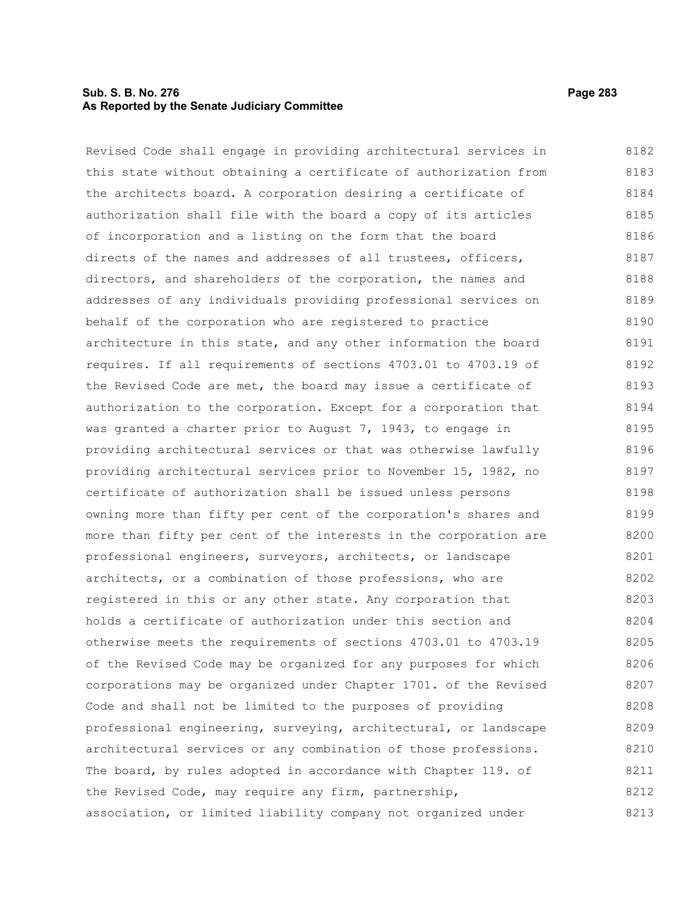## **Sub. S. B. No. 276 Page 283 As Reported by the Senate Judiciary Committee**

Revised Code shall engage in providing architectural services in this state without obtaining a certificate of authorization from the architects board. A corporation desiring a certificate of authorization shall file with the board a copy of its articles of incorporation and a listing on the form that the board directs of the names and addresses of all trustees, officers, directors, and shareholders of the corporation, the names and addresses of any individuals providing professional services on behalf of the corporation who are registered to practice architecture in this state, and any other information the board requires. If all requirements of sections 4703.01 to 4703.19 of the Revised Code are met, the board may issue a certificate of authorization to the corporation. Except for a corporation that was granted a charter prior to August 7, 1943, to engage in providing architectural services or that was otherwise lawfully providing architectural services prior to November 15, 1982, no certificate of authorization shall be issued unless persons owning more than fifty per cent of the corporation's shares and more than fifty per cent of the interests in the corporation are professional engineers, surveyors, architects, or landscape architects, or a combination of those professions, who are registered in this or any other state. Any corporation that holds a certificate of authorization under this section and otherwise meets the requirements of sections 4703.01 to 4703.19 of the Revised Code may be organized for any purposes for which corporations may be organized under Chapter 1701. of the Revised Code and shall not be limited to the purposes of providing professional engineering, surveying, architectural, or landscape architectural services or any combination of those professions. The board, by rules adopted in accordance with Chapter 119. of the Revised Code, may require any firm, partnership, 8182 8183 8184 8185 8186 8187 8188 8189 8190 8191 8192 8193 8194 8195 8196 8197 8198 8199 8200 8201 8202 8203 8204 8205 8206 8207 8208 8209 8210 8211 8212

association, or limited liability company not organized under 8213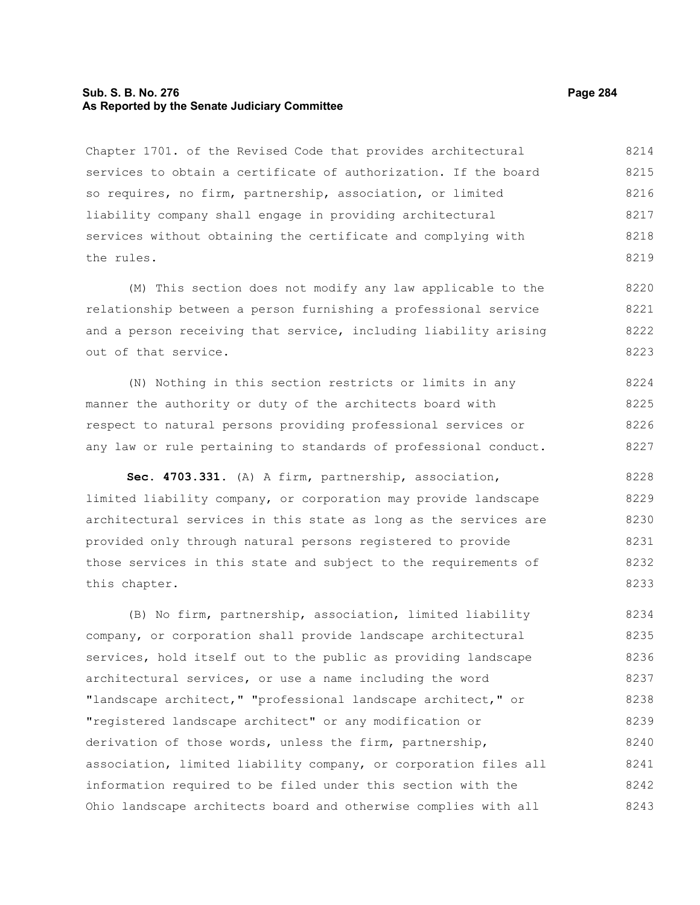#### **Sub. S. B. No. 276 Page 284 As Reported by the Senate Judiciary Committee**

Chapter 1701. of the Revised Code that provides architectural services to obtain a certificate of authorization. If the board so requires, no firm, partnership, association, or limited liability company shall engage in providing architectural services without obtaining the certificate and complying with the rules. 8214 8215 8216 8217 8218 8219

(M) This section does not modify any law applicable to the relationship between a person furnishing a professional service and a person receiving that service, including liability arising out of that service. 8220 8221 8222 8223

(N) Nothing in this section restricts or limits in any manner the authority or duty of the architects board with respect to natural persons providing professional services or any law or rule pertaining to standards of professional conduct. 8224 8225 8226 8227

**Sec. 4703.331.** (A) A firm, partnership, association, limited liability company, or corporation may provide landscape architectural services in this state as long as the services are provided only through natural persons registered to provide those services in this state and subject to the requirements of this chapter. 8228 8229 8230 8231 8232 8233

(B) No firm, partnership, association, limited liability company, or corporation shall provide landscape architectural services, hold itself out to the public as providing landscape architectural services, or use a name including the word "landscape architect," "professional landscape architect," or "registered landscape architect" or any modification or derivation of those words, unless the firm, partnership, association, limited liability company, or corporation files all information required to be filed under this section with the Ohio landscape architects board and otherwise complies with all 8234 8235 8236 8237 8238 8239 8240 8241 8242 8243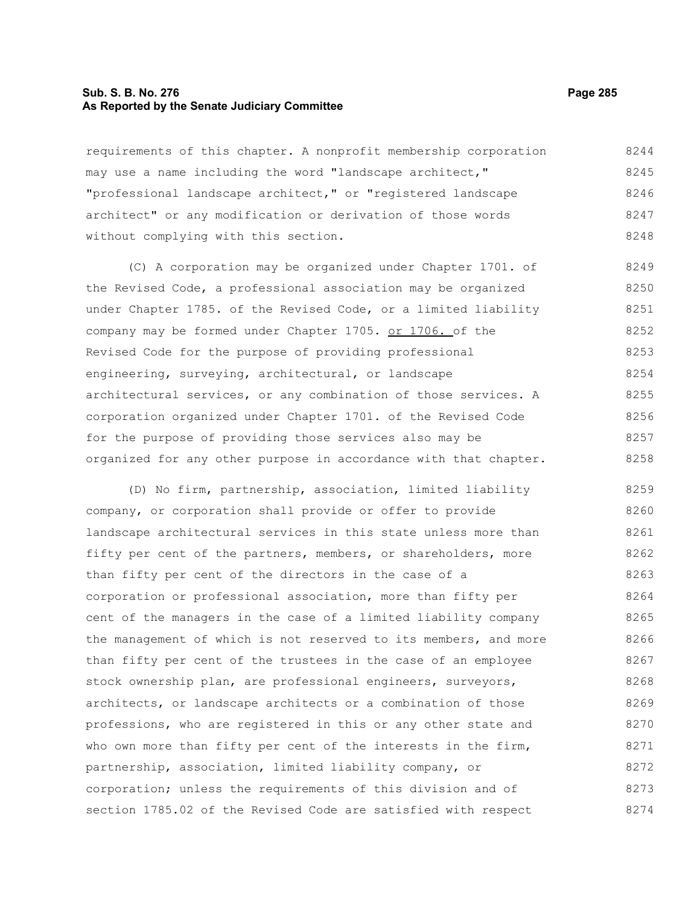#### **Sub. S. B. No. 276 Page 285 As Reported by the Senate Judiciary Committee**

requirements of this chapter. A nonprofit membership corporation may use a name including the word "landscape architect," "professional landscape architect," or "registered landscape architect" or any modification or derivation of those words without complying with this section. 8244 8245 8246 8247 8248

(C) A corporation may be organized under Chapter 1701. of the Revised Code, a professional association may be organized under Chapter 1785. of the Revised Code, or a limited liability company may be formed under Chapter 1705. or 1706. of the Revised Code for the purpose of providing professional engineering, surveying, architectural, or landscape architectural services, or any combination of those services. A corporation organized under Chapter 1701. of the Revised Code for the purpose of providing those services also may be organized for any other purpose in accordance with that chapter. 8249 8250 8251 8252 8253 8254 8255 8256 8257 8258

(D) No firm, partnership, association, limited liability company, or corporation shall provide or offer to provide landscape architectural services in this state unless more than fifty per cent of the partners, members, or shareholders, more than fifty per cent of the directors in the case of a corporation or professional association, more than fifty per cent of the managers in the case of a limited liability company the management of which is not reserved to its members, and more than fifty per cent of the trustees in the case of an employee stock ownership plan, are professional engineers, surveyors, architects, or landscape architects or a combination of those professions, who are registered in this or any other state and who own more than fifty per cent of the interests in the firm, partnership, association, limited liability company, or corporation; unless the requirements of this division and of section 1785.02 of the Revised Code are satisfied with respect 8259 8260 8261 8262 8263 8264 8265 8266 8267 8268 8269 8270 8271 8272 8273 8274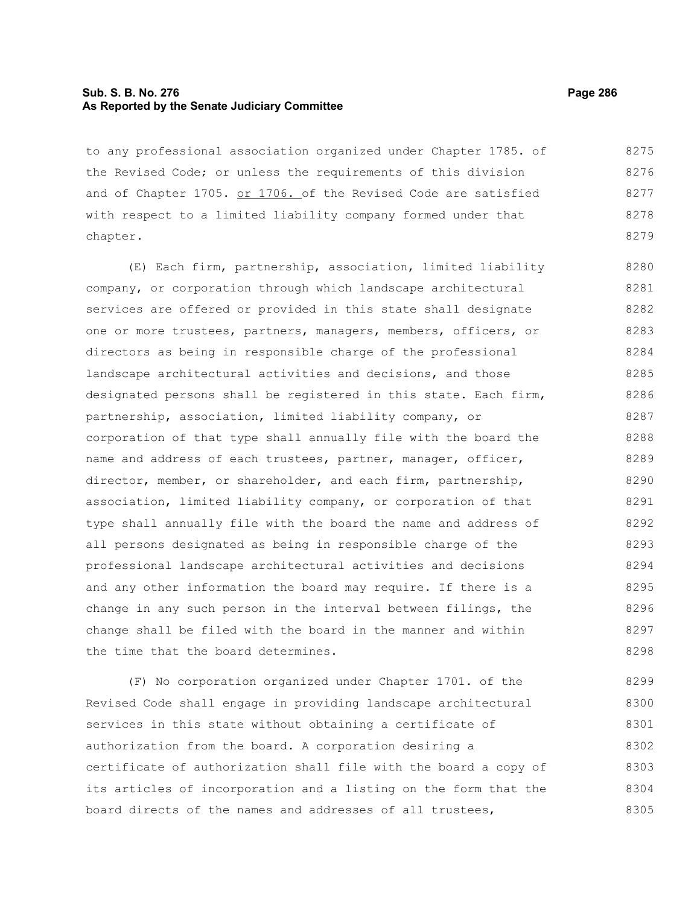## **Sub. S. B. No. 276 Page 286 As Reported by the Senate Judiciary Committee**

to any professional association organized under Chapter 1785. of the Revised Code; or unless the requirements of this division and of Chapter 1705. or 1706. of the Revised Code are satisfied with respect to a limited liability company formed under that chapter. 8275 8276 8277 8278 8279

(E) Each firm, partnership, association, limited liability company, or corporation through which landscape architectural services are offered or provided in this state shall designate one or more trustees, partners, managers, members, officers, or directors as being in responsible charge of the professional landscape architectural activities and decisions, and those designated persons shall be registered in this state. Each firm, partnership, association, limited liability company, or corporation of that type shall annually file with the board the name and address of each trustees, partner, manager, officer, director, member, or shareholder, and each firm, partnership, association, limited liability company, or corporation of that type shall annually file with the board the name and address of all persons designated as being in responsible charge of the professional landscape architectural activities and decisions and any other information the board may require. If there is a change in any such person in the interval between filings, the change shall be filed with the board in the manner and within the time that the board determines. 8280 8281 8282 8283 8284 8285 8286 8287 8288 8289 8290 8291 8292 8293 8294 8295 8296 8297 8298

(F) No corporation organized under Chapter 1701. of the Revised Code shall engage in providing landscape architectural services in this state without obtaining a certificate of authorization from the board. A corporation desiring a certificate of authorization shall file with the board a copy of its articles of incorporation and a listing on the form that the board directs of the names and addresses of all trustees, 8299 8300 8301 8302 8303 8304 8305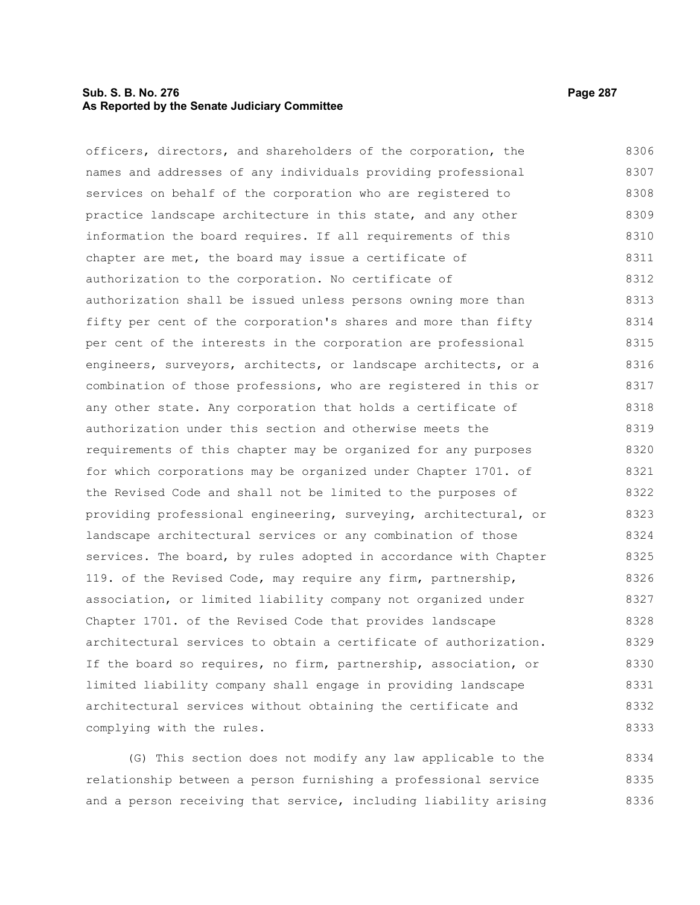## **Sub. S. B. No. 276 Page 287 As Reported by the Senate Judiciary Committee**

officers, directors, and shareholders of the corporation, the names and addresses of any individuals providing professional services on behalf of the corporation who are registered to practice landscape architecture in this state, and any other information the board requires. If all requirements of this chapter are met, the board may issue a certificate of authorization to the corporation. No certificate of authorization shall be issued unless persons owning more than fifty per cent of the corporation's shares and more than fifty per cent of the interests in the corporation are professional engineers, surveyors, architects, or landscape architects, or a combination of those professions, who are registered in this or any other state. Any corporation that holds a certificate of authorization under this section and otherwise meets the requirements of this chapter may be organized for any purposes for which corporations may be organized under Chapter 1701. of the Revised Code and shall not be limited to the purposes of providing professional engineering, surveying, architectural, or landscape architectural services or any combination of those services. The board, by rules adopted in accordance with Chapter 119. of the Revised Code, may require any firm, partnership, association, or limited liability company not organized under Chapter 1701. of the Revised Code that provides landscape architectural services to obtain a certificate of authorization. If the board so requires, no firm, partnership, association, or limited liability company shall engage in providing landscape architectural services without obtaining the certificate and complying with the rules. 8306 8307 8308 8309 8310 8311 8312 8313 8314 8315 8316 8317 8318 8319 8320 8321 8322 8323 8324 8325 8326 8327 8328 8329 8330 8331 8332 8333

(G) This section does not modify any law applicable to the relationship between a person furnishing a professional service and a person receiving that service, including liability arising 8334 8335 8336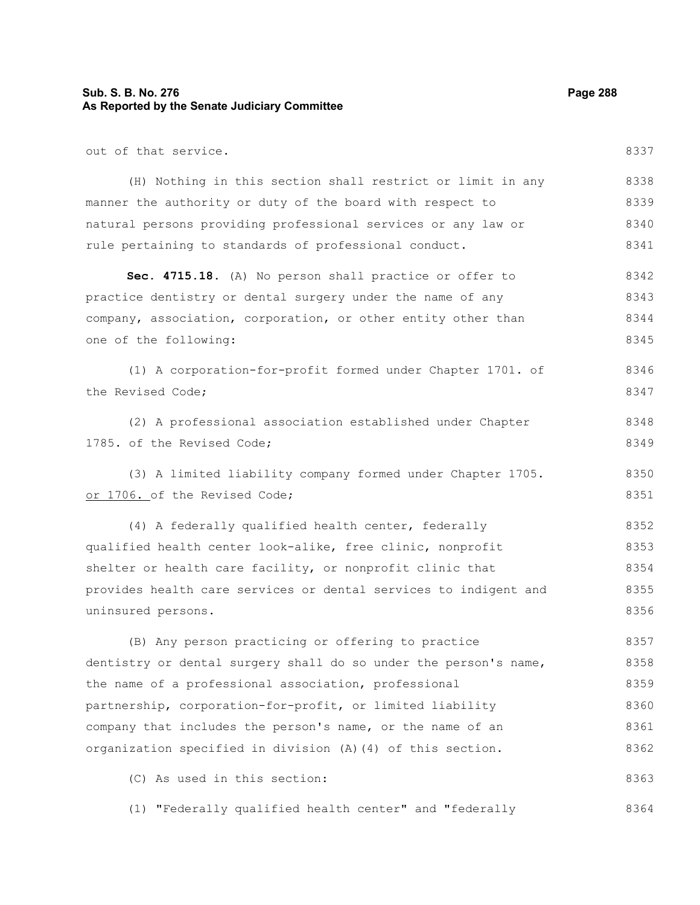# **Sub. S. B. No. 276 Page 288 As Reported by the Senate Judiciary Committee**

out of that service.

(H) Nothing in this section shall restrict or limit in any manner the authority or duty of the board with respect to natural persons providing professional services or any law or rule pertaining to standards of professional conduct. 8338 8339 8340 8341

**Sec. 4715.18.** (A) No person shall practice or offer to practice dentistry or dental surgery under the name of any company, association, corporation, or other entity other than one of the following: 8342 8343 8344 8345

(1) A corporation-for-profit formed under Chapter 1701. of the Revised Code; 8346 8347

(2) A professional association established under Chapter 1785. of the Revised Code; 8348 8349

(3) A limited liability company formed under Chapter 1705. or 1706. of the Revised Code; 8350 8351

(4) A federally qualified health center, federally qualified health center look-alike, free clinic, nonprofit shelter or health care facility, or nonprofit clinic that provides health care services or dental services to indigent and uninsured persons. 8352 8353 8354 8355 8356

(B) Any person practicing or offering to practice dentistry or dental surgery shall do so under the person's name, the name of a professional association, professional partnership, corporation-for-profit, or limited liability company that includes the person's name, or the name of an organization specified in division (A)(4) of this section. 8357 8358 8359 8360 8361 8362

(C) As used in this section:

(1) "Federally qualified health center" and "federally 8364

8337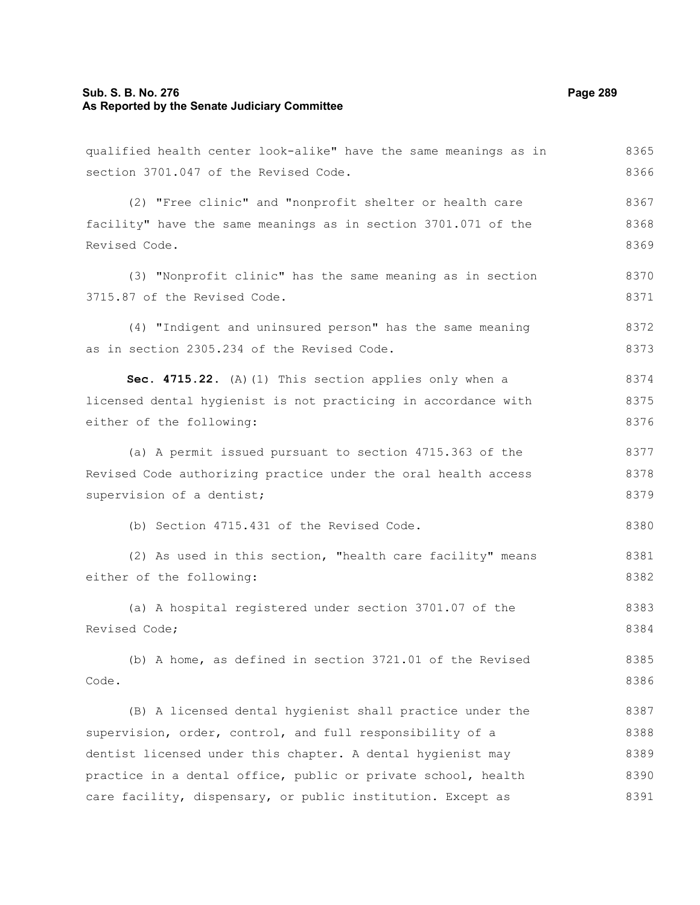# **Sub. S. B. No. 276 Page 289 As Reported by the Senate Judiciary Committee**

qualified health center look-alike" have the same meanings as in section 3701.047 of the Revised Code. 8365 8366

(2) "Free clinic" and "nonprofit shelter or health care facility" have the same meanings as in section 3701.071 of the Revised Code. 8367 8368 8369

(3) "Nonprofit clinic" has the same meaning as in section 3715.87 of the Revised Code. 8370 8371

(4) "Indigent and uninsured person" has the same meaning as in section 2305.234 of the Revised Code. 8372 8373

**Sec. 4715.22.** (A)(1) This section applies only when a licensed dental hygienist is not practicing in accordance with either of the following: 8374 8375 8376

(a) A permit issued pursuant to section 4715.363 of the Revised Code authorizing practice under the oral health access supervision of a dentist; 8377 8378 8379

(b) Section 4715.431 of the Revised Code.

(2) As used in this section, "health care facility" means either of the following: 8381 8382

(a) A hospital registered under section 3701.07 of the Revised Code; 8383 8384

(b) A home, as defined in section 3721.01 of the Revised Code. 8385 8386

(B) A licensed dental hygienist shall practice under the supervision, order, control, and full responsibility of a dentist licensed under this chapter. A dental hygienist may practice in a dental office, public or private school, health care facility, dispensary, or public institution. Except as 8387 8388 8389 8390 8391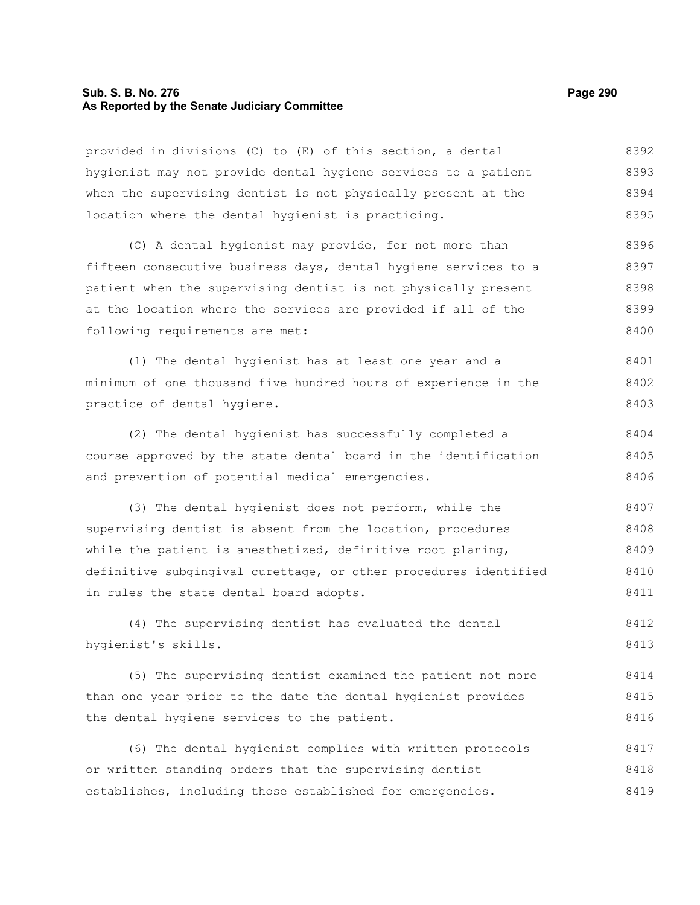# **Sub. S. B. No. 276 Page 290 As Reported by the Senate Judiciary Committee**

provided in divisions (C) to (E) of this section, a dental hygienist may not provide dental hygiene services to a patient when the supervising dentist is not physically present at the location where the dental hygienist is practicing. (C) A dental hygienist may provide, for not more than fifteen consecutive business days, dental hygiene services to a patient when the supervising dentist is not physically present at the location where the services are provided if all of the following requirements are met: (1) The dental hygienist has at least one year and a minimum of one thousand five hundred hours of experience in the practice of dental hygiene. (2) The dental hygienist has successfully completed a course approved by the state dental board in the identification and prevention of potential medical emergencies. (3) The dental hygienist does not perform, while the supervising dentist is absent from the location, procedures while the patient is anesthetized, definitive root planing, definitive subgingival curettage, or other procedures identified in rules the state dental board adopts. (4) The supervising dentist has evaluated the dental hygienist's skills. (5) The supervising dentist examined the patient not more than one year prior to the date the dental hygienist provides the dental hygiene services to the patient. (6) The dental hygienist complies with written protocols or written standing orders that the supervising dentist establishes, including those established for emergencies. 8392 8393 8394 8395 8396 8397 8398 8399 8400 8401 8402 8403 8404 8405 8406 8407 8408 8409 8410 8411 8412 8413 8414 8415 8416 8417 8418 8419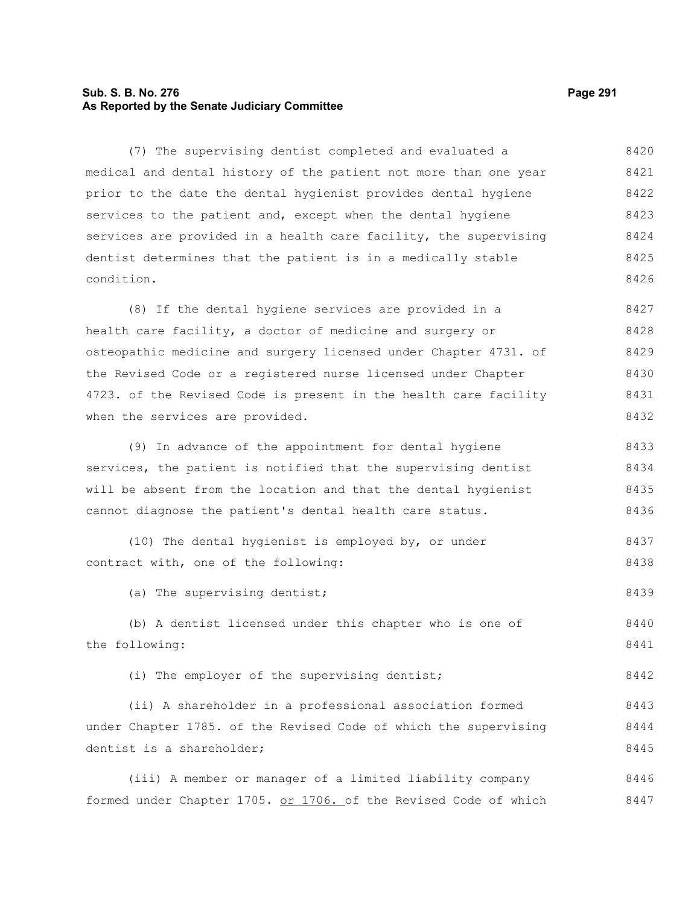# **Sub. S. B. No. 276 Page 291 As Reported by the Senate Judiciary Committee**

(7) The supervising dentist completed and evaluated a medical and dental history of the patient not more than one year prior to the date the dental hygienist provides dental hygiene services to the patient and, except when the dental hygiene services are provided in a health care facility, the supervising dentist determines that the patient is in a medically stable condition. 8420 8421 8422 8423 8424 8425 8426

(8) If the dental hygiene services are provided in a health care facility, a doctor of medicine and surgery or osteopathic medicine and surgery licensed under Chapter 4731. of the Revised Code or a registered nurse licensed under Chapter 4723. of the Revised Code is present in the health care facility when the services are provided. 8427 8428 8429 8430 8431 8432

(9) In advance of the appointment for dental hygiene services, the patient is notified that the supervising dentist will be absent from the location and that the dental hygienist cannot diagnose the patient's dental health care status. 8433 8434 8435 8436

(10) The dental hygienist is employed by, or under contract with, one of the following: 8437 8438

(a) The supervising dentist; 8439

(b) A dentist licensed under this chapter who is one of the following: 8440 8441

(i) The employer of the supervising dentist;

(ii) A shareholder in a professional association formed under Chapter 1785. of the Revised Code of which the supervising dentist is a shareholder; 8443 8444 8445

(iii) A member or manager of a limited liability company formed under Chapter 1705. or 1706. of the Revised Code of which 8446 8447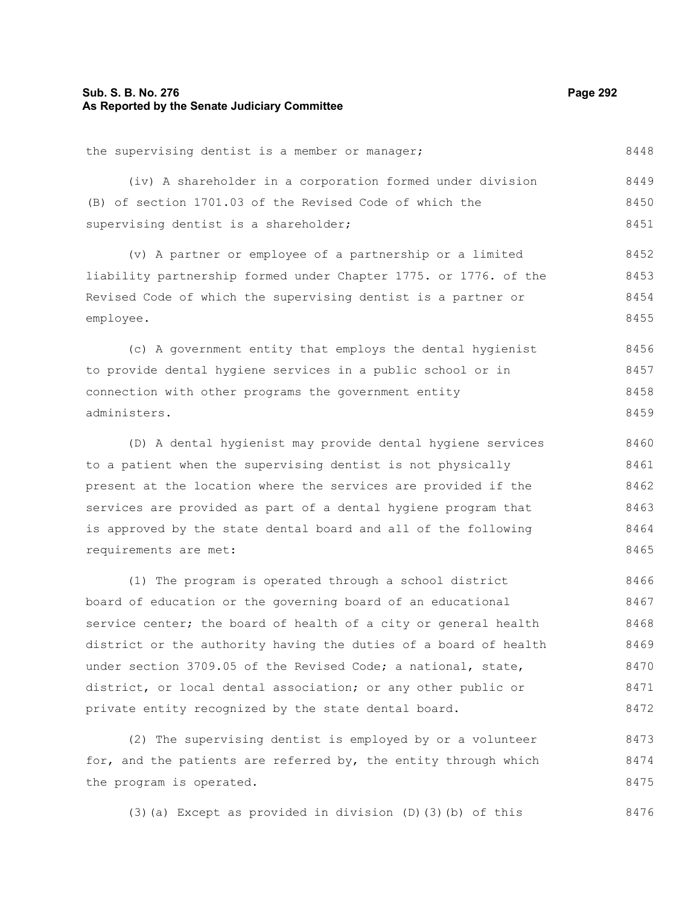# **Sub. S. B. No. 276 Page 292 As Reported by the Senate Judiciary Committee**

the supervising dentist is a member or manager; (iv) A shareholder in a corporation formed under division (B) of section 1701.03 of the Revised Code of which the supervising dentist is a shareholder; (v) A partner or employee of a partnership or a limited liability partnership formed under Chapter 1775. or 1776. of the Revised Code of which the supervising dentist is a partner or employee. (c) A government entity that employs the dental hygienist to provide dental hygiene services in a public school or in connection with other programs the government entity administers. (D) A dental hygienist may provide dental hygiene services to a patient when the supervising dentist is not physically present at the location where the services are provided if the services are provided as part of a dental hygiene program that is approved by the state dental board and all of the following requirements are met: 8448 8449 8450 8451 8452 8453 8454 8455 8456 8457 8458 8459 8460 8461 8462 8463 8464 8465

(1) The program is operated through a school district board of education or the governing board of an educational service center; the board of health of a city or general health district or the authority having the duties of a board of health under section 3709.05 of the Revised Code; a national, state, district, or local dental association; or any other public or private entity recognized by the state dental board. 8466 8467 8468 8469 8470 8471 8472

(2) The supervising dentist is employed by or a volunteer for, and the patients are referred by, the entity through which the program is operated. 8473 8474 8475

(3)(a) Except as provided in division (D)(3)(b) of this 8476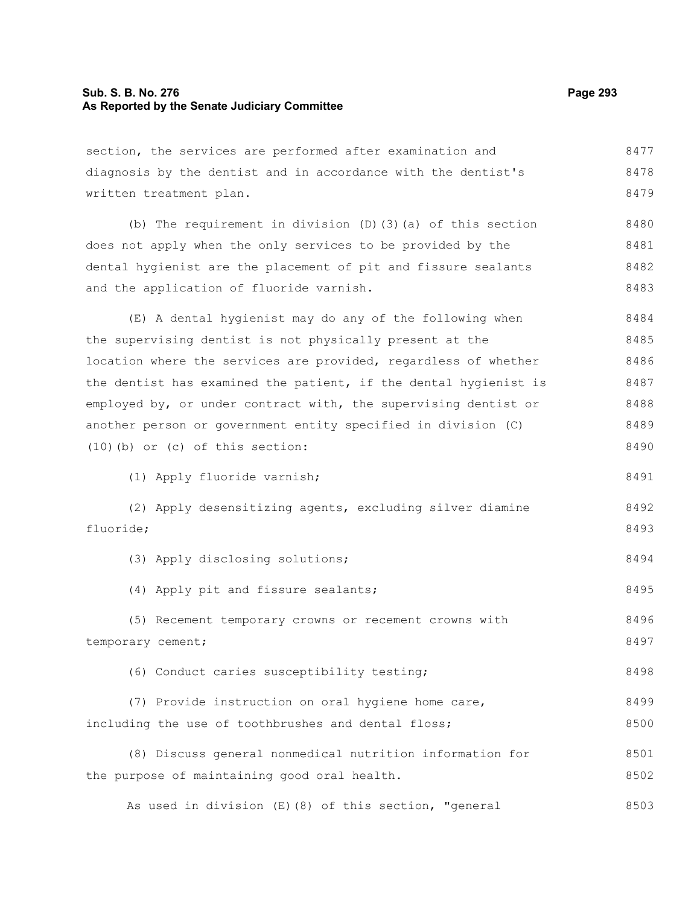# **Sub. S. B. No. 276 Page 293 As Reported by the Senate Judiciary Committee**

section, the services are performed after examination and diagnosis by the dentist and in accordance with the dentist's written treatment plan. (b) The requirement in division (D)(3)(a) of this section does not apply when the only services to be provided by the dental hygienist are the placement of pit and fissure sealants and the application of fluoride varnish. (E) A dental hygienist may do any of the following when the supervising dentist is not physically present at the location where the services are provided, regardless of whether the dentist has examined the patient, if the dental hygienist is employed by, or under contract with, the supervising dentist or another person or government entity specified in division (C) (10)(b) or (c) of this section: (1) Apply fluoride varnish; (2) Apply desensitizing agents, excluding silver diamine fluoride; (3) Apply disclosing solutions; (4) Apply pit and fissure sealants; (5) Recement temporary crowns or recement crowns with temporary cement; (6) Conduct caries susceptibility testing; (7) Provide instruction on oral hygiene home care, including the use of toothbrushes and dental floss; (8) Discuss general nonmedical nutrition information for the purpose of maintaining good oral health. 8477 8478 8479 8480 8481 8482 8483 8484 8485 8486 8487 8488 8489 8490 8491 8492 8493 8494 8495 8496 8497 8498 8499 8500 8501 8502

As used in division (E)(8) of this section, "general 8503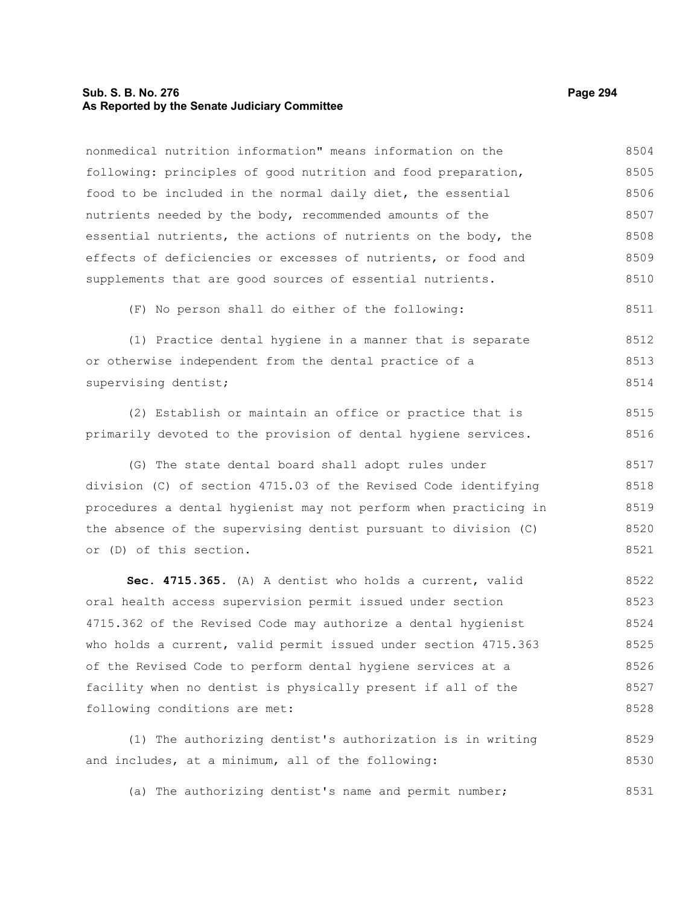# **Sub. S. B. No. 276 Page 294 As Reported by the Senate Judiciary Committee**

nonmedical nutrition information" means information on the following: principles of good nutrition and food preparation, food to be included in the normal daily diet, the essential nutrients needed by the body, recommended amounts of the essential nutrients, the actions of nutrients on the body, the effects of deficiencies or excesses of nutrients, or food and supplements that are good sources of essential nutrients. (F) No person shall do either of the following: (1) Practice dental hygiene in a manner that is separate or otherwise independent from the dental practice of a supervising dentist; (2) Establish or maintain an office or practice that is primarily devoted to the provision of dental hygiene services. (G) The state dental board shall adopt rules under division (C) of section 4715.03 of the Revised Code identifying procedures a dental hygienist may not perform when practicing in the absence of the supervising dentist pursuant to division (C) or (D) of this section. **Sec. 4715.365.** (A) A dentist who holds a current, valid oral health access supervision permit issued under section 4715.362 of the Revised Code may authorize a dental hygienist who holds a current, valid permit issued under section 4715.363 of the Revised Code to perform dental hygiene services at a facility when no dentist is physically present if all of the following conditions are met: (1) The authorizing dentist's authorization is in writing 8504 8505 8506 8507 8508 8509 8510 8511 8512 8513 8514 8515 8516 8517 8518 8519 8520 8521 8522 8523 8524 8525 8526 8527 8528 8529

(a) The authorizing dentist's name and permit number; 8531

and includes, at a minimum, all of the following: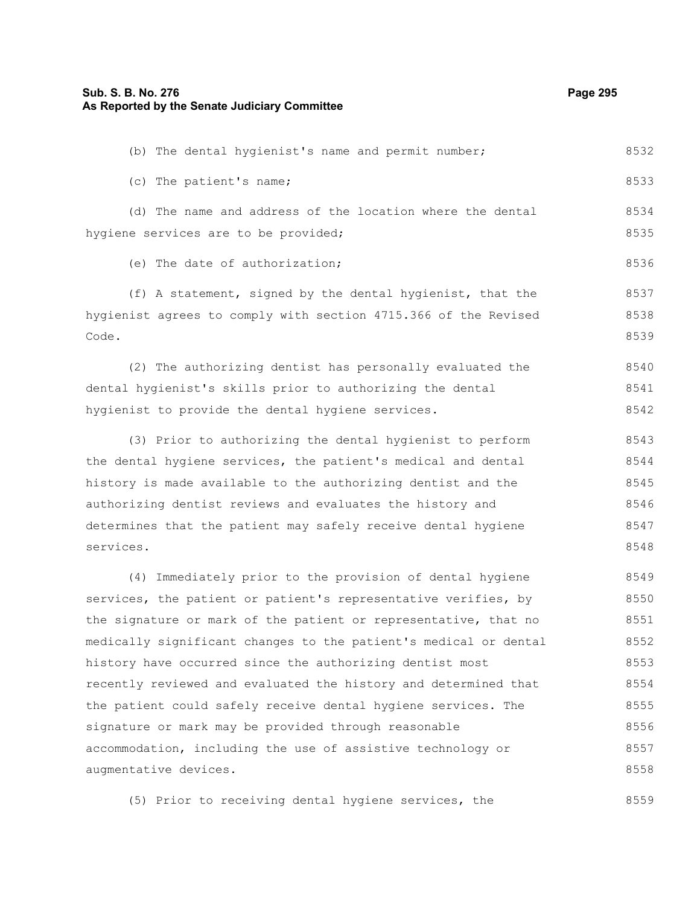(b) The dental hygienist's name and permit number;

(c) The patient's name; (d) The name and address of the location where the dental hygiene services are to be provided; (e) The date of authorization; (f) A statement, signed by the dental hygienist, that the hygienist agrees to comply with section 4715.366 of the Revised Code. (2) The authorizing dentist has personally evaluated the dental hygienist's skills prior to authorizing the dental hygienist to provide the dental hygiene services. (3) Prior to authorizing the dental hygienist to perform the dental hygiene services, the patient's medical and dental history is made available to the authorizing dentist and the authorizing dentist reviews and evaluates the history and determines that the patient may safely receive dental hygiene services. (4) Immediately prior to the provision of dental hygiene services, the patient or patient's representative verifies, by the signature or mark of the patient or representative, that no medically significant changes to the patient's medical or dental history have occurred since the authorizing dentist most recently reviewed and evaluated the history and determined that the patient could safely receive dental hygiene services. The signature or mark may be provided through reasonable 8533 8534 8535 8536 8537 8538 8539 8540 8541 8542 8543 8544 8545 8546 8547 8548 8549 8550 8551 8552 8553 8554 8555 8556

(5) Prior to receiving dental hygiene services, the 8559

accommodation, including the use of assistive technology or

augmentative devices.

8532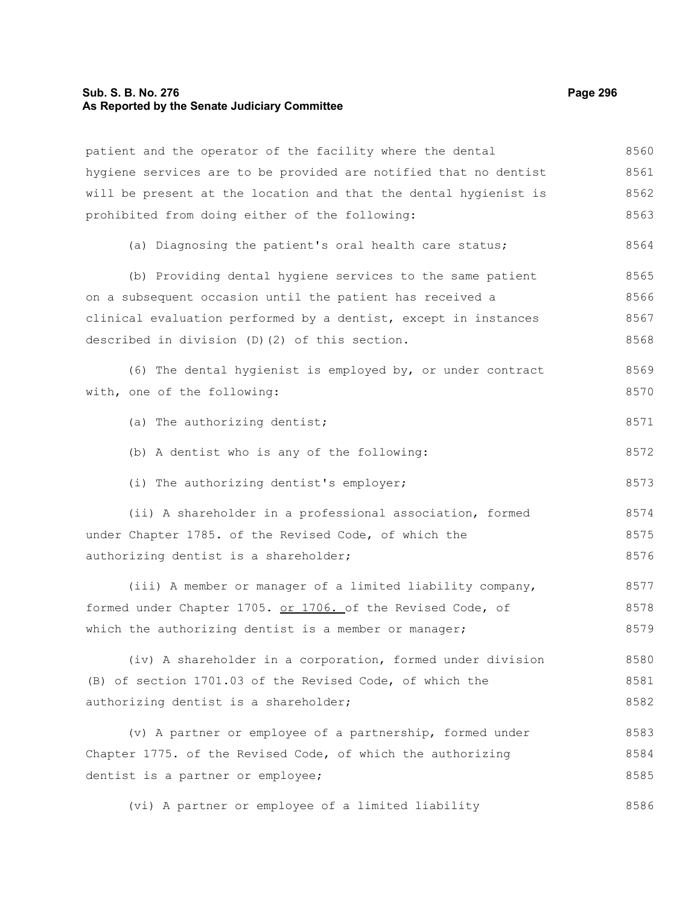#### **Sub. S. B. No. 276 Page 296 As Reported by the Senate Judiciary Committee**

patient and the operator of the facility where the dental hygiene services are to be provided are notified that no dentist will be present at the location and that the dental hygienist is prohibited from doing either of the following: (a) Diagnosing the patient's oral health care status; (b) Providing dental hygiene services to the same patient on a subsequent occasion until the patient has received a clinical evaluation performed by a dentist, except in instances described in division (D)(2) of this section. (6) The dental hygienist is employed by, or under contract with, one of the following: (a) The authorizing dentist; (b) A dentist who is any of the following: (i) The authorizing dentist's employer; (ii) A shareholder in a professional association, formed under Chapter 1785. of the Revised Code, of which the authorizing dentist is a shareholder; (iii) A member or manager of a limited liability company, formed under Chapter 1705. or 1706. of the Revised Code, of which the authorizing dentist is a member or manager; (iv) A shareholder in a corporation, formed under division (B) of section 1701.03 of the Revised Code, of which the authorizing dentist is a shareholder; (v) A partner or employee of a partnership, formed under Chapter 1775. of the Revised Code, of which the authorizing dentist is a partner or employee; 8560 8561 8562 8563 8564 8565 8566 8567 8568 8569 8570 8571 8572 8573 8574 8575 8576 8577 8578 8579 8580 8581 8582 8583 8584 8585

(vi) A partner or employee of a limited liability 8586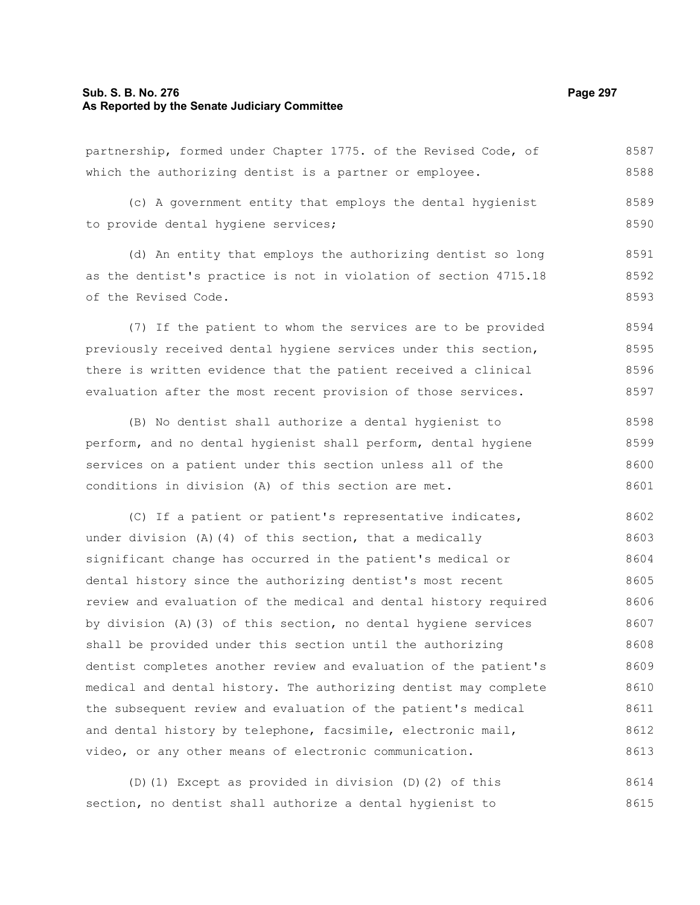#### **Sub. S. B. No. 276 Page 297 As Reported by the Senate Judiciary Committee**

partnership, formed under Chapter 1775. of the Revised Code, of which the authorizing dentist is a partner or employee. (c) A government entity that employs the dental hygienist to provide dental hygiene services; (d) An entity that employs the authorizing dentist so long as the dentist's practice is not in violation of section 4715.18 of the Revised Code. (7) If the patient to whom the services are to be provided previously received dental hygiene services under this section, 8587 8588 8589 8590 8591 8592 8593 8594 8595

(B) No dentist shall authorize a dental hygienist to perform, and no dental hygienist shall perform, dental hygiene services on a patient under this section unless all of the conditions in division (A) of this section are met. 8598 8599 8600 8601

there is written evidence that the patient received a clinical evaluation after the most recent provision of those services.

(C) If a patient or patient's representative indicates, under division (A)(4) of this section, that a medically significant change has occurred in the patient's medical or dental history since the authorizing dentist's most recent review and evaluation of the medical and dental history required by division (A)(3) of this section, no dental hygiene services shall be provided under this section until the authorizing dentist completes another review and evaluation of the patient's medical and dental history. The authorizing dentist may complete the subsequent review and evaluation of the patient's medical and dental history by telephone, facsimile, electronic mail, video, or any other means of electronic communication. 8602 8603 8604 8605 8606 8607 8608 8609 8610 8611 8612 8613

(D)(1) Except as provided in division (D)(2) of this section, no dentist shall authorize a dental hygienist to 8614 8615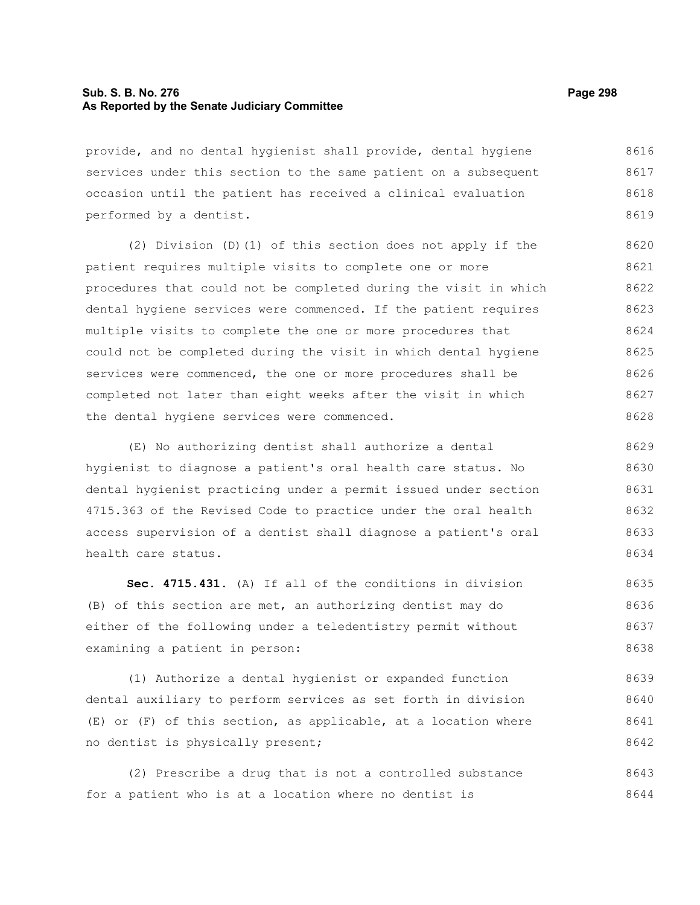# **Sub. S. B. No. 276 Page 298 As Reported by the Senate Judiciary Committee**

provide, and no dental hygienist shall provide, dental hygiene services under this section to the same patient on a subsequent occasion until the patient has received a clinical evaluation performed by a dentist. 8616 8617 8618 8619

(2) Division (D)(1) of this section does not apply if the patient requires multiple visits to complete one or more procedures that could not be completed during the visit in which dental hygiene services were commenced. If the patient requires multiple visits to complete the one or more procedures that could not be completed during the visit in which dental hygiene services were commenced, the one or more procedures shall be completed not later than eight weeks after the visit in which the dental hygiene services were commenced. 8620 8621 8622 8623 8624 8625 8626 8627 8628

(E) No authorizing dentist shall authorize a dental hygienist to diagnose a patient's oral health care status. No dental hygienist practicing under a permit issued under section 4715.363 of the Revised Code to practice under the oral health access supervision of a dentist shall diagnose a patient's oral health care status. 8629 8630 8631 8632 8633 8634

**Sec. 4715.431.** (A) If all of the conditions in division (B) of this section are met, an authorizing dentist may do either of the following under a teledentistry permit without examining a patient in person: 8635 8636 8637 8638

(1) Authorize a dental hygienist or expanded function dental auxiliary to perform services as set forth in division (E) or (F) of this section, as applicable, at a location where no dentist is physically present; 8639 8640 8641 8642

(2) Prescribe a drug that is not a controlled substance for a patient who is at a location where no dentist is 8643 8644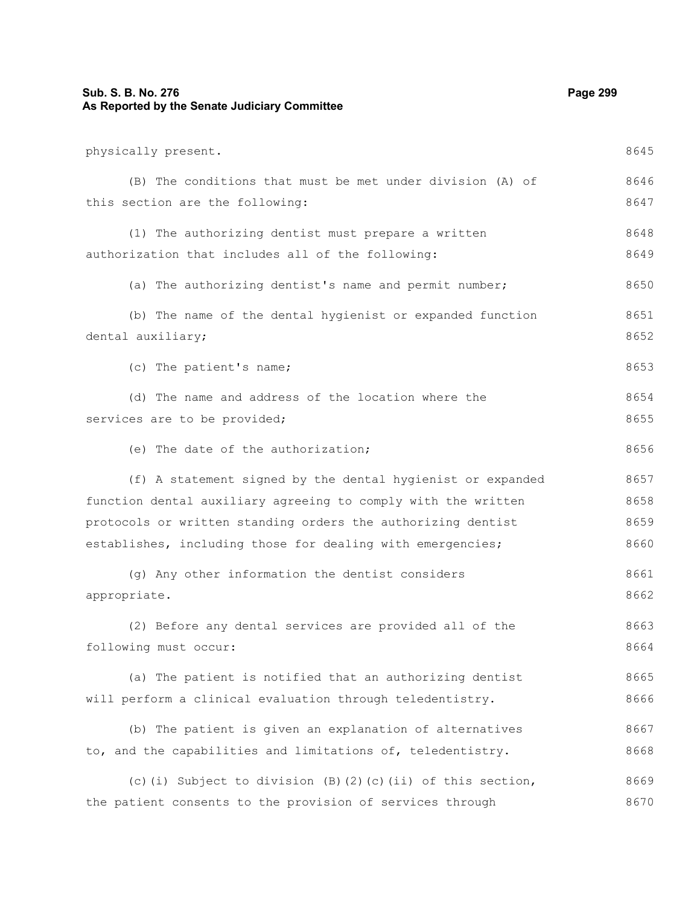# **Sub. S. B. No. 276 Page 299 As Reported by the Senate Judiciary Committee**

| physically present.                                           | 8645 |
|---------------------------------------------------------------|------|
| (B) The conditions that must be met under division (A) of     | 8646 |
| this section are the following:                               | 8647 |
| (1) The authorizing dentist must prepare a written            | 8648 |
| authorization that includes all of the following:             | 8649 |
| (a) The authorizing dentist's name and permit number;         | 8650 |
| (b) The name of the dental hygienist or expanded function     | 8651 |
| dental auxiliary;                                             | 8652 |
| (c) The patient's name;                                       | 8653 |
| (d) The name and address of the location where the            | 8654 |
| services are to be provided;                                  | 8655 |
| (e) The date of the authorization;                            | 8656 |
| (f) A statement signed by the dental hygienist or expanded    | 8657 |
| function dental auxiliary agreeing to comply with the written | 8658 |
| protocols or written standing orders the authorizing dentist  | 8659 |
| establishes, including those for dealing with emergencies;    | 8660 |
| (g) Any other information the dentist considers               | 8661 |
| appropriate.                                                  | 8662 |
| (2) Before any dental services are provided all of the        | 8663 |
| following must occur:                                         | 8664 |
| (a) The patient is notified that an authorizing dentist       | 8665 |
| will perform a clinical evaluation through teledentistry.     | 8666 |
| (b) The patient is given an explanation of alternatives       | 8667 |
| to, and the capabilities and limitations of, teledentistry.   | 8668 |
| (c)(i) Subject to division (B)(2)(c)(ii) of this section,     | 8669 |
| the patient consents to the provision of services through     | 8670 |
|                                                               |      |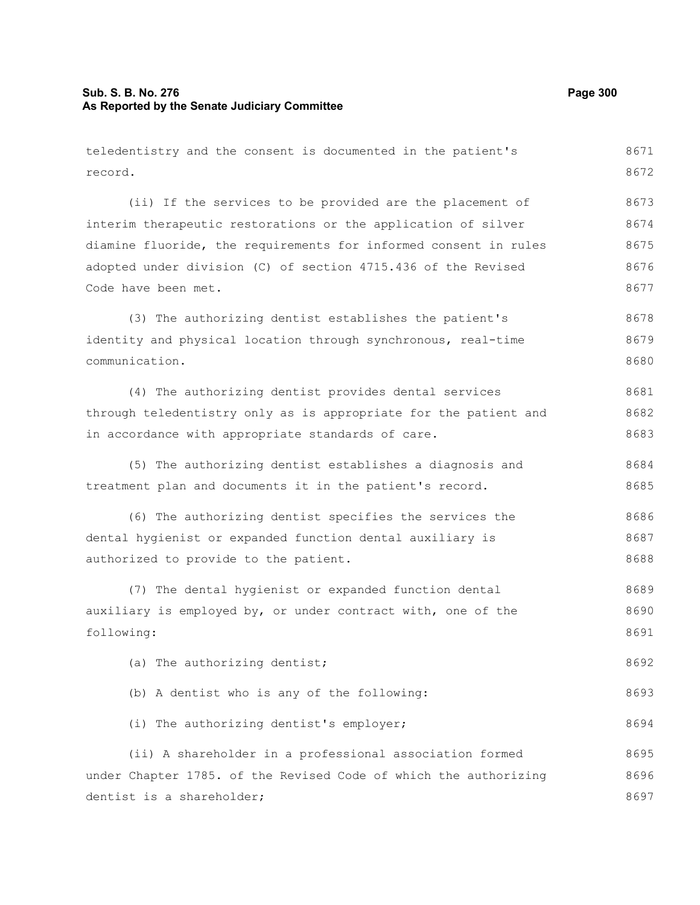# **Sub. S. B. No. 276 Page 300 As Reported by the Senate Judiciary Committee**

record.

teledentistry and the consent is documented in the patient's 8671 8672

(ii) If the services to be provided are the placement of interim therapeutic restorations or the application of silver diamine fluoride, the requirements for informed consent in rules adopted under division (C) of section 4715.436 of the Revised Code have been met. (3) The authorizing dentist establishes the patient's identity and physical location through synchronous, real-time communication. (4) The authorizing dentist provides dental services through teledentistry only as is appropriate for the patient and in accordance with appropriate standards of care. (5) The authorizing dentist establishes a diagnosis and treatment plan and documents it in the patient's record. (6) The authorizing dentist specifies the services the dental hygienist or expanded function dental auxiliary is authorized to provide to the patient. (7) The dental hygienist or expanded function dental auxiliary is employed by, or under contract with, one of the following: (a) The authorizing dentist; (b) A dentist who is any of the following: (i) The authorizing dentist's employer; (ii) A shareholder in a professional association formed under Chapter 1785. of the Revised Code of which the authorizing dentist is a shareholder; 8673 8674 8675 8676 8677 8678 8679 8680 8681 8682 8683 8684 8685 8686 8687 8688 8689 8690 8691 8692 8693 8694 8695 8696 8697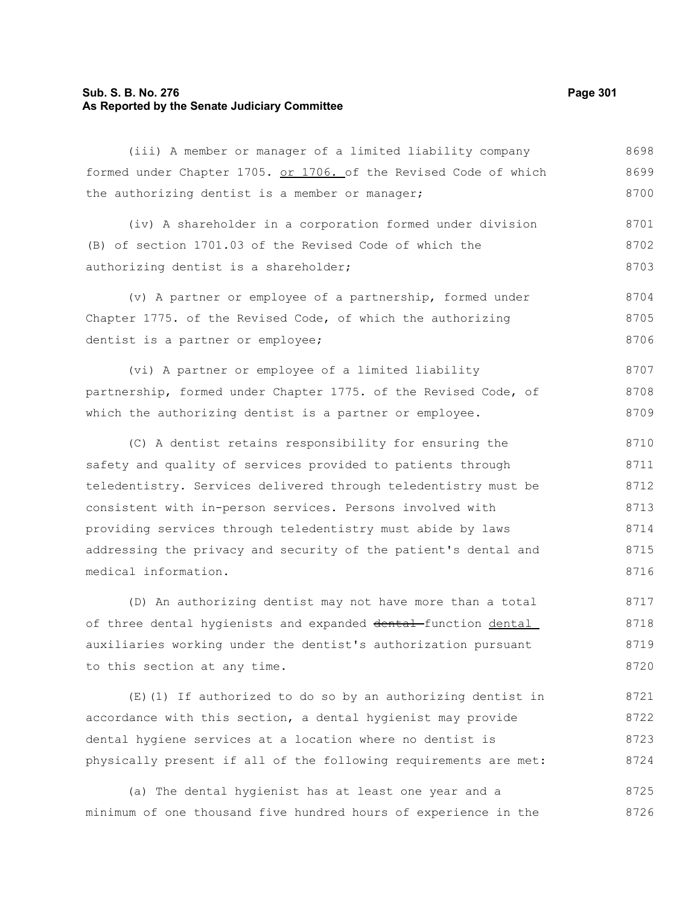# **Sub. S. B. No. 276 Page 301 As Reported by the Senate Judiciary Committee**

(iii) A member or manager of a limited liability company formed under Chapter 1705. or 1706. of the Revised Code of which the authorizing dentist is a member or manager; 8698 8699 8700

(iv) A shareholder in a corporation formed under division (B) of section 1701.03 of the Revised Code of which the authorizing dentist is a shareholder; 8701 8702 8703

(v) A partner or employee of a partnership, formed under Chapter 1775. of the Revised Code, of which the authorizing dentist is a partner or employee; 8704 8705 8706

(vi) A partner or employee of a limited liability partnership, formed under Chapter 1775. of the Revised Code, of which the authorizing dentist is a partner or employee. 8707 8708 8709

(C) A dentist retains responsibility for ensuring the safety and quality of services provided to patients through teledentistry. Services delivered through teledentistry must be consistent with in-person services. Persons involved with providing services through teledentistry must abide by laws addressing the privacy and security of the patient's dental and medical information. 8710 8711 8712 8713 8714 8715 8716

(D) An authorizing dentist may not have more than a total of three dental hygienists and expanded dental function dental auxiliaries working under the dentist's authorization pursuant to this section at any time. 8717 8718 8719 8720

(E)(1) If authorized to do so by an authorizing dentist in accordance with this section, a dental hygienist may provide dental hygiene services at a location where no dentist is physically present if all of the following requirements are met: 8721 8722 8723 8724

(a) The dental hygienist has at least one year and a minimum of one thousand five hundred hours of experience in the 8725 8726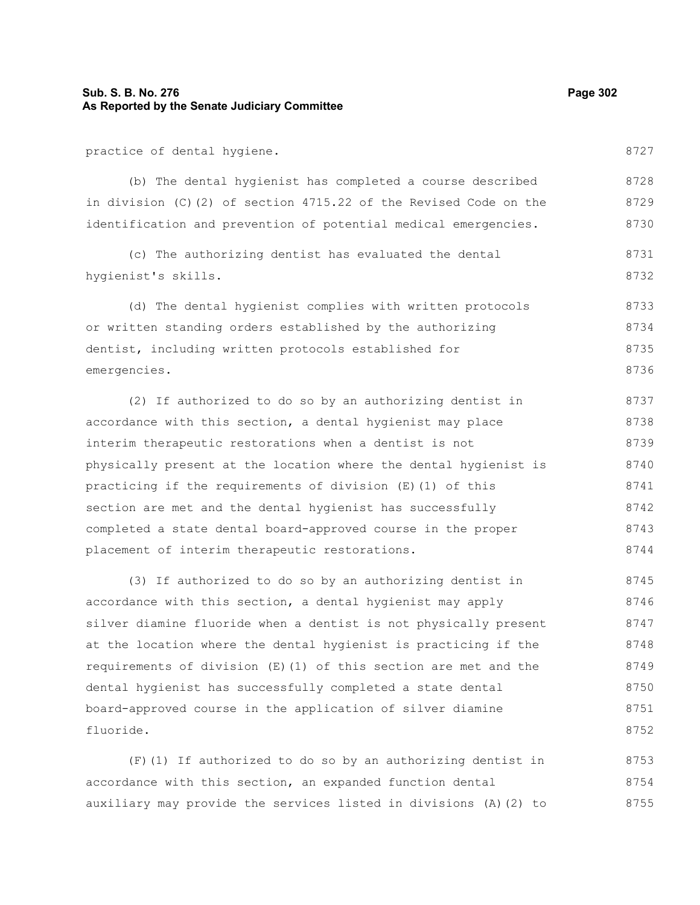# **Sub. S. B. No. 276 Page 302 As Reported by the Senate Judiciary Committee**

practice of dental hygiene.

(b) The dental hygienist has completed a course described in division (C)(2) of section 4715.22 of the Revised Code on the identification and prevention of potential medical emergencies. 8728 8729 8730

(c) The authorizing dentist has evaluated the dental hygienist's skills. 8731 8732

(d) The dental hygienist complies with written protocols or written standing orders established by the authorizing dentist, including written protocols established for emergencies. 8733 8734 8735 8736

(2) If authorized to do so by an authorizing dentist in accordance with this section, a dental hygienist may place interim therapeutic restorations when a dentist is not physically present at the location where the dental hygienist is practicing if the requirements of division (E)(1) of this section are met and the dental hygienist has successfully completed a state dental board-approved course in the proper placement of interim therapeutic restorations. 8737 8738 8739 8740 8741 8742 8743 8744

(3) If authorized to do so by an authorizing dentist in accordance with this section, a dental hygienist may apply silver diamine fluoride when a dentist is not physically present at the location where the dental hygienist is practicing if the requirements of division (E)(1) of this section are met and the dental hygienist has successfully completed a state dental board-approved course in the application of silver diamine fluoride. 8745 8746 8747 8748 8749 8750 8751 8752

(F)(1) If authorized to do so by an authorizing dentist in accordance with this section, an expanded function dental auxiliary may provide the services listed in divisions (A)(2) to 8753 8754 8755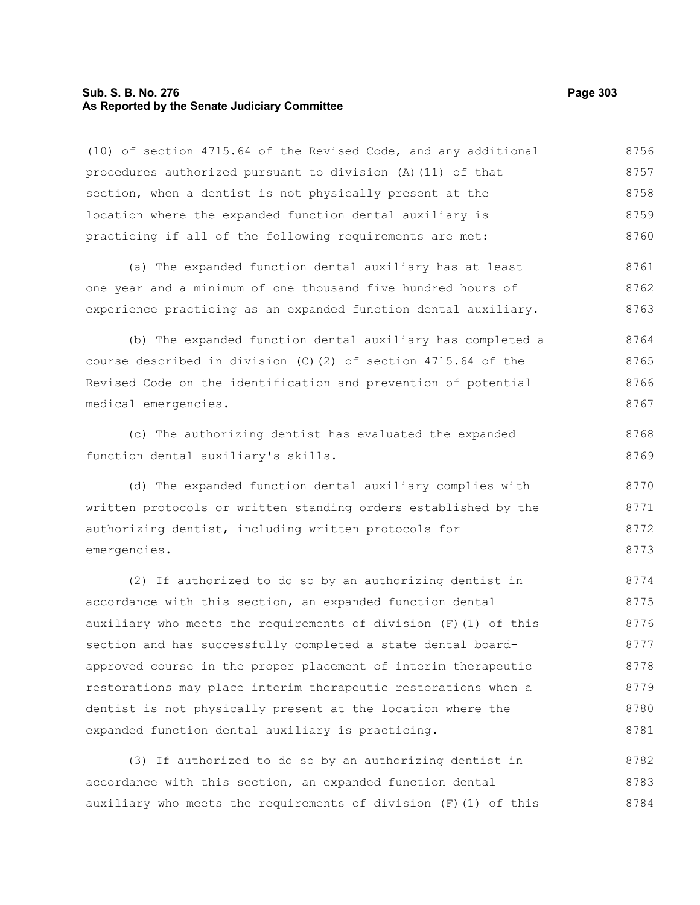#### **Sub. S. B. No. 276 Page 303 As Reported by the Senate Judiciary Committee**

(10) of section 4715.64 of the Revised Code, and any additional procedures authorized pursuant to division (A)(11) of that section, when a dentist is not physically present at the location where the expanded function dental auxiliary is practicing if all of the following requirements are met: (a) The expanded function dental auxiliary has at least one year and a minimum of one thousand five hundred hours of experience practicing as an expanded function dental auxiliary. (b) The expanded function dental auxiliary has completed a course described in division (C)(2) of section 4715.64 of the Revised Code on the identification and prevention of potential medical emergencies. (c) The authorizing dentist has evaluated the expanded function dental auxiliary's skills. (d) The expanded function dental auxiliary complies with written protocols or written standing orders established by the authorizing dentist, including written protocols for emergencies. (2) If authorized to do so by an authorizing dentist in accordance with this section, an expanded function dental auxiliary who meets the requirements of division  $(F)$  (1) of this section and has successfully completed a state dental boardapproved course in the proper placement of interim therapeutic restorations may place interim therapeutic restorations when a dentist is not physically present at the location where the 8756 8757 8758 8759 8760 8761 8762 8763 8764 8765 8766 8767 8768 8769 8770 8771 8772 8773 8774 8775 8776 8777 8778 8779 8780

(3) If authorized to do so by an authorizing dentist in accordance with this section, an expanded function dental auxiliary who meets the requirements of division (F)(1) of this 8782 8783 8784

expanded function dental auxiliary is practicing.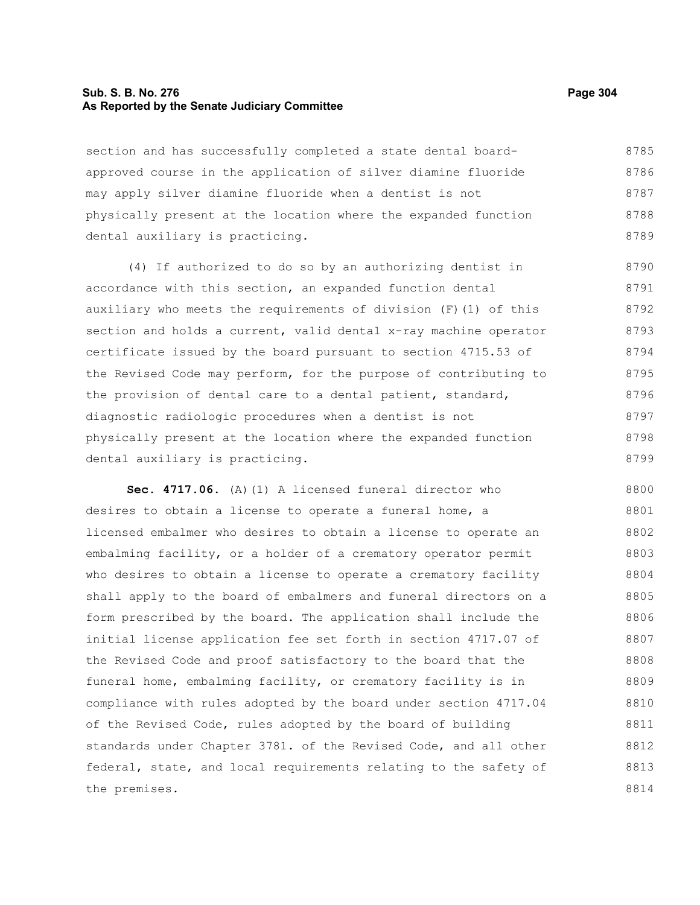# **Sub. S. B. No. 276 Page 304 As Reported by the Senate Judiciary Committee**

section and has successfully completed a state dental boardapproved course in the application of silver diamine fluoride may apply silver diamine fluoride when a dentist is not physically present at the location where the expanded function dental auxiliary is practicing. 8785 8786 8787 8788 8789

(4) If authorized to do so by an authorizing dentist in accordance with this section, an expanded function dental auxiliary who meets the requirements of division (F)(1) of this section and holds a current, valid dental x-ray machine operator certificate issued by the board pursuant to section 4715.53 of the Revised Code may perform, for the purpose of contributing to the provision of dental care to a dental patient, standard, diagnostic radiologic procedures when a dentist is not physically present at the location where the expanded function dental auxiliary is practicing. 8790 8791 8792 8793 8794 8795 8796 8797 8798 8799

**Sec. 4717.06.** (A)(1) A licensed funeral director who desires to obtain a license to operate a funeral home, a licensed embalmer who desires to obtain a license to operate an embalming facility, or a holder of a crematory operator permit who desires to obtain a license to operate a crematory facility shall apply to the board of embalmers and funeral directors on a form prescribed by the board. The application shall include the initial license application fee set forth in section 4717.07 of the Revised Code and proof satisfactory to the board that the funeral home, embalming facility, or crematory facility is in compliance with rules adopted by the board under section 4717.04 of the Revised Code, rules adopted by the board of building standards under Chapter 3781. of the Revised Code, and all other federal, state, and local requirements relating to the safety of the premises. 8800 8801 8802 8803 8804 8805 8806 8807 8808 8809 8810 8811 8812 8813 8814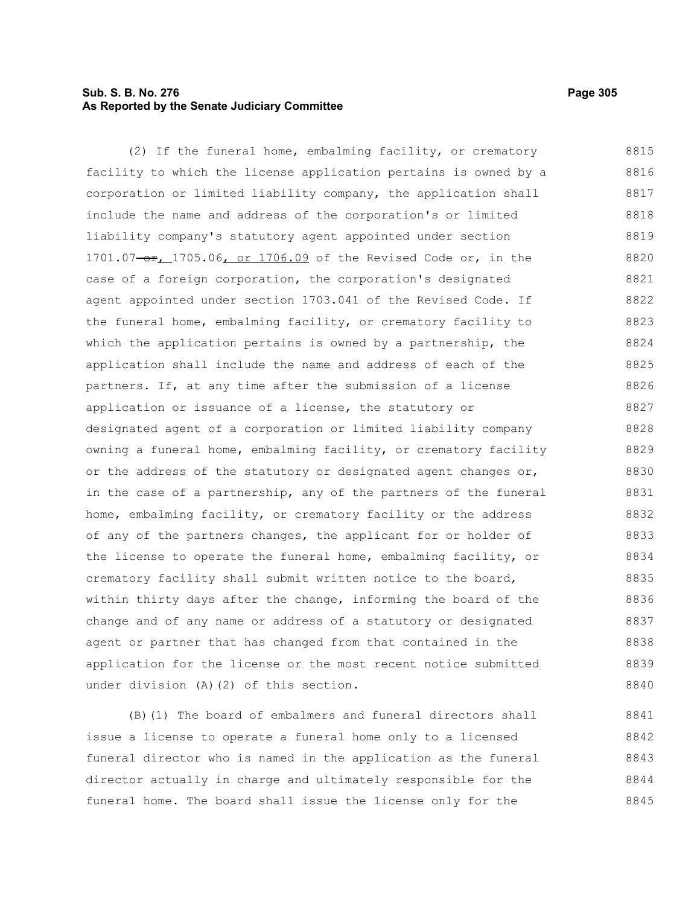# **Sub. S. B. No. 276 Page 305 As Reported by the Senate Judiciary Committee**

(2) If the funeral home, embalming facility, or crematory facility to which the license application pertains is owned by a corporation or limited liability company, the application shall include the name and address of the corporation's or limited liability company's statutory agent appointed under section 1701.07-or, 1705.06, or 1706.09 of the Revised Code or, in the case of a foreign corporation, the corporation's designated agent appointed under section 1703.041 of the Revised Code. If the funeral home, embalming facility, or crematory facility to which the application pertains is owned by a partnership, the application shall include the name and address of each of the partners. If, at any time after the submission of a license application or issuance of a license, the statutory or designated agent of a corporation or limited liability company owning a funeral home, embalming facility, or crematory facility or the address of the statutory or designated agent changes or, in the case of a partnership, any of the partners of the funeral home, embalming facility, or crematory facility or the address of any of the partners changes, the applicant for or holder of the license to operate the funeral home, embalming facility, or crematory facility shall submit written notice to the board, within thirty days after the change, informing the board of the change and of any name or address of a statutory or designated agent or partner that has changed from that contained in the application for the license or the most recent notice submitted under division (A)(2) of this section. 8815 8816 8817 8818 8819 8820 8821 8822 8823 8824 8825 8826 8827 8828 8829 8830 8831 8832 8833 8834 8835 8836 8837 8838 8839 8840

(B)(1) The board of embalmers and funeral directors shall issue a license to operate a funeral home only to a licensed funeral director who is named in the application as the funeral director actually in charge and ultimately responsible for the funeral home. The board shall issue the license only for the 8841 8842 8843 8844 8845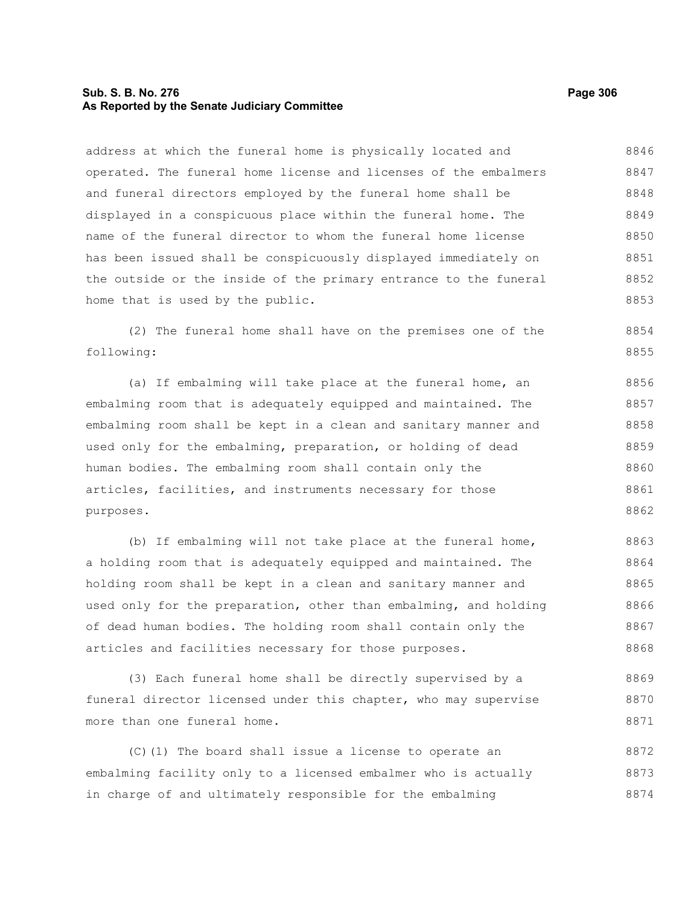# **Sub. S. B. No. 276 Page 306 As Reported by the Senate Judiciary Committee**

address at which the funeral home is physically located and operated. The funeral home license and licenses of the embalmers and funeral directors employed by the funeral home shall be displayed in a conspicuous place within the funeral home. The name of the funeral director to whom the funeral home license has been issued shall be conspicuously displayed immediately on the outside or the inside of the primary entrance to the funeral home that is used by the public. 8846 8847 8848 8849 8850 8851 8852 8853

(2) The funeral home shall have on the premises one of the following: 8854 8855

(a) If embalming will take place at the funeral home, an embalming room that is adequately equipped and maintained. The embalming room shall be kept in a clean and sanitary manner and used only for the embalming, preparation, or holding of dead human bodies. The embalming room shall contain only the articles, facilities, and instruments necessary for those purposes. 8856 8857 8858 8859 8860 8861 8862

(b) If embalming will not take place at the funeral home, a holding room that is adequately equipped and maintained. The holding room shall be kept in a clean and sanitary manner and used only for the preparation, other than embalming, and holding of dead human bodies. The holding room shall contain only the articles and facilities necessary for those purposes. 8863 8864 8865 8866 8867 8868

(3) Each funeral home shall be directly supervised by a funeral director licensed under this chapter, who may supervise more than one funeral home. 8869 8870 8871

(C)(1) The board shall issue a license to operate an embalming facility only to a licensed embalmer who is actually in charge of and ultimately responsible for the embalming 8872 8873 8874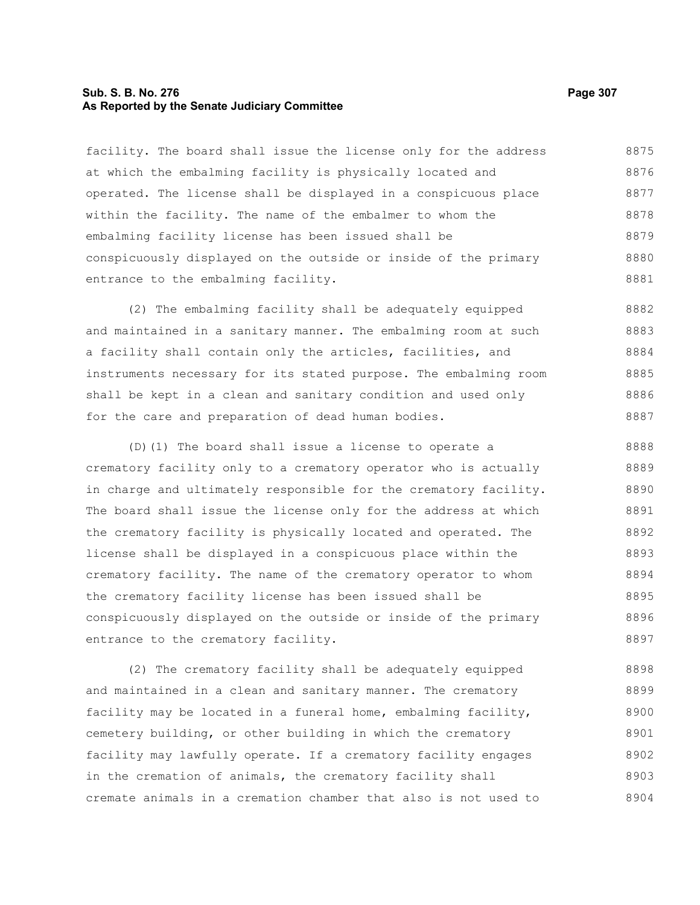### **Sub. S. B. No. 276 Page 307 As Reported by the Senate Judiciary Committee**

facility. The board shall issue the license only for the address at which the embalming facility is physically located and operated. The license shall be displayed in a conspicuous place within the facility. The name of the embalmer to whom the embalming facility license has been issued shall be conspicuously displayed on the outside or inside of the primary entrance to the embalming facility. 8875 8876 8877 8878 8879 8880 8881

(2) The embalming facility shall be adequately equipped and maintained in a sanitary manner. The embalming room at such a facility shall contain only the articles, facilities, and instruments necessary for its stated purpose. The embalming room shall be kept in a clean and sanitary condition and used only for the care and preparation of dead human bodies. 8882 8883 8884 8885 8886 8887

(D)(1) The board shall issue a license to operate a crematory facility only to a crematory operator who is actually in charge and ultimately responsible for the crematory facility. The board shall issue the license only for the address at which the crematory facility is physically located and operated. The license shall be displayed in a conspicuous place within the crematory facility. The name of the crematory operator to whom the crematory facility license has been issued shall be conspicuously displayed on the outside or inside of the primary entrance to the crematory facility. 8888 8889 8890 8891 8892 8893 8894 8895 8896 8897

(2) The crematory facility shall be adequately equipped and maintained in a clean and sanitary manner. The crematory facility may be located in a funeral home, embalming facility, cemetery building, or other building in which the crematory facility may lawfully operate. If a crematory facility engages in the cremation of animals, the crematory facility shall cremate animals in a cremation chamber that also is not used to 8898 8899 8900 8901 8902 8903 8904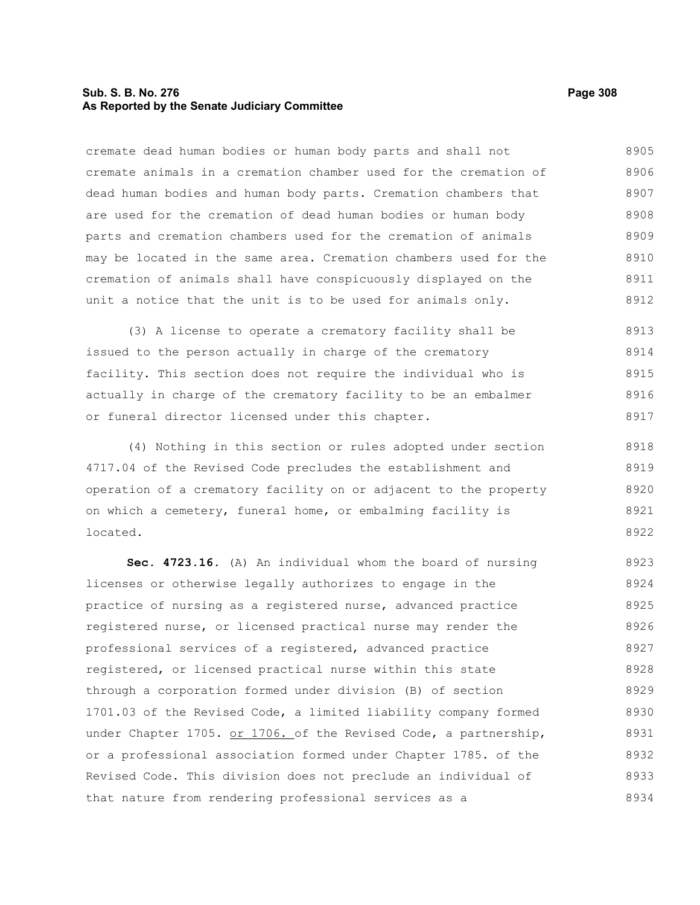# **Sub. S. B. No. 276 Page 308 As Reported by the Senate Judiciary Committee**

cremate dead human bodies or human body parts and shall not cremate animals in a cremation chamber used for the cremation of dead human bodies and human body parts. Cremation chambers that are used for the cremation of dead human bodies or human body parts and cremation chambers used for the cremation of animals may be located in the same area. Cremation chambers used for the cremation of animals shall have conspicuously displayed on the unit a notice that the unit is to be used for animals only. 8905 8906 8907 8908 8909 8910 8911 8912

(3) A license to operate a crematory facility shall be issued to the person actually in charge of the crematory facility. This section does not require the individual who is actually in charge of the crematory facility to be an embalmer or funeral director licensed under this chapter. 8913 8914 8915 8916 8917

(4) Nothing in this section or rules adopted under section 4717.04 of the Revised Code precludes the establishment and operation of a crematory facility on or adjacent to the property on which a cemetery, funeral home, or embalming facility is located. 8918 8919 8920 8921 8922

**Sec. 4723.16.** (A) An individual whom the board of nursing licenses or otherwise legally authorizes to engage in the practice of nursing as a registered nurse, advanced practice registered nurse, or licensed practical nurse may render the professional services of a registered, advanced practice registered, or licensed practical nurse within this state through a corporation formed under division (B) of section 1701.03 of the Revised Code, a limited liability company formed under Chapter 1705. or 1706. of the Revised Code, a partnership, or a professional association formed under Chapter 1785. of the Revised Code. This division does not preclude an individual of that nature from rendering professional services as a 8923 8924 8925 8926 8927 8928 8929 8930 8931 8932 8933 8934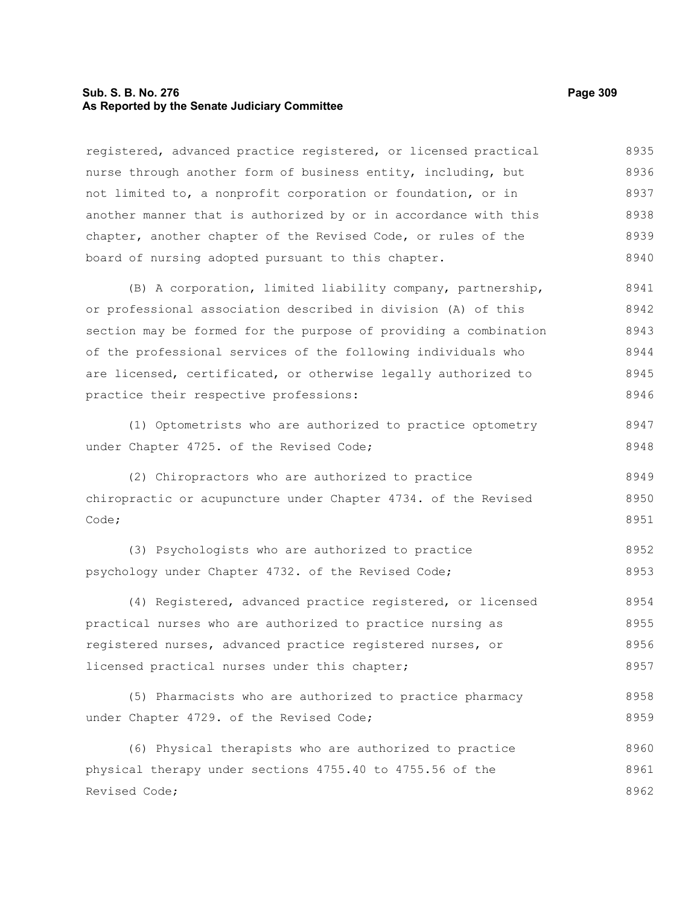# **Sub. S. B. No. 276 Page 309 As Reported by the Senate Judiciary Committee**

registered, advanced practice registered, or licensed practical nurse through another form of business entity, including, but not limited to, a nonprofit corporation or foundation, or in another manner that is authorized by or in accordance with this chapter, another chapter of the Revised Code, or rules of the board of nursing adopted pursuant to this chapter. (B) A corporation, limited liability company, partnership, or professional association described in division (A) of this section may be formed for the purpose of providing a combination of the professional services of the following individuals who are licensed, certificated, or otherwise legally authorized to practice their respective professions: (1) Optometrists who are authorized to practice optometry under Chapter 4725. of the Revised Code; (2) Chiropractors who are authorized to practice chiropractic or acupuncture under Chapter 4734. of the Revised Code; (3) Psychologists who are authorized to practice psychology under Chapter 4732. of the Revised Code; (4) Registered, advanced practice registered, or licensed practical nurses who are authorized to practice nursing as registered nurses, advanced practice registered nurses, or licensed practical nurses under this chapter; (5) Pharmacists who are authorized to practice pharmacy under Chapter 4729. of the Revised Code; (6) Physical therapists who are authorized to practice physical therapy under sections 4755.40 to 4755.56 of the Revised Code; 8936 8937 8938 8939 8940 8941 8942 8943 8944 8945 8946 8947 8948 8949 8950 8951 8952 8953 8954 8955 8956 8957 8958 8959 8960 8961 8962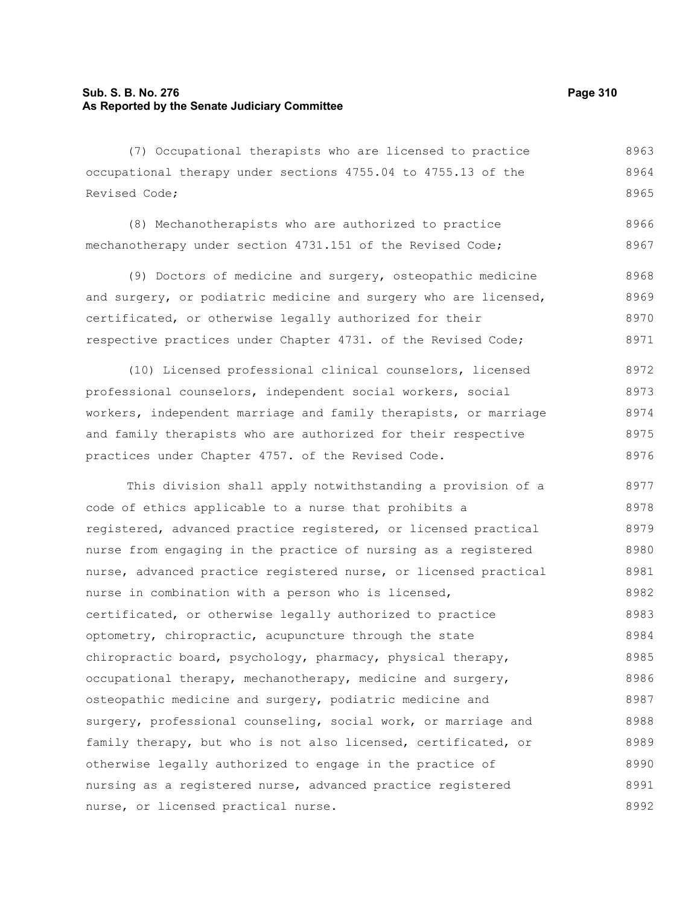# **Sub. S. B. No. 276 Page 310 As Reported by the Senate Judiciary Committee**

(7) Occupational therapists who are licensed to practice occupational therapy under sections 4755.04 to 4755.13 of the Revised Code; 8963 8964 8965

(8) Mechanotherapists who are authorized to practice mechanotherapy under section 4731.151 of the Revised Code; 8966 8967

(9) Doctors of medicine and surgery, osteopathic medicine and surgery, or podiatric medicine and surgery who are licensed, certificated, or otherwise legally authorized for their respective practices under Chapter 4731. of the Revised Code; 8968 8969 8970 8971

(10) Licensed professional clinical counselors, licensed professional counselors, independent social workers, social workers, independent marriage and family therapists, or marriage and family therapists who are authorized for their respective practices under Chapter 4757. of the Revised Code. 8972 8973 8974 8975 8976

This division shall apply notwithstanding a provision of a code of ethics applicable to a nurse that prohibits a registered, advanced practice registered, or licensed practical nurse from engaging in the practice of nursing as a registered nurse, advanced practice registered nurse, or licensed practical nurse in combination with a person who is licensed, certificated, or otherwise legally authorized to practice optometry, chiropractic, acupuncture through the state chiropractic board, psychology, pharmacy, physical therapy, occupational therapy, mechanotherapy, medicine and surgery, osteopathic medicine and surgery, podiatric medicine and surgery, professional counseling, social work, or marriage and family therapy, but who is not also licensed, certificated, or otherwise legally authorized to engage in the practice of nursing as a registered nurse, advanced practice registered nurse, or licensed practical nurse. 8977 8978 8979 8980 8981 8982 8983 8984 8985 8986 8987 8988 8989 8990 8991 8992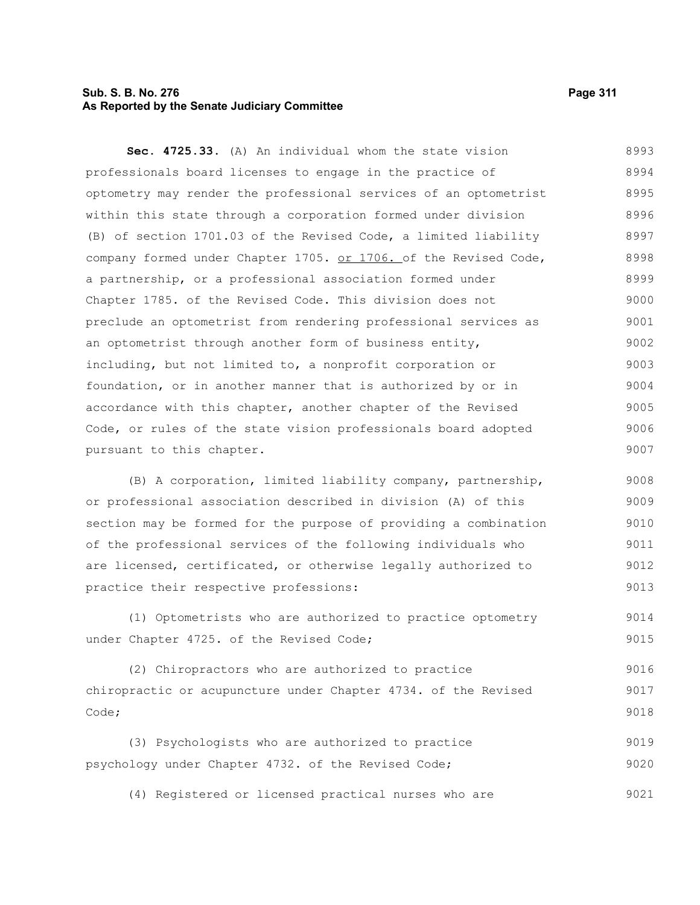# **Sub. S. B. No. 276 Page 311 As Reported by the Senate Judiciary Committee**

**Sec. 4725.33.** (A) An individual whom the state vision professionals board licenses to engage in the practice of optometry may render the professional services of an optometrist within this state through a corporation formed under division (B) of section 1701.03 of the Revised Code, a limited liability company formed under Chapter 1705. or 1706. of the Revised Code, a partnership, or a professional association formed under Chapter 1785. of the Revised Code. This division does not preclude an optometrist from rendering professional services as an optometrist through another form of business entity, including, but not limited to, a nonprofit corporation or foundation, or in another manner that is authorized by or in accordance with this chapter, another chapter of the Revised Code, or rules of the state vision professionals board adopted pursuant to this chapter. 8993 8994 8995 8996 8997 8998 8999 9000 9001 9002 9003 9004 9005 9006 9007

(B) A corporation, limited liability company, partnership, or professional association described in division (A) of this section may be formed for the purpose of providing a combination of the professional services of the following individuals who are licensed, certificated, or otherwise legally authorized to practice their respective professions: 9008 9009 9010 9011 9012 9013

(1) Optometrists who are authorized to practice optometry under Chapter 4725. of the Revised Code; 9014 9015

(2) Chiropractors who are authorized to practice chiropractic or acupuncture under Chapter 4734. of the Revised Code; 9016 9017 9018

(3) Psychologists who are authorized to practice psychology under Chapter 4732. of the Revised Code; 9019 9020

(4) Registered or licensed practical nurses who are 9021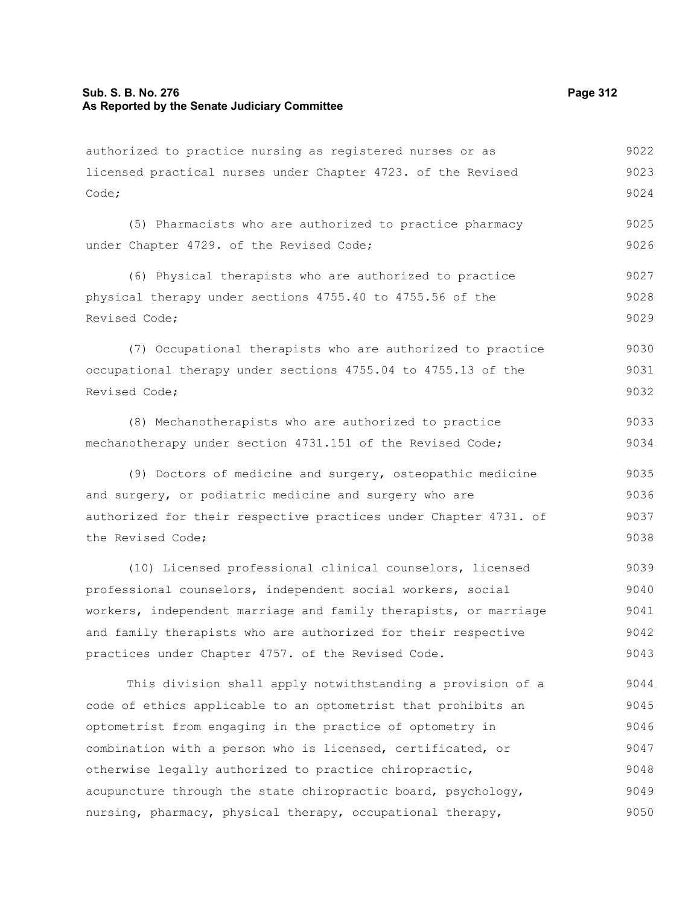# **Sub. S. B. No. 276 Page 312 As Reported by the Senate Judiciary Committee**

authorized to practice nursing as registered nurses or as licensed practical nurses under Chapter 4723. of the Revised Code; 9022 9023 9024

(5) Pharmacists who are authorized to practice pharmacy under Chapter 4729. of the Revised Code; 9025 9026

(6) Physical therapists who are authorized to practice physical therapy under sections 4755.40 to 4755.56 of the Revised Code; 9027 9028 9029

(7) Occupational therapists who are authorized to practice occupational therapy under sections 4755.04 to 4755.13 of the Revised Code; 9030 9031 9032

(8) Mechanotherapists who are authorized to practice mechanotherapy under section 4731.151 of the Revised Code; 9033 9034

(9) Doctors of medicine and surgery, osteopathic medicine and surgery, or podiatric medicine and surgery who are authorized for their respective practices under Chapter 4731. of the Revised Code; 9035 9036 9037 9038

(10) Licensed professional clinical counselors, licensed professional counselors, independent social workers, social workers, independent marriage and family therapists, or marriage and family therapists who are authorized for their respective practices under Chapter 4757. of the Revised Code. 9039 9040 9041 9042 9043

This division shall apply notwithstanding a provision of a code of ethics applicable to an optometrist that prohibits an optometrist from engaging in the practice of optometry in combination with a person who is licensed, certificated, or otherwise legally authorized to practice chiropractic, acupuncture through the state chiropractic board, psychology, nursing, pharmacy, physical therapy, occupational therapy, 9044 9045 9046 9047 9048 9049 9050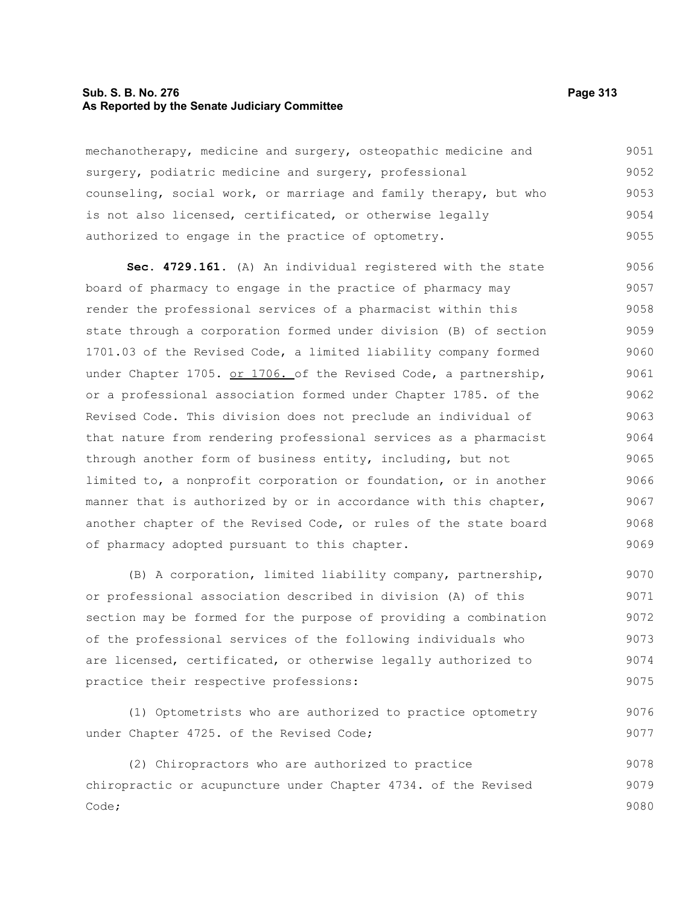# **Sub. S. B. No. 276 Page 313 As Reported by the Senate Judiciary Committee**

| mechanotherapy, medicine and surgery, osteopathic medicine and   | 9051 |
|------------------------------------------------------------------|------|
| surgery, podiatric medicine and surgery, professional            | 9052 |
| counseling, social work, or marriage and family therapy, but who | 9053 |
| is not also licensed, certificated, or otherwise legally         | 9054 |
| authorized to engage in the practice of optometry.               | 9055 |

**Sec. 4729.161.** (A) An individual registered with the state board of pharmacy to engage in the practice of pharmacy may render the professional services of a pharmacist within this state through a corporation formed under division (B) of section 1701.03 of the Revised Code, a limited liability company formed under Chapter 1705. or 1706. of the Revised Code, a partnership, or a professional association formed under Chapter 1785. of the Revised Code. This division does not preclude an individual of that nature from rendering professional services as a pharmacist through another form of business entity, including, but not limited to, a nonprofit corporation or foundation, or in another manner that is authorized by or in accordance with this chapter, another chapter of the Revised Code, or rules of the state board of pharmacy adopted pursuant to this chapter. 9056 9057 9058 9059 9060 9061 9062 9063 9064 9065 9066 9067 9068 9069

(B) A corporation, limited liability company, partnership, or professional association described in division (A) of this section may be formed for the purpose of providing a combination of the professional services of the following individuals who are licensed, certificated, or otherwise legally authorized to practice their respective professions: 9070 9071 9072 9073 9074 9075

(1) Optometrists who are authorized to practice optometry under Chapter 4725. of the Revised Code; 9076 9077

(2) Chiropractors who are authorized to practice chiropractic or acupuncture under Chapter 4734. of the Revised Code; 9078 9079 9080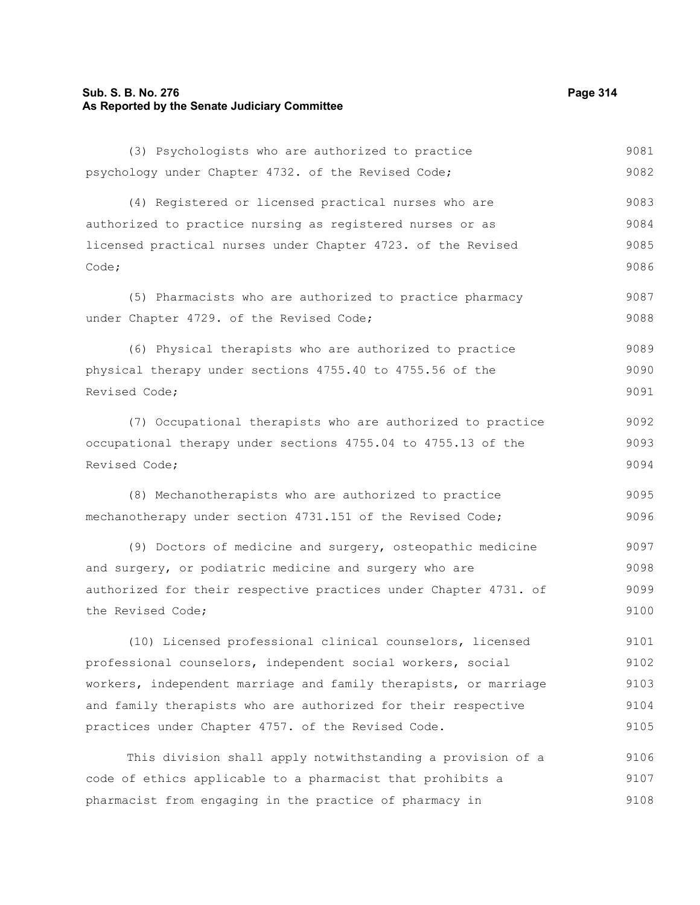# **Sub. S. B. No. 276 Page 314 As Reported by the Senate Judiciary Committee**

| (3) Psychologists who are authorized to practice                 | 9081 |
|------------------------------------------------------------------|------|
| psychology under Chapter 4732. of the Revised Code;              | 9082 |
| (4) Registered or licensed practical nurses who are              | 9083 |
| authorized to practice nursing as registered nurses or as        | 9084 |
| licensed practical nurses under Chapter 4723. of the Revised     | 9085 |
| Code;                                                            | 9086 |
| (5) Pharmacists who are authorized to practice pharmacy          | 9087 |
| under Chapter 4729. of the Revised Code;                         | 9088 |
| (6) Physical therapists who are authorized to practice           | 9089 |
| physical therapy under sections 4755.40 to 4755.56 of the        | 9090 |
| Revised Code;                                                    | 9091 |
| (7) Occupational therapists who are authorized to practice       | 9092 |
| occupational therapy under sections 4755.04 to 4755.13 of the    | 9093 |
| Revised Code;                                                    | 9094 |
| (8) Mechanotherapists who are authorized to practice             | 9095 |
| mechanotherapy under section 4731.151 of the Revised Code;       | 9096 |
| (9) Doctors of medicine and surgery, osteopathic medicine        | 9097 |
| and surgery, or podiatric medicine and surgery who are           | 9098 |
| authorized for their respective practices under Chapter 4731. of | 9099 |
| the Revised Code;                                                | 9100 |
| (10) Licensed professional clinical counselors, licensed         | 9101 |
| professional counselors, independent social workers, social      | 9102 |
| workers, independent marriage and family therapists, or marriage | 9103 |
| and family therapists who are authorized for their respective    | 9104 |
| practices under Chapter 4757. of the Revised Code.               | 9105 |
| This division shall apply notwithstanding a provision of a       | 9106 |
| code of ethics applicable to a pharmacist that prohibits a       | 9107 |
| pharmacist from engaging in the practice of pharmacy in          | 9108 |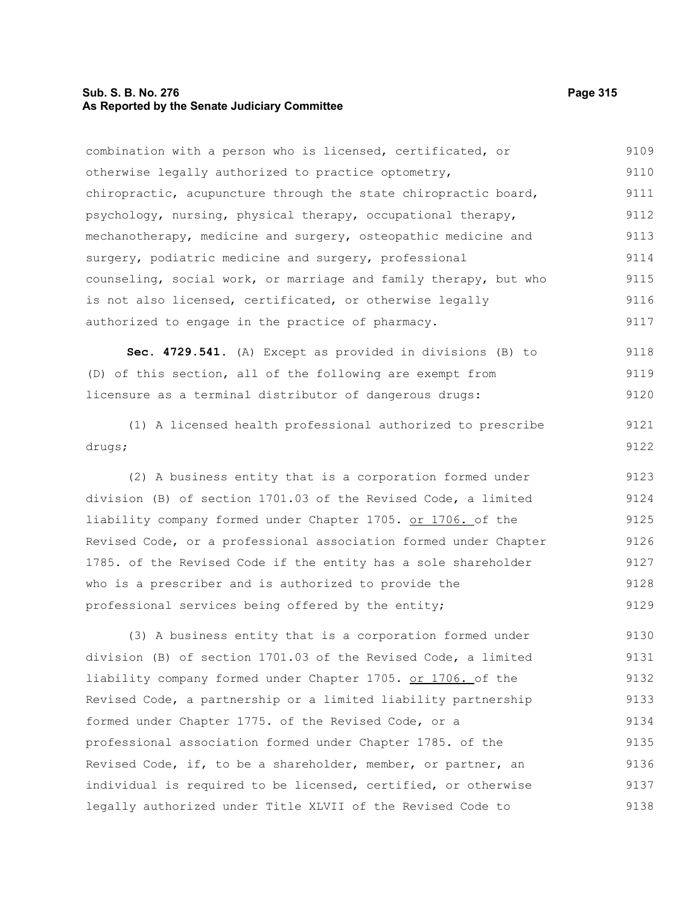# **Sub. S. B. No. 276 Page 315 As Reported by the Senate Judiciary Committee**

combination with a person who is licensed, certificated, or otherwise legally authorized to practice optometry, chiropractic, acupuncture through the state chiropractic board, psychology, nursing, physical therapy, occupational therapy, mechanotherapy, medicine and surgery, osteopathic medicine and surgery, podiatric medicine and surgery, professional counseling, social work, or marriage and family therapy, but who is not also licensed, certificated, or otherwise legally authorized to engage in the practice of pharmacy. 9109 9110 9111 9112 9113 9114 9115 9116 9117

**Sec. 4729.541.** (A) Except as provided in divisions (B) to (D) of this section, all of the following are exempt from licensure as a terminal distributor of dangerous drugs: 9118 9119 9120

(1) A licensed health professional authorized to prescribe drugs;

(2) A business entity that is a corporation formed under division (B) of section 1701.03 of the Revised Code, a limited liability company formed under Chapter 1705. or 1706. of the Revised Code, or a professional association formed under Chapter 1785. of the Revised Code if the entity has a sole shareholder who is a prescriber and is authorized to provide the professional services being offered by the entity; 9123 9124 9125 9126 9127 9128 9129

(3) A business entity that is a corporation formed under division (B) of section 1701.03 of the Revised Code, a limited liability company formed under Chapter 1705. or 1706. of the Revised Code, a partnership or a limited liability partnership formed under Chapter 1775. of the Revised Code, or a professional association formed under Chapter 1785. of the Revised Code, if, to be a shareholder, member, or partner, an individual is required to be licensed, certified, or otherwise legally authorized under Title XLVII of the Revised Code to 9130 9131 9132 9133 9134 9135 9136 9137 9138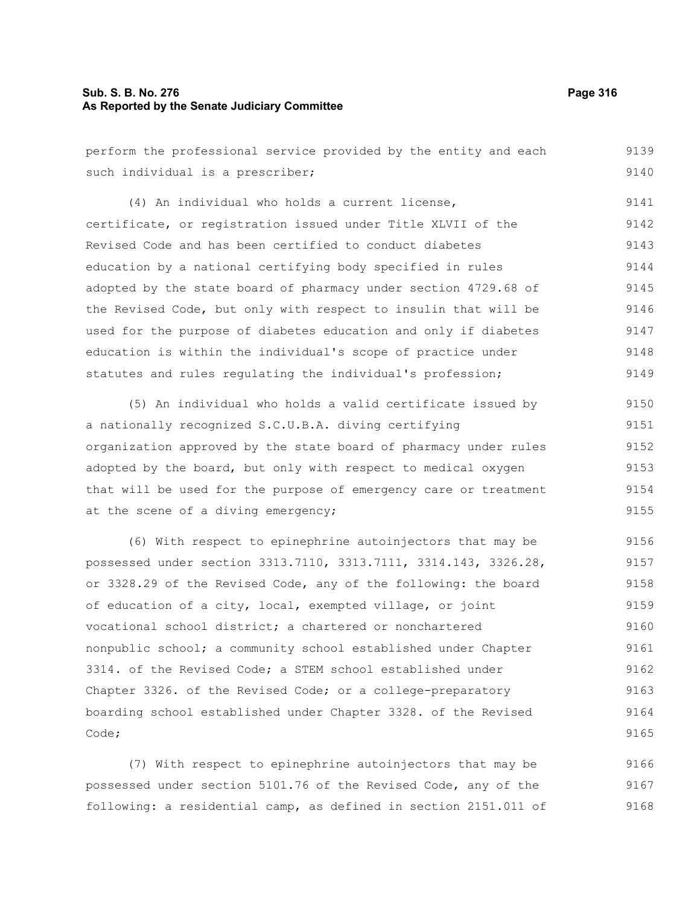# **Sub. S. B. No. 276 Page 316 As Reported by the Senate Judiciary Committee**

at the scene of a diving emergency;

perform the professional service provided by the entity and each such individual is a prescriber; (4) An individual who holds a current license, certificate, or registration issued under Title XLVII of the Revised Code and has been certified to conduct diabetes education by a national certifying body specified in rules adopted by the state board of pharmacy under section 4729.68 of the Revised Code, but only with respect to insulin that will be used for the purpose of diabetes education and only if diabetes education is within the individual's scope of practice under statutes and rules regulating the individual's profession; (5) An individual who holds a valid certificate issued by a nationally recognized S.C.U.B.A. diving certifying organization approved by the state board of pharmacy under rules adopted by the board, but only with respect to medical oxygen that will be used for the purpose of emergency care or treatment 9139 9140 9141 9142 9143 9144 9145 9146 9147 9148 9149 9150 9151 9152 9153 9154

(6) With respect to epinephrine autoinjectors that may be possessed under section 3313.7110, 3313.7111, 3314.143, 3326.28, or 3328.29 of the Revised Code, any of the following: the board of education of a city, local, exempted village, or joint vocational school district; a chartered or nonchartered nonpublic school; a community school established under Chapter 3314. of the Revised Code; a STEM school established under Chapter 3326. of the Revised Code; or a college-preparatory boarding school established under Chapter 3328. of the Revised Code; 9156 9157 9158 9159 9160 9161 9162 9163 9164 9165

(7) With respect to epinephrine autoinjectors that may be possessed under section 5101.76 of the Revised Code, any of the following: a residential camp, as defined in section 2151.011 of 9166 9167 9168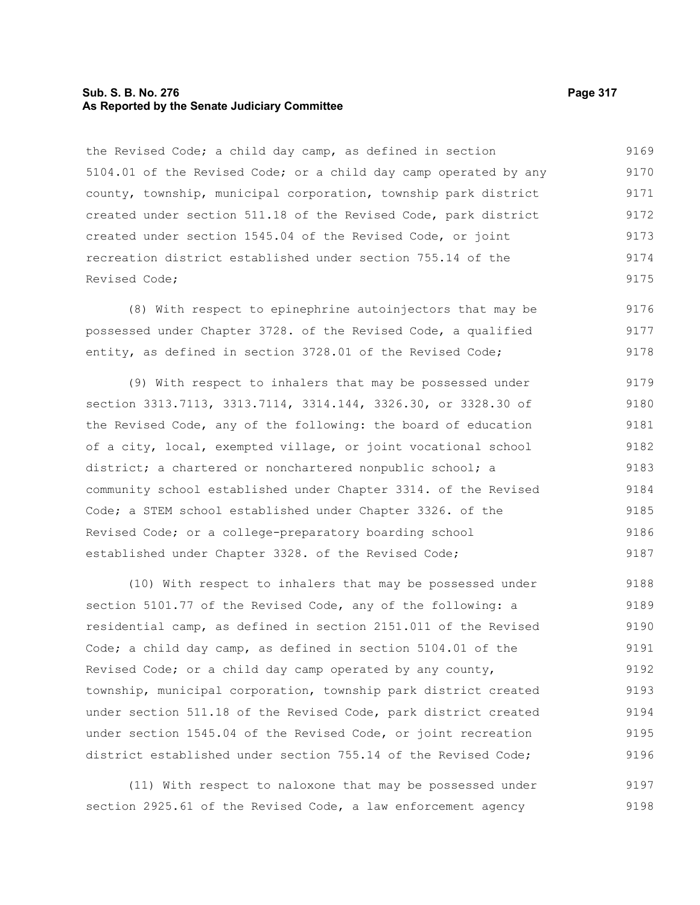# **Sub. S. B. No. 276 Page 317 As Reported by the Senate Judiciary Committee**

the Revised Code; a child day camp, as defined in section 5104.01 of the Revised Code; or a child day camp operated by any county, township, municipal corporation, township park district created under section 511.18 of the Revised Code, park district created under section 1545.04 of the Revised Code, or joint recreation district established under section 755.14 of the Revised Code; 9169 9170 9171 9172 9173 9174 9175

(8) With respect to epinephrine autoinjectors that may be possessed under Chapter 3728. of the Revised Code, a qualified entity, as defined in section 3728.01 of the Revised Code; 9176 9177 9178

(9) With respect to inhalers that may be possessed under section 3313.7113, 3313.7114, 3314.144, 3326.30, or 3328.30 of the Revised Code, any of the following: the board of education of a city, local, exempted village, or joint vocational school district; a chartered or nonchartered nonpublic school; a community school established under Chapter 3314. of the Revised Code; a STEM school established under Chapter 3326. of the Revised Code; or a college-preparatory boarding school established under Chapter 3328. of the Revised Code; 9179 9180 9181 9182 9183 9184 9185 9186 9187

(10) With respect to inhalers that may be possessed under section 5101.77 of the Revised Code, any of the following: a residential camp, as defined in section 2151.011 of the Revised Code; a child day camp, as defined in section 5104.01 of the Revised Code; or a child day camp operated by any county, township, municipal corporation, township park district created under section 511.18 of the Revised Code, park district created under section 1545.04 of the Revised Code, or joint recreation district established under section 755.14 of the Revised Code; 9188 9189 9190 9191 9192 9193 9194 9195 9196

(11) With respect to naloxone that may be possessed under section 2925.61 of the Revised Code, a law enforcement agency 9197 9198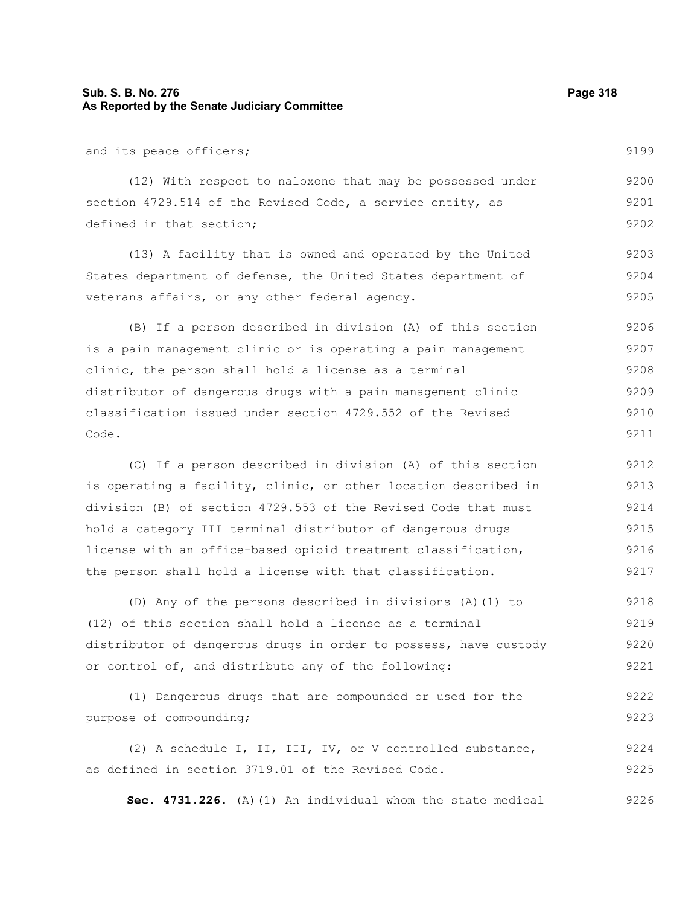# **Sub. S. B. No. 276 Page 318 As Reported by the Senate Judiciary Committee**

and its peace officers;

(12) With respect to naloxone that may be possessed under section 4729.514 of the Revised Code, a service entity, as defined in that section; 9200 9201 9202

(13) A facility that is owned and operated by the United States department of defense, the United States department of veterans affairs, or any other federal agency. 9203 9204 9205

(B) If a person described in division (A) of this section is a pain management clinic or is operating a pain management clinic, the person shall hold a license as a terminal distributor of dangerous drugs with a pain management clinic classification issued under section 4729.552 of the Revised Code. 9206 9207 9208 9209 9210 9211

(C) If a person described in division (A) of this section is operating a facility, clinic, or other location described in division (B) of section 4729.553 of the Revised Code that must hold a category III terminal distributor of dangerous drugs license with an office-based opioid treatment classification, the person shall hold a license with that classification. 9212 9213 9214 9215 9216 9217

(D) Any of the persons described in divisions (A)(1) to (12) of this section shall hold a license as a terminal distributor of dangerous drugs in order to possess, have custody or control of, and distribute any of the following: 9218 9219 9220 9221

(1) Dangerous drugs that are compounded or used for the purpose of compounding; 9222 9223

(2) A schedule I, II, III, IV, or V controlled substance, as defined in section 3719.01 of the Revised Code. 9224 9225

**Sec. 4731.226.** (A)(1) An individual whom the state medical 9226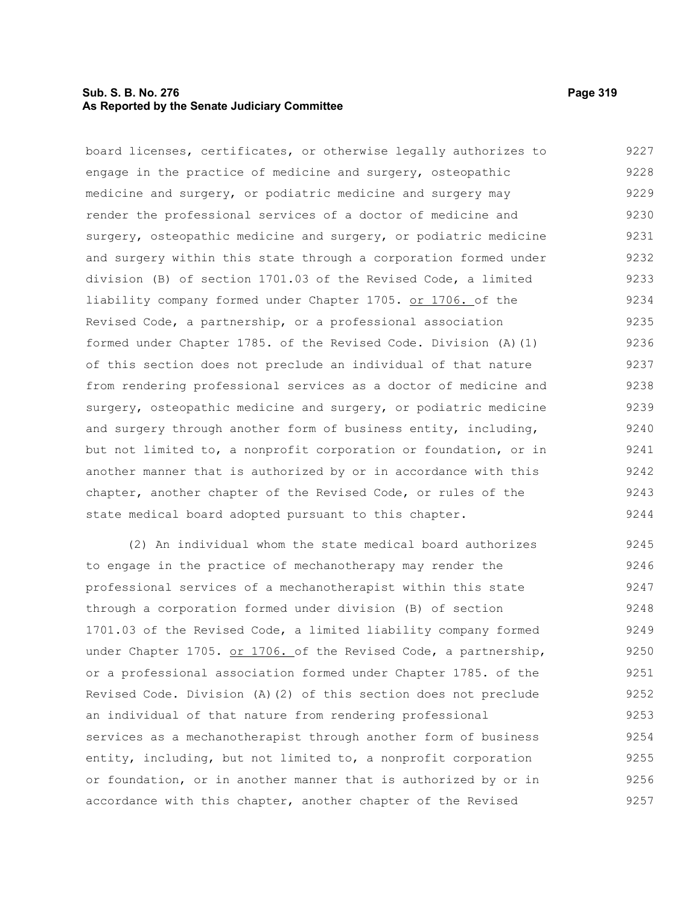# **Sub. S. B. No. 276 Page 319 As Reported by the Senate Judiciary Committee**

board licenses, certificates, or otherwise legally authorizes to engage in the practice of medicine and surgery, osteopathic medicine and surgery, or podiatric medicine and surgery may render the professional services of a doctor of medicine and surgery, osteopathic medicine and surgery, or podiatric medicine and surgery within this state through a corporation formed under division (B) of section 1701.03 of the Revised Code, a limited liability company formed under Chapter 1705. or 1706. of the Revised Code, a partnership, or a professional association formed under Chapter 1785. of the Revised Code. Division (A)(1) of this section does not preclude an individual of that nature from rendering professional services as a doctor of medicine and surgery, osteopathic medicine and surgery, or podiatric medicine and surgery through another form of business entity, including, but not limited to, a nonprofit corporation or foundation, or in another manner that is authorized by or in accordance with this chapter, another chapter of the Revised Code, or rules of the state medical board adopted pursuant to this chapter. 9227 9228 9229 9230 9231 9232 9233 9234 9235 9236 9237 9238 9239 9240 9241 9242 9243 9244

(2) An individual whom the state medical board authorizes to engage in the practice of mechanotherapy may render the professional services of a mechanotherapist within this state through a corporation formed under division (B) of section 1701.03 of the Revised Code, a limited liability company formed under Chapter 1705. or 1706. of the Revised Code, a partnership, or a professional association formed under Chapter 1785. of the Revised Code. Division (A)(2) of this section does not preclude an individual of that nature from rendering professional services as a mechanotherapist through another form of business entity, including, but not limited to, a nonprofit corporation or foundation, or in another manner that is authorized by or in accordance with this chapter, another chapter of the Revised 9245 9246 9247 9248 9249 9250 9251 9252 9253 9254 9255 9256 9257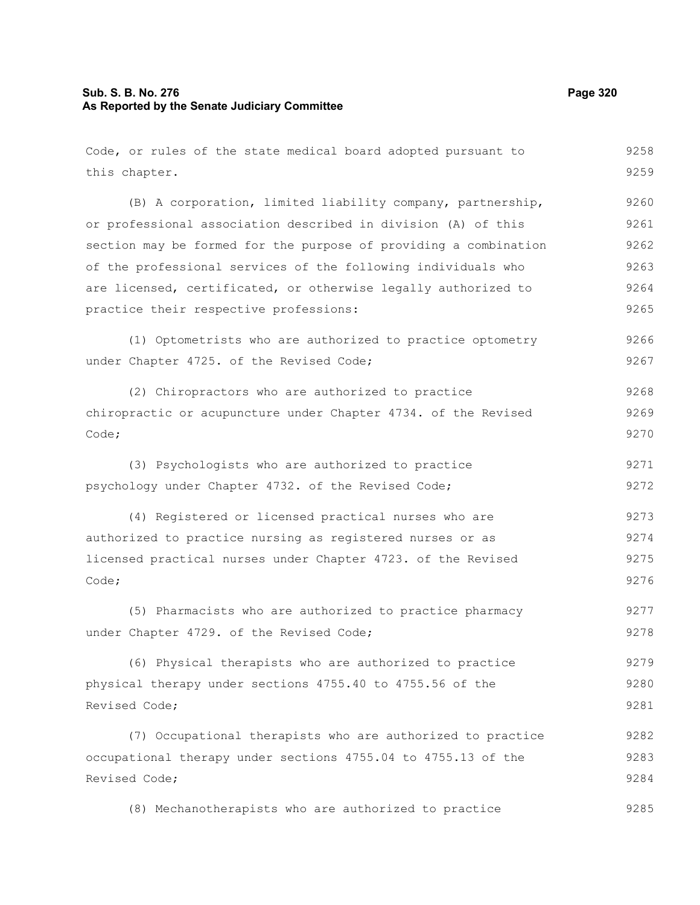# **Sub. S. B. No. 276 Page 320 As Reported by the Senate Judiciary Committee**

| Code, or rules of the state medical board adopted pursuant to    | 9258 |
|------------------------------------------------------------------|------|
| this chapter.                                                    | 9259 |
| (B) A corporation, limited liability company, partnership,       | 9260 |
| or professional association described in division (A) of this    | 9261 |
| section may be formed for the purpose of providing a combination | 9262 |
| of the professional services of the following individuals who    | 9263 |
| are licensed, certificated, or otherwise legally authorized to   | 9264 |
| practice their respective professions:                           | 9265 |
| (1) Optometrists who are authorized to practice optometry        | 9266 |
| under Chapter 4725. of the Revised Code;                         | 9267 |
| (2) Chiropractors who are authorized to practice                 | 9268 |
| chiropractic or acupuncture under Chapter 4734. of the Revised   | 9269 |
| Code;                                                            | 9270 |
| (3) Psychologists who are authorized to practice                 | 9271 |
| psychology under Chapter 4732. of the Revised Code;              | 9272 |
| (4) Registered or licensed practical nurses who are              | 9273 |
| authorized to practice nursing as registered nurses or as        | 9274 |
| licensed practical nurses under Chapter 4723. of the Revised     | 9275 |
| Code;                                                            | 9276 |
| (5) Pharmacists who are authorized to practice pharmacy          | 9277 |
| under Chapter 4729. of the Revised Code;                         | 9278 |
| (6) Physical therapists who are authorized to practice           | 9279 |
| physical therapy under sections 4755.40 to 4755.56 of the        | 9280 |
| Revised Code;                                                    | 9281 |
| (7) Occupational therapists who are authorized to practice       | 9282 |
| occupational therapy under sections 4755.04 to 4755.13 of the    | 9283 |
| Revised Code;                                                    | 9284 |
| (8) Mechanotherapists who are authorized to practice             | 9285 |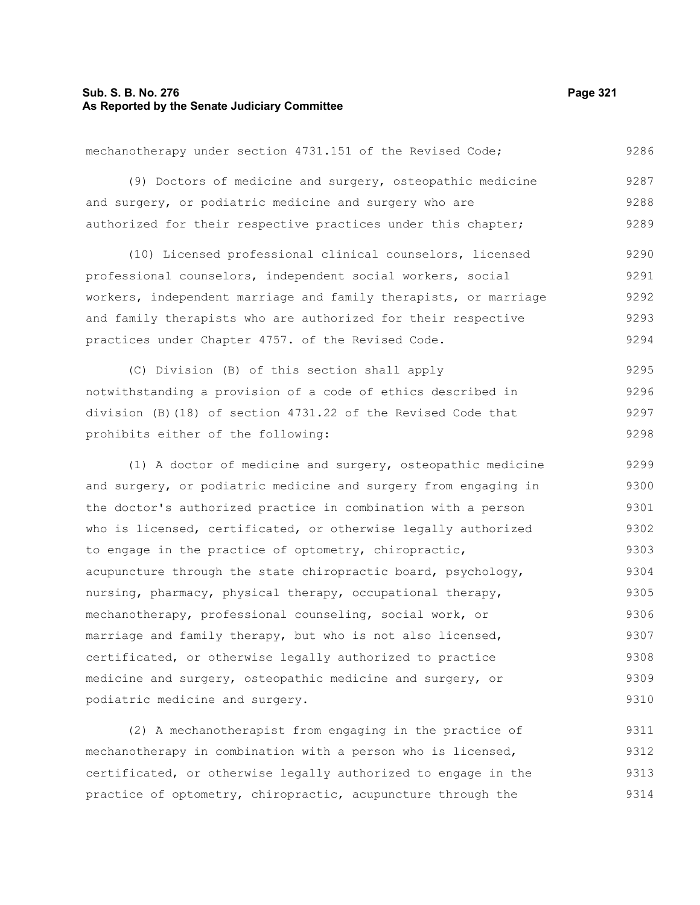# **Sub. S. B. No. 276 Page 321 As Reported by the Senate Judiciary Committee**

podiatric medicine and surgery.

mechanotherapy under section 4731.151 of the Revised Code; (9) Doctors of medicine and surgery, osteopathic medicine and surgery, or podiatric medicine and surgery who are authorized for their respective practices under this chapter; (10) Licensed professional clinical counselors, licensed professional counselors, independent social workers, social workers, independent marriage and family therapists, or marriage and family therapists who are authorized for their respective practices under Chapter 4757. of the Revised Code. (C) Division (B) of this section shall apply notwithstanding a provision of a code of ethics described in division (B)(18) of section 4731.22 of the Revised Code that prohibits either of the following: (1) A doctor of medicine and surgery, osteopathic medicine and surgery, or podiatric medicine and surgery from engaging in the doctor's authorized practice in combination with a person who is licensed, certificated, or otherwise legally authorized to engage in the practice of optometry, chiropractic, acupuncture through the state chiropractic board, psychology, nursing, pharmacy, physical therapy, occupational therapy, mechanotherapy, professional counseling, social work, or marriage and family therapy, but who is not also licensed, certificated, or otherwise legally authorized to practice medicine and surgery, osteopathic medicine and surgery, or 9286 9287 9288 9289 9290 9291 9292 9293 9294 9295 9296 9297 9298 9299 9300 9301 9302 9303 9304 9305 9306 9307 9308

(2) A mechanotherapist from engaging in the practice of mechanotherapy in combination with a person who is licensed, certificated, or otherwise legally authorized to engage in the practice of optometry, chiropractic, acupuncture through the 9311 9312 9313 9314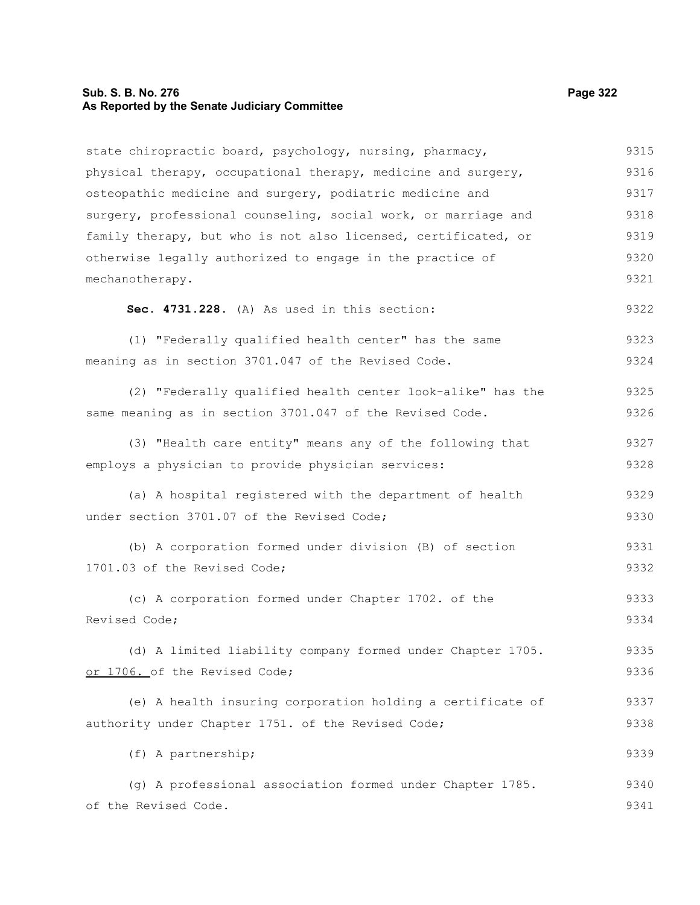# **Sub. S. B. No. 276 Page 322 As Reported by the Senate Judiciary Committee**

| state chiropractic board, psychology, nursing, pharmacy,       | 9315 |
|----------------------------------------------------------------|------|
| physical therapy, occupational therapy, medicine and surgery,  | 9316 |
| osteopathic medicine and surgery, podiatric medicine and       | 9317 |
| surgery, professional counseling, social work, or marriage and | 9318 |
| family therapy, but who is not also licensed, certificated, or | 9319 |
| otherwise legally authorized to engage in the practice of      | 9320 |
| mechanotherapy.                                                | 9321 |
| Sec. 4731.228. (A) As used in this section:                    | 9322 |
| (1) "Federally qualified health center" has the same           | 9323 |
| meaning as in section 3701.047 of the Revised Code.            | 9324 |
| (2) "Federally qualified health center look-alike" has the     | 9325 |
| same meaning as in section 3701.047 of the Revised Code.       | 9326 |
| (3) "Health care entity" means any of the following that       | 9327 |
| employs a physician to provide physician services:             | 9328 |
| (a) A hospital registered with the department of health        | 9329 |
| under section 3701.07 of the Revised Code;                     | 9330 |
| (b) A corporation formed under division (B) of section         | 9331 |
| 1701.03 of the Revised Code;                                   | 9332 |
| (c) A corporation formed under Chapter 1702. of the            | 9333 |
| Revised Code;                                                  | 9334 |
| (d) A limited liability company formed under Chapter 1705.     | 9335 |
| or 1706. of the Revised Code;                                  | 9336 |
|                                                                |      |
| (e) A health insuring corporation holding a certificate of     | 9337 |
| authority under Chapter 1751. of the Revised Code;             | 9338 |
| (f) A partnership;                                             | 9339 |
| (g) A professional association formed under Chapter 1785.      | 9340 |
| of the Revised Code.                                           | 9341 |
|                                                                |      |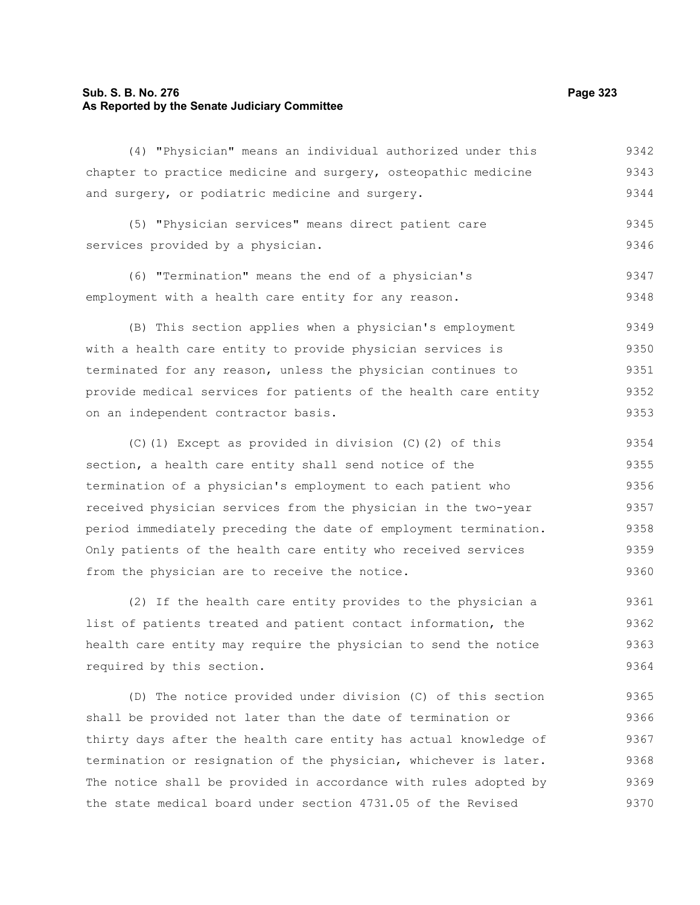# **Sub. S. B. No. 276 Page 323 As Reported by the Senate Judiciary Committee**

(4) "Physician" means an individual authorized under this chapter to practice medicine and surgery, osteopathic medicine and surgery, or podiatric medicine and surgery. 9342 9343 9344

(5) "Physician services" means direct patient care services provided by a physician. 9345 9346

(6) "Termination" means the end of a physician's employment with a health care entity for any reason. 9347 9348

(B) This section applies when a physician's employment with a health care entity to provide physician services is terminated for any reason, unless the physician continues to provide medical services for patients of the health care entity on an independent contractor basis. 9349 9350 9351 9352 9353

(C)(1) Except as provided in division (C)(2) of this section, a health care entity shall send notice of the termination of a physician's employment to each patient who received physician services from the physician in the two-year period immediately preceding the date of employment termination. Only patients of the health care entity who received services from the physician are to receive the notice. 9354 9355 9356 9357 9358 9359 9360

(2) If the health care entity provides to the physician a list of patients treated and patient contact information, the health care entity may require the physician to send the notice required by this section. 9361 9362 9363 9364

(D) The notice provided under division (C) of this section shall be provided not later than the date of termination or thirty days after the health care entity has actual knowledge of termination or resignation of the physician, whichever is later. The notice shall be provided in accordance with rules adopted by the state medical board under section 4731.05 of the Revised 9365 9366 9367 9368 9369 9370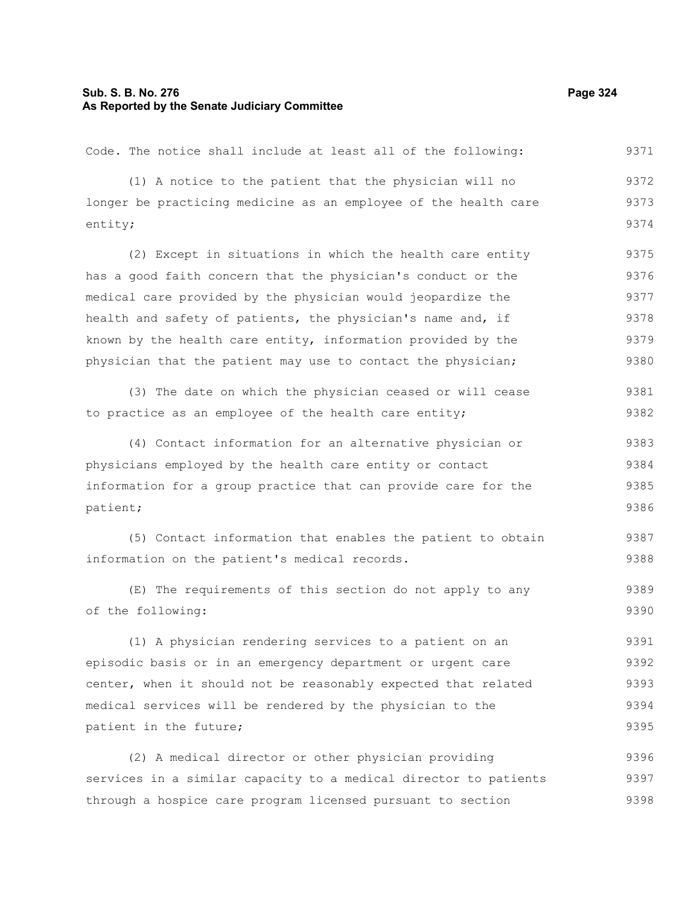# **Sub. S. B. No. 276 Page 324 As Reported by the Senate Judiciary Committee**

Code. The notice shall include at least all of the following:

(1) A notice to the patient that the physician will no longer be practicing medicine as an employee of the health care entity; 9372 9373 9374

(2) Except in situations in which the health care entity has a good faith concern that the physician's conduct or the medical care provided by the physician would jeopardize the health and safety of patients, the physician's name and, if known by the health care entity, information provided by the physician that the patient may use to contact the physician; 9375 9376 9377 9378 9379 9380

(3) The date on which the physician ceased or will cease to practice as an employee of the health care entity; 9381 9382

(4) Contact information for an alternative physician or physicians employed by the health care entity or contact information for a group practice that can provide care for the patient; 9383 9384 9385 9386

(5) Contact information that enables the patient to obtain information on the patient's medical records. 9387 9388

(E) The requirements of this section do not apply to any of the following: 9389 9390

(1) A physician rendering services to a patient on an episodic basis or in an emergency department or urgent care center, when it should not be reasonably expected that related medical services will be rendered by the physician to the patient in the future; 9391 9392 9393 9394 9395

(2) A medical director or other physician providing services in a similar capacity to a medical director to patients through a hospice care program licensed pursuant to section 9396 9397 9398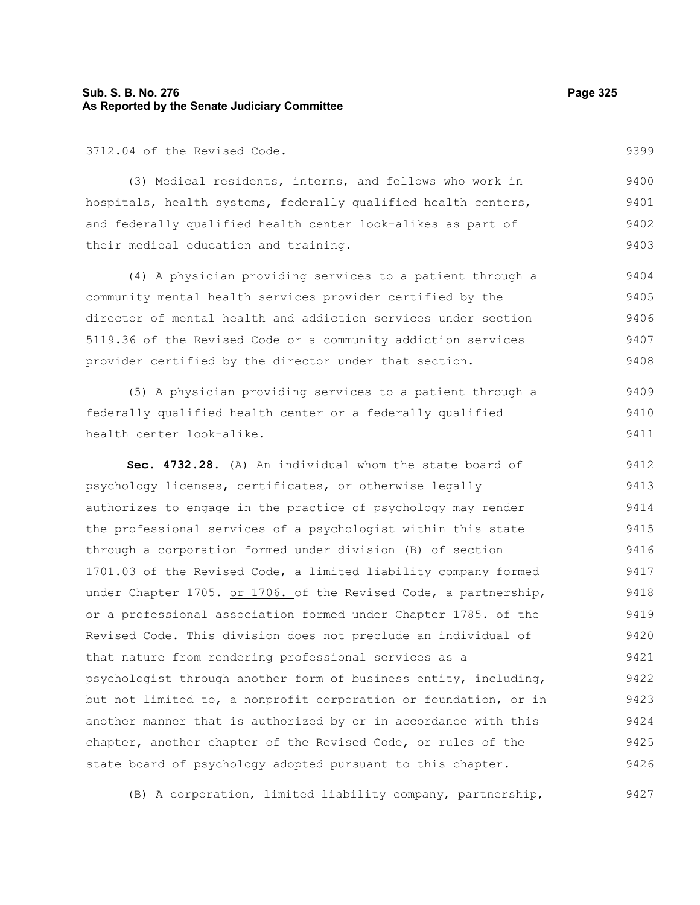# **Sub. S. B. No. 276 Page 325 As Reported by the Senate Judiciary Committee**

3712.04 of the Revised Code.

(3) Medical residents, interns, and fellows who work in hospitals, health systems, federally qualified health centers, and federally qualified health center look-alikes as part of their medical education and training. 9400 9401 9402 9403

(4) A physician providing services to a patient through a community mental health services provider certified by the director of mental health and addiction services under section 5119.36 of the Revised Code or a community addiction services provider certified by the director under that section. 9404 9405 9406 9407 9408

(5) A physician providing services to a patient through a federally qualified health center or a federally qualified health center look-alike. 9409 9410 9411

**Sec. 4732.28.** (A) An individual whom the state board of psychology licenses, certificates, or otherwise legally authorizes to engage in the practice of psychology may render the professional services of a psychologist within this state through a corporation formed under division (B) of section 1701.03 of the Revised Code, a limited liability company formed under Chapter 1705. or 1706. of the Revised Code, a partnership, or a professional association formed under Chapter 1785. of the Revised Code. This division does not preclude an individual of that nature from rendering professional services as a psychologist through another form of business entity, including, but not limited to, a nonprofit corporation or foundation, or in another manner that is authorized by or in accordance with this chapter, another chapter of the Revised Code, or rules of the state board of psychology adopted pursuant to this chapter. 9412 9413 9414 9415 9416 9417 9418 9419 9420 9421 9422 9423 9424 9425 9426

(B) A corporation, limited liability company, partnership, 9427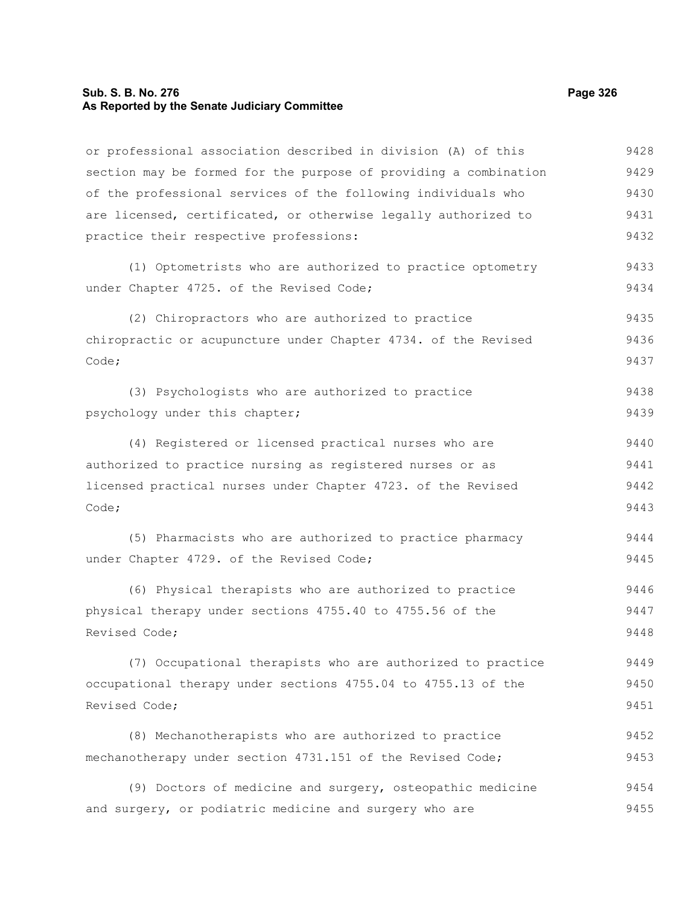#### **Sub. S. B. No. 276 Page 326 As Reported by the Senate Judiciary Committee**

or professional association described in division (A) of this section may be formed for the purpose of providing a combination of the professional services of the following individuals who are licensed, certificated, or otherwise legally authorized to practice their respective professions: (1) Optometrists who are authorized to practice optometry under Chapter 4725. of the Revised Code; (2) Chiropractors who are authorized to practice chiropractic or acupuncture under Chapter 4734. of the Revised Code; (3) Psychologists who are authorized to practice psychology under this chapter; (4) Registered or licensed practical nurses who are authorized to practice nursing as registered nurses or as licensed practical nurses under Chapter 4723. of the Revised Code; (5) Pharmacists who are authorized to practice pharmacy under Chapter 4729. of the Revised Code; (6) Physical therapists who are authorized to practice physical therapy under sections 4755.40 to 4755.56 of the Revised Code; (7) Occupational therapists who are authorized to practice occupational therapy under sections 4755.04 to 4755.13 of the Revised Code; (8) Mechanotherapists who are authorized to practice mechanotherapy under section 4731.151 of the Revised Code; (9) Doctors of medicine and surgery, osteopathic medicine and surgery, or podiatric medicine and surgery who are 9428 9429 9430 9431 9432 9433 9434 9435 9436 9437 9438 9439 9440 9441 9442 9443 9444 9445 9446 9447 9448 9449 9450 9451 9452 9453 9454 9455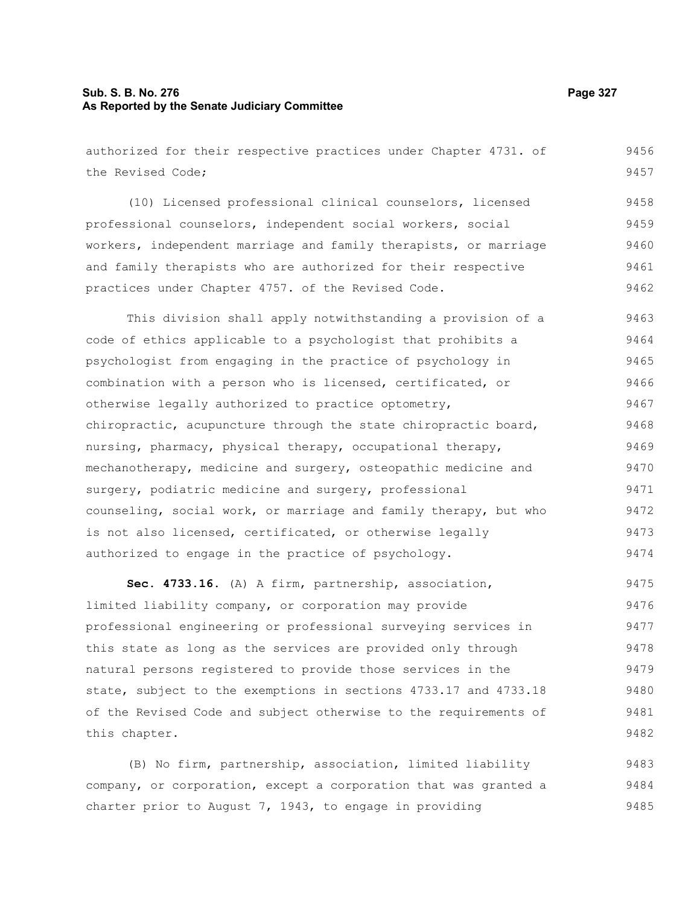# **Sub. S. B. No. 276 Page 327 As Reported by the Senate Judiciary Committee**

authorized for their respective practices under Chapter 4731. of the Revised Code; (10) Licensed professional clinical counselors, licensed professional counselors, independent social workers, social workers, independent marriage and family therapists, or marriage and family therapists who are authorized for their respective practices under Chapter 4757. of the Revised Code. This division shall apply notwithstanding a provision of a

code of ethics applicable to a psychologist that prohibits a psychologist from engaging in the practice of psychology in combination with a person who is licensed, certificated, or otherwise legally authorized to practice optometry, chiropractic, acupuncture through the state chiropractic board, nursing, pharmacy, physical therapy, occupational therapy, mechanotherapy, medicine and surgery, osteopathic medicine and surgery, podiatric medicine and surgery, professional counseling, social work, or marriage and family therapy, but who is not also licensed, certificated, or otherwise legally authorized to engage in the practice of psychology. 9463 9464 9465 9466 9467 9468 9469 9470 9471 9472 9473 9474

**Sec. 4733.16.** (A) A firm, partnership, association, limited liability company, or corporation may provide professional engineering or professional surveying services in this state as long as the services are provided only through natural persons registered to provide those services in the state, subject to the exemptions in sections 4733.17 and 4733.18 of the Revised Code and subject otherwise to the requirements of this chapter. 9475 9476 9477 9478 9479 9480 9481 9482

(B) No firm, partnership, association, limited liability company, or corporation, except a corporation that was granted a charter prior to August  $7, 1943,$  to engage in providing 9483 9484 9485

9456 9457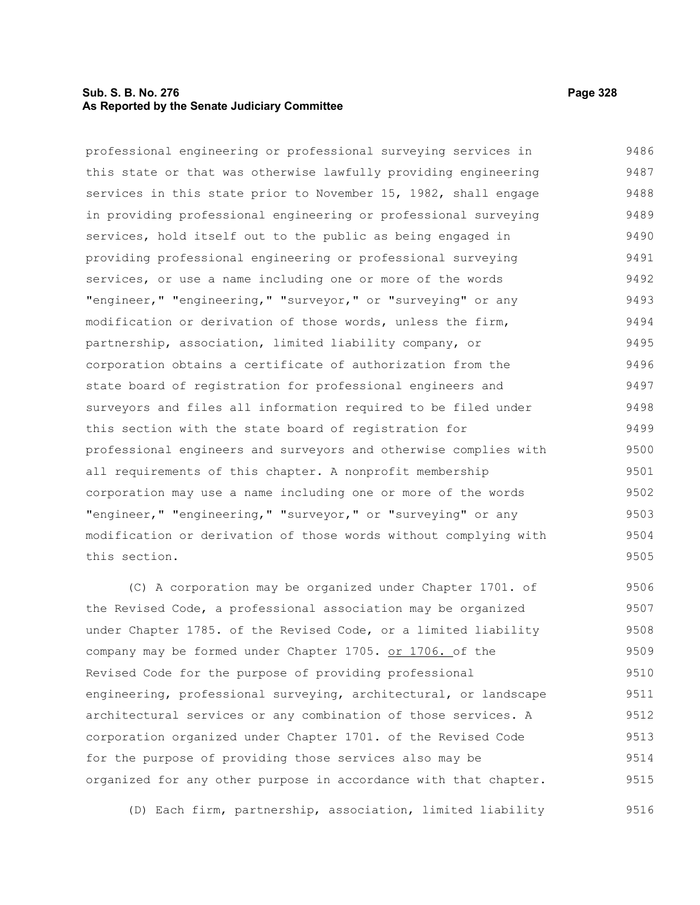# **Sub. S. B. No. 276 Page 328 As Reported by the Senate Judiciary Committee**

professional engineering or professional surveying services in this state or that was otherwise lawfully providing engineering services in this state prior to November 15, 1982, shall engage in providing professional engineering or professional surveying services, hold itself out to the public as being engaged in providing professional engineering or professional surveying services, or use a name including one or more of the words "engineer," "engineering," "surveyor," or "surveying" or any modification or derivation of those words, unless the firm, partnership, association, limited liability company, or corporation obtains a certificate of authorization from the state board of registration for professional engineers and surveyors and files all information required to be filed under this section with the state board of registration for professional engineers and surveyors and otherwise complies with all requirements of this chapter. A nonprofit membership corporation may use a name including one or more of the words "engineer," "engineering," "surveyor," or "surveying" or any modification or derivation of those words without complying with this section. 9486 9487 9488 9489 9490 9491 9492 9493 9494 9495 9496 9497 9498 9499 9500 9501 9502 9503 9504 9505

(C) A corporation may be organized under Chapter 1701. of the Revised Code, a professional association may be organized under Chapter 1785. of the Revised Code, or a limited liability company may be formed under Chapter 1705. or 1706. of the Revised Code for the purpose of providing professional engineering, professional surveying, architectural, or landscape architectural services or any combination of those services. A corporation organized under Chapter 1701. of the Revised Code for the purpose of providing those services also may be organized for any other purpose in accordance with that chapter. 9506 9507 9508 9509 9510 9511 9512 9513 9514 9515

(D) Each firm, partnership, association, limited liability 9516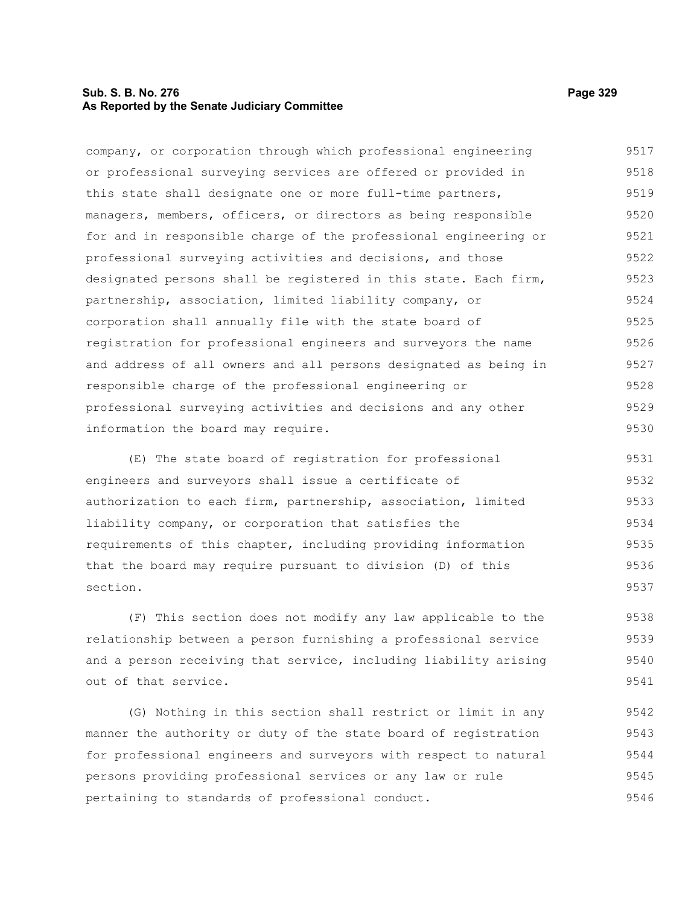# **Sub. S. B. No. 276 Page 329 As Reported by the Senate Judiciary Committee**

company, or corporation through which professional engineering or professional surveying services are offered or provided in this state shall designate one or more full-time partners, managers, members, officers, or directors as being responsible for and in responsible charge of the professional engineering or professional surveying activities and decisions, and those designated persons shall be registered in this state. Each firm, partnership, association, limited liability company, or corporation shall annually file with the state board of registration for professional engineers and surveyors the name and address of all owners and all persons designated as being in responsible charge of the professional engineering or professional surveying activities and decisions and any other information the board may require. 9517 9518 9519 9520 9521 9522 9523 9524 9525 9526 9527 9528 9529 9530

(E) The state board of registration for professional engineers and surveyors shall issue a certificate of authorization to each firm, partnership, association, limited liability company, or corporation that satisfies the requirements of this chapter, including providing information that the board may require pursuant to division (D) of this section. 9531 9532 9533 9534 9535 9536 9537

(F) This section does not modify any law applicable to the relationship between a person furnishing a professional service and a person receiving that service, including liability arising out of that service. 9538 9539 9540 9541

(G) Nothing in this section shall restrict or limit in any manner the authority or duty of the state board of registration for professional engineers and surveyors with respect to natural persons providing professional services or any law or rule pertaining to standards of professional conduct. 9542 9543 9544 9545 9546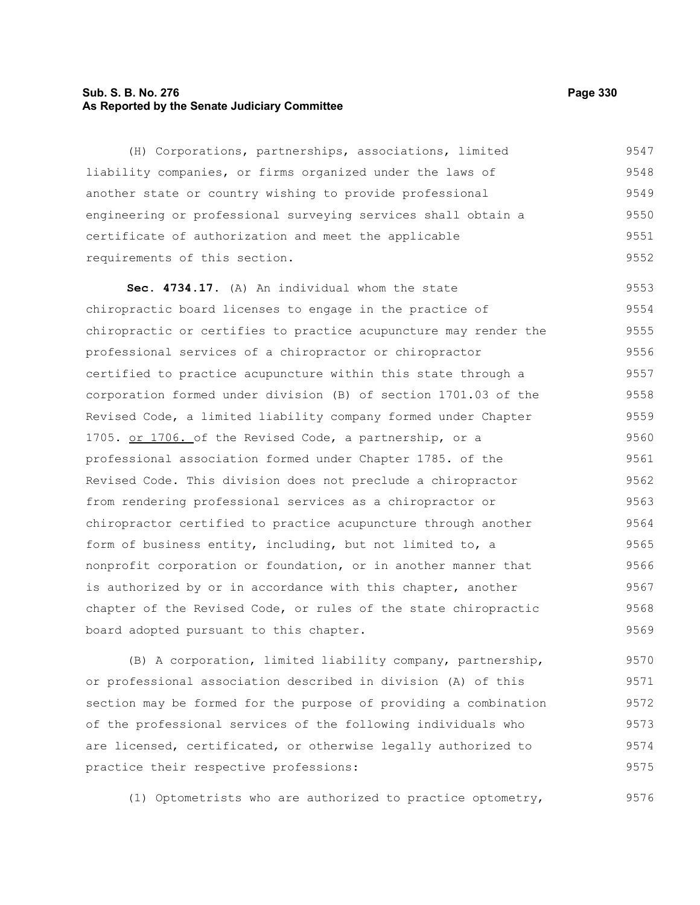# **Sub. S. B. No. 276 Page 330 As Reported by the Senate Judiciary Committee**

(H) Corporations, partnerships, associations, limited liability companies, or firms organized under the laws of another state or country wishing to provide professional engineering or professional surveying services shall obtain a certificate of authorization and meet the applicable requirements of this section. 9547 9548 9549 9550 9551 9552

**Sec. 4734.17.** (A) An individual whom the state chiropractic board licenses to engage in the practice of chiropractic or certifies to practice acupuncture may render the professional services of a chiropractor or chiropractor certified to practice acupuncture within this state through a corporation formed under division (B) of section 1701.03 of the Revised Code, a limited liability company formed under Chapter 1705. or 1706. of the Revised Code, a partnership, or a professional association formed under Chapter 1785. of the Revised Code. This division does not preclude a chiropractor from rendering professional services as a chiropractor or chiropractor certified to practice acupuncture through another form of business entity, including, but not limited to, a nonprofit corporation or foundation, or in another manner that is authorized by or in accordance with this chapter, another chapter of the Revised Code, or rules of the state chiropractic board adopted pursuant to this chapter. 9553 9554 9555 9556 9557 9558 9559 9560 9561 9562 9563 9564 9565 9566 9567 9568 9569

(B) A corporation, limited liability company, partnership, or professional association described in division (A) of this section may be formed for the purpose of providing a combination of the professional services of the following individuals who are licensed, certificated, or otherwise legally authorized to practice their respective professions: 9570 9571 9572 9573 9574 9575

(1) Optometrists who are authorized to practice optometry,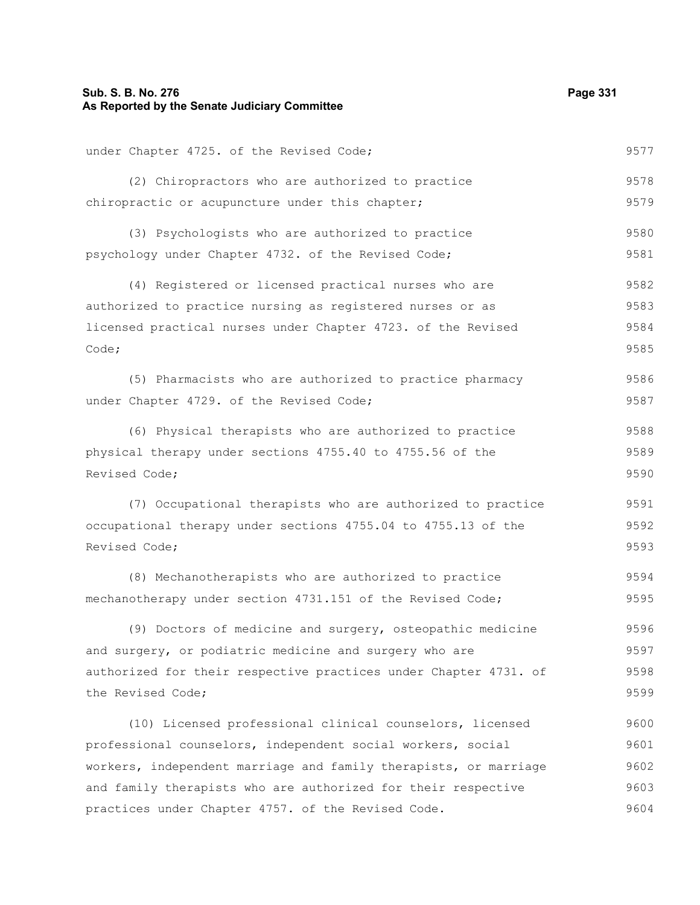# **Sub. S. B. No. 276 Page 331 As Reported by the Senate Judiciary Committee**

under Chapter 4725. of the Revised Code; (2) Chiropractors who are authorized to practice chiropractic or acupuncture under this chapter; (3) Psychologists who are authorized to practice psychology under Chapter 4732. of the Revised Code; (4) Registered or licensed practical nurses who are authorized to practice nursing as registered nurses or as licensed practical nurses under Chapter 4723. of the Revised Code; (5) Pharmacists who are authorized to practice pharmacy under Chapter 4729. of the Revised Code; (6) Physical therapists who are authorized to practice physical therapy under sections 4755.40 to 4755.56 of the Revised Code; (7) Occupational therapists who are authorized to practice occupational therapy under sections 4755.04 to 4755.13 of the Revised Code; (8) Mechanotherapists who are authorized to practice mechanotherapy under section 4731.151 of the Revised Code; (9) Doctors of medicine and surgery, osteopathic medicine and surgery, or podiatric medicine and surgery who are authorized for their respective practices under Chapter 4731. of the Revised Code; (10) Licensed professional clinical counselors, licensed professional counselors, independent social workers, social 9577 9578 9579 9580 9581 9582 9583 9584 9585 9586 9587 9588 9589 9590 9591 9592 9593 9594 9595 9596 9597 9598 9599 9600 9601

workers, independent marriage and family therapists, or marriage and family therapists who are authorized for their respective practices under Chapter 4757. of the Revised Code. 9602 9603 9604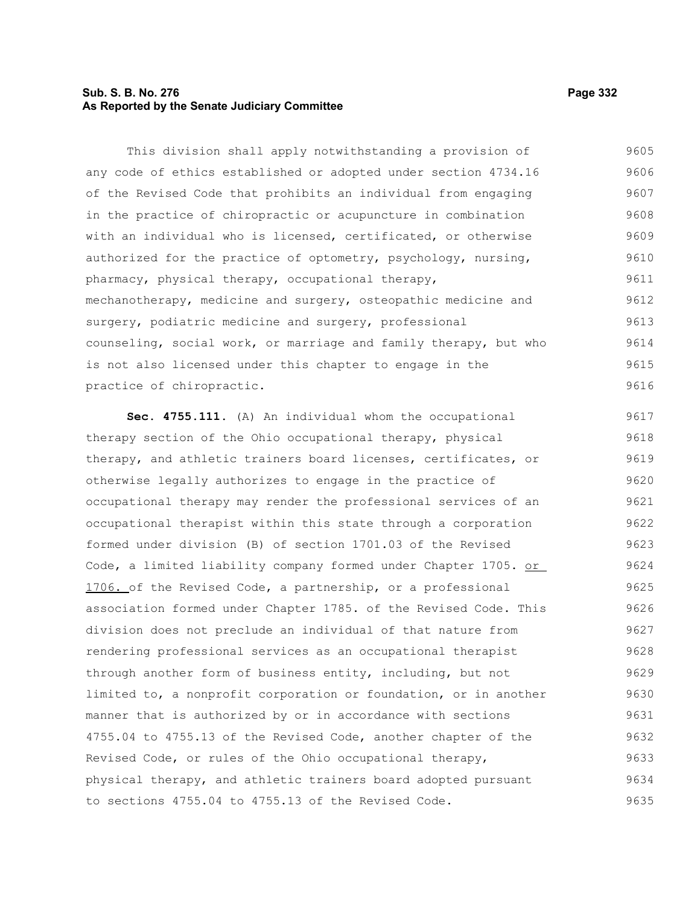# **Sub. S. B. No. 276 Page 332 As Reported by the Senate Judiciary Committee**

This division shall apply notwithstanding a provision of any code of ethics established or adopted under section 4734.16 of the Revised Code that prohibits an individual from engaging in the practice of chiropractic or acupuncture in combination with an individual who is licensed, certificated, or otherwise authorized for the practice of optometry, psychology, nursing, pharmacy, physical therapy, occupational therapy, mechanotherapy, medicine and surgery, osteopathic medicine and surgery, podiatric medicine and surgery, professional counseling, social work, or marriage and family therapy, but who is not also licensed under this chapter to engage in the practice of chiropractic. 9605 9606 9607 9608 9609 9610 9611 9612 9613 9614 9615 9616

**Sec. 4755.111.** (A) An individual whom the occupational therapy section of the Ohio occupational therapy, physical therapy, and athletic trainers board licenses, certificates, or otherwise legally authorizes to engage in the practice of occupational therapy may render the professional services of an occupational therapist within this state through a corporation formed under division (B) of section 1701.03 of the Revised Code, a limited liability company formed under Chapter 1705. or 1706. of the Revised Code, a partnership, or a professional association formed under Chapter 1785. of the Revised Code. This division does not preclude an individual of that nature from rendering professional services as an occupational therapist through another form of business entity, including, but not limited to, a nonprofit corporation or foundation, or in another manner that is authorized by or in accordance with sections 4755.04 to 4755.13 of the Revised Code, another chapter of the Revised Code, or rules of the Ohio occupational therapy, physical therapy, and athletic trainers board adopted pursuant to sections 4755.04 to 4755.13 of the Revised Code. 9617 9618 9619 9620 9621 9622 9623 9624 9625 9626 9627 9628 9629 9630 9631 9632 9633 9634 9635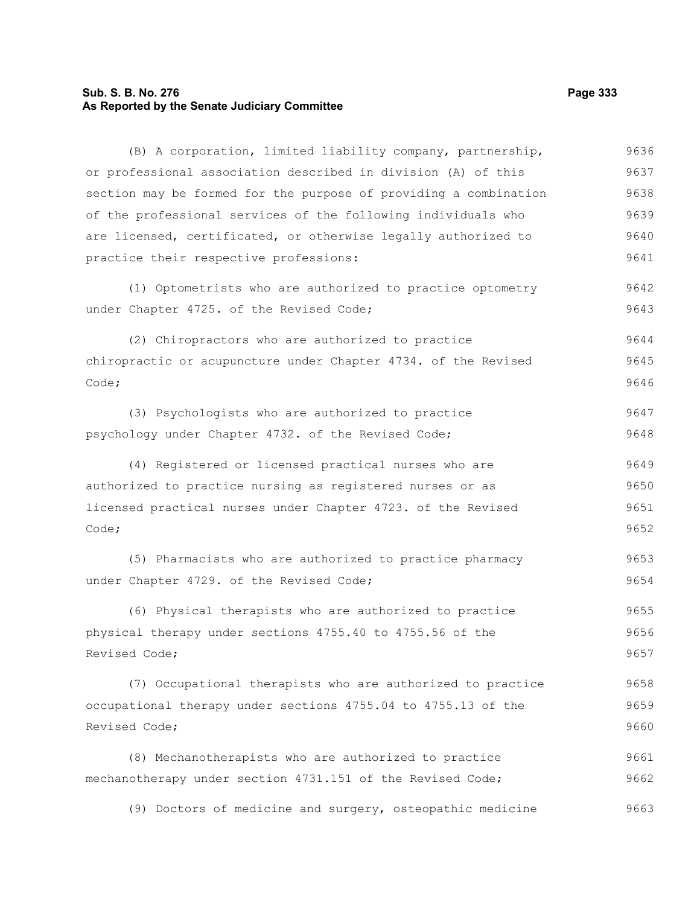# **Sub. S. B. No. 276 Page 333 As Reported by the Senate Judiciary Committee**

(B) A corporation, limited liability company, partnership, or professional association described in division (A) of this section may be formed for the purpose of providing a combination of the professional services of the following individuals who are licensed, certificated, or otherwise legally authorized to practice their respective professions: (1) Optometrists who are authorized to practice optometry under Chapter 4725. of the Revised Code; (2) Chiropractors who are authorized to practice chiropractic or acupuncture under Chapter 4734. of the Revised Code; (3) Psychologists who are authorized to practice psychology under Chapter 4732. of the Revised Code; (4) Registered or licensed practical nurses who are authorized to practice nursing as registered nurses or as licensed practical nurses under Chapter 4723. of the Revised Code; (5) Pharmacists who are authorized to practice pharmacy under Chapter 4729. of the Revised Code; (6) Physical therapists who are authorized to practice physical therapy under sections 4755.40 to 4755.56 of the Revised Code; (7) Occupational therapists who are authorized to practice occupational therapy under sections 4755.04 to 4755.13 of the Revised Code; (8) Mechanotherapists who are authorized to practice mechanotherapy under section 4731.151 of the Revised Code; (9) Doctors of medicine and surgery, osteopathic medicine 9636 9637 9638 9639 9640 9641 9642 9643 9644 9645 9646 9647 9648 9649 9650 9651 9652 9653 9654 9655 9656 9657 9658 9659 9660 9661 9662 9663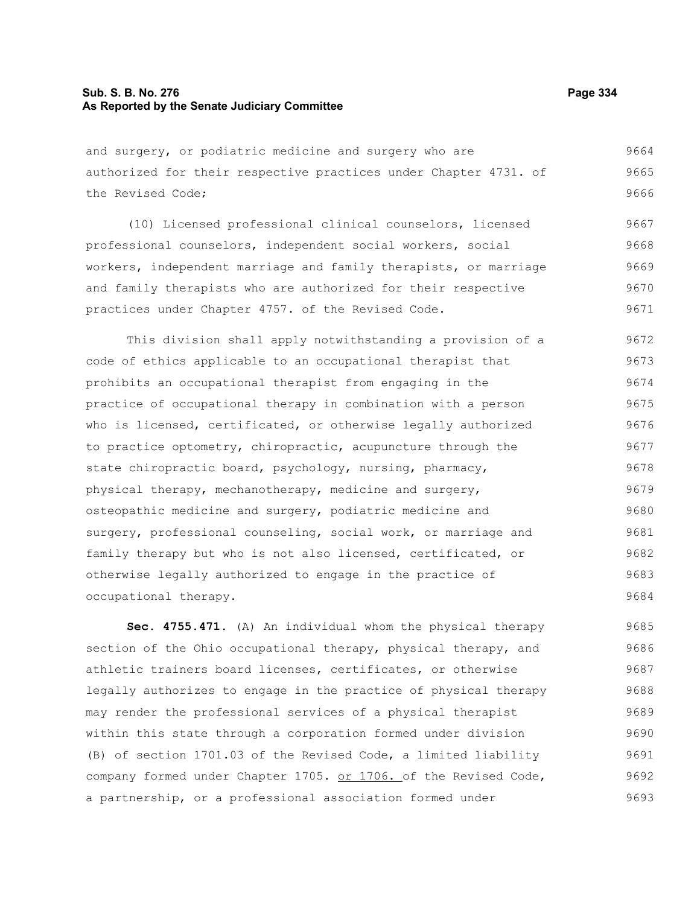# **Sub. S. B. No. 276 Page 334 As Reported by the Senate Judiciary Committee**

and surgery, or podiatric medicine and surgery who are authorized for their respective practices under Chapter 4731. of the Revised Code; 9664 9665 9666

(10) Licensed professional clinical counselors, licensed professional counselors, independent social workers, social workers, independent marriage and family therapists, or marriage and family therapists who are authorized for their respective practices under Chapter 4757. of the Revised Code. 9667 9668 9669 9670 9671

This division shall apply notwithstanding a provision of a code of ethics applicable to an occupational therapist that prohibits an occupational therapist from engaging in the practice of occupational therapy in combination with a person who is licensed, certificated, or otherwise legally authorized to practice optometry, chiropractic, acupuncture through the state chiropractic board, psychology, nursing, pharmacy, physical therapy, mechanotherapy, medicine and surgery, osteopathic medicine and surgery, podiatric medicine and surgery, professional counseling, social work, or marriage and family therapy but who is not also licensed, certificated, or otherwise legally authorized to engage in the practice of occupational therapy. 9672 9673 9674 9675 9676 9677 9678 9679 9680 9681 9682 9683 9684

**Sec. 4755.471.** (A) An individual whom the physical therapy section of the Ohio occupational therapy, physical therapy, and athletic trainers board licenses, certificates, or otherwise legally authorizes to engage in the practice of physical therapy may render the professional services of a physical therapist within this state through a corporation formed under division (B) of section 1701.03 of the Revised Code, a limited liability company formed under Chapter 1705. or 1706. of the Revised Code, a partnership, or a professional association formed under 9685 9686 9687 9688 9689 9690 9691 9692 9693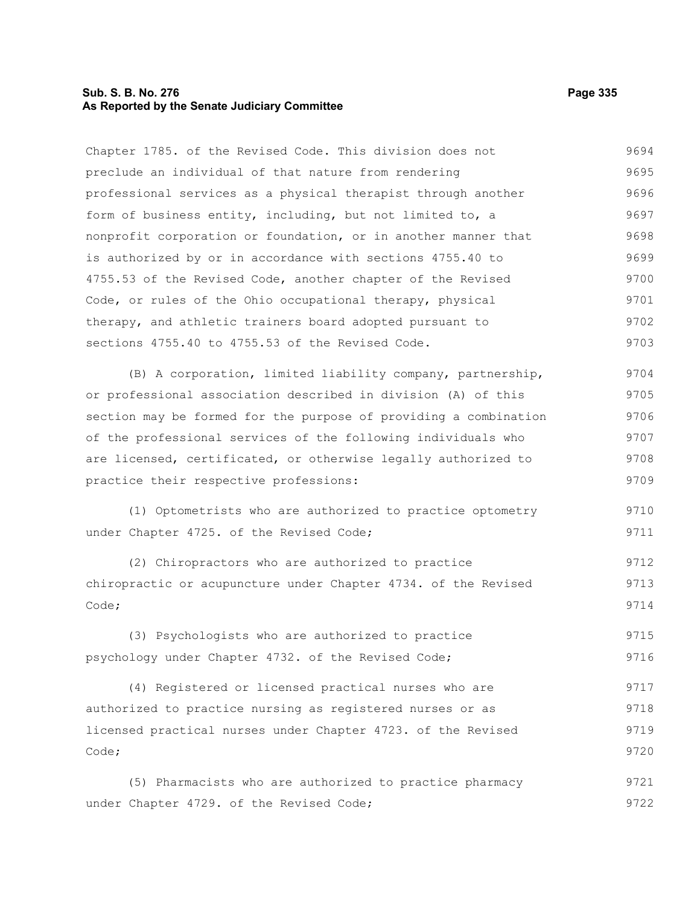## **Sub. S. B. No. 276 Page 335 As Reported by the Senate Judiciary Committee**

Chapter 1785. of the Revised Code. This division does not preclude an individual of that nature from rendering professional services as a physical therapist through another form of business entity, including, but not limited to, a nonprofit corporation or foundation, or in another manner that is authorized by or in accordance with sections 4755.40 to 4755.53 of the Revised Code, another chapter of the Revised Code, or rules of the Ohio occupational therapy, physical therapy, and athletic trainers board adopted pursuant to sections 4755.40 to 4755.53 of the Revised Code. (B) A corporation, limited liability company, partnership, or professional association described in division (A) of this section may be formed for the purpose of providing a combination of the professional services of the following individuals who are licensed, certificated, or otherwise legally authorized to practice their respective professions: (1) Optometrists who are authorized to practice optometry under Chapter 4725. of the Revised Code; (2) Chiropractors who are authorized to practice chiropractic or acupuncture under Chapter 4734. of the Revised Code; (3) Psychologists who are authorized to practice psychology under Chapter 4732. of the Revised Code; (4) Registered or licensed practical nurses who are authorized to practice nursing as registered nurses or as licensed practical nurses under Chapter 4723. of the Revised Code; (5) Pharmacists who are authorized to practice pharmacy under Chapter 4729. of the Revised Code; 9694 9695 9696 9697 9698 9699 9700 9701 9702 9703 9704 9705 9706 9707 9708 9709 9710 9711 9712 9713 9714 9715 9716 9717 9718 9719 9720 9721 9722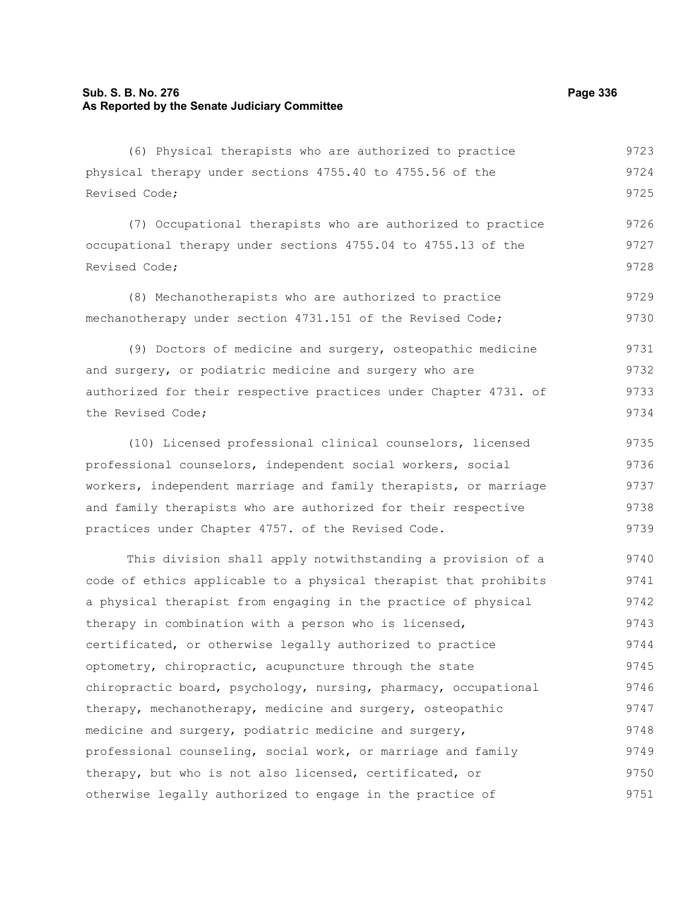# **Sub. S. B. No. 276 Page 336 As Reported by the Senate Judiciary Committee**

(6) Physical therapists who are authorized to practice physical therapy under sections 4755.40 to 4755.56 of the Revised Code; 9723 9724 9725

(7) Occupational therapists who are authorized to practice occupational therapy under sections 4755.04 to 4755.13 of the Revised Code; 9726 9727 9728

(8) Mechanotherapists who are authorized to practice mechanotherapy under section 4731.151 of the Revised Code; 9729 9730

(9) Doctors of medicine and surgery, osteopathic medicine and surgery, or podiatric medicine and surgery who are authorized for their respective practices under Chapter 4731. of the Revised Code; 9731 9732 9733 9734

(10) Licensed professional clinical counselors, licensed professional counselors, independent social workers, social workers, independent marriage and family therapists, or marriage and family therapists who are authorized for their respective practices under Chapter 4757. of the Revised Code. 9735 9736 9737 9738 9739

This division shall apply notwithstanding a provision of a code of ethics applicable to a physical therapist that prohibits a physical therapist from engaging in the practice of physical therapy in combination with a person who is licensed, certificated, or otherwise legally authorized to practice optometry, chiropractic, acupuncture through the state chiropractic board, psychology, nursing, pharmacy, occupational therapy, mechanotherapy, medicine and surgery, osteopathic medicine and surgery, podiatric medicine and surgery, professional counseling, social work, or marriage and family therapy, but who is not also licensed, certificated, or otherwise legally authorized to engage in the practice of 9740 9741 9742 9743 9744 9745 9746 9747 9748 9749 9750 9751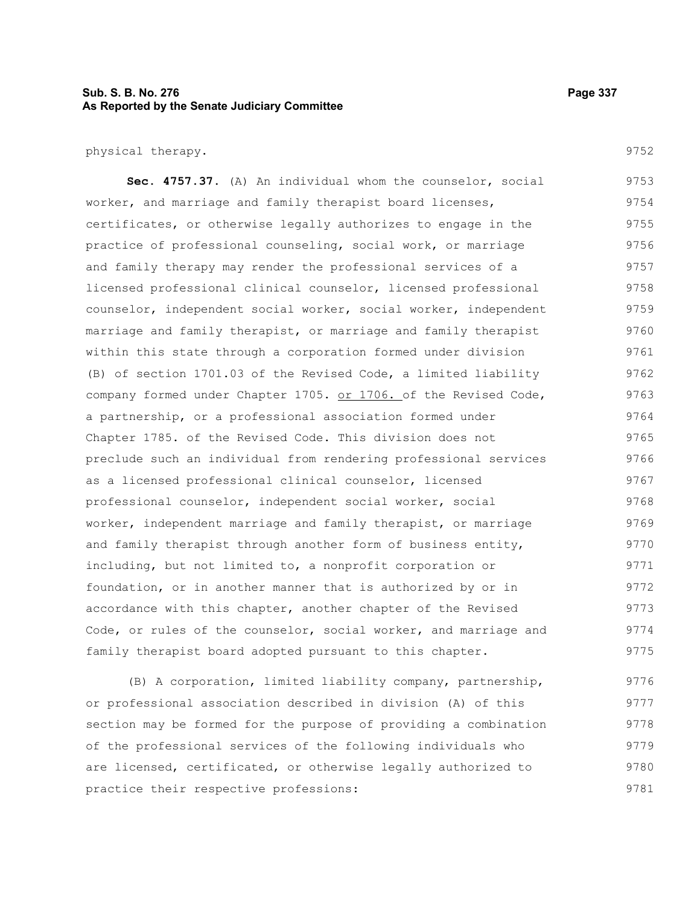# **Sub. S. B. No. 276 Page 337 As Reported by the Senate Judiciary Committee**

physical therapy.

**Sec. 4757.37.** (A) An individual whom the counselor, social worker, and marriage and family therapist board licenses, certificates, or otherwise legally authorizes to engage in the practice of professional counseling, social work, or marriage and family therapy may render the professional services of a licensed professional clinical counselor, licensed professional counselor, independent social worker, social worker, independent marriage and family therapist, or marriage and family therapist within this state through a corporation formed under division (B) of section 1701.03 of the Revised Code, a limited liability company formed under Chapter 1705. or 1706. of the Revised Code, a partnership, or a professional association formed under Chapter 1785. of the Revised Code. This division does not preclude such an individual from rendering professional services as a licensed professional clinical counselor, licensed professional counselor, independent social worker, social worker, independent marriage and family therapist, or marriage and family therapist through another form of business entity, including, but not limited to, a nonprofit corporation or foundation, or in another manner that is authorized by or in accordance with this chapter, another chapter of the Revised Code, or rules of the counselor, social worker, and marriage and family therapist board adopted pursuant to this chapter. 9753 9754 9755 9756 9757 9758 9759 9760 9761 9762 9763 9764 9765 9766 9767 9768 9769 9770 9771 9772 9773 9774 9775

(B) A corporation, limited liability company, partnership, or professional association described in division (A) of this section may be formed for the purpose of providing a combination of the professional services of the following individuals who are licensed, certificated, or otherwise legally authorized to practice their respective professions: 9776 9777 9778 9779 9780 9781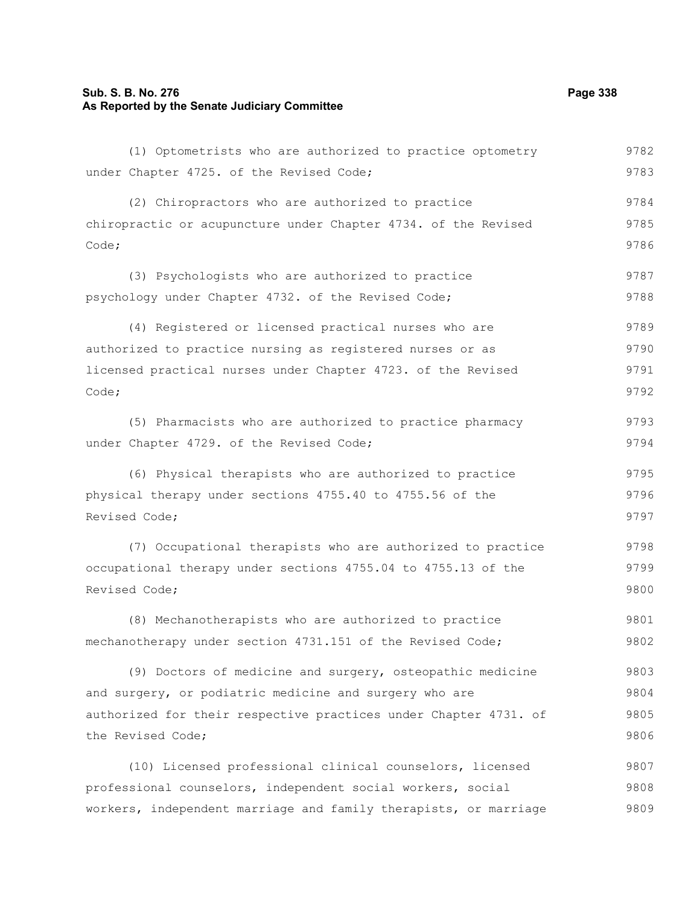# **Sub. S. B. No. 276 Page 338 As Reported by the Senate Judiciary Committee**

(1) Optometrists who are authorized to practice optometry under Chapter 4725. of the Revised Code; (2) Chiropractors who are authorized to practice chiropractic or acupuncture under Chapter 4734. of the Revised Code; (3) Psychologists who are authorized to practice psychology under Chapter 4732. of the Revised Code; (4) Registered or licensed practical nurses who are authorized to practice nursing as registered nurses or as licensed practical nurses under Chapter 4723. of the Revised Code; (5) Pharmacists who are authorized to practice pharmacy under Chapter 4729. of the Revised Code; (6) Physical therapists who are authorized to practice physical therapy under sections 4755.40 to 4755.56 of the Revised Code; (7) Occupational therapists who are authorized to practice occupational therapy under sections 4755.04 to 4755.13 of the Revised Code; (8) Mechanotherapists who are authorized to practice mechanotherapy under section 4731.151 of the Revised Code; (9) Doctors of medicine and surgery, osteopathic medicine and surgery, or podiatric medicine and surgery who are authorized for their respective practices under Chapter 4731. of the Revised Code; (10) Licensed professional clinical counselors, licensed professional counselors, independent social workers, social workers, independent marriage and family therapists, or marriage 9782 9783 9784 9785 9786 9787 9788 9789 9790 9791 9792 9793 9794 9795 9796 9797 9798 9799 9800 9801 9802 9803 9804 9805 9806 9807 9808 9809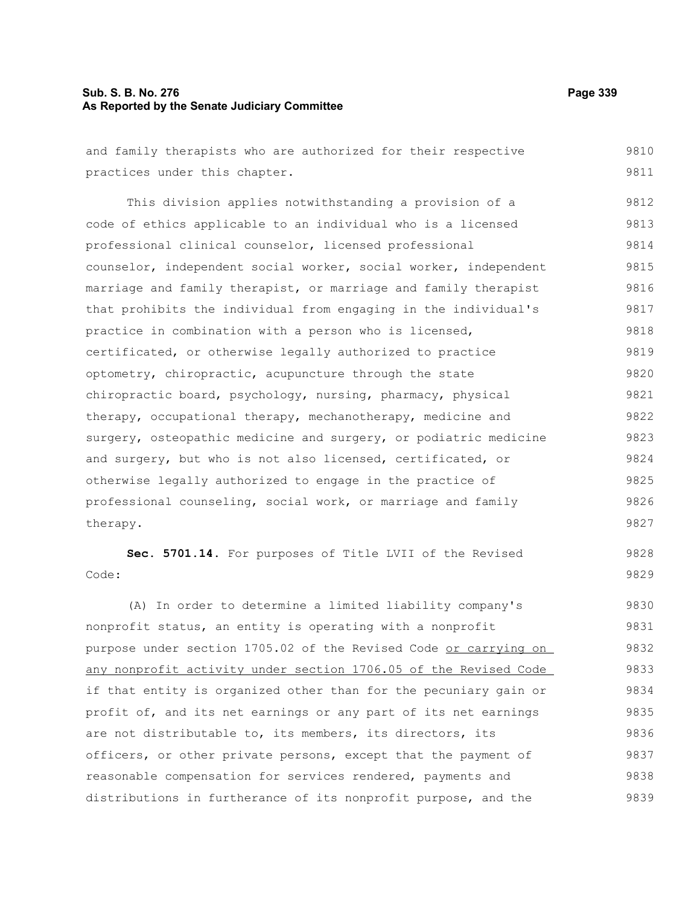## **Sub. S. B. No. 276 Page 339 As Reported by the Senate Judiciary Committee**

and family therapists who are authorized for their respective practices under this chapter. This division applies notwithstanding a provision of a code of ethics applicable to an individual who is a licensed professional clinical counselor, licensed professional counselor, independent social worker, social worker, independent marriage and family therapist, or marriage and family therapist that prohibits the individual from engaging in the individual's practice in combination with a person who is licensed, certificated, or otherwise legally authorized to practice optometry, chiropractic, acupuncture through the state chiropractic board, psychology, nursing, pharmacy, physical therapy, occupational therapy, mechanotherapy, medicine and surgery, osteopathic medicine and surgery, or podiatric medicine and surgery, but who is not also licensed, certificated, or otherwise legally authorized to engage in the practice of professional counseling, social work, or marriage and family therapy. **Sec. 5701.14.** For purposes of Title LVII of the Revised Code: (A) In order to determine a limited liability company's nonprofit status, an entity is operating with a nonprofit purpose under section 1705.02 of the Revised Code or carrying on any nonprofit activity under section 1706.05 of the Revised Code if that entity is organized other than for the pecuniary gain or profit of, and its net earnings or any part of its net earnings are not distributable to, its members, its directors, its officers, or other private persons, except that the payment of reasonable compensation for services rendered, payments and distributions in furtherance of its nonprofit purpose, and the 9810 9811 9812 9813 9814 9815 9816 9817 9818 9819 9820 9821 9822 9823 9824 9825 9826 9827 9828 9829 9830 9831 9832 9833 9834 9835 9836 9837 9838 9839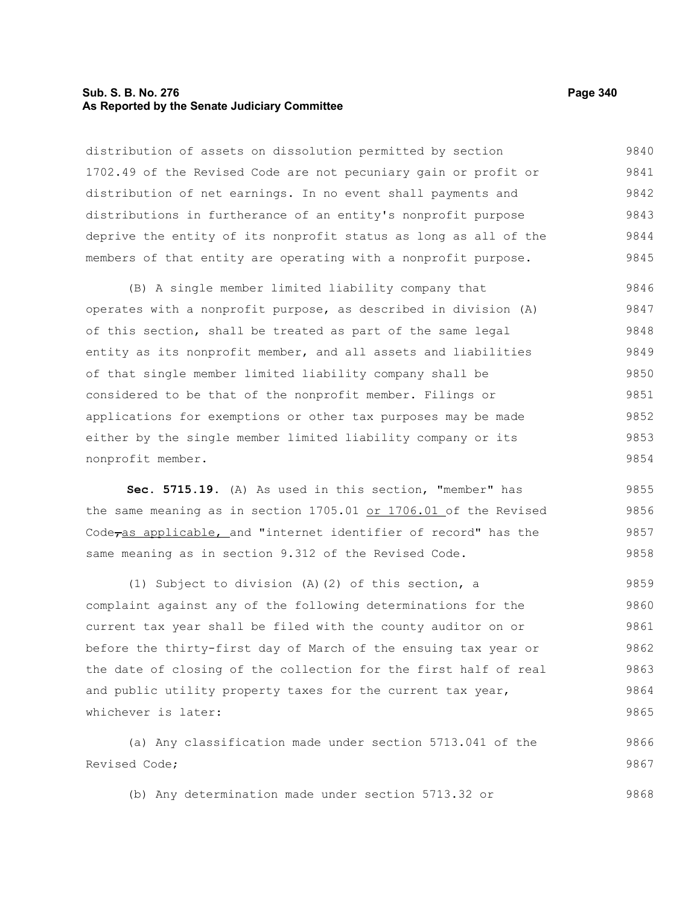### **Sub. S. B. No. 276 Page 340 As Reported by the Senate Judiciary Committee**

distribution of assets on dissolution permitted by section 1702.49 of the Revised Code are not pecuniary gain or profit or distribution of net earnings. In no event shall payments and distributions in furtherance of an entity's nonprofit purpose deprive the entity of its nonprofit status as long as all of the members of that entity are operating with a nonprofit purpose. 9840 9841 9842 9843 9844 9845

(B) A single member limited liability company that operates with a nonprofit purpose, as described in division (A) of this section, shall be treated as part of the same legal entity as its nonprofit member, and all assets and liabilities of that single member limited liability company shall be considered to be that of the nonprofit member. Filings or applications for exemptions or other tax purposes may be made either by the single member limited liability company or its nonprofit member. 9846 9847 9848 9849 9850 9851 9852 9853 9854

**Sec. 5715.19.** (A) As used in this section, "member" has the same meaning as in section 1705.01 or 1706.01 of the Revised Code<sub>ras applicable, and "internet identifier of record" has the</sub> same meaning as in section 9.312 of the Revised Code. 9855 9856 9857 9858

(1) Subject to division (A)(2) of this section, a complaint against any of the following determinations for the current tax year shall be filed with the county auditor on or before the thirty-first day of March of the ensuing tax year or the date of closing of the collection for the first half of real and public utility property taxes for the current tax year, whichever is later: 9859 9860 9861 9862 9863 9864 9865

(a) Any classification made under section 5713.041 of the Revised Code; 9866 9867

(b) Any determination made under section 5713.32 or 9868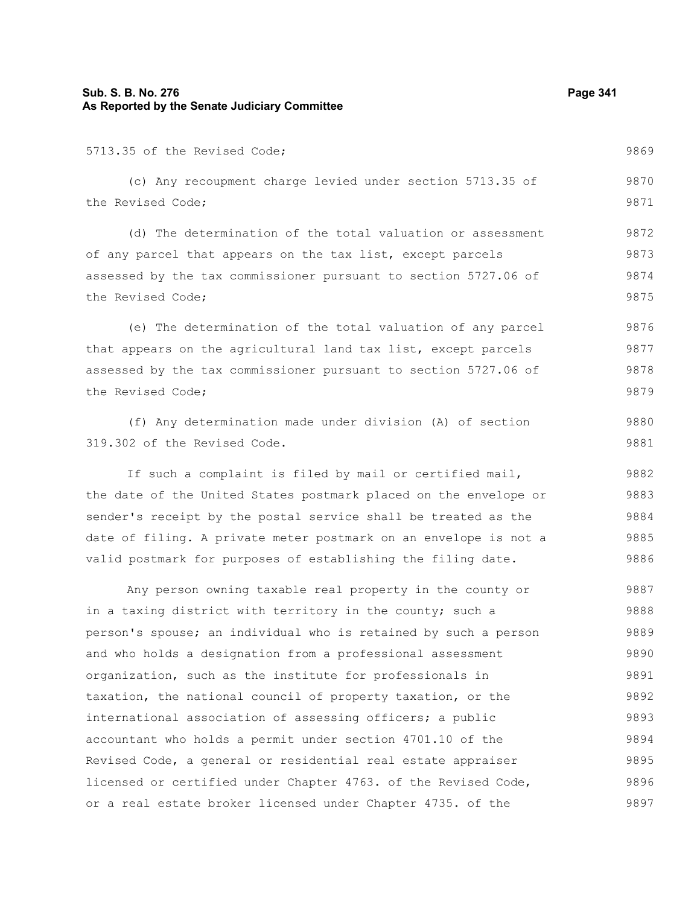# **Sub. S. B. No. 276 Page 341 As Reported by the Senate Judiciary Committee**

| 5713.35 of the Revised Code;                                     | 9869 |
|------------------------------------------------------------------|------|
| (c) Any recoupment charge levied under section 5713.35 of        | 9870 |
| the Revised Code;                                                | 9871 |
| (d) The determination of the total valuation or assessment       | 9872 |
| of any parcel that appears on the tax list, except parcels       | 9873 |
| assessed by the tax commissioner pursuant to section 5727.06 of  | 9874 |
| the Revised Code;                                                | 9875 |
| (e) The determination of the total valuation of any parcel       | 9876 |
| that appears on the agricultural land tax list, except parcels   | 9877 |
| assessed by the tax commissioner pursuant to section 5727.06 of  | 9878 |
| the Revised Code;                                                | 9879 |
| (f) Any determination made under division (A) of section         | 9880 |
| 319.302 of the Revised Code.                                     | 9881 |
| If such a complaint is filed by mail or certified mail,          | 9882 |
| the date of the United States postmark placed on the envelope or | 9883 |
| sender's receipt by the postal service shall be treated as the   | 9884 |
| date of filing. A private meter postmark on an envelope is not a | 9885 |
| valid postmark for purposes of establishing the filing date.     | 9886 |
| Any person owning taxable real property in the county or         | 9887 |
| in a taxing district with territory in the county; such a        | 9888 |
| person's spouse; an individual who is retained by such a person  | 9889 |
| and who holds a designation from a professional assessment       | 9890 |
| organization, such as the institute for professionals in         | 9891 |
| taxation, the national council of property taxation, or the      | 9892 |
| international association of assessing officers; a public        | 9893 |
| accountant who holds a permit under section 4701.10 of the       | 9894 |
| Revised Code, a general or residential real estate appraiser     | 9895 |
| licensed or certified under Chapter 4763. of the Revised Code,   | 9896 |
| or a real estate broker licensed under Chapter 4735. of the      | 9897 |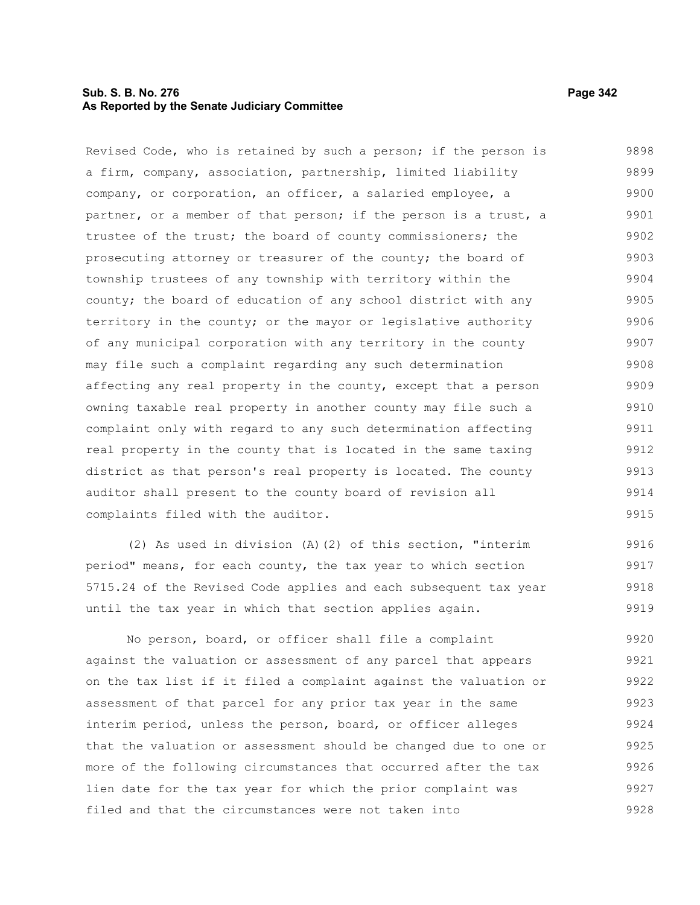# **Sub. S. B. No. 276 Page 342 As Reported by the Senate Judiciary Committee**

Revised Code, who is retained by such a person; if the person is a firm, company, association, partnership, limited liability company, or corporation, an officer, a salaried employee, a partner, or a member of that person; if the person is a trust, a trustee of the trust; the board of county commissioners; the prosecuting attorney or treasurer of the county; the board of township trustees of any township with territory within the county; the board of education of any school district with any territory in the county; or the mayor or legislative authority of any municipal corporation with any territory in the county may file such a complaint regarding any such determination affecting any real property in the county, except that a person owning taxable real property in another county may file such a complaint only with regard to any such determination affecting real property in the county that is located in the same taxing district as that person's real property is located. The county auditor shall present to the county board of revision all complaints filed with the auditor. 9898 9899 9900 9901 9902 9903 9904 9905 9906 9907 9908 9909 9910 9911 9912 9913 9914 9915

(2) As used in division (A)(2) of this section, "interim period" means, for each county, the tax year to which section 5715.24 of the Revised Code applies and each subsequent tax year until the tax year in which that section applies again. 9916 9917 9918 9919

No person, board, or officer shall file a complaint against the valuation or assessment of any parcel that appears on the tax list if it filed a complaint against the valuation or assessment of that parcel for any prior tax year in the same interim period, unless the person, board, or officer alleges that the valuation or assessment should be changed due to one or more of the following circumstances that occurred after the tax lien date for the tax year for which the prior complaint was filed and that the circumstances were not taken into 9920 9921 9922 9923 9924 9925 9926 9927 9928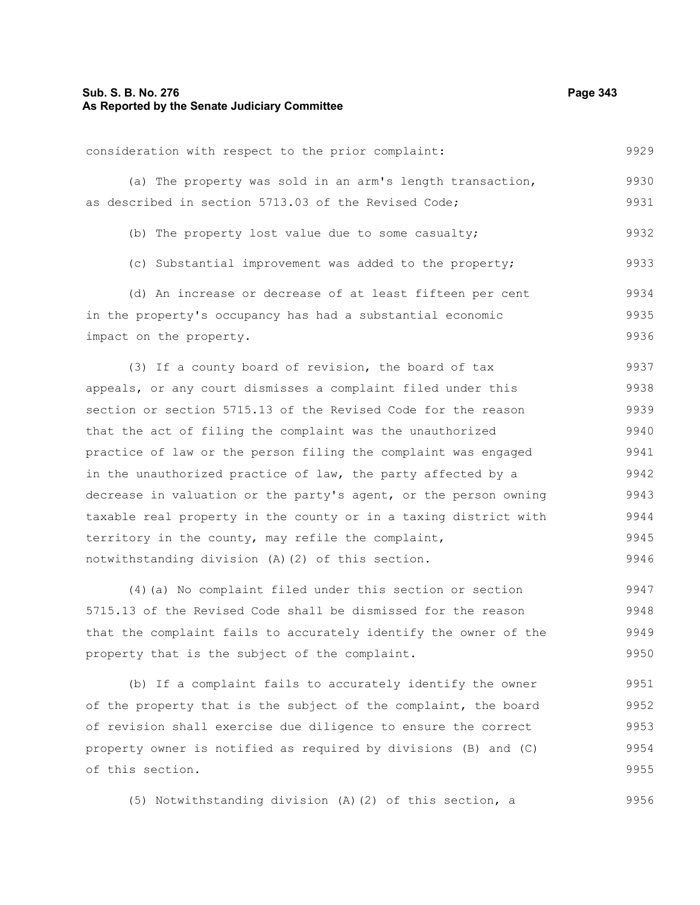| consideration with respect to the prior complaint:        | 9929 |
|-----------------------------------------------------------|------|
| (a) The property was sold in an arm's length transaction, | 9930 |
| as described in section 5713.03 of the Revised Code;      | 9931 |

(b) The property lost value due to some casualty; 9932

(c) Substantial improvement was added to the property; 9933

(d) An increase or decrease of at least fifteen per cent in the property's occupancy has had a substantial economic impact on the property. 9934 9935 9936

(3) If a county board of revision, the board of tax appeals, or any court dismisses a complaint filed under this section or section 5715.13 of the Revised Code for the reason that the act of filing the complaint was the unauthorized practice of law or the person filing the complaint was engaged in the unauthorized practice of law, the party affected by a decrease in valuation or the party's agent, or the person owning taxable real property in the county or in a taxing district with territory in the county, may refile the complaint, notwithstanding division (A)(2) of this section. 9937 9938 9939 9940 9941 9942 9943 9944 9945 9946

(4)(a) No complaint filed under this section or section 5715.13 of the Revised Code shall be dismissed for the reason that the complaint fails to accurately identify the owner of the property that is the subject of the complaint. 9947 9948 9949 9950

(b) If a complaint fails to accurately identify the owner of the property that is the subject of the complaint, the board of revision shall exercise due diligence to ensure the correct property owner is notified as required by divisions (B) and (C) of this section. 9951 9952 9953 9954 9955

(5) Notwithstanding division (A)(2) of this section, a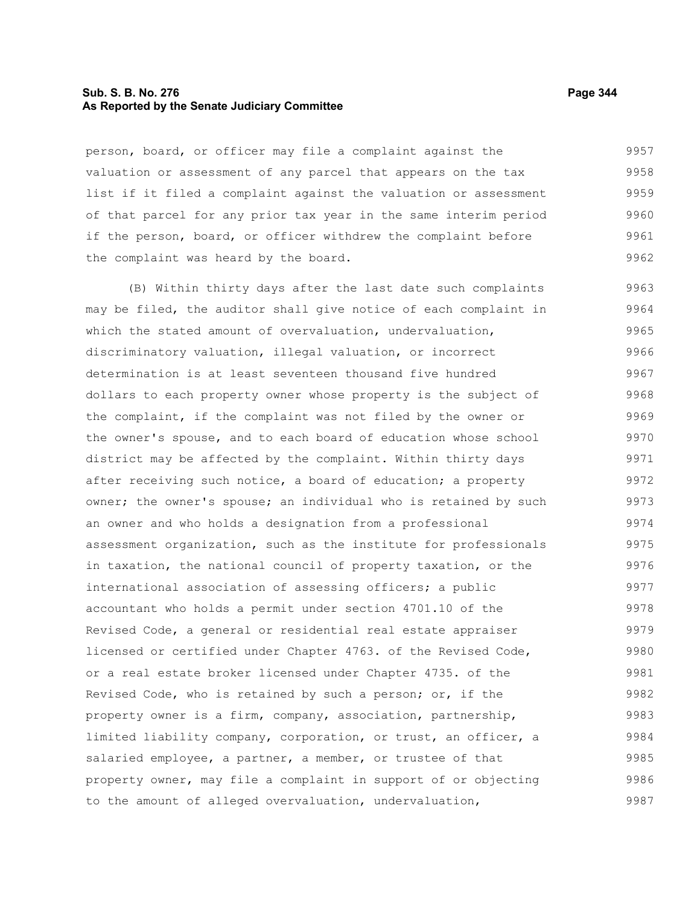## **Sub. S. B. No. 276 Page 344 As Reported by the Senate Judiciary Committee**

person, board, or officer may file a complaint against the valuation or assessment of any parcel that appears on the tax list if it filed a complaint against the valuation or assessment of that parcel for any prior tax year in the same interim period if the person, board, or officer withdrew the complaint before the complaint was heard by the board. 9957 9958 9959 9960 9961 9962

(B) Within thirty days after the last date such complaints may be filed, the auditor shall give notice of each complaint in which the stated amount of overvaluation, undervaluation, discriminatory valuation, illegal valuation, or incorrect determination is at least seventeen thousand five hundred dollars to each property owner whose property is the subject of the complaint, if the complaint was not filed by the owner or the owner's spouse, and to each board of education whose school district may be affected by the complaint. Within thirty days after receiving such notice, a board of education; a property owner; the owner's spouse; an individual who is retained by such an owner and who holds a designation from a professional assessment organization, such as the institute for professionals in taxation, the national council of property taxation, or the international association of assessing officers; a public accountant who holds a permit under section 4701.10 of the Revised Code, a general or residential real estate appraiser licensed or certified under Chapter 4763. of the Revised Code, or a real estate broker licensed under Chapter 4735. of the Revised Code, who is retained by such a person; or, if the property owner is a firm, company, association, partnership, limited liability company, corporation, or trust, an officer, a salaried employee, a partner, a member, or trustee of that property owner, may file a complaint in support of or objecting to the amount of alleged overvaluation, undervaluation, 9963 9964 9965 9966 9967 9968 9969 9970 9971 9972 9973 9974 9975 9976 9977 9978 9979 9980 9981 9982 9983 9984 9985 9986 9987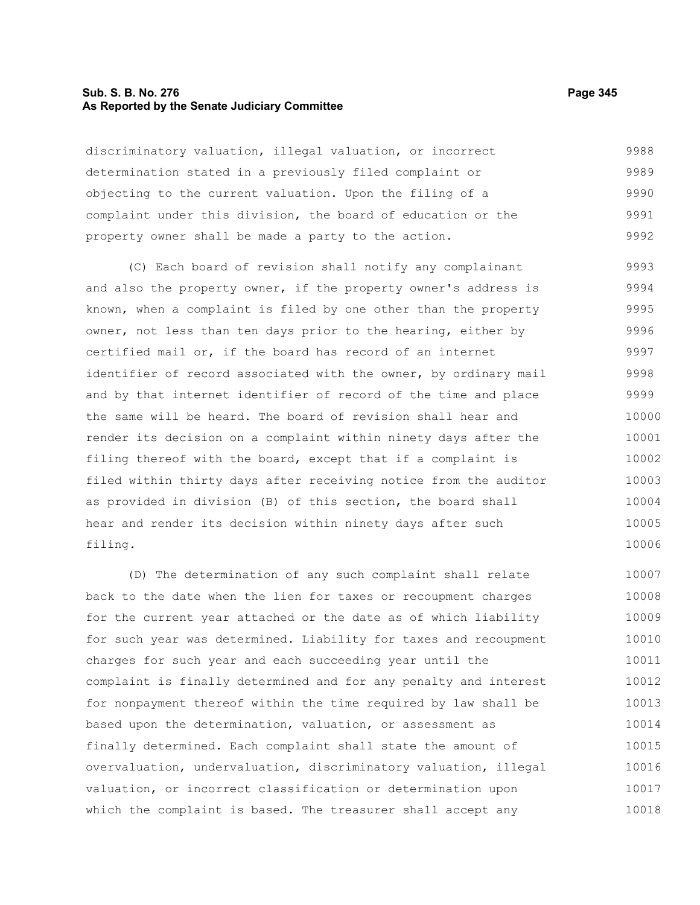#### **Sub. S. B. No. 276 Page 345 As Reported by the Senate Judiciary Committee**

discriminatory valuation, illegal valuation, or incorrect determination stated in a previously filed complaint or objecting to the current valuation. Upon the filing of a complaint under this division, the board of education or the property owner shall be made a party to the action. 9988 9989 9990 9991 9992

(C) Each board of revision shall notify any complainant and also the property owner, if the property owner's address is known, when a complaint is filed by one other than the property owner, not less than ten days prior to the hearing, either by certified mail or, if the board has record of an internet identifier of record associated with the owner, by ordinary mail and by that internet identifier of record of the time and place the same will be heard. The board of revision shall hear and render its decision on a complaint within ninety days after the filing thereof with the board, except that if a complaint is filed within thirty days after receiving notice from the auditor as provided in division (B) of this section, the board shall hear and render its decision within ninety days after such filing. 9993 9994 9995 9996 9997 9998 9999 10000 10001 10002 10003 10004 10005 10006

(D) The determination of any such complaint shall relate back to the date when the lien for taxes or recoupment charges for the current year attached or the date as of which liability for such year was determined. Liability for taxes and recoupment charges for such year and each succeeding year until the complaint is finally determined and for any penalty and interest for nonpayment thereof within the time required by law shall be based upon the determination, valuation, or assessment as finally determined. Each complaint shall state the amount of overvaluation, undervaluation, discriminatory valuation, illegal valuation, or incorrect classification or determination upon which the complaint is based. The treasurer shall accept any 10007 10008 10009 10010 10011 10012 10013 10014 10015 10016 10017 10018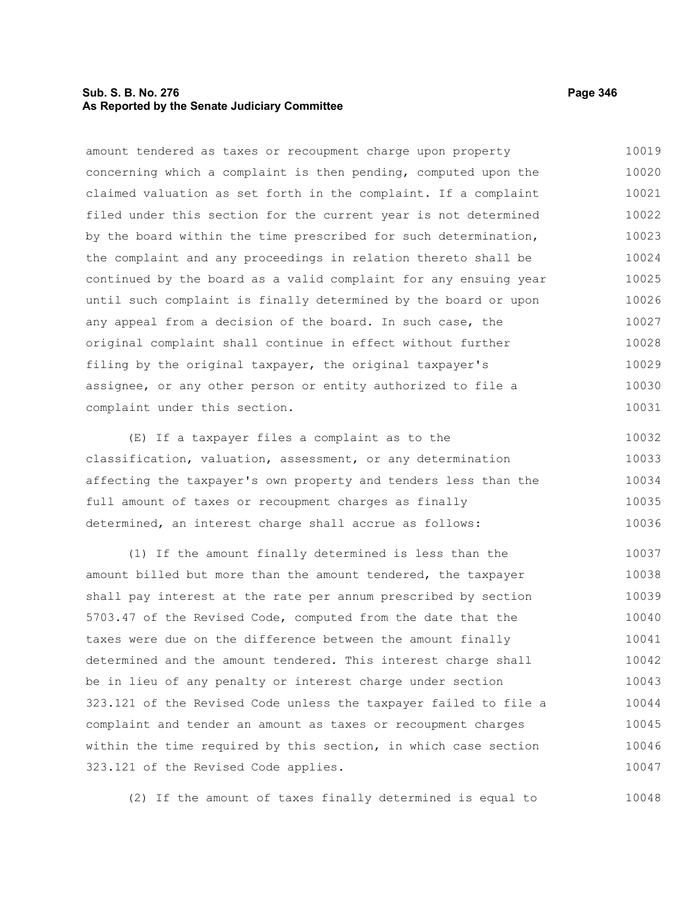# **Sub. S. B. No. 276 Page 346 As Reported by the Senate Judiciary Committee**

amount tendered as taxes or recoupment charge upon property concerning which a complaint is then pending, computed upon the claimed valuation as set forth in the complaint. If a complaint filed under this section for the current year is not determined by the board within the time prescribed for such determination, the complaint and any proceedings in relation thereto shall be continued by the board as a valid complaint for any ensuing year until such complaint is finally determined by the board or upon any appeal from a decision of the board. In such case, the original complaint shall continue in effect without further filing by the original taxpayer, the original taxpayer's assignee, or any other person or entity authorized to file a complaint under this section. 10019 10020 10021 10022 10023 10024 10025 10026 10027 10028 10029 10030 10031

(E) If a taxpayer files a complaint as to the classification, valuation, assessment, or any determination affecting the taxpayer's own property and tenders less than the full amount of taxes or recoupment charges as finally determined, an interest charge shall accrue as follows: 10032 10033 10034 10035 10036

(1) If the amount finally determined is less than the amount billed but more than the amount tendered, the taxpayer shall pay interest at the rate per annum prescribed by section 5703.47 of the Revised Code, computed from the date that the taxes were due on the difference between the amount finally determined and the amount tendered. This interest charge shall be in lieu of any penalty or interest charge under section 323.121 of the Revised Code unless the taxpayer failed to file a complaint and tender an amount as taxes or recoupment charges within the time required by this section, in which case section 323.121 of the Revised Code applies. 10037 10038 10039 10040 10041 10042 10043 10044 10045 10046 10047

(2) If the amount of taxes finally determined is equal to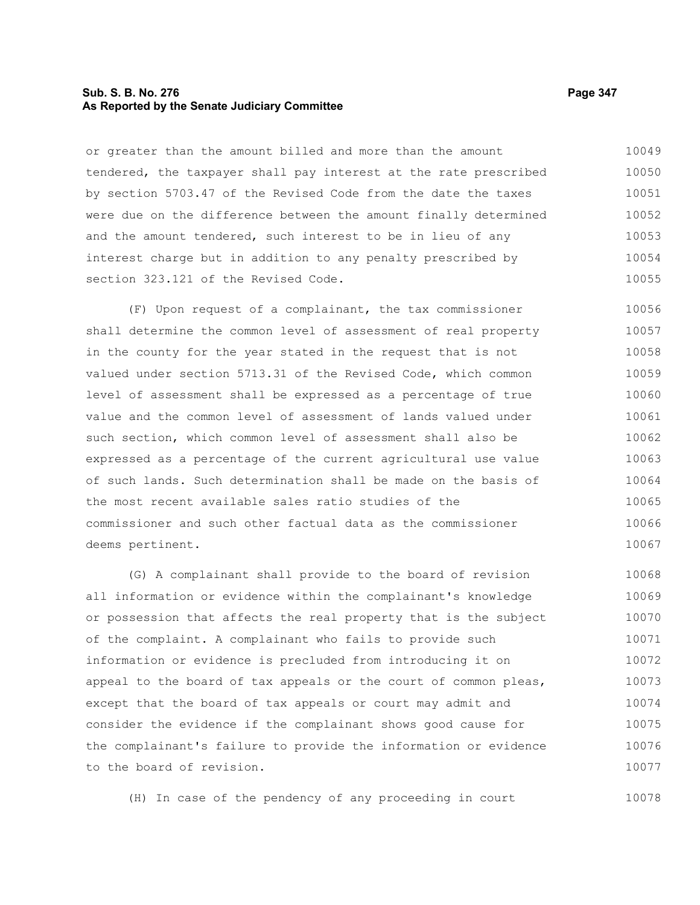## **Sub. S. B. No. 276 Page 347 As Reported by the Senate Judiciary Committee**

or greater than the amount billed and more than the amount tendered, the taxpayer shall pay interest at the rate prescribed by section 5703.47 of the Revised Code from the date the taxes were due on the difference between the amount finally determined and the amount tendered, such interest to be in lieu of any interest charge but in addition to any penalty prescribed by section 323.121 of the Revised Code. 10049 10050 10051 10052 10053 10054 10055

(F) Upon request of a complainant, the tax commissioner shall determine the common level of assessment of real property in the county for the year stated in the request that is not valued under section 5713.31 of the Revised Code, which common level of assessment shall be expressed as a percentage of true value and the common level of assessment of lands valued under such section, which common level of assessment shall also be expressed as a percentage of the current agricultural use value of such lands. Such determination shall be made on the basis of the most recent available sales ratio studies of the commissioner and such other factual data as the commissioner deems pertinent. 10056 10057 10058 10059 10060 10061 10062 10063 10064 10065 10066 10067

(G) A complainant shall provide to the board of revision all information or evidence within the complainant's knowledge or possession that affects the real property that is the subject of the complaint. A complainant who fails to provide such information or evidence is precluded from introducing it on appeal to the board of tax appeals or the court of common pleas, except that the board of tax appeals or court may admit and consider the evidence if the complainant shows good cause for the complainant's failure to provide the information or evidence to the board of revision. 10068 10069 10070 10071 10072 10073 10074 10075 10076 10077

(H) In case of the pendency of any proceeding in court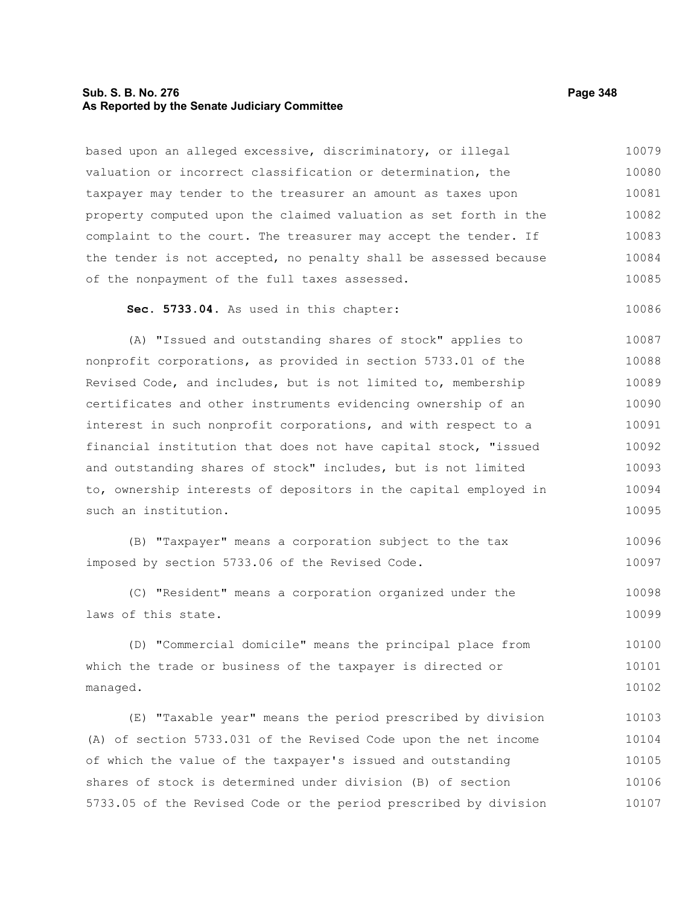## **Sub. S. B. No. 276 Page 348 As Reported by the Senate Judiciary Committee**

based upon an alleged excessive, discriminatory, or illegal valuation or incorrect classification or determination, the taxpayer may tender to the treasurer an amount as taxes upon property computed upon the claimed valuation as set forth in the complaint to the court. The treasurer may accept the tender. If the tender is not accepted, no penalty shall be assessed because of the nonpayment of the full taxes assessed. **Sec. 5733.04.** As used in this chapter: (A) "Issued and outstanding shares of stock" applies to nonprofit corporations, as provided in section 5733.01 of the Revised Code, and includes, but is not limited to, membership certificates and other instruments evidencing ownership of an interest in such nonprofit corporations, and with respect to a financial institution that does not have capital stock, "issued and outstanding shares of stock" includes, but is not limited to, ownership interests of depositors in the capital employed in such an institution. (B) "Taxpayer" means a corporation subject to the tax imposed by section 5733.06 of the Revised Code. (C) "Resident" means a corporation organized under the laws of this state. (D) "Commercial domicile" means the principal place from which the trade or business of the taxpayer is directed or managed. (E) "Taxable year" means the period prescribed by division (A) of section 5733.031 of the Revised Code upon the net income of which the value of the taxpayer's issued and outstanding shares of stock is determined under division (B) of section 5733.05 of the Revised Code or the period prescribed by division 10079 10080 10081 10082 10083 10084 10085 10086 10087 10088 10089 10090 10091 10092 10093 10094 10095 10096 10097 10098 10099 10100 10101 10102 10103 10104 10105 10106 10107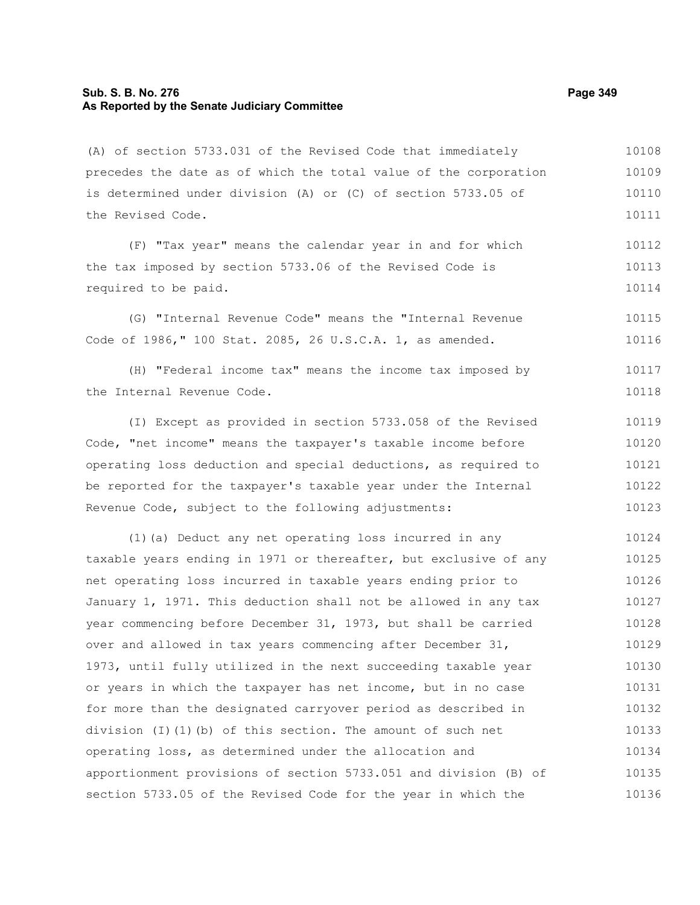# **Sub. S. B. No. 276 Page 349 As Reported by the Senate Judiciary Committee**

(A) of section 5733.031 of the Revised Code that immediately precedes the date as of which the total value of the corporation is determined under division (A) or (C) of section 5733.05 of the Revised Code. 10108 10109 10110 10111

(F) "Tax year" means the calendar year in and for which the tax imposed by section 5733.06 of the Revised Code is required to be paid. 10112 10113 10114

(G) "Internal Revenue Code" means the "Internal Revenue Code of 1986," 100 Stat. 2085, 26 U.S.C.A. 1, as amended. 10115 10116

(H) "Federal income tax" means the income tax imposed by the Internal Revenue Code. 10117 10118

(I) Except as provided in section 5733.058 of the Revised Code, "net income" means the taxpayer's taxable income before operating loss deduction and special deductions, as required to be reported for the taxpayer's taxable year under the Internal Revenue Code, subject to the following adjustments: 10119 10120 10121 10122 10123

(1)(a) Deduct any net operating loss incurred in any taxable years ending in 1971 or thereafter, but exclusive of any net operating loss incurred in taxable years ending prior to January 1, 1971. This deduction shall not be allowed in any tax year commencing before December 31, 1973, but shall be carried over and allowed in tax years commencing after December 31, 1973, until fully utilized in the next succeeding taxable year or years in which the taxpayer has net income, but in no case for more than the designated carryover period as described in division (I)(1)(b) of this section. The amount of such net operating loss, as determined under the allocation and apportionment provisions of section 5733.051 and division (B) of section 5733.05 of the Revised Code for the year in which the 10124 10125 10126 10127 10128 10129 10130 10131 10132 10133 10134 10135 10136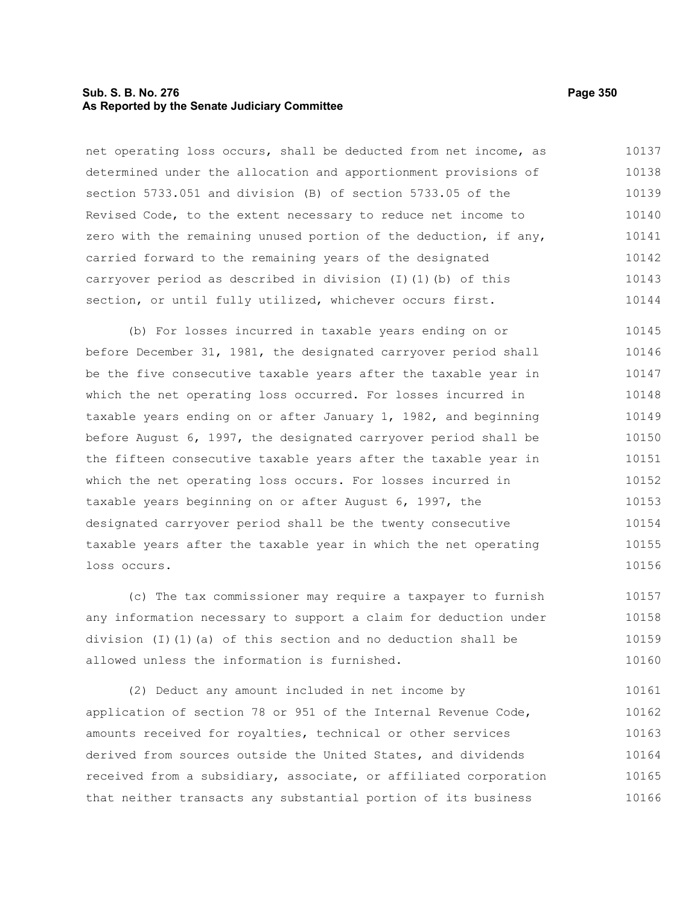## **Sub. S. B. No. 276 Page 350 As Reported by the Senate Judiciary Committee**

net operating loss occurs, shall be deducted from net income, as determined under the allocation and apportionment provisions of section 5733.051 and division (B) of section 5733.05 of the Revised Code, to the extent necessary to reduce net income to zero with the remaining unused portion of the deduction, if any, carried forward to the remaining years of the designated carryover period as described in division (I)(1)(b) of this section, or until fully utilized, whichever occurs first. 10137 10138 10139 10140 10141 10142 10143 10144

(b) For losses incurred in taxable years ending on or before December 31, 1981, the designated carryover period shall be the five consecutive taxable years after the taxable year in which the net operating loss occurred. For losses incurred in taxable years ending on or after January 1, 1982, and beginning before August 6, 1997, the designated carryover period shall be the fifteen consecutive taxable years after the taxable year in which the net operating loss occurs. For losses incurred in taxable years beginning on or after August 6, 1997, the designated carryover period shall be the twenty consecutive taxable years after the taxable year in which the net operating loss occurs. 10145 10146 10147 10148 10149 10150 10151 10152 10153 10154 10155 10156

(c) The tax commissioner may require a taxpayer to furnish any information necessary to support a claim for deduction under division (I)(1)(a) of this section and no deduction shall be allowed unless the information is furnished. 10157 10158 10159 10160

(2) Deduct any amount included in net income by application of section 78 or 951 of the Internal Revenue Code, amounts received for royalties, technical or other services derived from sources outside the United States, and dividends received from a subsidiary, associate, or affiliated corporation that neither transacts any substantial portion of its business 10161 10162 10163 10164 10165 10166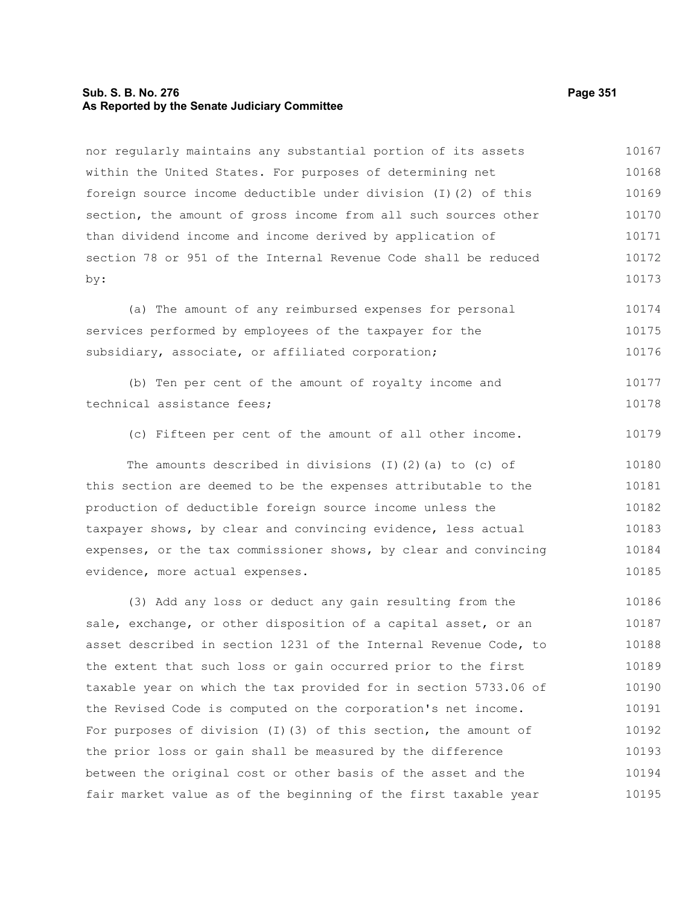## **Sub. S. B. No. 276 Page 351 As Reported by the Senate Judiciary Committee**

nor regularly maintains any substantial portion of its assets within the United States. For purposes of determining net foreign source income deductible under division (I)(2) of this section, the amount of gross income from all such sources other than dividend income and income derived by application of section 78 or 951 of the Internal Revenue Code shall be reduced by: 10167 10168 10169 10170 10171 10172 10173

(a) The amount of any reimbursed expenses for personal services performed by employees of the taxpayer for the subsidiary, associate, or affiliated corporation; 10174 10175 10176

|                            |  |  |  | (b) Ten per cent of the amount of royalty income and |  | 10177 |
|----------------------------|--|--|--|------------------------------------------------------|--|-------|
| technical assistance fees; |  |  |  |                                                      |  | 10178 |

(c) Fifteen per cent of the amount of all other income. 10179

The amounts described in divisions (I)(2)(a) to (c) of this section are deemed to be the expenses attributable to the production of deductible foreign source income unless the taxpayer shows, by clear and convincing evidence, less actual expenses, or the tax commissioner shows, by clear and convincing evidence, more actual expenses. 10180 10181 10182 10183 10184 10185

(3) Add any loss or deduct any gain resulting from the sale, exchange, or other disposition of a capital asset, or an asset described in section 1231 of the Internal Revenue Code, to the extent that such loss or gain occurred prior to the first taxable year on which the tax provided for in section 5733.06 of the Revised Code is computed on the corporation's net income. For purposes of division (I)(3) of this section, the amount of the prior loss or gain shall be measured by the difference between the original cost or other basis of the asset and the fair market value as of the beginning of the first taxable year 10186 10187 10188 10189 10190 10191 10192 10193 10194 10195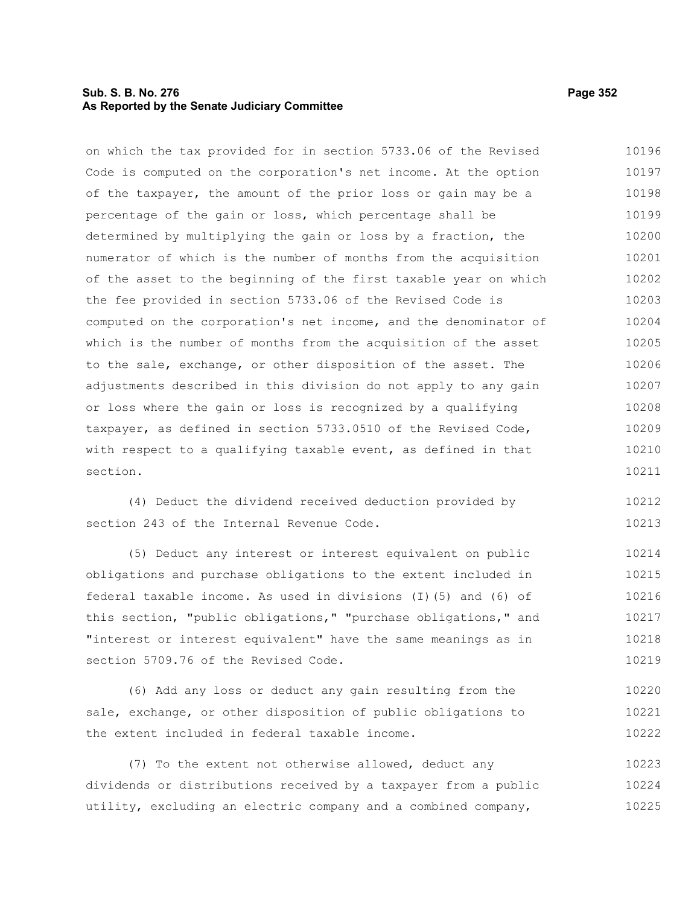# **Sub. S. B. No. 276 Page 352 As Reported by the Senate Judiciary Committee**

on which the tax provided for in section 5733.06 of the Revised Code is computed on the corporation's net income. At the option of the taxpayer, the amount of the prior loss or gain may be a percentage of the gain or loss, which percentage shall be determined by multiplying the gain or loss by a fraction, the numerator of which is the number of months from the acquisition of the asset to the beginning of the first taxable year on which the fee provided in section 5733.06 of the Revised Code is computed on the corporation's net income, and the denominator of which is the number of months from the acquisition of the asset to the sale, exchange, or other disposition of the asset. The adjustments described in this division do not apply to any gain or loss where the gain or loss is recognized by a qualifying taxpayer, as defined in section 5733.0510 of the Revised Code, with respect to a qualifying taxable event, as defined in that section. 10196 10197 10198 10199 10200 10201 10202 10203 10204 10205 10206 10207 10208 10209 10210 10211

(4) Deduct the dividend received deduction provided by section 243 of the Internal Revenue Code. 10212 10213

(5) Deduct any interest or interest equivalent on public obligations and purchase obligations to the extent included in federal taxable income. As used in divisions (I)(5) and (6) of this section, "public obligations," "purchase obligations," and "interest or interest equivalent" have the same meanings as in section 5709.76 of the Revised Code. 10214 10215 10216 10217 10218 10219

(6) Add any loss or deduct any gain resulting from the sale, exchange, or other disposition of public obligations to the extent included in federal taxable income. 10220 10221 10222

(7) To the extent not otherwise allowed, deduct any dividends or distributions received by a taxpayer from a public utility, excluding an electric company and a combined company, 10223 10224 10225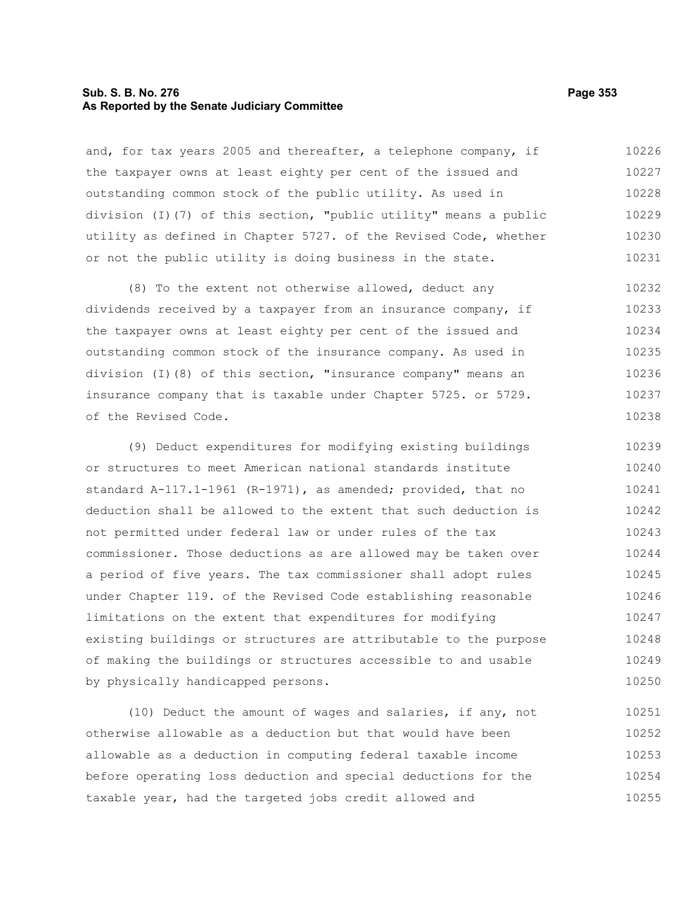# **Sub. S. B. No. 276 Page 353 As Reported by the Senate Judiciary Committee**

and, for tax years 2005 and thereafter, a telephone company, if the taxpayer owns at least eighty per cent of the issued and outstanding common stock of the public utility. As used in division (I)(7) of this section, "public utility" means a public utility as defined in Chapter 5727. of the Revised Code, whether or not the public utility is doing business in the state. 10226 10227 10228 10229 10230 10231

(8) To the extent not otherwise allowed, deduct any dividends received by a taxpayer from an insurance company, if the taxpayer owns at least eighty per cent of the issued and outstanding common stock of the insurance company. As used in division (I)(8) of this section, "insurance company" means an insurance company that is taxable under Chapter 5725. or 5729. of the Revised Code. 10232 10233 10234 10235 10236 10237 10238

(9) Deduct expenditures for modifying existing buildings or structures to meet American national standards institute standard A-117.1-1961 (R-1971), as amended; provided, that no deduction shall be allowed to the extent that such deduction is not permitted under federal law or under rules of the tax commissioner. Those deductions as are allowed may be taken over a period of five years. The tax commissioner shall adopt rules under Chapter 119. of the Revised Code establishing reasonable limitations on the extent that expenditures for modifying existing buildings or structures are attributable to the purpose of making the buildings or structures accessible to and usable by physically handicapped persons. 10239 10240 10241 10242 10243 10244 10245 10246 10247 10248 10249 10250

(10) Deduct the amount of wages and salaries, if any, not otherwise allowable as a deduction but that would have been allowable as a deduction in computing federal taxable income before operating loss deduction and special deductions for the taxable year, had the targeted jobs credit allowed and 10251 10252 10253 10254 10255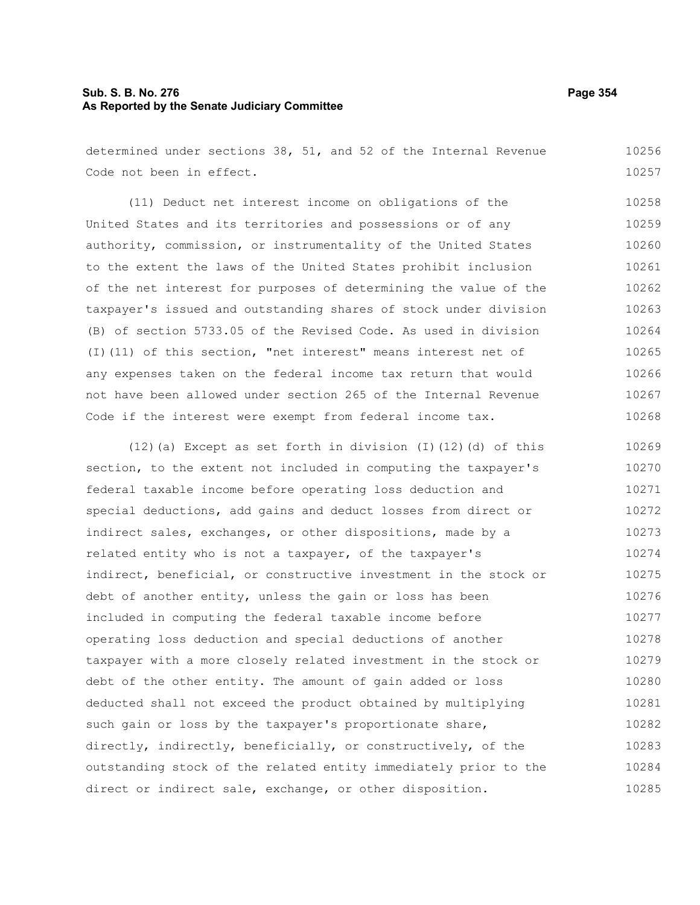# **Sub. S. B. No. 276 Page 354 As Reported by the Senate Judiciary Committee**

determined under sections 38, 51, and 52 of the Internal Revenue Code not been in effect. 10256 10257

(11) Deduct net interest income on obligations of the United States and its territories and possessions or of any authority, commission, or instrumentality of the United States to the extent the laws of the United States prohibit inclusion of the net interest for purposes of determining the value of the taxpayer's issued and outstanding shares of stock under division (B) of section 5733.05 of the Revised Code. As used in division (I)(11) of this section, "net interest" means interest net of any expenses taken on the federal income tax return that would not have been allowed under section 265 of the Internal Revenue Code if the interest were exempt from federal income tax. 10258 10259 10260 10261 10262 10263 10264 10265 10266 10267 10268

(12)(a) Except as set forth in division (I)(12)(d) of this section, to the extent not included in computing the taxpayer's federal taxable income before operating loss deduction and special deductions, add gains and deduct losses from direct or indirect sales, exchanges, or other dispositions, made by a related entity who is not a taxpayer, of the taxpayer's indirect, beneficial, or constructive investment in the stock or debt of another entity, unless the gain or loss has been included in computing the federal taxable income before operating loss deduction and special deductions of another taxpayer with a more closely related investment in the stock or debt of the other entity. The amount of gain added or loss deducted shall not exceed the product obtained by multiplying such gain or loss by the taxpayer's proportionate share, directly, indirectly, beneficially, or constructively, of the outstanding stock of the related entity immediately prior to the direct or indirect sale, exchange, or other disposition. 10269 10270 10271 10272 10273 10274 10275 10276 10277 10278 10279 10280 10281 10282 10283 10284 10285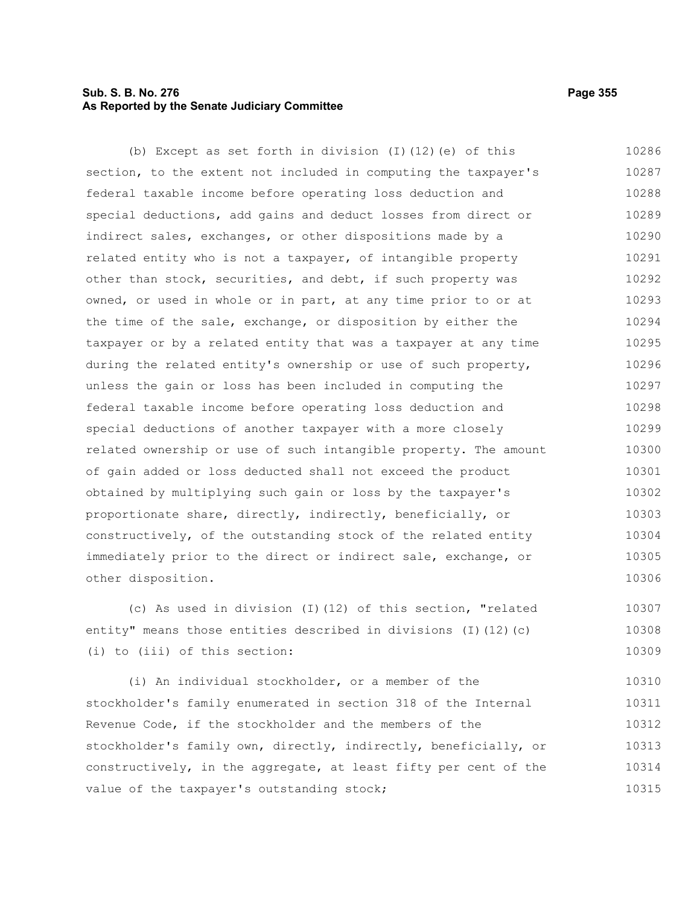# **Sub. S. B. No. 276 Page 355 As Reported by the Senate Judiciary Committee**

(b) Except as set forth in division (I)(12)(e) of this section, to the extent not included in computing the taxpayer's federal taxable income before operating loss deduction and special deductions, add gains and deduct losses from direct or indirect sales, exchanges, or other dispositions made by a related entity who is not a taxpayer, of intangible property other than stock, securities, and debt, if such property was owned, or used in whole or in part, at any time prior to or at the time of the sale, exchange, or disposition by either the taxpayer or by a related entity that was a taxpayer at any time during the related entity's ownership or use of such property, unless the gain or loss has been included in computing the federal taxable income before operating loss deduction and special deductions of another taxpayer with a more closely related ownership or use of such intangible property. The amount of gain added or loss deducted shall not exceed the product obtained by multiplying such gain or loss by the taxpayer's proportionate share, directly, indirectly, beneficially, or constructively, of the outstanding stock of the related entity immediately prior to the direct or indirect sale, exchange, or other disposition. 10286 10287 10288 10289 10290 10291 10292 10293 10294 10295 10296 10297 10298 10299 10300 10301 10302 10303 10304 10305 10306

(c) As used in division (I)(12) of this section, "related entity" means those entities described in divisions (I)(12)(c) (i) to (iii) of this section: 10307 10308 10309

(i) An individual stockholder, or a member of the stockholder's family enumerated in section 318 of the Internal Revenue Code, if the stockholder and the members of the stockholder's family own, directly, indirectly, beneficially, or constructively, in the aggregate, at least fifty per cent of the value of the taxpayer's outstanding stock; 10310 10311 10312 10313 10314 10315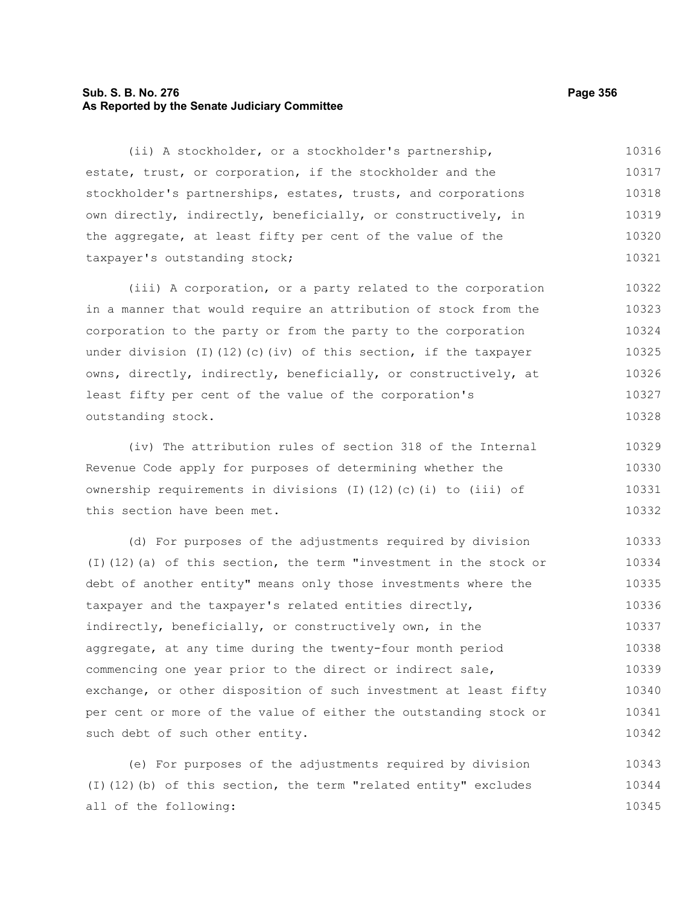# **Sub. S. B. No. 276 Page 356 As Reported by the Senate Judiciary Committee**

(ii) A stockholder, or a stockholder's partnership, estate, trust, or corporation, if the stockholder and the stockholder's partnerships, estates, trusts, and corporations own directly, indirectly, beneficially, or constructively, in the aggregate, at least fifty per cent of the value of the taxpayer's outstanding stock; 10316 10317 10318 10319 10320 10321

(iii) A corporation, or a party related to the corporation in a manner that would require an attribution of stock from the corporation to the party or from the party to the corporation under division (I)(12)(c)(iv) of this section, if the taxpayer owns, directly, indirectly, beneficially, or constructively, at least fifty per cent of the value of the corporation's outstanding stock. 10322 10323 10324 10325 10326 10327 10328

(iv) The attribution rules of section 318 of the Internal Revenue Code apply for purposes of determining whether the ownership requirements in divisions (I)(12)(c)(i) to (iii) of this section have been met. 10329 10330 10331 10332

(d) For purposes of the adjustments required by division (I)(12)(a) of this section, the term "investment in the stock or debt of another entity" means only those investments where the taxpayer and the taxpayer's related entities directly, indirectly, beneficially, or constructively own, in the aggregate, at any time during the twenty-four month period commencing one year prior to the direct or indirect sale, exchange, or other disposition of such investment at least fifty per cent or more of the value of either the outstanding stock or such debt of such other entity. 10333 10334 10335 10336 10337 10338 10339 10340 10341 10342

(e) For purposes of the adjustments required by division (I)(12)(b) of this section, the term "related entity" excludes all of the following: 10343 10344 10345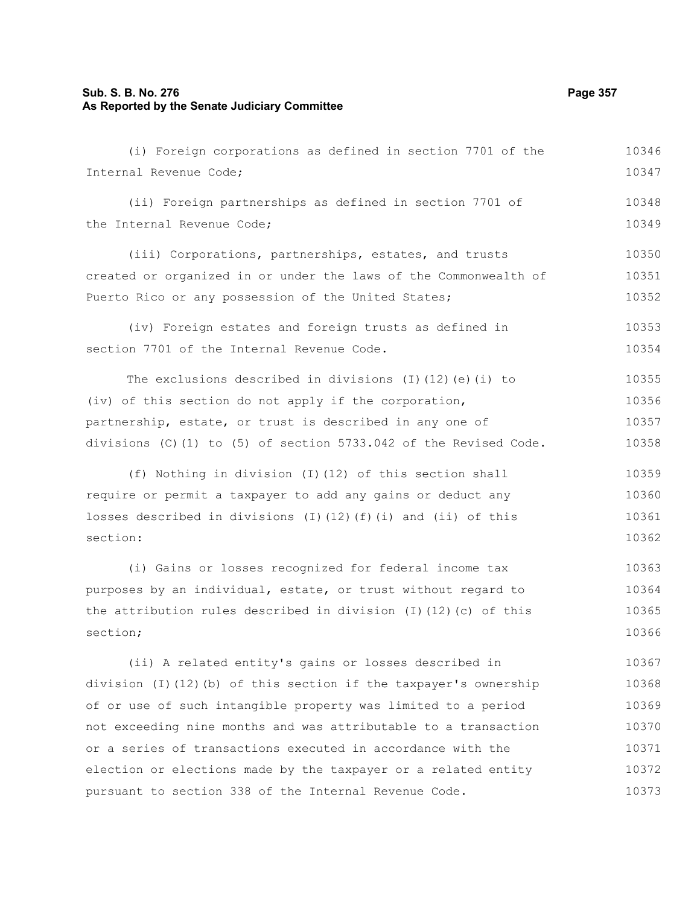## **Sub. S. B. No. 276 Page 357 As Reported by the Senate Judiciary Committee**

(i) Foreign corporations as defined in section 7701 of the Internal Revenue Code; (ii) Foreign partnerships as defined in section 7701 of the Internal Revenue Code; (iii) Corporations, partnerships, estates, and trusts created or organized in or under the laws of the Commonwealth of Puerto Rico or any possession of the United States; (iv) Foreign estates and foreign trusts as defined in section 7701 of the Internal Revenue Code. The exclusions described in divisions (I)(12)(e)(i) to (iv) of this section do not apply if the corporation, partnership, estate, or trust is described in any one of divisions  $(C)$  (1) to (5) of section 5733.042 of the Revised Code. (f) Nothing in division (I)(12) of this section shall require or permit a taxpayer to add any gains or deduct any losses described in divisions  $(I)(12)(f)(i)$  and  $(ii)$  of this section: (i) Gains or losses recognized for federal income tax purposes by an individual, estate, or trust without regard to the attribution rules described in division (I)(12)(c) of this section; (ii) A related entity's gains or losses described in division (I)(12)(b) of this section if the taxpayer's ownership of or use of such intangible property was limited to a period not exceeding nine months and was attributable to a transaction or a series of transactions executed in accordance with the election or elections made by the taxpayer or a related entity pursuant to section 338 of the Internal Revenue Code. 10346 10347 10348 10349 10350 10351 10352 10353 10354 10355 10356 10357 10358 10359 10360 10361 10362 10363 10364 10365 10366 10367 10368 10369 10370 10371 10372 10373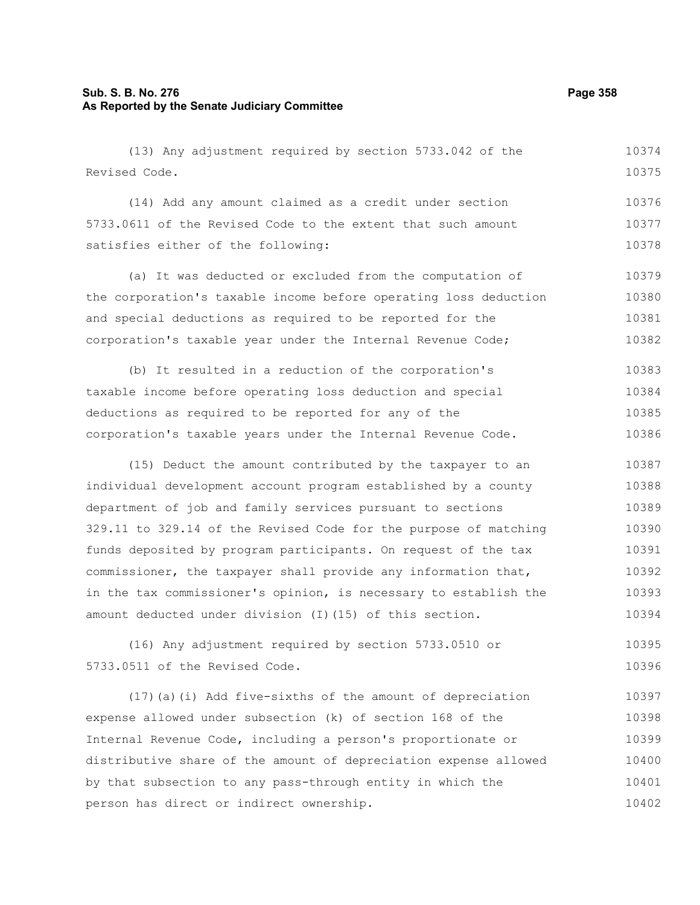# **Sub. S. B. No. 276 Page 358 As Reported by the Senate Judiciary Committee**

(13) Any adjustment required by section 5733.042 of the Revised Code. 10374 10375

(14) Add any amount claimed as a credit under section 5733.0611 of the Revised Code to the extent that such amount satisfies either of the following: 10376 10377 10378

(a) It was deducted or excluded from the computation of the corporation's taxable income before operating loss deduction and special deductions as required to be reported for the corporation's taxable year under the Internal Revenue Code; 10379 10380 10381 10382

(b) It resulted in a reduction of the corporation's taxable income before operating loss deduction and special deductions as required to be reported for any of the corporation's taxable years under the Internal Revenue Code. 10383 10384 10385 10386

(15) Deduct the amount contributed by the taxpayer to an individual development account program established by a county department of job and family services pursuant to sections 329.11 to 329.14 of the Revised Code for the purpose of matching funds deposited by program participants. On request of the tax commissioner, the taxpayer shall provide any information that, in the tax commissioner's opinion, is necessary to establish the amount deducted under division (I)(15) of this section. 10387 10388 10389 10390 10391 10392 10393 10394

(16) Any adjustment required by section 5733.0510 or 5733.0511 of the Revised Code. 10395 10396

(17)(a)(i) Add five-sixths of the amount of depreciation expense allowed under subsection (k) of section 168 of the Internal Revenue Code, including a person's proportionate or distributive share of the amount of depreciation expense allowed by that subsection to any pass-through entity in which the person has direct or indirect ownership. 10397 10398 10399 10400 10401 10402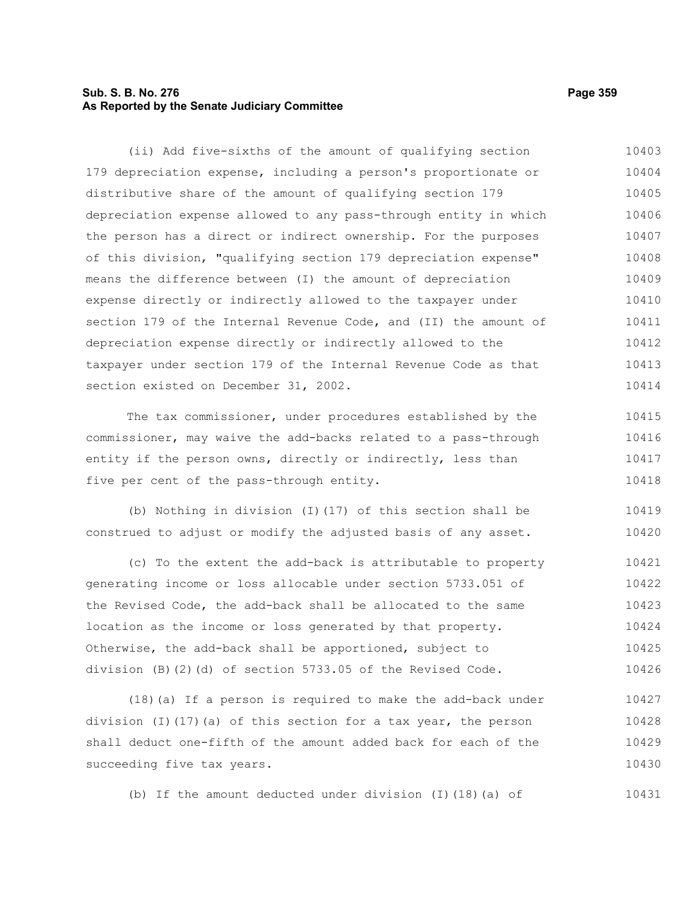# **Sub. S. B. No. 276 Page 359 As Reported by the Senate Judiciary Committee**

179 depreciation expense, including a person's proportionate or distributive share of the amount of qualifying section 179 depreciation expense allowed to any pass-through entity in which the person has a direct or indirect ownership. For the purposes of this division, "qualifying section 179 depreciation expense" means the difference between (I) the amount of depreciation expense directly or indirectly allowed to the taxpayer under section 179 of the Internal Revenue Code, and (II) the amount of depreciation expense directly or indirectly allowed to the taxpayer under section 179 of the Internal Revenue Code as that section existed on December 31, 2002. The tax commissioner, under procedures established by the commissioner, may waive the add-backs related to a pass-through entity if the person owns, directly or indirectly, less than five per cent of the pass-through entity. (b) Nothing in division (I)(17) of this section shall be construed to adjust or modify the adjusted basis of any asset. (c) To the extent the add-back is attributable to property 10404 10405 10406 10407 10408 10409 10410 10411 10412 10413 10414 10415 10416 10417 10418 10419 10420 10421

(ii) Add five-sixths of the amount of qualifying section

generating income or loss allocable under section 5733.051 of the Revised Code, the add-back shall be allocated to the same location as the income or loss generated by that property. Otherwise, the add-back shall be apportioned, subject to division (B)(2)(d) of section 5733.05 of the Revised Code. 10422 10423 10424 10425 10426

(18)(a) If a person is required to make the add-back under division (I)(17)(a) of this section for a tax year, the person shall deduct one-fifth of the amount added back for each of the succeeding five tax years. 10427 10428 10429 10430

(b) If the amount deducted under division (I)(18)(a) of

10403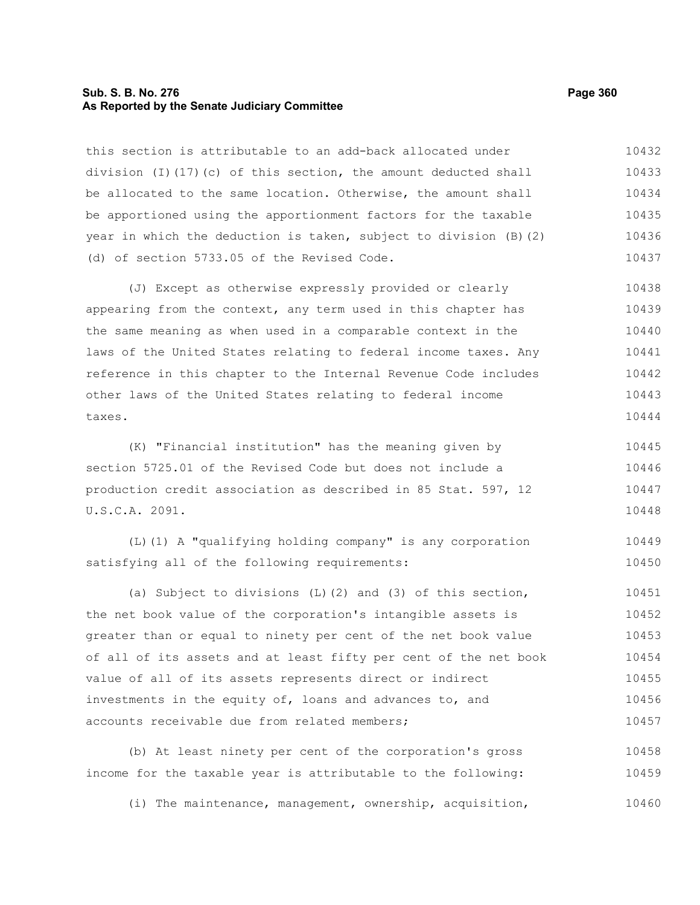# **Sub. S. B. No. 276 Page 360 As Reported by the Senate Judiciary Committee**

this section is attributable to an add-back allocated under division (I)(17)(c) of this section, the amount deducted shall be allocated to the same location. Otherwise, the amount shall be apportioned using the apportionment factors for the taxable year in which the deduction is taken, subject to division (B)(2) (d) of section 5733.05 of the Revised Code. 10432 10433 10434 10435 10436 10437

(J) Except as otherwise expressly provided or clearly appearing from the context, any term used in this chapter has the same meaning as when used in a comparable context in the laws of the United States relating to federal income taxes. Any reference in this chapter to the Internal Revenue Code includes other laws of the United States relating to federal income taxes. 10438 10439 10440 10441 10442 10443 10444

(K) "Financial institution" has the meaning given by section 5725.01 of the Revised Code but does not include a production credit association as described in 85 Stat. 597, 12 U.S.C.A. 2091. 10445 10446 10447 10448

(L)(1) A "qualifying holding company" is any corporation satisfying all of the following requirements: 10449 10450

(a) Subject to divisions (L)(2) and (3) of this section, the net book value of the corporation's intangible assets is greater than or equal to ninety per cent of the net book value of all of its assets and at least fifty per cent of the net book value of all of its assets represents direct or indirect investments in the equity of, loans and advances to, and accounts receivable due from related members; 10451 10452 10453 10454 10455 10456 10457

(b) At least ninety per cent of the corporation's gross income for the taxable year is attributable to the following: 10458 10459

(i) The maintenance, management, ownership, acquisition, 10460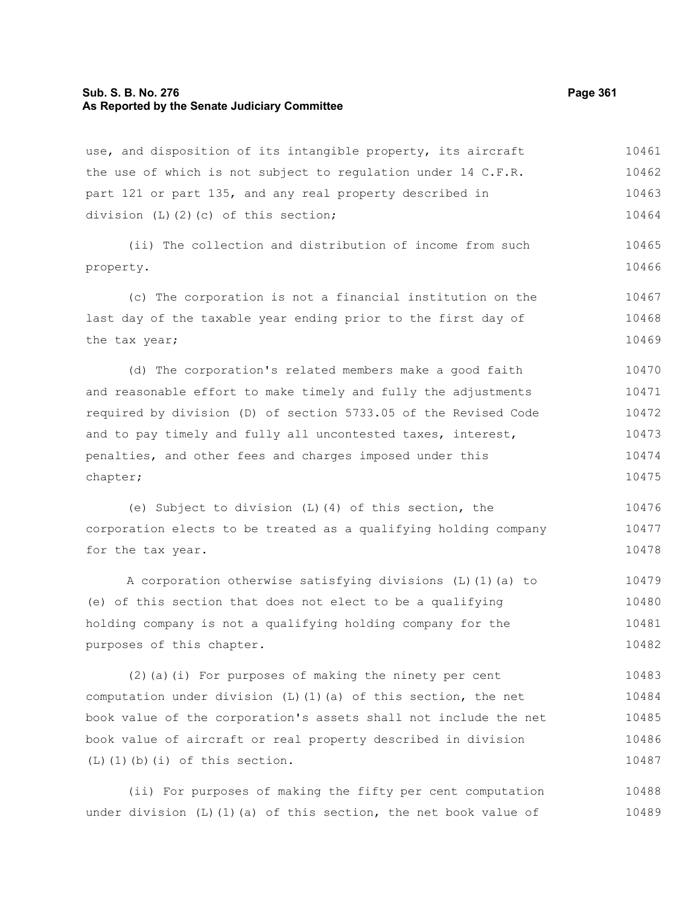#### **Sub. S. B. No. 276 Page 361 As Reported by the Senate Judiciary Committee**

use, and disposition of its intangible property, its aircraft the use of which is not subject to regulation under 14 C.F.R. part 121 or part 135, and any real property described in division (L)(2)(c) of this section; 10461 10462 10463 10464

(ii) The collection and distribution of income from such property. 10465 10466

(c) The corporation is not a financial institution on the last day of the taxable year ending prior to the first day of the tax year; 10467 10468 10469

(d) The corporation's related members make a good faith and reasonable effort to make timely and fully the adjustments required by division (D) of section 5733.05 of the Revised Code and to pay timely and fully all uncontested taxes, interest, penalties, and other fees and charges imposed under this chapter; 10470 10471 10472 10473 10474 10475

(e) Subject to division (L)(4) of this section, the corporation elects to be treated as a qualifying holding company for the tax year. 10476 10477 10478

A corporation otherwise satisfying divisions (L)(1)(a) to (e) of this section that does not elect to be a qualifying holding company is not a qualifying holding company for the purposes of this chapter. 10479 10480 10481 10482

(2)(a)(i) For purposes of making the ninety per cent computation under division  $(L)$  (1)(a) of this section, the net book value of the corporation's assets shall not include the net book value of aircraft or real property described in division (L)(1)(b)(i) of this section. 10483 10484 10485 10486 10487

(ii) For purposes of making the fifty per cent computation under division  $(L)$  (1)(a) of this section, the net book value of 10488 10489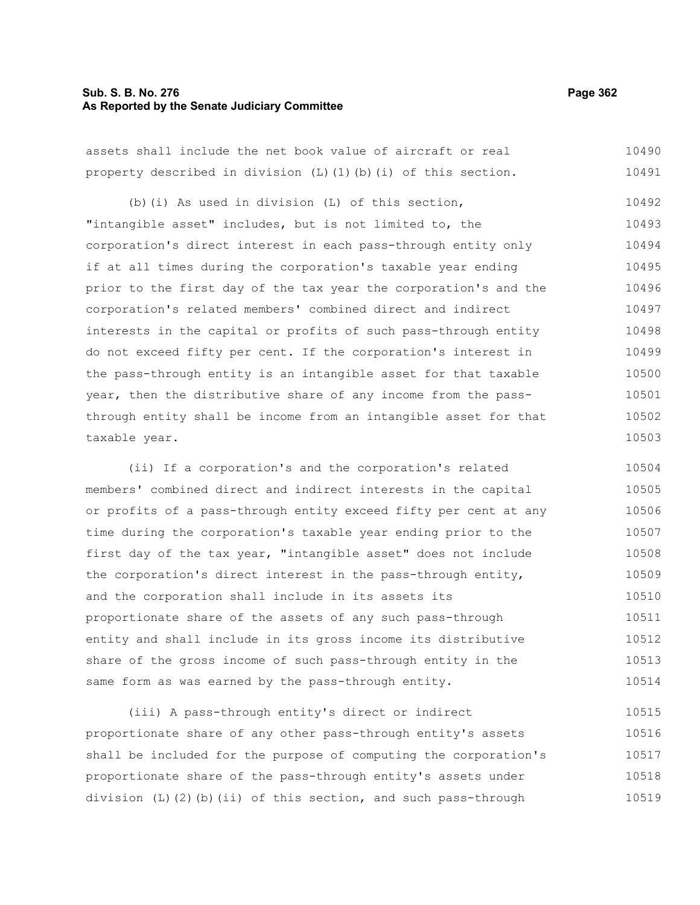#### **Sub. S. B. No. 276 Page 362 As Reported by the Senate Judiciary Committee**

assets shall include the net book value of aircraft or real property described in division (L)(1)(b)(i) of this section. 10490 10491

(b)(i) As used in division (L) of this section, "intangible asset" includes, but is not limited to, the corporation's direct interest in each pass-through entity only if at all times during the corporation's taxable year ending prior to the first day of the tax year the corporation's and the corporation's related members' combined direct and indirect interests in the capital or profits of such pass-through entity do not exceed fifty per cent. If the corporation's interest in the pass-through entity is an intangible asset for that taxable year, then the distributive share of any income from the passthrough entity shall be income from an intangible asset for that taxable year. 10492 10493 10494 10495 10496 10497 10498 10499 10500 10501 10502 10503

(ii) If a corporation's and the corporation's related members' combined direct and indirect interests in the capital or profits of a pass-through entity exceed fifty per cent at any time during the corporation's taxable year ending prior to the first day of the tax year, "intangible asset" does not include the corporation's direct interest in the pass-through entity, and the corporation shall include in its assets its proportionate share of the assets of any such pass-through entity and shall include in its gross income its distributive share of the gross income of such pass-through entity in the same form as was earned by the pass-through entity. 10504 10505 10506 10507 10508 10509 10510 10511 10512 10513 10514

(iii) A pass-through entity's direct or indirect proportionate share of any other pass-through entity's assets shall be included for the purpose of computing the corporation's proportionate share of the pass-through entity's assets under division (L)(2)(b)(ii) of this section, and such pass-through 10515 10516 10517 10518 10519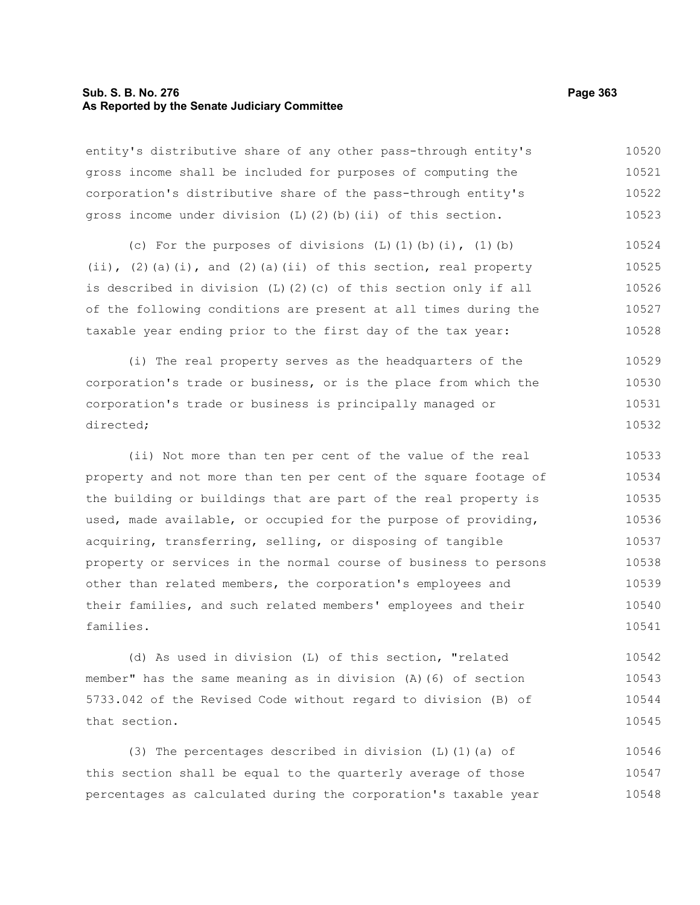# **Sub. S. B. No. 276 Page 363 As Reported by the Senate Judiciary Committee**

entity's distributive share of any other pass-through entity's gross income shall be included for purposes of computing the corporation's distributive share of the pass-through entity's gross income under division  $(L)$   $(2)$   $(b)$   $(ii)$  of this section. 10520 10521 10522 10523

(c) For the purposes of divisions  $(L)$   $(l)$   $(b)$   $(i)$ ,  $(l)$   $(b)$  $(i)$ ,  $(2)$  (a)(i), and  $(2)$  (a)(ii) of this section, real property is described in division (L)(2)(c) of this section only if all of the following conditions are present at all times during the taxable year ending prior to the first day of the tax year: 10524 10525 10526 10527 10528

(i) The real property serves as the headquarters of the corporation's trade or business, or is the place from which the corporation's trade or business is principally managed or directed; 10529 10530 10531 10532

(ii) Not more than ten per cent of the value of the real property and not more than ten per cent of the square footage of the building or buildings that are part of the real property is used, made available, or occupied for the purpose of providing, acquiring, transferring, selling, or disposing of tangible property or services in the normal course of business to persons other than related members, the corporation's employees and their families, and such related members' employees and their families. 10533 10534 10535 10536 10537 10538 10539 10540 10541

(d) As used in division (L) of this section, "related member" has the same meaning as in division (A)(6) of section 5733.042 of the Revised Code without regard to division (B) of that section. 10542 10543 10544 10545

(3) The percentages described in division (L)(1)(a) of this section shall be equal to the quarterly average of those percentages as calculated during the corporation's taxable year 10546 10547 10548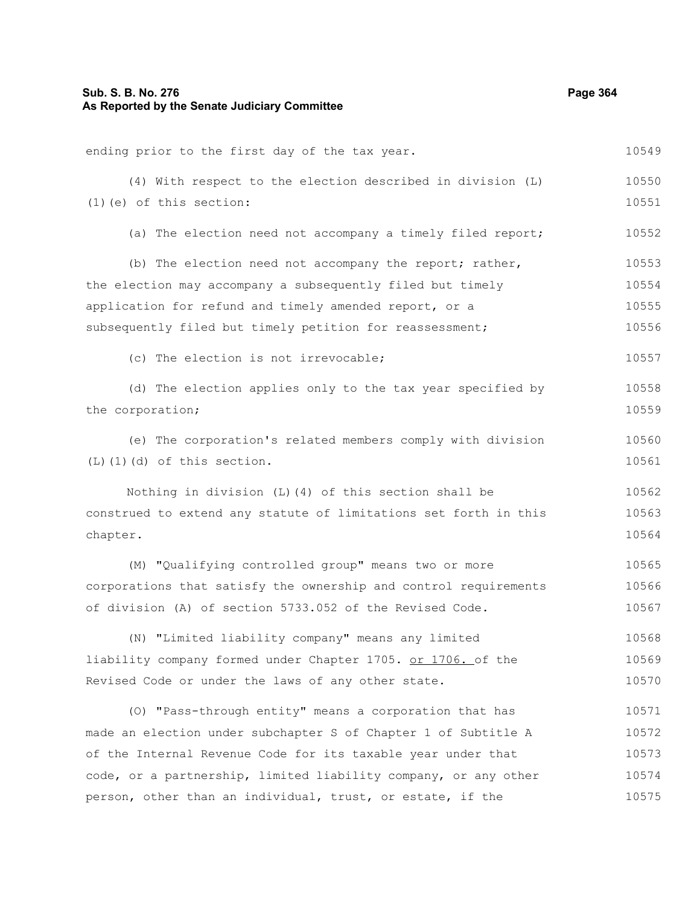ending prior to the first day of the tax year. (4) With respect to the election described in division (L) (1)(e) of this section: (a) The election need not accompany a timely filed report; (b) The election need not accompany the report; rather, the election may accompany a subsequently filed but timely application for refund and timely amended report, or a subsequently filed but timely petition for reassessment; (c) The election is not irrevocable; (d) The election applies only to the tax year specified by the corporation; (e) The corporation's related members comply with division (L)(1)(d) of this section. Nothing in division (L)(4) of this section shall be construed to extend any statute of limitations set forth in this chapter. (M) "Qualifying controlled group" means two or more corporations that satisfy the ownership and control requirements of division (A) of section 5733.052 of the Revised Code. (N) "Limited liability company" means any limited liability company formed under Chapter 1705. or 1706. of the Revised Code or under the laws of any other state. (O) "Pass-through entity" means a corporation that has made an election under subchapter S of Chapter 1 of Subtitle A of the Internal Revenue Code for its taxable year under that 10549 10550 10551 10552 10553 10554 10555 10556 10557 10558 10559 10560 10561 10562 10563 10564 10565 10566 10567 10568 10569 10570 10571 10572 10573

code, or a partnership, limited liability company, or any other person, other than an individual, trust, or estate, if the 10574 10575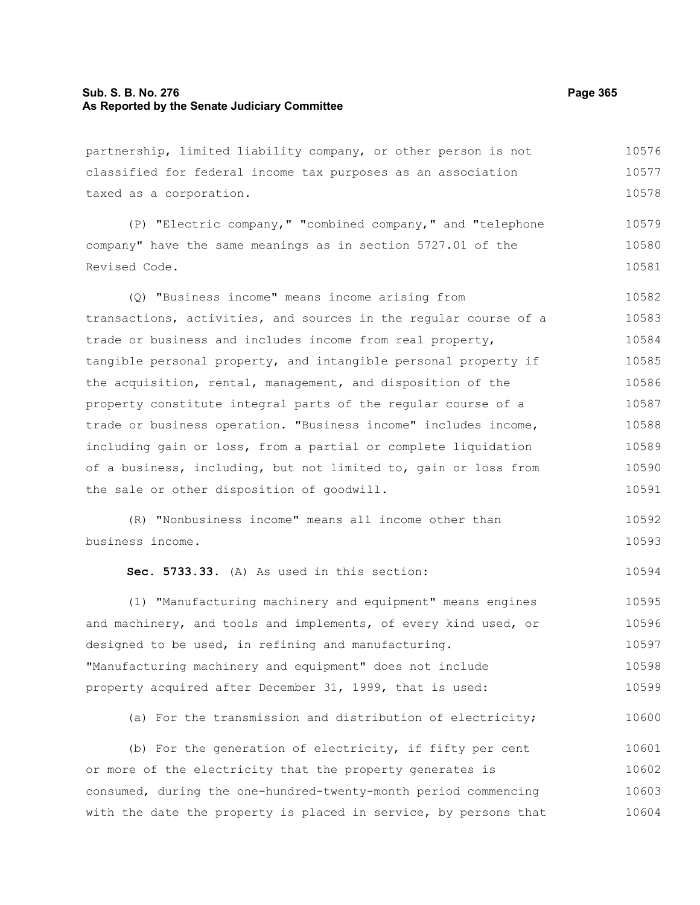#### **Sub. S. B. No. 276 Page 365 As Reported by the Senate Judiciary Committee**

partnership, limited liability company, or other person is not classified for federal income tax purposes as an association taxed as a corporation. 10576 10577 10578

(P) "Electric company," "combined company," and "telephone company" have the same meanings as in section 5727.01 of the Revised Code. 10579 10580 10581

(Q) "Business income" means income arising from transactions, activities, and sources in the regular course of a trade or business and includes income from real property, tangible personal property, and intangible personal property if the acquisition, rental, management, and disposition of the property constitute integral parts of the regular course of a trade or business operation. "Business income" includes income, including gain or loss, from a partial or complete liquidation of a business, including, but not limited to, gain or loss from the sale or other disposition of goodwill. 10582 10583 10584 10585 10586 10587 10588 10589 10590 10591

(R) "Nonbusiness income" means all income other than business income. 10592 10593

**Sec. 5733.33.** (A) As used in this section:

(1) "Manufacturing machinery and equipment" means engines and machinery, and tools and implements, of every kind used, or designed to be used, in refining and manufacturing. "Manufacturing machinery and equipment" does not include property acquired after December 31, 1999, that is used: 10595 10596 10597 10598 10599

(a) For the transmission and distribution of electricity; 10600

(b) For the generation of electricity, if fifty per cent or more of the electricity that the property generates is consumed, during the one-hundred-twenty-month period commencing with the date the property is placed in service, by persons that 10601 10602 10603 10604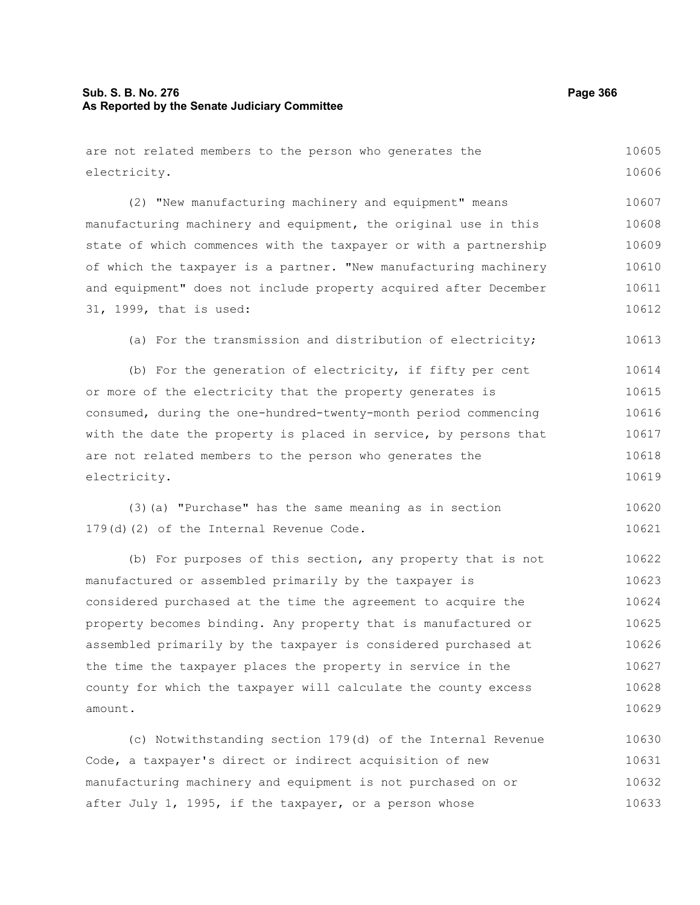# **Sub. S. B. No. 276 Page 366 As Reported by the Senate Judiciary Committee**

are not related members to the person who generates the electricity. (2) "New manufacturing machinery and equipment" means manufacturing machinery and equipment, the original use in this state of which commences with the taxpayer or with a partnership of which the taxpayer is a partner. "New manufacturing machinery and equipment" does not include property acquired after December 31, 1999, that is used: (a) For the transmission and distribution of electricity; (b) For the generation of electricity, if fifty per cent or more of the electricity that the property generates is consumed, during the one-hundred-twenty-month period commencing with the date the property is placed in service, by persons that are not related members to the person who generates the electricity. (3)(a) "Purchase" has the same meaning as in section 179(d)(2) of the Internal Revenue Code. (b) For purposes of this section, any property that is not manufactured or assembled primarily by the taxpayer is considered purchased at the time the agreement to acquire the property becomes binding. Any property that is manufactured or assembled primarily by the taxpayer is considered purchased at 10605 10606 10607 10608 10609 10610 10611 10612 10613 10614 10615 10616 10617 10618 10619 10620 10621 10622 10623 10624 10625 10626

the time the taxpayer places the property in service in the county for which the taxpayer will calculate the county excess amount. 10627 10628 10629

(c) Notwithstanding section 179(d) of the Internal Revenue Code, a taxpayer's direct or indirect acquisition of new manufacturing machinery and equipment is not purchased on or after July 1, 1995, if the taxpayer, or a person whose 10630 10631 10632 10633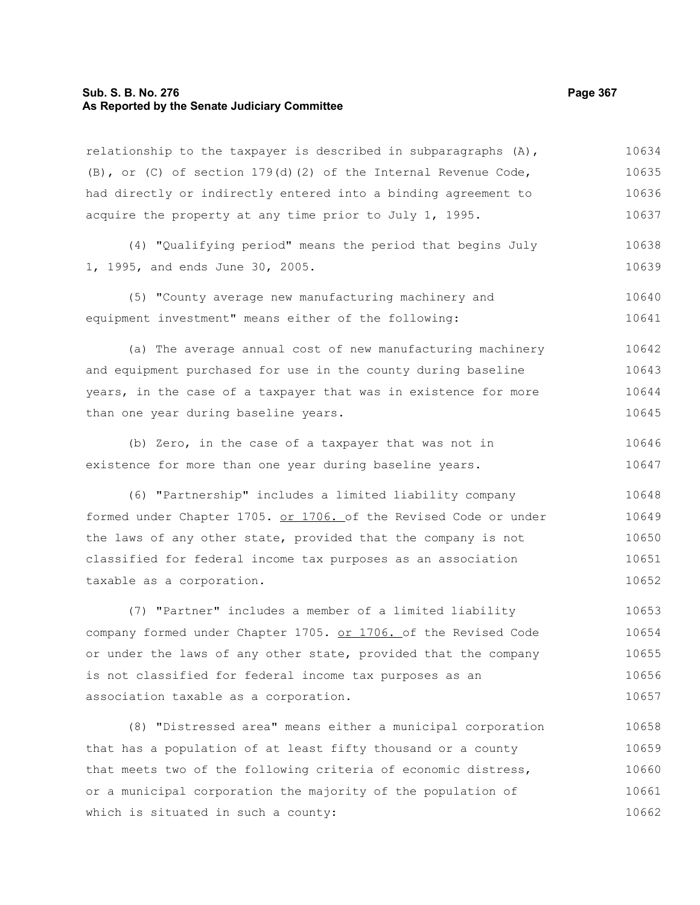# **Sub. S. B. No. 276 Page 367 As Reported by the Senate Judiciary Committee**

relationship to the taxpayer is described in subparagraphs  $(A)$ , (B), or (C) of section 179(d)(2) of the Internal Revenue Code, had directly or indirectly entered into a binding agreement to acquire the property at any time prior to July 1, 1995. 10634 10635 10636 10637

(4) "Qualifying period" means the period that begins July 1, 1995, and ends June 30, 2005. 10638 10639

(5) "County average new manufacturing machinery and equipment investment" means either of the following: 10640 10641

(a) The average annual cost of new manufacturing machinery and equipment purchased for use in the county during baseline years, in the case of a taxpayer that was in existence for more than one year during baseline years. 10642 10643 10644 10645

(b) Zero, in the case of a taxpayer that was not in existence for more than one year during baseline years. 10646 10647

(6) "Partnership" includes a limited liability company formed under Chapter 1705. or 1706. of the Revised Code or under the laws of any other state, provided that the company is not classified for federal income tax purposes as an association taxable as a corporation. 10648 10649 10650 10651 10652

(7) "Partner" includes a member of a limited liability company formed under Chapter 1705. or 1706. of the Revised Code or under the laws of any other state, provided that the company is not classified for federal income tax purposes as an association taxable as a corporation. 10653 10654 10655 10656 10657

(8) "Distressed area" means either a municipal corporation that has a population of at least fifty thousand or a county that meets two of the following criteria of economic distress, or a municipal corporation the majority of the population of which is situated in such a county: 10658 10659 10660 10661 10662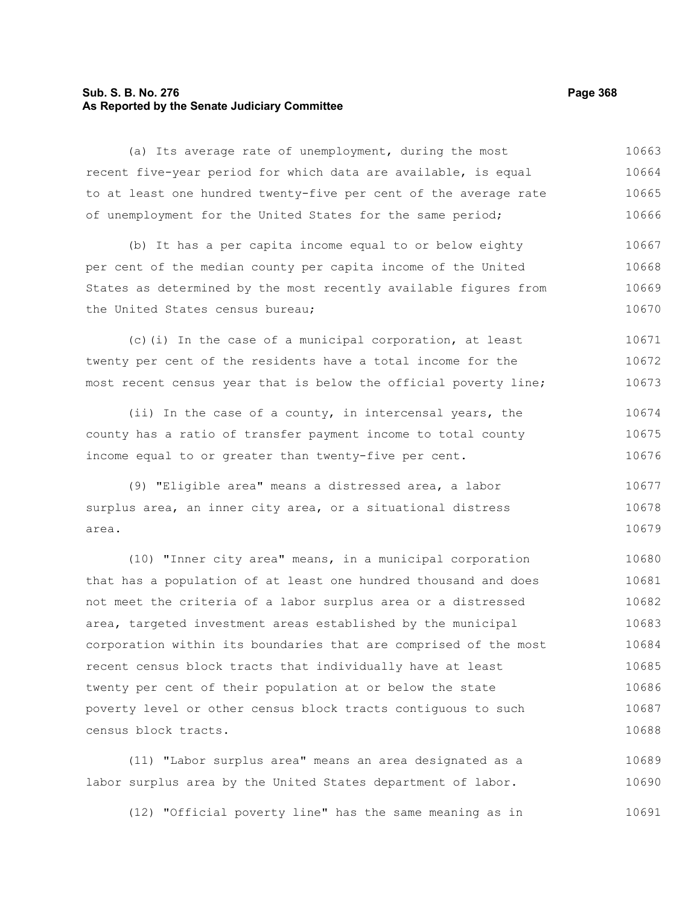# **Sub. S. B. No. 276 Page 368 As Reported by the Senate Judiciary Committee**

(a) Its average rate of unemployment, during the most recent five-year period for which data are available, is equal to at least one hundred twenty-five per cent of the average rate of unemployment for the United States for the same period; 10663 10664 10665 10666

(b) It has a per capita income equal to or below eighty per cent of the median county per capita income of the United States as determined by the most recently available figures from the United States census bureau; 10667 10668 10669 10670

(c)(i) In the case of a municipal corporation, at least twenty per cent of the residents have a total income for the most recent census year that is below the official poverty line; 10671 10672 10673

(ii) In the case of a county, in intercensal years, the county has a ratio of transfer payment income to total county income equal to or greater than twenty-five per cent. 10674 10675 10676

(9) "Eligible area" means a distressed area, a labor surplus area, an inner city area, or a situational distress area. 10677 10678 10679

(10) "Inner city area" means, in a municipal corporation that has a population of at least one hundred thousand and does not meet the criteria of a labor surplus area or a distressed area, targeted investment areas established by the municipal corporation within its boundaries that are comprised of the most recent census block tracts that individually have at least twenty per cent of their population at or below the state poverty level or other census block tracts contiguous to such census block tracts. 10680 10681 10682 10683 10684 10685 10686 10687 10688

(11) "Labor surplus area" means an area designated as a labor surplus area by the United States department of labor. 10689 10690

(12) "Official poverty line" has the same meaning as in 10691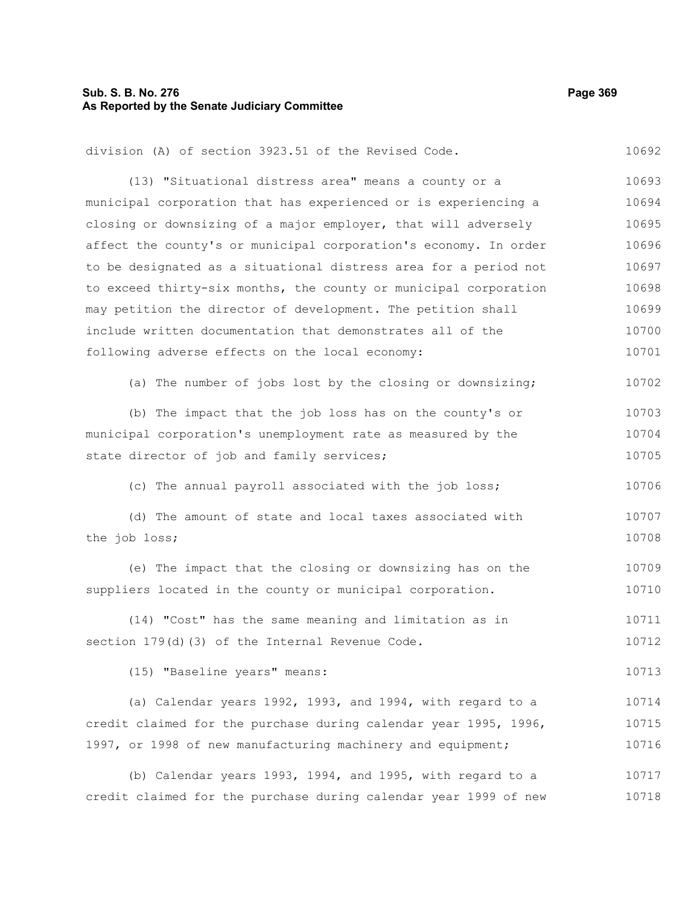# **Sub. S. B. No. 276 Page 369 As Reported by the Senate Judiciary Committee**

| division (A) of section 3923.51 of the Revised Code.             | 10692 |
|------------------------------------------------------------------|-------|
| (13) "Situational distress area" means a county or a             | 10693 |
| municipal corporation that has experienced or is experiencing a  | 10694 |
| closing or downsizing of a major employer, that will adversely   | 10695 |
| affect the county's or municipal corporation's economy. In order | 10696 |
| to be designated as a situational distress area for a period not | 10697 |
| to exceed thirty-six months, the county or municipal corporation | 10698 |
| may petition the director of development. The petition shall     | 10699 |
| include written documentation that demonstrates all of the       | 10700 |
| following adverse effects on the local economy:                  | 10701 |
| (a) The number of jobs lost by the closing or downsizing;        | 10702 |
| (b) The impact that the job loss has on the county's or          | 10703 |
| municipal corporation's unemployment rate as measured by the     | 10704 |
| state director of job and family services;                       | 10705 |
| (c) The annual payroll associated with the job loss;             | 10706 |
| (d) The amount of state and local taxes associated with          | 10707 |
| the job loss;                                                    | 10708 |
| (e) The impact that the closing or downsizing has on the         | 10709 |
| suppliers located in the county or municipal corporation.        | 10710 |
| (14) "Cost" has the same meaning and limitation as in            | 10711 |
| section 179(d)(3) of the Internal Revenue Code.                  | 10712 |
| (15) "Baseline years" means:                                     | 10713 |
| (a) Calendar years 1992, 1993, and 1994, with regard to a        | 10714 |
| credit claimed for the purchase during calendar year 1995, 1996, | 10715 |
| 1997, or 1998 of new manufacturing machinery and equipment;      | 10716 |
| (b) Calendar years 1993, 1994, and 1995, with regard to a        | 10717 |
| credit claimed for the purchase during calendar year 1999 of new | 10718 |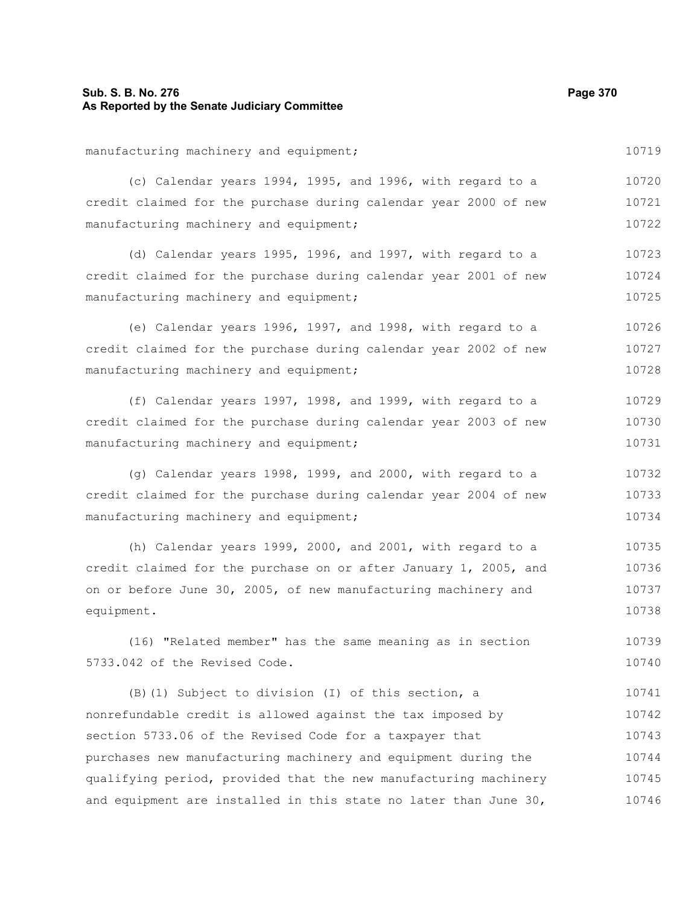# **Sub. S. B. No. 276 Page 370 As Reported by the Senate Judiciary Committee**

manufacturing machinery and equipment; (c) Calendar years 1994, 1995, and 1996, with regard to a credit claimed for the purchase during calendar year 2000 of new manufacturing machinery and equipment; (d) Calendar years 1995, 1996, and 1997, with regard to a credit claimed for the purchase during calendar year 2001 of new manufacturing machinery and equipment; (e) Calendar years 1996, 1997, and 1998, with regard to a credit claimed for the purchase during calendar year 2002 of new manufacturing machinery and equipment; (f) Calendar years 1997, 1998, and 1999, with regard to a credit claimed for the purchase during calendar year 2003 of new manufacturing machinery and equipment; (g) Calendar years 1998, 1999, and 2000, with regard to a credit claimed for the purchase during calendar year 2004 of new manufacturing machinery and equipment; (h) Calendar years 1999, 2000, and 2001, with regard to a credit claimed for the purchase on or after January 1, 2005, and on or before June 30, 2005, of new manufacturing machinery and equipment. (16) "Related member" has the same meaning as in section 5733.042 of the Revised Code. (B)(1) Subject to division (I) of this section, a nonrefundable credit is allowed against the tax imposed by section 5733.06 of the Revised Code for a taxpayer that 10719 10720 10721 10722 10723 10724 10725 10726 10727 10728 10729 10730 10731 10732 10733 10734 10735 10736 10737 10738 10739 10740 10741 10742 10743

purchases new manufacturing machinery and equipment during the qualifying period, provided that the new manufacturing machinery and equipment are installed in this state no later than June 30, 10744 10745 10746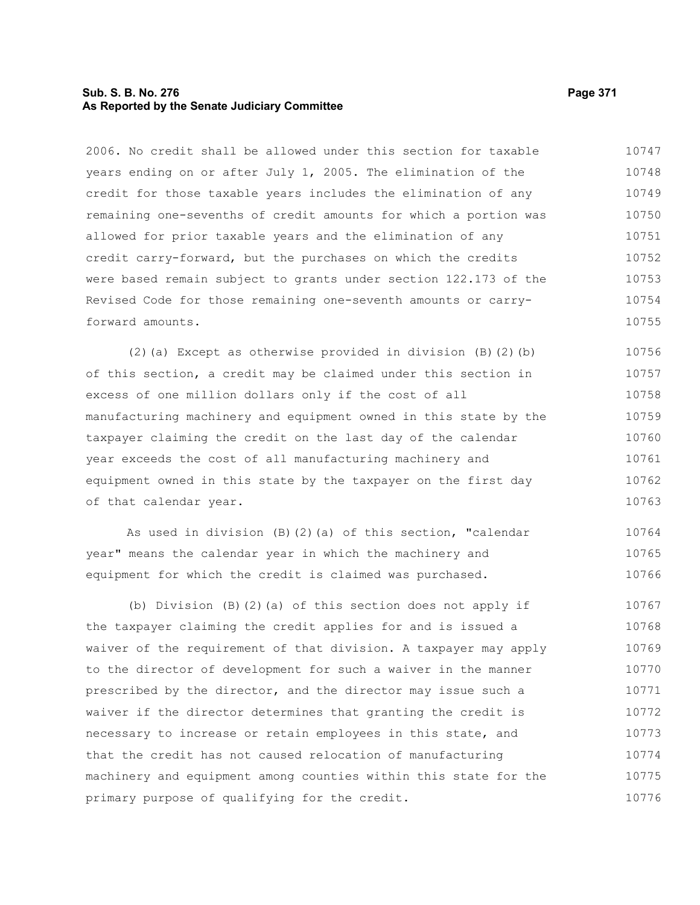# **Sub. S. B. No. 276 Page 371 As Reported by the Senate Judiciary Committee**

2006. No credit shall be allowed under this section for taxable years ending on or after July 1, 2005. The elimination of the credit for those taxable years includes the elimination of any remaining one-sevenths of credit amounts for which a portion was allowed for prior taxable years and the elimination of any credit carry-forward, but the purchases on which the credits were based remain subject to grants under section 122.173 of the Revised Code for those remaining one-seventh amounts or carryforward amounts. 10747 10748 10749 10750 10751 10752 10753 10754 10755

(2)(a) Except as otherwise provided in division (B)(2)(b) of this section, a credit may be claimed under this section in excess of one million dollars only if the cost of all manufacturing machinery and equipment owned in this state by the taxpayer claiming the credit on the last day of the calendar year exceeds the cost of all manufacturing machinery and equipment owned in this state by the taxpayer on the first day of that calendar year. 10756 10757 10758 10759 10760 10761 10762 10763

As used in division (B)(2)(a) of this section, "calendar year" means the calendar year in which the machinery and equipment for which the credit is claimed was purchased. 10764 10765 10766

(b) Division (B)(2)(a) of this section does not apply if the taxpayer claiming the credit applies for and is issued a waiver of the requirement of that division. A taxpayer may apply to the director of development for such a waiver in the manner prescribed by the director, and the director may issue such a waiver if the director determines that granting the credit is necessary to increase or retain employees in this state, and that the credit has not caused relocation of manufacturing machinery and equipment among counties within this state for the primary purpose of qualifying for the credit. 10767 10768 10769 10770 10771 10772 10773 10774 10775 10776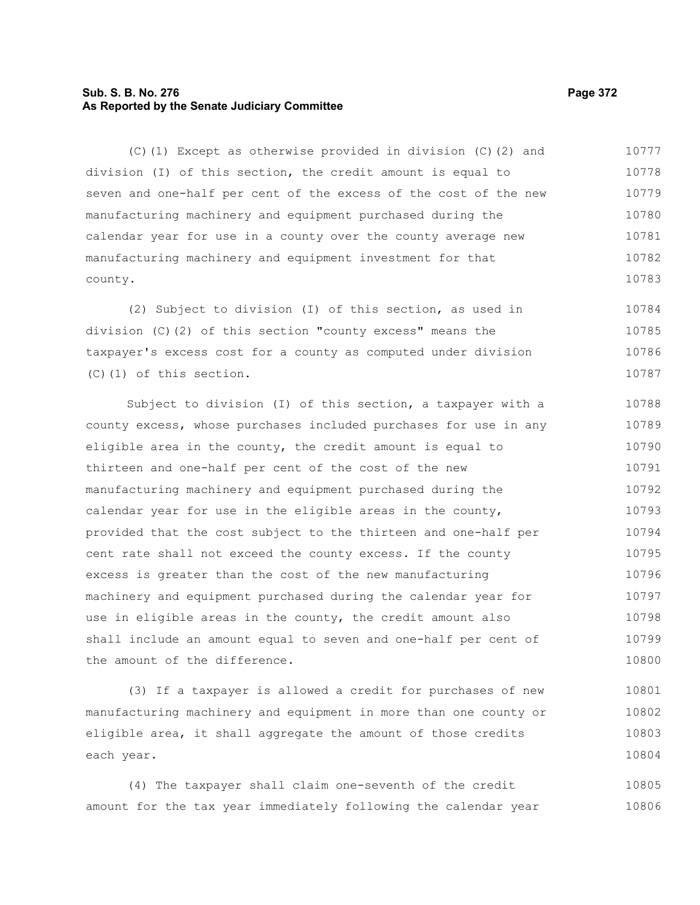# **Sub. S. B. No. 276 Page 372 As Reported by the Senate Judiciary Committee**

(C)(1) Except as otherwise provided in division (C)(2) and division (I) of this section, the credit amount is equal to seven and one-half per cent of the excess of the cost of the new manufacturing machinery and equipment purchased during the calendar year for use in a county over the county average new manufacturing machinery and equipment investment for that county. 10777 10778 10779 10780 10781 10782 10783

(2) Subject to division (I) of this section, as used in division (C)(2) of this section "county excess" means the taxpayer's excess cost for a county as computed under division (C)(1) of this section. 10784 10785 10786 10787

Subject to division (I) of this section, a taxpayer with a county excess, whose purchases included purchases for use in any eligible area in the county, the credit amount is equal to thirteen and one-half per cent of the cost of the new manufacturing machinery and equipment purchased during the calendar year for use in the eligible areas in the county, provided that the cost subject to the thirteen and one-half per cent rate shall not exceed the county excess. If the county excess is greater than the cost of the new manufacturing machinery and equipment purchased during the calendar year for use in eligible areas in the county, the credit amount also shall include an amount equal to seven and one-half per cent of the amount of the difference. 10788 10789 10790 10791 10792 10793 10794 10795 10796 10797 10798 10799 10800

(3) If a taxpayer is allowed a credit for purchases of new manufacturing machinery and equipment in more than one county or eligible area, it shall aggregate the amount of those credits each year. 10801 10802 10803 10804

(4) The taxpayer shall claim one-seventh of the credit amount for the tax year immediately following the calendar year 10805 10806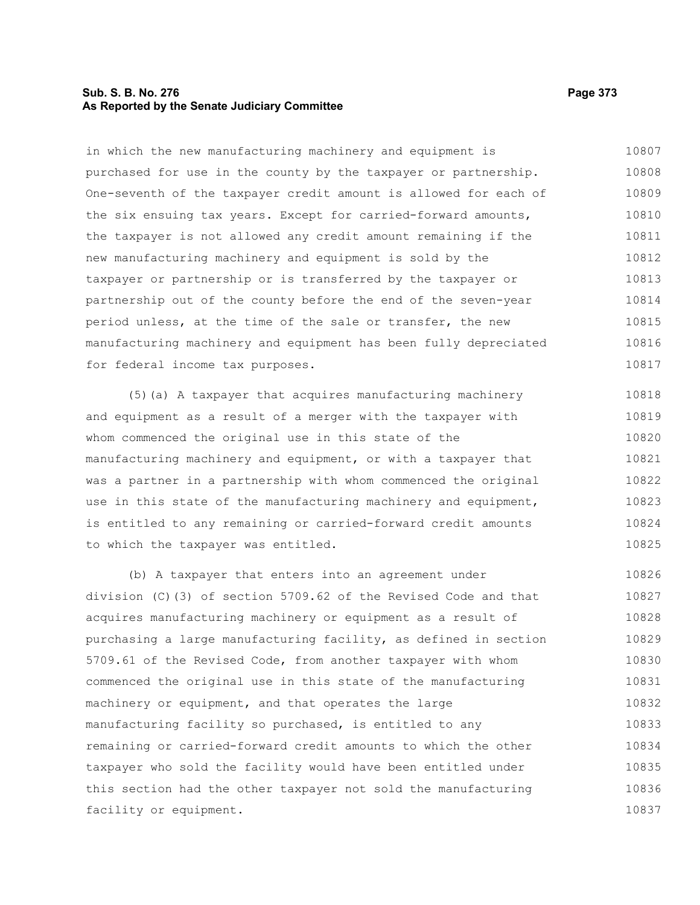### **Sub. S. B. No. 276 Page 373 As Reported by the Senate Judiciary Committee**

in which the new manufacturing machinery and equipment is purchased for use in the county by the taxpayer or partnership. One-seventh of the taxpayer credit amount is allowed for each of the six ensuing tax years. Except for carried-forward amounts, the taxpayer is not allowed any credit amount remaining if the new manufacturing machinery and equipment is sold by the taxpayer or partnership or is transferred by the taxpayer or partnership out of the county before the end of the seven-year period unless, at the time of the sale or transfer, the new manufacturing machinery and equipment has been fully depreciated for federal income tax purposes. 10807 10808 10809 10810 10811 10812 10813 10814 10815 10816 10817

(5)(a) A taxpayer that acquires manufacturing machinery and equipment as a result of a merger with the taxpayer with whom commenced the original use in this state of the manufacturing machinery and equipment, or with a taxpayer that was a partner in a partnership with whom commenced the original use in this state of the manufacturing machinery and equipment, is entitled to any remaining or carried-forward credit amounts to which the taxpayer was entitled. 10818 10819 10820 10821 10822 10823 10824 10825

(b) A taxpayer that enters into an agreement under division (C)(3) of section 5709.62 of the Revised Code and that acquires manufacturing machinery or equipment as a result of purchasing a large manufacturing facility, as defined in section 5709.61 of the Revised Code, from another taxpayer with whom commenced the original use in this state of the manufacturing machinery or equipment, and that operates the large manufacturing facility so purchased, is entitled to any remaining or carried-forward credit amounts to which the other taxpayer who sold the facility would have been entitled under this section had the other taxpayer not sold the manufacturing facility or equipment. 10826 10827 10828 10829 10830 10831 10832 10833 10834 10835 10836 10837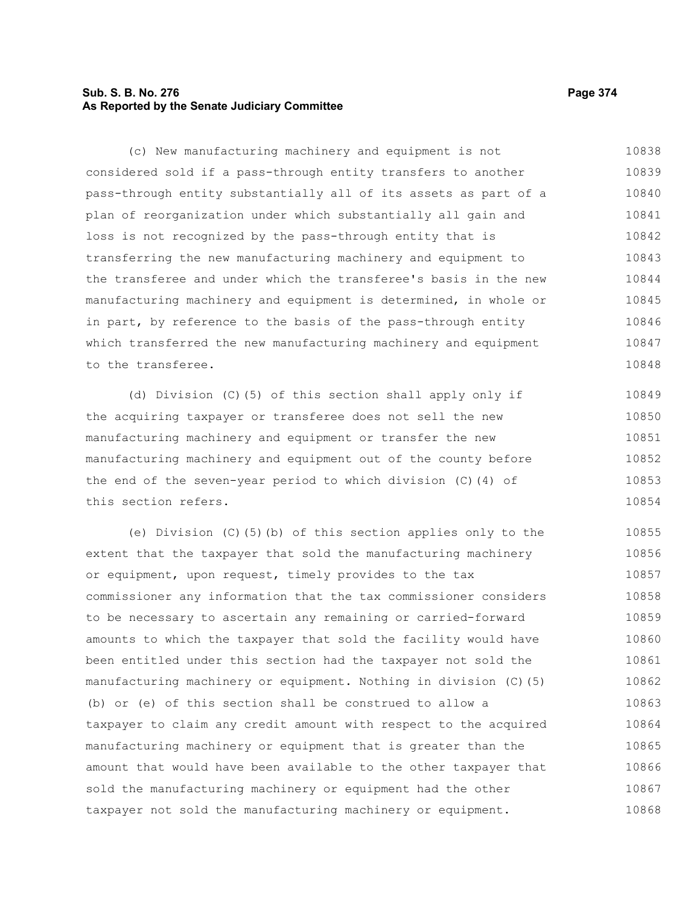# **Sub. S. B. No. 276 Page 374 As Reported by the Senate Judiciary Committee**

(c) New manufacturing machinery and equipment is not considered sold if a pass-through entity transfers to another pass-through entity substantially all of its assets as part of a plan of reorganization under which substantially all gain and loss is not recognized by the pass-through entity that is transferring the new manufacturing machinery and equipment to the transferee and under which the transferee's basis in the new manufacturing machinery and equipment is determined, in whole or in part, by reference to the basis of the pass-through entity which transferred the new manufacturing machinery and equipment to the transferee. 10838 10839 10840 10841 10842 10843 10844 10845 10846 10847 10848

(d) Division (C)(5) of this section shall apply only if the acquiring taxpayer or transferee does not sell the new manufacturing machinery and equipment or transfer the new manufacturing machinery and equipment out of the county before the end of the seven-year period to which division (C)(4) of this section refers. 10849 10850 10851 10852 10853 10854

(e) Division (C)(5)(b) of this section applies only to the extent that the taxpayer that sold the manufacturing machinery or equipment, upon request, timely provides to the tax commissioner any information that the tax commissioner considers to be necessary to ascertain any remaining or carried-forward amounts to which the taxpayer that sold the facility would have been entitled under this section had the taxpayer not sold the manufacturing machinery or equipment. Nothing in division (C)(5) (b) or (e) of this section shall be construed to allow a taxpayer to claim any credit amount with respect to the acquired manufacturing machinery or equipment that is greater than the amount that would have been available to the other taxpayer that sold the manufacturing machinery or equipment had the other taxpayer not sold the manufacturing machinery or equipment. 10855 10856 10857 10858 10859 10860 10861 10862 10863 10864 10865 10866 10867 10868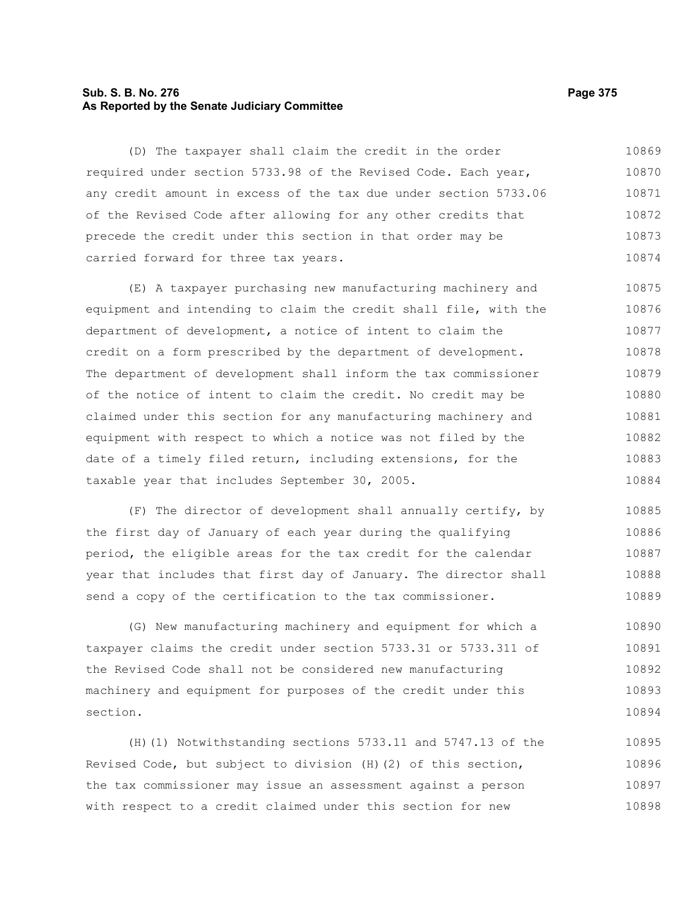# **Sub. S. B. No. 276 Page 375 As Reported by the Senate Judiciary Committee**

(D) The taxpayer shall claim the credit in the order required under section 5733.98 of the Revised Code. Each year, any credit amount in excess of the tax due under section 5733.06 of the Revised Code after allowing for any other credits that precede the credit under this section in that order may be carried forward for three tax years. 10869 10870 10871 10872 10873 10874

(E) A taxpayer purchasing new manufacturing machinery and equipment and intending to claim the credit shall file, with the department of development, a notice of intent to claim the credit on a form prescribed by the department of development. The department of development shall inform the tax commissioner of the notice of intent to claim the credit. No credit may be claimed under this section for any manufacturing machinery and equipment with respect to which a notice was not filed by the date of a timely filed return, including extensions, for the taxable year that includes September 30, 2005. 10875 10876 10877 10878 10879 10880 10881 10882 10883 10884

(F) The director of development shall annually certify, by the first day of January of each year during the qualifying period, the eligible areas for the tax credit for the calendar year that includes that first day of January. The director shall send a copy of the certification to the tax commissioner. 10885 10886 10887 10888 10889

(G) New manufacturing machinery and equipment for which a taxpayer claims the credit under section 5733.31 or 5733.311 of the Revised Code shall not be considered new manufacturing machinery and equipment for purposes of the credit under this section. 10890 10891 10892 10893 10894

(H)(1) Notwithstanding sections 5733.11 and 5747.13 of the Revised Code, but subject to division (H)(2) of this section, the tax commissioner may issue an assessment against a person with respect to a credit claimed under this section for new 10895 10896 10897 10898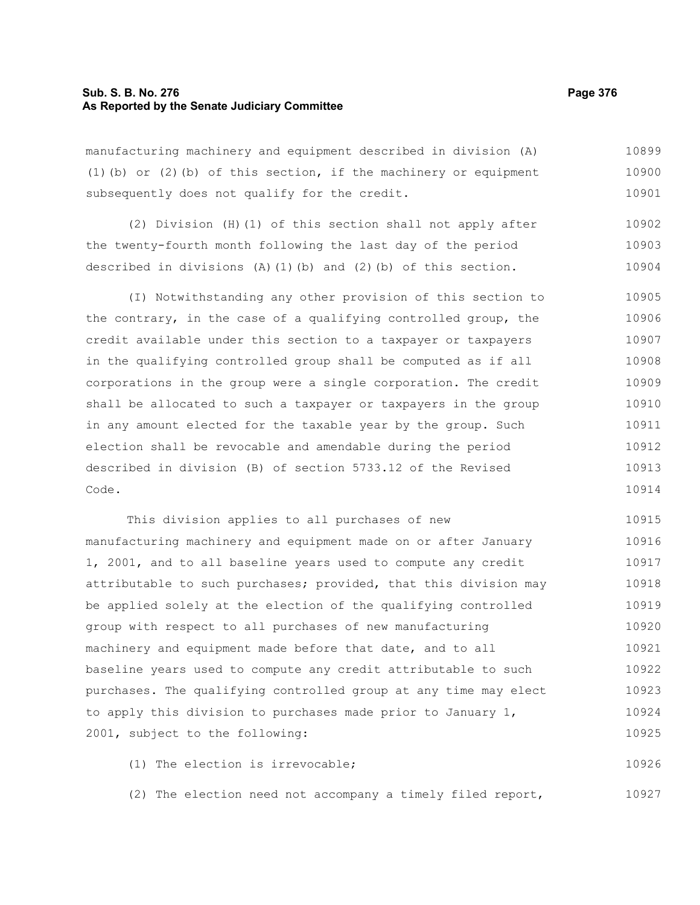### **Sub. S. B. No. 276 Page 376 As Reported by the Senate Judiciary Committee**

manufacturing machinery and equipment described in division (A) (1)(b) or (2)(b) of this section, if the machinery or equipment subsequently does not qualify for the credit. 10899 10900 10901

(2) Division (H)(1) of this section shall not apply after the twenty-fourth month following the last day of the period described in divisions  $(A)$  (1)(b) and (2)(b) of this section. 10902 10903 10904

(I) Notwithstanding any other provision of this section to the contrary, in the case of a qualifying controlled group, the credit available under this section to a taxpayer or taxpayers in the qualifying controlled group shall be computed as if all corporations in the group were a single corporation. The credit shall be allocated to such a taxpayer or taxpayers in the group in any amount elected for the taxable year by the group. Such election shall be revocable and amendable during the period described in division (B) of section 5733.12 of the Revised Code. 10905 10906 10907 10908 10909 10910 10911 10912 10913 10914

This division applies to all purchases of new manufacturing machinery and equipment made on or after January 1, 2001, and to all baseline years used to compute any credit attributable to such purchases; provided, that this division may be applied solely at the election of the qualifying controlled group with respect to all purchases of new manufacturing machinery and equipment made before that date, and to all baseline years used to compute any credit attributable to such purchases. The qualifying controlled group at any time may elect to apply this division to purchases made prior to January 1, 2001, subject to the following: 10915 10916 10917 10918 10919 10920 10921 10922 10923 10924 10925

(1) The election is irrevocable; 10926

(2) The election need not accompany a timely filed report, 10927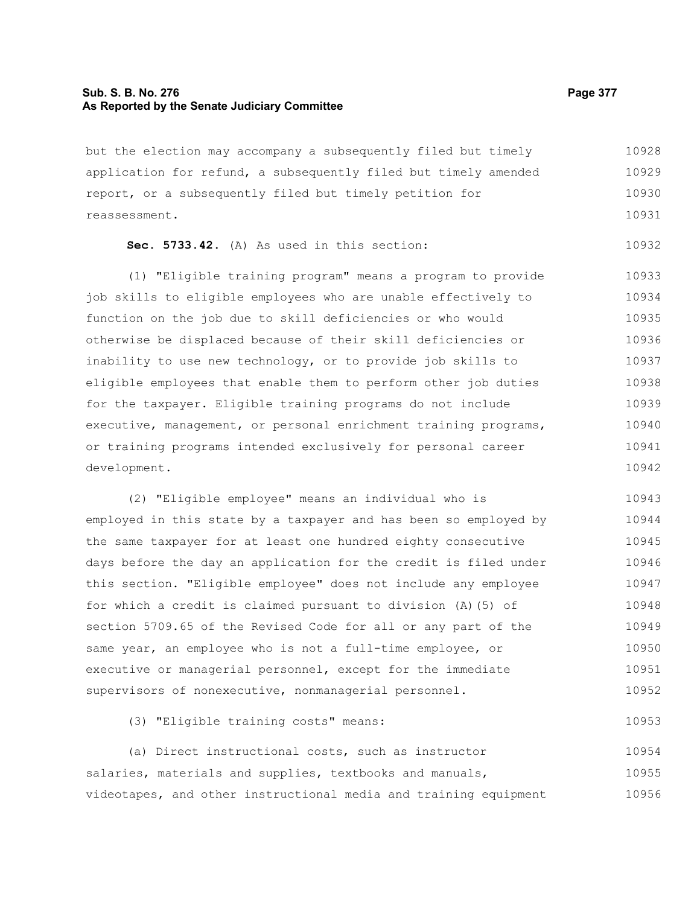#### **Sub. S. B. No. 276 Page 377 As Reported by the Senate Judiciary Committee**

but the election may accompany a subsequently filed but timely application for refund, a subsequently filed but timely amended report, or a subsequently filed but timely petition for reassessment. 10928 10929 10930 10931

```
Sec. 5733.42. (A) As used in this section:
                                                          10932
```
(1) "Eligible training program" means a program to provide job skills to eligible employees who are unable effectively to function on the job due to skill deficiencies or who would otherwise be displaced because of their skill deficiencies or inability to use new technology, or to provide job skills to eligible employees that enable them to perform other job duties for the taxpayer. Eligible training programs do not include executive, management, or personal enrichment training programs, or training programs intended exclusively for personal career development. 10933 10934 10935 10936 10937 10938 10939 10940 10941 10942

(2) "Eligible employee" means an individual who is employed in this state by a taxpayer and has been so employed by the same taxpayer for at least one hundred eighty consecutive days before the day an application for the credit is filed under this section. "Eligible employee" does not include any employee for which a credit is claimed pursuant to division (A)(5) of section 5709.65 of the Revised Code for all or any part of the same year, an employee who is not a full-time employee, or executive or managerial personnel, except for the immediate supervisors of nonexecutive, nonmanagerial personnel. 10943 10944 10945 10946 10947 10948 10949 10950 10951 10952

(3) "Eligible training costs" means:

(a) Direct instructional costs, such as instructor salaries, materials and supplies, textbooks and manuals, videotapes, and other instructional media and training equipment 10954 10955 10956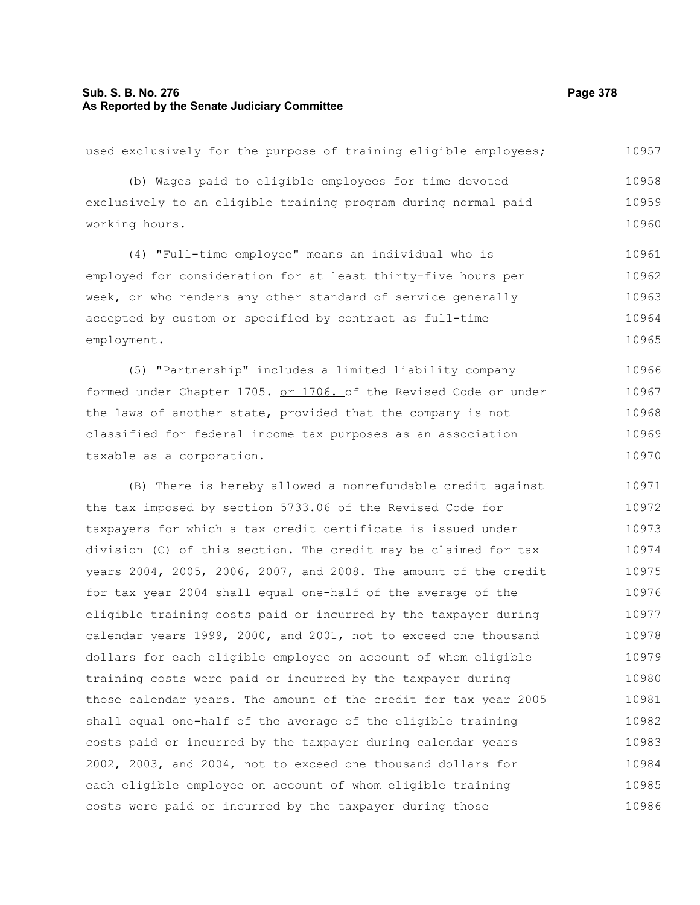#### **Sub. S. B. No. 276 Page 378 As Reported by the Senate Judiciary Committee**

used exclusively for the purpose of training eligible employees; (b) Wages paid to eligible employees for time devoted exclusively to an eligible training program during normal paid working hours. (4) "Full-time employee" means an individual who is employed for consideration for at least thirty-five hours per week, or who renders any other standard of service generally accepted by custom or specified by contract as full-time employment. (5) "Partnership" includes a limited liability company formed under Chapter 1705. or 1706. of the Revised Code or under the laws of another state, provided that the company is not classified for federal income tax purposes as an association taxable as a corporation. (B) There is hereby allowed a nonrefundable credit against the tax imposed by section 5733.06 of the Revised Code for taxpayers for which a tax credit certificate is issued under division (C) of this section. The credit may be claimed for tax years 2004, 2005, 2006, 2007, and 2008. The amount of the credit for tax year 2004 shall equal one-half of the average of the eligible training costs paid or incurred by the taxpayer during calendar years 1999, 2000, and 2001, not to exceed one thousand dollars for each eligible employee on account of whom eligible training costs were paid or incurred by the taxpayer during those calendar years. The amount of the credit for tax year 2005 10957 10958 10959 10960 10961 10962 10963 10964 10965 10966 10967 10968 10969 10970 10971 10972 10973 10974 10975 10976 10977 10978 10979 10980 10981

shall equal one-half of the average of the eligible training costs paid or incurred by the taxpayer during calendar years 2002, 2003, and 2004, not to exceed one thousand dollars for each eligible employee on account of whom eligible training

costs were paid or incurred by the taxpayer during those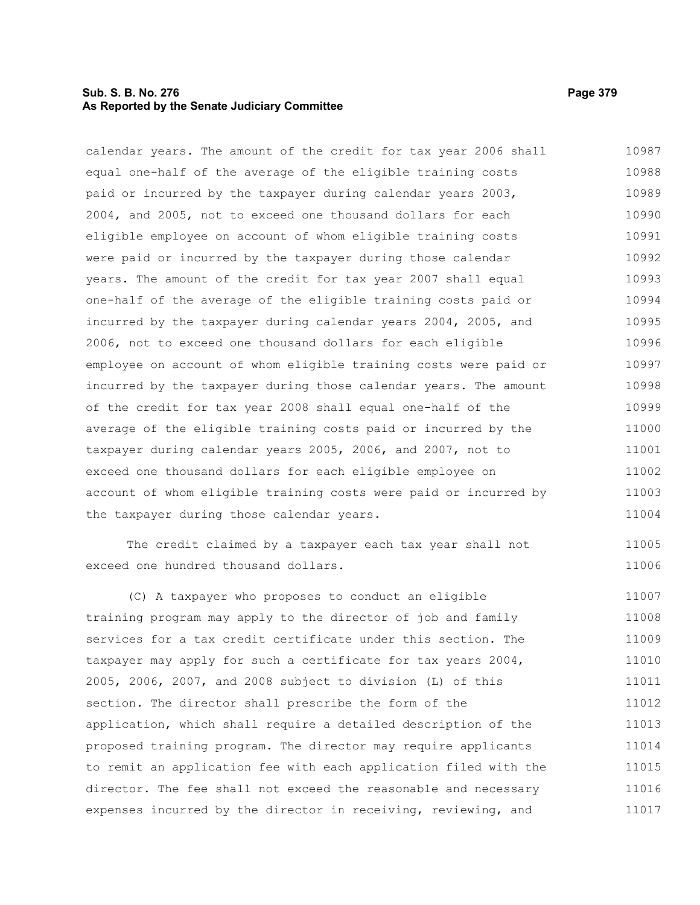# **Sub. S. B. No. 276 Page 379 As Reported by the Senate Judiciary Committee**

calendar years. The amount of the credit for tax year 2006 shall equal one-half of the average of the eligible training costs paid or incurred by the taxpayer during calendar years 2003, 2004, and 2005, not to exceed one thousand dollars for each eligible employee on account of whom eligible training costs were paid or incurred by the taxpayer during those calendar years. The amount of the credit for tax year 2007 shall equal one-half of the average of the eligible training costs paid or incurred by the taxpayer during calendar years 2004, 2005, and 2006, not to exceed one thousand dollars for each eligible employee on account of whom eligible training costs were paid or incurred by the taxpayer during those calendar years. The amount of the credit for tax year 2008 shall equal one-half of the average of the eligible training costs paid or incurred by the taxpayer during calendar years 2005, 2006, and 2007, not to exceed one thousand dollars for each eligible employee on account of whom eligible training costs were paid or incurred by the taxpayer during those calendar years. 10987 10988 10989 10990 10991 10992 10993 10994 10995 10996 10997 10998 10999 11000 11001 11002 11003 11004

The credit claimed by a taxpayer each tax year shall not exceed one hundred thousand dollars.

(C) A taxpayer who proposes to conduct an eligible training program may apply to the director of job and family services for a tax credit certificate under this section. The taxpayer may apply for such a certificate for tax years 2004, 2005, 2006, 2007, and 2008 subject to division (L) of this section. The director shall prescribe the form of the application, which shall require a detailed description of the proposed training program. The director may require applicants to remit an application fee with each application filed with the director. The fee shall not exceed the reasonable and necessary expenses incurred by the director in receiving, reviewing, and 11007 11008 11009 11010 11011 11012 11013 11014 11015 11016 11017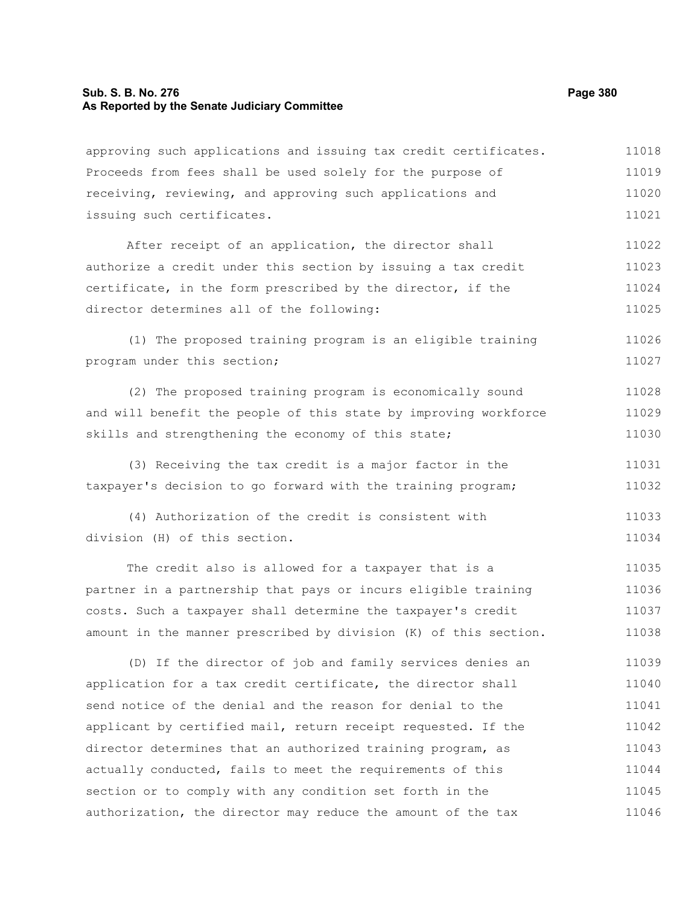#### **Sub. S. B. No. 276 Page 380 As Reported by the Senate Judiciary Committee**

approving such applications and issuing tax credit certificates. Proceeds from fees shall be used solely for the purpose of receiving, reviewing, and approving such applications and issuing such certificates. After receipt of an application, the director shall authorize a credit under this section by issuing a tax credit certificate, in the form prescribed by the director, if the director determines all of the following: (1) The proposed training program is an eligible training program under this section; (2) The proposed training program is economically sound and will benefit the people of this state by improving workforce skills and strengthening the economy of this state; (3) Receiving the tax credit is a major factor in the taxpayer's decision to go forward with the training program; (4) Authorization of the credit is consistent with division (H) of this section. The credit also is allowed for a taxpayer that is a partner in a partnership that pays or incurs eligible training costs. Such a taxpayer shall determine the taxpayer's credit amount in the manner prescribed by division (K) of this section. (D) If the director of job and family services denies an application for a tax credit certificate, the director shall send notice of the denial and the reason for denial to the applicant by certified mail, return receipt requested. If the director determines that an authorized training program, as actually conducted, fails to meet the requirements of this section or to comply with any condition set forth in the 11018 11019 11020 11021 11022 11023 11024 11025 11026 11027 11028 11029 11030 11031 11032 11033 11034 11035 11036 11037 11038 11039 11040 11041 11042 11043 11044 11045

authorization, the director may reduce the amount of the tax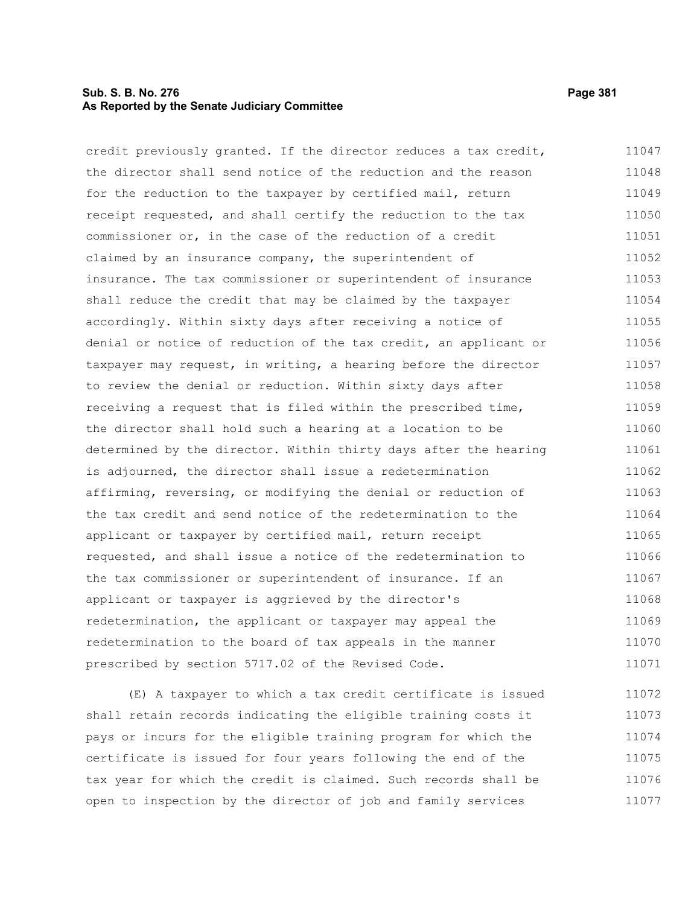# **Sub. S. B. No. 276 Page 381 As Reported by the Senate Judiciary Committee**

credit previously granted. If the director reduces a tax credit, the director shall send notice of the reduction and the reason for the reduction to the taxpayer by certified mail, return receipt requested, and shall certify the reduction to the tax commissioner or, in the case of the reduction of a credit claimed by an insurance company, the superintendent of insurance. The tax commissioner or superintendent of insurance shall reduce the credit that may be claimed by the taxpayer accordingly. Within sixty days after receiving a notice of denial or notice of reduction of the tax credit, an applicant or taxpayer may request, in writing, a hearing before the director to review the denial or reduction. Within sixty days after receiving a request that is filed within the prescribed time, the director shall hold such a hearing at a location to be determined by the director. Within thirty days after the hearing is adjourned, the director shall issue a redetermination affirming, reversing, or modifying the denial or reduction of the tax credit and send notice of the redetermination to the applicant or taxpayer by certified mail, return receipt requested, and shall issue a notice of the redetermination to the tax commissioner or superintendent of insurance. If an applicant or taxpayer is aggrieved by the director's redetermination, the applicant or taxpayer may appeal the redetermination to the board of tax appeals in the manner prescribed by section 5717.02 of the Revised Code. 11047 11048 11049 11050 11051 11052 11053 11054 11055 11056 11057 11058 11059 11060 11061 11062 11063 11064 11065 11066 11067 11068 11069 11070 11071

(E) A taxpayer to which a tax credit certificate is issued shall retain records indicating the eligible training costs it pays or incurs for the eligible training program for which the certificate is issued for four years following the end of the tax year for which the credit is claimed. Such records shall be open to inspection by the director of job and family services 11072 11073 11074 11075 11076 11077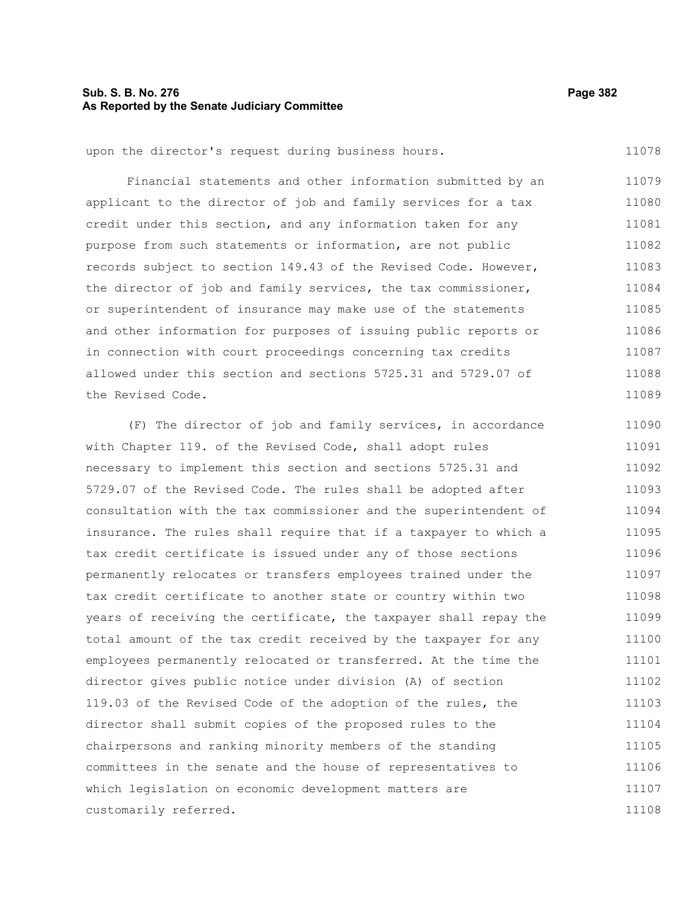# **Sub. S. B. No. 276 Page 382 As Reported by the Senate Judiciary Committee**

upon the director's request during business hours.

Financial statements and other information submitted by an applicant to the director of job and family services for a tax credit under this section, and any information taken for any purpose from such statements or information, are not public records subject to section 149.43 of the Revised Code. However, the director of job and family services, the tax commissioner, or superintendent of insurance may make use of the statements and other information for purposes of issuing public reports or in connection with court proceedings concerning tax credits allowed under this section and sections 5725.31 and 5729.07 of the Revised Code. 11079 11080 11081 11082 11083 11084 11085 11086 11087 11088 11089

(F) The director of job and family services, in accordance with Chapter 119. of the Revised Code, shall adopt rules necessary to implement this section and sections 5725.31 and 5729.07 of the Revised Code. The rules shall be adopted after consultation with the tax commissioner and the superintendent of insurance. The rules shall require that if a taxpayer to which a tax credit certificate is issued under any of those sections permanently relocates or transfers employees trained under the tax credit certificate to another state or country within two years of receiving the certificate, the taxpayer shall repay the total amount of the tax credit received by the taxpayer for any employees permanently relocated or transferred. At the time the director gives public notice under division (A) of section 119.03 of the Revised Code of the adoption of the rules, the director shall submit copies of the proposed rules to the chairpersons and ranking minority members of the standing committees in the senate and the house of representatives to which legislation on economic development matters are customarily referred. 11090 11091 11092 11093 11094 11095 11096 11097 11098 11099 11100 11101 11102 11103 11104 11105 11106 11107 11108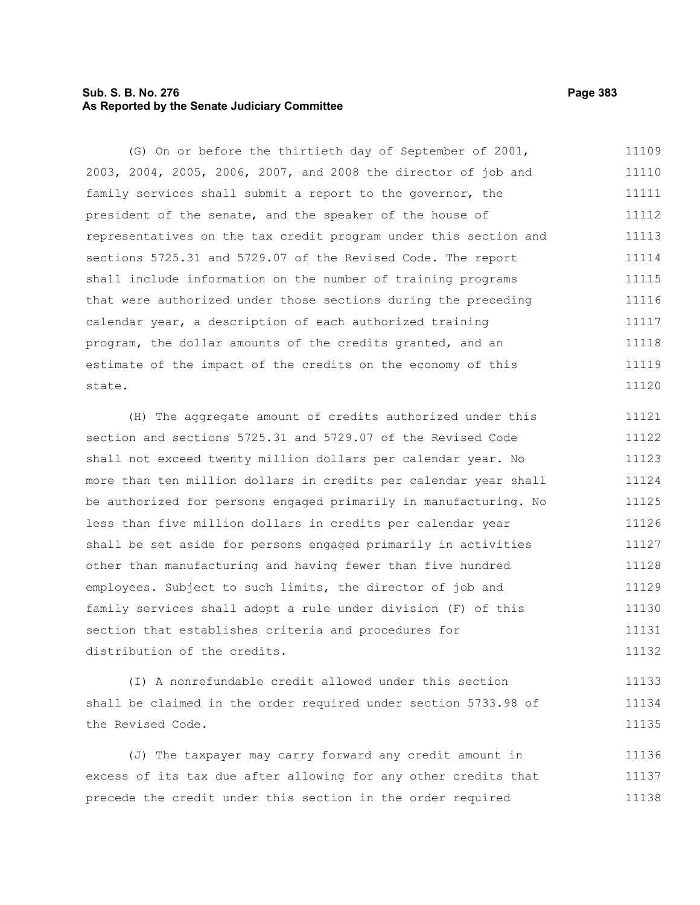# **Sub. S. B. No. 276 Page 383 As Reported by the Senate Judiciary Committee**

(G) On or before the thirtieth day of September of 2001, 2003, 2004, 2005, 2006, 2007, and 2008 the director of job and family services shall submit a report to the governor, the president of the senate, and the speaker of the house of representatives on the tax credit program under this section and sections 5725.31 and 5729.07 of the Revised Code. The report shall include information on the number of training programs that were authorized under those sections during the preceding calendar year, a description of each authorized training program, the dollar amounts of the credits granted, and an estimate of the impact of the credits on the economy of this state. 11109 11110 11111 11112 11113 11114 11115 11116 11117 11118 11119 11120

(H) The aggregate amount of credits authorized under this section and sections 5725.31 and 5729.07 of the Revised Code shall not exceed twenty million dollars per calendar year. No more than ten million dollars in credits per calendar year shall be authorized for persons engaged primarily in manufacturing. No less than five million dollars in credits per calendar year shall be set aside for persons engaged primarily in activities other than manufacturing and having fewer than five hundred employees. Subject to such limits, the director of job and family services shall adopt a rule under division (F) of this section that establishes criteria and procedures for distribution of the credits. 11121 11122 11123 11124 11125 11126 11127 11128 11129 11130 11131 11132

(I) A nonrefundable credit allowed under this section shall be claimed in the order required under section 5733.98 of the Revised Code. 11133 11134 11135

(J) The taxpayer may carry forward any credit amount in excess of its tax due after allowing for any other credits that precede the credit under this section in the order required 11136 11137 11138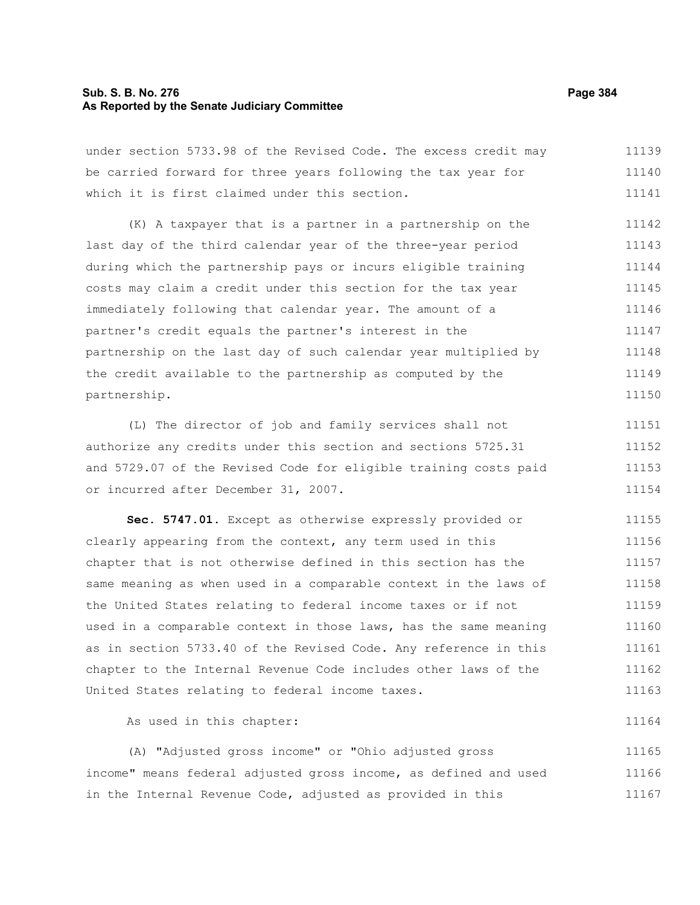#### **Sub. S. B. No. 276 Page 384 As Reported by the Senate Judiciary Committee**

under section 5733.98 of the Revised Code. The excess credit may be carried forward for three years following the tax year for which it is first claimed under this section. 11139 11140 11141

(K) A taxpayer that is a partner in a partnership on the last day of the third calendar year of the three-year period during which the partnership pays or incurs eligible training costs may claim a credit under this section for the tax year immediately following that calendar year. The amount of a partner's credit equals the partner's interest in the partnership on the last day of such calendar year multiplied by the credit available to the partnership as computed by the partnership. 11142 11143 11144 11145 11146 11147 11148 11149 11150

(L) The director of job and family services shall not authorize any credits under this section and sections 5725.31 and 5729.07 of the Revised Code for eligible training costs paid or incurred after December 31, 2007. 11151 11152 11153 11154

**Sec. 5747.01.** Except as otherwise expressly provided or clearly appearing from the context, any term used in this chapter that is not otherwise defined in this section has the same meaning as when used in a comparable context in the laws of the United States relating to federal income taxes or if not used in a comparable context in those laws, has the same meaning as in section 5733.40 of the Revised Code. Any reference in this chapter to the Internal Revenue Code includes other laws of the United States relating to federal income taxes. 11155 11156 11157 11158 11159 11160 11161 11162 11163

As used in this chapter:

(A) "Adjusted gross income" or "Ohio adjusted gross income" means federal adjusted gross income, as defined and used in the Internal Revenue Code, adjusted as provided in this 11165 11166 11167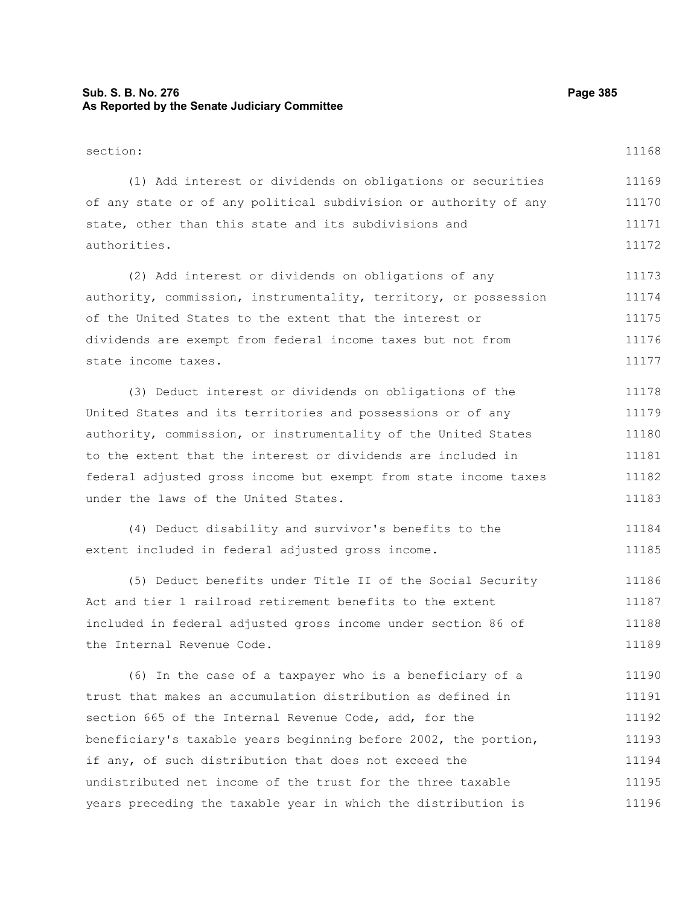# **Sub. S. B. No. 276 Page 385 As Reported by the Senate Judiciary Committee**

section: (1) Add interest or dividends on obligations or securities of any state or of any political subdivision or authority of any state, other than this state and its subdivisions and

(2) Add interest or dividends on obligations of any authority, commission, instrumentality, territory, or possession of the United States to the extent that the interest or dividends are exempt from federal income taxes but not from state income taxes. 11173 11174 11175 11176 11177

(3) Deduct interest or dividends on obligations of the United States and its territories and possessions or of any authority, commission, or instrumentality of the United States to the extent that the interest or dividends are included in federal adjusted gross income but exempt from state income taxes under the laws of the United States. 11178 11179 11180 11181 11182 11183

(4) Deduct disability and survivor's benefits to the extent included in federal adjusted gross income. 11184 11185

(5) Deduct benefits under Title II of the Social Security Act and tier 1 railroad retirement benefits to the extent included in federal adjusted gross income under section 86 of the Internal Revenue Code. 11186 11187 11188 11189

(6) In the case of a taxpayer who is a beneficiary of a trust that makes an accumulation distribution as defined in section 665 of the Internal Revenue Code, add, for the beneficiary's taxable years beginning before 2002, the portion, if any, of such distribution that does not exceed the undistributed net income of the trust for the three taxable years preceding the taxable year in which the distribution is 11190 11191 11192 11193 11194 11195 11196

authorities.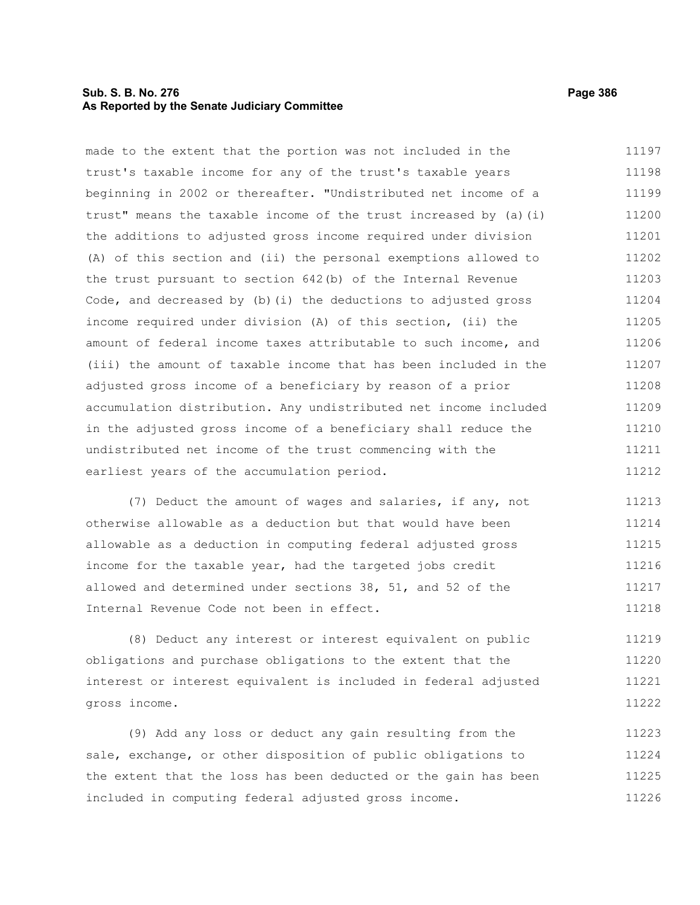# **Sub. S. B. No. 276 Page 386 As Reported by the Senate Judiciary Committee**

made to the extent that the portion was not included in the trust's taxable income for any of the trust's taxable years beginning in 2002 or thereafter. "Undistributed net income of a trust" means the taxable income of the trust increased by (a)(i) the additions to adjusted gross income required under division (A) of this section and (ii) the personal exemptions allowed to the trust pursuant to section 642(b) of the Internal Revenue Code, and decreased by (b)(i) the deductions to adjusted gross income required under division (A) of this section, (ii) the amount of federal income taxes attributable to such income, and (iii) the amount of taxable income that has been included in the adjusted gross income of a beneficiary by reason of a prior accumulation distribution. Any undistributed net income included in the adjusted gross income of a beneficiary shall reduce the undistributed net income of the trust commencing with the earliest years of the accumulation period. 11197 11198 11199 11200 11201 11202 11203 11204 11205 11206 11207 11208 11209 11210 11211 11212

(7) Deduct the amount of wages and salaries, if any, not otherwise allowable as a deduction but that would have been allowable as a deduction in computing federal adjusted gross income for the taxable year, had the targeted jobs credit allowed and determined under sections 38, 51, and 52 of the Internal Revenue Code not been in effect. 11213 11214 11215 11216 11217 11218

(8) Deduct any interest or interest equivalent on public obligations and purchase obligations to the extent that the interest or interest equivalent is included in federal adjusted gross income. 11219 11220 11221 11222

(9) Add any loss or deduct any gain resulting from the sale, exchange, or other disposition of public obligations to the extent that the loss has been deducted or the gain has been included in computing federal adjusted gross income. 11223 11224 11225 11226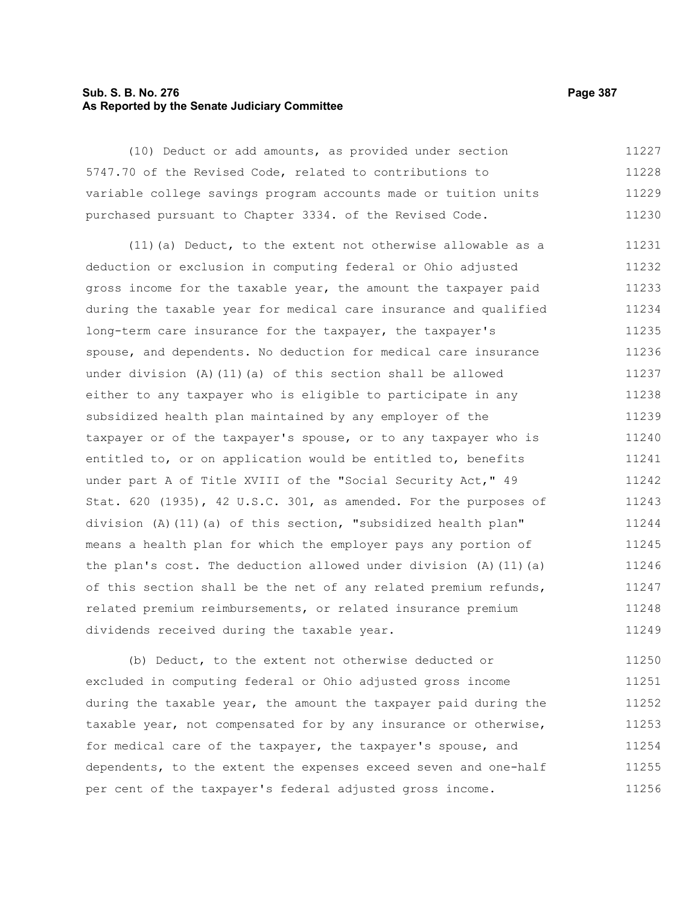# **Sub. S. B. No. 276 Page 387 As Reported by the Senate Judiciary Committee**

(10) Deduct or add amounts, as provided under section 5747.70 of the Revised Code, related to contributions to variable college savings program accounts made or tuition units purchased pursuant to Chapter 3334. of the Revised Code. 11227 11228 11229 11230

(11)(a) Deduct, to the extent not otherwise allowable as a deduction or exclusion in computing federal or Ohio adjusted gross income for the taxable year, the amount the taxpayer paid during the taxable year for medical care insurance and qualified long-term care insurance for the taxpayer, the taxpayer's spouse, and dependents. No deduction for medical care insurance under division (A)(11)(a) of this section shall be allowed either to any taxpayer who is eligible to participate in any subsidized health plan maintained by any employer of the taxpayer or of the taxpayer's spouse, or to any taxpayer who is entitled to, or on application would be entitled to, benefits under part A of Title XVIII of the "Social Security Act," 49 Stat. 620 (1935), 42 U.S.C. 301, as amended. For the purposes of division (A)(11)(a) of this section, "subsidized health plan" means a health plan for which the employer pays any portion of the plan's cost. The deduction allowed under division  $(A)$  (11)(a) of this section shall be the net of any related premium refunds, related premium reimbursements, or related insurance premium dividends received during the taxable year. 11231 11232 11233 11234 11235 11236 11237 11238 11239 11240 11241 11242 11243 11244 11245 11246 11247 11248 11249

(b) Deduct, to the extent not otherwise deducted or excluded in computing federal or Ohio adjusted gross income during the taxable year, the amount the taxpayer paid during the taxable year, not compensated for by any insurance or otherwise, for medical care of the taxpayer, the taxpayer's spouse, and dependents, to the extent the expenses exceed seven and one-half per cent of the taxpayer's federal adjusted gross income. 11250 11251 11252 11253 11254 11255 11256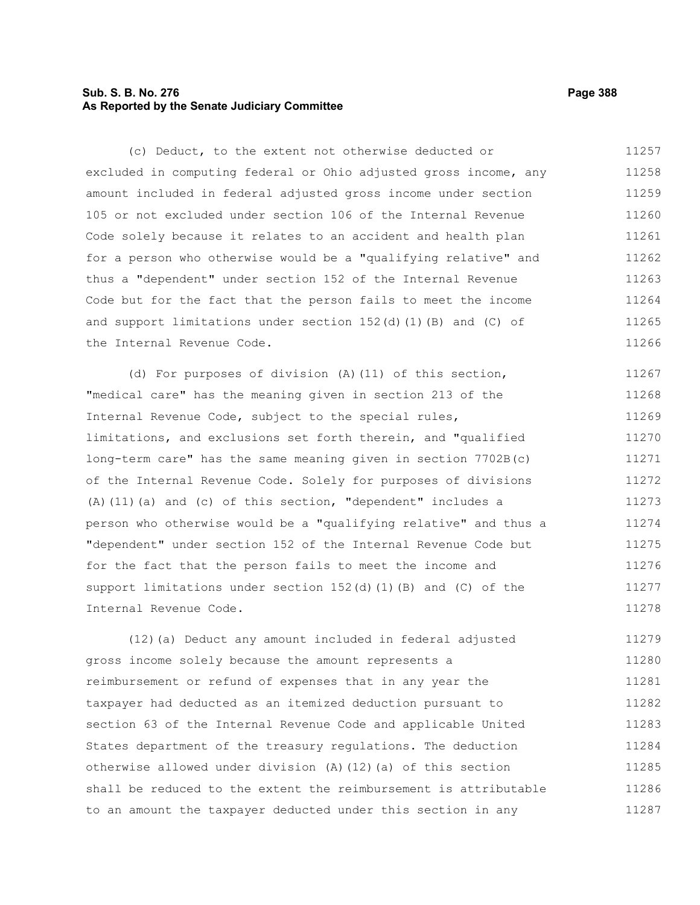# **Sub. S. B. No. 276 Page 388 As Reported by the Senate Judiciary Committee**

(c) Deduct, to the extent not otherwise deducted or excluded in computing federal or Ohio adjusted gross income, any amount included in federal adjusted gross income under section 105 or not excluded under section 106 of the Internal Revenue Code solely because it relates to an accident and health plan for a person who otherwise would be a "qualifying relative" and thus a "dependent" under section 152 of the Internal Revenue Code but for the fact that the person fails to meet the income and support limitations under section  $152(d)(1)(B)$  and (C) of the Internal Revenue Code. 11257 11258 11259 11260 11261 11262 11263 11264 11265 11266

(d) For purposes of division (A)(11) of this section, "medical care" has the meaning given in section 213 of the Internal Revenue Code, subject to the special rules, limitations, and exclusions set forth therein, and "qualified long-term care" has the same meaning given in section 7702B(c) of the Internal Revenue Code. Solely for purposes of divisions (A)(11)(a) and (c) of this section, "dependent" includes a person who otherwise would be a "qualifying relative" and thus a "dependent" under section 152 of the Internal Revenue Code but for the fact that the person fails to meet the income and support limitations under section  $152(d)$  (1)(B) and (C) of the Internal Revenue Code. 11267 11268 11269 11270 11271 11272 11273 11274 11275 11276 11277 11278

(12)(a) Deduct any amount included in federal adjusted gross income solely because the amount represents a reimbursement or refund of expenses that in any year the taxpayer had deducted as an itemized deduction pursuant to section 63 of the Internal Revenue Code and applicable United States department of the treasury regulations. The deduction otherwise allowed under division (A)(12)(a) of this section shall be reduced to the extent the reimbursement is attributable to an amount the taxpayer deducted under this section in any 11279 11280 11281 11282 11283 11284 11285 11286 11287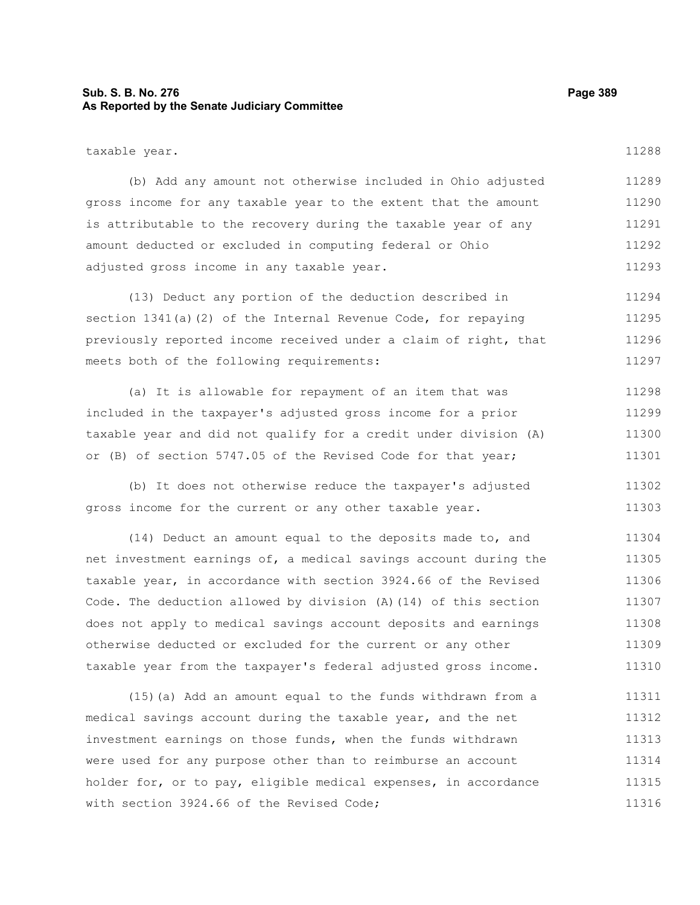# **Sub. S. B. No. 276 Page 389 As Reported by the Senate Judiciary Committee**

taxable year.

(b) Add any amount not otherwise included in Ohio adjusted gross income for any taxable year to the extent that the amount is attributable to the recovery during the taxable year of any amount deducted or excluded in computing federal or Ohio adjusted gross income in any taxable year. 11289 11290 11291 11292 11293

(13) Deduct any portion of the deduction described in section 1341(a)(2) of the Internal Revenue Code, for repaying previously reported income received under a claim of right, that meets both of the following requirements: 11294 11295 11296 11297

(a) It is allowable for repayment of an item that was included in the taxpayer's adjusted gross income for a prior taxable year and did not qualify for a credit under division (A) or (B) of section 5747.05 of the Revised Code for that year; 11298 11299 11300 11301

(b) It does not otherwise reduce the taxpayer's adjusted gross income for the current or any other taxable year. 11302 11303

(14) Deduct an amount equal to the deposits made to, and net investment earnings of, a medical savings account during the taxable year, in accordance with section 3924.66 of the Revised Code. The deduction allowed by division (A)(14) of this section does not apply to medical savings account deposits and earnings otherwise deducted or excluded for the current or any other taxable year from the taxpayer's federal adjusted gross income. 11304 11305 11306 11307 11308 11309 11310

(15)(a) Add an amount equal to the funds withdrawn from a medical savings account during the taxable year, and the net investment earnings on those funds, when the funds withdrawn were used for any purpose other than to reimburse an account holder for, or to pay, eligible medical expenses, in accordance with section 3924.66 of the Revised Code; 11311 11312 11313 11314 11315 11316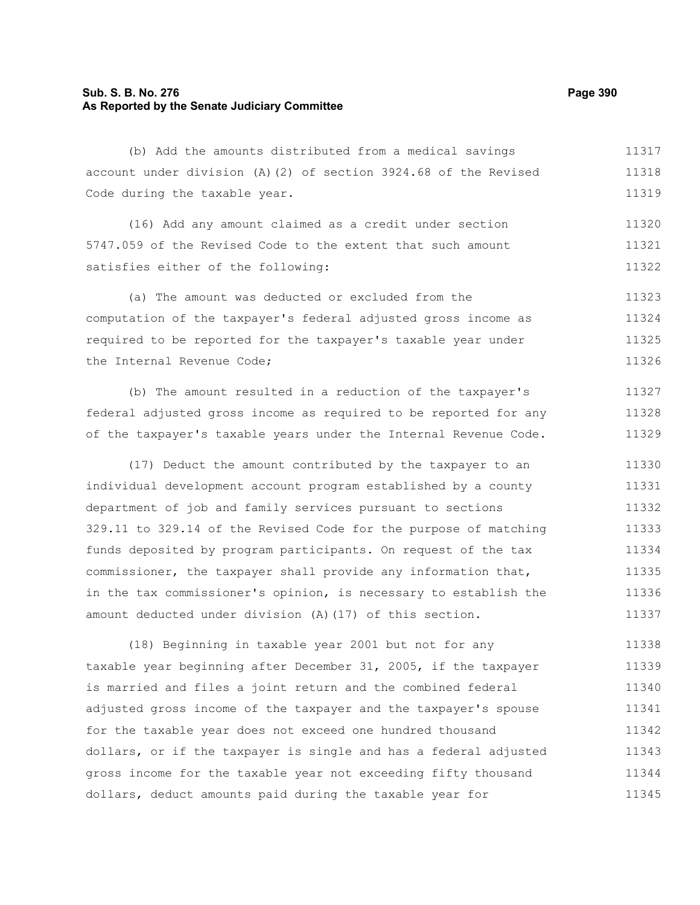# **Sub. S. B. No. 276 Page 390 As Reported by the Senate Judiciary Committee**

(b) Add the amounts distributed from a medical savings account under division (A)(2) of section 3924.68 of the Revised Code during the taxable year. 11317 11318 11319

(16) Add any amount claimed as a credit under section 5747.059 of the Revised Code to the extent that such amount satisfies either of the following: 11320 11321 11322

(a) The amount was deducted or excluded from the computation of the taxpayer's federal adjusted gross income as required to be reported for the taxpayer's taxable year under the Internal Revenue Code; 11323 11324 11325 11326

(b) The amount resulted in a reduction of the taxpayer's federal adjusted gross income as required to be reported for any of the taxpayer's taxable years under the Internal Revenue Code. 11327 11328 11329

(17) Deduct the amount contributed by the taxpayer to an individual development account program established by a county department of job and family services pursuant to sections 329.11 to 329.14 of the Revised Code for the purpose of matching funds deposited by program participants. On request of the tax commissioner, the taxpayer shall provide any information that, in the tax commissioner's opinion, is necessary to establish the amount deducted under division (A)(17) of this section. 11330 11331 11332 11333 11334 11335 11336 11337

(18) Beginning in taxable year 2001 but not for any taxable year beginning after December 31, 2005, if the taxpayer is married and files a joint return and the combined federal adjusted gross income of the taxpayer and the taxpayer's spouse for the taxable year does not exceed one hundred thousand dollars, or if the taxpayer is single and has a federal adjusted gross income for the taxable year not exceeding fifty thousand dollars, deduct amounts paid during the taxable year for 11338 11339 11340 11341 11342 11343 11344 11345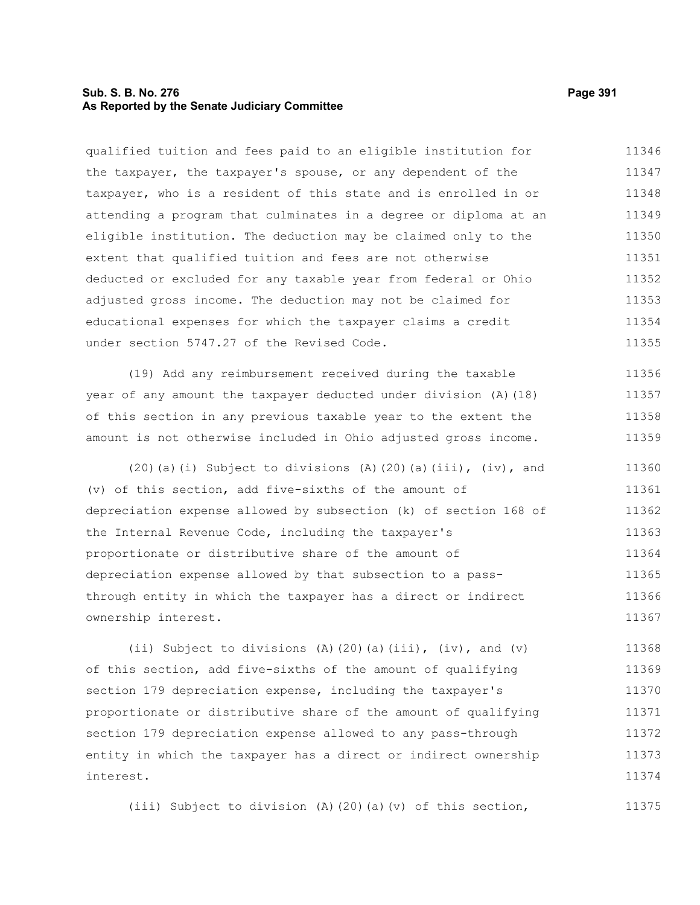# **Sub. S. B. No. 276 Page 391 As Reported by the Senate Judiciary Committee**

qualified tuition and fees paid to an eligible institution for the taxpayer, the taxpayer's spouse, or any dependent of the taxpayer, who is a resident of this state and is enrolled in or attending a program that culminates in a degree or diploma at an eligible institution. The deduction may be claimed only to the extent that qualified tuition and fees are not otherwise deducted or excluded for any taxable year from federal or Ohio adjusted gross income. The deduction may not be claimed for educational expenses for which the taxpayer claims a credit under section 5747.27 of the Revised Code. 11346 11347 11348 11349 11350 11351 11352 11353 11354 11355

(19) Add any reimbursement received during the taxable year of any amount the taxpayer deducted under division (A)(18) of this section in any previous taxable year to the extent the amount is not otherwise included in Ohio adjusted gross income. 11356 11357 11358 11359

 $(20)(a)(i)$  Subject to divisions  $(A)(20)(a)(iii)$ ,  $(iv)$ , and (v) of this section, add five-sixths of the amount of depreciation expense allowed by subsection (k) of section 168 of the Internal Revenue Code, including the taxpayer's proportionate or distributive share of the amount of depreciation expense allowed by that subsection to a passthrough entity in which the taxpayer has a direct or indirect ownership interest. 11360 11361 11362 11363 11364 11365 11366 11367

(ii) Subject to divisions (A)(20)(a)(iii), (iv), and (v) of this section, add five-sixths of the amount of qualifying section 179 depreciation expense, including the taxpayer's proportionate or distributive share of the amount of qualifying section 179 depreciation expense allowed to any pass-through entity in which the taxpayer has a direct or indirect ownership interest. 11368 11369 11370 11371 11372 11373 11374

(iii) Subject to division (A)(20)(a)(v) of this section,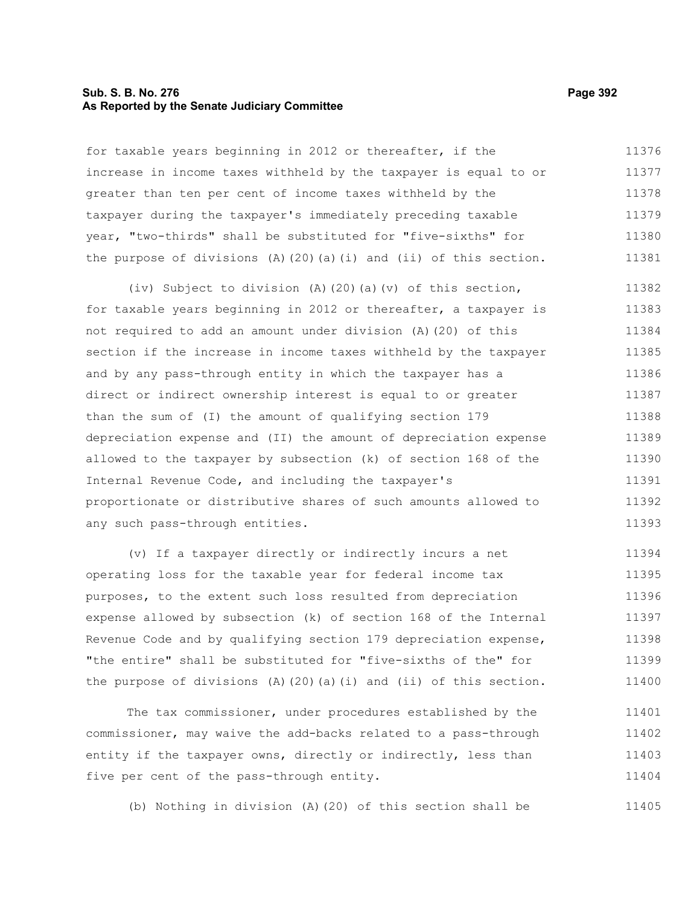# **Sub. S. B. No. 276 Page 392 As Reported by the Senate Judiciary Committee**

for taxable years beginning in 2012 or thereafter, if the increase in income taxes withheld by the taxpayer is equal to or greater than ten per cent of income taxes withheld by the taxpayer during the taxpayer's immediately preceding taxable year, "two-thirds" shall be substituted for "five-sixths" for the purpose of divisions  $(A)$  (20)(a)(i) and (ii) of this section. 11376 11377 11378 11379 11380 11381

(iv) Subject to division (A)(20)(a)(v) of this section, for taxable years beginning in 2012 or thereafter, a taxpayer is not required to add an amount under division (A)(20) of this section if the increase in income taxes withheld by the taxpayer and by any pass-through entity in which the taxpayer has a direct or indirect ownership interest is equal to or greater than the sum of (I) the amount of qualifying section 179 depreciation expense and (II) the amount of depreciation expense allowed to the taxpayer by subsection (k) of section 168 of the Internal Revenue Code, and including the taxpayer's proportionate or distributive shares of such amounts allowed to any such pass-through entities. 11382 11383 11384 11385 11386 11387 11388 11389 11390 11391 11392 11393

(v) If a taxpayer directly or indirectly incurs a net operating loss for the taxable year for federal income tax purposes, to the extent such loss resulted from depreciation expense allowed by subsection (k) of section 168 of the Internal Revenue Code and by qualifying section 179 depreciation expense, "the entire" shall be substituted for "five-sixths of the" for the purpose of divisions  $(A)$   $(20)$   $(a)$   $(i)$  and  $(ii)$  of this section. 11394 11395 11396 11397 11398 11399 11400

The tax commissioner, under procedures established by the commissioner, may waive the add-backs related to a pass-through entity if the taxpayer owns, directly or indirectly, less than five per cent of the pass-through entity. 11401 11402 11403 11404

(b) Nothing in division (A)(20) of this section shall be 11405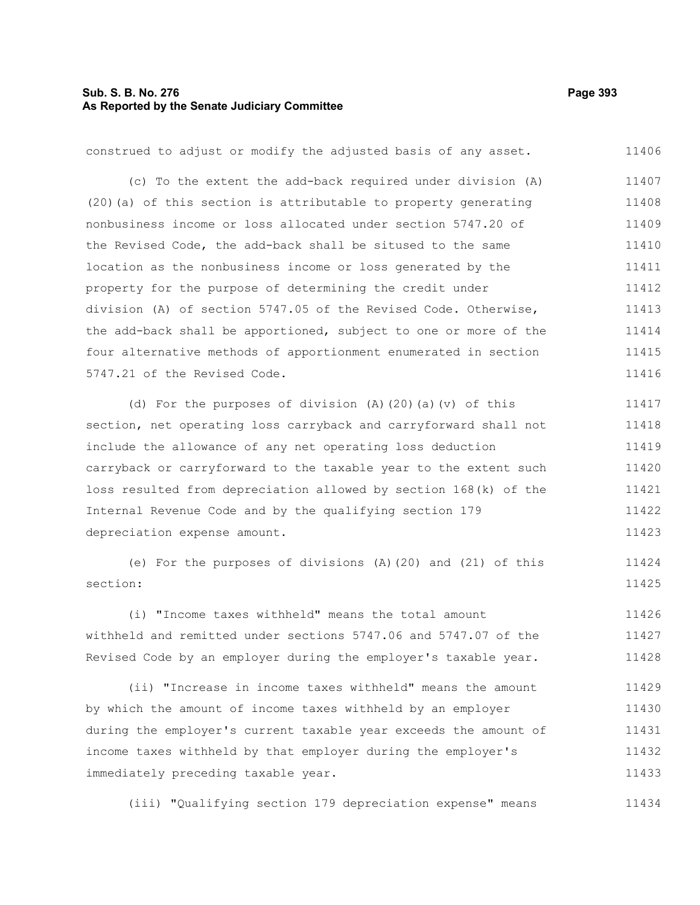# **Sub. S. B. No. 276 Page 393 As Reported by the Senate Judiciary Committee**

construed to adjust or modify the adjusted basis of any asset. (c) To the extent the add-back required under division (A) (20)(a) of this section is attributable to property generating nonbusiness income or loss allocated under section 5747.20 of the Revised Code, the add-back shall be sitused to the same location as the nonbusiness income or loss generated by the property for the purpose of determining the credit under division (A) of section 5747.05 of the Revised Code. Otherwise, the add-back shall be apportioned, subject to one or more of the four alternative methods of apportionment enumerated in section 5747.21 of the Revised Code. (d) For the purposes of division (A)(20)(a)(v) of this section, net operating loss carryback and carryforward shall not include the allowance of any net operating loss deduction carryback or carryforward to the taxable year to the extent such 11406 11407 11408 11409 11410 11411 11412 11413 11414 11415 11416 11417 11418 11419 11420

loss resulted from depreciation allowed by section 168(k) of the Internal Revenue Code and by the qualifying section 179 depreciation expense amount. 11421 11422 11423

(e) For the purposes of divisions (A)(20) and (21) of this section: 11424 11425

(i) "Income taxes withheld" means the total amount withheld and remitted under sections 5747.06 and 5747.07 of the Revised Code by an employer during the employer's taxable year. 11426 11427 11428

(ii) "Increase in income taxes withheld" means the amount by which the amount of income taxes withheld by an employer during the employer's current taxable year exceeds the amount of income taxes withheld by that employer during the employer's immediately preceding taxable year. 11429 11430 11431 11432 11433

(iii) "Qualifying section 179 depreciation expense" means 11434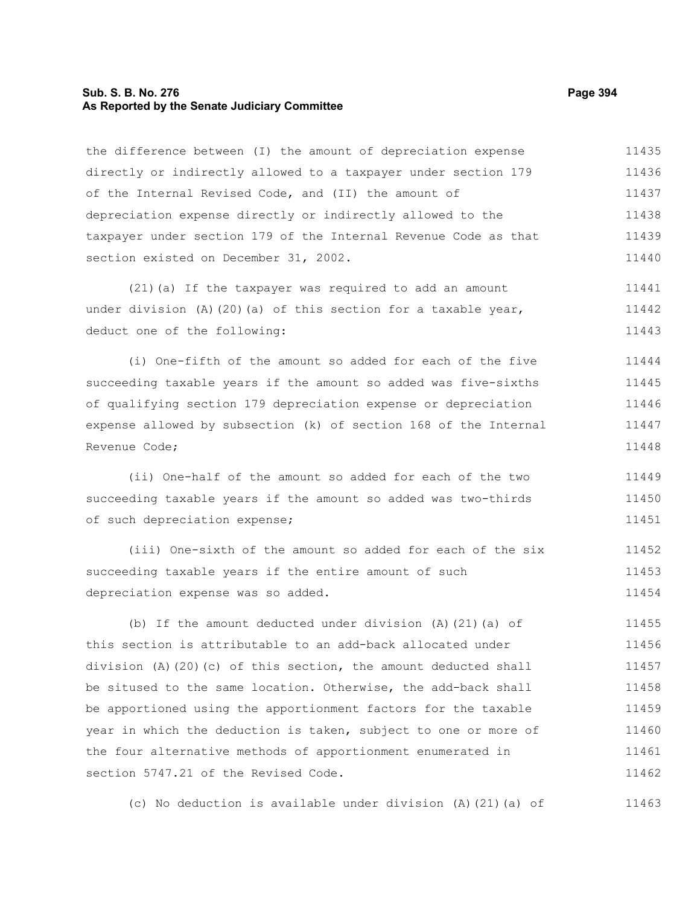# **Sub. S. B. No. 276 Page 394 As Reported by the Senate Judiciary Committee**

the difference between (I) the amount of depreciation expense directly or indirectly allowed to a taxpayer under section 179 of the Internal Revised Code, and (II) the amount of depreciation expense directly or indirectly allowed to the taxpayer under section 179 of the Internal Revenue Code as that section existed on December 31, 2002. 11435 11436 11437 11438 11439 11440

(21)(a) If the taxpayer was required to add an amount under division  $(A)$  (20)(a) of this section for a taxable year, deduct one of the following: 11441 11442 11443

(i) One-fifth of the amount so added for each of the five succeeding taxable years if the amount so added was five-sixths of qualifying section 179 depreciation expense or depreciation expense allowed by subsection (k) of section 168 of the Internal Revenue Code; 11444 11445 11446 11447 11448

(ii) One-half of the amount so added for each of the two succeeding taxable years if the amount so added was two-thirds of such depreciation expense; 11449 11450 11451

(iii) One-sixth of the amount so added for each of the six succeeding taxable years if the entire amount of such depreciation expense was so added. 11452 11453 11454

(b) If the amount deducted under division (A)(21)(a) of this section is attributable to an add-back allocated under division (A)(20)(c) of this section, the amount deducted shall be sitused to the same location. Otherwise, the add-back shall be apportioned using the apportionment factors for the taxable year in which the deduction is taken, subject to one or more of the four alternative methods of apportionment enumerated in section 5747.21 of the Revised Code. 11455 11456 11457 11458 11459 11460 11461 11462

(c) No deduction is available under division (A)(21)(a) of 11463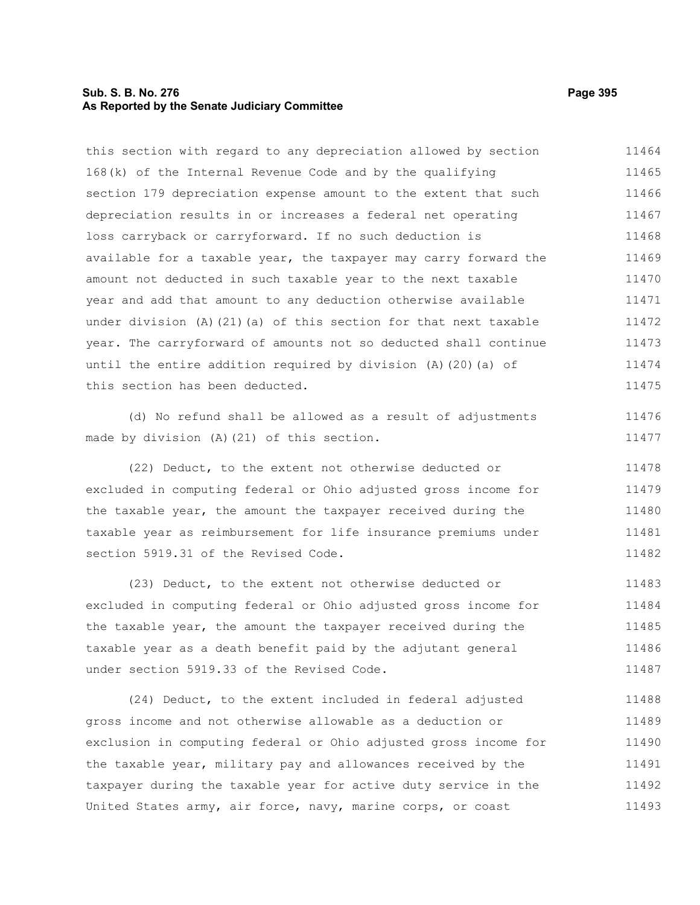### **Sub. S. B. No. 276 Page 395 As Reported by the Senate Judiciary Committee**

this section with regard to any depreciation allowed by section 168(k) of the Internal Revenue Code and by the qualifying section 179 depreciation expense amount to the extent that such depreciation results in or increases a federal net operating loss carryback or carryforward. If no such deduction is available for a taxable year, the taxpayer may carry forward the amount not deducted in such taxable year to the next taxable year and add that amount to any deduction otherwise available under division (A)(21)(a) of this section for that next taxable year. The carryforward of amounts not so deducted shall continue until the entire addition required by division (A)(20)(a) of this section has been deducted. 11464 11465 11466 11467 11468 11469 11470 11471 11472 11473 11474 11475

(d) No refund shall be allowed as a result of adjustments made by division (A)(21) of this section.

(22) Deduct, to the extent not otherwise deducted or excluded in computing federal or Ohio adjusted gross income for the taxable year, the amount the taxpayer received during the taxable year as reimbursement for life insurance premiums under section 5919.31 of the Revised Code. 11478 11479 11480 11481 11482

(23) Deduct, to the extent not otherwise deducted or excluded in computing federal or Ohio adjusted gross income for the taxable year, the amount the taxpayer received during the taxable year as a death benefit paid by the adjutant general under section 5919.33 of the Revised Code. 11483 11484 11485 11486 11487

(24) Deduct, to the extent included in federal adjusted gross income and not otherwise allowable as a deduction or exclusion in computing federal or Ohio adjusted gross income for the taxable year, military pay and allowances received by the taxpayer during the taxable year for active duty service in the United States army, air force, navy, marine corps, or coast 11488 11489 11490 11491 11492 11493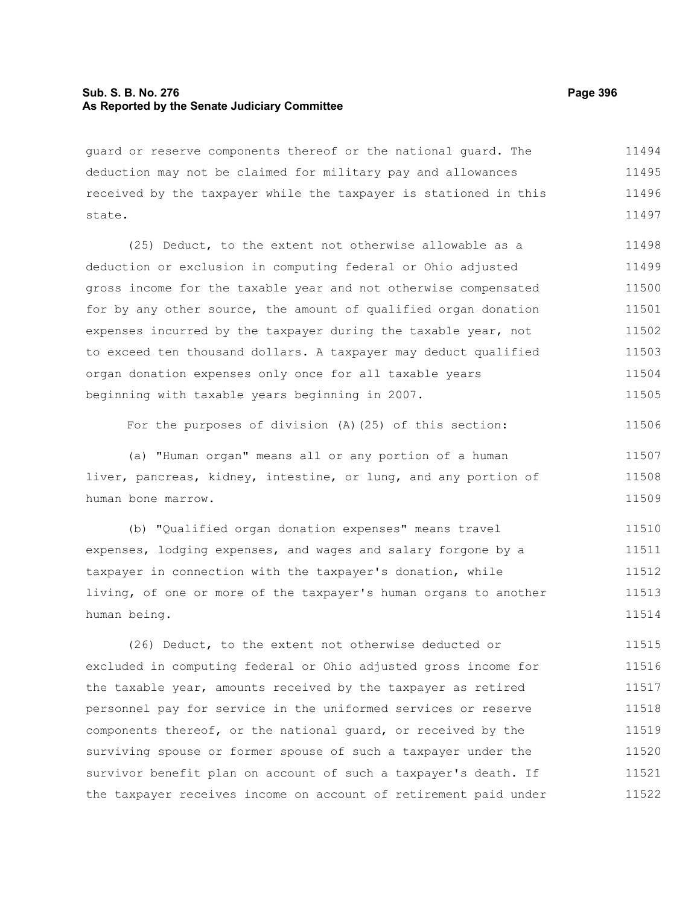# **Sub. S. B. No. 276 Page 396 As Reported by the Senate Judiciary Committee**

guard or reserve components thereof or the national guard. The deduction may not be claimed for military pay and allowances received by the taxpayer while the taxpayer is stationed in this state. 11494 11495 11496 11497

(25) Deduct, to the extent not otherwise allowable as a deduction or exclusion in computing federal or Ohio adjusted gross income for the taxable year and not otherwise compensated for by any other source, the amount of qualified organ donation expenses incurred by the taxpayer during the taxable year, not to exceed ten thousand dollars. A taxpayer may deduct qualified organ donation expenses only once for all taxable years beginning with taxable years beginning in 2007. 11498 11499 11500 11501 11502 11503 11504 11505

For the purposes of division (A)(25) of this section: 11506

(a) "Human organ" means all or any portion of a human liver, pancreas, kidney, intestine, or lung, and any portion of human bone marrow. 11507 11508 11509

(b) "Qualified organ donation expenses" means travel expenses, lodging expenses, and wages and salary forgone by a taxpayer in connection with the taxpayer's donation, while living, of one or more of the taxpayer's human organs to another human being. 11510 11511 11512 11513 11514

(26) Deduct, to the extent not otherwise deducted or excluded in computing federal or Ohio adjusted gross income for the taxable year, amounts received by the taxpayer as retired personnel pay for service in the uniformed services or reserve components thereof, or the national guard, or received by the surviving spouse or former spouse of such a taxpayer under the survivor benefit plan on account of such a taxpayer's death. If the taxpayer receives income on account of retirement paid under 11515 11516 11517 11518 11519 11520 11521 11522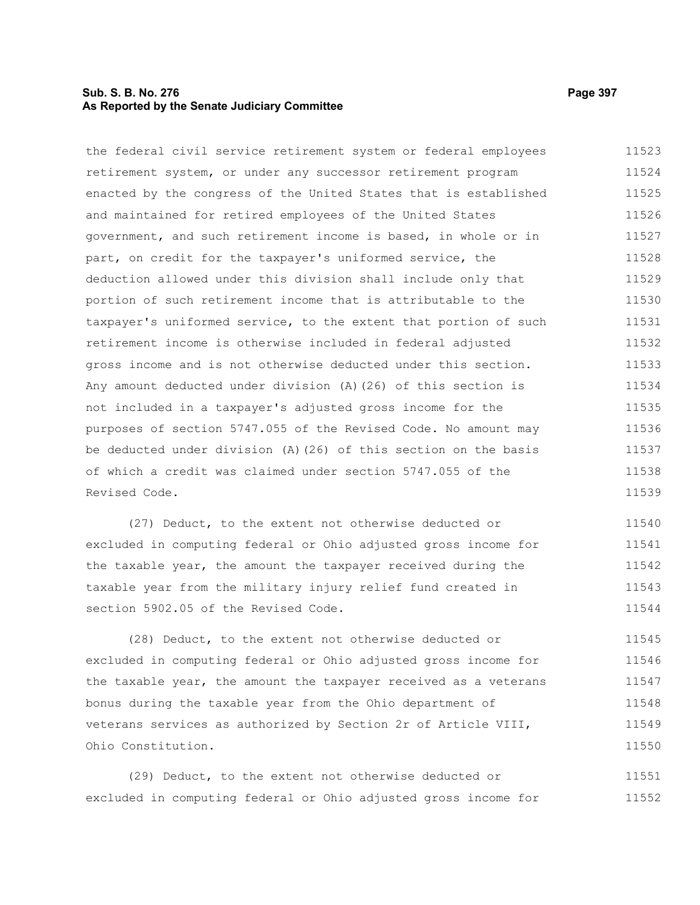# **Sub. S. B. No. 276 Page 397 As Reported by the Senate Judiciary Committee**

the federal civil service retirement system or federal employees retirement system, or under any successor retirement program enacted by the congress of the United States that is established and maintained for retired employees of the United States government, and such retirement income is based, in whole or in part, on credit for the taxpayer's uniformed service, the deduction allowed under this division shall include only that portion of such retirement income that is attributable to the taxpayer's uniformed service, to the extent that portion of such retirement income is otherwise included in federal adjusted gross income and is not otherwise deducted under this section. Any amount deducted under division (A)(26) of this section is not included in a taxpayer's adjusted gross income for the purposes of section 5747.055 of the Revised Code. No amount may be deducted under division (A)(26) of this section on the basis of which a credit was claimed under section 5747.055 of the Revised Code. 11523 11524 11525 11526 11527 11528 11529 11530 11531 11532 11533 11534 11535 11536 11537 11538 11539

(27) Deduct, to the extent not otherwise deducted or excluded in computing federal or Ohio adjusted gross income for the taxable year, the amount the taxpayer received during the taxable year from the military injury relief fund created in section 5902.05 of the Revised Code. 11540 11541 11542 11543 11544

(28) Deduct, to the extent not otherwise deducted or excluded in computing federal or Ohio adjusted gross income for the taxable year, the amount the taxpayer received as a veterans bonus during the taxable year from the Ohio department of veterans services as authorized by Section 2r of Article VIII, Ohio Constitution. 11545 11546 11547 11548 11549 11550

(29) Deduct, to the extent not otherwise deducted or excluded in computing federal or Ohio adjusted gross income for 11551 11552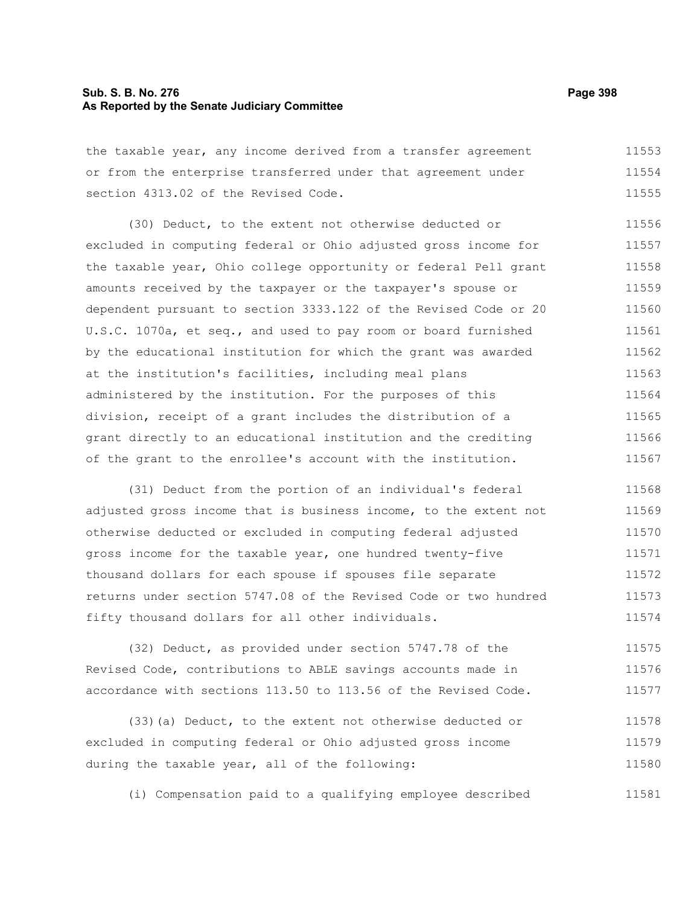# **Sub. S. B. No. 276 Page 398 As Reported by the Senate Judiciary Committee**

the taxable year, any income derived from a transfer agreement or from the enterprise transferred under that agreement under section 4313.02 of the Revised Code. 11553 11554 11555

(30) Deduct, to the extent not otherwise deducted or excluded in computing federal or Ohio adjusted gross income for the taxable year, Ohio college opportunity or federal Pell grant amounts received by the taxpayer or the taxpayer's spouse or dependent pursuant to section 3333.122 of the Revised Code or 20 U.S.C. 1070a, et seq., and used to pay room or board furnished by the educational institution for which the grant was awarded at the institution's facilities, including meal plans administered by the institution. For the purposes of this division, receipt of a grant includes the distribution of a grant directly to an educational institution and the crediting of the grant to the enrollee's account with the institution. 11556 11557 11558 11559 11560 11561 11562 11563 11564 11565 11566 11567

(31) Deduct from the portion of an individual's federal adjusted gross income that is business income, to the extent not otherwise deducted or excluded in computing federal adjusted gross income for the taxable year, one hundred twenty-five thousand dollars for each spouse if spouses file separate returns under section 5747.08 of the Revised Code or two hundred fifty thousand dollars for all other individuals. 11568 11569 11570 11571 11572 11573 11574

(32) Deduct, as provided under section 5747.78 of the Revised Code, contributions to ABLE savings accounts made in accordance with sections 113.50 to 113.56 of the Revised Code. 11575 11576 11577

(33)(a) Deduct, to the extent not otherwise deducted or excluded in computing federal or Ohio adjusted gross income during the taxable year, all of the following: 11578 11579 11580

(i) Compensation paid to a qualifying employee described 11581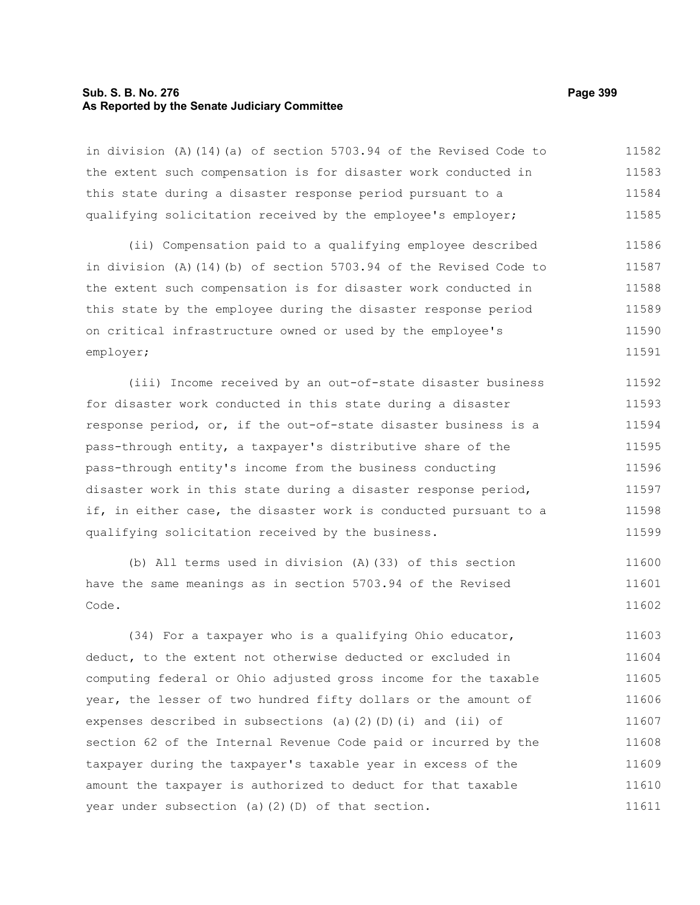# **Sub. S. B. No. 276 Page 399 As Reported by the Senate Judiciary Committee**

in division (A)(14)(a) of section 5703.94 of the Revised Code to the extent such compensation is for disaster work conducted in this state during a disaster response period pursuant to a qualifying solicitation received by the employee's employer; 11582 11583 11584 11585

(ii) Compensation paid to a qualifying employee described in division (A)(14)(b) of section 5703.94 of the Revised Code to the extent such compensation is for disaster work conducted in this state by the employee during the disaster response period on critical infrastructure owned or used by the employee's employer; 11586 11587 11588 11589 11590 11591

(iii) Income received by an out-of-state disaster business for disaster work conducted in this state during a disaster response period, or, if the out-of-state disaster business is a pass-through entity, a taxpayer's distributive share of the pass-through entity's income from the business conducting disaster work in this state during a disaster response period, if, in either case, the disaster work is conducted pursuant to a qualifying solicitation received by the business. 11592 11593 11594 11595 11596 11597 11598 11599

(b) All terms used in division (A)(33) of this section have the same meanings as in section 5703.94 of the Revised Code. 11600 11601 11602

(34) For a taxpayer who is a qualifying Ohio educator, deduct, to the extent not otherwise deducted or excluded in computing federal or Ohio adjusted gross income for the taxable year, the lesser of two hundred fifty dollars or the amount of expenses described in subsections (a)(2)(D)(i) and (ii) of section 62 of the Internal Revenue Code paid or incurred by the taxpayer during the taxpayer's taxable year in excess of the amount the taxpayer is authorized to deduct for that taxable year under subsection (a)(2)(D) of that section. 11603 11604 11605 11606 11607 11608 11609 11610 11611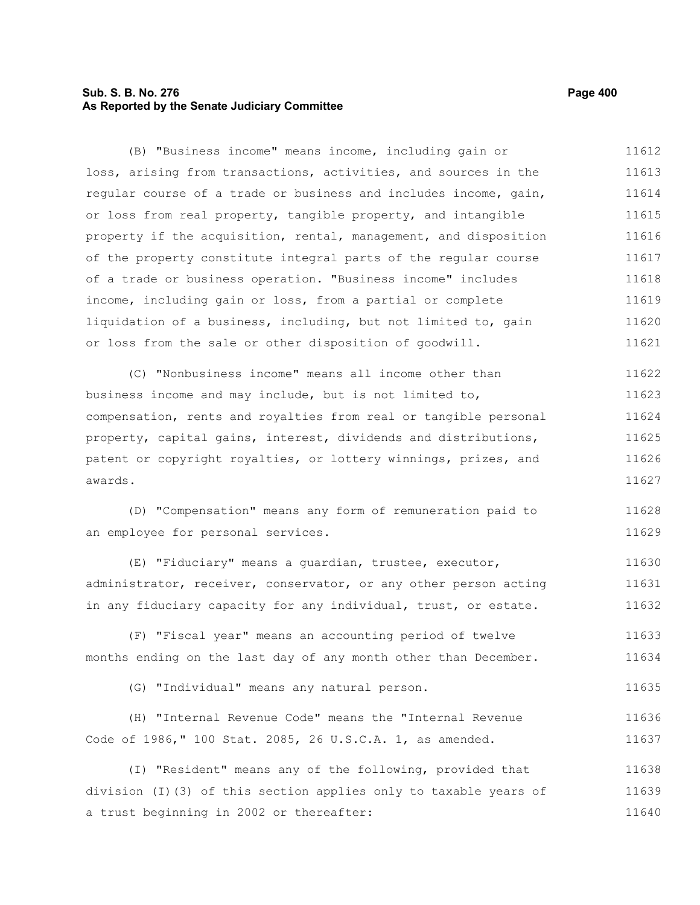# **Sub. S. B. No. 276 Page 400 As Reported by the Senate Judiciary Committee**

(B) "Business income" means income, including gain or loss, arising from transactions, activities, and sources in the regular course of a trade or business and includes income, gain, or loss from real property, tangible property, and intangible property if the acquisition, rental, management, and disposition of the property constitute integral parts of the regular course of a trade or business operation. "Business income" includes income, including gain or loss, from a partial or complete liquidation of a business, including, but not limited to, gain or loss from the sale or other disposition of goodwill. 11612 11613 11614 11615 11616 11617 11618 11619 11620 11621

(C) "Nonbusiness income" means all income other than business income and may include, but is not limited to, compensation, rents and royalties from real or tangible personal property, capital gains, interest, dividends and distributions, patent or copyright royalties, or lottery winnings, prizes, and awards. 11622 11623 11624 11625 11626 11627

(D) "Compensation" means any form of remuneration paid to an employee for personal services. 11628 11629

(E) "Fiduciary" means a guardian, trustee, executor, administrator, receiver, conservator, or any other person acting in any fiduciary capacity for any individual, trust, or estate. 11630 11631 11632

(F) "Fiscal year" means an accounting period of twelve months ending on the last day of any month other than December. 11633 11634

(G) "Individual" means any natural person. 11635

|  |                                                           |  |  |  |  | (H) "Internal Revenue Code" means the "Internal Revenue | 11636 |
|--|-----------------------------------------------------------|--|--|--|--|---------------------------------------------------------|-------|
|  | Code of 1986," 100 Stat. 2085, 26 U.S.C.A. 1, as amended. |  |  |  |  |                                                         | 11637 |

(I) "Resident" means any of the following, provided that division (I)(3) of this section applies only to taxable years of a trust beginning in 2002 or thereafter: 11638 11639 11640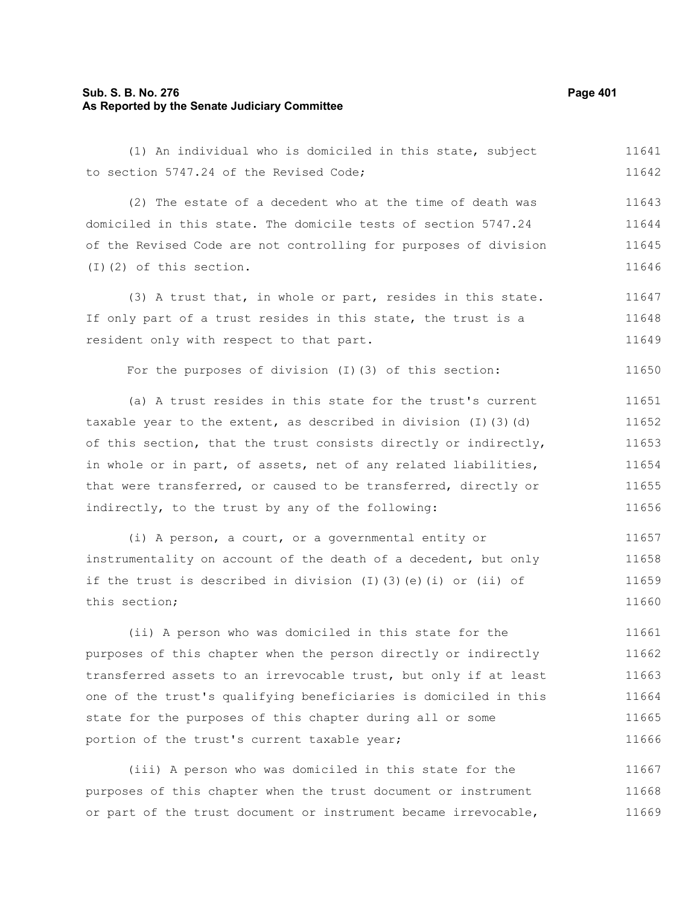# **Sub. S. B. No. 276 Page 401 As Reported by the Senate Judiciary Committee**

(1) An individual who is domiciled in this state, subject to section 5747.24 of the Revised Code; 11641 11642

(2) The estate of a decedent who at the time of death was domiciled in this state. The domicile tests of section 5747.24 of the Revised Code are not controlling for purposes of division (I)(2) of this section. 11643 11644 11645 11646

(3) A trust that, in whole or part, resides in this state. If only part of a trust resides in this state, the trust is a resident only with respect to that part. 11647 11648 11649

For the purposes of division (I)(3) of this section:

(a) A trust resides in this state for the trust's current taxable year to the extent, as described in division  $(I)$   $(3)$   $(d)$ of this section, that the trust consists directly or indirectly, in whole or in part, of assets, net of any related liabilities, that were transferred, or caused to be transferred, directly or indirectly, to the trust by any of the following: 11651 11652 11653 11654 11655 11656

(i) A person, a court, or a governmental entity or instrumentality on account of the death of a decedent, but only if the trust is described in division (I)(3)(e)(i) or (ii) of this section; 11657 11658 11659 11660

(ii) A person who was domiciled in this state for the purposes of this chapter when the person directly or indirectly transferred assets to an irrevocable trust, but only if at least one of the trust's qualifying beneficiaries is domiciled in this state for the purposes of this chapter during all or some portion of the trust's current taxable year; 11661 11662 11663 11664 11665 11666

(iii) A person who was domiciled in this state for the purposes of this chapter when the trust document or instrument or part of the trust document or instrument became irrevocable, 11667 11668 11669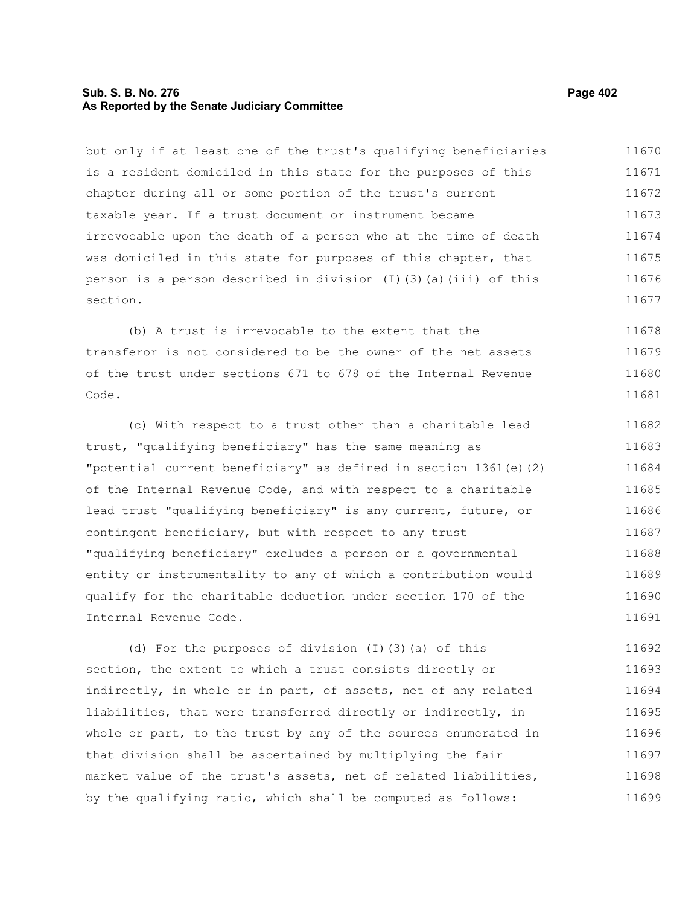# **Sub. S. B. No. 276 Page 402 As Reported by the Senate Judiciary Committee**

but only if at least one of the trust's qualifying beneficiaries is a resident domiciled in this state for the purposes of this chapter during all or some portion of the trust's current taxable year. If a trust document or instrument became irrevocable upon the death of a person who at the time of death was domiciled in this state for purposes of this chapter, that person is a person described in division  $(I)(3)(a)(iii)$  of this section. 11670 11671 11672 11673 11674 11675 11676 11677

(b) A trust is irrevocable to the extent that the transferor is not considered to be the owner of the net assets of the trust under sections 671 to 678 of the Internal Revenue Code. 11678 11679 11680 11681

(c) With respect to a trust other than a charitable lead trust, "qualifying beneficiary" has the same meaning as "potential current beneficiary" as defined in section 1361(e)(2) of the Internal Revenue Code, and with respect to a charitable lead trust "qualifying beneficiary" is any current, future, or contingent beneficiary, but with respect to any trust "qualifying beneficiary" excludes a person or a governmental entity or instrumentality to any of which a contribution would qualify for the charitable deduction under section 170 of the Internal Revenue Code. 11682 11683 11684 11685 11686 11687 11688 11689 11690 11691

(d) For the purposes of division (I)(3)(a) of this section, the extent to which a trust consists directly or indirectly, in whole or in part, of assets, net of any related liabilities, that were transferred directly or indirectly, in whole or part, to the trust by any of the sources enumerated in that division shall be ascertained by multiplying the fair market value of the trust's assets, net of related liabilities, by the qualifying ratio, which shall be computed as follows: 11692 11693 11694 11695 11696 11697 11698 11699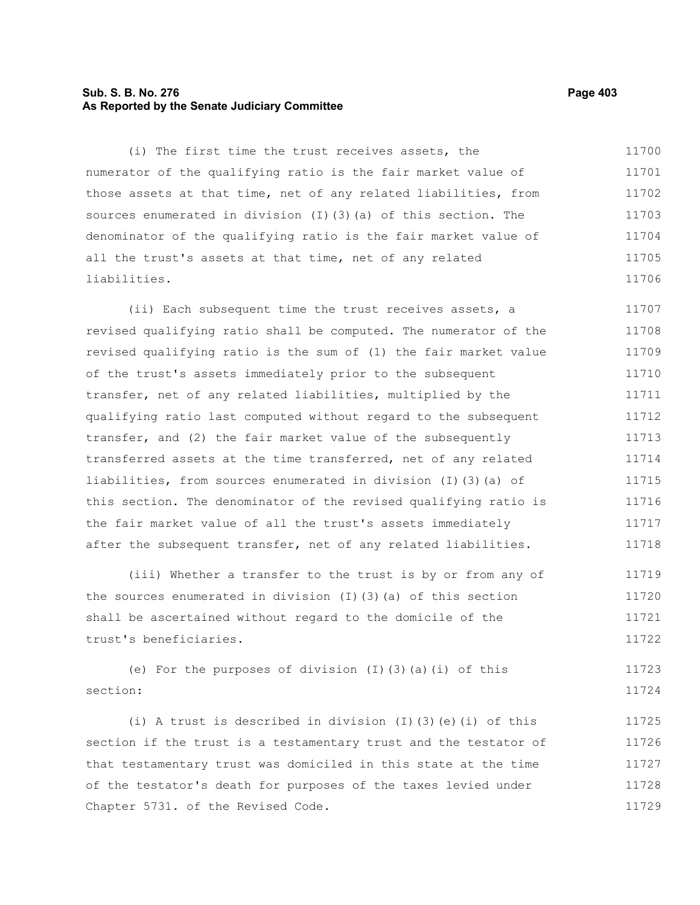# **Sub. S. B. No. 276 Page 403 As Reported by the Senate Judiciary Committee**

(i) The first time the trust receives assets, the numerator of the qualifying ratio is the fair market value of those assets at that time, net of any related liabilities, from sources enumerated in division (I)(3)(a) of this section. The denominator of the qualifying ratio is the fair market value of all the trust's assets at that time, net of any related liabilities. 11700 11701 11702 11703 11704 11705 11706

(ii) Each subsequent time the trust receives assets, a revised qualifying ratio shall be computed. The numerator of the revised qualifying ratio is the sum of (1) the fair market value of the trust's assets immediately prior to the subsequent transfer, net of any related liabilities, multiplied by the qualifying ratio last computed without regard to the subsequent transfer, and (2) the fair market value of the subsequently transferred assets at the time transferred, net of any related liabilities, from sources enumerated in division (I)(3)(a) of this section. The denominator of the revised qualifying ratio is the fair market value of all the trust's assets immediately after the subsequent transfer, net of any related liabilities. 11707 11708 11709 11710 11711 11712 11713 11714 11715 11716 11717 11718

(iii) Whether a transfer to the trust is by or from any of the sources enumerated in division (I)(3)(a) of this section shall be ascertained without regard to the domicile of the trust's beneficiaries. 11719 11720 11721 11722

(e) For the purposes of division  $(I)(3)(a)(i)$  of this section: 11723 11724

(i) A trust is described in division  $(I)$  (3)(e)(i) of this section if the trust is a testamentary trust and the testator of that testamentary trust was domiciled in this state at the time of the testator's death for purposes of the taxes levied under Chapter 5731. of the Revised Code. 11725 11726 11727 11728 11729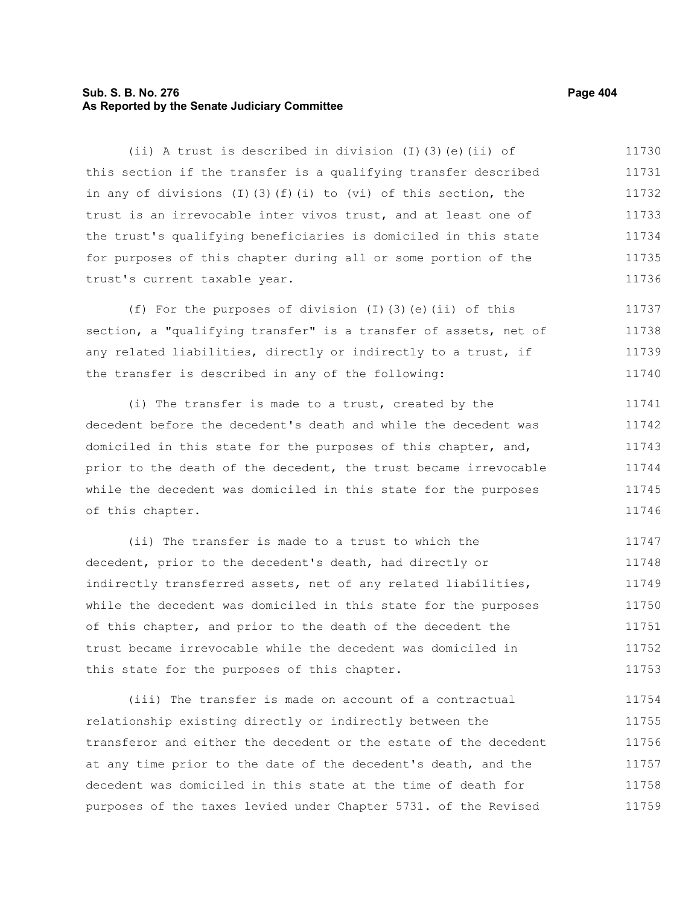# **Sub. S. B. No. 276 Page 404 As Reported by the Senate Judiciary Committee**

(ii) A trust is described in division (I)(3)(e)(ii) of this section if the transfer is a qualifying transfer described in any of divisions  $(I)$   $(3)$   $(f)$   $(i)$  to  $(vi)$  of this section, the trust is an irrevocable inter vivos trust, and at least one of the trust's qualifying beneficiaries is domiciled in this state for purposes of this chapter during all or some portion of the trust's current taxable year. 11730 11731 11732 11733 11734 11735 11736

(f) For the purposes of division (I)(3)(e)(ii) of this section, a "qualifying transfer" is a transfer of assets, net of any related liabilities, directly or indirectly to a trust, if the transfer is described in any of the following: 11737 11738 11739 11740

(i) The transfer is made to a trust, created by the decedent before the decedent's death and while the decedent was domiciled in this state for the purposes of this chapter, and, prior to the death of the decedent, the trust became irrevocable while the decedent was domiciled in this state for the purposes of this chapter. 11741 11742 11743 11744 11745 11746

(ii) The transfer is made to a trust to which the decedent, prior to the decedent's death, had directly or indirectly transferred assets, net of any related liabilities, while the decedent was domiciled in this state for the purposes of this chapter, and prior to the death of the decedent the trust became irrevocable while the decedent was domiciled in this state for the purposes of this chapter. 11747 11748 11749 11750 11751 11752 11753

(iii) The transfer is made on account of a contractual relationship existing directly or indirectly between the transferor and either the decedent or the estate of the decedent at any time prior to the date of the decedent's death, and the decedent was domiciled in this state at the time of death for purposes of the taxes levied under Chapter 5731. of the Revised 11754 11755 11756 11757 11758 11759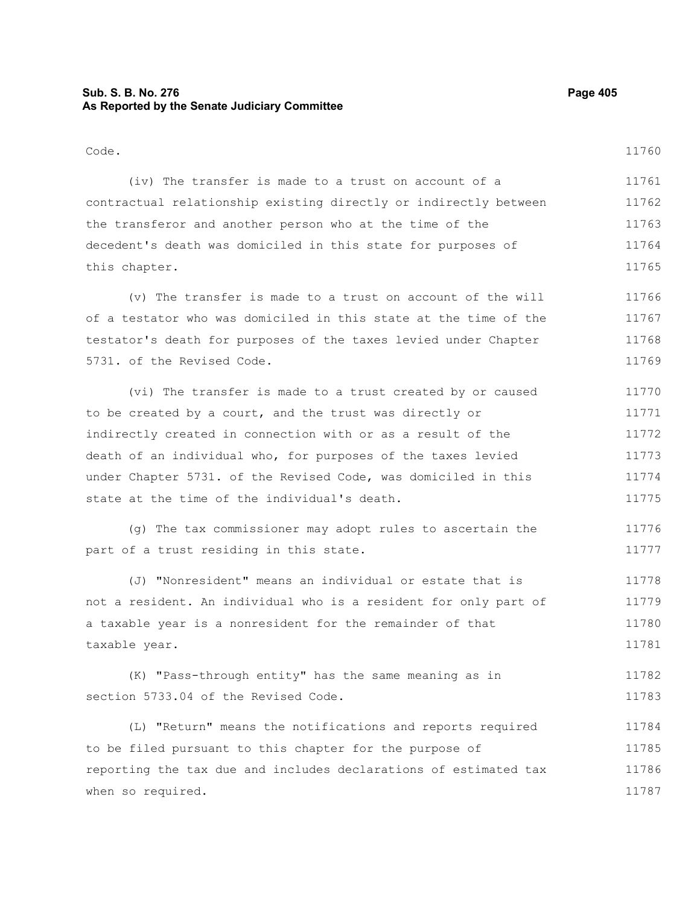# **Sub. S. B. No. 276 Page 405 As Reported by the Senate Judiciary Committee**

this chapter.

11765

#### Code. (iv) The transfer is made to a trust on account of a contractual relationship existing directly or indirectly between the transferor and another person who at the time of the decedent's death was domiciled in this state for purposes of 11760 11761 11762 11763 11764

(v) The transfer is made to a trust on account of the will of a testator who was domiciled in this state at the time of the testator's death for purposes of the taxes levied under Chapter 5731. of the Revised Code. 11766 11767 11768 11769

(vi) The transfer is made to a trust created by or caused to be created by a court, and the trust was directly or indirectly created in connection with or as a result of the death of an individual who, for purposes of the taxes levied under Chapter 5731. of the Revised Code, was domiciled in this state at the time of the individual's death. 11770 11771 11772 11773 11774 11775

(g) The tax commissioner may adopt rules to ascertain the part of a trust residing in this state. 11776 11777

(J) "Nonresident" means an individual or estate that is not a resident. An individual who is a resident for only part of a taxable year is a nonresident for the remainder of that taxable year. 11778 11779 11780 11781

(K) "Pass-through entity" has the same meaning as in section 5733.04 of the Revised Code. 11782 11783

(L) "Return" means the notifications and reports required to be filed pursuant to this chapter for the purpose of reporting the tax due and includes declarations of estimated tax when so required. 11784 11785 11786 11787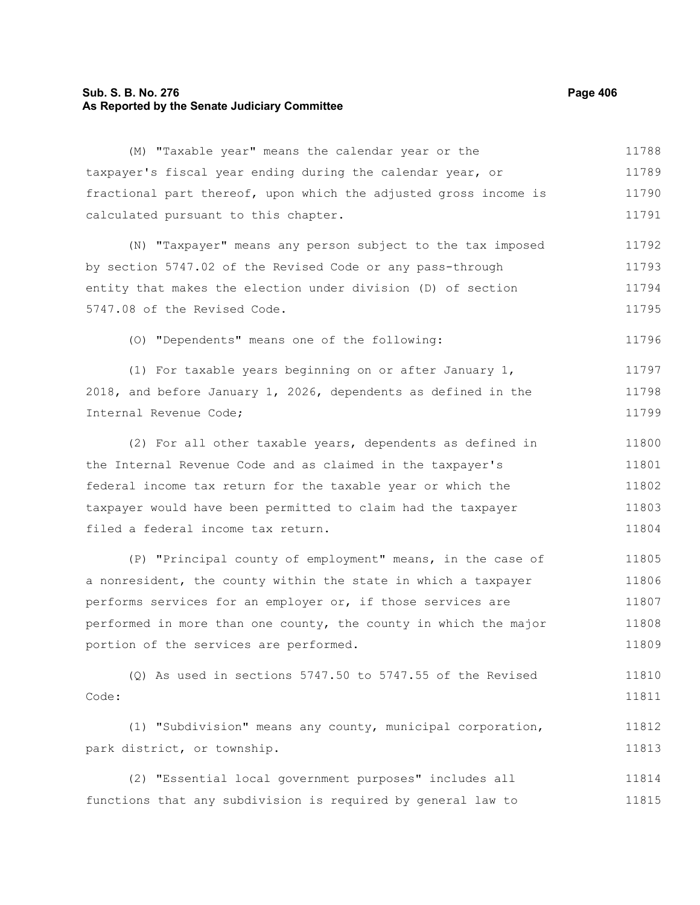# **Sub. S. B. No. 276 Page 406 As Reported by the Senate Judiciary Committee**

(M) "Taxable year" means the calendar year or the taxpayer's fiscal year ending during the calendar year, or fractional part thereof, upon which the adjusted gross income is calculated pursuant to this chapter. (N) "Taxpayer" means any person subject to the tax imposed by section 5747.02 of the Revised Code or any pass-through entity that makes the election under division (D) of section 5747.08 of the Revised Code. (O) "Dependents" means one of the following: (1) For taxable years beginning on or after January 1, 2018, and before January 1, 2026, dependents as defined in the Internal Revenue Code; (2) For all other taxable years, dependents as defined in the Internal Revenue Code and as claimed in the taxpayer's federal income tax return for the taxable year or which the taxpayer would have been permitted to claim had the taxpayer filed a federal income tax return. (P) "Principal county of employment" means, in the case of a nonresident, the county within the state in which a taxpayer performs services for an employer or, if those services are performed in more than one county, the county in which the major portion of the services are performed. (Q) As used in sections 5747.50 to 5747.55 of the Revised Code: (1) "Subdivision" means any county, municipal corporation, park district, or township. (2) "Essential local government purposes" includes all 11788 11789 11790 11791 11792 11793 11794 11795 11796 11797 11798 11799 11800 11801 11802 11803 11804 11805 11806 11807 11808 11809 11810 11811 11812 11813 11814

functions that any subdivision is required by general law to 11815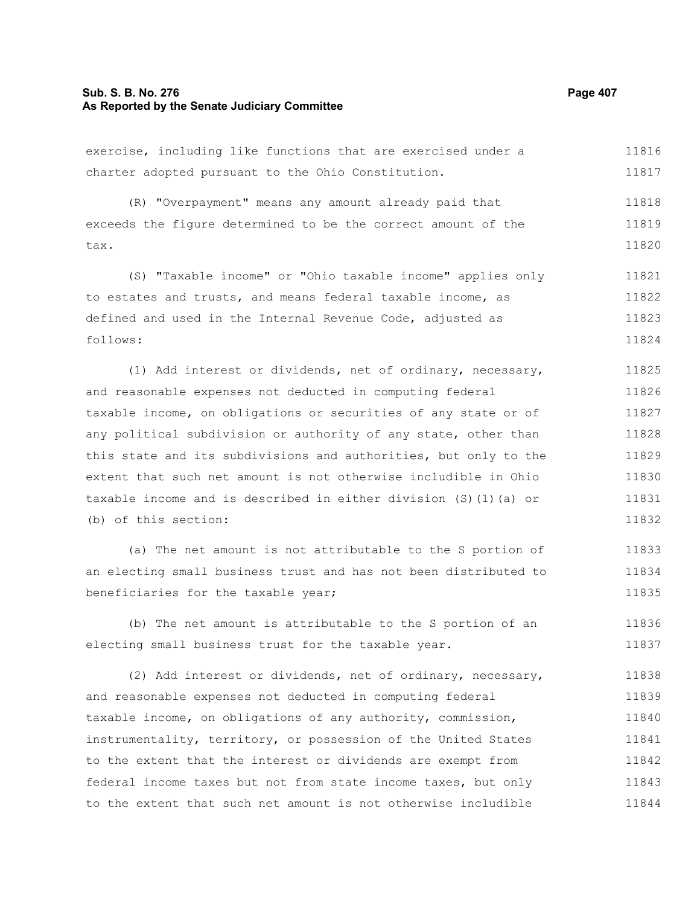#### **Sub. S. B. No. 276 Page 407 As Reported by the Senate Judiciary Committee**

exercise, including like functions that are exercised under a charter adopted pursuant to the Ohio Constitution. (R) "Overpayment" means any amount already paid that exceeds the figure determined to be the correct amount of the tax. (S) "Taxable income" or "Ohio taxable income" applies only to estates and trusts, and means federal taxable income, as defined and used in the Internal Revenue Code, adjusted as follows: (1) Add interest or dividends, net of ordinary, necessary, and reasonable expenses not deducted in computing federal taxable income, on obligations or securities of any state or of any political subdivision or authority of any state, other than this state and its subdivisions and authorities, but only to the extent that such net amount is not otherwise includible in Ohio taxable income and is described in either division (S)(1)(a) or (b) of this section: (a) The net amount is not attributable to the S portion of 11816 11817 11818 11819 11820 11821 11822 11823 11824 11825 11826 11827 11828 11829 11830 11831 11832 11833

an electing small business trust and has not been distributed to beneficiaries for the taxable year; 11834 11835

(b) The net amount is attributable to the S portion of an electing small business trust for the taxable year. 11836 11837

(2) Add interest or dividends, net of ordinary, necessary, and reasonable expenses not deducted in computing federal taxable income, on obligations of any authority, commission, instrumentality, territory, or possession of the United States to the extent that the interest or dividends are exempt from federal income taxes but not from state income taxes, but only to the extent that such net amount is not otherwise includible 11838 11839 11840 11841 11842 11843 11844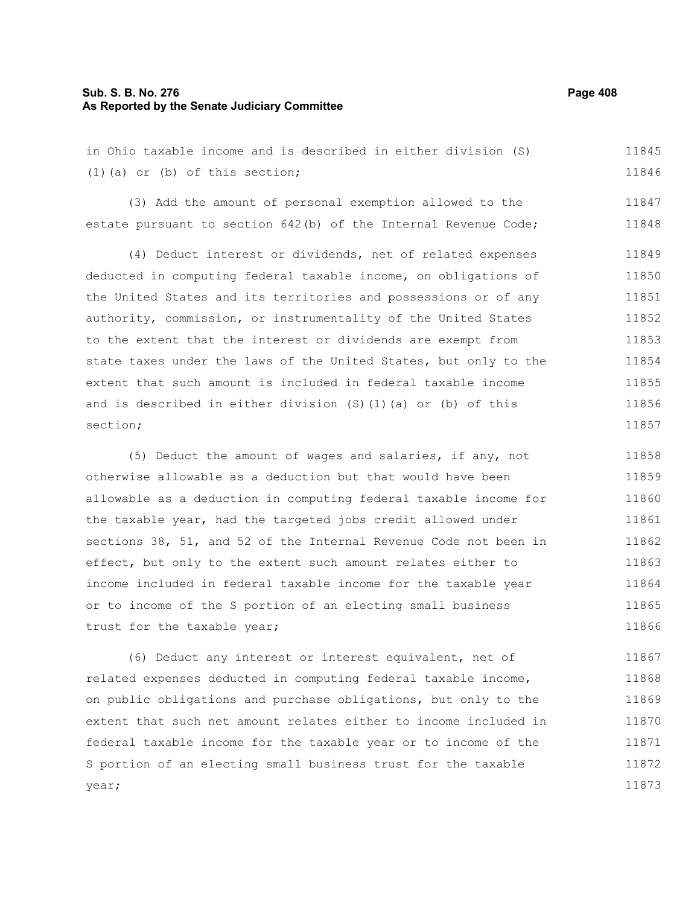#### **Sub. S. B. No. 276 Page 408 As Reported by the Senate Judiciary Committee**

in Ohio taxable income and is described in either division (S) (1)(a) or (b) of this section; 11845 11846

(3) Add the amount of personal exemption allowed to the estate pursuant to section 642(b) of the Internal Revenue Code; 11847 11848

(4) Deduct interest or dividends, net of related expenses deducted in computing federal taxable income, on obligations of the United States and its territories and possessions or of any authority, commission, or instrumentality of the United States to the extent that the interest or dividends are exempt from state taxes under the laws of the United States, but only to the extent that such amount is included in federal taxable income and is described in either division (S)(1)(a) or (b) of this section; 11849 11850 11851 11852 11853 11854 11855 11856 11857

(5) Deduct the amount of wages and salaries, if any, not otherwise allowable as a deduction but that would have been allowable as a deduction in computing federal taxable income for the taxable year, had the targeted jobs credit allowed under sections 38, 51, and 52 of the Internal Revenue Code not been in effect, but only to the extent such amount relates either to income included in federal taxable income for the taxable year or to income of the S portion of an electing small business trust for the taxable year; 11858 11859 11860 11861 11862 11863 11864 11865 11866

(6) Deduct any interest or interest equivalent, net of related expenses deducted in computing federal taxable income, on public obligations and purchase obligations, but only to the extent that such net amount relates either to income included in federal taxable income for the taxable year or to income of the S portion of an electing small business trust for the taxable year; 11867 11868 11869 11870 11871 11872 11873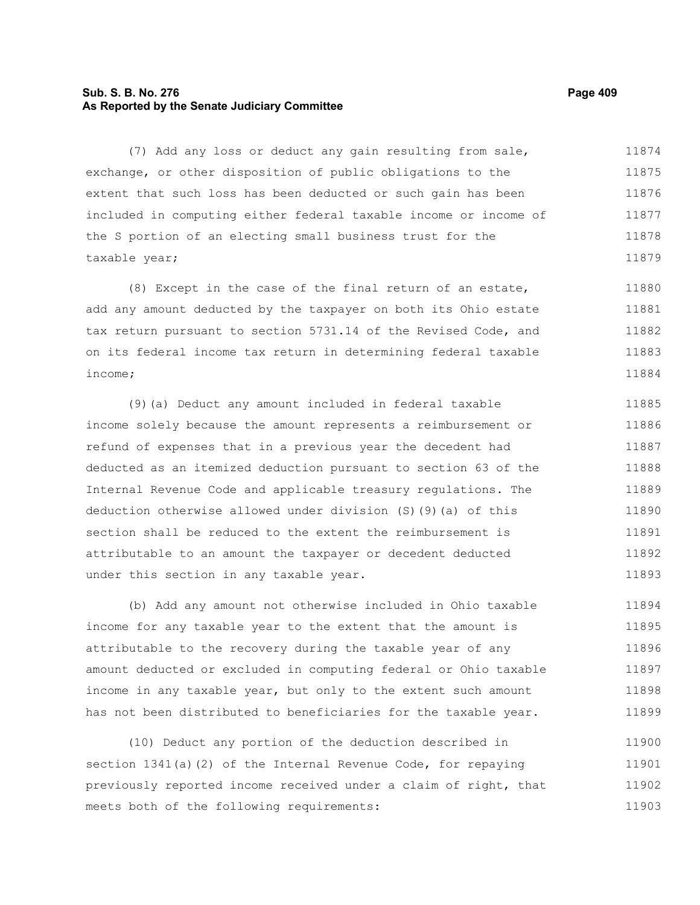# **Sub. S. B. No. 276 Page 409 As Reported by the Senate Judiciary Committee**

(7) Add any loss or deduct any gain resulting from sale, exchange, or other disposition of public obligations to the extent that such loss has been deducted or such gain has been included in computing either federal taxable income or income of the S portion of an electing small business trust for the taxable year; 11874 11875 11876 11877 11878 11879

(8) Except in the case of the final return of an estate, add any amount deducted by the taxpayer on both its Ohio estate tax return pursuant to section 5731.14 of the Revised Code, and on its federal income tax return in determining federal taxable income; 11880 11881 11882 11883 11884

(9)(a) Deduct any amount included in federal taxable income solely because the amount represents a reimbursement or refund of expenses that in a previous year the decedent had deducted as an itemized deduction pursuant to section 63 of the Internal Revenue Code and applicable treasury regulations. The deduction otherwise allowed under division (S)(9)(a) of this section shall be reduced to the extent the reimbursement is attributable to an amount the taxpayer or decedent deducted under this section in any taxable year. 11885 11886 11887 11888 11889 11890 11891 11892 11893

(b) Add any amount not otherwise included in Ohio taxable income for any taxable year to the extent that the amount is attributable to the recovery during the taxable year of any amount deducted or excluded in computing federal or Ohio taxable income in any taxable year, but only to the extent such amount has not been distributed to beneficiaries for the taxable year. 11894 11895 11896 11897 11898 11899

(10) Deduct any portion of the deduction described in section 1341(a)(2) of the Internal Revenue Code, for repaying previously reported income received under a claim of right, that meets both of the following requirements: 11900 11901 11902 11903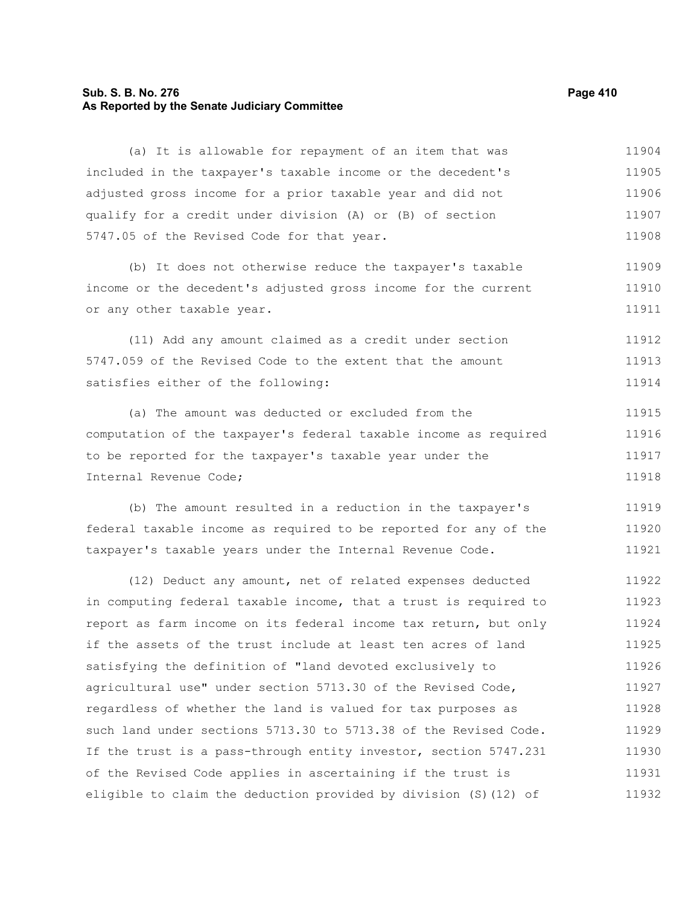# **Sub. S. B. No. 276 Page 410 As Reported by the Senate Judiciary Committee**

(a) It is allowable for repayment of an item that was included in the taxpayer's taxable income or the decedent's adjusted gross income for a prior taxable year and did not qualify for a credit under division (A) or (B) of section 5747.05 of the Revised Code for that year. (b) It does not otherwise reduce the taxpayer's taxable income or the decedent's adjusted gross income for the current or any other taxable year. (11) Add any amount claimed as a credit under section 5747.059 of the Revised Code to the extent that the amount satisfies either of the following: (a) The amount was deducted or excluded from the computation of the taxpayer's federal taxable income as required to be reported for the taxpayer's taxable year under the Internal Revenue Code; (b) The amount resulted in a reduction in the taxpayer's federal taxable income as required to be reported for any of the taxpayer's taxable years under the Internal Revenue Code. (12) Deduct any amount, net of related expenses deducted in computing federal taxable income, that a trust is required to report as farm income on its federal income tax return, but only if the assets of the trust include at least ten acres of land satisfying the definition of "land devoted exclusively to agricultural use" under section 5713.30 of the Revised Code, regardless of whether the land is valued for tax purposes as such land under sections 5713.30 to 5713.38 of the Revised Code. 11905 11906 11907 11908 11909 11910 11911 11912 11913 11914 11915 11916 11917 11918 11919 11920 11921 11922 11923 11924 11925 11926 11927 11928

If the trust is a pass-through entity investor, section 5747.231 of the Revised Code applies in ascertaining if the trust is eligible to claim the deduction provided by division (S)(12) of 11929 11930 11931 11932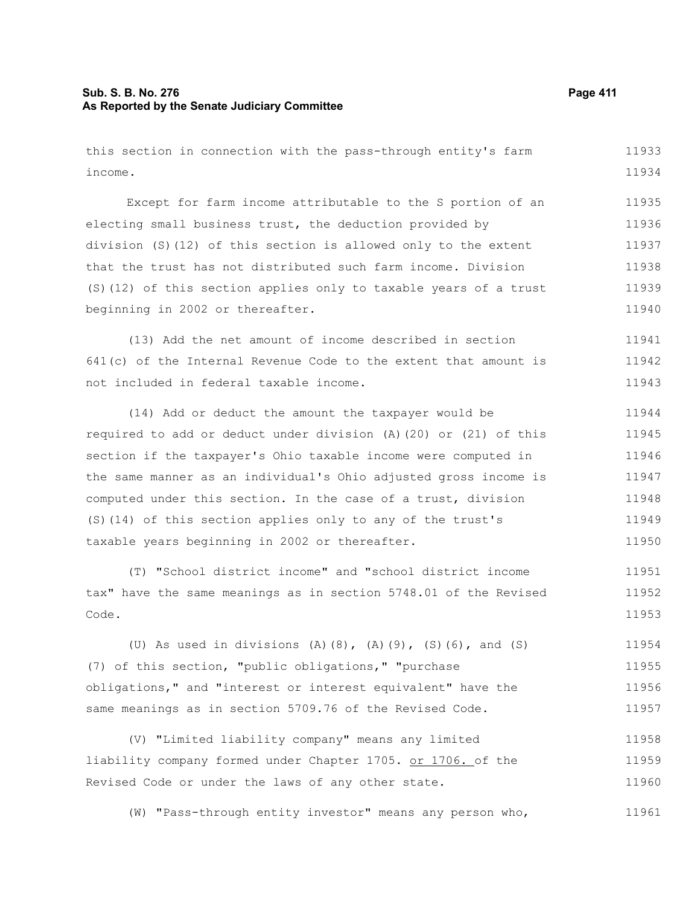# **Sub. S. B. No. 276 Page 411 As Reported by the Senate Judiciary Committee**

this section in connection with the pass-through entity's farm income. 11933 11934

Except for farm income attributable to the S portion of an electing small business trust, the deduction provided by division (S)(12) of this section is allowed only to the extent that the trust has not distributed such farm income. Division (S)(12) of this section applies only to taxable years of a trust beginning in 2002 or thereafter. 11935 11936 11937 11938 11939 11940

(13) Add the net amount of income described in section 641(c) of the Internal Revenue Code to the extent that amount is not included in federal taxable income. 11941 11942 11943

(14) Add or deduct the amount the taxpayer would be required to add or deduct under division (A)(20) or (21) of this section if the taxpayer's Ohio taxable income were computed in the same manner as an individual's Ohio adjusted gross income is computed under this section. In the case of a trust, division (S)(14) of this section applies only to any of the trust's taxable years beginning in 2002 or thereafter. 11944 11945 11946 11947 11948 11949 11950

(T) "School district income" and "school district income tax" have the same meanings as in section 5748.01 of the Revised Code. 11951 11952 11953

(U) As used in divisions (A)(8), (A)(9), (S)(6), and (S) (7) of this section, "public obligations," "purchase obligations," and "interest or interest equivalent" have the same meanings as in section 5709.76 of the Revised Code. 11954 11955 11956 11957

(V) "Limited liability company" means any limited liability company formed under Chapter 1705. or 1706. of the Revised Code or under the laws of any other state. 11958 11959 11960

(W) "Pass-through entity investor" means any person who, 11961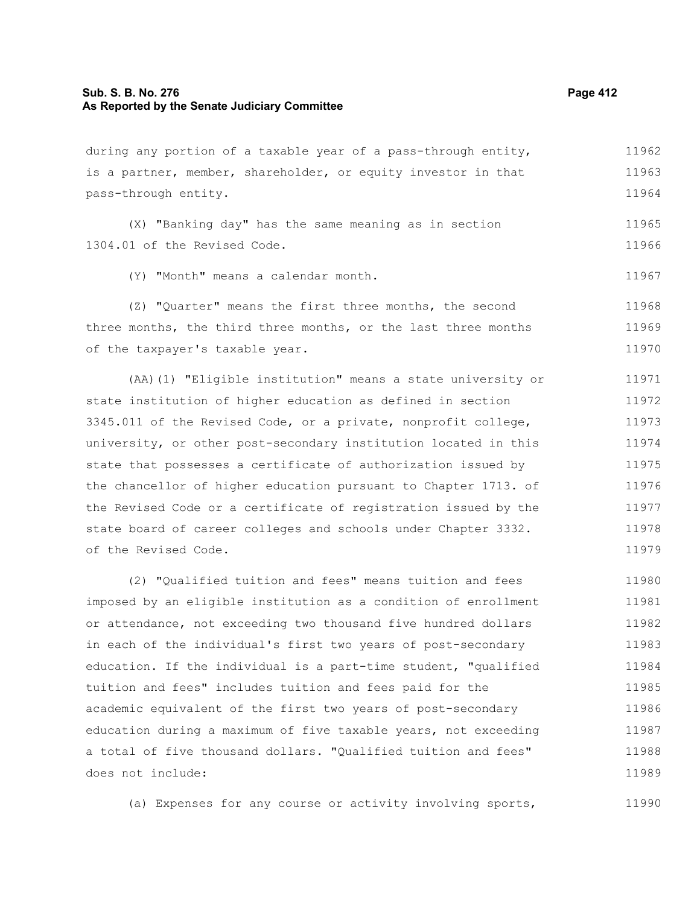# **Sub. S. B. No. 276 Page 412 As Reported by the Senate Judiciary Committee**

is a partner, member, shareholder, or equity investor in that pass-through entity. (X) "Banking day" has the same meaning as in section 1304.01 of the Revised Code. (Y) "Month" means a calendar month. (Z) "Quarter" means the first three months, the second three months, the third three months, or the last three months of the taxpayer's taxable year. (AA)(1) "Eligible institution" means a state university or state institution of higher education as defined in section 3345.011 of the Revised Code, or a private, nonprofit college, 11963 11964 11965 11966 11967 11968 11969 11970 11971 11972 11973

during any portion of a taxable year of a pass-through entity,

university, or other post-secondary institution located in this state that possesses a certificate of authorization issued by the chancellor of higher education pursuant to Chapter 1713. of the Revised Code or a certificate of registration issued by the state board of career colleges and schools under Chapter 3332. of the Revised Code. 11974 11975 11976 11977 11978 11979

(2) "Qualified tuition and fees" means tuition and fees imposed by an eligible institution as a condition of enrollment or attendance, not exceeding two thousand five hundred dollars in each of the individual's first two years of post-secondary education. If the individual is a part-time student, "qualified tuition and fees" includes tuition and fees paid for the academic equivalent of the first two years of post-secondary education during a maximum of five taxable years, not exceeding a total of five thousand dollars. "Qualified tuition and fees" does not include: 11980 11981 11982 11983 11984 11985 11986 11987 11988 11989

(a) Expenses for any course or activity involving sports, 11990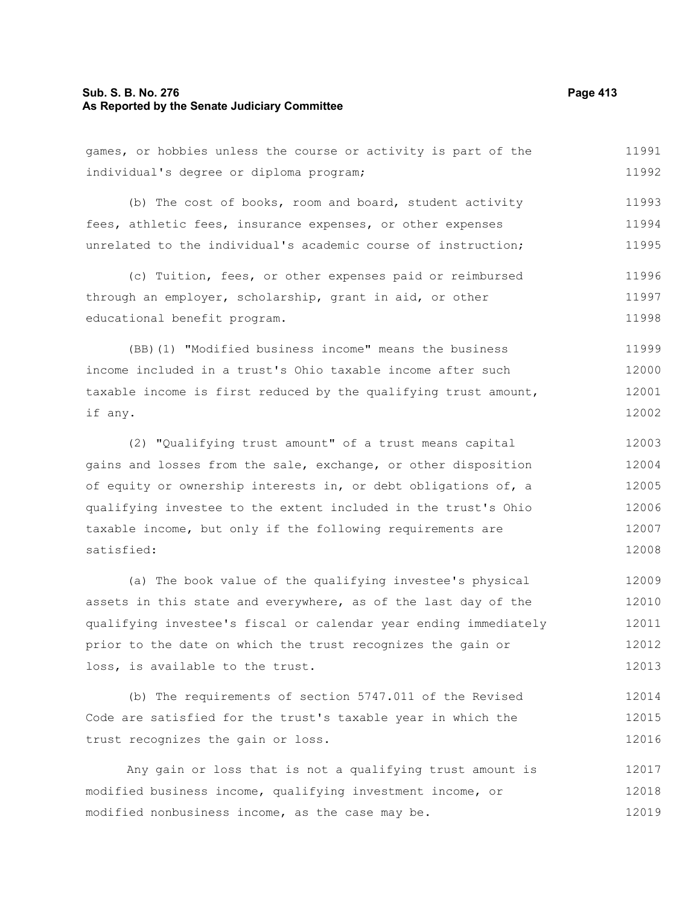## **Sub. S. B. No. 276 Page 413 As Reported by the Senate Judiciary Committee**

games, or hobbies unless the course or activity is part of the individual's degree or diploma program; 11991 11992

(b) The cost of books, room and board, student activity fees, athletic fees, insurance expenses, or other expenses unrelated to the individual's academic course of instruction; 11993 11994 11995

(c) Tuition, fees, or other expenses paid or reimbursed through an employer, scholarship, grant in aid, or other educational benefit program. 11996 11997 11998

(BB)(1) "Modified business income" means the business income included in a trust's Ohio taxable income after such taxable income is first reduced by the qualifying trust amount, if any. 11999 12000 12001 12002

(2) "Qualifying trust amount" of a trust means capital gains and losses from the sale, exchange, or other disposition of equity or ownership interests in, or debt obligations of, a qualifying investee to the extent included in the trust's Ohio taxable income, but only if the following requirements are satisfied: 12003 12004 12005 12006 12007 12008

(a) The book value of the qualifying investee's physical assets in this state and everywhere, as of the last day of the qualifying investee's fiscal or calendar year ending immediately prior to the date on which the trust recognizes the gain or loss, is available to the trust. 12009 12010 12011 12012 12013

(b) The requirements of section 5747.011 of the Revised Code are satisfied for the trust's taxable year in which the trust recognizes the gain or loss. 12014 12015 12016

Any gain or loss that is not a qualifying trust amount is modified business income, qualifying investment income, or modified nonbusiness income, as the case may be. 12017 12018 12019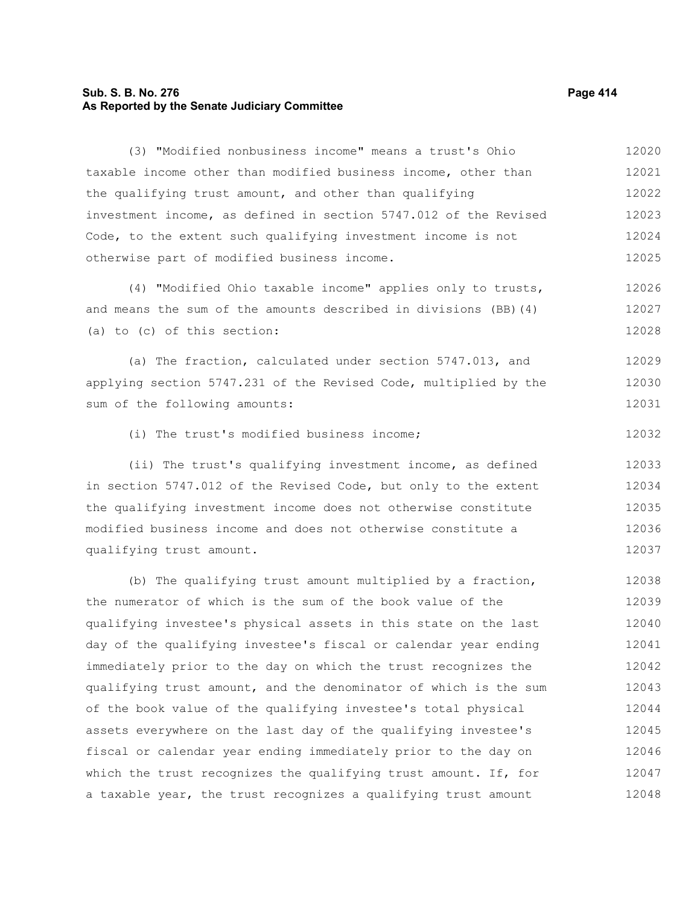# **Sub. S. B. No. 276 Page 414 As Reported by the Senate Judiciary Committee**

taxable income other than modified business income, other than the qualifying trust amount, and other than qualifying investment income, as defined in section 5747.012 of the Revised Code, to the extent such qualifying investment income is not otherwise part of modified business income. (4) "Modified Ohio taxable income" applies only to trusts, and means the sum of the amounts described in divisions (BB)(4) (a) to (c) of this section: (a) The fraction, calculated under section 5747.013, and applying section 5747.231 of the Revised Code, multiplied by the sum of the following amounts: (i) The trust's modified business income; (ii) The trust's qualifying investment income, as defined in section 5747.012 of the Revised Code, but only to the extent the qualifying investment income does not otherwise constitute modified business income and does not otherwise constitute a qualifying trust amount. (b) The qualifying trust amount multiplied by a fraction, the numerator of which is the sum of the book value of the qualifying investee's physical assets in this state on the last day of the qualifying investee's fiscal or calendar year ending immediately prior to the day on which the trust recognizes the qualifying trust amount, and the denominator of which is the sum of the book value of the qualifying investee's total physical 12021 12022 12023 12024 12025 12026 12027 12028 12029 12030 12031 12032 12033 12034 12035 12036 12037 12038 12039 12040 12041 12042 12043 12044

(3) "Modified nonbusiness income" means a trust's Ohio

assets everywhere on the last day of the qualifying investee's fiscal or calendar year ending immediately prior to the day on which the trust recognizes the qualifying trust amount. If, for a taxable year, the trust recognizes a qualifying trust amount 12045 12046 12047 12048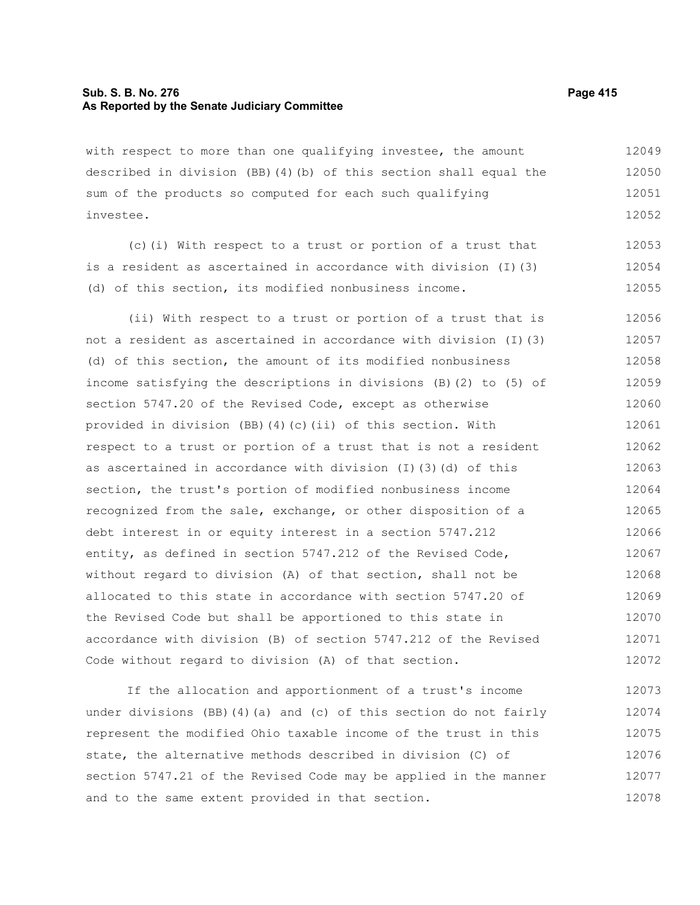# **Sub. S. B. No. 276 Page 415 As Reported by the Senate Judiciary Committee**

with respect to more than one qualifying investee, the amount described in division (BB)(4)(b) of this section shall equal the sum of the products so computed for each such qualifying investee. 12049 12050 12051 12052

(c)(i) With respect to a trust or portion of a trust that is a resident as ascertained in accordance with division (I)(3) (d) of this section, its modified nonbusiness income. 12053 12054 12055

(ii) With respect to a trust or portion of a trust that is not a resident as ascertained in accordance with division (I)(3) (d) of this section, the amount of its modified nonbusiness income satisfying the descriptions in divisions (B)(2) to (5) of section 5747.20 of the Revised Code, except as otherwise provided in division (BB)(4)(c)(ii) of this section. With respect to a trust or portion of a trust that is not a resident as ascertained in accordance with division (I)(3)(d) of this section, the trust's portion of modified nonbusiness income recognized from the sale, exchange, or other disposition of a debt interest in or equity interest in a section 5747.212 entity, as defined in section 5747.212 of the Revised Code, without regard to division (A) of that section, shall not be allocated to this state in accordance with section 5747.20 of the Revised Code but shall be apportioned to this state in accordance with division (B) of section 5747.212 of the Revised Code without regard to division (A) of that section. 12056 12057 12058 12059 12060 12061 12062 12063 12064 12065 12066 12067 12068 12069 12070 12071 12072

If the allocation and apportionment of a trust's income under divisions (BB)(4)(a) and (c) of this section do not fairly represent the modified Ohio taxable income of the trust in this state, the alternative methods described in division (C) of section 5747.21 of the Revised Code may be applied in the manner and to the same extent provided in that section. 12073 12074 12075 12076 12077 12078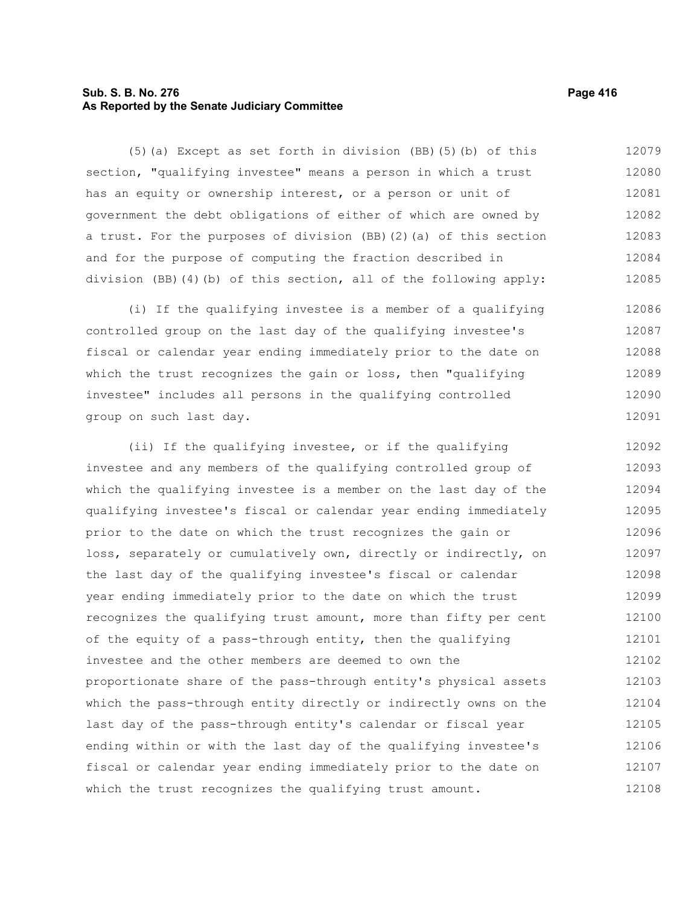# **Sub. S. B. No. 276 Page 416 As Reported by the Senate Judiciary Committee**

(5)(a) Except as set forth in division (BB)(5)(b) of this section, "qualifying investee" means a person in which a trust has an equity or ownership interest, or a person or unit of government the debt obligations of either of which are owned by a trust. For the purposes of division (BB)(2)(a) of this section and for the purpose of computing the fraction described in division (BB)(4)(b) of this section, all of the following apply: 12079 12080 12081 12082 12083 12084 12085

(i) If the qualifying investee is a member of a qualifying controlled group on the last day of the qualifying investee's fiscal or calendar year ending immediately prior to the date on which the trust recognizes the gain or loss, then "qualifying investee" includes all persons in the qualifying controlled group on such last day. 12086 12087 12088 12089 12090 12091

(ii) If the qualifying investee, or if the qualifying investee and any members of the qualifying controlled group of which the qualifying investee is a member on the last day of the qualifying investee's fiscal or calendar year ending immediately prior to the date on which the trust recognizes the gain or loss, separately or cumulatively own, directly or indirectly, on the last day of the qualifying investee's fiscal or calendar year ending immediately prior to the date on which the trust recognizes the qualifying trust amount, more than fifty per cent of the equity of a pass-through entity, then the qualifying investee and the other members are deemed to own the proportionate share of the pass-through entity's physical assets which the pass-through entity directly or indirectly owns on the last day of the pass-through entity's calendar or fiscal year ending within or with the last day of the qualifying investee's fiscal or calendar year ending immediately prior to the date on which the trust recognizes the qualifying trust amount. 12092 12093 12094 12095 12096 12097 12098 12099 12100 12101 12102 12103 12104 12105 12106 12107 12108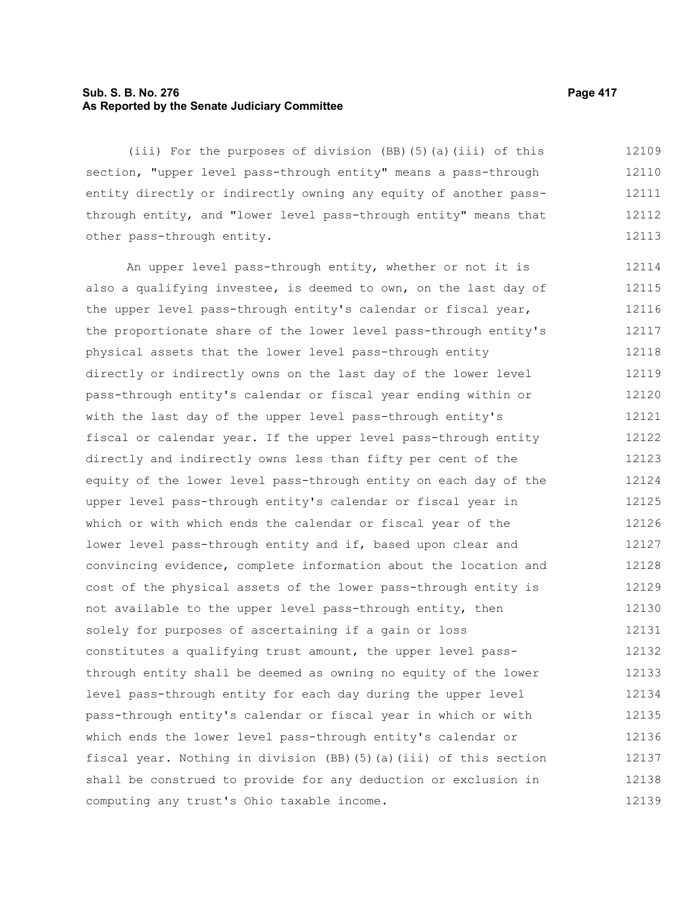# **Sub. S. B. No. 276 Page 417 As Reported by the Senate Judiciary Committee**

(iii) For the purposes of division (BB)(5)(a)(iii) of this section, "upper level pass-through entity" means a pass-through entity directly or indirectly owning any equity of another passthrough entity, and "lower level pass-through entity" means that other pass-through entity. 12109 12110 12111 12112 12113

An upper level pass-through entity, whether or not it is also a qualifying investee, is deemed to own, on the last day of the upper level pass-through entity's calendar or fiscal year, the proportionate share of the lower level pass-through entity's physical assets that the lower level pass-through entity directly or indirectly owns on the last day of the lower level pass-through entity's calendar or fiscal year ending within or with the last day of the upper level pass-through entity's fiscal or calendar year. If the upper level pass-through entity directly and indirectly owns less than fifty per cent of the equity of the lower level pass-through entity on each day of the upper level pass-through entity's calendar or fiscal year in which or with which ends the calendar or fiscal year of the lower level pass-through entity and if, based upon clear and convincing evidence, complete information about the location and cost of the physical assets of the lower pass-through entity is not available to the upper level pass-through entity, then solely for purposes of ascertaining if a gain or loss constitutes a qualifying trust amount, the upper level passthrough entity shall be deemed as owning no equity of the lower level pass-through entity for each day during the upper level pass-through entity's calendar or fiscal year in which or with which ends the lower level pass-through entity's calendar or fiscal year. Nothing in division (BB)(5)(a)(iii) of this section shall be construed to provide for any deduction or exclusion in computing any trust's Ohio taxable income. 12114 12115 12116 12117 12118 12119 12120 12121 12122 12123 12124 12125 12126 12127 12128 12129 12130 12131 12132 12133 12134 12135 12136 12137 12138 12139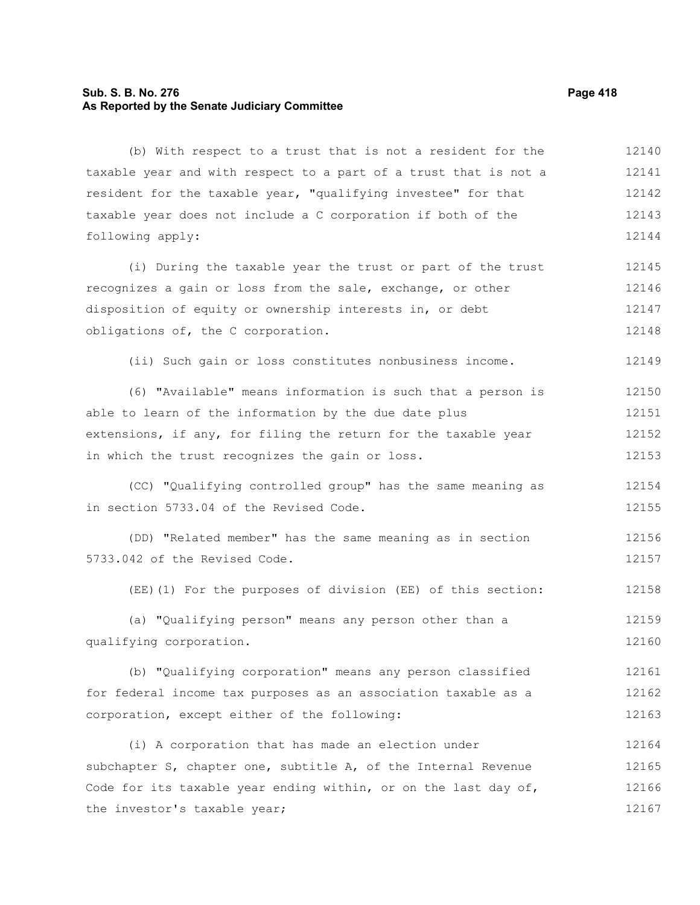# **Sub. S. B. No. 276 Page 418 As Reported by the Senate Judiciary Committee**

(b) With respect to a trust that is not a resident for the taxable year and with respect to a part of a trust that is not a resident for the taxable year, "qualifying investee" for that taxable year does not include a C corporation if both of the following apply: (i) During the taxable year the trust or part of the trust recognizes a gain or loss from the sale, exchange, or other disposition of equity or ownership interests in, or debt obligations of, the C corporation. (ii) Such gain or loss constitutes nonbusiness income. (6) "Available" means information is such that a person is able to learn of the information by the due date plus extensions, if any, for filing the return for the taxable year in which the trust recognizes the gain or loss. (CC) "Qualifying controlled group" has the same meaning as in section 5733.04 of the Revised Code. (DD) "Related member" has the same meaning as in section 5733.042 of the Revised Code. (EE)(1) For the purposes of division (EE) of this section: (a) "Qualifying person" means any person other than a qualifying corporation. (b) "Qualifying corporation" means any person classified for federal income tax purposes as an association taxable as a corporation, except either of the following: (i) A corporation that has made an election under subchapter S, chapter one, subtitle A, of the Internal Revenue Code for its taxable year ending within, or on the last day of, the investor's taxable year; 12140 12141 12142 12143 12144 12145 12146 12147 12148 12149 12150 12151 12152 12153 12154 12155 12156 12157 12158 12159 12160 12161 12162 12163 12164 12165 12166 12167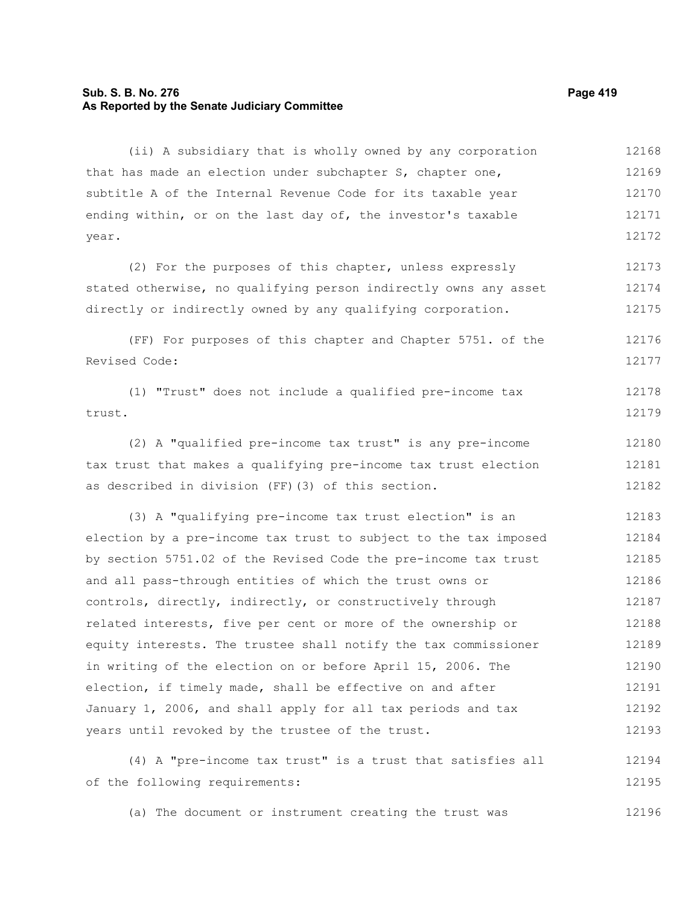## **Sub. S. B. No. 276 Page 419 As Reported by the Senate Judiciary Committee**

(ii) A subsidiary that is wholly owned by any corporation that has made an election under subchapter S, chapter one, subtitle A of the Internal Revenue Code for its taxable year ending within, or on the last day of, the investor's taxable year. 12168 12169 12170 12171 12172

(2) For the purposes of this chapter, unless expressly stated otherwise, no qualifying person indirectly owns any asset directly or indirectly owned by any qualifying corporation. 12173 12174 12175

(FF) For purposes of this chapter and Chapter 5751. of the Revised Code: 12176 12177

```
(1) "Trust" does not include a qualified pre-income tax
trust. 
                                                                              12178
                                                                              12179
```
(2) A "qualified pre-income tax trust" is any pre-income tax trust that makes a qualifying pre-income tax trust election as described in division (FF)(3) of this section. 12180 12181 12182

(3) A "qualifying pre-income tax trust election" is an election by a pre-income tax trust to subject to the tax imposed by section 5751.02 of the Revised Code the pre-income tax trust and all pass-through entities of which the trust owns or controls, directly, indirectly, or constructively through related interests, five per cent or more of the ownership or equity interests. The trustee shall notify the tax commissioner in writing of the election on or before April 15, 2006. The election, if timely made, shall be effective on and after January 1, 2006, and shall apply for all tax periods and tax years until revoked by the trustee of the trust. 12183 12184 12185 12186 12187 12188 12189 12190 12191 12192 12193

(4) A "pre-income tax trust" is a trust that satisfies all of the following requirements: 12194 12195

(a) The document or instrument creating the trust was 12196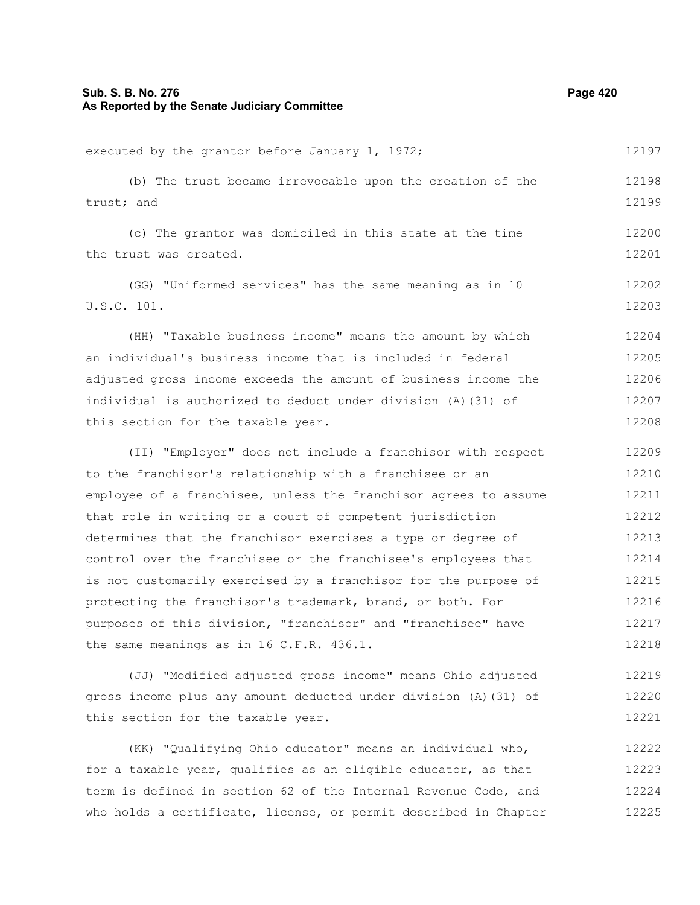# **Sub. S. B. No. 276 Page 420 As Reported by the Senate Judiciary Committee**

executed by the grantor before January 1, 1972; (b) The trust became irrevocable upon the creation of the trust; and (c) The grantor was domiciled in this state at the time the trust was created. (GG) "Uniformed services" has the same meaning as in 10 U.S.C. 101. (HH) "Taxable business income" means the amount by which an individual's business income that is included in federal adjusted gross income exceeds the amount of business income the individual is authorized to deduct under division (A)(31) of this section for the taxable year. (II) "Employer" does not include a franchisor with respect to the franchisor's relationship with a franchisee or an employee of a franchisee, unless the franchisor agrees to assume that role in writing or a court of competent jurisdiction determines that the franchisor exercises a type or degree of control over the franchisee or the franchisee's employees that is not customarily exercised by a franchisor for the purpose of protecting the franchisor's trademark, brand, or both. For purposes of this division, "franchisor" and "franchisee" have the same meanings as in 16 C.F.R. 436.1. (JJ) "Modified adjusted gross income" means Ohio adjusted 12197 12198 12199 12200 12201 12202 12203 12204 12205 12206 12207 12208 12209 12210 12211 12212 12213 12214 12215 12216 12217 12218 12219

(KK) "Qualifying Ohio educator" means an individual who, for a taxable year, qualifies as an eligible educator, as that term is defined in section 62 of the Internal Revenue Code, and who holds a certificate, license, or permit described in Chapter 12222 12223 12224 12225

gross income plus any amount deducted under division (A)(31) of

this section for the taxable year.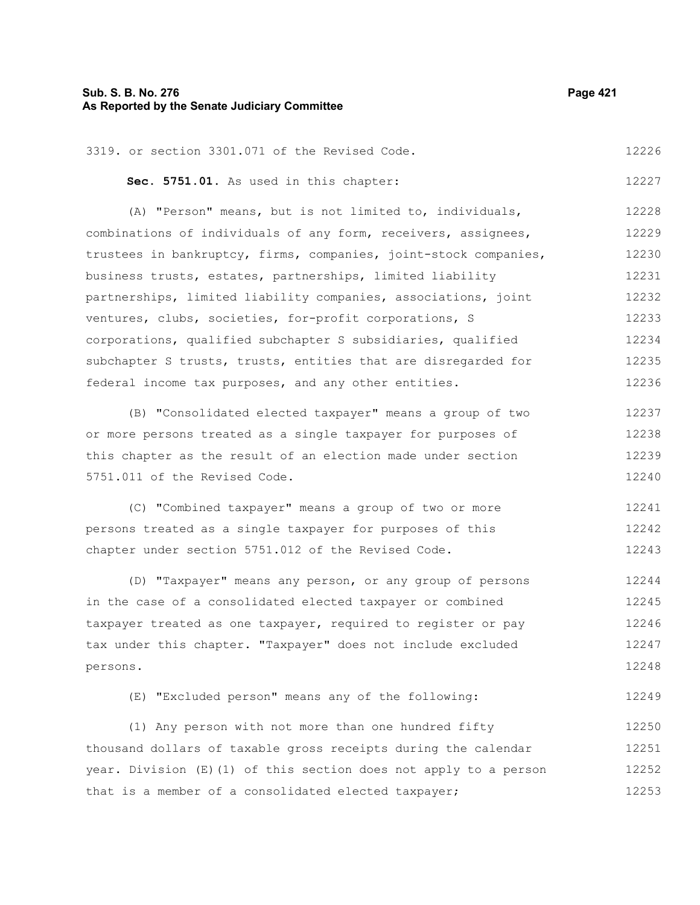# **Sub. S. B. No. 276 Page 421 As Reported by the Senate Judiciary Committee**

| 3319. or section 3301.071 of the Revised Code.          | 12226 |  |  |  |  |
|---------------------------------------------------------|-------|--|--|--|--|
| Sec. 5751.01. As used in this chapter:                  |       |  |  |  |  |
| (A) "Person" means, but is not limited to, individuals, | 12228 |  |  |  |  |

combinations of individuals of any form, receivers, assignees, trustees in bankruptcy, firms, companies, joint-stock companies, business trusts, estates, partnerships, limited liability partnerships, limited liability companies, associations, joint ventures, clubs, societies, for-profit corporations, S corporations, qualified subchapter S subsidiaries, qualified subchapter S trusts, trusts, entities that are disregarded for federal income tax purposes, and any other entities. 12229 12230 12231 12232 12233 12234 12235 12236

(B) "Consolidated elected taxpayer" means a group of two or more persons treated as a single taxpayer for purposes of this chapter as the result of an election made under section 5751.011 of the Revised Code. 12237 12238 12239 12240

(C) "Combined taxpayer" means a group of two or more persons treated as a single taxpayer for purposes of this chapter under section 5751.012 of the Revised Code. 12241 12242 12243

(D) "Taxpayer" means any person, or any group of persons in the case of a consolidated elected taxpayer or combined taxpayer treated as one taxpayer, required to register or pay tax under this chapter. "Taxpayer" does not include excluded persons. 12244 12245 12246 12247 12248

(E) "Excluded person" means any of the following: 12249

(1) Any person with not more than one hundred fifty thousand dollars of taxable gross receipts during the calendar year. Division (E)(1) of this section does not apply to a person that is a member of a consolidated elected taxpayer; 12250 12251 12252 12253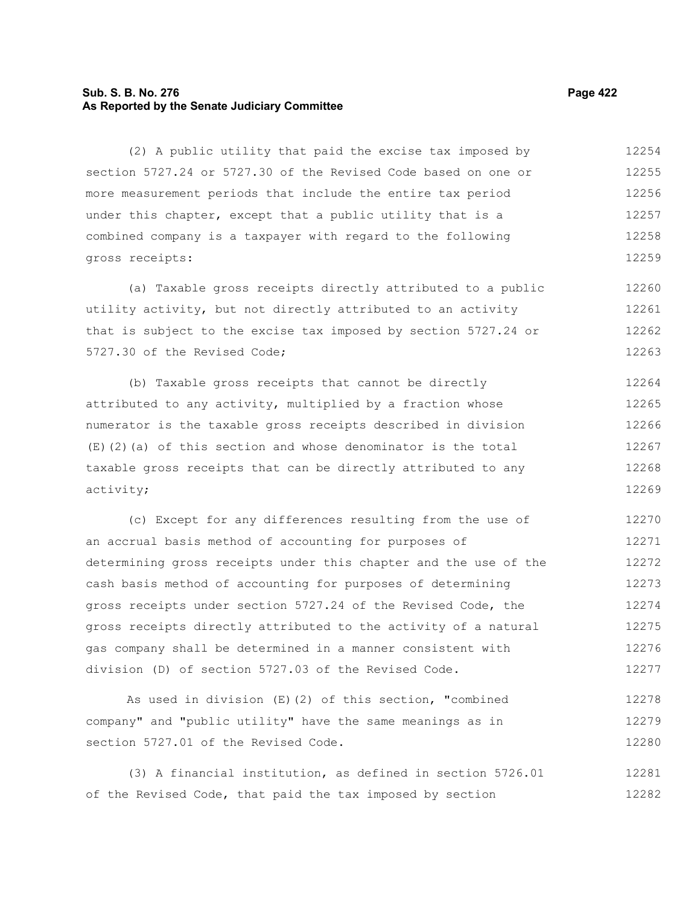# **Sub. S. B. No. 276 Page 422 As Reported by the Senate Judiciary Committee**

(2) A public utility that paid the excise tax imposed by section 5727.24 or 5727.30 of the Revised Code based on one or more measurement periods that include the entire tax period under this chapter, except that a public utility that is a combined company is a taxpayer with regard to the following gross receipts: 12254 12255 12256 12257 12258 12259

(a) Taxable gross receipts directly attributed to a public utility activity, but not directly attributed to an activity that is subject to the excise tax imposed by section 5727.24 or 5727.30 of the Revised Code; 12260 12261 12262 12263

(b) Taxable gross receipts that cannot be directly attributed to any activity, multiplied by a fraction whose numerator is the taxable gross receipts described in division (E)(2)(a) of this section and whose denominator is the total taxable gross receipts that can be directly attributed to any activity; 12264 12265 12266 12267 12268 12269

(c) Except for any differences resulting from the use of an accrual basis method of accounting for purposes of determining gross receipts under this chapter and the use of the cash basis method of accounting for purposes of determining gross receipts under section 5727.24 of the Revised Code, the gross receipts directly attributed to the activity of a natural gas company shall be determined in a manner consistent with division (D) of section 5727.03 of the Revised Code. 12270 12271 12272 12273 12274 12275 12276 12277

As used in division (E)(2) of this section, "combined company" and "public utility" have the same meanings as in section 5727.01 of the Revised Code. 12278 12279 12280

(3) A financial institution, as defined in section 5726.01 of the Revised Code, that paid the tax imposed by section 12281 12282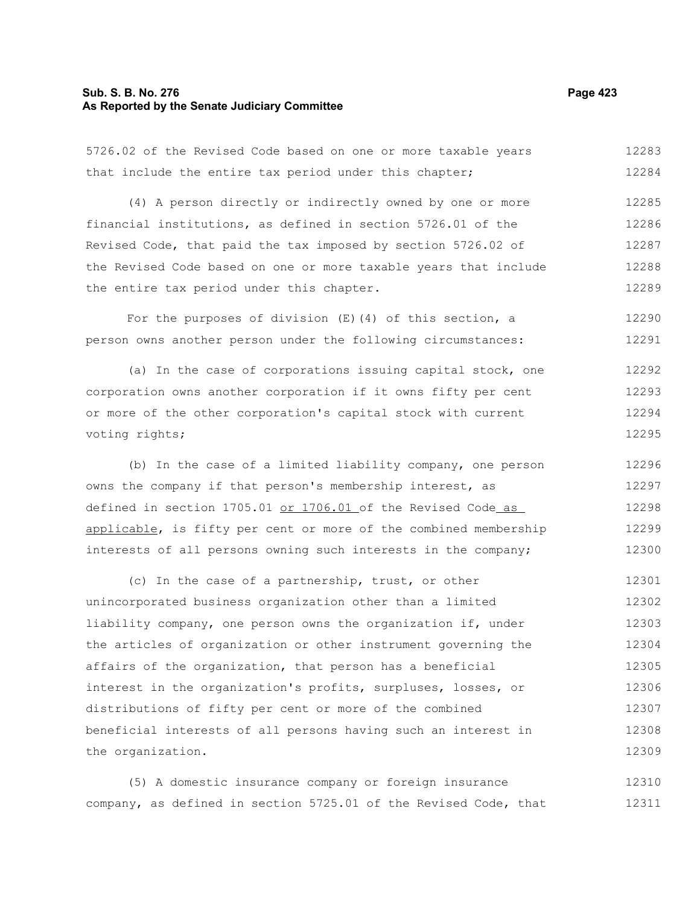# **Sub. S. B. No. 276 Page 423 As Reported by the Senate Judiciary Committee**

5726.02 of the Revised Code based on one or more taxable years that include the entire tax period under this chapter; (4) A person directly or indirectly owned by one or more financial institutions, as defined in section 5726.01 of the Revised Code, that paid the tax imposed by section 5726.02 of the Revised Code based on one or more taxable years that include the entire tax period under this chapter. 12283 12284 12285 12286 12287 12288 12289

For the purposes of division  $(E)$  (4) of this section, a person owns another person under the following circumstances: 12290 12291

(a) In the case of corporations issuing capital stock, one corporation owns another corporation if it owns fifty per cent or more of the other corporation's capital stock with current voting rights; 12292 12293 12294 12295

(b) In the case of a limited liability company, one person owns the company if that person's membership interest, as defined in section 1705.01 or 1706.01 of the Revised Code as applicable, is fifty per cent or more of the combined membership interests of all persons owning such interests in the company; 12296 12297 12298 12299 12300

(c) In the case of a partnership, trust, or other unincorporated business organization other than a limited liability company, one person owns the organization if, under the articles of organization or other instrument governing the affairs of the organization, that person has a beneficial interest in the organization's profits, surpluses, losses, or distributions of fifty per cent or more of the combined beneficial interests of all persons having such an interest in the organization. 12301 12302 12303 12304 12305 12306 12307 12308 12309

(5) A domestic insurance company or foreign insurance company, as defined in section 5725.01 of the Revised Code, that 12310 12311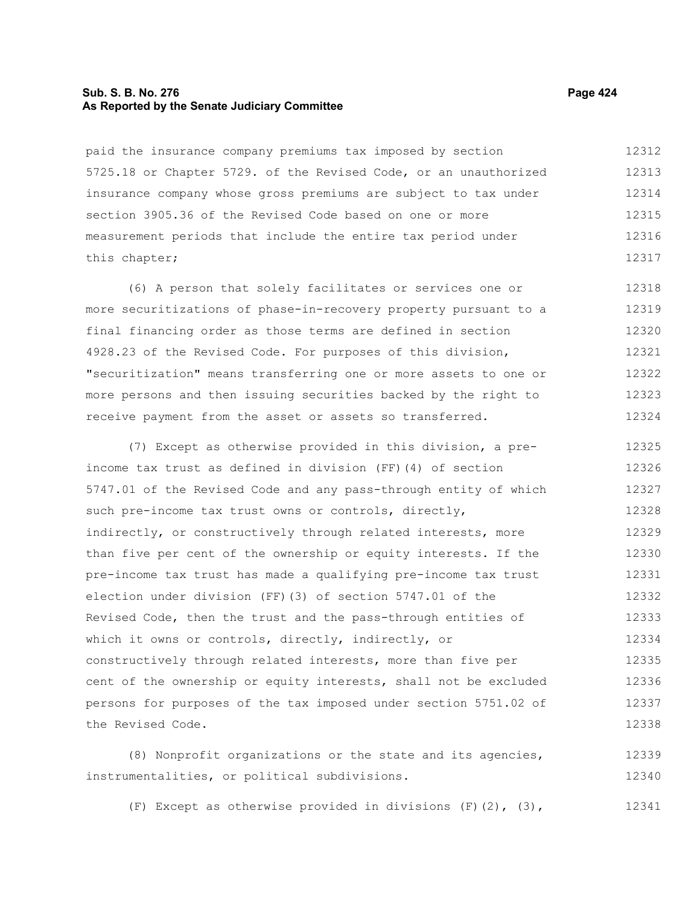# **Sub. S. B. No. 276 Page 424 As Reported by the Senate Judiciary Committee**

paid the insurance company premiums tax imposed by section 5725.18 or Chapter 5729. of the Revised Code, or an unauthorized insurance company whose gross premiums are subject to tax under section 3905.36 of the Revised Code based on one or more measurement periods that include the entire tax period under this chapter; 12312 12313 12314 12315 12316 12317

(6) A person that solely facilitates or services one or more securitizations of phase-in-recovery property pursuant to a final financing order as those terms are defined in section 4928.23 of the Revised Code. For purposes of this division, "securitization" means transferring one or more assets to one or more persons and then issuing securities backed by the right to receive payment from the asset or assets so transferred. 12318 12319 12320 12321 12322 12323 12324

(7) Except as otherwise provided in this division, a preincome tax trust as defined in division (FF)(4) of section 5747.01 of the Revised Code and any pass-through entity of which such pre-income tax trust owns or controls, directly, indirectly, or constructively through related interests, more than five per cent of the ownership or equity interests. If the pre-income tax trust has made a qualifying pre-income tax trust election under division (FF)(3) of section 5747.01 of the Revised Code, then the trust and the pass-through entities of which it owns or controls, directly, indirectly, or constructively through related interests, more than five per cent of the ownership or equity interests, shall not be excluded persons for purposes of the tax imposed under section 5751.02 of the Revised Code. 12325 12326 12327 12328 12329 12330 12331 12332 12333 12334 12335 12336 12337 12338

(8) Nonprofit organizations or the state and its agencies, instrumentalities, or political subdivisions. 12339 12340

(F) Except as otherwise provided in divisions  $(F)(2)$ ,  $(3)$ , 12341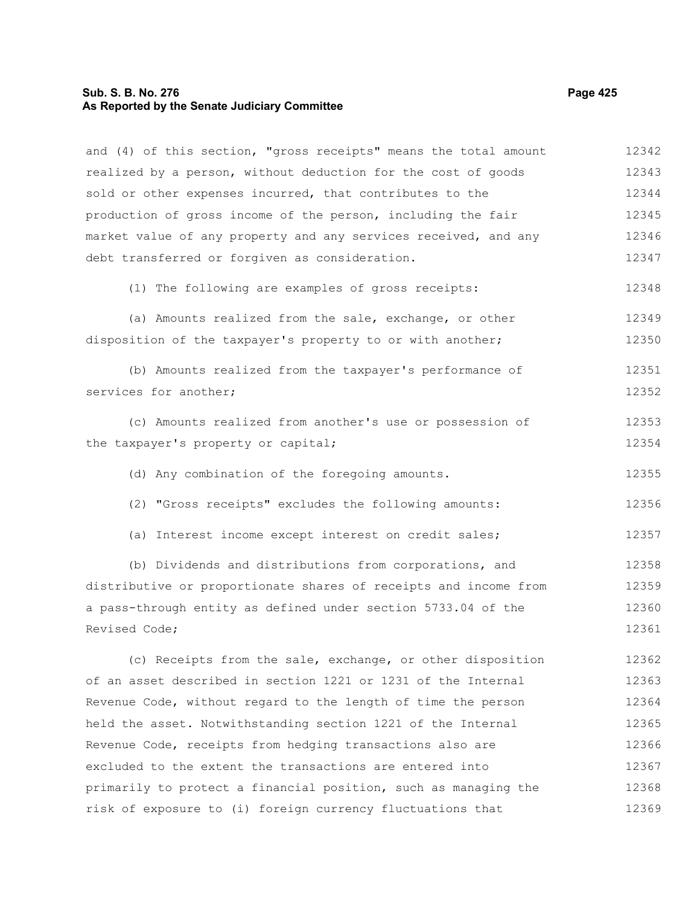# **Sub. S. B. No. 276 Page 425 As Reported by the Senate Judiciary Committee**

and (4) of this section, "gross receipts" means the total amount realized by a person, without deduction for the cost of goods sold or other expenses incurred, that contributes to the production of gross income of the person, including the fair market value of any property and any services received, and any debt transferred or forgiven as consideration. (1) The following are examples of gross receipts: (a) Amounts realized from the sale, exchange, or other disposition of the taxpayer's property to or with another; (b) Amounts realized from the taxpayer's performance of services for another; (c) Amounts realized from another's use or possession of the taxpayer's property or capital; (d) Any combination of the foregoing amounts. (2) "Gross receipts" excludes the following amounts: (a) Interest income except interest on credit sales; (b) Dividends and distributions from corporations, and distributive or proportionate shares of receipts and income from a pass-through entity as defined under section 5733.04 of the Revised Code; (c) Receipts from the sale, exchange, or other disposition of an asset described in section 1221 or 1231 of the Internal Revenue Code, without regard to the length of time the person held the asset. Notwithstanding section 1221 of the Internal Revenue Code, receipts from hedging transactions also are excluded to the extent the transactions are entered into primarily to protect a financial position, such as managing the risk of exposure to (i) foreign currency fluctuations that 12342 12343 12344 12345 12346 12347 12348 12349 12350 12351 12352 12353 12354 12355 12356 12357 12358 12359 12360 12361 12362 12363 12364 12365 12366 12367 12368 12369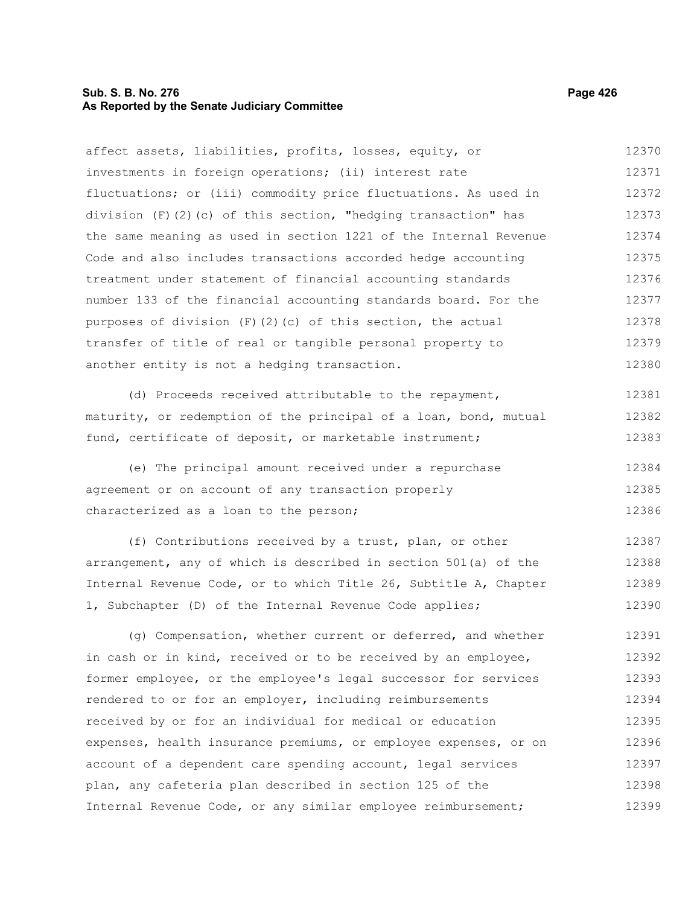# **Sub. S. B. No. 276 Page 426 As Reported by the Senate Judiciary Committee**

characterized as a loan to the person;

affect assets, liabilities, profits, losses, equity, or investments in foreign operations; (ii) interest rate fluctuations; or (iii) commodity price fluctuations. As used in division  $(F)(2)(c)$  of this section, "hedging transaction" has the same meaning as used in section 1221 of the Internal Revenue Code and also includes transactions accorded hedge accounting treatment under statement of financial accounting standards number 133 of the financial accounting standards board. For the purposes of division  $(F)(2)(c)$  of this section, the actual transfer of title of real or tangible personal property to another entity is not a hedging transaction. (d) Proceeds received attributable to the repayment, maturity, or redemption of the principal of a loan, bond, mutual fund, certificate of deposit, or marketable instrument; (e) The principal amount received under a repurchase agreement or on account of any transaction properly 12370 12371 12372 12373 12374 12375 12376 12377 12378 12379 12380 12381 12382 12383 12384 12385

(f) Contributions received by a trust, plan, or other arrangement, any of which is described in section 501(a) of the Internal Revenue Code, or to which Title 26, Subtitle A, Chapter 1, Subchapter (D) of the Internal Revenue Code applies; 12387 12388 12389 12390

(g) Compensation, whether current or deferred, and whether in cash or in kind, received or to be received by an employee, former employee, or the employee's legal successor for services rendered to or for an employer, including reimbursements received by or for an individual for medical or education expenses, health insurance premiums, or employee expenses, or on account of a dependent care spending account, legal services plan, any cafeteria plan described in section 125 of the Internal Revenue Code, or any similar employee reimbursement; 12391 12392 12393 12394 12395 12396 12397 12398 12399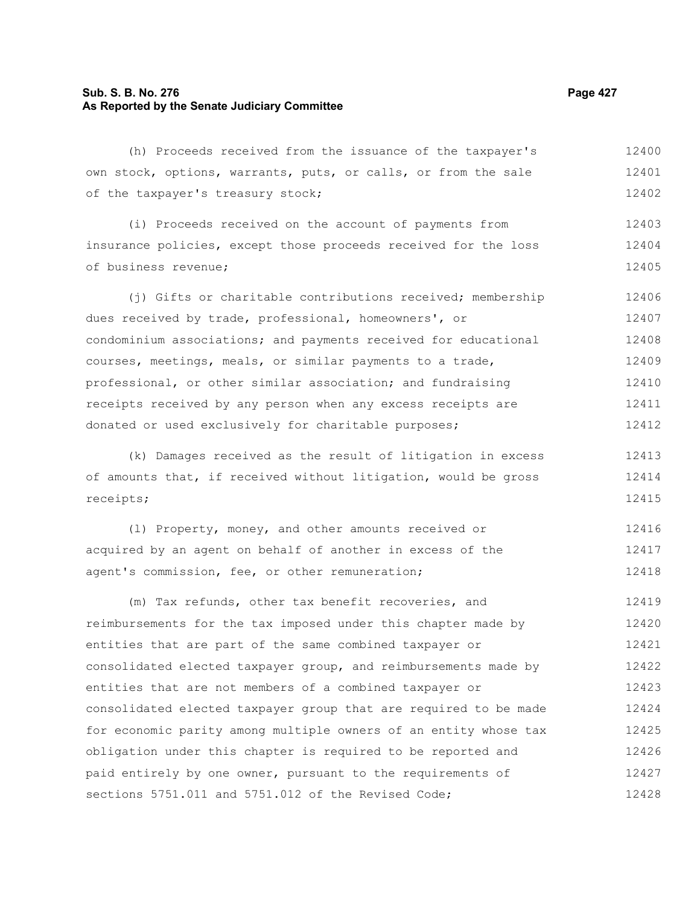# **Sub. S. B. No. 276 Page 427 As Reported by the Senate Judiciary Committee**

(h) Proceeds received from the issuance of the taxpayer's own stock, options, warrants, puts, or calls, or from the sale of the taxpayer's treasury stock; 12400 12401 12402

(i) Proceeds received on the account of payments from insurance policies, except those proceeds received for the loss of business revenue; 12403 12404 12405

(i) Gifts or charitable contributions received; membership dues received by trade, professional, homeowners', or condominium associations; and payments received for educational courses, meetings, meals, or similar payments to a trade, professional, or other similar association; and fundraising receipts received by any person when any excess receipts are donated or used exclusively for charitable purposes; 12406 12407 12408 12409 12410 12411 12412

(k) Damages received as the result of litigation in excess of amounts that, if received without litigation, would be gross receipts; 12413 12414 12415

(l) Property, money, and other amounts received or acquired by an agent on behalf of another in excess of the agent's commission, fee, or other remuneration; 12416 12417 12418

(m) Tax refunds, other tax benefit recoveries, and reimbursements for the tax imposed under this chapter made by entities that are part of the same combined taxpayer or consolidated elected taxpayer group, and reimbursements made by entities that are not members of a combined taxpayer or consolidated elected taxpayer group that are required to be made for economic parity among multiple owners of an entity whose tax obligation under this chapter is required to be reported and paid entirely by one owner, pursuant to the requirements of sections 5751.011 and 5751.012 of the Revised Code; 12419 12420 12421 12422 12423 12424 12425 12426 12427 12428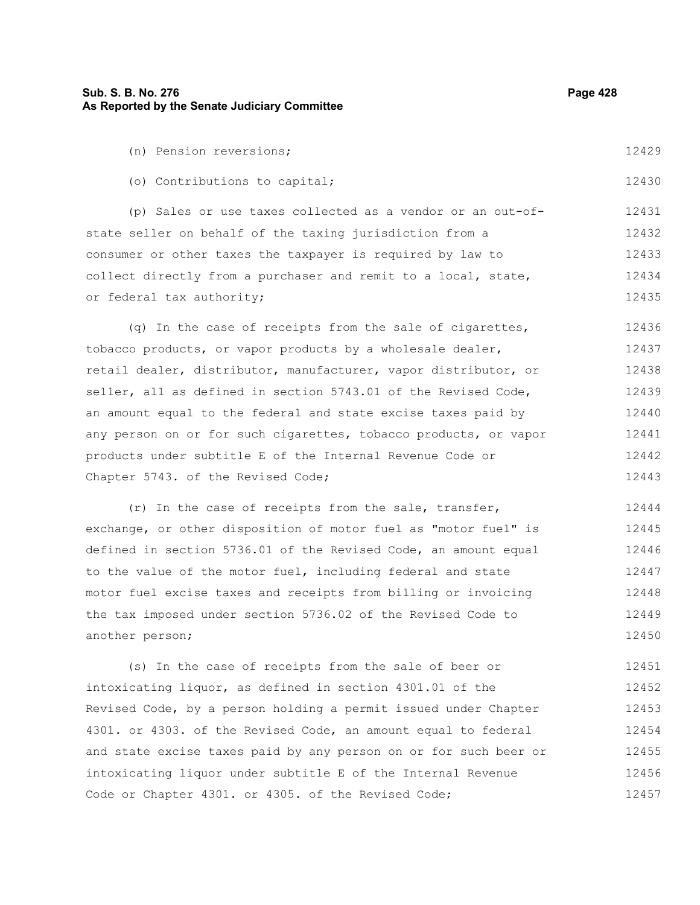| (n) Pension reversions;                                          | 12429 |
|------------------------------------------------------------------|-------|
| (o) Contributions to capital;                                    | 12430 |
| (p) Sales or use taxes collected as a vendor or an out-of-       | 12431 |
| state seller on behalf of the taxing jurisdiction from a         | 12432 |
| consumer or other taxes the taxpayer is required by law to       | 12433 |
| collect directly from a purchaser and remit to a local, state,   | 12434 |
| or federal tax authority;                                        | 12435 |
| (q) In the case of receipts from the sale of cigarettes,         | 12436 |
| tobacco products, or vapor products by a wholesale dealer,       | 12437 |
| retail dealer, distributor, manufacturer, vapor distributor, or  | 12438 |
| seller, all as defined in section 5743.01 of the Revised Code,   | 12439 |
| an amount equal to the federal and state excise taxes paid by    | 12440 |
| any person on or for such cigarettes, tobacco products, or vapor | 12441 |
| products under subtitle E of the Internal Revenue Code or        | 12442 |
| Chapter 5743. of the Revised Code;                               | 12443 |
| (r) In the case of receipts from the sale, transfer,             | 12444 |
| exchange, or other disposition of motor fuel as "motor fuel" is  | 12445 |
| defined in section 5736.01 of the Revised Code, an amount equal  | 12446 |
| to the value of the motor fuel, including federal and state      | 12447 |
|                                                                  |       |

motor fuel excise taxes and receipts from billing or invoicing the tax imposed under section 5736.02 of the Revised Code to another person; 12448 12449 12450

(s) In the case of receipts from the sale of beer or intoxicating liquor, as defined in section 4301.01 of the Revised Code, by a person holding a permit issued under Chapter 4301. or 4303. of the Revised Code, an amount equal to federal and state excise taxes paid by any person on or for such beer or intoxicating liquor under subtitle E of the Internal Revenue Code or Chapter 4301. or 4305. of the Revised Code; 12451 12452 12453 12454 12455 12456 12457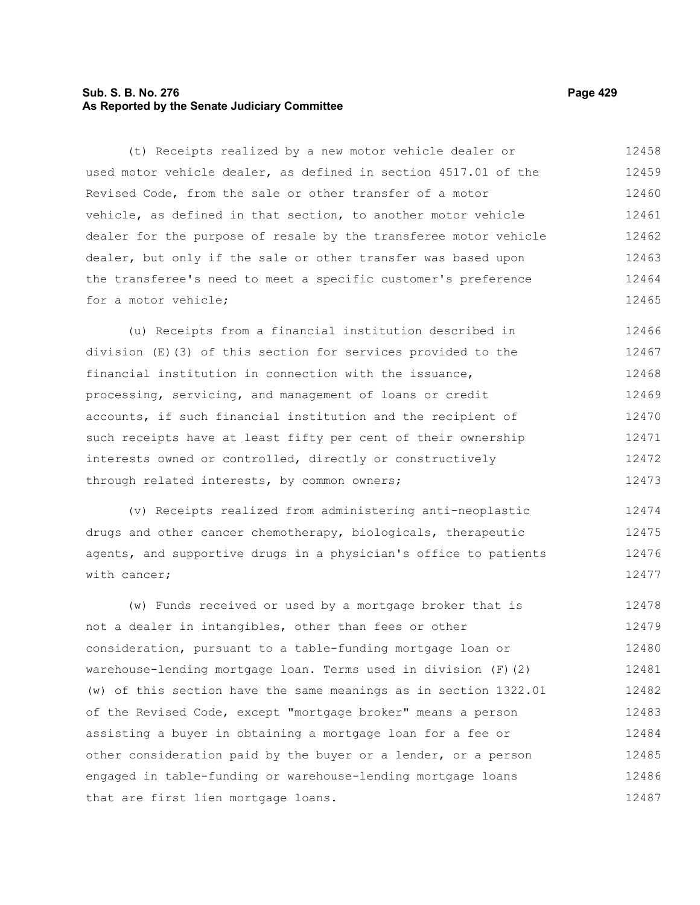# **Sub. S. B. No. 276 Page 429 As Reported by the Senate Judiciary Committee**

(t) Receipts realized by a new motor vehicle dealer or used motor vehicle dealer, as defined in section 4517.01 of the Revised Code, from the sale or other transfer of a motor vehicle, as defined in that section, to another motor vehicle dealer for the purpose of resale by the transferee motor vehicle dealer, but only if the sale or other transfer was based upon the transferee's need to meet a specific customer's preference for a motor vehicle; 12458 12459 12460 12461 12462 12463 12464 12465

(u) Receipts from a financial institution described in division (E)(3) of this section for services provided to the financial institution in connection with the issuance, processing, servicing, and management of loans or credit accounts, if such financial institution and the recipient of such receipts have at least fifty per cent of their ownership interests owned or controlled, directly or constructively through related interests, by common owners; 12466 12467 12468 12469 12470 12471 12472 12473

(v) Receipts realized from administering anti-neoplastic drugs and other cancer chemotherapy, biologicals, therapeutic agents, and supportive drugs in a physician's office to patients with cancer; 12474 12475 12476 12477

(w) Funds received or used by a mortgage broker that is not a dealer in intangibles, other than fees or other consideration, pursuant to a table-funding mortgage loan or warehouse-lending mortgage loan. Terms used in division (F)(2) (w) of this section have the same meanings as in section 1322.01 of the Revised Code, except "mortgage broker" means a person assisting a buyer in obtaining a mortgage loan for a fee or other consideration paid by the buyer or a lender, or a person engaged in table-funding or warehouse-lending mortgage loans that are first lien mortgage loans. 12478 12479 12480 12481 12482 12483 12484 12485 12486 12487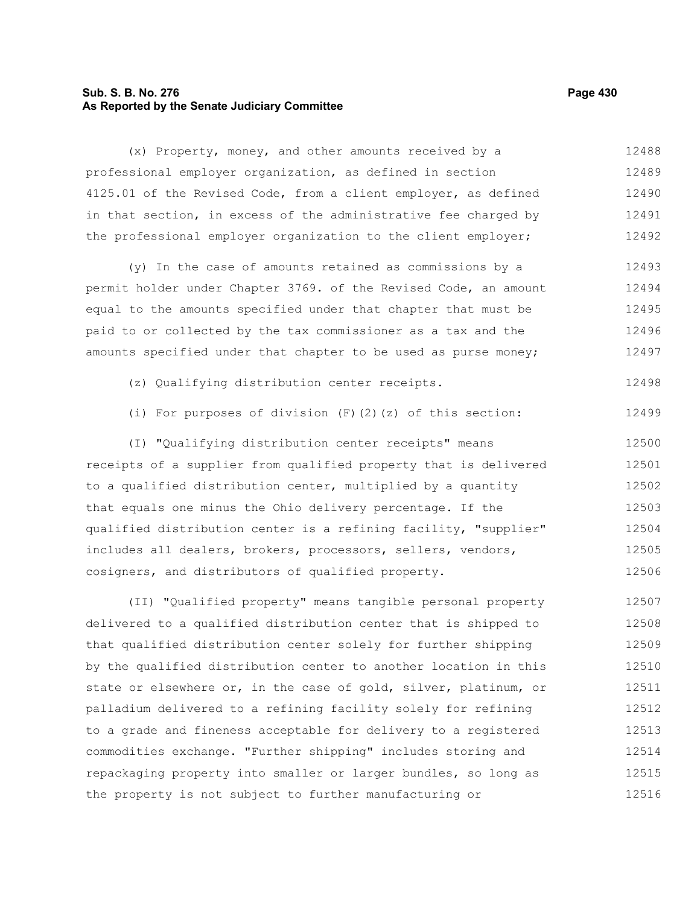# **Sub. S. B. No. 276 Page 430 As Reported by the Senate Judiciary Committee**

(x) Property, money, and other amounts received by a professional employer organization, as defined in section 4125.01 of the Revised Code, from a client employer, as defined in that section, in excess of the administrative fee charged by the professional employer organization to the client employer; 12488 12489 12490 12491 12492

(y) In the case of amounts retained as commissions by a permit holder under Chapter 3769. of the Revised Code, an amount equal to the amounts specified under that chapter that must be paid to or collected by the tax commissioner as a tax and the amounts specified under that chapter to be used as purse money; 12493 12494 12495 12496 12497

- (z) Qualifying distribution center receipts. 12498
- (i) For purposes of division  $(F)(2)(z)$  of this section: 12499

(I) "Qualifying distribution center receipts" means receipts of a supplier from qualified property that is delivered to a qualified distribution center, multiplied by a quantity that equals one minus the Ohio delivery percentage. If the qualified distribution center is a refining facility, "supplier" includes all dealers, brokers, processors, sellers, vendors, cosigners, and distributors of qualified property. 12500 12501 12502 12503 12504 12505 12506

(II) "Qualified property" means tangible personal property delivered to a qualified distribution center that is shipped to that qualified distribution center solely for further shipping by the qualified distribution center to another location in this state or elsewhere or, in the case of gold, silver, platinum, or palladium delivered to a refining facility solely for refining to a grade and fineness acceptable for delivery to a registered commodities exchange. "Further shipping" includes storing and repackaging property into smaller or larger bundles, so long as the property is not subject to further manufacturing or 12507 12508 12509 12510 12511 12512 12513 12514 12515 12516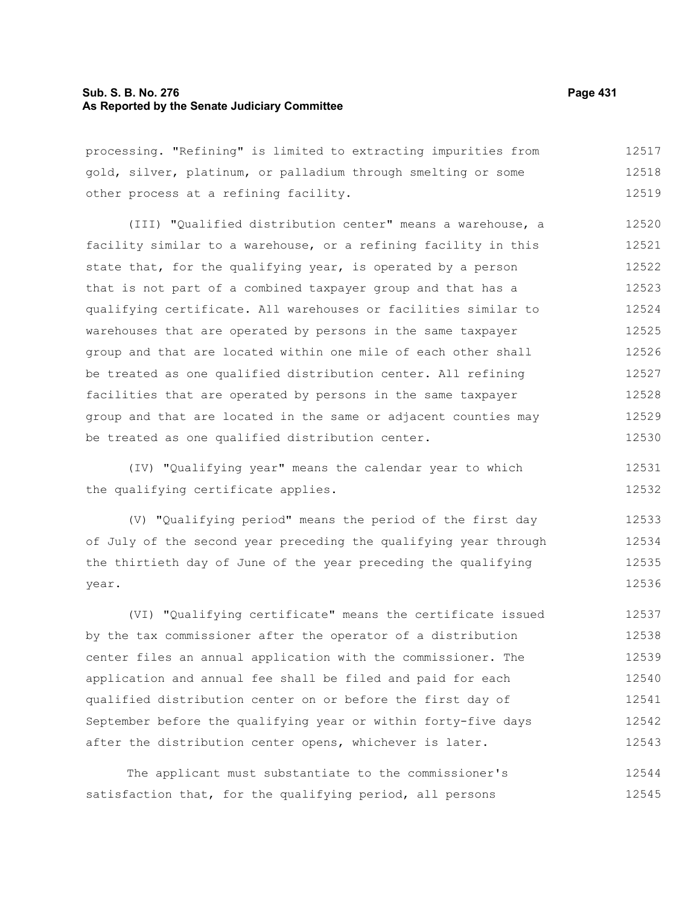# **Sub. S. B. No. 276 Page 431 As Reported by the Senate Judiciary Committee**

processing. "Refining" is limited to extracting impurities from gold, silver, platinum, or palladium through smelting or some other process at a refining facility. 12517 12518 12519

(III) "Qualified distribution center" means a warehouse, a facility similar to a warehouse, or a refining facility in this state that, for the qualifying year, is operated by a person that is not part of a combined taxpayer group and that has a qualifying certificate. All warehouses or facilities similar to warehouses that are operated by persons in the same taxpayer group and that are located within one mile of each other shall be treated as one qualified distribution center. All refining facilities that are operated by persons in the same taxpayer group and that are located in the same or adjacent counties may be treated as one qualified distribution center. 12520 12521 12522 12523 12524 12525 12526 12527 12528 12529 12530

(IV) "Qualifying year" means the calendar year to which the qualifying certificate applies.

(V) "Qualifying period" means the period of the first day of July of the second year preceding the qualifying year through the thirtieth day of June of the year preceding the qualifying year. 12533 12534 12535 12536

(VI) "Qualifying certificate" means the certificate issued by the tax commissioner after the operator of a distribution center files an annual application with the commissioner. The application and annual fee shall be filed and paid for each qualified distribution center on or before the first day of September before the qualifying year or within forty-five days after the distribution center opens, whichever is later. 12537 12538 12539 12540 12541 12542 12543

The applicant must substantiate to the commissioner's satisfaction that, for the qualifying period, all persons 12544 12545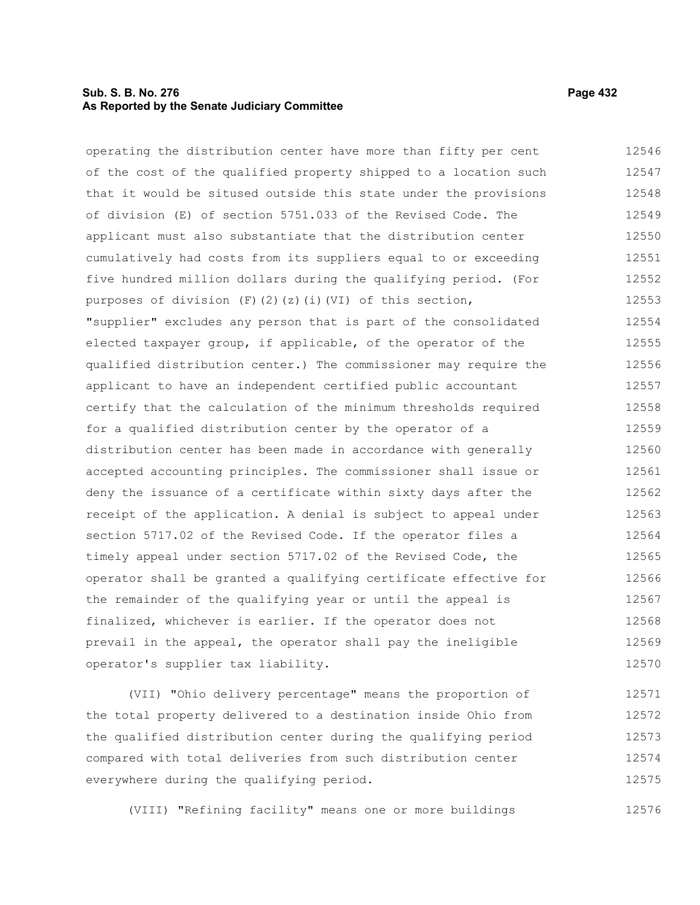# **Sub. S. B. No. 276 Page 432 As Reported by the Senate Judiciary Committee**

operating the distribution center have more than fifty per cent of the cost of the qualified property shipped to a location such that it would be sitused outside this state under the provisions of division (E) of section 5751.033 of the Revised Code. The applicant must also substantiate that the distribution center cumulatively had costs from its suppliers equal to or exceeding five hundred million dollars during the qualifying period. (For purposes of division (F)(2)(z)(i)(VI) of this section, "supplier" excludes any person that is part of the consolidated elected taxpayer group, if applicable, of the operator of the qualified distribution center.) The commissioner may require the applicant to have an independent certified public accountant certify that the calculation of the minimum thresholds required for a qualified distribution center by the operator of a distribution center has been made in accordance with generally accepted accounting principles. The commissioner shall issue or deny the issuance of a certificate within sixty days after the receipt of the application. A denial is subject to appeal under section 5717.02 of the Revised Code. If the operator files a timely appeal under section 5717.02 of the Revised Code, the operator shall be granted a qualifying certificate effective for the remainder of the qualifying year or until the appeal is finalized, whichever is earlier. If the operator does not prevail in the appeal, the operator shall pay the ineligible operator's supplier tax liability. 12546 12547 12548 12549 12550 12551 12552 12553 12554 12555 12556 12557 12558 12559 12560 12561 12562 12563 12564 12565 12566 12567 12568 12569 12570

(VII) "Ohio delivery percentage" means the proportion of the total property delivered to a destination inside Ohio from the qualified distribution center during the qualifying period compared with total deliveries from such distribution center everywhere during the qualifying period. 12571 12572 12573 12574 12575

(VIII) "Refining facility" means one or more buildings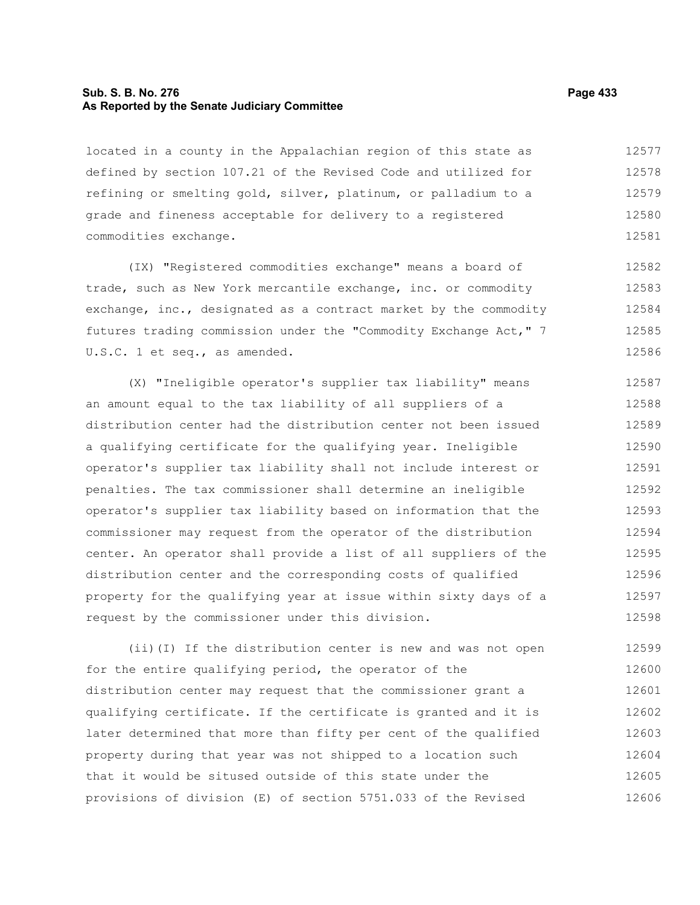#### **Sub. S. B. No. 276 Page 433 As Reported by the Senate Judiciary Committee**

located in a county in the Appalachian region of this state as defined by section 107.21 of the Revised Code and utilized for refining or smelting gold, silver, platinum, or palladium to a grade and fineness acceptable for delivery to a registered commodities exchange. 12577 12578 12579 12580 12581

(IX) "Registered commodities exchange" means a board of trade, such as New York mercantile exchange, inc. or commodity exchange, inc., designated as a contract market by the commodity futures trading commission under the "Commodity Exchange Act," 7 U.S.C. 1 et seq., as amended. 12582 12583 12584 12585 12586

(X) "Ineligible operator's supplier tax liability" means an amount equal to the tax liability of all suppliers of a distribution center had the distribution center not been issued a qualifying certificate for the qualifying year. Ineligible operator's supplier tax liability shall not include interest or penalties. The tax commissioner shall determine an ineligible operator's supplier tax liability based on information that the commissioner may request from the operator of the distribution center. An operator shall provide a list of all suppliers of the distribution center and the corresponding costs of qualified property for the qualifying year at issue within sixty days of a request by the commissioner under this division. 12587 12588 12589 12590 12591 12592 12593 12594 12595 12596 12597 12598

(ii)(I) If the distribution center is new and was not open for the entire qualifying period, the operator of the distribution center may request that the commissioner grant a qualifying certificate. If the certificate is granted and it is later determined that more than fifty per cent of the qualified property during that year was not shipped to a location such that it would be sitused outside of this state under the provisions of division (E) of section 5751.033 of the Revised 12599 12600 12601 12602 12603 12604 12605 12606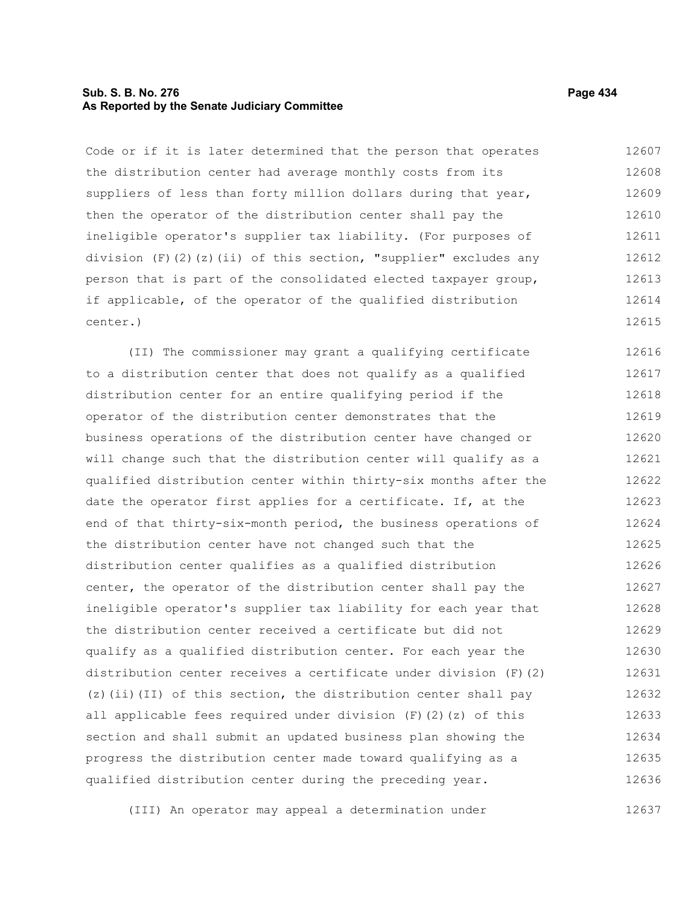## **Sub. S. B. No. 276 Page 434 As Reported by the Senate Judiciary Committee**

Code or if it is later determined that the person that operates the distribution center had average monthly costs from its suppliers of less than forty million dollars during that year, then the operator of the distribution center shall pay the ineligible operator's supplier tax liability. (For purposes of division (F)(2)(z)(ii) of this section, "supplier" excludes any person that is part of the consolidated elected taxpayer group, if applicable, of the operator of the qualified distribution center.) 12607 12608 12609 12610 12611 12612 12613 12614 12615

(II) The commissioner may grant a qualifying certificate to a distribution center that does not qualify as a qualified distribution center for an entire qualifying period if the operator of the distribution center demonstrates that the business operations of the distribution center have changed or will change such that the distribution center will qualify as a qualified distribution center within thirty-six months after the date the operator first applies for a certificate. If, at the end of that thirty-six-month period, the business operations of the distribution center have not changed such that the distribution center qualifies as a qualified distribution center, the operator of the distribution center shall pay the ineligible operator's supplier tax liability for each year that the distribution center received a certificate but did not qualify as a qualified distribution center. For each year the distribution center receives a certificate under division (F)(2) (z)(ii)(II) of this section, the distribution center shall pay all applicable fees required under division  $(F)$  (2)(z) of this section and shall submit an updated business plan showing the progress the distribution center made toward qualifying as a qualified distribution center during the preceding year. 12616 12617 12618 12619 12620 12621 12622 12623 12624 12625 12626 12627 12628 12629 12630 12631 12632 12633 12634 12635 12636

(III) An operator may appeal a determination under 12637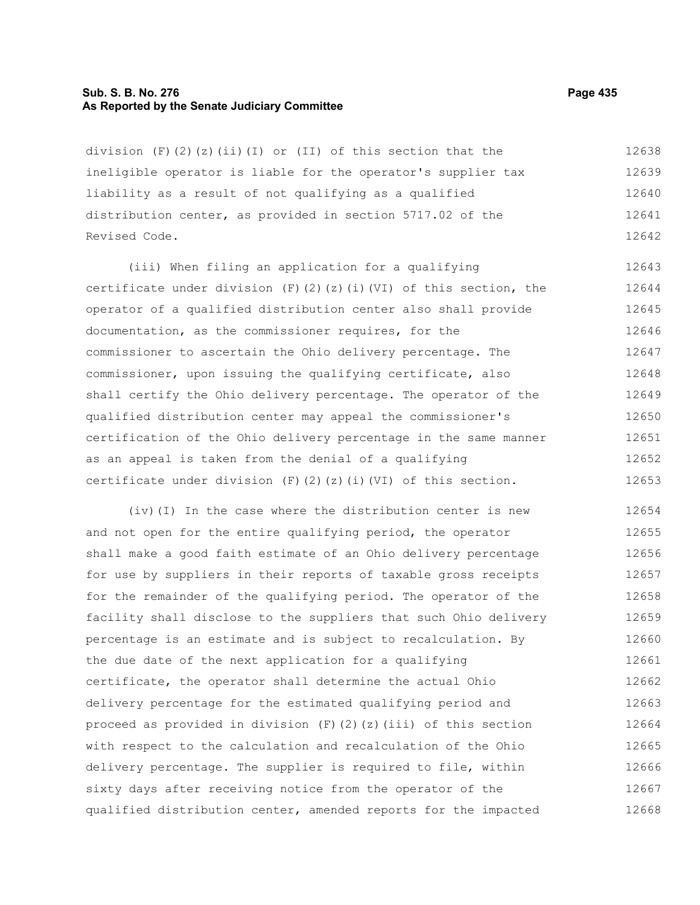#### **Sub. S. B. No. 276 Page 435 As Reported by the Senate Judiciary Committee**

division  $(F)$  (2)(z)(ii)(I) or (II) of this section that the ineligible operator is liable for the operator's supplier tax liability as a result of not qualifying as a qualified distribution center, as provided in section 5717.02 of the Revised Code. 12638 12639 12640 12641 12642

(iii) When filing an application for a qualifying certificate under division (F)(2)(z)(i)(VI) of this section, the operator of a qualified distribution center also shall provide documentation, as the commissioner requires, for the commissioner to ascertain the Ohio delivery percentage. The commissioner, upon issuing the qualifying certificate, also shall certify the Ohio delivery percentage. The operator of the qualified distribution center may appeal the commissioner's certification of the Ohio delivery percentage in the same manner as an appeal is taken from the denial of a qualifying certificate under division  $(F)$  (2)(z)(i)(VI) of this section. 12643 12644 12645 12646 12647 12648 12649 12650 12651 12652 12653

(iv)(I) In the case where the distribution center is new and not open for the entire qualifying period, the operator shall make a good faith estimate of an Ohio delivery percentage for use by suppliers in their reports of taxable gross receipts for the remainder of the qualifying period. The operator of the facility shall disclose to the suppliers that such Ohio delivery percentage is an estimate and is subject to recalculation. By the due date of the next application for a qualifying certificate, the operator shall determine the actual Ohio delivery percentage for the estimated qualifying period and proceed as provided in division  $(F)(2)(z)(iii)$  of this section with respect to the calculation and recalculation of the Ohio delivery percentage. The supplier is required to file, within sixty days after receiving notice from the operator of the qualified distribution center, amended reports for the impacted 12654 12655 12656 12657 12658 12659 12660 12661 12662 12663 12664 12665 12666 12667 12668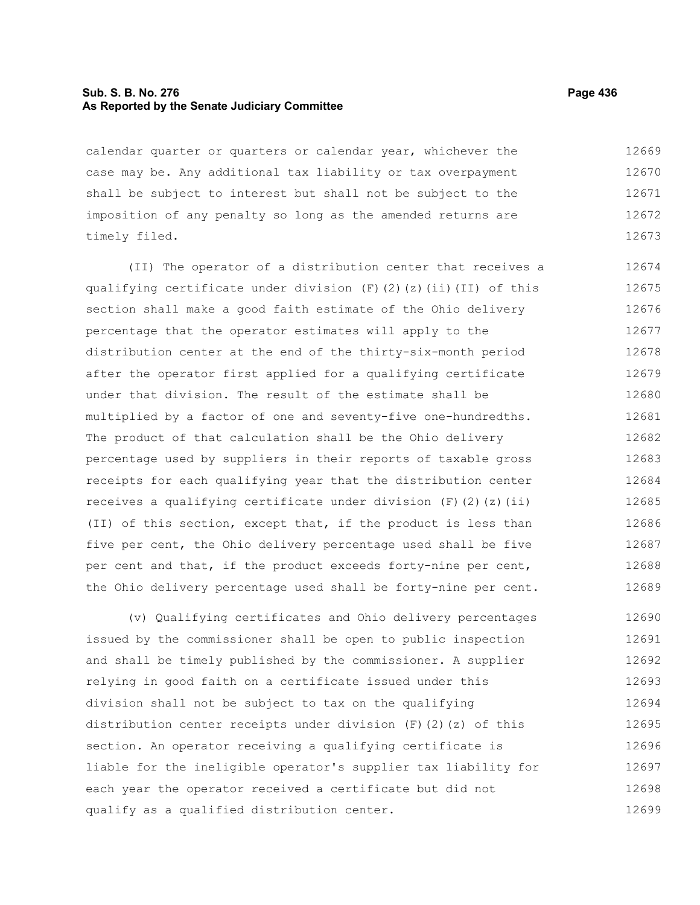#### **Sub. S. B. No. 276 Page 436 As Reported by the Senate Judiciary Committee**

calendar quarter or quarters or calendar year, whichever the case may be. Any additional tax liability or tax overpayment shall be subject to interest but shall not be subject to the imposition of any penalty so long as the amended returns are timely filed. 12669 12670 12671 12672 12673

(II) The operator of a distribution center that receives a qualifying certificate under division  $(F)$  (2)(z)(ii)(II) of this section shall make a good faith estimate of the Ohio delivery percentage that the operator estimates will apply to the distribution center at the end of the thirty-six-month period after the operator first applied for a qualifying certificate under that division. The result of the estimate shall be multiplied by a factor of one and seventy-five one-hundredths. The product of that calculation shall be the Ohio delivery percentage used by suppliers in their reports of taxable gross receipts for each qualifying year that the distribution center receives a qualifying certificate under division  $(F)$  (2)(z)(ii) (II) of this section, except that, if the product is less than five per cent, the Ohio delivery percentage used shall be five per cent and that, if the product exceeds forty-nine per cent, the Ohio delivery percentage used shall be forty-nine per cent. 12674 12675 12676 12677 12678 12679 12680 12681 12682 12683 12684 12685 12686 12687 12688 12689

(v) Qualifying certificates and Ohio delivery percentages issued by the commissioner shall be open to public inspection and shall be timely published by the commissioner. A supplier relying in good faith on a certificate issued under this division shall not be subject to tax on the qualifying distribution center receipts under division  $(F)(2)(z)$  of this section. An operator receiving a qualifying certificate is liable for the ineligible operator's supplier tax liability for each year the operator received a certificate but did not qualify as a qualified distribution center. 12690 12691 12692 12693 12694 12695 12696 12697 12698 12699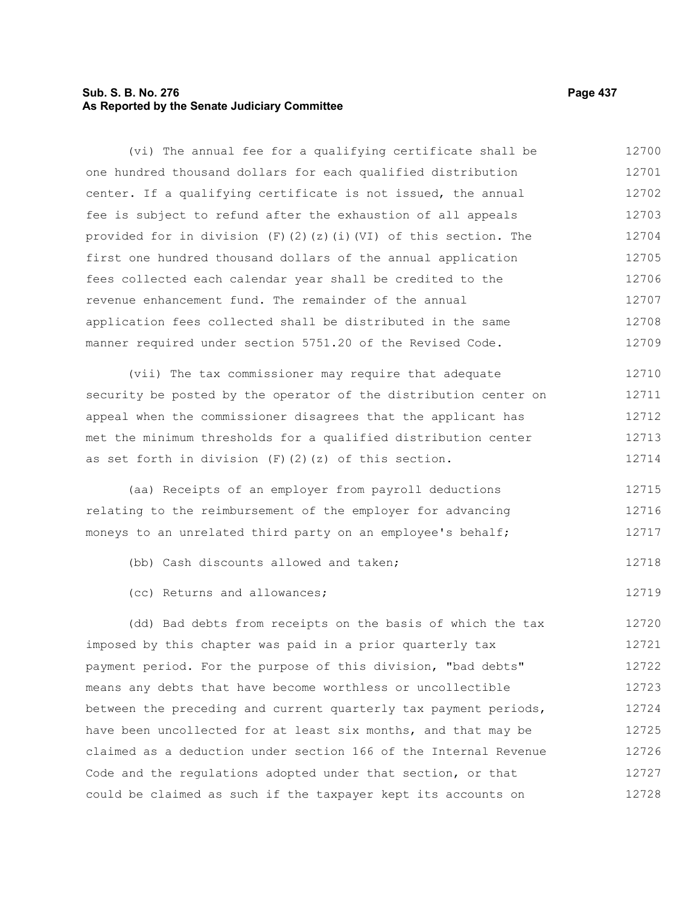# **Sub. S. B. No. 276 Page 437 As Reported by the Senate Judiciary Committee**

(vi) The annual fee for a qualifying certificate shall be one hundred thousand dollars for each qualified distribution center. If a qualifying certificate is not issued, the annual fee is subject to refund after the exhaustion of all appeals provided for in division (F)(2)(z)(i)(VI) of this section. The first one hundred thousand dollars of the annual application fees collected each calendar year shall be credited to the revenue enhancement fund. The remainder of the annual application fees collected shall be distributed in the same manner required under section 5751.20 of the Revised Code. 12700 12701 12702 12703 12704 12705 12706 12707 12708 12709

(vii) The tax commissioner may require that adequate security be posted by the operator of the distribution center on appeal when the commissioner disagrees that the applicant has met the minimum thresholds for a qualified distribution center as set forth in division  $(F)$   $(2)$   $(z)$  of this section. 12710 12711 12712 12713 12714

(aa) Receipts of an employer from payroll deductions relating to the reimbursement of the employer for advancing moneys to an unrelated third party on an employee's behalf; 12715 12716 12717

- (bb) Cash discounts allowed and taken; 12718
- (cc) Returns and allowances;

(dd) Bad debts from receipts on the basis of which the tax imposed by this chapter was paid in a prior quarterly tax payment period. For the purpose of this division, "bad debts" means any debts that have become worthless or uncollectible between the preceding and current quarterly tax payment periods, have been uncollected for at least six months, and that may be claimed as a deduction under section 166 of the Internal Revenue Code and the regulations adopted under that section, or that could be claimed as such if the taxpayer kept its accounts on 12720 12721 12722 12723 12724 12725 12726 12727 12728

12719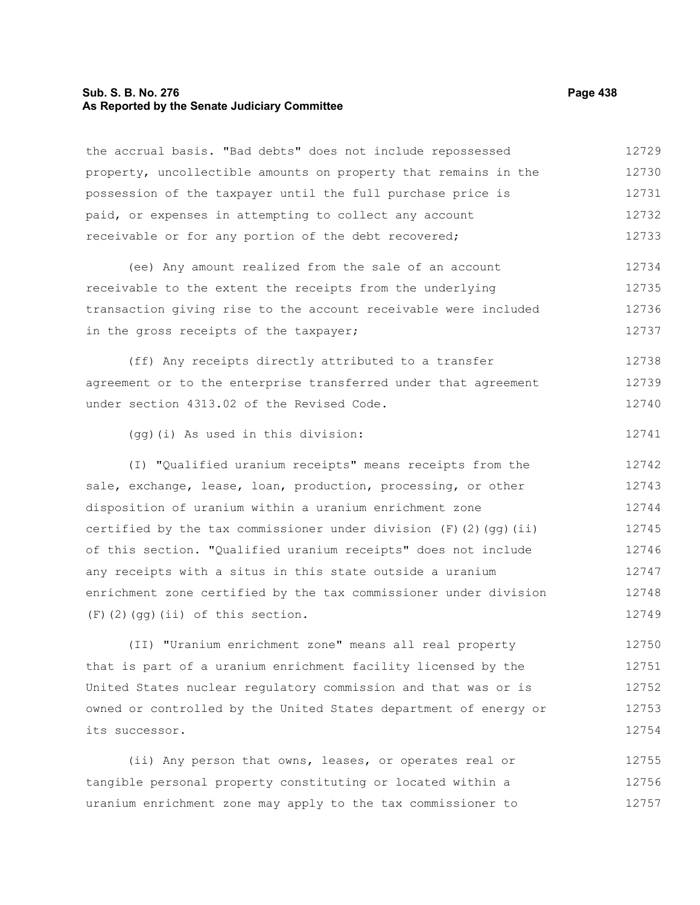## **Sub. S. B. No. 276 Page 438 As Reported by the Senate Judiciary Committee**

the accrual basis. "Bad debts" does not include repossessed property, uncollectible amounts on property that remains in the possession of the taxpayer until the full purchase price is paid, or expenses in attempting to collect any account receivable or for any portion of the debt recovered; (ee) Any amount realized from the sale of an account receivable to the extent the receipts from the underlying transaction giving rise to the account receivable were included in the gross receipts of the taxpayer; (ff) Any receipts directly attributed to a transfer agreement or to the enterprise transferred under that agreement under section 4313.02 of the Revised Code. (gg)(i) As used in this division: (I) "Qualified uranium receipts" means receipts from the sale, exchange, lease, loan, production, processing, or other disposition of uranium within a uranium enrichment zone certified by the tax commissioner under division  $(F)$  (2)(qq)(ii) of this section. "Qualified uranium receipts" does not include any receipts with a situs in this state outside a uranium enrichment zone certified by the tax commissioner under division (F)(2)(gg)(ii) of this section. (II) "Uranium enrichment zone" means all real property that is part of a uranium enrichment facility licensed by the United States nuclear regulatory commission and that was or is owned or controlled by the United States department of energy or its successor. 12729 12730 12731 12732 12733 12734 12735 12736 12737 12738 12739 12740 12741 12742 12743 12744 12745 12746 12747 12748 12749 12750 12751 12752 12753 12754

(ii) Any person that owns, leases, or operates real or tangible personal property constituting or located within a uranium enrichment zone may apply to the tax commissioner to 12755 12756 12757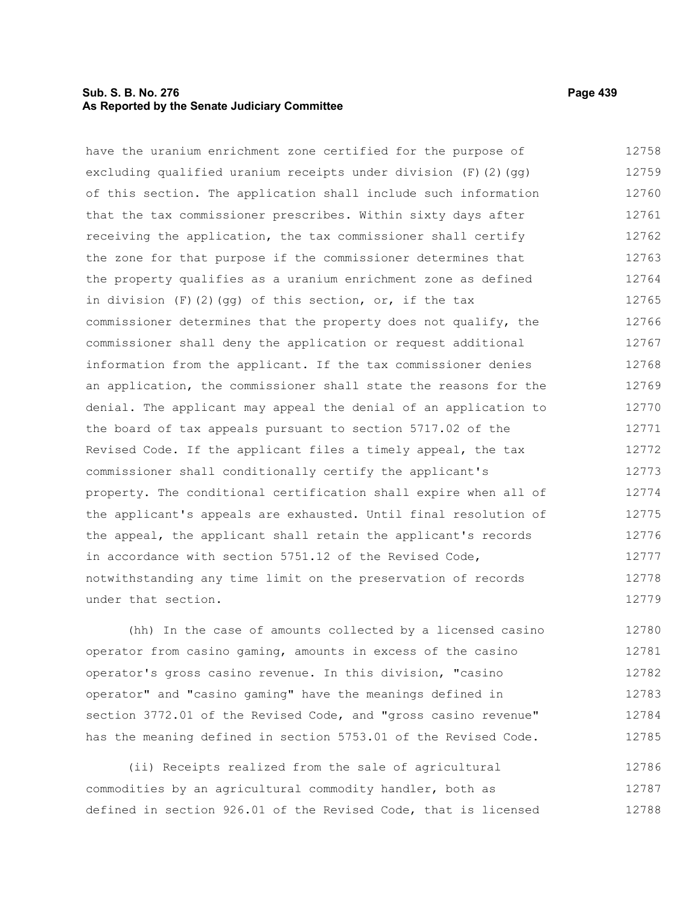## **Sub. S. B. No. 276 Page 439 As Reported by the Senate Judiciary Committee**

have the uranium enrichment zone certified for the purpose of excluding qualified uranium receipts under division (F)(2)(gg) of this section. The application shall include such information that the tax commissioner prescribes. Within sixty days after receiving the application, the tax commissioner shall certify the zone for that purpose if the commissioner determines that the property qualifies as a uranium enrichment zone as defined in division  $(F)$  (2)(gg) of this section, or, if the tax commissioner determines that the property does not qualify, the commissioner shall deny the application or request additional information from the applicant. If the tax commissioner denies an application, the commissioner shall state the reasons for the denial. The applicant may appeal the denial of an application to the board of tax appeals pursuant to section 5717.02 of the Revised Code. If the applicant files a timely appeal, the tax commissioner shall conditionally certify the applicant's property. The conditional certification shall expire when all of the applicant's appeals are exhausted. Until final resolution of the appeal, the applicant shall retain the applicant's records in accordance with section 5751.12 of the Revised Code, notwithstanding any time limit on the preservation of records under that section. 12758 12759 12760 12761 12762 12763 12764 12765 12766 12767 12768 12769 12770 12771 12772 12773 12774 12775 12776 12777 12778 12779

(hh) In the case of amounts collected by a licensed casino operator from casino gaming, amounts in excess of the casino operator's gross casino revenue. In this division, "casino operator" and "casino gaming" have the meanings defined in section 3772.01 of the Revised Code, and "gross casino revenue" has the meaning defined in section 5753.01 of the Revised Code. 12780 12781 12782 12783 12784 12785

(ii) Receipts realized from the sale of agricultural commodities by an agricultural commodity handler, both as defined in section 926.01 of the Revised Code, that is licensed 12786 12787 12788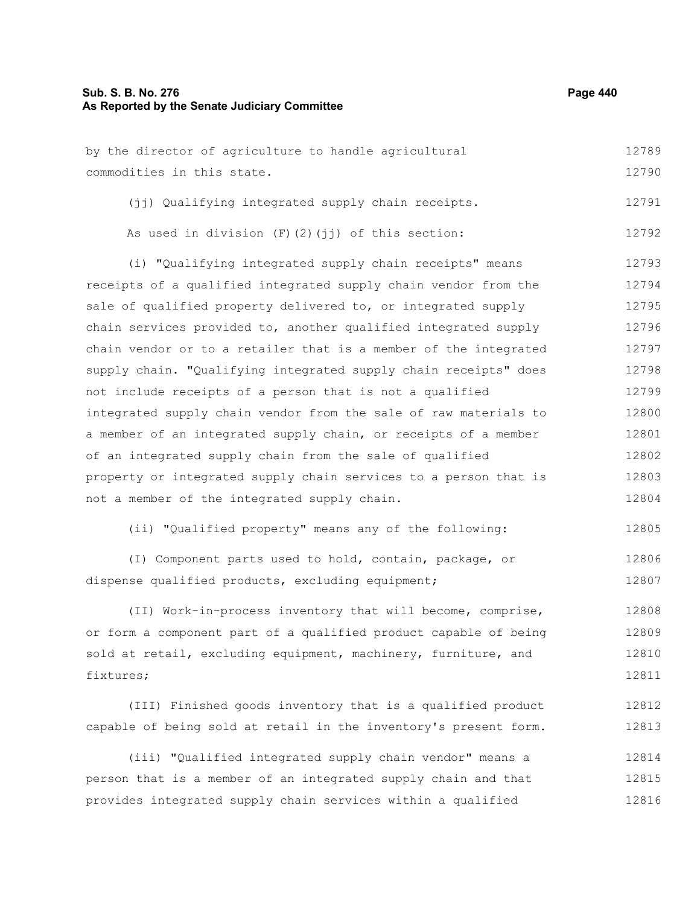# **Sub. S. B. No. 276 Page 440 As Reported by the Senate Judiciary Committee**

| by the director of agriculture to handle agricultural            | 12789 |
|------------------------------------------------------------------|-------|
| commodities in this state.                                       | 12790 |
| (jj) Qualifying integrated supply chain receipts.                | 12791 |
| As used in division (F)(2)(jj) of this section:                  | 12792 |
| (i) "Qualifying integrated supply chain receipts" means          | 12793 |
| receipts of a qualified integrated supply chain vendor from the  | 12794 |
| sale of qualified property delivered to, or integrated supply    | 12795 |
| chain services provided to, another qualified integrated supply  | 12796 |
| chain vendor or to a retailer that is a member of the integrated | 12797 |
| supply chain. "Qualifying integrated supply chain receipts" does | 12798 |
| not include receipts of a person that is not a qualified         | 12799 |
| integrated supply chain vendor from the sale of raw materials to | 12800 |
| a member of an integrated supply chain, or receipts of a member  | 12801 |
| of an integrated supply chain from the sale of qualified         | 12802 |
| property or integrated supply chain services to a person that is | 12803 |
| not a member of the integrated supply chain.                     | 12804 |
| (ii) "Qualified property" means any of the following:            | 12805 |
| (I) Component parts used to hold, contain, package, or           | 12806 |
| dispense qualified products, excluding equipment;                | 12807 |
| (II) Work-in-process inventory that will become, comprise,       | 12808 |
| or form a component part of a qualified product capable of being | 12809 |
| sold at retail, excluding equipment, machinery, furniture, and   | 12810 |
| fixtures;                                                        | 12811 |
| (III) Finished goods inventory that is a qualified product       | 12812 |
| capable of being sold at retail in the inventory's present form. | 12813 |
|                                                                  |       |

(iii) "Qualified integrated supply chain vendor" means a person that is a member of an integrated supply chain and that provides integrated supply chain services within a qualified 12814 12815 12816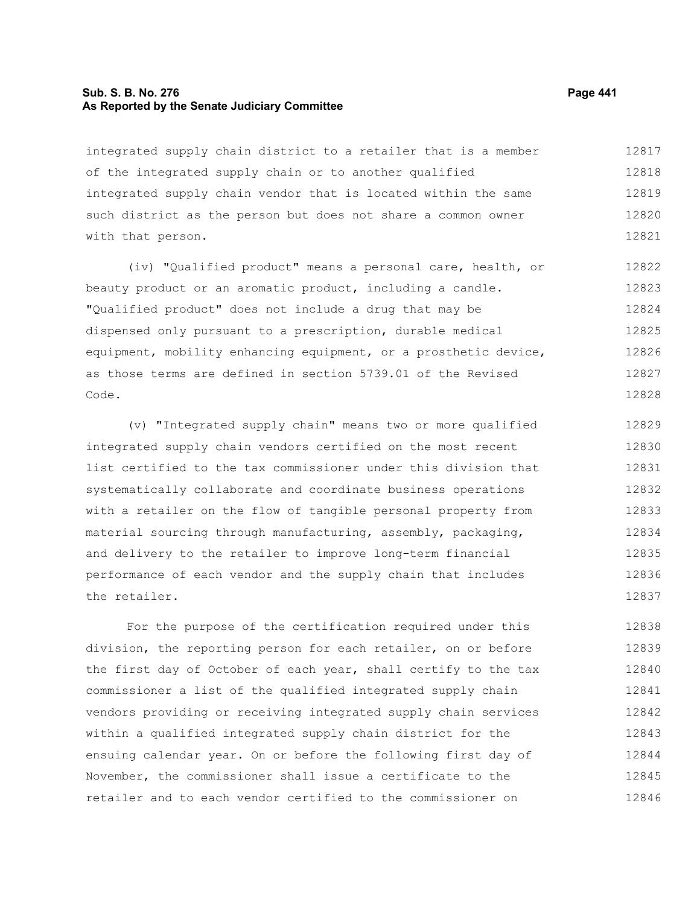#### **Sub. S. B. No. 276 Page 441 As Reported by the Senate Judiciary Committee**

integrated supply chain district to a retailer that is a member of the integrated supply chain or to another qualified integrated supply chain vendor that is located within the same such district as the person but does not share a common owner with that person. 12817 12818 12819 12820 12821

(iv) "Qualified product" means a personal care, health, or beauty product or an aromatic product, including a candle. "Qualified product" does not include a drug that may be dispensed only pursuant to a prescription, durable medical equipment, mobility enhancing equipment, or a prosthetic device, as those terms are defined in section 5739.01 of the Revised Code. 12822 12823 12824 12825 12826 12827 12828

(v) "Integrated supply chain" means two or more qualified integrated supply chain vendors certified on the most recent list certified to the tax commissioner under this division that systematically collaborate and coordinate business operations with a retailer on the flow of tangible personal property from material sourcing through manufacturing, assembly, packaging, and delivery to the retailer to improve long-term financial performance of each vendor and the supply chain that includes the retailer. 12829 12830 12831 12832 12833 12834 12835 12836 12837

For the purpose of the certification required under this division, the reporting person for each retailer, on or before the first day of October of each year, shall certify to the tax commissioner a list of the qualified integrated supply chain vendors providing or receiving integrated supply chain services within a qualified integrated supply chain district for the ensuing calendar year. On or before the following first day of November, the commissioner shall issue a certificate to the retailer and to each vendor certified to the commissioner on 12838 12839 12840 12841 12842 12843 12844 12845 12846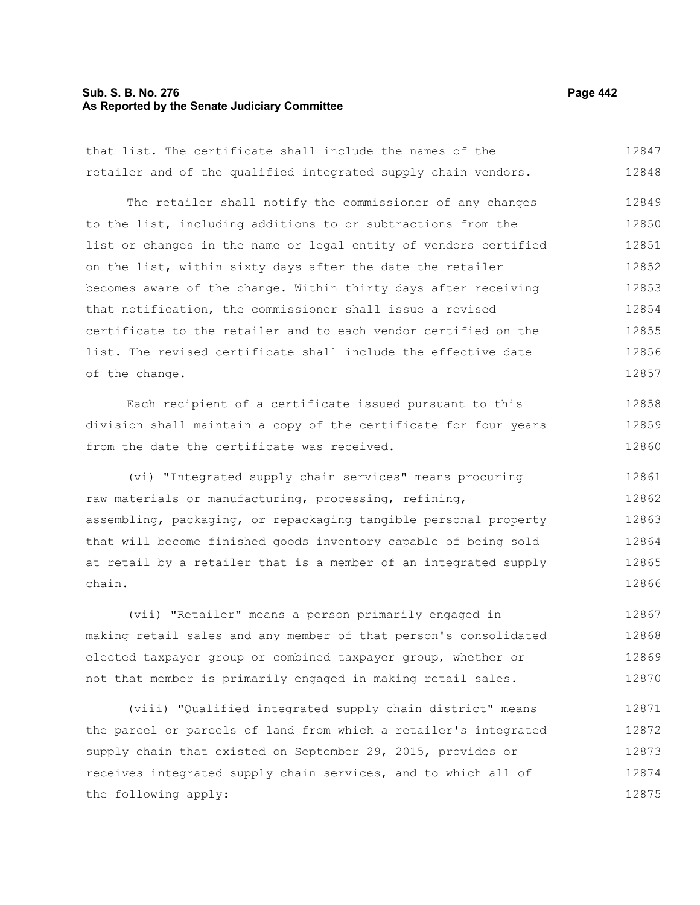## **Sub. S. B. No. 276 Page 442 As Reported by the Senate Judiciary Committee**

that list. The certificate shall include the names of the retailer and of the qualified integrated supply chain vendors. 12847 12848

The retailer shall notify the commissioner of any changes to the list, including additions to or subtractions from the list or changes in the name or legal entity of vendors certified on the list, within sixty days after the date the retailer becomes aware of the change. Within thirty days after receiving that notification, the commissioner shall issue a revised certificate to the retailer and to each vendor certified on the list. The revised certificate shall include the effective date of the change. 12849 12850 12851 12852 12853 12854 12855 12856 12857

Each recipient of a certificate issued pursuant to this division shall maintain a copy of the certificate for four years from the date the certificate was received. 12858 12859 12860

(vi) "Integrated supply chain services" means procuring raw materials or manufacturing, processing, refining, assembling, packaging, or repackaging tangible personal property that will become finished goods inventory capable of being sold at retail by a retailer that is a member of an integrated supply chain. 12861 12862 12863 12864 12865 12866

(vii) "Retailer" means a person primarily engaged in making retail sales and any member of that person's consolidated elected taxpayer group or combined taxpayer group, whether or not that member is primarily engaged in making retail sales. 12867 12868 12869 12870

(viii) "Qualified integrated supply chain district" means the parcel or parcels of land from which a retailer's integrated supply chain that existed on September 29, 2015, provides or receives integrated supply chain services, and to which all of the following apply: 12871 12872 12873 12874 12875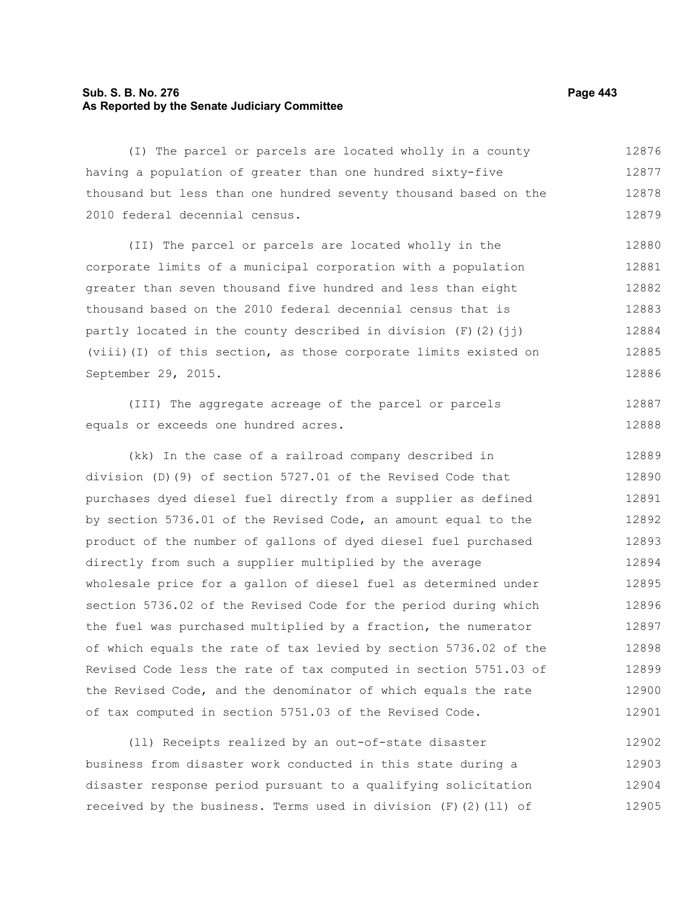# **Sub. S. B. No. 276 Page 443 As Reported by the Senate Judiciary Committee**

(I) The parcel or parcels are located wholly in a county having a population of greater than one hundred sixty-five thousand but less than one hundred seventy thousand based on the 2010 federal decennial census. 12876 12877 12878 12879

(II) The parcel or parcels are located wholly in the corporate limits of a municipal corporation with a population greater than seven thousand five hundred and less than eight thousand based on the 2010 federal decennial census that is partly located in the county described in division  $(F)(2)(\pi i)$ (viii)(I) of this section, as those corporate limits existed on September 29, 2015. 12880 12881 12882 12883 12884 12885 12886

(III) The aggregate acreage of the parcel or parcels equals or exceeds one hundred acres. 12887 12888

(kk) In the case of a railroad company described in division (D)(9) of section 5727.01 of the Revised Code that purchases dyed diesel fuel directly from a supplier as defined by section 5736.01 of the Revised Code, an amount equal to the product of the number of gallons of dyed diesel fuel purchased directly from such a supplier multiplied by the average wholesale price for a gallon of diesel fuel as determined under section 5736.02 of the Revised Code for the period during which the fuel was purchased multiplied by a fraction, the numerator of which equals the rate of tax levied by section 5736.02 of the Revised Code less the rate of tax computed in section 5751.03 of the Revised Code, and the denominator of which equals the rate of tax computed in section 5751.03 of the Revised Code. 12889 12890 12891 12892 12893 12894 12895 12896 12897 12898 12899 12900 12901

(ll) Receipts realized by an out-of-state disaster business from disaster work conducted in this state during a disaster response period pursuant to a qualifying solicitation received by the business. Terms used in division  $(F)$  (2)(11) of 12902 12903 12904 12905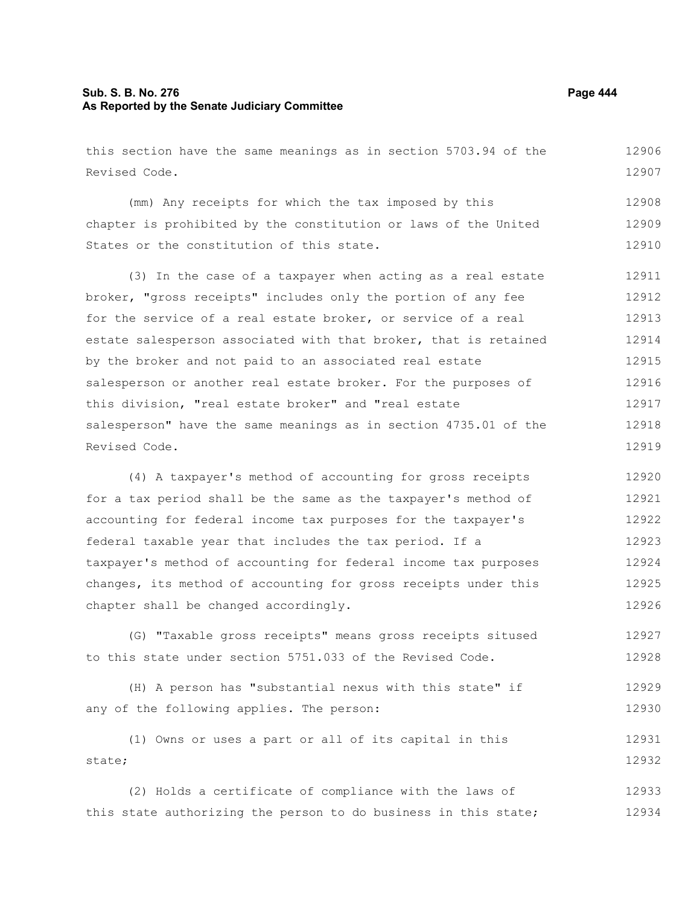# **Sub. S. B. No. 276 Page 444 As Reported by the Senate Judiciary Committee**

this section have the same meanings as in section 5703.94 of the Revised Code. 12906 12907

(mm) Any receipts for which the tax imposed by this chapter is prohibited by the constitution or laws of the United States or the constitution of this state. 12908 12909 12910

(3) In the case of a taxpayer when acting as a real estate broker, "gross receipts" includes only the portion of any fee for the service of a real estate broker, or service of a real estate salesperson associated with that broker, that is retained by the broker and not paid to an associated real estate salesperson or another real estate broker. For the purposes of this division, "real estate broker" and "real estate salesperson" have the same meanings as in section 4735.01 of the Revised Code. 12911 12912 12913 12914 12915 12916 12917 12918 12919

(4) A taxpayer's method of accounting for gross receipts for a tax period shall be the same as the taxpayer's method of accounting for federal income tax purposes for the taxpayer's federal taxable year that includes the tax period. If a taxpayer's method of accounting for federal income tax purposes changes, its method of accounting for gross receipts under this chapter shall be changed accordingly. 12920 12921 12922 12923 12924 12925 12926

(G) "Taxable gross receipts" means gross receipts sitused to this state under section 5751.033 of the Revised Code. 12927 12928

(H) A person has "substantial nexus with this state" if any of the following applies. The person: 12929 12930

(1) Owns or uses a part or all of its capital in this state; 12931 12932

(2) Holds a certificate of compliance with the laws of this state authorizing the person to do business in this state; 12933 12934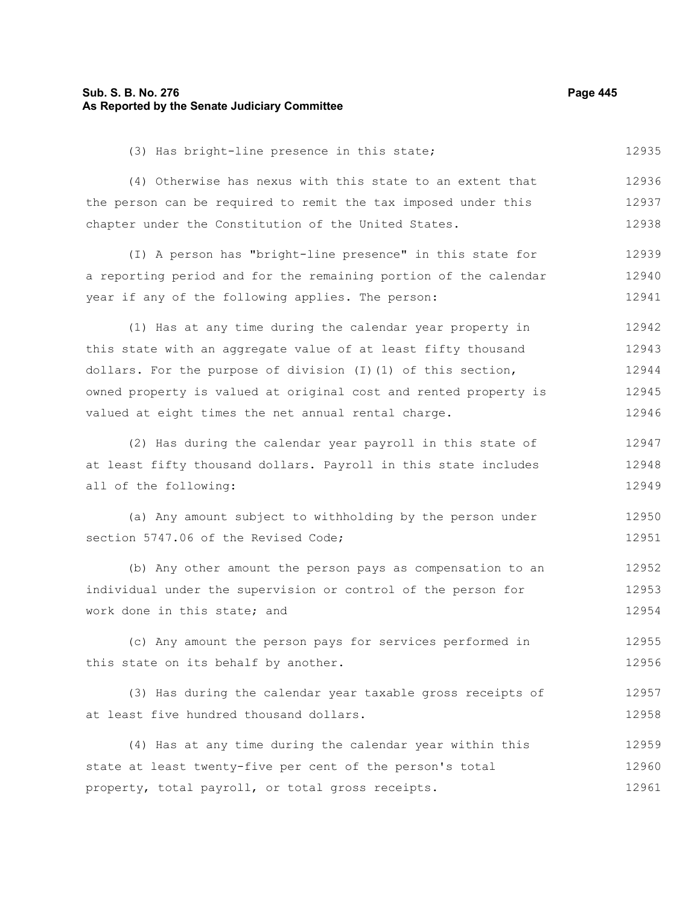## **Sub. S. B. No. 276 Page 445 As Reported by the Senate Judiciary Committee**

(3) Has bright-line presence in this state; 12935

(4) Otherwise has nexus with this state to an extent that the person can be required to remit the tax imposed under this chapter under the Constitution of the United States. 12936 12937 12938

(I) A person has "bright-line presence" in this state for a reporting period and for the remaining portion of the calendar year if any of the following applies. The person: 12939 12940 12941

(1) Has at any time during the calendar year property in this state with an aggregate value of at least fifty thousand dollars. For the purpose of division  $(I)(1)$  of this section, owned property is valued at original cost and rented property is valued at eight times the net annual rental charge. 12942 12943 12944 12945 12946

(2) Has during the calendar year payroll in this state of at least fifty thousand dollars. Payroll in this state includes all of the following: 12947 12948 12949

(a) Any amount subject to withholding by the person under section 5747.06 of the Revised Code; 12950 12951

(b) Any other amount the person pays as compensation to an individual under the supervision or control of the person for work done in this state; and 12952 12953 12954

(c) Any amount the person pays for services performed in this state on its behalf by another. 12955 12956

(3) Has during the calendar year taxable gross receipts of at least five hundred thousand dollars. 12957 12958

(4) Has at any time during the calendar year within this state at least twenty-five per cent of the person's total property, total payroll, or total gross receipts. 12959 12960 12961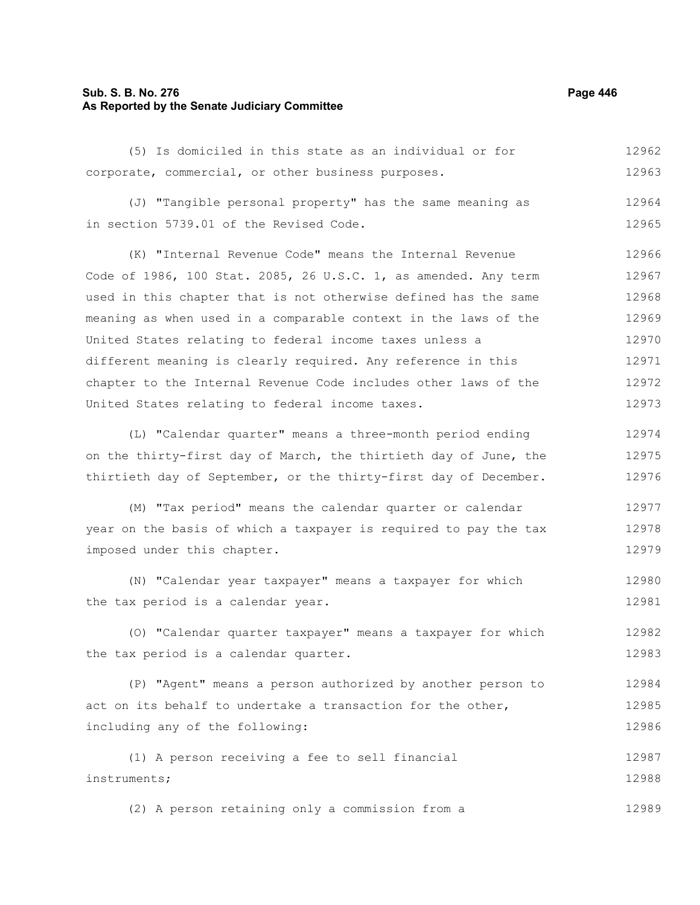## **Sub. S. B. No. 276 Page 446 As Reported by the Senate Judiciary Committee**

(5) Is domiciled in this state as an individual or for corporate, commercial, or other business purposes. 12962 12963

(J) "Tangible personal property" has the same meaning as in section 5739.01 of the Revised Code. 12964 12965

(K) "Internal Revenue Code" means the Internal Revenue Code of 1986, 100 Stat. 2085, 26 U.S.C. 1, as amended. Any term used in this chapter that is not otherwise defined has the same meaning as when used in a comparable context in the laws of the United States relating to federal income taxes unless a different meaning is clearly required. Any reference in this chapter to the Internal Revenue Code includes other laws of the United States relating to federal income taxes. 12966 12967 12968 12969 12970 12971 12972 12973

(L) "Calendar quarter" means a three-month period ending on the thirty-first day of March, the thirtieth day of June, the thirtieth day of September, or the thirty-first day of December. 12974 12975 12976

(M) "Tax period" means the calendar quarter or calendar year on the basis of which a taxpayer is required to pay the tax imposed under this chapter. 12977 12978 12979

(N) "Calendar year taxpayer" means a taxpayer for which the tax period is a calendar year. 12980 12981

(O) "Calendar quarter taxpayer" means a taxpayer for which the tax period is a calendar quarter. 12982 12983

(P) "Agent" means a person authorized by another person to act on its behalf to undertake a transaction for the other, including any of the following: 12984 12985 12986

(1) A person receiving a fee to sell financial instruments; 12987 12988

(2) A person retaining only a commission from a 12989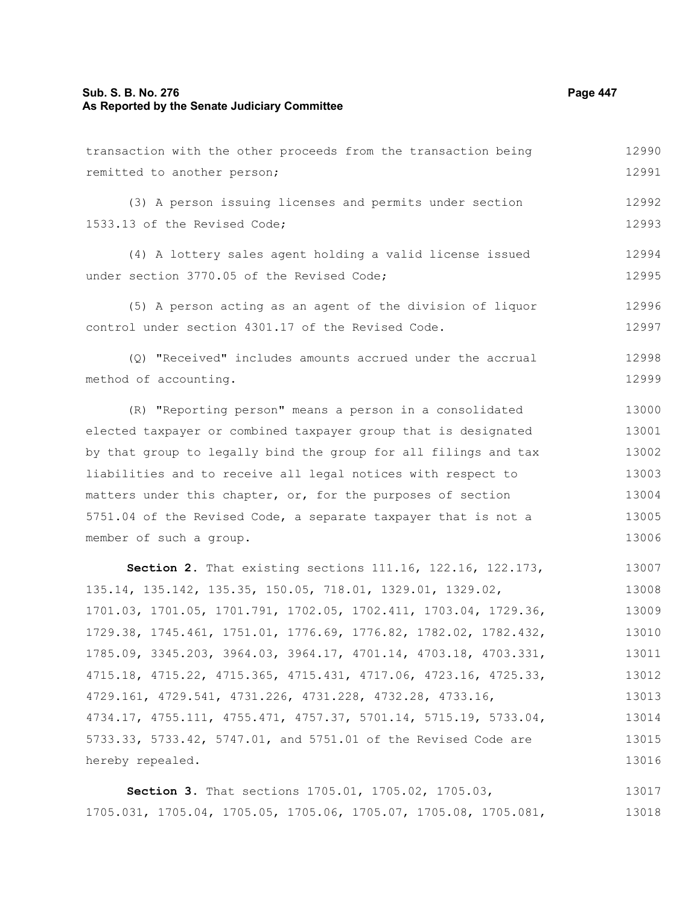# **Sub. S. B. No. 276 Page 447 As Reported by the Senate Judiciary Committee**

| transaction with the other proceeds from the transaction being   | 12990 |
|------------------------------------------------------------------|-------|
| remitted to another person;                                      | 12991 |
| (3) A person issuing licenses and permits under section          | 12992 |
| 1533.13 of the Revised Code;                                     | 12993 |
| (4) A lottery sales agent holding a valid license issued         | 12994 |
| under section 3770.05 of the Revised Code;                       | 12995 |
| (5) A person acting as an agent of the division of liquor        | 12996 |
| control under section 4301.17 of the Revised Code.               | 12997 |
| (Q) "Received" includes amounts accrued under the accrual        | 12998 |
| method of accounting.                                            | 12999 |
| (R) "Reporting person" means a person in a consolidated          | 13000 |
| elected taxpayer or combined taxpayer group that is designated   | 13001 |
| by that group to legally bind the group for all filings and tax  | 13002 |
| liabilities and to receive all legal notices with respect to     | 13003 |
| matters under this chapter, or, for the purposes of section      | 13004 |
| 5751.04 of the Revised Code, a separate taxpayer that is not a   | 13005 |
| member of such a group.                                          | 13006 |
| Section 2. That existing sections 111.16, 122.16, 122.173,       | 13007 |
| 135.14, 135.142, 135.35, 150.05, 718.01, 1329.01, 1329.02,       | 13008 |
| 1701.03, 1701.05, 1701.791, 1702.05, 1702.411, 1703.04, 1729.36, | 13009 |
| 1729.38, 1745.461, 1751.01, 1776.69, 1776.82, 1782.02, 1782.432, | 13010 |
| 1785.09, 3345.203, 3964.03, 3964.17, 4701.14, 4703.18, 4703.331, | 13011 |
| 4715.18, 4715.22, 4715.365, 4715.431, 4717.06, 4723.16, 4725.33, | 13012 |
| 4729.161, 4729.541, 4731.226, 4731.228, 4732.28, 4733.16,        | 13013 |
| 4734.17, 4755.111, 4755.471, 4757.37, 5701.14, 5715.19, 5733.04, | 13014 |
| 5733.33, 5733.42, 5747.01, and 5751.01 of the Revised Code are   | 13015 |
| hereby repealed.                                                 | 13016 |
| Section 3. That sections 1705.01, 1705.02, 1705.03,              | 13017 |

1705.031, 1705.04, 1705.05, 1705.06, 1705.07, 1705.08, 1705.081, 13018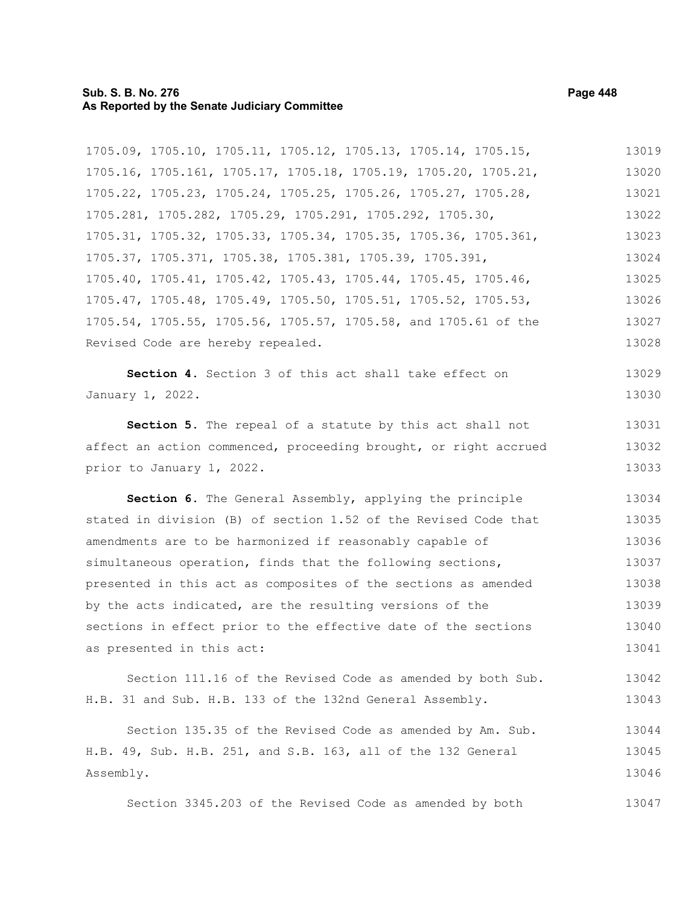#### **Sub. S. B. No. 276 Page 448 As Reported by the Senate Judiciary Committee**

1705.09, 1705.10, 1705.11, 1705.12, 1705.13, 1705.14, 1705.15, 1705.16, 1705.161, 1705.17, 1705.18, 1705.19, 1705.20, 1705.21, 1705.22, 1705.23, 1705.24, 1705.25, 1705.26, 1705.27, 1705.28, 1705.281, 1705.282, 1705.29, 1705.291, 1705.292, 1705.30, 1705.31, 1705.32, 1705.33, 1705.34, 1705.35, 1705.36, 1705.361, 1705.37, 1705.371, 1705.38, 1705.381, 1705.39, 1705.391, 1705.40, 1705.41, 1705.42, 1705.43, 1705.44, 1705.45, 1705.46, 1705.47, 1705.48, 1705.49, 1705.50, 1705.51, 1705.52, 1705.53, 1705.54, 1705.55, 1705.56, 1705.57, 1705.58, and 1705.61 of the Revised Code are hereby repealed. **Section 4.** Section 3 of this act shall take effect on 13019 13020 13021 13022 13023 13024 13025 13026 13027 13028 13029

January 1, 2022. 13030

**Section 5.** The repeal of a statute by this act shall not affect an action commenced, proceeding brought, or right accrued prior to January 1, 2022. 13031 13032 13033

**Section 6.** The General Assembly, applying the principle stated in division (B) of section 1.52 of the Revised Code that amendments are to be harmonized if reasonably capable of simultaneous operation, finds that the following sections, presented in this act as composites of the sections as amended by the acts indicated, are the resulting versions of the sections in effect prior to the effective date of the sections as presented in this act: 13034 13035 13036 13037 13038 13039 13040 13041

Section 111.16 of the Revised Code as amended by both Sub. H.B. 31 and Sub. H.B. 133 of the 132nd General Assembly. 13042 13043

Section 135.35 of the Revised Code as amended by Am. Sub. H.B. 49, Sub. H.B. 251, and S.B. 163, all of the 132 General Assembly. 13044 13045 13046

Section 3345.203 of the Revised Code as amended by both 13047